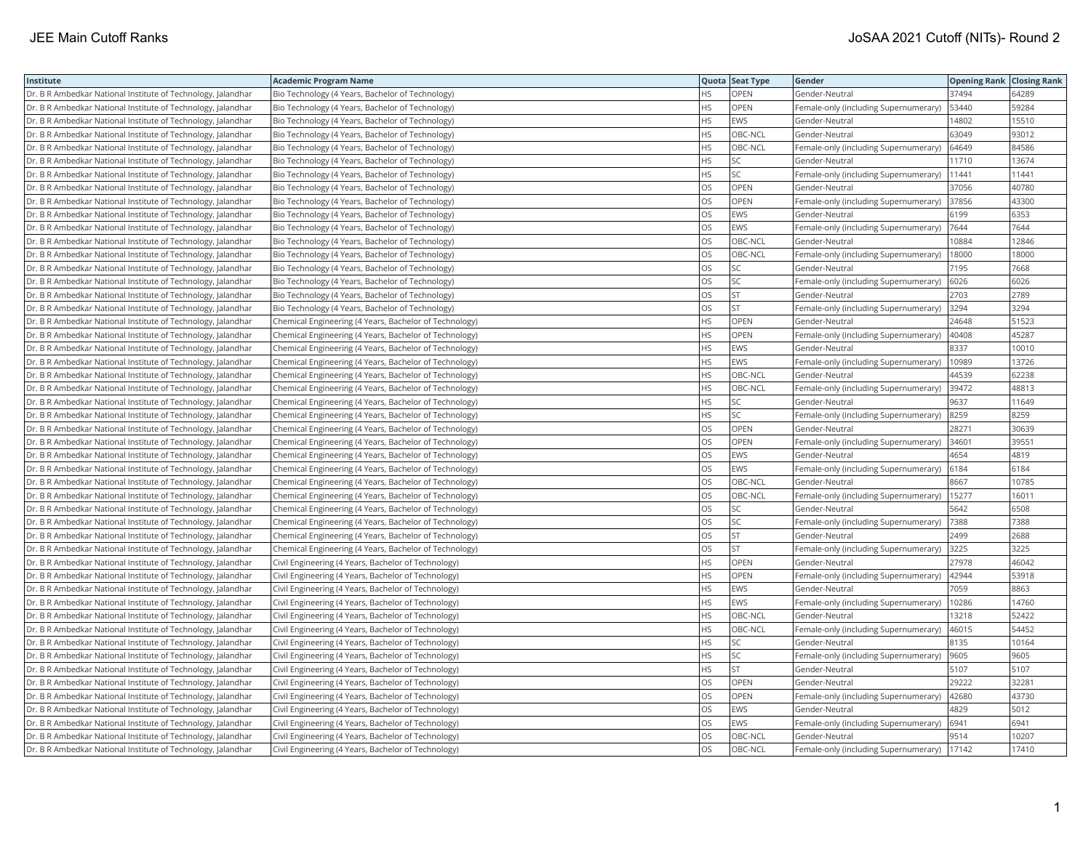| Institute                                                    | <b>Academic Program Name</b>                           |           | Quota Seat Type | Gender                                     | <b>Opening Rank Closing Rank</b> |       |
|--------------------------------------------------------------|--------------------------------------------------------|-----------|-----------------|--------------------------------------------|----------------------------------|-------|
| Dr. B R Ambedkar National Institute of Technology, Jalandhar | Bio Technology (4 Years, Bachelor of Technology)       | HS        | OPEN            | Gender-Neutral                             | 37494                            | 64289 |
| Dr. B R Ambedkar National Institute of Technology, Jalandhar | Bio Technology (4 Years, Bachelor of Technology)       | HS        | <b>OPEN</b>     | Female-only (including Supernumerary)      | 53440                            | 59284 |
| Dr. B R Ambedkar National Institute of Technology, Jalandhar | Bio Technology (4 Years, Bachelor of Technology)       | <b>HS</b> | EWS             | Gender-Neutral                             | 14802                            | 15510 |
| Dr. B R Ambedkar National Institute of Technology, Jalandhar | Bio Technology (4 Years, Bachelor of Technology)       | HS        | OBC-NCL         | Gender-Neutral                             | 63049                            | 93012 |
| Dr. B R Ambedkar National Institute of Technology, Jalandhar | Bio Technology (4 Years, Bachelor of Technology)       | <b>HS</b> | OBC-NCL         | Female-only (including Supernumerary)      | 64649                            | 84586 |
| Dr. B R Ambedkar National Institute of Technology, Jalandhar | Bio Technology (4 Years, Bachelor of Technology)       | <b>HS</b> | SC              | Gender-Neutral                             | 11710                            | 13674 |
| Dr. B R Ambedkar National Institute of Technology, Jalandhar | Bio Technology (4 Years, Bachelor of Technology)       | HS.       | SC              | Female-only (including Supernumerary)      | 11441                            | 11441 |
| Dr. B R Ambedkar National Institute of Technology, Jalandhar | Bio Technology (4 Years, Bachelor of Technology)       | los       | OPEN            | Gender-Neutral                             | 37056                            | 40780 |
| Dr. B R Ambedkar National Institute of Technology, Jalandhar | Bio Technology (4 Years, Bachelor of Technology)       | los       | <b>OPEN</b>     | Female-only (including Supernumerary)      | 37856                            | 43300 |
| Dr. B R Ambedkar National Institute of Technology, Jalandhar | Bio Technology (4 Years, Bachelor of Technology)       | los       | EWS             | Gender-Neutral                             | 6199                             | 6353  |
| Dr. B R Ambedkar National Institute of Technology, Jalandhar | Bio Technology (4 Years, Bachelor of Technology)       | los       | EWS             | Female-only (including Supernumerary)      | 7644                             | 7644  |
| Dr. B R Ambedkar National Institute of Technology, Jalandhar | Bio Technology (4 Years, Bachelor of Technology)       | los       | OBC-NCL         | Gender-Neutral                             | 10884                            | 12846 |
| Dr. B R Ambedkar National Institute of Technology, Jalandhar | Bio Technology (4 Years, Bachelor of Technology)       | los       | OBC-NCL         | Female-only (including Supernumerary)      | 18000                            | 18000 |
| Dr. B R Ambedkar National Institute of Technology, Jalandhar | Bio Technology (4 Years, Bachelor of Technology)       | los       | SC              | Gender-Neutral                             | 7195                             | 7668  |
| Dr. B R Ambedkar National Institute of Technology, Jalandhar | Bio Technology (4 Years, Bachelor of Technology)       | los       | SC              | Female-only (including Supernumerary)      | 6026                             | 6026  |
| Dr. B R Ambedkar National Institute of Technology, Jalandhar | Bio Technology (4 Years, Bachelor of Technology)       | los       | <b>ST</b>       | Gender-Neutral                             | 2703                             | 2789  |
| Dr. B R Ambedkar National Institute of Technology, Jalandhar | Bio Technology (4 Years, Bachelor of Technology)       | los       | <b>ST</b>       | Female-only (including Supernumerary)      | 3294                             | 3294  |
| Dr. B R Ambedkar National Institute of Technology, Jalandhar | Chemical Engineering (4 Years, Bachelor of Technology) | <b>HS</b> | <b>OPEN</b>     | Gender-Neutral                             | 24648                            | 51523 |
| Dr. B R Ambedkar National Institute of Technology, Jalandhar | Chemical Engineering (4 Years, Bachelor of Technology) | HS        | <b>OPEN</b>     | Female-only (including Supernumerary)      | 40408                            | 45287 |
| Dr. B R Ambedkar National Institute of Technology, Jalandhar | Chemical Engineering (4 Years, Bachelor of Technology) | <b>HS</b> | EWS             | Gender-Neutral                             | 8337                             | 10010 |
| Dr. B R Ambedkar National Institute of Technology, Jalandhar | Chemical Engineering (4 Years, Bachelor of Technology) | HS        | EWS             | Female-only (including Supernumerary)      | 10989                            | 13726 |
| Dr. B R Ambedkar National Institute of Technology, Jalandhar | Chemical Engineering (4 Years, Bachelor of Technology) | HS.       | OBC-NCL         | Gender-Neutral                             | 44539                            | 62238 |
| Dr. B R Ambedkar National Institute of Technology, Jalandhar | Chemical Engineering (4 Years, Bachelor of Technology) | <b>HS</b> | OBC-NCL         | Female-only (including Supernumerary)      | 39472                            | 48813 |
| Dr. B R Ambedkar National Institute of Technology, Jalandhar | Chemical Engineering (4 Years, Bachelor of Technology) | <b>HS</b> | SC              | Gender-Neutral                             | 9637                             | 11649 |
| Dr. B R Ambedkar National Institute of Technology, Jalandhar | Chemical Engineering (4 Years, Bachelor of Technology) | <b>HS</b> | SC              | Female-only (including Supernumerary)      | 8259                             | 8259  |
| Dr. B R Ambedkar National Institute of Technology, Jalandhar | Chemical Engineering (4 Years, Bachelor of Technology) | los       | OPEN            | Gender-Neutral                             | 28271                            | 30639 |
| Dr. B R Ambedkar National Institute of Technology, Jalandhar | Chemical Engineering (4 Years, Bachelor of Technology) | los       | <b>OPEN</b>     | Female-only (including Supernumerary)      | 34601                            | 39551 |
| Dr. B R Ambedkar National Institute of Technology, Jalandhar | Chemical Engineering (4 Years, Bachelor of Technology) | los       | EWS             | Gender-Neutral                             | 4654                             | 4819  |
| Dr. B R Ambedkar National Institute of Technology, Jalandhar | Chemical Engineering (4 Years, Bachelor of Technology) | los       | EWS             | Female-only (including Supernumerary) 6184 |                                  | 6184  |
| Dr. B R Ambedkar National Institute of Technology, Jalandhar | Chemical Engineering (4 Years, Bachelor of Technology) | los       | OBC-NCL         | Gender-Neutral                             | 8667                             | 10785 |
| Dr. B R Ambedkar National Institute of Technology, Jalandhar | Chemical Engineering (4 Years, Bachelor of Technology) | los       | OBC-NCL         | Female-only (including Supernumerary)      | 15277                            | 16011 |
| Dr. B R Ambedkar National Institute of Technology, Jalandhar | Chemical Engineering (4 Years, Bachelor of Technology) | los       | SC              | Gender-Neutral                             | 5642                             | 6508  |
| Dr. B R Ambedkar National Institute of Technology, Jalandhar | Chemical Engineering (4 Years, Bachelor of Technology) | los       | SC              | Female-only (including Supernumerary)      | 7388                             | 7388  |
| Dr. B R Ambedkar National Institute of Technology, Jalandhar | Chemical Engineering (4 Years, Bachelor of Technology) | OS        | <b>ST</b>       | Gender-Neutral                             | 2499                             | 2688  |
| Dr. B R Ambedkar National Institute of Technology, Jalandhar | Chemical Engineering (4 Years, Bachelor of Technology) | los       | <b>ST</b>       | Female-only (including Supernumerary)      | 3225                             | 3225  |
| Dr. B R Ambedkar National Institute of Technology, Jalandhar | Civil Engineering (4 Years, Bachelor of Technology)    | HS.       | OPEN            | Gender-Neutral                             | 27978                            | 46042 |
| Dr. B R Ambedkar National Institute of Technology, Jalandhar | Civil Engineering (4 Years, Bachelor of Technology)    | HS.       | OPEN            | Female-only (including Supernumerary)      | 42944                            | 53918 |
| Dr. B R Ambedkar National Institute of Technology, Jalandhar | Civil Engineering (4 Years, Bachelor of Technology)    | <b>HS</b> | EWS             | Gender-Neutral                             | 7059                             | 8863  |
| Dr. B R Ambedkar National Institute of Technology, Jalandhar | Civil Engineering (4 Years, Bachelor of Technology)    | l hs      | EWS             | Female-only (including Supernumerary)      | 10286                            | 14760 |
| Dr. B R Ambedkar National Institute of Technology, Jalandhar | Civil Engineering (4 Years, Bachelor of Technology)    | <b>HS</b> | OBC-NCL         | Gender-Neutral                             | 13218                            | 52422 |
| Dr. B R Ambedkar National Institute of Technology, Jalandhar | Civil Engineering (4 Years, Bachelor of Technology)    | HS.       | OBC-NCL         | Female-only (including Supernumerary)      | 46015                            | 54452 |
| Dr. B R Ambedkar National Institute of Technology, Jalandhar | Civil Engineering (4 Years, Bachelor of Technology)    | l HS      | SC              | Gender-Neutral                             | 8135                             | 10164 |
| Dr. B R Ambedkar National Institute of Technology, Jalandhar | Civil Engineering (4 Years, Bachelor of Technology)    | HS        | SC              | Female-only (including Supernumerary)      | 9605                             | 9605  |
| Dr. B R Ambedkar National Institute of Technology, Jalandhar | Civil Engineering (4 Years, Bachelor of Technology)    | HS.       | <b>ST</b>       | Gender-Neutral                             | 5107                             | 5107  |
| Dr. B R Ambedkar National Institute of Technology, Jalandhar | Civil Engineering (4 Years, Bachelor of Technology)    | los       | <b>OPEN</b>     | Gender-Neutral                             | 29222                            | 32281 |
| Dr. B R Ambedkar National Institute of Technology, Jalandhar | Civil Engineering (4 Years, Bachelor of Technology)    | los       | <b>OPEN</b>     | Female-only (including Supernumerary)      | 42680                            | 43730 |
| Dr. B R Ambedkar National Institute of Technology, Jalandhar | Civil Engineering (4 Years, Bachelor of Technology)    | los       | EWS             | Gender-Neutral                             | 4829                             | 5012  |
| Dr. B R Ambedkar National Institute of Technology, Jalandhar | Civil Engineering (4 Years, Bachelor of Technology)    | los       | EWS             | Female-only (including Supernumerary)      | 6941                             | 6941  |
| Dr. B R Ambedkar National Institute of Technology, Jalandhar | Civil Engineering (4 Years, Bachelor of Technology)    | <b>OS</b> | OBC-NCL         | Gender-Neutral                             | 9514                             | 10207 |
| Dr. B R Ambedkar National Institute of Technology, Jalandhar | Civil Engineering (4 Years, Bachelor of Technology)    | los       | OBC-NCL         | Female-only (including Supernumerary)      | 17142                            | 17410 |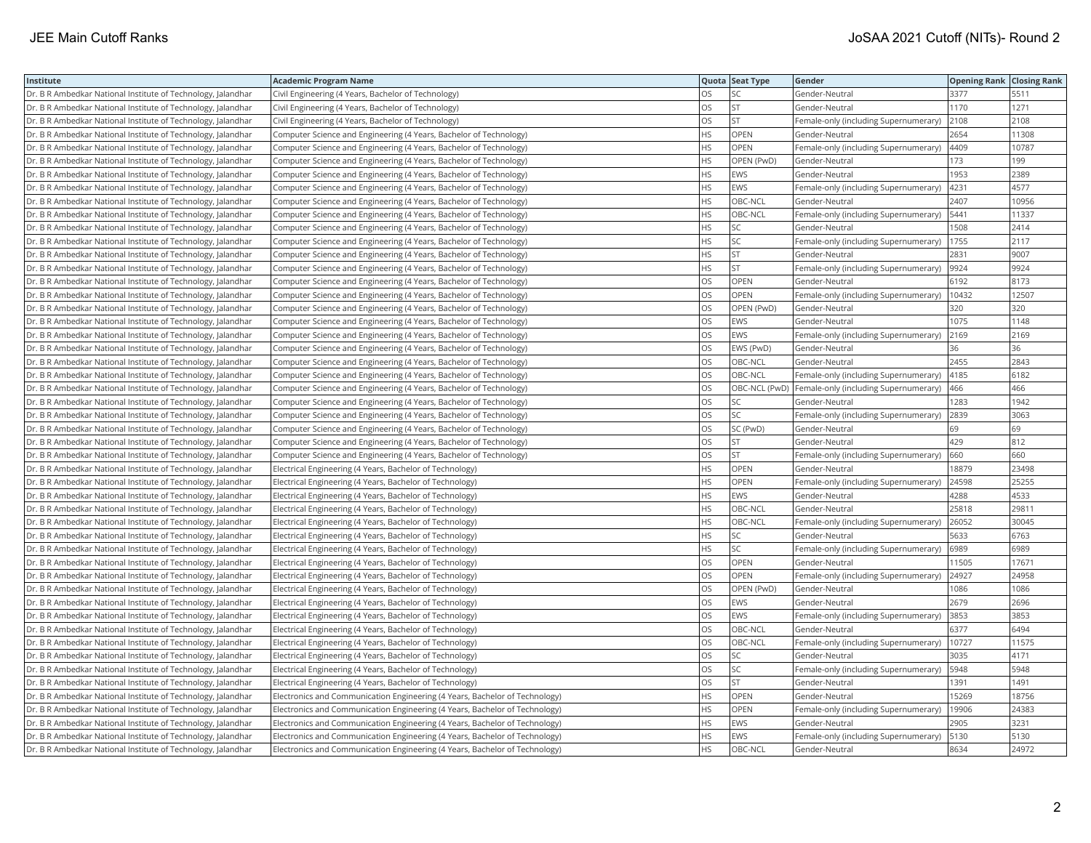| Institute                                                    | <b>Academic Program Name</b>                                                                                                   |           | Quota Seat Type | Gender                                                  | <b>Opening Rank Closing Rank</b> |       |
|--------------------------------------------------------------|--------------------------------------------------------------------------------------------------------------------------------|-----------|-----------------|---------------------------------------------------------|----------------------------------|-------|
| Dr. B R Ambedkar National Institute of Technology, Jalandhar | Civil Engineering (4 Years, Bachelor of Technology)                                                                            | <b>OS</b> | SC              | Gender-Neutral                                          | 3377                             | 5511  |
| Dr. B R Ambedkar National Institute of Technology, Jalandhar | Civil Engineering (4 Years, Bachelor of Technology)                                                                            | los       | <b>ST</b>       | Gender-Neutral                                          | 1170                             | 1271  |
| Dr. B R Ambedkar National Institute of Technology, Jalandhar | Civil Engineering (4 Years, Bachelor of Technology)                                                                            | los       | <b>ST</b>       | Female-only (including Supernumerary)                   | 2108                             | 2108  |
| Dr. B R Ambedkar National Institute of Technology, Jalandhar | Computer Science and Engineering (4 Years, Bachelor of Technology)                                                             | <b>HS</b> | OPEN            | Gender-Neutral                                          | 2654                             | 11308 |
| Dr. B R Ambedkar National Institute of Technology, Jalandhar | Computer Science and Engineering (4 Years, Bachelor of Technology)                                                             | <b>HS</b> | OPEN            | Female-only (including Supernumerary)                   | 4409                             | 10787 |
| Dr. B R Ambedkar National Institute of Technology, Jalandhar | Computer Science and Engineering (4 Years, Bachelor of Technology)                                                             | <b>HS</b> | OPEN (PwD)      | Gender-Neutral                                          | 173                              | 199   |
| Dr. B R Ambedkar National Institute of Technology, Jalandhar | Computer Science and Engineering (4 Years, Bachelor of Technology)                                                             | l HS      | EWS             | Gender-Neutral                                          | 1953                             | 2389  |
| Dr. B R Ambedkar National Institute of Technology, Jalandhar | Computer Science and Engineering (4 Years, Bachelor of Technology)                                                             | <b>HS</b> | EWS             | Female-only (including Supernumerary)                   | 4231                             | 4577  |
| Dr. B R Ambedkar National Institute of Technology, Jalandhar | Computer Science and Engineering (4 Years, Bachelor of Technology)                                                             | HS.       | OBC-NCL         | Gender-Neutral                                          | 2407                             | 10956 |
| Dr. B R Ambedkar National Institute of Technology, Jalandhar | Computer Science and Engineering (4 Years, Bachelor of Technology)                                                             | l HS      | OBC-NCL         | Female-only (including Supernumerary)                   | 5441                             | 11337 |
| Dr. B R Ambedkar National Institute of Technology, Jalandhar | Computer Science and Engineering (4 Years, Bachelor of Technology)                                                             | HS.       | SC              | Gender-Neutral                                          | 1508                             | 2414  |
| Dr. B R Ambedkar National Institute of Technology, Jalandhar | Computer Science and Engineering (4 Years, Bachelor of Technology)                                                             | HS        | SC              | Female-only (including Supernumerary)                   | 1755                             | 2117  |
| Dr. B R Ambedkar National Institute of Technology, Jalandhar | Computer Science and Engineering (4 Years, Bachelor of Technology)                                                             | HS        | ST              | Gender-Neutral                                          | 2831                             | 9007  |
| Dr. B R Ambedkar National Institute of Technology, Jalandhar | Computer Science and Engineering (4 Years, Bachelor of Technology)                                                             | <b>HS</b> | <b>ST</b>       | Female-only (including Supernumerary)                   | 9924                             | 9924  |
| Dr. B R Ambedkar National Institute of Technology, Jalandhar | Computer Science and Engineering (4 Years, Bachelor of Technology)                                                             | <b>OS</b> | OPEN            | Gender-Neutral                                          | 6192                             | 8173  |
| Dr. B R Ambedkar National Institute of Technology, Jalandhar | Computer Science and Engineering (4 Years, Bachelor of Technology)                                                             | los       | <b>OPEN</b>     | Female-only (including Supernumerary)                   | 10432                            | 12507 |
| Dr. B R Ambedkar National Institute of Technology, Jalandhar | Computer Science and Engineering (4 Years, Bachelor of Technology)                                                             | los       | OPEN (PwD)      | Gender-Neutral                                          | 320                              | 320   |
| Dr. B R Ambedkar National Institute of Technology, Jalandhar | Computer Science and Engineering (4 Years, Bachelor of Technology)                                                             | los       | EWS             | Gender-Neutral                                          | 1075                             | 1148  |
| Dr. B R Ambedkar National Institute of Technology, Jalandhar | Computer Science and Engineering (4 Years, Bachelor of Technology)                                                             | los       | EWS             | Female-only (including Supernumerary)                   | 2169                             | 2169  |
| Dr. B R Ambedkar National Institute of Technology, Jalandhar | Computer Science and Engineering (4 Years, Bachelor of Technology)                                                             | los       | EWS (PwD)       | Gender-Neutral                                          | 36                               | 36    |
| Dr. B R Ambedkar National Institute of Technology, Jalandhar | Computer Science and Engineering (4 Years, Bachelor of Technology)                                                             | los       | OBC-NCL         | Gender-Neutral                                          | 2455                             | 2843  |
| Dr. B R Ambedkar National Institute of Technology, Jalandhar | Computer Science and Engineering (4 Years, Bachelor of Technology)                                                             | los       | OBC-NCL         | Female-only (including Supernumerary)                   | 4185                             | 6182  |
| Dr. B R Ambedkar National Institute of Technology, Jalandhar | Computer Science and Engineering (4 Years, Bachelor of Technology)                                                             | los       | OBC-NCL (PwD)   | Female-only (including Supernumerary)                   | 466                              | 466   |
| Dr. B R Ambedkar National Institute of Technology, Jalandhar | Computer Science and Engineering (4 Years, Bachelor of Technology)                                                             | los       | SC              | Gender-Neutral                                          | 1283                             | 1942  |
| Dr. B R Ambedkar National Institute of Technology, Jalandhar | Computer Science and Engineering (4 Years, Bachelor of Technology)                                                             | los       | SC              | Female-only (including Supernumerary)                   | 2839                             | 3063  |
| Dr. B R Ambedkar National Institute of Technology, Jalandhar | Computer Science and Engineering (4 Years, Bachelor of Technology)                                                             | los       | SC (PwD)        | Gender-Neutral                                          | 69                               | 69    |
| Dr. B R Ambedkar National Institute of Technology, Jalandhar | Computer Science and Engineering (4 Years, Bachelor of Technology)                                                             | los       | <b>ST</b>       | Gender-Neutral                                          | 429                              | 812   |
| Dr. B R Ambedkar National Institute of Technology, Jalandhar |                                                                                                                                | OS        | <b>ST</b>       |                                                         | 660                              | 660   |
| Dr. B R Ambedkar National Institute of Technology, Jalandhar | Computer Science and Engineering (4 Years, Bachelor of Technology)<br>Electrical Engineering (4 Years, Bachelor of Technology) | <b>HS</b> | <b>OPEN</b>     | Female-only (including Supernumerary)<br>Gender-Neutral | 18879                            | 23498 |
| Dr. B R Ambedkar National Institute of Technology, Jalandhar |                                                                                                                                | HS        | OPEN            |                                                         | 24598                            | 25255 |
|                                                              | Electrical Engineering (4 Years, Bachelor of Technology)                                                                       | <b>HS</b> | EWS             | Female-only (including Supernumerary)                   | 4288                             | 4533  |
| Dr. B R Ambedkar National Institute of Technology, Jalandhar | Electrical Engineering (4 Years, Bachelor of Technology)                                                                       | <b>HS</b> |                 | Gender-Neutral                                          | 25818                            | 29811 |
| Dr. B R Ambedkar National Institute of Technology, Jalandhar | Electrical Engineering (4 Years, Bachelor of Technology)                                                                       |           | OBC-NCL         | Gender-Neutral                                          |                                  |       |
| Dr. B R Ambedkar National Institute of Technology, Jalandhar | Electrical Engineering (4 Years, Bachelor of Technology)                                                                       | HS.       | OBC-NCL         | Female-only (including Supernumerary)                   | 26052                            | 30045 |
| Dr. B R Ambedkar National Institute of Technology, Jalandhar | Electrical Engineering (4 Years, Bachelor of Technology)                                                                       | HS        | SC              | Gender-Neutral                                          | 5633                             | 6763  |
| Dr. B R Ambedkar National Institute of Technology, Jalandhar | Electrical Engineering (4 Years, Bachelor of Technology)                                                                       | HS.       | SC              | Female-only (including Supernumerary)                   | 6989                             | 6989  |
| Dr. B R Ambedkar National Institute of Technology, Jalandhar | Electrical Engineering (4 Years, Bachelor of Technology)                                                                       | los       | <b>OPEN</b>     | Gender-Neutral                                          | 11505                            | 17671 |
| Dr. B R Ambedkar National Institute of Technology, Jalandhar | Electrical Engineering (4 Years, Bachelor of Technology)                                                                       | los       | OPEN            | Female-only (including Supernumerary)                   | 24927                            | 24958 |
| Dr. B R Ambedkar National Institute of Technology, Jalandhar | Electrical Engineering (4 Years, Bachelor of Technology)                                                                       | los       | OPEN (PwD)      | Gender-Neutral                                          | 1086                             | 1086  |
| Dr. B R Ambedkar National Institute of Technology, Jalandhar | Electrical Engineering (4 Years, Bachelor of Technology)                                                                       | los       | EWS             | Gender-Neutral                                          | 2679                             | 2696  |
| Dr. B R Ambedkar National Institute of Technology, Jalandhar | Electrical Engineering (4 Years, Bachelor of Technology)                                                                       | los       | EWS             | Female-only (including Supernumerary)                   | 3853                             | 3853  |
| Dr. B R Ambedkar National Institute of Technology, Jalandhar | Electrical Engineering (4 Years, Bachelor of Technology)                                                                       | los       | OBC-NCL         | Gender-Neutral                                          | 6377                             | 6494  |
| Dr. B R Ambedkar National Institute of Technology, Jalandhar | Electrical Engineering (4 Years, Bachelor of Technology)                                                                       | los       | OBC-NCL         | Female-only (including Supernumerary)                   | 10727                            | 11575 |
| Dr. B R Ambedkar National Institute of Technology, Jalandhar | Electrical Engineering (4 Years, Bachelor of Technology)                                                                       | OS        | SC              | Gender-Neutral                                          | 3035                             | 4171  |
| Dr. B R Ambedkar National Institute of Technology, Jalandhar | Electrical Engineering (4 Years, Bachelor of Technology)                                                                       | <b>OS</b> | SC              | Female-only (including Supernumerary)                   | 5948                             | 5948  |
| Dr. B R Ambedkar National Institute of Technology, Jalandhar | Electrical Engineering (4 Years, Bachelor of Technology)                                                                       | <b>OS</b> | <b>ST</b>       | Gender-Neutral                                          | 1391                             | 1491  |
| Dr. B R Ambedkar National Institute of Technology, Jalandhar | Electronics and Communication Engineering (4 Years, Bachelor of Technology)                                                    | <b>HS</b> | OPEN            | Gender-Neutral                                          | 15269                            | 18756 |
| Dr. B R Ambedkar National Institute of Technology, Jalandhar | Electronics and Communication Engineering (4 Years, Bachelor of Technology)                                                    | HS.       | OPEN            | Female-only (including Supernumerary)                   | 19906                            | 24383 |
| Dr. B R Ambedkar National Institute of Technology, Jalandhar | Electronics and Communication Engineering (4 Years, Bachelor of Technology)                                                    | HS.       | EWS             | Gender-Neutral                                          | 2905                             | 3231  |
| Dr. B R Ambedkar National Institute of Technology, Jalandhar | Electronics and Communication Engineering (4 Years, Bachelor of Technology)                                                    | HS.       | EWS             | Female-only (including Supernumerary)                   | 5130                             | 5130  |
| Dr. B R Ambedkar National Institute of Technology, Jalandhar | Electronics and Communication Engineering (4 Years, Bachelor of Technology)                                                    | l HS      | OBC-NCL         | Gender-Neutral                                          | 8634                             | 24972 |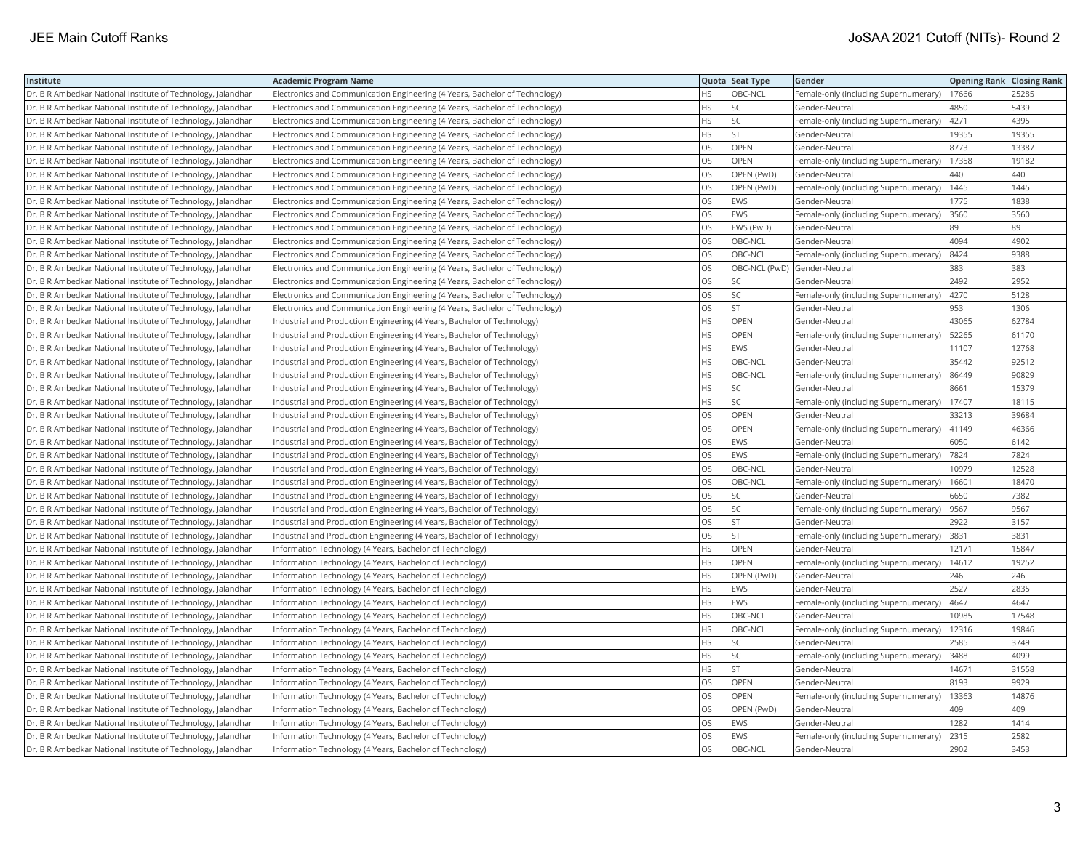| Institute                                                    | <b>Academic Program Name</b>                                                |           | Quota Seat Type | Gender                                | <b>Opening Rank Closing Rank</b> |       |
|--------------------------------------------------------------|-----------------------------------------------------------------------------|-----------|-----------------|---------------------------------------|----------------------------------|-------|
| Dr. B R Ambedkar National Institute of Technology, Jalandhar | Electronics and Communication Engineering (4 Years, Bachelor of Technology) | HS        | OBC-NCL         | Female-only (including Supernumerary) | 17666                            | 25285 |
| Dr. B R Ambedkar National Institute of Technology, Jalandhar | Electronics and Communication Engineering (4 Years, Bachelor of Technology) | HS        | SC              | Gender-Neutral                        | 4850                             | 5439  |
| Dr. B R Ambedkar National Institute of Technology, Jalandhar | Electronics and Communication Engineering (4 Years, Bachelor of Technology) | HS.       | SC              | Female-only (including Supernumerary) | 4271                             | 4395  |
| Dr. B R Ambedkar National Institute of Technology, Jalandhar | Electronics and Communication Engineering (4 Years, Bachelor of Technology) | HS.       | <b>ST</b>       | Gender-Neutral                        | 19355                            | 19355 |
| Dr. B R Ambedkar National Institute of Technology, Jalandhar | Electronics and Communication Engineering (4 Years, Bachelor of Technology) | OS.       | <b>OPEN</b>     | Gender-Neutral                        | 8773                             | 13387 |
| Dr. B R Ambedkar National Institute of Technology, Jalandhar | Electronics and Communication Engineering (4 Years, Bachelor of Technology) | OS        | OPEN            | Female-only (including Supernumerary) | 17358                            | 19182 |
| Dr. B R Ambedkar National Institute of Technology, Jalandhar | Electronics and Communication Engineering (4 Years, Bachelor of Technology) | OS.       | OPEN (PwD)      | Gender-Neutral                        | 440                              | 440   |
| Dr. B R Ambedkar National Institute of Technology, Jalandhar | Electronics and Communication Engineering (4 Years, Bachelor of Technology) | <b>OS</b> | OPEN (PwD)      | Female-only (including Supernumerary) | 1445                             | 1445  |
| Dr. B R Ambedkar National Institute of Technology, Jalandhar | Electronics and Communication Engineering (4 Years, Bachelor of Technology) | <b>OS</b> | EWS             | Gender-Neutral                        | 1775                             | 1838  |
| Dr. B R Ambedkar National Institute of Technology, Jalandhar | Electronics and Communication Engineering (4 Years, Bachelor of Technology) | <b>OS</b> | EWS             | Female-only (including Supernumerary) | 3560                             | 3560  |
| Dr. B R Ambedkar National Institute of Technology, Jalandhar | Electronics and Communication Engineering (4 Years, Bachelor of Technology) | OS.       | EWS (PwD)       | Gender-Neutral                        | 89                               | 89    |
| Dr. B R Ambedkar National Institute of Technology, Jalandhar | Electronics and Communication Engineering (4 Years, Bachelor of Technology) | OS        | OBC-NCL         | Gender-Neutral                        | 4094                             | 4902  |
| Dr. B R Ambedkar National Institute of Technology, Jalandhar | Electronics and Communication Engineering (4 Years, Bachelor of Technology) | OS        | OBC-NCL         | Female-only (including Supernumerary) | 8424                             | 9388  |
| Dr. B R Ambedkar National Institute of Technology, Jalandhar | Electronics and Communication Engineering (4 Years, Bachelor of Technology) | OS.       | OBC-NCL (PwD)   | Gender-Neutral                        | 383                              | 383   |
| Dr. B R Ambedkar National Institute of Technology, Jalandhar | Electronics and Communication Engineering (4 Years, Bachelor of Technology) | OS        | SC              | Gender-Neutral                        | 2492                             | 2952  |
| Dr. B R Ambedkar National Institute of Technology, Jalandhar | Electronics and Communication Engineering (4 Years, Bachelor of Technology) | OS.       | SC              | Female-only (including Supernumerary) | 4270                             | 5128  |
| Dr. B R Ambedkar National Institute of Technology, Jalandhar | Electronics and Communication Engineering (4 Years, Bachelor of Technology) | OS.       | <b>ST</b>       | Gender-Neutral                        | 953                              | 1306  |
| Dr. B R Ambedkar National Institute of Technology, Jalandhar | Industrial and Production Engineering (4 Years, Bachelor of Technology)     | HS.       | <b>OPEN</b>     | Gender-Neutral                        | 43065                            | 62784 |
| Dr. B R Ambedkar National Institute of Technology, Jalandhar | Industrial and Production Engineering (4 Years, Bachelor of Technology)     | HS.       | <b>OPEN</b>     | Female-only (including Supernumerary) | 52265                            | 61170 |
| Dr. B R Ambedkar National Institute of Technology, Jalandhar | Industrial and Production Engineering (4 Years, Bachelor of Technology)     | HS        | EWS             | Gender-Neutral                        | 11107                            | 12768 |
| Dr. B R Ambedkar National Institute of Technology, Jalandhar | Industrial and Production Engineering (4 Years, Bachelor of Technology)     | HS.       | OBC-NCL         | Gender-Neutral                        | 35442                            | 92512 |
| Dr. B R Ambedkar National Institute of Technology, Jalandhar | Industrial and Production Engineering (4 Years, Bachelor of Technology)     | HS.       | OBC-NCL         | Female-only (including Supernumerary) | 86449                            | 90829 |
| Dr. B R Ambedkar National Institute of Technology, Jalandhar | Industrial and Production Engineering (4 Years, Bachelor of Technology)     | HS.       | SC              | Gender-Neutral                        | 8661                             | 15379 |
| Dr. B R Ambedkar National Institute of Technology, Jalandhar | Industrial and Production Engineering (4 Years, Bachelor of Technology)     | HS.       | SC              | Female-only (including Supernumerary) | 17407                            | 18115 |
| Dr. B R Ambedkar National Institute of Technology, Jalandhar | Industrial and Production Engineering (4 Years, Bachelor of Technology)     | <b>OS</b> | <b>OPEN</b>     | Gender-Neutral                        | 33213                            | 39684 |
| Dr. B R Ambedkar National Institute of Technology, Jalandhar | Industrial and Production Engineering (4 Years, Bachelor of Technology)     | <b>OS</b> | <b>OPEN</b>     | Female-only (including Supernumerary) | 41149                            | 46366 |
| Dr. B R Ambedkar National Institute of Technology, Jalandhar | Industrial and Production Engineering (4 Years, Bachelor of Technology)     | OS        | EWS             | Gender-Neutral                        | 6050                             | 6142  |
| Dr. B R Ambedkar National Institute of Technology, Jalandhar | Industrial and Production Engineering (4 Years, Bachelor of Technology)     | OS.       | EWS             | Female-only (including Supernumerary) | 7824                             | 7824  |
| Dr. B R Ambedkar National Institute of Technology, Jalandhar | Industrial and Production Engineering (4 Years, Bachelor of Technology)     | OS        | OBC-NCL         | Gender-Neutral                        | 10979                            | 12528 |
| Dr. B R Ambedkar National Institute of Technology, Jalandhar | Industrial and Production Engineering (4 Years, Bachelor of Technology)     | OS.       | OBC-NCL         | Female-only (including Supernumerary) | 16601                            | 18470 |
| Dr. B R Ambedkar National Institute of Technology, Jalandhar | Industrial and Production Engineering (4 Years, Bachelor of Technology)     | OS        | SC              | Gender-Neutral                        | 6650                             | 7382  |
| Dr. B R Ambedkar National Institute of Technology, Jalandhar | Industrial and Production Engineering (4 Years, Bachelor of Technology)     | OS.       | SC              | Female-only (including Supernumerary) | 9567                             | 9567  |
| Dr. B R Ambedkar National Institute of Technology, Jalandhar | Industrial and Production Engineering (4 Years, Bachelor of Technology)     | OS        | <b>ST</b>       | Gender-Neutral                        | 2922                             | 3157  |
| Dr. B R Ambedkar National Institute of Technology, Jalandhar | Industrial and Production Engineering (4 Years, Bachelor of Technology)     | OS        | <b>ST</b>       | Female-only (including Supernumerary) | 3831                             | 3831  |
| Dr. B R Ambedkar National Institute of Technology, Jalandhar | Information Technology (4 Years, Bachelor of Technology)                    | HS.       | <b>OPEN</b>     | Gender-Neutral                        | 12171                            | 15847 |
| Dr. B R Ambedkar National Institute of Technology, Jalandhar | Information Technology (4 Years, Bachelor of Technology)                    | HS.       | OPEN            | Female-only (including Supernumerary) | 14612                            | 19252 |
| Dr. B R Ambedkar National Institute of Technology, Jalandhar | Information Technology (4 Years, Bachelor of Technology)                    | ΗS        | OPEN (PwD)      | Gender-Neutral                        | 246                              | 246   |
| Dr. B R Ambedkar National Institute of Technology, Jalandhar | Information Technology (4 Years, Bachelor of Technology)                    | HS.       | EWS             | Gender-Neutral                        | 2527                             | 2835  |
| Dr. B R Ambedkar National Institute of Technology, Jalandhar | Information Technology (4 Years, Bachelor of Technology)                    | HS.       | <b>EWS</b>      | Female-only (including Supernumerary) | 4647                             | 4647  |
| Dr. B R Ambedkar National Institute of Technology, Jalandhar | Information Technology (4 Years, Bachelor of Technology)                    | HS.       | OBC-NCL         | Gender-Neutral                        | 10985                            | 17548 |
| Dr. B R Ambedkar National Institute of Technology, Jalandhar | Information Technology (4 Years, Bachelor of Technology)                    | HS        | OBC-NCL         | Female-only (including Supernumerary) | 12316                            | 19846 |
| Dr. B R Ambedkar National Institute of Technology, Jalandhar | Information Technology (4 Years, Bachelor of Technology)                    | HS        | SC              | Gender-Neutral                        | 2585                             | 3749  |
| Dr. B R Ambedkar National Institute of Technology, Jalandhar | Information Technology (4 Years, Bachelor of Technology)                    | HS        | SC              | Female-only (including Supernumerary) | 3488                             | 4099  |
| Dr. B R Ambedkar National Institute of Technology, Jalandhar | Information Technology (4 Years, Bachelor of Technology)                    | HS.       | ST              | Gender-Neutral                        | 14671                            | 31558 |
| Dr. B R Ambedkar National Institute of Technology, Jalandhar | Information Technology (4 Years, Bachelor of Technology)                    | OS.       | OPEN            | Gender-Neutral                        | 8193                             | 9929  |
| Dr. B R Ambedkar National Institute of Technology, Jalandhar | Information Technology (4 Years, Bachelor of Technology)                    | OS.       | <b>OPEN</b>     | Female-only (including Supernumerary) | 13363                            | 14876 |
| Dr. B R Ambedkar National Institute of Technology, Jalandhar | Information Technology (4 Years, Bachelor of Technology)                    | OS        | OPEN (PwD)      | Gender-Neutral                        | 409                              | 409   |
| Dr. B R Ambedkar National Institute of Technology, Jalandhar | Information Technology (4 Years, Bachelor of Technology)                    | OS.       | EWS             | Gender-Neutral                        | 1282                             | 1414  |
| Dr. B R Ambedkar National Institute of Technology, Jalandhar | Information Technology (4 Years, Bachelor of Technology)                    | OS        | EWS             | Female-only (including Supernumerary) | 2315                             | 2582  |
| Dr. B R Ambedkar National Institute of Technology, Jalandhar | Information Technology (4 Years, Bachelor of Technology)                    | <b>OS</b> | OBC-NCL         | Gender-Neutral                        | 2902                             | 3453  |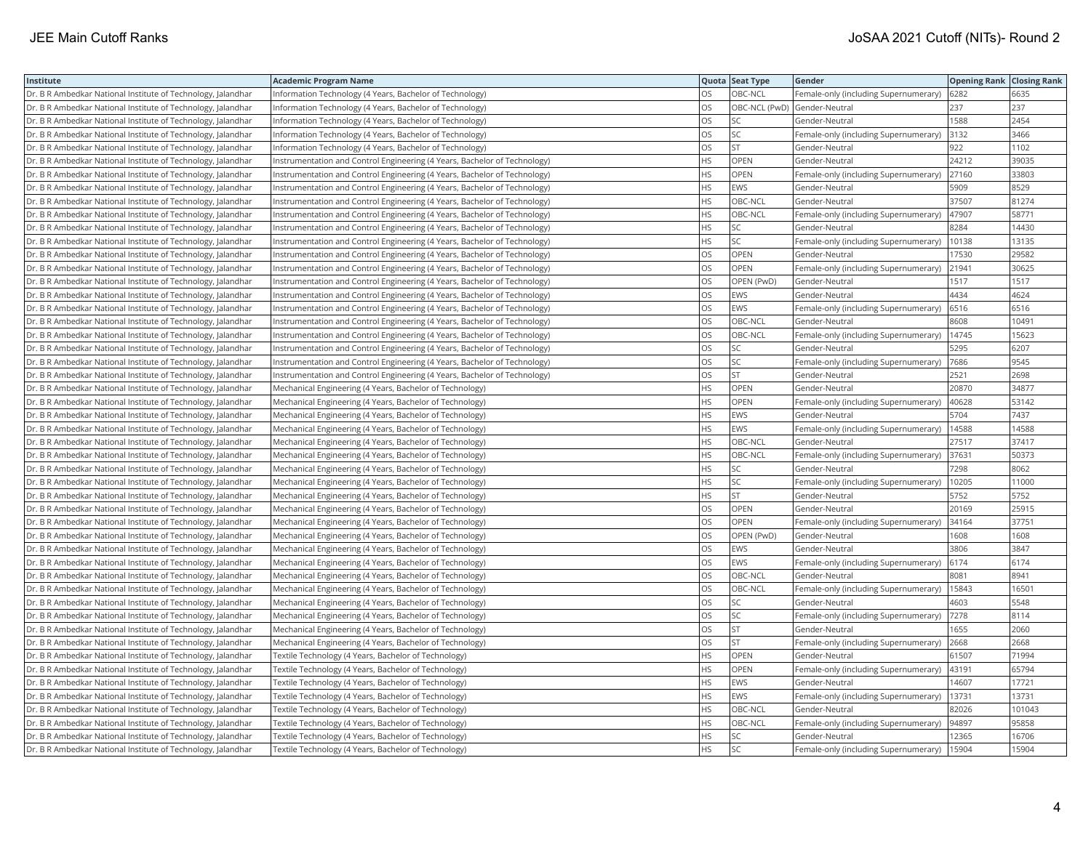| Institute                                                    | <b>Academic Program Name</b>                                              |           | Quota Seat Type | Gender                                | <b>Opening Rank Closing Rank</b> |        |
|--------------------------------------------------------------|---------------------------------------------------------------------------|-----------|-----------------|---------------------------------------|----------------------------------|--------|
| Dr. B R Ambedkar National Institute of Technology, Jalandhar | Information Technology (4 Years, Bachelor of Technology)                  | <b>OS</b> | OBC-NCL         | Female-only (including Supernumerary) | 6282                             | 6635   |
| Dr. B R Ambedkar National Institute of Technology, Jalandhar | Information Technology (4 Years, Bachelor of Technology)                  | los       | OBC-NCL (PwD)   | Gender-Neutral                        | 237                              | 237    |
| Dr. B R Ambedkar National Institute of Technology, Jalandhar | Information Technology (4 Years, Bachelor of Technology)                  | los       | SC              | Gender-Neutral                        | 1588                             | 2454   |
| Dr. B R Ambedkar National Institute of Technology, Jalandhar | Information Technology (4 Years, Bachelor of Technology)                  | los       | SC              | Female-only (including Supernumerary) | 3132                             | 3466   |
| Dr. B R Ambedkar National Institute of Technology, Jalandhar | Information Technology (4 Years, Bachelor of Technology)                  | los       | <b>ST</b>       | Gender-Neutral                        | 922                              | 1102   |
| Dr. B R Ambedkar National Institute of Technology, Jalandhar | Instrumentation and Control Engineering (4 Years, Bachelor of Technology) | HS        | OPEN            | Gender-Neutral                        | 24212                            | 39035  |
| Dr. B R Ambedkar National Institute of Technology, Jalandhar | Instrumentation and Control Engineering (4 Years, Bachelor of Technology) | <b>HS</b> | <b>OPEN</b>     | Female-only (including Supernumerary) | 27160                            | 33803  |
| Dr. B R Ambedkar National Institute of Technology, Jalandhar | Instrumentation and Control Engineering (4 Years, Bachelor of Technology) | <b>HS</b> | EWS             | Gender-Neutral                        | 5909                             | 8529   |
| Dr. B R Ambedkar National Institute of Technology, Jalandhar | Instrumentation and Control Engineering (4 Years, Bachelor of Technology) | l HS      | OBC-NCL         | Gender-Neutral                        | 37507                            | 81274  |
| Dr. B R Ambedkar National Institute of Technology, Jalandhar | Instrumentation and Control Engineering (4 Years, Bachelor of Technology) | <b>HS</b> | OBC-NCL         | Female-only (including Supernumerary) | 47907                            | 58771  |
| Dr. B R Ambedkar National Institute of Technology, Jalandhar | Instrumentation and Control Engineering (4 Years, Bachelor of Technology) | HS.       | SC              | Gender-Neutral                        | 8284                             | 14430  |
| Dr. B R Ambedkar National Institute of Technology, Jalandhar | Instrumentation and Control Engineering (4 Years, Bachelor of Technology) | HS.       | SC              | Female-only (including Supernumerary) | 10138                            | 13135  |
| Dr. B R Ambedkar National Institute of Technology, Jalandhar | Instrumentation and Control Engineering (4 Years, Bachelor of Technology) | los       | <b>OPEN</b>     | Gender-Neutral                        | 17530                            | 29582  |
| Dr. B R Ambedkar National Institute of Technology, Jalandhar | Instrumentation and Control Engineering (4 Years, Bachelor of Technology) | los       | <b>OPEN</b>     | Female-only (including Supernumerary) | 21941                            | 30625  |
| Dr. B R Ambedkar National Institute of Technology, Jalandhar | Instrumentation and Control Engineering (4 Years, Bachelor of Technology) | los       | OPEN (PwD)      | Gender-Neutral                        | 1517                             | 1517   |
| Dr. B R Ambedkar National Institute of Technology, Jalandhar | Instrumentation and Control Engineering (4 Years, Bachelor of Technology) | los       | EWS             | Gender-Neutral                        | 4434                             | 4624   |
| Dr. B R Ambedkar National Institute of Technology, Jalandhar | Instrumentation and Control Engineering (4 Years, Bachelor of Technology) | los       | EWS             | Female-only (including Supernumerary) | 6516                             | 6516   |
| Dr. B R Ambedkar National Institute of Technology, Jalandhar | Instrumentation and Control Engineering (4 Years, Bachelor of Technology) | los       | OBC-NCL         | Gender-Neutral                        | 8608                             | 10491  |
| Dr. B R Ambedkar National Institute of Technology, Jalandhar | Instrumentation and Control Engineering (4 Years, Bachelor of Technology) | los       | OBC-NCL         | Female-only (including Supernumerary) | 14745                            | 15623  |
| Dr. B R Ambedkar National Institute of Technology, Jalandhar | Instrumentation and Control Engineering (4 Years, Bachelor of Technology) | los       | SC              | Gender-Neutral                        | 5295                             | 6207   |
| Dr. B R Ambedkar National Institute of Technology, Jalandhar | Instrumentation and Control Engineering (4 Years, Bachelor of Technology) | los       | SC              | Female-only (including Supernumerary) | 7686                             | 9545   |
| Dr. B R Ambedkar National Institute of Technology, Jalandhar | Instrumentation and Control Engineering (4 Years, Bachelor of Technology) | los       | <b>ST</b>       | Gender-Neutral                        | 2521                             | 2698   |
| Dr. B R Ambedkar National Institute of Technology, Jalandhar | Mechanical Engineering (4 Years, Bachelor of Technology)                  | <b>HS</b> | <b>OPEN</b>     | Gender-Neutral                        | 20870                            | 34877  |
| Dr. B R Ambedkar National Institute of Technology, Jalandhar | Mechanical Engineering (4 Years, Bachelor of Technology)                  | <b>HS</b> | <b>OPEN</b>     | Female-only (including Supernumerary) | 40628                            | 53142  |
| Dr. B R Ambedkar National Institute of Technology, Jalandhar | Mechanical Engineering (4 Years, Bachelor of Technology)                  | <b>HS</b> | EWS             | Gender-Neutral                        | 5704                             | 7437   |
| Dr. B R Ambedkar National Institute of Technology, Jalandhar | Mechanical Engineering (4 Years, Bachelor of Technology)                  | HS        | EWS             | Female-only (including Supernumerary) | 14588                            | 14588  |
| Dr. B R Ambedkar National Institute of Technology, Jalandhar | Mechanical Engineering (4 Years, Bachelor of Technology)                  | HS.       | OBC-NCL         | Gender-Neutral                        | 27517                            | 37417  |
| Dr. B R Ambedkar National Institute of Technology, Jalandhar | Mechanical Engineering (4 Years, Bachelor of Technology)                  | <b>HS</b> | OBC-NCL         | Female-only (including Supernumerary) | 37631                            | 50373  |
| Dr. B R Ambedkar National Institute of Technology, Jalandhar | Mechanical Engineering (4 Years, Bachelor of Technology)                  | HS.       | SC              | Gender-Neutral                        | 7298                             | 8062   |
| Dr. B R Ambedkar National Institute of Technology, Jalandhar | Mechanical Engineering (4 Years, Bachelor of Technology)                  | HS        | SC              | Female-only (including Supernumerary) | 10205                            | 11000  |
| Dr. B R Ambedkar National Institute of Technology, Jalandhar | Mechanical Engineering (4 Years, Bachelor of Technology)                  | <b>HS</b> | <b>ST</b>       | Gender-Neutral                        | 5752                             | 5752   |
| Dr. B R Ambedkar National Institute of Technology, Jalandhar | Mechanical Engineering (4 Years, Bachelor of Technology)                  | <b>OS</b> | OPEN            | Gender-Neutral                        | 20169                            | 25915  |
| Dr. B R Ambedkar National Institute of Technology, Jalandhar | Mechanical Engineering (4 Years, Bachelor of Technology)                  | los       | <b>OPEN</b>     | Female-only (including Supernumerary) | 34164                            | 37751  |
| Dr. B R Ambedkar National Institute of Technology, Jalandhar | Mechanical Engineering (4 Years, Bachelor of Technology)                  | los       | OPEN (PwD)      | Gender-Neutral                        | 1608                             | 1608   |
| Dr. B R Ambedkar National Institute of Technology, Jalandhar | Mechanical Engineering (4 Years, Bachelor of Technology)                  | los       | EWS             | Gender-Neutral                        | 3806                             | 3847   |
| Dr. B R Ambedkar National Institute of Technology, Jalandhar | Mechanical Engineering (4 Years, Bachelor of Technology)                  | los       | EWS             | Female-only (including Supernumerary) | 6174                             | 6174   |
| Dr. B R Ambedkar National Institute of Technology, Jalandhar | Mechanical Engineering (4 Years, Bachelor of Technology)                  | los       | OBC-NCL         | Gender-Neutral                        | 8081                             | 8941   |
| Dr. B R Ambedkar National Institute of Technology, Jalandhar | Mechanical Engineering (4 Years, Bachelor of Technology)                  | los       | OBC-NCL         | Female-only (including Supernumerary) | 15843                            | 16501  |
| Dr. B R Ambedkar National Institute of Technology, Jalandhar | Mechanical Engineering (4 Years, Bachelor of Technology)                  | los       | SC              | Gender-Neutral                        | 4603                             | 5548   |
| Dr. B R Ambedkar National Institute of Technology, Jalandhar | Mechanical Engineering (4 Years, Bachelor of Technology)                  | los       | SC              | Female-only (including Supernumerary) | 7278                             | 8114   |
| Dr. B R Ambedkar National Institute of Technology, Jalandhar | Mechanical Engineering (4 Years, Bachelor of Technology)                  | los       | <b>ST</b>       | Gender-Neutral                        | 1655                             | 2060   |
| Dr. B R Ambedkar National Institute of Technology, Jalandhar | Mechanical Engineering (4 Years, Bachelor of Technology)                  | los       | <b>ST</b>       | Female-only (including Supernumerary) | 2668                             | 2668   |
| Dr. B R Ambedkar National Institute of Technology, Jalandhar | Textile Technology (4 Years, Bachelor of Technology)                      | HS        | OPEN            | Gender-Neutral                        | 61507                            | 71994  |
| Dr. B R Ambedkar National Institute of Technology, Jalandhar | Textile Technology (4 Years, Bachelor of Technology)                      | <b>HS</b> | <b>OPEN</b>     | Female-only (including Supernumerary) | 43191                            | 65794  |
| Dr. B R Ambedkar National Institute of Technology, Jalandhar | Textile Technology (4 Years, Bachelor of Technology)                      | HS        | EWS             | Gender-Neutral                        | 14607                            | 17721  |
| Dr. B R Ambedkar National Institute of Technology, Jalandhar | Textile Technology (4 Years, Bachelor of Technology)                      | <b>HS</b> | EWS             | Female-only (including Supernumerary) | 13731                            | 13731  |
| Dr. B R Ambedkar National Institute of Technology, Jalandhar | Textile Technology (4 Years, Bachelor of Technology)                      | HS        | OBC-NCL         | Gender-Neutral                        | 82026                            | 101043 |
| Dr. B R Ambedkar National Institute of Technology, Jalandhar | Textile Technology (4 Years, Bachelor of Technology)                      | <b>HS</b> | OBC-NCL         | Female-only (including Supernumerary) | 94897                            | 95858  |
| Dr. B R Ambedkar National Institute of Technology, Jalandhar | Textile Technology (4 Years, Bachelor of Technology)                      | <b>HS</b> | SC              | Gender-Neutral                        | 12365                            | 16706  |
| Dr. B R Ambedkar National Institute of Technology, Jalandhar | Textile Technology (4 Years, Bachelor of Technology)                      | <b>HS</b> | SC              | Female-only (including Supernumerary) | 15904                            | 15904  |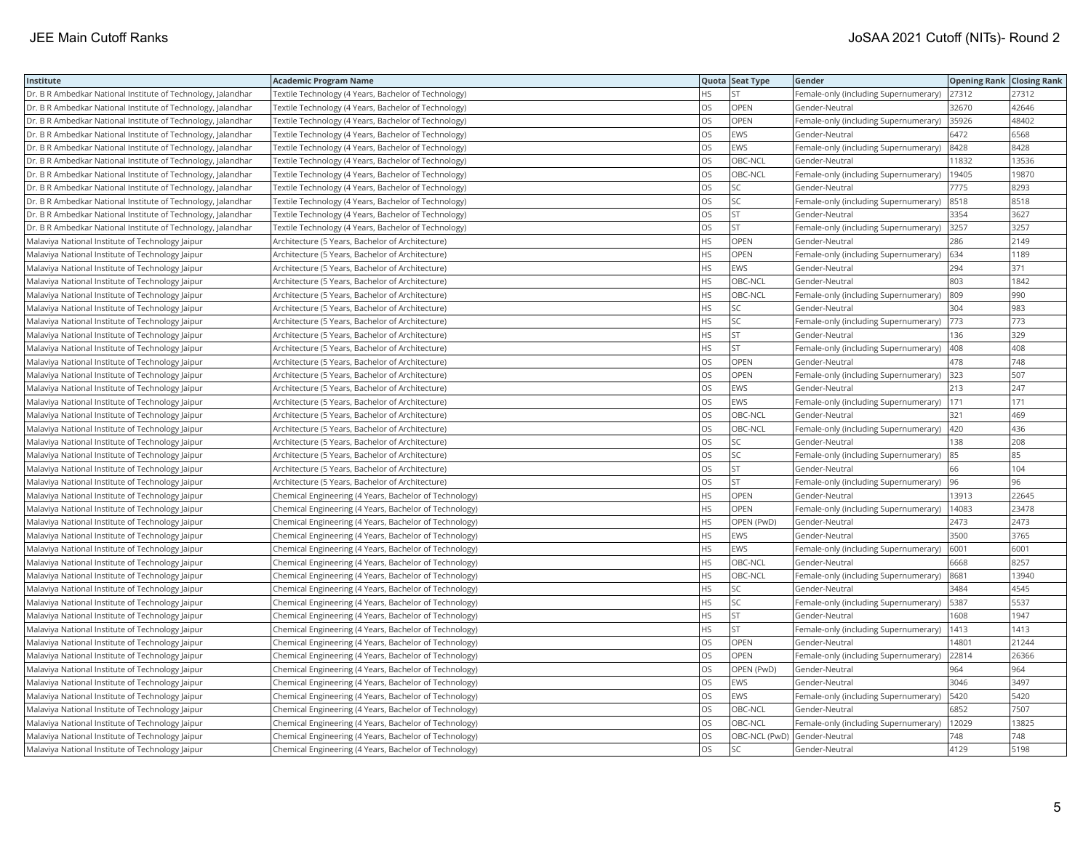| Institute                                                    | <b>Academic Program Name</b>                           |           | Quota Seat Type | Gender                                    | <b>Opening Rank Closing Rank</b> |       |
|--------------------------------------------------------------|--------------------------------------------------------|-----------|-----------------|-------------------------------------------|----------------------------------|-------|
| Dr. B R Ambedkar National Institute of Technology, Jalandhar | Textile Technology (4 Years, Bachelor of Technology)   | HS.       | <b>ST</b>       | Female-only (including Supernumerary)     | 27312                            | 27312 |
| Dr. B R Ambedkar National Institute of Technology, Jalandhar | Textile Technology (4 Years, Bachelor of Technology)   | OS        | OPEN            | Gender-Neutral                            | 32670                            | 42646 |
| Dr. B R Ambedkar National Institute of Technology, Jalandhar | Textile Technology (4 Years, Bachelor of Technology)   | OS        | OPEN            | Female-only (including Supernumerary)     | 35926                            | 48402 |
| Dr. B R Ambedkar National Institute of Technology, Jalandhar | Textile Technology (4 Years, Bachelor of Technology)   | OS        | EWS             | Gender-Neutral                            | 6472                             | 6568  |
| Dr. B R Ambedkar National Institute of Technology, Jalandhar | Textile Technology (4 Years, Bachelor of Technology)   | OS        | EWS             | Female-only (including Supernumerary)     | 8428                             | 8428  |
| Dr. B R Ambedkar National Institute of Technology, Jalandhar | Textile Technology (4 Years, Bachelor of Technology)   | OS        | OBC-NCL         | Gender-Neutral                            | 11832                            | 13536 |
| Dr. B R Ambedkar National Institute of Technology, Jalandhar | Textile Technology (4 Years, Bachelor of Technology)   | OS        | OBC-NCL         | Female-only (including Supernumerary)     | 19405                            | 19870 |
| Dr. B R Ambedkar National Institute of Technology, Jalandhar | Textile Technology (4 Years, Bachelor of Technology)   | OS        | SC              | Gender-Neutral                            | 7775                             | 8293  |
| Dr. B R Ambedkar National Institute of Technology, Jalandhar | Textile Technology (4 Years, Bachelor of Technology)   | OS        | SC              | Female-only (including Supernumerary)     | 8518                             | 8518  |
| Dr. B R Ambedkar National Institute of Technology, Jalandhar | Textile Technology (4 Years, Bachelor of Technology)   | <b>OS</b> | <b>ST</b>       | Gender-Neutral                            | 3354                             | 3627  |
| Dr. B R Ambedkar National Institute of Technology, Jalandhar | Textile Technology (4 Years, Bachelor of Technology)   | OS        | <b>ST</b>       | Female-only (including Supernumerary)     | 3257                             | 3257  |
| Malaviya National Institute of Technology Jaipur             | Architecture (5 Years, Bachelor of Architecture)       | HS.       | OPEN            | Gender-Neutral                            | 286                              | 2149  |
| Malaviya National Institute of Technology Jaipur             | Architecture (5 Years, Bachelor of Architecture)       | HS        | OPEN            | Female-only (including Supernumerary)     | 634                              | 1189  |
| Malaviya National Institute of Technology Jaipur             | Architecture (5 Years, Bachelor of Architecture)       | HS.       | EWS             | Gender-Neutral                            | 294                              | 371   |
| Malaviya National Institute of Technology Jaipur             | Architecture (5 Years, Bachelor of Architecture)       | ΗS        | OBC-NCL         | Gender-Neutral                            | 803                              | 1842  |
| Malaviya National Institute of Technology Jaipur             | Architecture (5 Years, Bachelor of Architecture)       | HS.       | OBC-NCL         | Female-only (including Supernumerary)     | 809                              | 990   |
| Malaviya National Institute of Technology Jaipur             | Architecture (5 Years, Bachelor of Architecture)       | HS        | SC              | Gender-Neutral                            | 304                              | 983   |
| Malaviya National Institute of Technology Jaipur             | Architecture (5 Years, Bachelor of Architecture)       | HS.       | SC              | Female-only (including Supernumerary)     | 773                              | 773   |
| Malaviya National Institute of Technology Jaipur             | Architecture (5 Years, Bachelor of Architecture)       | HS.       | <b>ST</b>       | Gender-Neutral                            | 136                              | 329   |
| Malaviya National Institute of Technology Jaipur             | Architecture (5 Years, Bachelor of Architecture)       | HS.       | <b>ST</b>       | Female-only (including Supernumerary)     | 408                              | 408   |
| Malaviya National Institute of Technology Jaipur             | Architecture (5 Years, Bachelor of Architecture)       | OS        | OPEN            | Gender-Neutral                            | 478                              | 748   |
| Malaviya National Institute of Technology Jaipur             | Architecture (5 Years, Bachelor of Architecture)       | OS        | OPEN            | Female-only (including Supernumerary)     | 323                              | 507   |
| Malaviya National Institute of Technology Jaipur             | Architecture (5 Years, Bachelor of Architecture)       | OS        | EWS             | Gender-Neutral                            | 213                              | 247   |
| Malaviya National Institute of Technology Jaipur             | Architecture (5 Years, Bachelor of Architecture)       | OS.       | EWS             | Female-only (including Supernumerary)     | 171                              | 171   |
| Malaviya National Institute of Technology Jaipur             | Architecture (5 Years, Bachelor of Architecture)       | OS        | OBC-NCL         | Gender-Neutral                            | 321                              | 469   |
| Malaviya National Institute of Technology Jaipur             | Architecture (5 Years, Bachelor of Architecture)       | OS        | OBC-NCL         | Female-only (including Supernumerary) 420 |                                  | 436   |
| Malaviya National Institute of Technology Jaipur             | Architecture (5 Years, Bachelor of Architecture)       | OS        | SC              | Gender-Neutral                            | 138                              | 208   |
| Malaviya National Institute of Technology Jaipur             | Architecture (5 Years, Bachelor of Architecture)       | OS.       | SC              | Female-only (including Supernumerary)     | 85                               | 85    |
| Malaviya National Institute of Technology Jaipur             | Architecture (5 Years, Bachelor of Architecture)       | OS.       | <b>ST</b>       | Gender-Neutral                            | 66                               | 104   |
| Malaviya National Institute of Technology Jaipur             | Architecture (5 Years, Bachelor of Architecture)       | OS.       | <b>ST</b>       | Female-only (including Supernumerary)     | 96                               | 96    |
| Malaviya National Institute of Technology Jaipur             | Chemical Engineering (4 Years, Bachelor of Technology) | HS.       | OPEN            | Gender-Neutral                            | 13913                            | 22645 |
| Malaviya National Institute of Technology Jaipur             | Chemical Engineering (4 Years, Bachelor of Technology) | HS.       | OPEN            | Female-only (including Supernumerary)     | 14083                            | 23478 |
| Malaviya National Institute of Technology Jaipur             | Chemical Engineering (4 Years, Bachelor of Technology) | HS.       | OPEN (PwD)      | Gender-Neutral                            | 2473                             | 2473  |
| Malaviya National Institute of Technology Jaipur             | Chemical Engineering (4 Years, Bachelor of Technology) | HS.       | EWS             | Gender-Neutral                            | 3500                             | 3765  |
| Malaviya National Institute of Technology Jaipur             | Chemical Engineering (4 Years, Bachelor of Technology) | HS.       | EWS             | Female-only (including Supernumerary)     | 6001                             | 6001  |
| Malaviya National Institute of Technology Jaipur             | Chemical Engineering (4 Years, Bachelor of Technology) | HS.       | OBC-NCL         | Gender-Neutral                            | 6668                             | 8257  |
| Malaviya National Institute of Technology Jaipur             | Chemical Engineering (4 Years, Bachelor of Technology) | HS.       | OBC-NCL         | Female-only (including Supernumerary)     | 8681                             | 13940 |
| Malaviya National Institute of Technology Jaipur             | Chemical Engineering (4 Years, Bachelor of Technology) | HS.       | SC              | Gender-Neutral                            | 3484                             | 4545  |
| Malaviya National Institute of Technology Jaipur             | Chemical Engineering (4 Years, Bachelor of Technology) | HS        | SC              | Female-only (including Supernumerary)     | 5387                             | 5537  |
| Malaviya National Institute of Technology Jaipur             | Chemical Engineering (4 Years, Bachelor of Technology) | HS        | <b>ST</b>       | Gender-Neutral                            | 1608                             | 1947  |
| Malaviya National Institute of Technology Jaipur             | Chemical Engineering (4 Years, Bachelor of Technology) | HS        | ST              | Female-only (including Supernumerary)     | 1413                             | 1413  |
| Malaviya National Institute of Technology Jaipur             | Chemical Engineering (4 Years, Bachelor of Technology) | OS        | OPEN            | Gender-Neutral                            | 14801                            | 21244 |
| Malaviya National Institute of Technology Jaipur             | Chemical Engineering (4 Years, Bachelor of Technology) | OS.       | <b>OPEN</b>     | Female-only (including Supernumerary)     | 22814                            | 26366 |
| Malaviya National Institute of Technology Jaipur             | Chemical Engineering (4 Years, Bachelor of Technology) | OS.       | OPEN (PwD)      | Gender-Neutral                            | 964                              | 964   |
| Malaviya National Institute of Technology Jaipur             | Chemical Engineering (4 Years, Bachelor of Technology) | OS.       | EWS             | Gender-Neutral                            | 3046                             | 3497  |
| Malaviya National Institute of Technology Jaipur             | Chemical Engineering (4 Years, Bachelor of Technology) | OS        | EWS             | Female-only (including Supernumerary)     | 5420                             | 5420  |
| Malaviya National Institute of Technology Jaipur             | Chemical Engineering (4 Years, Bachelor of Technology) | OS        | OBC-NCL         | Gender-Neutral                            | 6852                             | 7507  |
| Malaviya National Institute of Technology Jaipur             | Chemical Engineering (4 Years, Bachelor of Technology) | OS.       | OBC-NCL         | Female-only (including Supernumerary)     | 12029                            | 13825 |
| Malaviya National Institute of Technology Jaipur             | Chemical Engineering (4 Years, Bachelor of Technology) | OS        | OBC-NCL (PwD)   | Gender-Neutral                            | 748                              | 748   |
| Malaviya National Institute of Technology Jaipur             | Chemical Engineering (4 Years, Bachelor of Technology) | <b>OS</b> | <b>SC</b>       | Gender-Neutral                            | 4129                             | 5198  |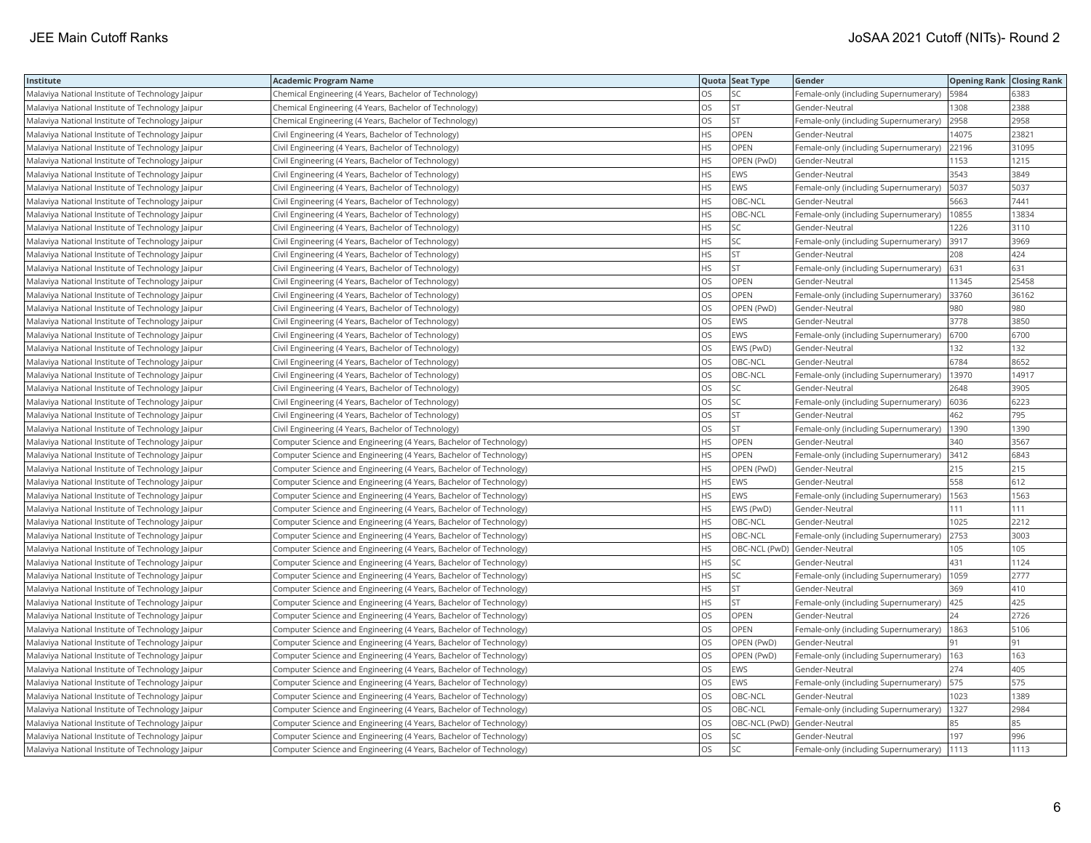| Institute                                        | <b>Academic Program Name</b>                                       |           | Quota Seat Type | Gender                                | <b>Opening Rank Closing Rank</b> |       |
|--------------------------------------------------|--------------------------------------------------------------------|-----------|-----------------|---------------------------------------|----------------------------------|-------|
| Malaviya National Institute of Technology Jaipur | Chemical Engineering (4 Years, Bachelor of Technology)             | <b>OS</b> | SC              | Female-only (including Supernumerary) | 5984                             | 6383  |
| Malaviya National Institute of Technology Jaipur | Chemical Engineering (4 Years, Bachelor of Technology)             | OS        | <b>ST</b>       | Gender-Neutral                        | 1308                             | 2388  |
| Malaviya National Institute of Technology Jaipur | Chemical Engineering (4 Years, Bachelor of Technology)             | <b>OS</b> | <b>ST</b>       | Female-only (including Supernumerary) | 2958                             | 2958  |
| Malaviya National Institute of Technology Jaipur | Civil Engineering (4 Years, Bachelor of Technology)                | HS        | OPEN            | Gender-Neutral                        | 14075                            | 23821 |
| Malaviya National Institute of Technology Jaipur | Civil Engineering (4 Years, Bachelor of Technology)                | <b>HS</b> | OPEN            | Female-only (including Supernumerary) | 22196                            | 31095 |
| Malaviya National Institute of Technology Jaipur | Civil Engineering (4 Years, Bachelor of Technology)                | <b>HS</b> | OPEN (PwD)      | Gender-Neutral                        | 1153                             | 1215  |
| Malaviya National Institute of Technology Jaipur | Civil Engineering (4 Years, Bachelor of Technology)                | <b>HS</b> | <b>EWS</b>      | Gender-Neutral                        | 3543                             | 3849  |
| Malaviya National Institute of Technology Jaipur | Civil Engineering (4 Years, Bachelor of Technology)                | <b>HS</b> | EWS             | Female-only (including Supernumerary) | 5037                             | 5037  |
| Malaviya National Institute of Technology Jaipur | Civil Engineering (4 Years, Bachelor of Technology)                | <b>HS</b> | OBC-NCL         | Gender-Neutral                        | 5663                             | 7441  |
| Malaviya National Institute of Technology Jaipur | Civil Engineering (4 Years, Bachelor of Technology)                | HS        | OBC-NCL         | Female-only (including Supernumerary) | 10855                            | 13834 |
| Malaviya National Institute of Technology Jaipur | Civil Engineering (4 Years, Bachelor of Technology)                | <b>HS</b> | SC              | Gender-Neutral                        | 1226                             | 3110  |
| Malaviya National Institute of Technology Jaipur | Civil Engineering (4 Years, Bachelor of Technology)                | <b>HS</b> | SC              | Female-only (including Supernumerary) | 3917                             | 3969  |
| Malaviya National Institute of Technology Jaipur | Civil Engineering (4 Years, Bachelor of Technology)                | HS        | ST              | Gender-Neutral                        | 208                              | 424   |
| Malaviya National Institute of Technology Jaipur | Civil Engineering (4 Years, Bachelor of Technology)                | HS        | <b>ST</b>       | Female-only (including Supernumerary) | 631                              | 631   |
| Malaviya National Institute of Technology Jaipur | Civil Engineering (4 Years, Bachelor of Technology)                | OS        | <b>OPEN</b>     | Gender-Neutral                        | 11345                            | 25458 |
| Malaviya National Institute of Technology Jaipur | Civil Engineering (4 Years, Bachelor of Technology)                | OS        | OPEN            | Female-only (including Supernumerary) | 33760                            | 36162 |
| Malaviya National Institute of Technology Jaipur | Civil Engineering (4 Years, Bachelor of Technology)                | OS        | OPEN (PwD)      | Gender-Neutral                        | 980                              | 980   |
| Malaviya National Institute of Technology Jaipur | Civil Engineering (4 Years, Bachelor of Technology)                | OS        | EWS             | Gender-Neutral                        | 3778                             | 3850  |
| Malaviya National Institute of Technology Jaipur | Civil Engineering (4 Years, Bachelor of Technology)                | OS        | EWS             | Female-only (including Supernumerary) | 6700                             | 6700  |
| Malaviya National Institute of Technology Jaipur | Civil Engineering (4 Years, Bachelor of Technology)                | OS        | EWS (PwD)       | Gender-Neutral                        | 132                              | 132   |
| Malaviya National Institute of Technology Jaipur | Civil Engineering (4 Years, Bachelor of Technology)                | OS        | OBC-NCL         | Gender-Neutral                        | 6784                             | 8652  |
| Malaviya National Institute of Technology Jaipur | Civil Engineering (4 Years, Bachelor of Technology)                | OS        | OBC-NCL         | Female-only (including Supernumerary) | 13970                            | 14917 |
| Malaviya National Institute of Technology Jaipur | Civil Engineering (4 Years, Bachelor of Technology)                | OS        | SC              | Gender-Neutral                        | 2648                             | 3905  |
| Malaviya National Institute of Technology Jaipur | Civil Engineering (4 Years, Bachelor of Technology)                | OS        | SC              | Female-only (including Supernumerary) | 6036                             | 6223  |
| Malaviya National Institute of Technology Jaipur | Civil Engineering (4 Years, Bachelor of Technology)                | OS        | <b>ST</b>       | Gender-Neutral                        | 462                              | 795   |
| Malaviya National Institute of Technology Jaipur | Civil Engineering (4 Years, Bachelor of Technology)                | OS        | ST              | Female-only (including Supernumerary) | 1390                             | 1390  |
| Malaviya National Institute of Technology Jaipur | Computer Science and Engineering (4 Years, Bachelor of Technology) | <b>HS</b> | OPEN            | Gender-Neutral                        | 340                              | 3567  |
| Malaviya National Institute of Technology Jaipur | Computer Science and Engineering (4 Years, Bachelor of Technology) | HS        | <b>OPEN</b>     | Female-only (including Supernumerary) | 3412                             | 6843  |
| Malaviya National Institute of Technology Jaipur | Computer Science and Engineering (4 Years, Bachelor of Technology) | <b>HS</b> | OPEN (PwD)      | Gender-Neutral                        | 215                              | 215   |
| Malaviya National Institute of Technology Jaipur | Computer Science and Engineering (4 Years, Bachelor of Technology) | <b>HS</b> | <b>EWS</b>      | Gender-Neutral                        | 558                              | 612   |
| Malaviya National Institute of Technology Jaipur | Computer Science and Engineering (4 Years, Bachelor of Technology) | HS        | EWS             | Female-only (including Supernumerary) | 1563                             | 1563  |
| Malaviya National Institute of Technology Jaipur | Computer Science and Engineering (4 Years, Bachelor of Technology) | <b>HS</b> | EWS (PwD)       | Gender-Neutral                        | 111                              | 111   |
| Malaviya National Institute of Technology Jaipur | Computer Science and Engineering (4 Years, Bachelor of Technology) | <b>HS</b> | OBC-NCL         | Gender-Neutral                        | 1025                             | 2212  |
| Malaviya National Institute of Technology Jaipur | Computer Science and Engineering (4 Years, Bachelor of Technology) | <b>HS</b> | OBC-NCL         | Female-only (including Supernumerary) | 2753                             | 3003  |
| Malaviya National Institute of Technology Jaipur | Computer Science and Engineering (4 Years, Bachelor of Technology) | HS        |                 | OBC-NCL (PwD) Gender-Neutral          | 105                              | 105   |
| Malaviya National Institute of Technology Jaipur | Computer Science and Engineering (4 Years, Bachelor of Technology) | <b>HS</b> | SC              | Gender-Neutral                        | 431                              | 1124  |
| Malaviya National Institute of Technology Jaipur | Computer Science and Engineering (4 Years, Bachelor of Technology) | <b>HS</b> | SC              | Female-only (including Supernumerary) | 1059                             | 2777  |
| Malaviya National Institute of Technology Jaipur | Computer Science and Engineering (4 Years, Bachelor of Technology) | HS        | <b>ST</b>       | Gender-Neutral                        | 369                              | 410   |
| Malaviya National Institute of Technology Jaipur | Computer Science and Engineering (4 Years, Bachelor of Technology) | <b>HS</b> | ST              | Female-only (including Supernumerary) | 425                              | 425   |
| Malaviya National Institute of Technology Jaipur | Computer Science and Engineering (4 Years, Bachelor of Technology) | OS        | <b>OPEN</b>     | Gender-Neutral                        | 24                               | 2726  |
| Malaviya National Institute of Technology Jaipur | Computer Science and Engineering (4 Years, Bachelor of Technology) | OS        | OPEN            | Female-only (including Supernumerary) | 1863                             | 5106  |
| Malaviya National Institute of Technology Jaipur | Computer Science and Engineering (4 Years, Bachelor of Technology) | OS        | OPEN (PwD)      | Gender-Neutral                        | 91                               | 91    |
| Malaviya National Institute of Technology Jaipur | Computer Science and Engineering (4 Years, Bachelor of Technology) | OS        | OPEN (PwD)      | Female-only (including Supernumerary) | 163                              | 163   |
| Malaviya National Institute of Technology Jaipur | Computer Science and Engineering (4 Years, Bachelor of Technology) | OS        | EWS             | Gender-Neutral                        | 274                              | 405   |
| Malaviya National Institute of Technology Jaipur | Computer Science and Engineering (4 Years, Bachelor of Technology) | OS        | EWS             | Female-only (including Supernumerary) | 575                              | 575   |
| Malaviya National Institute of Technology Jaipur | Computer Science and Engineering (4 Years, Bachelor of Technology) | <b>OS</b> | OBC-NCL         | Gender-Neutral                        | 1023                             | 1389  |
| Malaviya National Institute of Technology Jaipur | Computer Science and Engineering (4 Years, Bachelor of Technology) | OS        | OBC-NCL         | Female-only (including Supernumerary) | 1327                             | 2984  |
| Malaviya National Institute of Technology Jaipur | Computer Science and Engineering (4 Years, Bachelor of Technology) | OS        |                 | OBC-NCL (PwD) Gender-Neutral          | 85                               | 85    |
| Malaviya National Institute of Technology Jaipur | Computer Science and Engineering (4 Years, Bachelor of Technology) | OS        | SC              | Gender-Neutral                        | 197                              | 996   |
| Malaviya National Institute of Technology Jaipur | Computer Science and Engineering (4 Years, Bachelor of Technology) | <b>OS</b> | <b>SC</b>       | Female-only (including Supernumerary) | 1113                             | 1113  |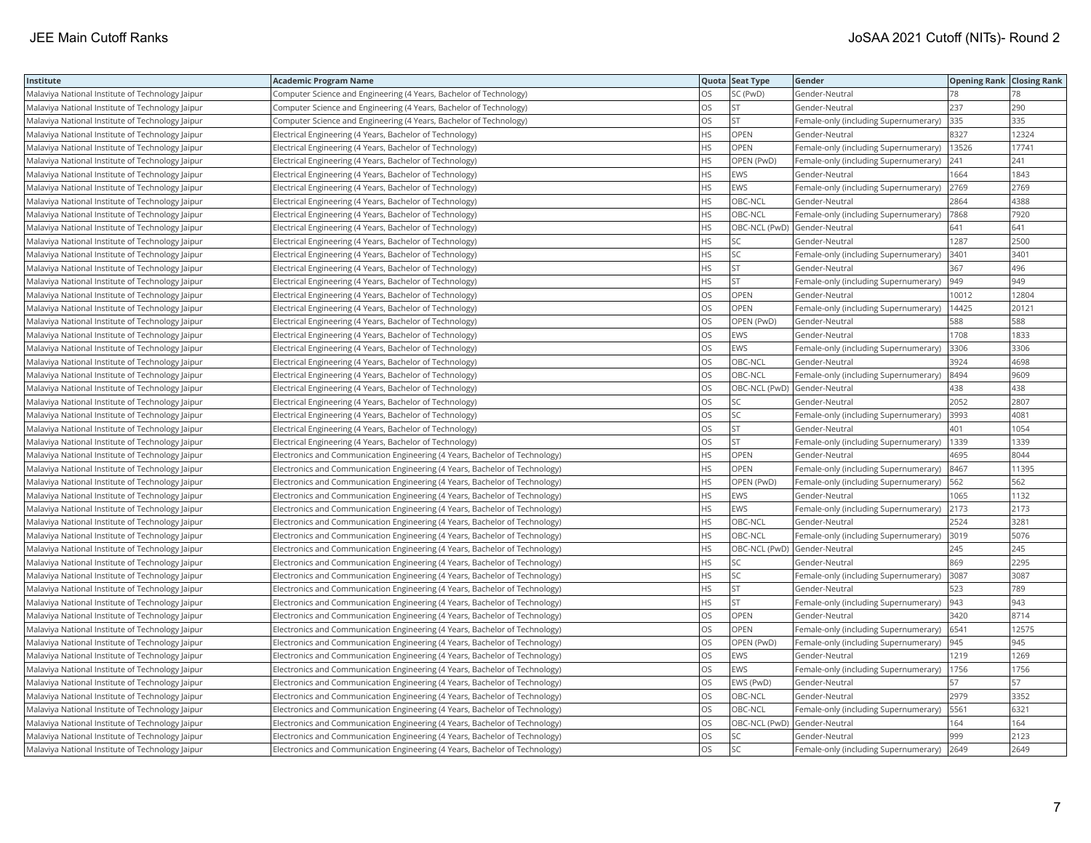| Institute                                        | <b>Academic Program Name</b>                                                |           | Quota Seat Type              | Gender                                | <b>Opening Rank Closing Rank</b> |       |
|--------------------------------------------------|-----------------------------------------------------------------------------|-----------|------------------------------|---------------------------------------|----------------------------------|-------|
| Malaviya National Institute of Technology Jaipur | Computer Science and Engineering (4 Years, Bachelor of Technology)          | <b>OS</b> | SC (PwD)                     | Gender-Neutral                        | 78                               | 78    |
| Malaviya National Institute of Technology Jaipur | Computer Science and Engineering (4 Years, Bachelor of Technology)          | OS        | <b>ST</b>                    | Gender-Neutral                        | 237                              | 290   |
| Malaviya National Institute of Technology Jaipur | Computer Science and Engineering (4 Years, Bachelor of Technology)          | <b>OS</b> | <b>ST</b>                    | Female-only (including Supernumerary) | 335                              | 335   |
| Malaviya National Institute of Technology Jaipur | Electrical Engineering (4 Years, Bachelor of Technology)                    | HS        | OPEN                         | Gender-Neutral                        | 8327                             | 12324 |
| Malaviya National Institute of Technology Jaipur | Electrical Engineering (4 Years, Bachelor of Technology)                    | <b>HS</b> | OPEN                         | Female-only (including Supernumerary) | 13526                            | 17741 |
| Malaviya National Institute of Technology Jaipur | Electrical Engineering (4 Years, Bachelor of Technology)                    | HS        | OPEN (PwD)                   | Female-only (including Supernumerary) | 241                              | 241   |
| Malaviya National Institute of Technology Jaipur | Electrical Engineering (4 Years, Bachelor of Technology)                    | <b>HS</b> | <b>EWS</b>                   | Gender-Neutral                        | 1664                             | 1843  |
| Malaviya National Institute of Technology Jaipur | Electrical Engineering (4 Years, Bachelor of Technology)                    | <b>HS</b> | EWS                          | Female-only (including Supernumerary) | 2769                             | 2769  |
| Malaviya National Institute of Technology Jaipur | Electrical Engineering (4 Years, Bachelor of Technology)                    | <b>HS</b> | OBC-NCL                      | Gender-Neutral                        | 2864                             | 4388  |
| Malaviya National Institute of Technology Jaipur | Electrical Engineering (4 Years, Bachelor of Technology)                    | HS        | OBC-NCL                      | Female-only (including Supernumerary) | 7868                             | 7920  |
| Malaviya National Institute of Technology Jaipur | Electrical Engineering (4 Years, Bachelor of Technology)                    | <b>HS</b> | OBC-NCL (PwD) Gender-Neutral |                                       | 641                              | 641   |
| Malaviya National Institute of Technology Jaipur | Electrical Engineering (4 Years, Bachelor of Technology)                    | <b>HS</b> | SC                           | Gender-Neutral                        | 1287                             | 2500  |
| Malaviya National Institute of Technology Jaipur | Electrical Engineering (4 Years, Bachelor of Technology)                    | HS        | SC                           | Female-only (including Supernumerary) | 3401                             | 3401  |
| Malaviya National Institute of Technology Jaipur | Electrical Engineering (4 Years, Bachelor of Technology)                    | HS        | ST                           | Gender-Neutral                        | 367                              | 496   |
| Malaviya National Institute of Technology Jaipur | Electrical Engineering (4 Years, Bachelor of Technology)                    | <b>HS</b> | <b>ST</b>                    | Female-only (including Supernumerary) | 949                              | 949   |
| Malaviya National Institute of Technology Jaipur | Electrical Engineering (4 Years, Bachelor of Technology)                    | OS        | OPEN                         | Gender-Neutral                        | 10012                            | 12804 |
| Malaviya National Institute of Technology Jaipur | Electrical Engineering (4 Years, Bachelor of Technology)                    | OS        | OPEN                         | Female-only (including Supernumerary) | 14425                            | 20121 |
| Malaviya National Institute of Technology Jaipur | Electrical Engineering (4 Years, Bachelor of Technology)                    | OS        | OPEN (PwD)                   | Gender-Neutral                        | 588                              | 588   |
| Malaviya National Institute of Technology Jaipur | Electrical Engineering (4 Years, Bachelor of Technology)                    | OS        | EWS                          | Gender-Neutral                        | 1708                             | 1833  |
| Malaviya National Institute of Technology Jaipur | Electrical Engineering (4 Years, Bachelor of Technology)                    | OS        | EWS                          | Female-only (including Supernumerary) | 3306                             | 3306  |
| Malaviya National Institute of Technology Jaipur | Electrical Engineering (4 Years, Bachelor of Technology)                    | OS        | OBC-NCL                      | Gender-Neutral                        | 3924                             | 4698  |
| Malaviya National Institute of Technology Jaipur | Electrical Engineering (4 Years, Bachelor of Technology)                    | OS        | OBC-NCL                      | Female-only (including Supernumerary) | 8494                             | 9609  |
| Malaviya National Institute of Technology Jaipur | Electrical Engineering (4 Years, Bachelor of Technology)                    | OS        | OBC-NCL (PwD) Gender-Neutral |                                       | 438                              | 438   |
| Malaviya National Institute of Technology Jaipur | Electrical Engineering (4 Years, Bachelor of Technology)                    | OS        | SC                           | Gender-Neutral                        | 2052                             | 2807  |
| Malaviya National Institute of Technology Jaipur | Electrical Engineering (4 Years, Bachelor of Technology)                    | OS        | SC                           | Female-only (including Supernumerary) | 3993                             | 4081  |
| Malaviya National Institute of Technology Jaipur | Electrical Engineering (4 Years, Bachelor of Technology)                    | OS        | ST                           | Gender-Neutral                        | 401                              | 1054  |
| Malaviya National Institute of Technology Jaipur | Electrical Engineering (4 Years, Bachelor of Technology)                    | OS        | ST                           | Female-only (including Supernumerary) | 1339                             | 1339  |
| Malaviya National Institute of Technology Jaipur | Electronics and Communication Engineering (4 Years, Bachelor of Technology) | HS        | OPEN                         | Gender-Neutral                        | 4695                             | 8044  |
| Malaviya National Institute of Technology Jaipur | Electronics and Communication Engineering (4 Years, Bachelor of Technology) | <b>HS</b> | <b>OPEN</b>                  | Female-only (including Supernumerary) | 8467                             | 11395 |
| Malaviya National Institute of Technology Jaipur | Electronics and Communication Engineering (4 Years, Bachelor of Technology) | <b>HS</b> | OPEN (PwD)                   | Female-only (including Supernumerary) | 562                              | 562   |
| Malaviya National Institute of Technology Jaipur | Electronics and Communication Engineering (4 Years, Bachelor of Technology) | HS        | EWS                          | Gender-Neutral                        | 1065                             | 1132  |
| Malaviya National Institute of Technology Jaipur | Electronics and Communication Engineering (4 Years, Bachelor of Technology) | <b>HS</b> | <b>EWS</b>                   | Female-only (including Supernumerary) | 2173                             | 2173  |
| Malaviya National Institute of Technology Jaipur | Electronics and Communication Engineering (4 Years, Bachelor of Technology) | <b>HS</b> | OBC-NCL                      | Gender-Neutral                        | 2524                             | 3281  |
| Malaviya National Institute of Technology Jaipur | Electronics and Communication Engineering (4 Years, Bachelor of Technology) | <b>HS</b> | OBC-NCL                      | Female-only (including Supernumerary) | 3019                             | 5076  |
| Malaviya National Institute of Technology Jaipur | Electronics and Communication Engineering (4 Years, Bachelor of Technology) | HS        |                              | OBC-NCL (PwD) Gender-Neutral          | 245                              | 245   |
| Malaviya National Institute of Technology Jaipur | Electronics and Communication Engineering (4 Years, Bachelor of Technology) | <b>HS</b> | SC                           | Gender-Neutral                        | 869                              | 2295  |
| Malaviya National Institute of Technology Jaipur | Electronics and Communication Engineering (4 Years, Bachelor of Technology) | <b>HS</b> | SC                           | Female-only (including Supernumerary) | 3087                             | 3087  |
| Malaviya National Institute of Technology Jaipur | Electronics and Communication Engineering (4 Years, Bachelor of Technology) | <b>HS</b> | <b>ST</b>                    | Gender-Neutral                        | 523                              | 789   |
| Malaviya National Institute of Technology Jaipur | Electronics and Communication Engineering (4 Years, Bachelor of Technology) | <b>HS</b> | ST                           | Female-only (including Supernumerary) | 943                              | 943   |
| Malaviya National Institute of Technology Jaipur | Electronics and Communication Engineering (4 Years, Bachelor of Technology) | OS        | <b>OPEN</b>                  | Gender-Neutral                        | 3420                             | 8714  |
| Malaviya National Institute of Technology Jaipur | Electronics and Communication Engineering (4 Years, Bachelor of Technology) | OS        | OPEN                         | Female-only (including Supernumerary) | 6541                             | 12575 |
| Malaviya National Institute of Technology Jaipur | Electronics and Communication Engineering (4 Years, Bachelor of Technology) | OS        | OPEN (PwD)                   | Female-only (including Supernumerary) | 945                              | 945   |
| Malaviya National Institute of Technology Jaipur | Electronics and Communication Engineering (4 Years, Bachelor of Technology) | OS        | EWS                          | Gender-Neutral                        | 1219                             | 1269  |
| Malaviya National Institute of Technology Jaipur | Electronics and Communication Engineering (4 Years, Bachelor of Technology) | <b>OS</b> | EWS                          | Female-only (including Supernumerary) | 1756                             | 1756  |
| Malaviya National Institute of Technology Jaipur | Electronics and Communication Engineering (4 Years, Bachelor of Technology) | OS        | EWS (PwD)                    | Gender-Neutral                        | 57                               | 57    |
| Malaviya National Institute of Technology Jaipur | Electronics and Communication Engineering (4 Years, Bachelor of Technology) | OS        | OBC-NCL                      | Gender-Neutral                        | 2979                             | 3352  |
| Malaviya National Institute of Technology Jaipur | Electronics and Communication Engineering (4 Years, Bachelor of Technology) | OS        | OBC-NCL                      | Female-only (including Supernumerary) | 5561                             | 6321  |
| Malaviya National Institute of Technology Jaipur | Electronics and Communication Engineering (4 Years, Bachelor of Technology) | OS        |                              | OBC-NCL (PwD) Gender-Neutral          | 164                              | 164   |
| Malaviya National Institute of Technology Jaipur | Electronics and Communication Engineering (4 Years, Bachelor of Technology) | OS        | SC                           | Gender-Neutral                        | 999                              | 2123  |
| Malaviya National Institute of Technology Jaipur | Electronics and Communication Engineering (4 Years, Bachelor of Technology) | <b>OS</b> | <b>SC</b>                    | Female-only (including Supernumerary) | 2649                             | 2649  |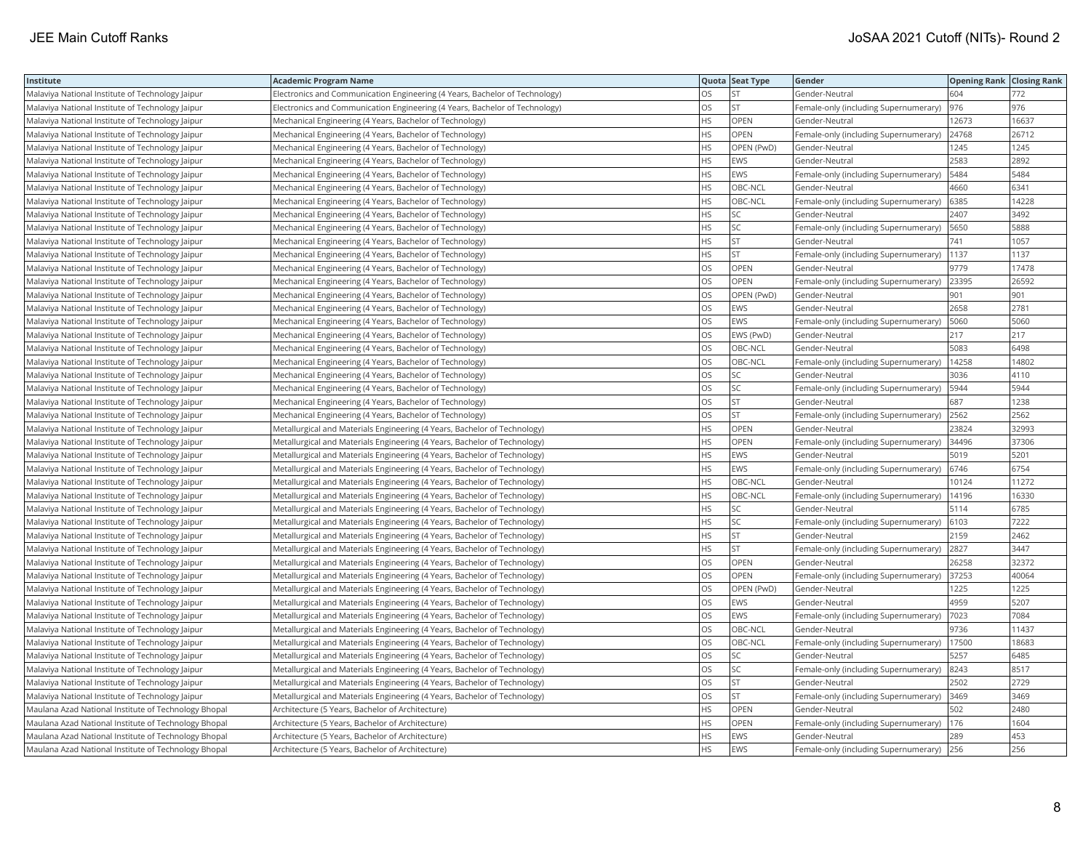| Institute                                            | <b>Academic Program Name</b>                                                |           | Quota Seat Type | Gender                                | <b>Opening Rank Closing Rank</b> |       |
|------------------------------------------------------|-----------------------------------------------------------------------------|-----------|-----------------|---------------------------------------|----------------------------------|-------|
| Malaviya National Institute of Technology Jaipur     | Electronics and Communication Engineering (4 Years, Bachelor of Technology) | <b>OS</b> | <b>ST</b>       | Gender-Neutral                        | 604                              | 772   |
| Malaviya National Institute of Technology Jaipur     | Electronics and Communication Engineering (4 Years, Bachelor of Technology) | OS        | ST              | Female-only (including Supernumerary) | 976                              | 976   |
| Malaviya National Institute of Technology Jaipur     | Mechanical Engineering (4 Years, Bachelor of Technology)                    | <b>HS</b> | OPEN            | Gender-Neutral                        | 12673                            | 16637 |
| Malaviya National Institute of Technology Jaipur     | Mechanical Engineering (4 Years, Bachelor of Technology)                    | <b>HS</b> | OPEN            | Female-only (including Supernumerary) | 24768                            | 26712 |
| Malaviya National Institute of Technology Jaipur     | Mechanical Engineering (4 Years, Bachelor of Technology)                    | HS        | OPEN (PwD)      | Gender-Neutral                        | 1245                             | 1245  |
| Malaviya National Institute of Technology Jaipur     | Mechanical Engineering (4 Years, Bachelor of Technology)                    | HS        | EWS             | Gender-Neutral                        | 2583                             | 2892  |
| Malaviya National Institute of Technology Jaipur     | Mechanical Engineering (4 Years, Bachelor of Technology)                    | <b>HS</b> | EWS             | Female-only (including Supernumerary) | 5484                             | 5484  |
| Malaviya National Institute of Technology Jaipur     | Mechanical Engineering (4 Years, Bachelor of Technology)                    | HS        | OBC-NCL         | Gender-Neutral                        | 4660                             | 6341  |
| Malaviya National Institute of Technology Jaipur     | Mechanical Engineering (4 Years, Bachelor of Technology)                    | HS        | OBC-NCL         | Female-only (including Supernumerary) | 6385                             | 14228 |
| Malaviya National Institute of Technology Jaipur     | Mechanical Engineering (4 Years, Bachelor of Technology)                    | <b>HS</b> | SC              | Gender-Neutral                        | 2407                             | 3492  |
| Malaviya National Institute of Technology Jaipur     | Mechanical Engineering (4 Years, Bachelor of Technology)                    | <b>HS</b> | SC              | Female-only (including Supernumerary) | 5650                             | 5888  |
| Malaviya National Institute of Technology Jaipur     | Mechanical Engineering (4 Years, Bachelor of Technology)                    | HS        | ST              | Gender-Neutral                        | 741                              | 1057  |
| Malaviya National Institute of Technology Jaipur     | Mechanical Engineering (4 Years, Bachelor of Technology)                    | HS        | <b>ST</b>       | Female-only (including Supernumerary) | 1137                             | 1137  |
| Malaviya National Institute of Technology Jaipur     | Mechanical Engineering (4 Years, Bachelor of Technology)                    | <b>OS</b> | OPEN            | Gender-Neutral                        | 9779                             | 17478 |
| Malaviya National Institute of Technology Jaipur     | Mechanical Engineering (4 Years, Bachelor of Technology)                    | OS        | OPEN            | Female-only (including Supernumerary) | 23395                            | 26592 |
| Malaviya National Institute of Technology Jaipur     | Mechanical Engineering (4 Years, Bachelor of Technology)                    | OS        | OPEN (PwD)      | Gender-Neutral                        | 901                              | 901   |
| Malaviya National Institute of Technology Jaipur     | Mechanical Engineering (4 Years, Bachelor of Technology)                    | OS        | EWS             | Gender-Neutral                        | 2658                             | 2781  |
| Malaviya National Institute of Technology Jaipur     | Mechanical Engineering (4 Years, Bachelor of Technology)                    | OS        | EWS             | Female-only (including Supernumerary) | 5060                             | 5060  |
| Malaviya National Institute of Technology Jaipur     | Mechanical Engineering (4 Years, Bachelor of Technology)                    | OS        | EWS (PwD)       | Gender-Neutral                        | 217                              | 217   |
| Malaviya National Institute of Technology Jaipur     | Mechanical Engineering (4 Years, Bachelor of Technology)                    | OS        | OBC-NCL         | Gender-Neutral                        | 5083                             | 6498  |
| Malaviya National Institute of Technology Jaipur     | Mechanical Engineering (4 Years, Bachelor of Technology)                    | OS        | OBC-NCL         | Female-only (including Supernumerary) | 14258                            | 14802 |
| Malaviya National Institute of Technology Jaipur     | Mechanical Engineering (4 Years, Bachelor of Technology)                    | <b>OS</b> | SC              | Gender-Neutral                        | 3036                             | 4110  |
| Malaviya National Institute of Technology Jaipur     | Mechanical Engineering (4 Years, Bachelor of Technology)                    | OS        | SC              | Female-only (including Supernumerary) | 5944                             | 5944  |
| Malaviya National Institute of Technology Jaipur     | Mechanical Engineering (4 Years, Bachelor of Technology)                    | OS        | <b>ST</b>       | Gender-Neutral                        | 687                              | 1238  |
| Malaviya National Institute of Technology Jaipur     | Mechanical Engineering (4 Years, Bachelor of Technology)                    | <b>OS</b> | <b>ST</b>       | Female-only (including Supernumerary) | 2562                             | 2562  |
| Malaviya National Institute of Technology Jaipur     | Metallurgical and Materials Engineering (4 Years, Bachelor of Technology)   | HS        | OPEN            | Gender-Neutral                        | 23824                            | 32993 |
| Malaviya National Institute of Technology Jaipur     | Metallurgical and Materials Engineering (4 Years, Bachelor of Technology)   | HS        | <b>OPEN</b>     | Female-only (including Supernumerary) | 34496                            | 37306 |
| Malaviya National Institute of Technology Jaipur     | Metallurgical and Materials Engineering (4 Years, Bachelor of Technology)   | HS        | EWS             | Gender-Neutral                        | 5019                             | 5201  |
| Malaviya National Institute of Technology Jaipur     | Metallurgical and Materials Engineering (4 Years, Bachelor of Technology)   | <b>HS</b> | <b>EWS</b>      | Female-only (including Supernumerary) | 6746                             | 6754  |
| Malaviya National Institute of Technology Jaipur     | Metallurgical and Materials Engineering (4 Years, Bachelor of Technology)   | HS        | OBC-NCL         | Gender-Neutral                        | 10124                            | 11272 |
| Malaviya National Institute of Technology Jaipur     | Metallurgical and Materials Engineering (4 Years, Bachelor of Technology)   | <b>HS</b> | OBC-NCL         | Female-only (including Supernumerary) | 14196                            | 16330 |
| Malaviya National Institute of Technology Jaipur     | Metallurgical and Materials Engineering (4 Years, Bachelor of Technology)   | HS        | SC              | Gender-Neutral                        | 5114                             | 6785  |
| Malaviya National Institute of Technology Jaipur     | Metallurgical and Materials Engineering (4 Years, Bachelor of Technology)   | <b>HS</b> | SC              | Female-only (including Supernumerary) | 6103                             | 7222  |
| Malaviya National Institute of Technology Jaipur     | Metallurgical and Materials Engineering (4 Years, Bachelor of Technology)   | HS        | ST              | Gender-Neutral                        | 2159                             | 2462  |
| Malaviya National Institute of Technology Jaipur     | Metallurgical and Materials Engineering (4 Years, Bachelor of Technology)   | HS        | <b>ST</b>       | Female-only (including Supernumerary) | 2827                             | 3447  |
| Malaviya National Institute of Technology Jaipur     | Metallurgical and Materials Engineering (4 Years, Bachelor of Technology)   | OS        | OPEN            | Gender-Neutral                        | 26258                            | 32372 |
| Malaviya National Institute of Technology Jaipur     | Metallurgical and Materials Engineering (4 Years, Bachelor of Technology)   | OS        | OPEN            | Female-only (including Supernumerary) | 37253                            | 40064 |
| Malaviya National Institute of Technology Jaipur     | Metallurgical and Materials Engineering (4 Years, Bachelor of Technology)   | <b>OS</b> | OPEN (PwD)      | Gender-Neutral                        | 1225                             | 1225  |
| Malaviya National Institute of Technology Jaipur     | Metallurgical and Materials Engineering (4 Years, Bachelor of Technology)   | OS        | EWS             | Gender-Neutral                        | 4959                             | 5207  |
| Malaviya National Institute of Technology Jaipur     | Metallurgical and Materials Engineering (4 Years, Bachelor of Technology)   | OS        | EWS             | Female-only (including Supernumerary) | 7023                             | 7084  |
| Malaviya National Institute of Technology Jaipur     | Metallurgical and Materials Engineering (4 Years, Bachelor of Technology)   | OS        | OBC-NCL         | Gender-Neutral                        | 9736                             | 11437 |
| Malaviya National Institute of Technology Jaipur     | Metallurgical and Materials Engineering (4 Years, Bachelor of Technology)   | OS        | OBC-NCL         | Female-only (including Supernumerary) | 17500                            | 18683 |
| Malaviya National Institute of Technology Jaipur     | Metallurgical and Materials Engineering (4 Years, Bachelor of Technology)   | OS        | SC              | Gender-Neutral                        | 5257                             | 6485  |
| Malaviya National Institute of Technology Jaipur     | Metallurgical and Materials Engineering (4 Years, Bachelor of Technology)   | <b>OS</b> | SC              | Female-only (including Supernumerary) | 8243                             | 8517  |
| Malaviya National Institute of Technology Jaipur     | Metallurgical and Materials Engineering (4 Years, Bachelor of Technology)   | OS        | <b>ST</b>       | Gender-Neutral                        | 2502                             | 2729  |
| Malaviya National Institute of Technology Jaipur     | Metallurgical and Materials Engineering (4 Years, Bachelor of Technology)   | <b>OS</b> | <b>ST</b>       | Female-only (including Supernumerary) | 3469                             | 3469  |
| Maulana Azad National Institute of Technology Bhopal | Architecture (5 Years, Bachelor of Architecture)                            | HS        | OPEN            | Gender-Neutral                        | 502                              | 2480  |
| Maulana Azad National Institute of Technology Bhopal | Architecture (5 Years, Bachelor of Architecture)                            | HS        | OPEN            | Female-only (including Supernumerary) | 176                              | 1604  |
| Maulana Azad National Institute of Technology Bhopal | Architecture (5 Years, Bachelor of Architecture)                            | HS        | EWS             | Gender-Neutral                        | 289                              | 453   |
| Maulana Azad National Institute of Technology Bhopal | Architecture (5 Years, Bachelor of Architecture)                            | <b>HS</b> | EWS             | Female-only (including Supernumerary) | 256                              | 256   |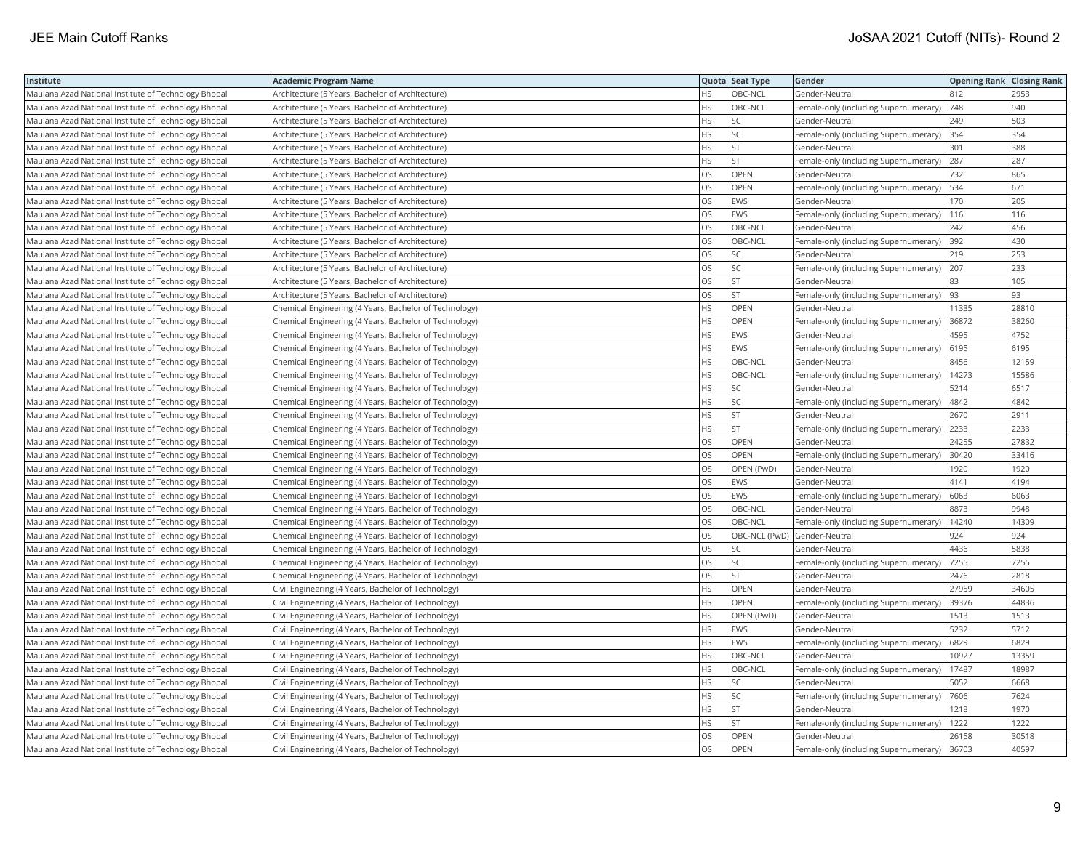| Institute                                            | <b>Academic Program Name</b>                           |           | Quota Seat Type | Gender                                | <b>Opening Rank Closing Rank</b> |       |
|------------------------------------------------------|--------------------------------------------------------|-----------|-----------------|---------------------------------------|----------------------------------|-------|
| Maulana Azad National Institute of Technology Bhopal | Architecture (5 Years, Bachelor of Architecture)       | HS        | OBC-NCL         | Gender-Neutral                        | 812                              | 2953  |
| Maulana Azad National Institute of Technology Bhopal | Architecture (5 Years, Bachelor of Architecture)       | HS.       | OBC-NCL         | Female-only (including Supernumerary) | 748                              | 940   |
| Maulana Azad National Institute of Technology Bhopal | Architecture (5 Years, Bachelor of Architecture)       | HS.       | SC              | Gender-Neutral                        | 249                              | 503   |
| Maulana Azad National Institute of Technology Bhopal | Architecture (5 Years, Bachelor of Architecture)       | HS.       | SC              | Female-only (including Supernumerary) | 354                              | 354   |
| Maulana Azad National Institute of Technology Bhopal | Architecture (5 Years, Bachelor of Architecture)       | HS        | <b>ST</b>       | Gender-Neutral                        | 301                              | 388   |
| Maulana Azad National Institute of Technology Bhopal | Architecture (5 Years, Bachelor of Architecture)       | HS        | <b>ST</b>       | Female-only (including Supernumerary) | 287                              | 287   |
| Maulana Azad National Institute of Technology Bhopal | Architecture (5 Years, Bachelor of Architecture)       | OS.       | <b>OPEN</b>     | Gender-Neutral                        | 732                              | 865   |
| Maulana Azad National Institute of Technology Bhopal | Architecture (5 Years, Bachelor of Architecture)       | <b>OS</b> | <b>OPEN</b>     | Female-only (including Supernumerary) | 534                              | 671   |
| Maulana Azad National Institute of Technology Bhopal | Architecture (5 Years, Bachelor of Architecture)       | OS.       | EWS             | Gender-Neutral                        | 170                              | 205   |
| Maulana Azad National Institute of Technology Bhopal | Architecture (5 Years, Bachelor of Architecture)       | OS        | EWS             | Female-only (including Supernumerary) | 116                              | 116   |
| Maulana Azad National Institute of Technology Bhopal | Architecture (5 Years, Bachelor of Architecture)       | OS        | OBC-NCL         | Gender-Neutral                        | 242                              | 456   |
| Maulana Azad National Institute of Technology Bhopal | Architecture (5 Years, Bachelor of Architecture)       | OS        | OBC-NCL         | Female-only (including Supernumerary) | 392                              | 430   |
| Maulana Azad National Institute of Technology Bhopal | Architecture (5 Years, Bachelor of Architecture)       | OS        | SC              | Gender-Neutral                        | 219                              | 253   |
| Maulana Azad National Institute of Technology Bhopal | Architecture (5 Years, Bachelor of Architecture)       | OS        | SC              | Female-only (including Supernumerary) | 207                              | 233   |
| Maulana Azad National Institute of Technology Bhopal | Architecture (5 Years, Bachelor of Architecture)       | OS.       | <b>ST</b>       | Gender-Neutral                        | 83                               | 105   |
| Maulana Azad National Institute of Technology Bhopal | Architecture (5 Years, Bachelor of Architecture)       | OS        | <b>ST</b>       | Female-only (including Supernumerary) | 93                               | 93    |
| Maulana Azad National Institute of Technology Bhopal | Chemical Engineering (4 Years, Bachelor of Technology) | HS        | OPEN            | Gender-Neutral                        | 11335                            | 28810 |
| Maulana Azad National Institute of Technology Bhopal | Chemical Engineering (4 Years, Bachelor of Technology) | HS.       | <b>OPEN</b>     | Female-only (including Supernumerary) | 36872                            | 38260 |
| Maulana Azad National Institute of Technology Bhopal | Chemical Engineering (4 Years, Bachelor of Technology) | HS.       | EWS             | Gender-Neutral                        | 4595                             | 4752  |
| Maulana Azad National Institute of Technology Bhopal | Chemical Engineering (4 Years, Bachelor of Technology) | HS.       | EWS             | Female-only (including Supernumerary) | 6195                             | 6195  |
| Maulana Azad National Institute of Technology Bhopal | Chemical Engineering (4 Years, Bachelor of Technology) | HS.       | OBC-NCL         | Gender-Neutral                        | 8456                             | 12159 |
| Maulana Azad National Institute of Technology Bhopal | Chemical Engineering (4 Years, Bachelor of Technology) | HS.       | OBC-NCL         | Female-only (including Supernumerary) | 14273                            | 15586 |
| Maulana Azad National Institute of Technology Bhopal | Chemical Engineering (4 Years, Bachelor of Technology) | HS.       | <b>SC</b>       | Gender-Neutral                        | 5214                             | 6517  |
| Maulana Azad National Institute of Technology Bhopal | Chemical Engineering (4 Years, Bachelor of Technology) | HS.       | SC              | Female-only (including Supernumerary) | 4842                             | 4842  |
| Maulana Azad National Institute of Technology Bhopal | Chemical Engineering (4 Years, Bachelor of Technology) | HS.       | <b>ST</b>       | Gender-Neutral                        | 2670                             | 2911  |
| Maulana Azad National Institute of Technology Bhopal | Chemical Engineering (4 Years, Bachelor of Technology) | HS        | <b>ST</b>       | Female-only (including Supernumerary) | 2233                             | 2233  |
| Maulana Azad National Institute of Technology Bhopal | Chemical Engineering (4 Years, Bachelor of Technology) | OS.       | OPEN            | Gender-Neutral                        | 24255                            | 27832 |
| Maulana Azad National Institute of Technology Bhopal | Chemical Engineering (4 Years, Bachelor of Technology) | OS        | OPEN            | Female-only (including Supernumerary) | 30420                            | 33416 |
| Maulana Azad National Institute of Technology Bhopal | Chemical Engineering (4 Years, Bachelor of Technology) | OS.       | OPEN (PwD)      | Gender-Neutral                        | 1920                             | 1920  |
| Maulana Azad National Institute of Technology Bhopal | Chemical Engineering (4 Years, Bachelor of Technology) | OS.       | EWS             | Gender-Neutral                        | 4141                             | 4194  |
| Maulana Azad National Institute of Technology Bhopal | Chemical Engineering (4 Years, Bachelor of Technology) | OS        | EWS             | Female-only (including Supernumerary) | 6063                             | 6063  |
| Maulana Azad National Institute of Technology Bhopal | Chemical Engineering (4 Years, Bachelor of Technology) | OS        | OBC-NCL         | Gender-Neutral                        | 8873                             | 9948  |
| Maulana Azad National Institute of Technology Bhopal | Chemical Engineering (4 Years, Bachelor of Technology) | OS        | OBC-NCL         | Female-only (including Supernumerary) | 14240                            | 14309 |
| Maulana Azad National Institute of Technology Bhopal | Chemical Engineering (4 Years, Bachelor of Technology) | OS        | OBC-NCL (PwD)   | Gender-Neutral                        | 924                              | 924   |
| Maulana Azad National Institute of Technology Bhopal | Chemical Engineering (4 Years, Bachelor of Technology) | OS        | SC              | Gender-Neutral                        | 4436                             | 5838  |
| Maulana Azad National Institute of Technology Bhopal | Chemical Engineering (4 Years, Bachelor of Technology) | OS.       | SC              | Female-only (including Supernumerary) | 7255                             | 7255  |
| Maulana Azad National Institute of Technology Bhopal | Chemical Engineering (4 Years, Bachelor of Technology) | OS        | <b>ST</b>       | Gender-Neutral                        | 2476                             | 2818  |
| Maulana Azad National Institute of Technology Bhopal | Civil Engineering (4 Years, Bachelor of Technology)    | HS.       | OPEN            | Gender-Neutral                        | 27959                            | 34605 |
| Maulana Azad National Institute of Technology Bhopal | Civil Engineering (4 Years, Bachelor of Technology)    | HS        | OPEN            | Female-only (including Supernumerary) | 39376                            | 44836 |
| Maulana Azad National Institute of Technology Bhopal | Civil Engineering (4 Years, Bachelor of Technology)    | HS        | OPEN (PwD)      | Gender-Neutral                        | 1513                             | 1513  |
| Maulana Azad National Institute of Technology Bhopal | Civil Engineering (4 Years, Bachelor of Technology)    | HS        | EWS             | Gender-Neutral                        | 5232                             | 5712  |
| Maulana Azad National Institute of Technology Bhopal | Civil Engineering (4 Years, Bachelor of Technology)    | HS.       | EWS             | Female-only (including Supernumerary) | 6829                             | 6829  |
| Maulana Azad National Institute of Technology Bhopal | Civil Engineering (4 Years, Bachelor of Technology)    | HS.       | OBC-NCL         | Gender-Neutral                        | 10927                            | 13359 |
| Maulana Azad National Institute of Technology Bhopal | Civil Engineering (4 Years, Bachelor of Technology)    | HS.       | OBC-NCL         | Female-only (including Supernumerary) | 17487                            | 18987 |
| Maulana Azad National Institute of Technology Bhopal | Civil Engineering (4 Years, Bachelor of Technology)    | HS        | SC              | Gender-Neutral                        | 5052                             | 6668  |
| Maulana Azad National Institute of Technology Bhopal | Civil Engineering (4 Years, Bachelor of Technology)    | HS.       | SC              | Female-only (including Supernumerary) | 7606                             | 7624  |
| Maulana Azad National Institute of Technology Bhopal | Civil Engineering (4 Years, Bachelor of Technology)    | HS.       | <b>ST</b>       | Gender-Neutral                        | 1218                             | 1970  |
| Maulana Azad National Institute of Technology Bhopal | Civil Engineering (4 Years, Bachelor of Technology)    | HS.       | <b>ST</b>       | Female-only (including Supernumerary) | 1222                             | 1222  |
| Maulana Azad National Institute of Technology Bhopal | Civil Engineering (4 Years, Bachelor of Technology)    | OS        | <b>OPEN</b>     | Gender-Neutral                        | 26158                            | 30518 |
| Maulana Azad National Institute of Technology Bhopal | Civil Engineering (4 Years, Bachelor of Technology)    | <b>OS</b> | <b>OPEN</b>     | Female-only (including Supernumerary) | 36703                            | 40597 |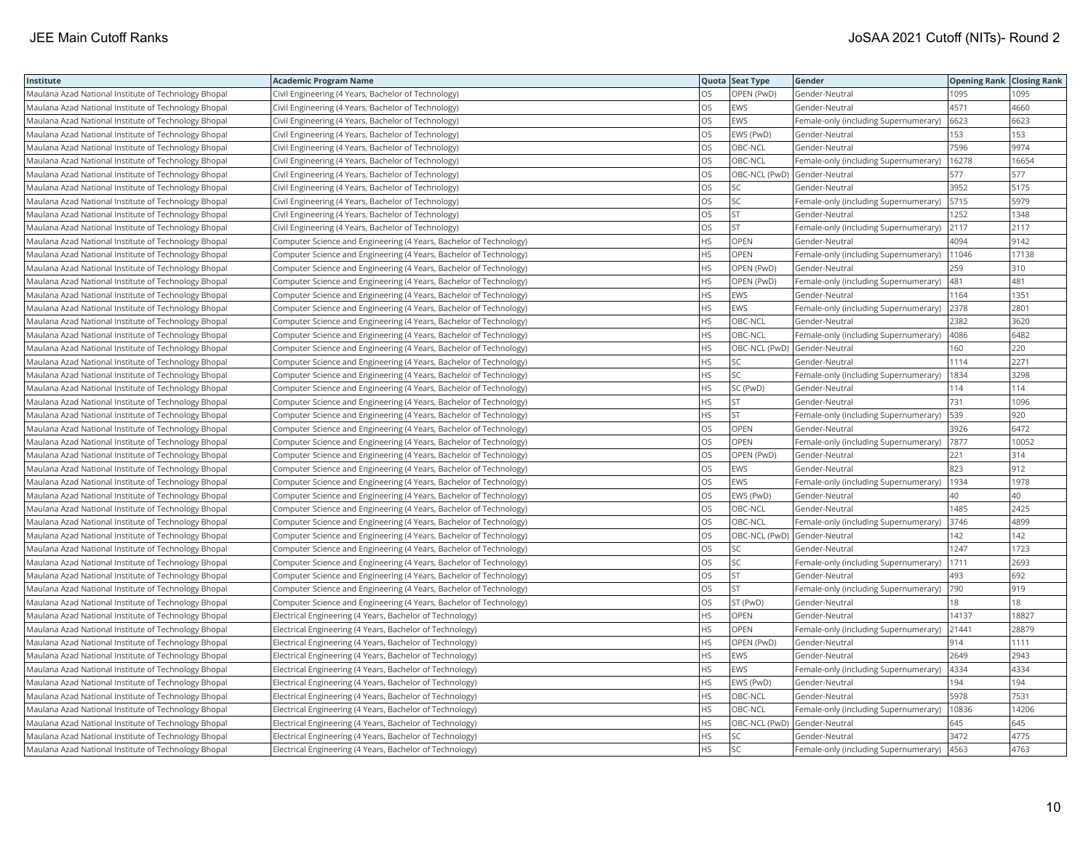| Institute                                            | <b>Academic Program Name</b>                                       |           | Quota Seat Type              | Gender                                       | <b>Opening Rank Closing Rank</b> |       |
|------------------------------------------------------|--------------------------------------------------------------------|-----------|------------------------------|----------------------------------------------|----------------------------------|-------|
| Maulana Azad National Institute of Technology Bhopal | Civil Engineering (4 Years, Bachelor of Technology)                | OS        | OPEN (PwD)                   | Gender-Neutral                               | 1095                             | 1095  |
| Maulana Azad National Institute of Technology Bhopal | Civil Engineering (4 Years, Bachelor of Technology)                | OS        | EWS                          | Gender-Neutral                               | 4571                             | 4660  |
| Maulana Azad National Institute of Technology Bhopal | Civil Engineering (4 Years, Bachelor of Technology)                | OS.       | EWS                          | Female-only (including Supernumerary)        | 6623                             | 6623  |
| Maulana Azad National Institute of Technology Bhopal | Civil Engineering (4 Years, Bachelor of Technology)                | OS        | EWS (PwD)                    | Gender-Neutral                               | 153                              | 153   |
| Maulana Azad National Institute of Technology Bhopal | Civil Engineering (4 Years, Bachelor of Technology)                | OS.       | OBC-NCL                      | Gender-Neutral                               | 7596                             | 9974  |
| Maulana Azad National Institute of Technology Bhopal | Civil Engineering (4 Years, Bachelor of Technology)                | OS        | OBC-NCL                      | Female-only (including Supernumerary)        | 16278                            | 16654 |
| Maulana Azad National Institute of Technology Bhopal | Civil Engineering (4 Years, Bachelor of Technology)                | OS.       | OBC-NCL (PwD)                | Gender-Neutral                               | 577                              | 577   |
| Maulana Azad National Institute of Technology Bhopal | Civil Engineering (4 Years, Bachelor of Technology)                | <b>OS</b> | SC                           | Gender-Neutral                               | 3952                             | 5175  |
| Maulana Azad National Institute of Technology Bhopal | Civil Engineering (4 Years, Bachelor of Technology)                | OS.       | SC                           | Female-only (including Supernumerary)        | 5715                             | 5979  |
| Maulana Azad National Institute of Technology Bhopal | Civil Engineering (4 Years, Bachelor of Technology)                | OS        | <b>ST</b>                    | Gender-Neutral                               | 1252                             | 1348  |
| Maulana Azad National Institute of Technology Bhopal | Civil Engineering (4 Years, Bachelor of Technology)                | OS        | <b>ST</b>                    | Female-only (including Supernumerary)        | 2117                             | 2117  |
| Maulana Azad National Institute of Technology Bhopal | Computer Science and Engineering (4 Years, Bachelor of Technology) | HS        | OPEN                         | Gender-Neutral                               | 4094                             | 9142  |
| Maulana Azad National Institute of Technology Bhopal | Computer Science and Engineering (4 Years, Bachelor of Technology) | HS        | OPEN                         | Female-only (including Supernumerary)        | 11046                            | 17138 |
| Maulana Azad National Institute of Technology Bhopal | Computer Science and Engineering (4 Years, Bachelor of Technology) | HS.       | OPEN (PwD)                   | Gender-Neutral                               | 259                              | 310   |
| Maulana Azad National Institute of Technology Bhopal | Computer Science and Engineering (4 Years, Bachelor of Technology) | HS.       | OPEN (PwD)                   | Female-only (including Supernumerary)        | 481                              | 481   |
| Maulana Azad National Institute of Technology Bhopal | Computer Science and Engineering (4 Years, Bachelor of Technology) | HS.       | <b>EWS</b>                   | Gender-Neutral                               | 1164                             | 1351  |
| Maulana Azad National Institute of Technology Bhopal | Computer Science and Engineering (4 Years, Bachelor of Technology) | HS        | EWS                          | Female-only (including Supernumerary)        | 2378                             | 2801  |
| Maulana Azad National Institute of Technology Bhopal | Computer Science and Engineering (4 Years, Bachelor of Technology) | HS.       | OBC-NCL                      | Gender-Neutral                               | 2382                             | 3620  |
| Maulana Azad National Institute of Technology Bhopal | Computer Science and Engineering (4 Years, Bachelor of Technology) | HS        | OBC-NCL                      | Female-only (including Supernumerary)        | 4086                             | 6482  |
| Maulana Azad National Institute of Technology Bhopal | Computer Science and Engineering (4 Years, Bachelor of Technology) | HS.       | OBC-NCL (PwD)                | Gender-Neutral                               | 160                              | 220   |
| Maulana Azad National Institute of Technology Bhopal | Computer Science and Engineering (4 Years, Bachelor of Technology) | HS        | SC                           | Gender-Neutral                               | 1114                             | 2271  |
| Maulana Azad National Institute of Technology Bhopal | Computer Science and Engineering (4 Years, Bachelor of Technology) | HS        | SC                           | Female-only (including Supernumerary)        | 1834                             | 3298  |
| Maulana Azad National Institute of Technology Bhopal | Computer Science and Engineering (4 Years, Bachelor of Technology) | HS        | SC (PwD)                     | Gender-Neutral                               | 114                              | 114   |
| Maulana Azad National Institute of Technology Bhopal | Computer Science and Engineering (4 Years, Bachelor of Technology) | HS.       | <b>ST</b>                    | Gender-Neutral                               | 731                              | 1096  |
| Maulana Azad National Institute of Technology Bhopal | Computer Science and Engineering (4 Years, Bachelor of Technology) | HS.       | <b>ST</b>                    | Female-only (including Supernumerary)        | 539                              | 920   |
| Maulana Azad National Institute of Technology Bhopal | Computer Science and Engineering (4 Years, Bachelor of Technology) | OS        | OPEN                         | Gender-Neutral                               | 3926                             | 6472  |
| Maulana Azad National Institute of Technology Bhopal | Computer Science and Engineering (4 Years, Bachelor of Technology) | OS.       | OPEN                         | Female-only (including Supernumerary)   7877 |                                  | 10052 |
| Maulana Azad National Institute of Technology Bhopal | Computer Science and Engineering (4 Years, Bachelor of Technology) | OS.       | OPEN (PwD)                   | Gender-Neutral                               | 221                              | 314   |
| Maulana Azad National Institute of Technology Bhopal | Computer Science and Engineering (4 Years, Bachelor of Technology) | OS        | EWS                          | Gender-Neutral                               | 823                              | 912   |
| Maulana Azad National Institute of Technology Bhopal | Computer Science and Engineering (4 Years, Bachelor of Technology) | OS        | EWS                          | Female-only (including Supernumerary)        | 1934                             | 1978  |
| Maulana Azad National Institute of Technology Bhopal | Computer Science and Engineering (4 Years, Bachelor of Technology) | OS.       | EWS (PwD)                    | Gender-Neutral                               | 40                               | 40    |
| Maulana Azad National Institute of Technology Bhopal | Computer Science and Engineering (4 Years, Bachelor of Technology) | OS        | OBC-NCL                      | Gender-Neutral                               | 1485                             | 2425  |
| Maulana Azad National Institute of Technology Bhopal | Computer Science and Engineering (4 Years, Bachelor of Technology) | OS.       | OBC-NCL                      | Female-only (including Supernumerary)        | 3746                             | 4899  |
| Maulana Azad National Institute of Technology Bhopal | Computer Science and Engineering (4 Years, Bachelor of Technology) | OS        | OBC-NCL (PwD)                | Gender-Neutral                               | 142                              | 142   |
| Maulana Azad National Institute of Technology Bhopal | Computer Science and Engineering (4 Years, Bachelor of Technology) | OS        | SC                           | Gender-Neutral                               | 1247                             | 1723  |
| Maulana Azad National Institute of Technology Bhopal | Computer Science and Engineering (4 Years, Bachelor of Technology) | OS        | SC                           | Female-only (including Supernumerary)        | 1711                             | 2693  |
| Maulana Azad National Institute of Technology Bhopal | Computer Science and Engineering (4 Years, Bachelor of Technology) | OS.       | <b>ST</b>                    | Gender-Neutral                               | 493                              | 692   |
| Maulana Azad National Institute of Technology Bhopal | Computer Science and Engineering (4 Years, Bachelor of Technology) | OS.       | <b>ST</b>                    | Female-only (including Supernumerary)        | 790                              | 919   |
| Maulana Azad National Institute of Technology Bhopal | Computer Science and Engineering (4 Years, Bachelor of Technology) | OS.       | ST (PwD)                     | Gender-Neutral                               | 18                               | 18    |
| Maulana Azad National Institute of Technology Bhopal | Electrical Engineering (4 Years, Bachelor of Technology)           | <b>HS</b> | OPEN                         | Gender-Neutral                               | 14137                            | 18827 |
| Maulana Azad National Institute of Technology Bhopal | Electrical Engineering (4 Years, Bachelor of Technology)           | HS        | OPEN                         | Female-only (including Supernumerary)        | 21441                            | 28879 |
| Maulana Azad National Institute of Technology Bhopal | Electrical Engineering (4 Years, Bachelor of Technology)           | HS        | OPEN (PwD)                   | Gender-Neutral                               | 914                              | 1111  |
| Maulana Azad National Institute of Technology Bhopal | Electrical Engineering (4 Years, Bachelor of Technology)           | ΗS        | EWS                          | Gender-Neutral                               | 2649                             | 2943  |
| Maulana Azad National Institute of Technology Bhopal | Electrical Engineering (4 Years, Bachelor of Technology)           | HS.       | EWS                          | Female-only (including Supernumerary)        | 4334                             | 4334  |
| Maulana Azad National Institute of Technology Bhopal | Electrical Engineering (4 Years, Bachelor of Technology)           | HS        | EWS (PwD)                    | Gender-Neutral                               | 194                              | 194   |
| Maulana Azad National Institute of Technology Bhopal | Electrical Engineering (4 Years, Bachelor of Technology)           | HS.       | OBC-NCL                      | Gender-Neutral                               | 5978                             | 7531  |
| Maulana Azad National Institute of Technology Bhopal | Electrical Engineering (4 Years, Bachelor of Technology)           | HS        | OBC-NCL                      | Female-only (including Supernumerary)        | 10836                            | 14206 |
| Maulana Azad National Institute of Technology Bhopal | Electrical Engineering (4 Years, Bachelor of Technology)           | HS.       | OBC-NCL (PwD) Gender-Neutral |                                              | 645                              | 645   |
| Maulana Azad National Institute of Technology Bhopal | Electrical Engineering (4 Years, Bachelor of Technology)           | HS        | SC                           | Gender-Neutral                               | 3472                             | 4775  |
| Maulana Azad National Institute of Technology Bhopal | Electrical Engineering (4 Years, Bachelor of Technology)           | HS.       | SC                           | Female-only (including Supernumerary)        | 4563                             | 4763  |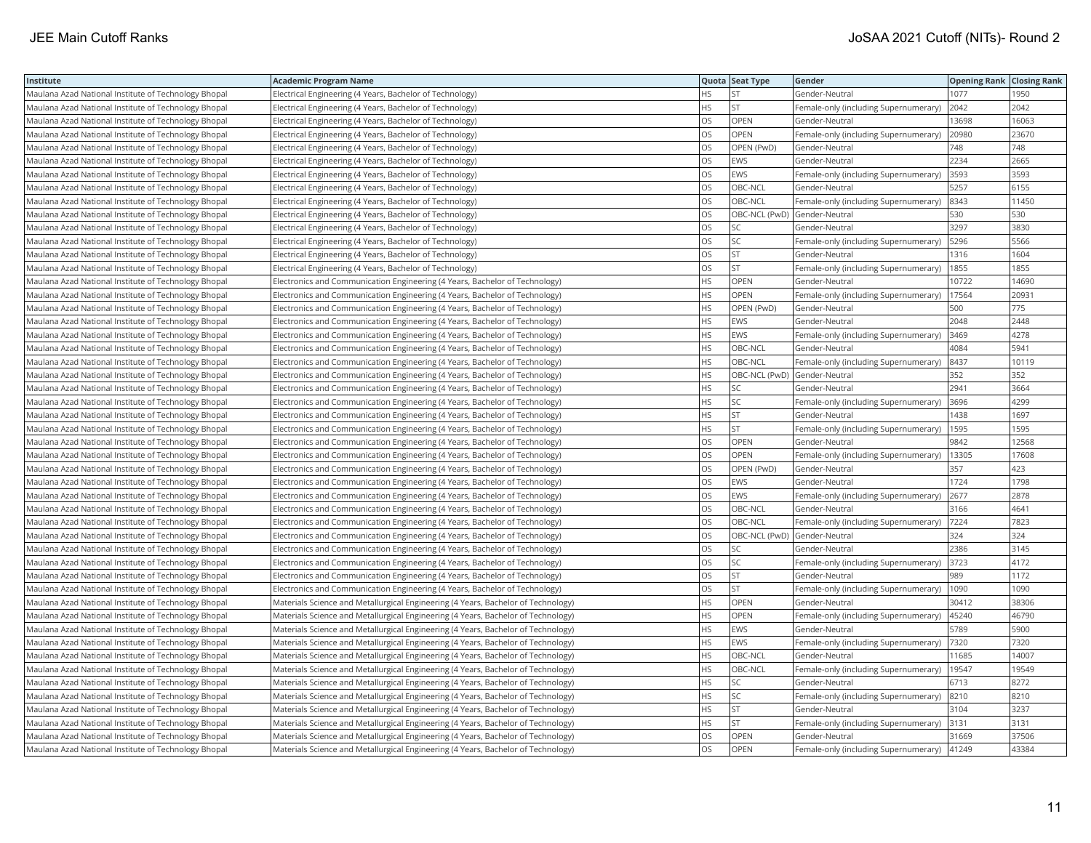| Institute                                            | <b>Academic Program Name</b>                                                      |           | Quota Seat Type              | Gender                                | <b>Opening Rank Closing Rank</b> |       |
|------------------------------------------------------|-----------------------------------------------------------------------------------|-----------|------------------------------|---------------------------------------|----------------------------------|-------|
| Maulana Azad National Institute of Technology Bhopal | Electrical Engineering (4 Years, Bachelor of Technology)                          | HS.       | <b>ST</b>                    | Gender-Neutral                        | 1077                             | 1950  |
| Maulana Azad National Institute of Technology Bhopal | Electrical Engineering (4 Years, Bachelor of Technology)                          | HS        | <b>ST</b>                    | Female-only (including Supernumerary) | 2042                             | 2042  |
| Maulana Azad National Institute of Technology Bhopal | Electrical Engineering (4 Years, Bachelor of Technology)                          | OS        | <b>OPEN</b>                  | Gender-Neutral                        | 13698                            | 16063 |
| Maulana Azad National Institute of Technology Bhopal | Electrical Engineering (4 Years, Bachelor of Technology)                          | OS        | OPEN                         | Female-only (including Supernumerary) | 20980                            | 23670 |
| Maulana Azad National Institute of Technology Bhopal | Electrical Engineering (4 Years, Bachelor of Technology)                          | OS        | OPEN (PwD)                   | Gender-Neutral                        | 748                              | 748   |
| Maulana Azad National Institute of Technology Bhopal | Electrical Engineering (4 Years, Bachelor of Technology)                          | <b>OS</b> | <b>EWS</b>                   | Gender-Neutral                        | 2234                             | 2665  |
| Maulana Azad National Institute of Technology Bhopal | Electrical Engineering (4 Years, Bachelor of Technology)                          | <b>OS</b> | <b>EWS</b>                   | Female-only (including Supernumerary) | 3593                             | 3593  |
| Maulana Azad National Institute of Technology Bhopal | Electrical Engineering (4 Years, Bachelor of Technology)                          | <b>OS</b> | OBC-NCL                      | Gender-Neutral                        | 5257                             | 6155  |
| Maulana Azad National Institute of Technology Bhopal | Electrical Engineering (4 Years, Bachelor of Technology)                          | OS        | OBC-NCL                      | Female-only (including Supernumerary) | 8343                             | 11450 |
| Maulana Azad National Institute of Technology Bhopal | Electrical Engineering (4 Years, Bachelor of Technology)                          | <b>OS</b> | OBC-NCL (PwD) Gender-Neutral |                                       | 530                              | 530   |
| Maulana Azad National Institute of Technology Bhopal | Electrical Engineering (4 Years, Bachelor of Technology)                          | OS        | SC                           | Gender-Neutral                        | 3297                             | 3830  |
| Maulana Azad National Institute of Technology Bhopal | Electrical Engineering (4 Years, Bachelor of Technology)                          | OS        | SC                           | Female-only (including Supernumerary) | 5296                             | 5566  |
| Maulana Azad National Institute of Technology Bhopal | Electrical Engineering (4 Years, Bachelor of Technology)                          | OS        | <b>ST</b>                    | Gender-Neutral                        | 1316                             | 1604  |
| Maulana Azad National Institute of Technology Bhopal | Electrical Engineering (4 Years, Bachelor of Technology)                          | OS.       | <b>ST</b>                    | Female-only (including Supernumerary) | 1855                             | 1855  |
| Maulana Azad National Institute of Technology Bhopal | Electronics and Communication Engineering (4 Years, Bachelor of Technology)       | HS.       | <b>OPEN</b>                  | Gender-Neutral                        | 10722                            | 14690 |
| Maulana Azad National Institute of Technology Bhopal | Electronics and Communication Engineering (4 Years, Bachelor of Technology)       | HS        | OPEN                         | Female-only (including Supernumerary) | 17564                            | 20931 |
| Maulana Azad National Institute of Technology Bhopal | Electronics and Communication Engineering (4 Years, Bachelor of Technology)       | HS.       | OPEN (PwD)                   | Gender-Neutral                        | 500                              | 775   |
| Maulana Azad National Institute of Technology Bhopal | Electronics and Communication Engineering (4 Years, Bachelor of Technology)       | HS        | <b>EWS</b>                   | Gender-Neutral                        | 2048                             | 2448  |
| Maulana Azad National Institute of Technology Bhopal | Electronics and Communication Engineering (4 Years, Bachelor of Technology)       | HS        | EWS                          | Female-only (including Supernumerary) | 3469                             | 4278  |
| Maulana Azad National Institute of Technology Bhopal | Electronics and Communication Engineering (4 Years, Bachelor of Technology)       | HS        | OBC-NCL                      | Gender-Neutral                        | 4084                             | 5941  |
| Maulana Azad National Institute of Technology Bhopal | Electronics and Communication Engineering (4 Years, Bachelor of Technology)       | HS.       | OBC-NCL                      | Female-only (including Supernumerary) | 8437                             | 10119 |
| Maulana Azad National Institute of Technology Bhopal | Electronics and Communication Engineering (4 Years, Bachelor of Technology)       | HS        | OBC-NCL (PwD)                | Gender-Neutral                        | 352                              | 352   |
| Maulana Azad National Institute of Technology Bhopal | Electronics and Communication Engineering (4 Years, Bachelor of Technology)       | HS.       | <b>SC</b>                    | Gender-Neutral                        | 2941                             | 3664  |
| Maulana Azad National Institute of Technology Bhopal | Electronics and Communication Engineering (4 Years, Bachelor of Technology)       | HS        | SC                           | Female-only (including Supernumerary) | 3696                             | 4299  |
| Maulana Azad National Institute of Technology Bhopal | Electronics and Communication Engineering (4 Years, Bachelor of Technology)       | HS        | <b>ST</b>                    | Gender-Neutral                        | 1438                             | 1697  |
| Maulana Azad National Institute of Technology Bhopal | Electronics and Communication Engineering (4 Years, Bachelor of Technology)       | <b>HS</b> | <b>ST</b>                    | Female-only (including Supernumerary) | 1595                             | 1595  |
| Maulana Azad National Institute of Technology Bhopal | Electronics and Communication Engineering (4 Years, Bachelor of Technology)       | OS        | OPEN                         | Gender-Neutral                        | 9842                             | 12568 |
| Maulana Azad National Institute of Technology Bhopal | Electronics and Communication Engineering (4 Years, Bachelor of Technology)       | OS        | <b>OPEN</b>                  | Female-only (including Supernumerary) | 13305                            | 17608 |
| Maulana Azad National Institute of Technology Bhopal | Electronics and Communication Engineering (4 Years, Bachelor of Technology)       | OS        | OPEN (PwD)                   | Gender-Neutral                        | 357                              | 423   |
| Maulana Azad National Institute of Technology Bhopal | Electronics and Communication Engineering (4 Years, Bachelor of Technology)       | OS        | <b>EWS</b>                   | Gender-Neutral                        | 1724                             | 1798  |
| Maulana Azad National Institute of Technology Bhopal | Electronics and Communication Engineering (4 Years, Bachelor of Technology)       | OS        | EWS                          | Female-only (including Supernumerary) | 2677                             | 2878  |
| Maulana Azad National Institute of Technology Bhopal | Electronics and Communication Engineering (4 Years, Bachelor of Technology)       | OS        | OBC-NCL                      | Gender-Neutral                        | 3166                             | 4641  |
| Maulana Azad National Institute of Technology Bhopal | Electronics and Communication Engineering (4 Years, Bachelor of Technology)       | OS        | OBC-NCL                      | Female-only (including Supernumerary) | 7224                             | 7823  |
| Maulana Azad National Institute of Technology Bhopal | Electronics and Communication Engineering (4 Years, Bachelor of Technology)       | OS        | OBC-NCL (PwD)                | Gender-Neutral                        | 324                              | 324   |
| Maulana Azad National Institute of Technology Bhopal | Electronics and Communication Engineering (4 Years, Bachelor of Technology)       | OS        | SC                           | Gender-Neutral                        | 2386                             | 3145  |
| Maulana Azad National Institute of Technology Bhopal | Electronics and Communication Engineering (4 Years, Bachelor of Technology)       | OS        | SC                           | Female-only (including Supernumerary) | 3723                             | 4172  |
| Maulana Azad National Institute of Technology Bhopal | Electronics and Communication Engineering (4 Years, Bachelor of Technology)       | <b>OS</b> | <b>ST</b>                    | Gender-Neutral                        | 989                              | 1172  |
| Maulana Azad National Institute of Technology Bhopal | Electronics and Communication Engineering (4 Years, Bachelor of Technology)       | OS        | <b>ST</b>                    | Female-only (including Supernumerary) | 1090                             | 1090  |
| Maulana Azad National Institute of Technology Bhopal | Materials Science and Metallurgical Engineering (4 Years, Bachelor of Technology) | HS        | <b>OPEN</b>                  | Gender-Neutral                        | 30412                            | 38306 |
| Maulana Azad National Institute of Technology Bhopal | Materials Science and Metallurgical Engineering (4 Years, Bachelor of Technology) | HS        | OPEN                         | Female-only (including Supernumerary) | 45240                            | 46790 |
| Maulana Azad National Institute of Technology Bhopal | Materials Science and Metallurgical Engineering (4 Years, Bachelor of Technology) | <b>HS</b> | EWS                          | Gender-Neutral                        | 5789                             | 5900  |
| Maulana Azad National Institute of Technology Bhopal | Materials Science and Metallurgical Engineering (4 Years, Bachelor of Technology) | HS        | EWS                          | Female-only (including Supernumerary) | 7320                             | 7320  |
| Maulana Azad National Institute of Technology Bhopal | Materials Science and Metallurgical Engineering (4 Years, Bachelor of Technology) | НS        | OBC-NCL                      | Gender-Neutral                        | 11685                            | 14007 |
| Maulana Azad National Institute of Technology Bhopal | Materials Science and Metallurgical Engineering (4 Years, Bachelor of Technology) | HS.       | OBC-NCL                      | Female-only (including Supernumerary) | 19547                            | 19549 |
| Maulana Azad National Institute of Technology Bhopal | Materials Science and Metallurgical Engineering (4 Years, Bachelor of Technology) | НS        | SC                           | Gender-Neutral                        | 6713                             | 8272  |
| Maulana Azad National Institute of Technology Bhopal | Materials Science and Metallurgical Engineering (4 Years, Bachelor of Technology) | HS.       | SC                           | Female-only (including Supernumerary) | 8210                             | 8210  |
| Maulana Azad National Institute of Technology Bhopal | Materials Science and Metallurgical Engineering (4 Years, Bachelor of Technology) | HS        | <b>ST</b>                    | Gender-Neutral                        | 3104                             | 3237  |
| Maulana Azad National Institute of Technology Bhopal | Materials Science and Metallurgical Engineering (4 Years, Bachelor of Technology) | HS.       | <b>ST</b>                    | Female-only (including Supernumerary) | 3131                             | 3131  |
| Maulana Azad National Institute of Technology Bhopal | Materials Science and Metallurgical Engineering (4 Years, Bachelor of Technology) | OS        | OPEN                         | Gender-Neutral                        | 31669                            | 37506 |
| Maulana Azad National Institute of Technology Bhopal | Materials Science and Metallurgical Engineering (4 Years, Bachelor of Technology) | <b>OS</b> | <b>OPEN</b>                  | Female-only (including Supernumerary) | 41249                            | 43384 |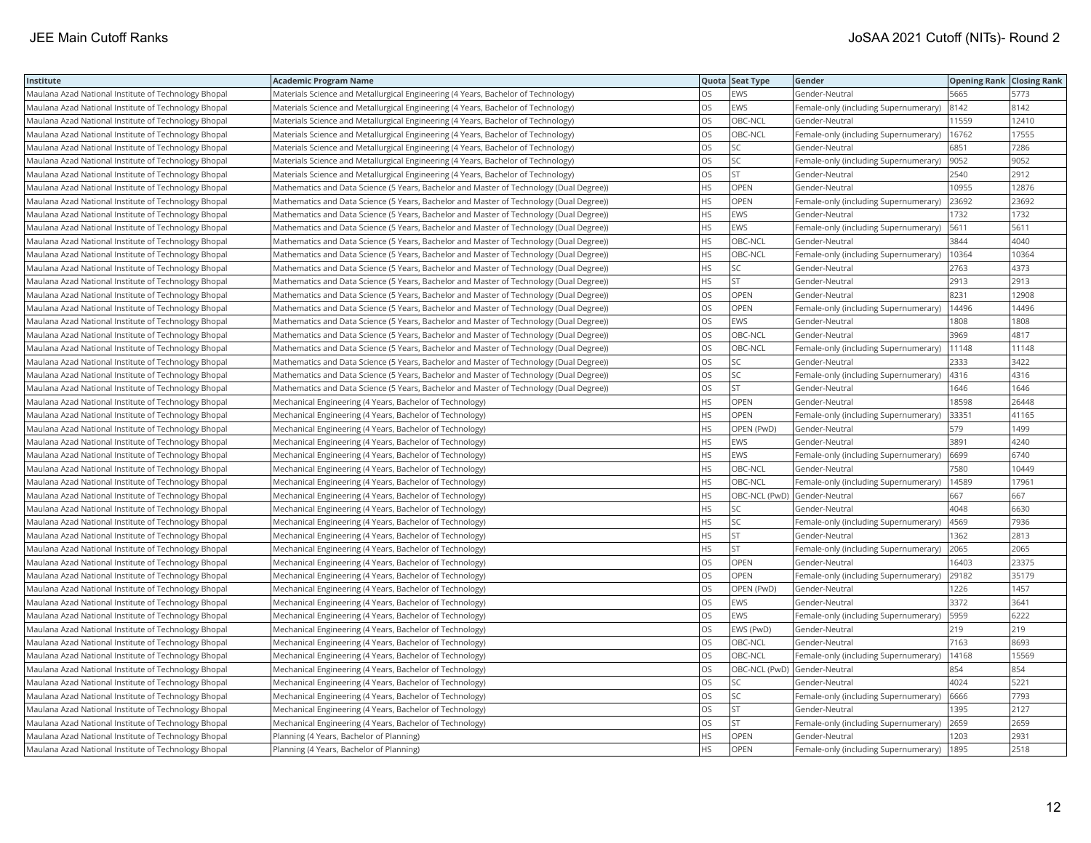| Institute                                            | <b>Academic Program Name</b>                                                            |           | Quota Seat Type | Gender                                | <b>Opening Rank Closing Rank</b> |       |
|------------------------------------------------------|-----------------------------------------------------------------------------------------|-----------|-----------------|---------------------------------------|----------------------------------|-------|
| Maulana Azad National Institute of Technology Bhopal | Materials Science and Metallurgical Engineering (4 Years, Bachelor of Technology)       | OS.       | EWS             | Gender-Neutral                        | 5665                             | 5773  |
| Maulana Azad National Institute of Technology Bhopal | Materials Science and Metallurgical Engineering (4 Years, Bachelor of Technology)       | OS        | EWS             | Female-only (including Supernumerary) | 8142                             | 8142  |
| Maulana Azad National Institute of Technology Bhopal | Materials Science and Metallurgical Engineering (4 Years, Bachelor of Technology)       | <b>OS</b> | OBC-NCL         | Gender-Neutral                        | 11559                            | 12410 |
| Maulana Azad National Institute of Technology Bhopal | Materials Science and Metallurgical Engineering (4 Years, Bachelor of Technology)       | OS.       | OBC-NCL         | Female-only (including Supernumerary) | 16762                            | 17555 |
| Maulana Azad National Institute of Technology Bhopal | Materials Science and Metallurgical Engineering (4 Years, Bachelor of Technology)       | <b>OS</b> | SC              | Gender-Neutral                        | 6851                             | 7286  |
| Maulana Azad National Institute of Technology Bhopal | Materials Science and Metallurgical Engineering (4 Years, Bachelor of Technology)       | OS        | SC              | Female-only (including Supernumerary) | 9052                             | 9052  |
| Maulana Azad National Institute of Technology Bhopal | Materials Science and Metallurgical Engineering (4 Years, Bachelor of Technology)       | <b>OS</b> | <b>ST</b>       | Gender-Neutral                        | 2540                             | 2912  |
| Maulana Azad National Institute of Technology Bhopal | Mathematics and Data Science (5 Years, Bachelor and Master of Technology (Dual Degree)) | HS.       | <b>OPEN</b>     | Gender-Neutral                        | 10955                            | 12876 |
| Maulana Azad National Institute of Technology Bhopal | Mathematics and Data Science (5 Years, Bachelor and Master of Technology (Dual Degree)) | HS.       | <b>OPEN</b>     | Female-only (including Supernumerary) | 23692                            | 23692 |
| Maulana Azad National Institute of Technology Bhopal | Mathematics and Data Science (5 Years, Bachelor and Master of Technology (Dual Degree)) | HS.       | EWS             | Gender-Neutral                        | 1732                             | 1732  |
| Maulana Azad National Institute of Technology Bhopal | Mathematics and Data Science (5 Years, Bachelor and Master of Technology (Dual Degree)) | HS        | EWS             | Female-only (including Supernumerary) | 5611                             | 5611  |
| Maulana Azad National Institute of Technology Bhopal | Mathematics and Data Science (5 Years, Bachelor and Master of Technology (Dual Degree)) | HS        | OBC-NCL         | Gender-Neutral                        | 3844                             | 4040  |
| Maulana Azad National Institute of Technology Bhopal | Mathematics and Data Science (5 Years, Bachelor and Master of Technology (Dual Degree)) | HS.       | OBC-NCL         | Female-only (including Supernumerary) | 10364                            | 10364 |
| Maulana Azad National Institute of Technology Bhopal | Mathematics and Data Science (5 Years, Bachelor and Master of Technology (Dual Degree)) | HS.       | SC              | Gender-Neutral                        | 2763                             | 4373  |
| Maulana Azad National Institute of Technology Bhopal | Mathematics and Data Science (5 Years, Bachelor and Master of Technology (Dual Degree)) | HS.       | <b>ST</b>       | Gender-Neutral                        | 2913                             | 2913  |
| Maulana Azad National Institute of Technology Bhopal | Mathematics and Data Science (5 Years, Bachelor and Master of Technology (Dual Degree)) | OS        | OPEN            | Gender-Neutral                        | 8231                             | 12908 |
| Maulana Azad National Institute of Technology Bhopal | Mathematics and Data Science (5 Years, Bachelor and Master of Technology (Dual Degree)) | OS        | <b>OPEN</b>     | Female-only (including Supernumerary) | 14496                            | 14496 |
| Maulana Azad National Institute of Technology Bhopal | Mathematics and Data Science (5 Years, Bachelor and Master of Technology (Dual Degree)) | OS        | EWS             | Gender-Neutral                        | 1808                             | 1808  |
| Maulana Azad National Institute of Technology Bhopal | Mathematics and Data Science (5 Years, Bachelor and Master of Technology (Dual Degree)) | OS        | OBC-NCL         | Gender-Neutral                        | 3969                             | 4817  |
| Maulana Azad National Institute of Technology Bhopal | Mathematics and Data Science (5 Years, Bachelor and Master of Technology (Dual Degree)) | OS        | OBC-NCL         | Female-only (including Supernumerary) | 11148                            | 11148 |
| Maulana Azad National Institute of Technology Bhopal | Mathematics and Data Science (5 Years, Bachelor and Master of Technology (Dual Degree)) | OS        | SC              | Gender-Neutral                        | 2333                             | 3422  |
| Maulana Azad National Institute of Technology Bhopal | Mathematics and Data Science (5 Years, Bachelor and Master of Technology (Dual Degree)) | OS        | SC              | Female-only (including Supernumerary) | 4316                             | 4316  |
| Maulana Azad National Institute of Technology Bhopal | Mathematics and Data Science (5 Years, Bachelor and Master of Technology (Dual Degree)) | OS.       | <b>ST</b>       | Gender-Neutral                        | 1646                             | 1646  |
| Maulana Azad National Institute of Technology Bhopal | Mechanical Engineering (4 Years, Bachelor of Technology)                                | HS.       | OPEN            | Gender-Neutral                        | 18598                            | 26448 |
| Maulana Azad National Institute of Technology Bhopal | Mechanical Engineering (4 Years, Bachelor of Technology)                                | HS.       | OPEN            | Female-only (including Supernumerary) | 33351                            | 41165 |
| Maulana Azad National Institute of Technology Bhopal | Mechanical Engineering (4 Years, Bachelor of Technology)                                | HS        | OPEN (PwD)      | Gender-Neutral                        | 579                              | 1499  |
| Maulana Azad National Institute of Technology Bhopal | Mechanical Engineering (4 Years, Bachelor of Technology)                                | HS.       | EWS             | Gender-Neutral                        | 3891                             | 4240  |
| Maulana Azad National Institute of Technology Bhopal | Mechanical Engineering (4 Years, Bachelor of Technology)                                | HS        | EWS             | Female-only (including Supernumerary) | 6699                             | 6740  |
| Maulana Azad National Institute of Technology Bhopal | Mechanical Engineering (4 Years, Bachelor of Technology)                                | HS.       | OBC-NCL         | Gender-Neutral                        | 7580                             | 10449 |
| Maulana Azad National Institute of Technology Bhopal | Mechanical Engineering (4 Years, Bachelor of Technology)                                | HS.       | OBC-NCL         | Female-only (including Supernumerary) | 14589                            | 17961 |
| Maulana Azad National Institute of Technology Bhopal | Mechanical Engineering (4 Years, Bachelor of Technology)                                | HS.       | OBC-NCL (PwD)   | Gender-Neutral                        | 667                              | 667   |
| Maulana Azad National Institute of Technology Bhopal | Mechanical Engineering (4 Years, Bachelor of Technology)                                | HS.       | SC              | Gender-Neutral                        | 4048                             | 6630  |
| Maulana Azad National Institute of Technology Bhopal | Mechanical Engineering (4 Years, Bachelor of Technology)                                | HS.       | SC              | Female-only (including Supernumerary) | 4569                             | 7936  |
| Maulana Azad National Institute of Technology Bhopal | Mechanical Engineering (4 Years, Bachelor of Technology)                                | HS.       | <b>ST</b>       | Gender-Neutral                        | 1362                             | 2813  |
| Maulana Azad National Institute of Technology Bhopal | Mechanical Engineering (4 Years, Bachelor of Technology)                                | HS.       | ST              | Female-only (including Supernumerary) | 2065                             | 2065  |
| Maulana Azad National Institute of Technology Bhopal | Mechanical Engineering (4 Years, Bachelor of Technology)                                | OS.       | <b>OPEN</b>     | Gender-Neutral                        | 16403                            | 23375 |
| Maulana Azad National Institute of Technology Bhopal | Mechanical Engineering (4 Years, Bachelor of Technology)                                | OS        | OPEN            | Female-only (including Supernumerary) | 29182                            | 35179 |
| Maulana Azad National Institute of Technology Bhopal | Mechanical Engineering (4 Years, Bachelor of Technology)                                | OS.       | OPEN (PwD)      | Gender-Neutral                        | 1226                             | 1457  |
| Maulana Azad National Institute of Technology Bhopal | Mechanical Engineering (4 Years, Bachelor of Technology)                                | OS        | EWS             | Gender-Neutral                        | 3372                             | 3641  |
| Maulana Azad National Institute of Technology Bhopal | Mechanical Engineering (4 Years, Bachelor of Technology)                                | OS.       | EWS             | Female-only (including Supernumerary) | 5959                             | 6222  |
| Maulana Azad National Institute of Technology Bhopal | Mechanical Engineering (4 Years, Bachelor of Technology)                                | OS        | EWS (PwD)       | Gender-Neutral                        | 219                              | 219   |
| Maulana Azad National Institute of Technology Bhopal | Mechanical Engineering (4 Years, Bachelor of Technology)                                | OS.       | OBC-NCL         | Gender-Neutral                        | 7163                             | 8693  |
| Maulana Azad National Institute of Technology Bhopal | Mechanical Engineering (4 Years, Bachelor of Technology)                                | OS        | OBC-NCL         | Female-only (including Supernumerary) | 14168                            | 15569 |
| Maulana Azad National Institute of Technology Bhopal | Mechanical Engineering (4 Years, Bachelor of Technology)                                | OS.       | OBC-NCL (PwD)   | Gender-Neutral                        | 854                              | 854   |
| Maulana Azad National Institute of Technology Bhopal | Mechanical Engineering (4 Years, Bachelor of Technology)                                | OS        | SC              | Gender-Neutral                        | 4024                             | 5221  |
| Maulana Azad National Institute of Technology Bhopal | Mechanical Engineering (4 Years, Bachelor of Technology)                                | OS.       | SC              | Female-only (including Supernumerary) | 6666                             | 7793  |
| Maulana Azad National Institute of Technology Bhopal | Mechanical Engineering (4 Years, Bachelor of Technology)                                | OS        | <b>ST</b>       | Gender-Neutral                        | 1395                             | 2127  |
| Maulana Azad National Institute of Technology Bhopal | Mechanical Engineering (4 Years, Bachelor of Technology)                                | OS.       | <b>ST</b>       | Female-only (including Supernumerary) | 2659                             | 2659  |
| Maulana Azad National Institute of Technology Bhopal | Planning (4 Years, Bachelor of Planning)                                                | HS.       | <b>OPEN</b>     | Gender-Neutral                        | 1203                             | 2931  |
| Maulana Azad National Institute of Technology Bhopal | Planning (4 Years, Bachelor of Planning)                                                | <b>HS</b> | <b>OPEN</b>     | Female-only (including Supernumerary) | 1895                             | 2518  |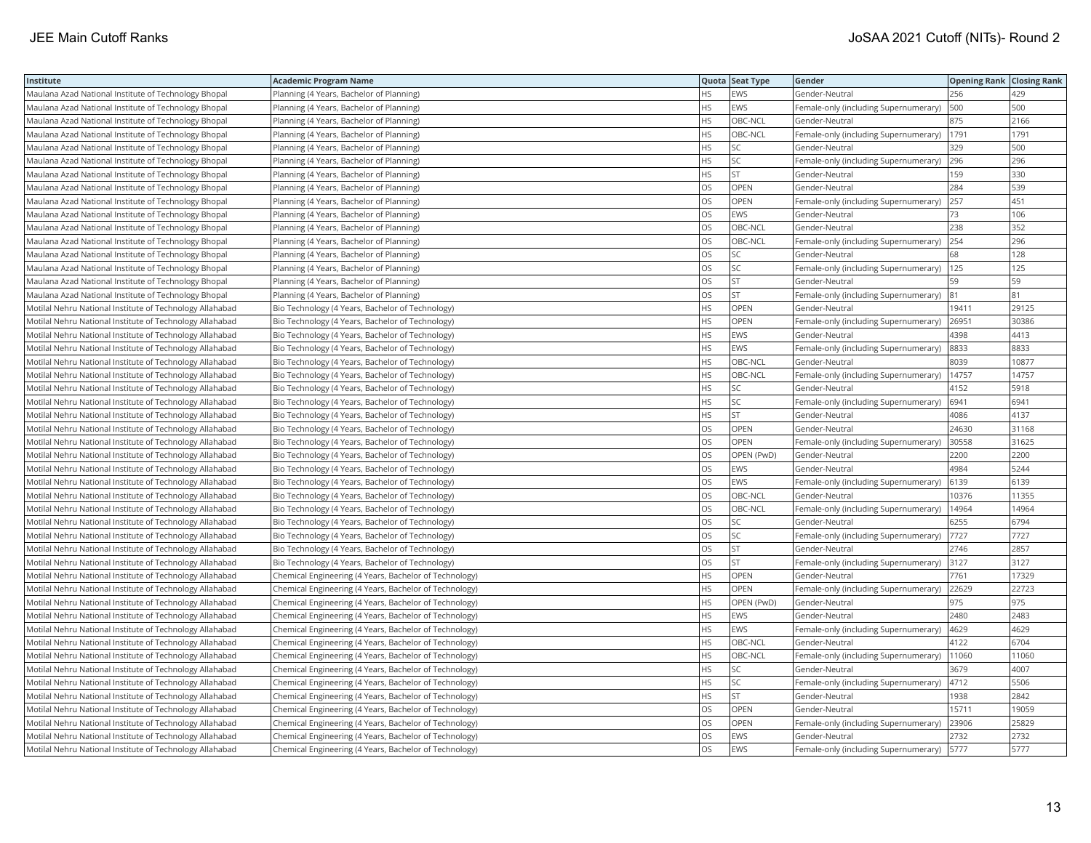| Institute                                                | <b>Academic Program Name</b>                           |           | Quota Seat Type | Gender                                | <b>Opening Rank Closing Rank</b> |       |
|----------------------------------------------------------|--------------------------------------------------------|-----------|-----------------|---------------------------------------|----------------------------------|-------|
| Maulana Azad National Institute of Technology Bhopal     | Planning (4 Years, Bachelor of Planning)               | HS        | EWS             | Gender-Neutral                        | 256                              | 429   |
| Maulana Azad National Institute of Technology Bhopal     | Planning (4 Years, Bachelor of Planning)               | HS.       | EWS             | Female-only (including Supernumerary) | 500                              | 500   |
| Maulana Azad National Institute of Technology Bhopal     | Planning (4 Years, Bachelor of Planning)               | HS.       | OBC-NCL         | Gender-Neutral                        | 875                              | 2166  |
| Maulana Azad National Institute of Technology Bhopal     | Planning (4 Years, Bachelor of Planning)               | HS.       | OBC-NCL         | Female-only (including Supernumerary) | 1791                             | 1791  |
| Maulana Azad National Institute of Technology Bhopal     | Planning (4 Years, Bachelor of Planning)               | HS.       | SC              | Gender-Neutral                        | 329                              | 500   |
| Maulana Azad National Institute of Technology Bhopal     | Planning (4 Years, Bachelor of Planning)               | HS.       | SC              | Female-only (including Supernumerary) | 296                              | 296   |
| Maulana Azad National Institute of Technology Bhopal     | Planning (4 Years, Bachelor of Planning)               | HS.       | <b>ST</b>       | Gender-Neutral                        | 159                              | 330   |
| Maulana Azad National Institute of Technology Bhopal     | Planning (4 Years, Bachelor of Planning)               | <b>OS</b> | <b>OPEN</b>     | Gender-Neutral                        | 284                              | 539   |
| Maulana Azad National Institute of Technology Bhopal     | Planning (4 Years, Bachelor of Planning)               | OS        | OPEN            | Female-only (including Supernumerary) | 257                              | 451   |
| Maulana Azad National Institute of Technology Bhopal     | Planning (4 Years, Bachelor of Planning)               | OS        | EWS             | Gender-Neutral                        | 73                               | 106   |
| Maulana Azad National Institute of Technology Bhopal     | Planning (4 Years, Bachelor of Planning)               | OS        | OBC-NCL         | Gender-Neutral                        | 238                              | 352   |
| Maulana Azad National Institute of Technology Bhopal     | Planning (4 Years, Bachelor of Planning)               | OS        | OBC-NCL         | Female-only (including Supernumerary) | 254                              | 296   |
| Maulana Azad National Institute of Technology Bhopal     | Planning (4 Years, Bachelor of Planning)               | OS        | SC              | Gender-Neutral                        | 68                               | 128   |
| Maulana Azad National Institute of Technology Bhopal     | Planning (4 Years, Bachelor of Planning)               | OS.       | SC              | Female-only (including Supernumerary) | 125                              | 125   |
| Maulana Azad National Institute of Technology Bhopal     | Planning (4 Years, Bachelor of Planning)               | OS.       | <b>ST</b>       | Gender-Neutral                        | 59                               | 59    |
| Maulana Azad National Institute of Technology Bhopal     | Planning (4 Years, Bachelor of Planning)               | OS        | <b>ST</b>       | Female-only (including Supernumerary) | 81                               | 81    |
| Motilal Nehru National Institute of Technology Allahabad | Bio Technology (4 Years, Bachelor of Technology)       | HS.       | OPEN            | Gender-Neutral                        | 19411                            | 29125 |
| Motilal Nehru National Institute of Technology Allahabad | Bio Technology (4 Years, Bachelor of Technology)       | HS.       | <b>OPEN</b>     | Female-only (including Supernumerary) | 26951                            | 30386 |
| Motilal Nehru National Institute of Technology Allahabad | Bio Technology (4 Years, Bachelor of Technology)       | HS        | EWS             | Gender-Neutral                        | 4398                             | 4413  |
| Motilal Nehru National Institute of Technology Allahabad | Bio Technology (4 Years, Bachelor of Technology)       | HS        | EWS             | Female-only (including Supernumerary) | 8833                             | 8833  |
| Motilal Nehru National Institute of Technology Allahabad | Bio Technology (4 Years, Bachelor of Technology)       | HS        | OBC-NCL         | Gender-Neutral                        | 8039                             | 10877 |
| Motilal Nehru National Institute of Technology Allahabad | Bio Technology (4 Years, Bachelor of Technology)       | HS.       | OBC-NCL         | Female-only (including Supernumerary) | 14757                            | 14757 |
| Motilal Nehru National Institute of Technology Allahabad | Bio Technology (4 Years, Bachelor of Technology)       | HS.       | SC              | Gender-Neutral                        | 4152                             | 5918  |
| Motilal Nehru National Institute of Technology Allahabad | Bio Technology (4 Years, Bachelor of Technology)       | HS.       | SC              | Female-only (including Supernumerary) | 6941                             | 6941  |
| Motilal Nehru National Institute of Technology Allahabad | Bio Technology (4 Years, Bachelor of Technology)       | HS        | <b>ST</b>       | Gender-Neutral                        | 4086                             | 4137  |
| Motilal Nehru National Institute of Technology Allahabad | Bio Technology (4 Years, Bachelor of Technology)       | OS        | OPEN            | Gender-Neutral                        | 24630                            | 31168 |
| Motilal Nehru National Institute of Technology Allahabad | Bio Technology (4 Years, Bachelor of Technology)       | OS        | OPEN            | Female-only (including Supernumerary) | 30558                            | 31625 |
| Motilal Nehru National Institute of Technology Allahabad | Bio Technology (4 Years, Bachelor of Technology)       | OS        | OPEN (PwD)      | Gender-Neutral                        | 2200                             | 2200  |
| Motilal Nehru National Institute of Technology Allahabad | Bio Technology (4 Years, Bachelor of Technology)       | OS        | EWS             | Gender-Neutral                        | 4984                             | 5244  |
| Motilal Nehru National Institute of Technology Allahabad | Bio Technology (4 Years, Bachelor of Technology)       | OS.       | EWS             | Female-only (including Supernumerary) | 6139                             | 6139  |
| Motilal Nehru National Institute of Technology Allahabad | Bio Technology (4 Years, Bachelor of Technology)       | OS        | OBC-NCL         | Gender-Neutral                        | 10376                            | 11355 |
| Motilal Nehru National Institute of Technology Allahabad | Bio Technology (4 Years, Bachelor of Technology)       | OS        | OBC-NCL         | Female-only (including Supernumerary) | 14964                            | 14964 |
| Motilal Nehru National Institute of Technology Allahabad | Bio Technology (4 Years, Bachelor of Technology)       | OS        | SC              | Gender-Neutral                        | 6255                             | 6794  |
| Motilal Nehru National Institute of Technology Allahabad | Bio Technology (4 Years, Bachelor of Technology)       | OS        | SC              | Female-only (including Supernumerary) | 7727                             | 7727  |
| Motilal Nehru National Institute of Technology Allahabad | Bio Technology (4 Years, Bachelor of Technology)       | <b>OS</b> | ST              | Gender-Neutral                        | 2746                             | 2857  |
| Motilal Nehru National Institute of Technology Allahabad | Bio Technology (4 Years, Bachelor of Technology)       | OS        | <b>ST</b>       | Female-only (including Supernumerary) | 3127                             | 3127  |
| Motilal Nehru National Institute of Technology Allahabad | Chemical Engineering (4 Years, Bachelor of Technology) | HS.       | <b>OPEN</b>     | Gender-Neutral                        | 7761                             | 17329 |
| Motilal Nehru National Institute of Technology Allahabad | Chemical Engineering (4 Years, Bachelor of Technology) | HS.       | OPEN            | Female-only (including Supernumerary) | 22629                            | 22723 |
| Motilal Nehru National Institute of Technology Allahabad | Chemical Engineering (4 Years, Bachelor of Technology) | HS        | OPEN (PwD)      | Gender-Neutral                        | 975                              | 975   |
| Motilal Nehru National Institute of Technology Allahabad | Chemical Engineering (4 Years, Bachelor of Technology) | HS        | EWS             | Gender-Neutral                        | 2480                             | 2483  |
| Motilal Nehru National Institute of Technology Allahabad | Chemical Engineering (4 Years, Bachelor of Technology) | HS        | EWS             | Female-only (including Supernumerary) | 4629                             | 4629  |
| Motilal Nehru National Institute of Technology Allahabad | Chemical Engineering (4 Years, Bachelor of Technology) | ΗS        | OBC-NCL         | Gender-Neutral                        | 4122                             | 6704  |
| Motilal Nehru National Institute of Technology Allahabad | Chemical Engineering (4 Years, Bachelor of Technology) | НS        | OBC-NCL         | Female-only (including Supernumerary) | 11060                            | 11060 |
| Motilal Nehru National Institute of Technology Allahabad | Chemical Engineering (4 Years, Bachelor of Technology) | HS.       | SC              | Gender-Neutral                        | 3679                             | 4007  |
| Motilal Nehru National Institute of Technology Allahabad | Chemical Engineering (4 Years, Bachelor of Technology) | HS.       | SC              | Female-only (including Supernumerary) | 4712                             | 5506  |
| Motilal Nehru National Institute of Technology Allahabad | Chemical Engineering (4 Years, Bachelor of Technology) | HS.       | <b>ST</b>       | Gender-Neutral                        | 1938                             | 2842  |
| Motilal Nehru National Institute of Technology Allahabad | Chemical Engineering (4 Years, Bachelor of Technology) | OS        | OPEN            | Gender-Neutral                        | 15711                            | 19059 |
| Motilal Nehru National Institute of Technology Allahabad | Chemical Engineering (4 Years, Bachelor of Technology) | <b>OS</b> | <b>OPEN</b>     | Female-only (including Supernumerary) | 23906                            | 25829 |
| Motilal Nehru National Institute of Technology Allahabad | Chemical Engineering (4 Years, Bachelor of Technology) | OS        | EWS             | Gender-Neutral                        | 2732                             | 2732  |
| Motilal Nehru National Institute of Technology Allahabad | Chemical Engineering (4 Years, Bachelor of Technology) | <b>OS</b> | EWS             | Female-only (including Supernumerary) | 5777                             | 5777  |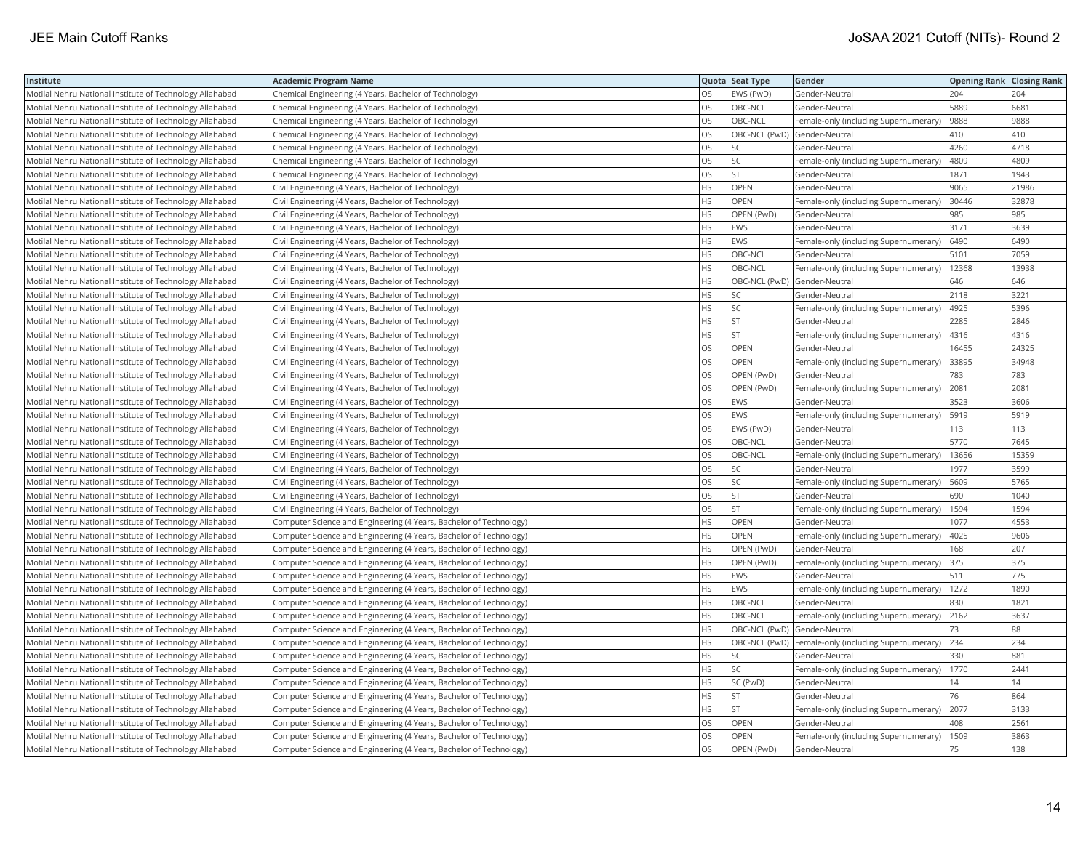| Institute                                                | <b>Academic Program Name</b>                                       |           | Quota Seat Type | Gender                                                | <b>Opening Rank Closing Rank</b> |       |
|----------------------------------------------------------|--------------------------------------------------------------------|-----------|-----------------|-------------------------------------------------------|----------------------------------|-------|
| Motilal Nehru National Institute of Technology Allahabad | Chemical Engineering (4 Years, Bachelor of Technology)             | OS.       | EWS (PwD)       | Gender-Neutral                                        | 204                              | 204   |
| Motilal Nehru National Institute of Technology Allahabad | Chemical Engineering (4 Years, Bachelor of Technology)             | OS        | OBC-NCL         | Gender-Neutral                                        | 5889                             | 6681  |
| Motilal Nehru National Institute of Technology Allahabad | Chemical Engineering (4 Years, Bachelor of Technology)             | <b>OS</b> | OBC-NCL         | Female-only (including Supernumerary)                 | 9888                             | 9888  |
| Motilal Nehru National Institute of Technology Allahabad | Chemical Engineering (4 Years, Bachelor of Technology)             | OS        | OBC-NCL (PwD)   | Gender-Neutral                                        | 410                              | 410   |
| Motilal Nehru National Institute of Technology Allahabad | Chemical Engineering (4 Years, Bachelor of Technology)             | OS        | SC              | Gender-Neutral                                        | 4260                             | 4718  |
| Motilal Nehru National Institute of Technology Allahabad | Chemical Engineering (4 Years, Bachelor of Technology)             | OS        | SC              | Female-only (including Supernumerary)                 | 4809                             | 4809  |
| Motilal Nehru National Institute of Technology Allahabad | Chemical Engineering (4 Years, Bachelor of Technology)             | <b>OS</b> | <b>ST</b>       | Gender-Neutral                                        | 1871                             | 1943  |
| Motilal Nehru National Institute of Technology Allahabad | Civil Engineering (4 Years, Bachelor of Technology)                | HS.       | <b>OPEN</b>     | Gender-Neutral                                        | 9065                             | 21986 |
| Motilal Nehru National Institute of Technology Allahabad | Civil Engineering (4 Years, Bachelor of Technology)                | HS.       | OPEN            | Female-only (including Supernumerary)                 | 30446                            | 32878 |
| Motilal Nehru National Institute of Technology Allahabad | Civil Engineering (4 Years, Bachelor of Technology)                | HS.       | OPEN (PwD)      | Gender-Neutral                                        | 985                              | 985   |
| Motilal Nehru National Institute of Technology Allahabad | Civil Engineering (4 Years, Bachelor of Technology)                | HS.       | <b>EWS</b>      | Gender-Neutral                                        | 3171                             | 3639  |
| Motilal Nehru National Institute of Technology Allahabad | Civil Engineering (4 Years, Bachelor of Technology)                | HS        | EWS             | Female-only (including Supernumerary)                 | 6490                             | 6490  |
| Motilal Nehru National Institute of Technology Allahabad | Civil Engineering (4 Years, Bachelor of Technology)                | HS        | OBC-NCL         | Gender-Neutral                                        | 5101                             | 7059  |
| Motilal Nehru National Institute of Technology Allahabad | Civil Engineering (4 Years, Bachelor of Technology)                | HS.       | OBC-NCL         | Female-only (including Supernumerary)                 | 12368                            | 13938 |
| Motilal Nehru National Institute of Technology Allahabad | Civil Engineering (4 Years, Bachelor of Technology)                | ΗS        | OBC-NCL (PwD)   | Gender-Neutral                                        | 646                              | 646   |
| Motilal Nehru National Institute of Technology Allahabad | Civil Engineering (4 Years, Bachelor of Technology)                | HS.       | SC              | Gender-Neutral                                        | 2118                             | 3221  |
| Motilal Nehru National Institute of Technology Allahabad | Civil Engineering (4 Years, Bachelor of Technology)                | HS.       | SC              | Female-only (including Supernumerary)                 | 4925                             | 5396  |
| Motilal Nehru National Institute of Technology Allahabad | Civil Engineering (4 Years, Bachelor of Technology)                | HS.       | <b>ST</b>       | Gender-Neutral                                        | 2285                             | 2846  |
| Motilal Nehru National Institute of Technology Allahabad | Civil Engineering (4 Years, Bachelor of Technology)                | HS.       | <b>ST</b>       | Female-only (including Supernumerary)                 | 4316                             | 4316  |
| Motilal Nehru National Institute of Technology Allahabad | Civil Engineering (4 Years, Bachelor of Technology)                | OS.       | OPEN            | Gender-Neutral                                        | 16455                            | 24325 |
| Motilal Nehru National Institute of Technology Allahabad | Civil Engineering (4 Years, Bachelor of Technology)                | OS        | OPEN            | Female-only (including Supernumerary)                 | 33895                            | 34948 |
| Motilal Nehru National Institute of Technology Allahabad | Civil Engineering (4 Years, Bachelor of Technology)                | OS        | OPEN (PwD)      | Gender-Neutral                                        | 783                              | 783   |
| Motilal Nehru National Institute of Technology Allahabad | Civil Engineering (4 Years, Bachelor of Technology)                | <b>OS</b> | OPEN (PwD)      | Female-only (including Supernumerary)                 | 2081                             | 2081  |
| Motilal Nehru National Institute of Technology Allahabad | Civil Engineering (4 Years, Bachelor of Technology)                | OS        | EWS             | Gender-Neutral                                        | 3523                             | 3606  |
| Motilal Nehru National Institute of Technology Allahabad | Civil Engineering (4 Years, Bachelor of Technology)                | <b>OS</b> | EWS             | Female-only (including Supernumerary)                 | 5919                             | 5919  |
| Motilal Nehru National Institute of Technology Allahabad | Civil Engineering (4 Years, Bachelor of Technology)                | <b>OS</b> | EWS (PwD)       | Gender-Neutral                                        | 113                              | 113   |
| Motilal Nehru National Institute of Technology Allahabad | Civil Engineering (4 Years, Bachelor of Technology)                | OS        | OBC-NCL         | Gender-Neutral                                        | 5770                             | 7645  |
| Motilal Nehru National Institute of Technology Allahabad | Civil Engineering (4 Years, Bachelor of Technology)                | OS        | OBC-NCL         | Female-only (including Supernumerary)                 | 13656                            | 15359 |
| Motilal Nehru National Institute of Technology Allahabad | Civil Engineering (4 Years, Bachelor of Technology)                | OS        | SC              | Gender-Neutral                                        | 1977                             | 3599  |
| Motilal Nehru National Institute of Technology Allahabad | Civil Engineering (4 Years, Bachelor of Technology)                | OS        | SC              | Female-only (including Supernumerary)                 | 5609                             | 5765  |
| Motilal Nehru National Institute of Technology Allahabad | Civil Engineering (4 Years, Bachelor of Technology)                | OS        | <b>ST</b>       | Gender-Neutral                                        | 690                              | 1040  |
| Motilal Nehru National Institute of Technology Allahabad | Civil Engineering (4 Years, Bachelor of Technology)                | OS.       | <b>ST</b>       | Female-only (including Supernumerary)                 | 1594                             | 1594  |
| Motilal Nehru National Institute of Technology Allahabad | Computer Science and Engineering (4 Years, Bachelor of Technology) | HS.       | OPEN            | Gender-Neutral                                        | 1077                             | 4553  |
| Motilal Nehru National Institute of Technology Allahabad | Computer Science and Engineering (4 Years, Bachelor of Technology) | HS.       | OPEN            | Female-only (including Supernumerary)                 | 4025                             | 9606  |
| Motilal Nehru National Institute of Technology Allahabad | Computer Science and Engineering (4 Years, Bachelor of Technology) | HS.       | OPEN (PwD)      | Gender-Neutral                                        | 168                              | 207   |
| Motilal Nehru National Institute of Technology Allahabad | Computer Science and Engineering (4 Years, Bachelor of Technology) | HS.       | OPEN (PwD)      | Female-only (including Supernumerary)                 | 375                              | 375   |
| Motilal Nehru National Institute of Technology Allahabad | Computer Science and Engineering (4 Years, Bachelor of Technology) | ΗS        | EWS             | Gender-Neutral                                        | 511                              | 775   |
| Motilal Nehru National Institute of Technology Allahabad | Computer Science and Engineering (4 Years, Bachelor of Technology) | HS.       | EWS             | Female-only (including Supernumerary)                 | 1272                             | 1890  |
| Motilal Nehru National Institute of Technology Allahabad | Computer Science and Engineering (4 Years, Bachelor of Technology) | HS.       | OBC-NCL         | Gender-Neutral                                        | 830                              | 1821  |
| Motilal Nehru National Institute of Technology Allahabad | Computer Science and Engineering (4 Years, Bachelor of Technology) | HS.       | OBC-NCL         | Female-only (including Supernumerary)                 | 2162                             | 3637  |
| Motilal Nehru National Institute of Technology Allahabad | Computer Science and Engineering (4 Years, Bachelor of Technology) | HS        | OBC-NCL (PwD)   | Gender-Neutral                                        | 73                               | 88    |
| Motilal Nehru National Institute of Technology Allahabad | Computer Science and Engineering (4 Years, Bachelor of Technology) | HS        |                 | OBC-NCL (PwD)   Female-only (including Supernumerary) | 234                              | 234   |
| Motilal Nehru National Institute of Technology Allahabad | Computer Science and Engineering (4 Years, Bachelor of Technology) | HS        | SC              | Gender-Neutral                                        | 330                              | 881   |
| Motilal Nehru National Institute of Technology Allahabad | Computer Science and Engineering (4 Years, Bachelor of Technology) | ΗS        | SC              | Female-only (including Supernumerary)                 | 1770                             | 2441  |
| Motilal Nehru National Institute of Technology Allahabad | Computer Science and Engineering (4 Years, Bachelor of Technology) | HS.       | SC (PwD)        | Gender-Neutral                                        | 14                               | 14    |
| Motilal Nehru National Institute of Technology Allahabad | Computer Science and Engineering (4 Years, Bachelor of Technology) | HS.       | <b>ST</b>       | Gender-Neutral                                        | 76                               | 864   |
| Motilal Nehru National Institute of Technology Allahabad | Computer Science and Engineering (4 Years, Bachelor of Technology) | HS.       | <b>ST</b>       | Female-only (including Supernumerary)                 | 2077                             | 3133  |
| Motilal Nehru National Institute of Technology Allahabad | Computer Science and Engineering (4 Years, Bachelor of Technology) | OS.       | <b>OPEN</b>     | Gender-Neutral                                        | 408                              | 2561  |
| Motilal Nehru National Institute of Technology Allahabad | Computer Science and Engineering (4 Years, Bachelor of Technology) | OS        | OPEN            | Female-only (including Supernumerary)                 | 1509                             | 3863  |
| Motilal Nehru National Institute of Technology Allahabad | Computer Science and Engineering (4 Years, Bachelor of Technology) | <b>OS</b> | OPEN (PwD)      | Gender-Neutral                                        | 75                               | 138   |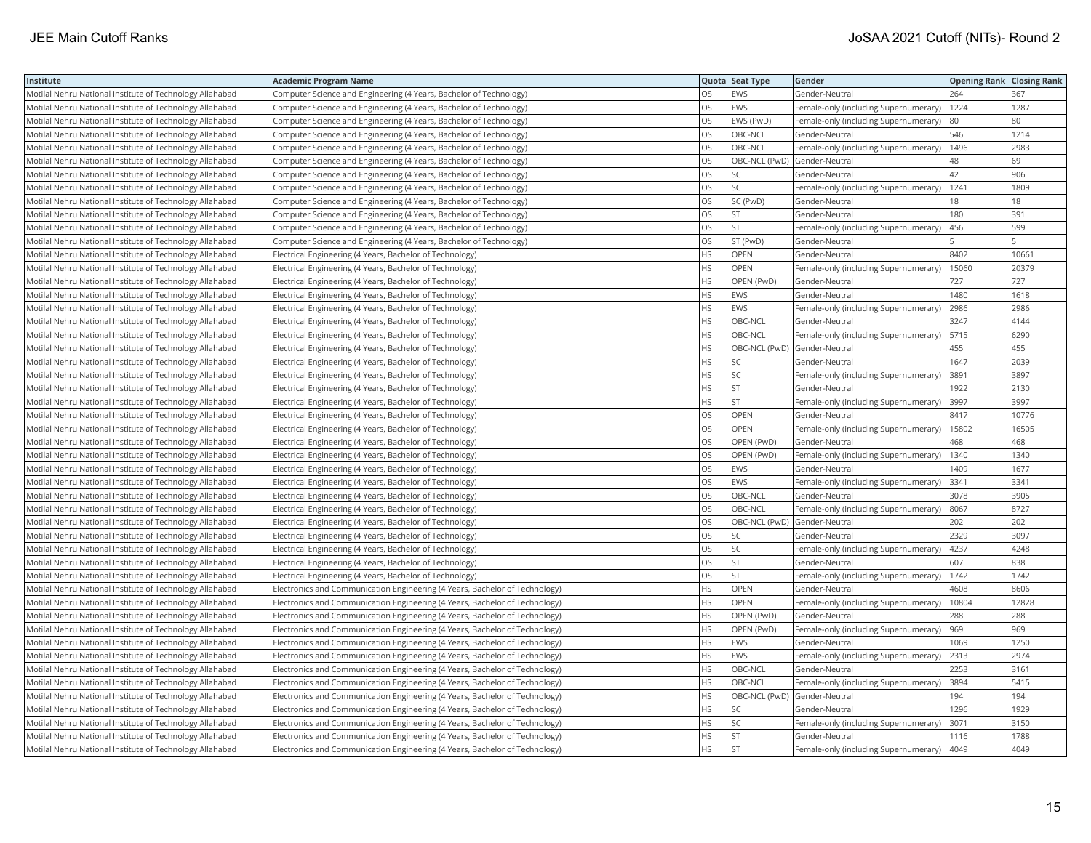| Institute                                                | <b>Academic Program Name</b>                                                |           | Quota Seat Type | Gender                                | <b>Opening Rank Closing Rank</b> |       |
|----------------------------------------------------------|-----------------------------------------------------------------------------|-----------|-----------------|---------------------------------------|----------------------------------|-------|
| Motilal Nehru National Institute of Technology Allahabad | Computer Science and Engineering (4 Years, Bachelor of Technology)          | OS.       | EWS             | Gender-Neutral                        | 264                              | 367   |
| Motilal Nehru National Institute of Technology Allahabad | Computer Science and Engineering (4 Years, Bachelor of Technology)          | OS        | <b>EWS</b>      | Female-only (including Supernumerary) | 1224                             | 1287  |
| Motilal Nehru National Institute of Technology Allahabad | Computer Science and Engineering (4 Years, Bachelor of Technology)          | OS.       | EWS (PwD)       | Female-only (including Supernumerary) | 80                               | 80    |
| Motilal Nehru National Institute of Technology Allahabad | Computer Science and Engineering (4 Years, Bachelor of Technology)          | OS        | OBC-NCL         | Gender-Neutral                        | 546                              | 1214  |
| Motilal Nehru National Institute of Technology Allahabad | Computer Science and Engineering (4 Years, Bachelor of Technology)          | OS        | OBC-NCL         | Female-only (including Supernumerary) | 1496                             | 2983  |
| Motilal Nehru National Institute of Technology Allahabad | Computer Science and Engineering (4 Years, Bachelor of Technology)          | <b>OS</b> | OBC-NCL (PwD)   | Gender-Neutral                        | 48                               | 69    |
| Motilal Nehru National Institute of Technology Allahabad | Computer Science and Engineering (4 Years, Bachelor of Technology)          | OS.       | <b>SC</b>       | Gender-Neutral                        | 42                               | 906   |
| Motilal Nehru National Institute of Technology Allahabad | Computer Science and Engineering (4 Years, Bachelor of Technology)          | <b>OS</b> | SC              | Female-only (including Supernumerary) | 1241                             | 1809  |
| Motilal Nehru National Institute of Technology Allahabad | Computer Science and Engineering (4 Years, Bachelor of Technology)          | OS        | SC (PwD)        | Gender-Neutral                        | 18                               | 18    |
| Motilal Nehru National Institute of Technology Allahabad | Computer Science and Engineering (4 Years, Bachelor of Technology)          | OS        | <b>ST</b>       | Gender-Neutral                        | 180                              | 391   |
| Motilal Nehru National Institute of Technology Allahabad | Computer Science and Engineering (4 Years, Bachelor of Technology)          | OS        | <b>ST</b>       | Female-only (including Supernumerary) | 456                              | 599   |
| Motilal Nehru National Institute of Technology Allahabad | Computer Science and Engineering (4 Years, Bachelor of Technology)          | OS        | ST (PwD)        | Gender-Neutral                        |                                  |       |
| Motilal Nehru National Institute of Technology Allahabad | Electrical Engineering (4 Years, Bachelor of Technology)                    | ΗS        | OPEN            | Gender-Neutral                        | 8402                             | 10661 |
| Motilal Nehru National Institute of Technology Allahabad | Electrical Engineering (4 Years, Bachelor of Technology)                    | HS.       | <b>OPEN</b>     | Female-only (including Supernumerary) | 15060                            | 20379 |
| Motilal Nehru National Institute of Technology Allahabad | Electrical Engineering (4 Years, Bachelor of Technology)                    | HS        | OPEN (PwD)      | Gender-Neutral                        | 727                              | 727   |
| Motilal Nehru National Institute of Technology Allahabad | Electrical Engineering (4 Years, Bachelor of Technology)                    | HS.       | <b>EWS</b>      | Gender-Neutral                        | 1480                             | 1618  |
| Motilal Nehru National Institute of Technology Allahabad | Electrical Engineering (4 Years, Bachelor of Technology)                    | HS.       | <b>EWS</b>      | Female-only (including Supernumerary) | 2986                             | 2986  |
| Motilal Nehru National Institute of Technology Allahabad | Electrical Engineering (4 Years, Bachelor of Technology)                    | HS.       | OBC-NCL         | Gender-Neutral                        | 3247                             | 4144  |
| Motilal Nehru National Institute of Technology Allahabad | Electrical Engineering (4 Years, Bachelor of Technology)                    | HS.       | OBC-NCL         | Female-only (including Supernumerary) | 5715                             | 6290  |
| Motilal Nehru National Institute of Technology Allahabad | Electrical Engineering (4 Years, Bachelor of Technology)                    | HS.       | OBC-NCL (PwD)   | Gender-Neutral                        | 455                              | 455   |
| Motilal Nehru National Institute of Technology Allahabad | Electrical Engineering (4 Years, Bachelor of Technology)                    | HS.       | SC              | Gender-Neutral                        | 1647                             | 2039  |
| Motilal Nehru National Institute of Technology Allahabad | Electrical Engineering (4 Years, Bachelor of Technology)                    | HS.       | SC              | Female-only (including Supernumerary) | 3891                             | 3897  |
| Motilal Nehru National Institute of Technology Allahabad | Electrical Engineering (4 Years, Bachelor of Technology)                    | HS.       | <b>ST</b>       | Gender-Neutral                        | 1922                             | 2130  |
| Motilal Nehru National Institute of Technology Allahabad | Electrical Engineering (4 Years, Bachelor of Technology)                    | HS.       | <b>ST</b>       | Female-only (including Supernumerary) | 3997                             | 3997  |
| Motilal Nehru National Institute of Technology Allahabad | Electrical Engineering (4 Years, Bachelor of Technology)                    | OS        | OPEN            | Gender-Neutral                        | 8417                             | 10776 |
| Motilal Nehru National Institute of Technology Allahabad | Electrical Engineering (4 Years, Bachelor of Technology)                    | OS        | OPEN            | Female-only (including Supernumerary) | 15802                            | 16505 |
| Motilal Nehru National Institute of Technology Allahabad | Electrical Engineering (4 Years, Bachelor of Technology)                    | OS        | OPEN (PwD)      | Gender-Neutral                        | 468                              | 468   |
| Motilal Nehru National Institute of Technology Allahabad | Electrical Engineering (4 Years, Bachelor of Technology)                    | OS        | OPEN (PwD)      | Female-only (including Supernumerary) | 1340                             | 1340  |
| Motilal Nehru National Institute of Technology Allahabad | Electrical Engineering (4 Years, Bachelor of Technology)                    | OS        | EWS             | Gender-Neutral                        | 1409                             | 1677  |
| Motilal Nehru National Institute of Technology Allahabad | Electrical Engineering (4 Years, Bachelor of Technology)                    | OS.       | EWS             | Female-only (including Supernumerary) | 3341                             | 3341  |
| Motilal Nehru National Institute of Technology Allahabad | Electrical Engineering (4 Years, Bachelor of Technology)                    | OS        | OBC-NCL         | Gender-Neutral                        | 3078                             | 3905  |
| Motilal Nehru National Institute of Technology Allahabad | Electrical Engineering (4 Years, Bachelor of Technology)                    | OS        | OBC-NCL         | Female-only (including Supernumerary) | 8067                             | 8727  |
| Motilal Nehru National Institute of Technology Allahabad | Electrical Engineering (4 Years, Bachelor of Technology)                    | OS        | OBC-NCL (PwD)   | Gender-Neutral                        | 202                              | 202   |
| Motilal Nehru National Institute of Technology Allahabad | Electrical Engineering (4 Years, Bachelor of Technology)                    | OS        | SC              | Gender-Neutral                        | 2329                             | 3097  |
| Motilal Nehru National Institute of Technology Allahabad | Electrical Engineering (4 Years, Bachelor of Technology)                    | OS        | SC              | Female-only (including Supernumerary) | 4237                             | 4248  |
| Motilal Nehru National Institute of Technology Allahabad | Electrical Engineering (4 Years, Bachelor of Technology)                    | OS        | <b>ST</b>       | Gender-Neutral                        | 607                              | 838   |
| Motilal Nehru National Institute of Technology Allahabad | Electrical Engineering (4 Years, Bachelor of Technology)                    | OS.       | <b>ST</b>       | Female-only (including Supernumerary) | 1742                             | 1742  |
| Motilal Nehru National Institute of Technology Allahabad | Electronics and Communication Engineering (4 Years, Bachelor of Technology) | HS.       | OPEN            | Gender-Neutral                        | 4608                             | 8606  |
| Motilal Nehru National Institute of Technology Allahabad | Electronics and Communication Engineering (4 Years, Bachelor of Technology) | HS        | OPEN            | Female-only (including Supernumerary) | 10804                            | 12828 |
| Motilal Nehru National Institute of Technology Allahabad | Electronics and Communication Engineering (4 Years, Bachelor of Technology) | HS        | OPEN (PwD)      | Gender-Neutral                        | 288                              | 288   |
| Motilal Nehru National Institute of Technology Allahabad | Electronics and Communication Engineering (4 Years, Bachelor of Technology) | HS        | OPEN (PwD)      | Female-only (including Supernumerary) | 969                              | 969   |
| Motilal Nehru National Institute of Technology Allahabad | Electronics and Communication Engineering (4 Years, Bachelor of Technology) | ΗS        | EWS             | Gender-Neutral                        | 1069                             | 1250  |
| Motilal Nehru National Institute of Technology Allahabad | Electronics and Communication Engineering (4 Years, Bachelor of Technology) | НS        | EWS             | Female-only (including Supernumerary) | 2313                             | 2974  |
| Motilal Nehru National Institute of Technology Allahabad | Electronics and Communication Engineering (4 Years, Bachelor of Technology) | HS.       | <b>OBC-NCL</b>  | Gender-Neutral                        | 2253                             | 3161  |
| Motilal Nehru National Institute of Technology Allahabad | Electronics and Communication Engineering (4 Years, Bachelor of Technology) | HS.       | OBC-NCL         | Female-only (including Supernumerary) | 3894                             | 5415  |
| Motilal Nehru National Institute of Technology Allahabad | Electronics and Communication Engineering (4 Years, Bachelor of Technology) | HS.       | OBC-NCL (PwD)   | Gender-Neutral                        | 194                              | 194   |
| Motilal Nehru National Institute of Technology Allahabad | Electronics and Communication Engineering (4 Years, Bachelor of Technology) | HS        | SC              | Gender-Neutral                        | 1296                             | 1929  |
| Motilal Nehru National Institute of Technology Allahabad | Electronics and Communication Engineering (4 Years, Bachelor of Technology) | HS        | SC              | Female-only (including Supernumerary) | 3071                             | 3150  |
| Motilal Nehru National Institute of Technology Allahabad | Electronics and Communication Engineering (4 Years, Bachelor of Technology) | HS        | <b>ST</b>       | Gender-Neutral                        | 1116                             | 1788  |
| Motilal Nehru National Institute of Technology Allahabad | Electronics and Communication Engineering (4 Years, Bachelor of Technology) | <b>HS</b> | <b>ST</b>       | Female-only (including Supernumerary) | 4049                             | 4049  |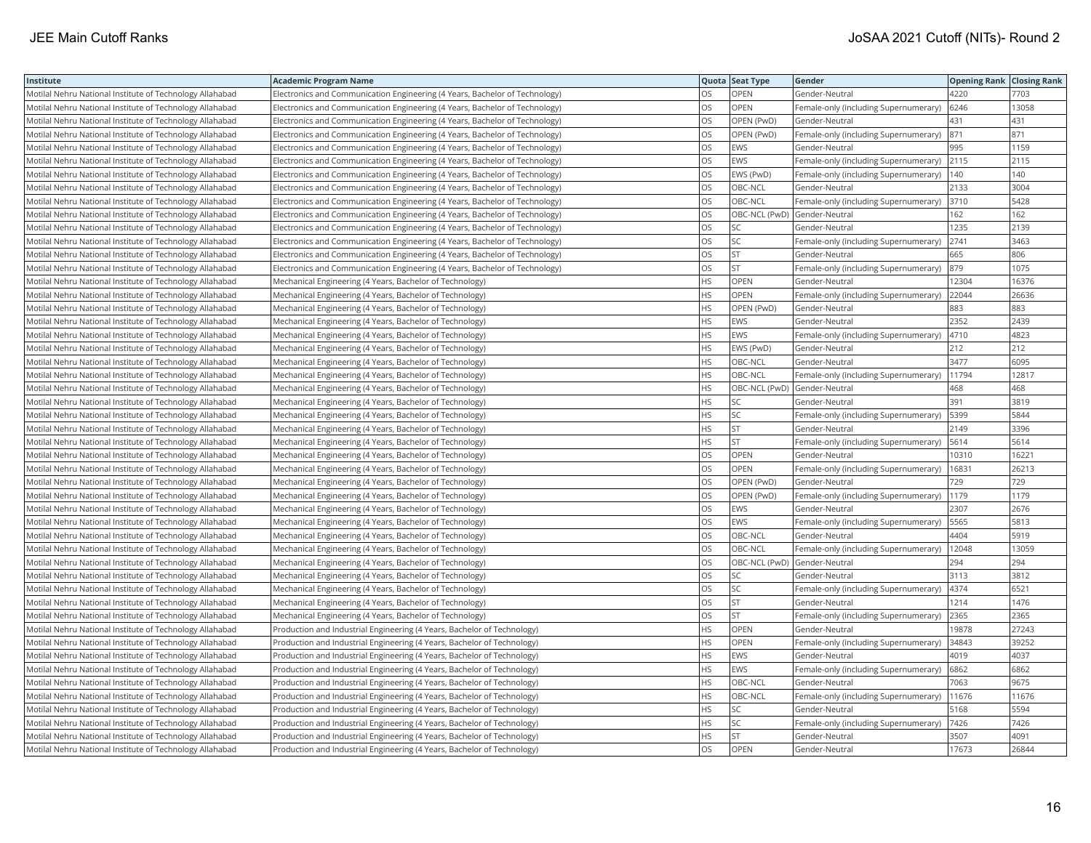| Institute                                                | <b>Academic Program Name</b>                                                |           | Quota Seat Type | Gender                                | <b>Opening Rank Closing Rank</b> |       |
|----------------------------------------------------------|-----------------------------------------------------------------------------|-----------|-----------------|---------------------------------------|----------------------------------|-------|
| Motilal Nehru National Institute of Technology Allahabad | Electronics and Communication Engineering (4 Years, Bachelor of Technology) | OS        | OPEN            | Gender-Neutral                        | 4220                             | 7703  |
| Motilal Nehru National Institute of Technology Allahabad | Electronics and Communication Engineering (4 Years, Bachelor of Technology) | OS        | OPEN            | Female-only (including Supernumerary) | 6246                             | 13058 |
| Motilal Nehru National Institute of Technology Allahabad | Electronics and Communication Engineering (4 Years, Bachelor of Technology) | OS.       | OPEN (PwD)      | Gender-Neutral                        | 431                              | 431   |
| Motilal Nehru National Institute of Technology Allahabad | Electronics and Communication Engineering (4 Years, Bachelor of Technology) | OS        | OPEN (PwD)      | Female-only (including Supernumerary) | 871                              | 871   |
| Motilal Nehru National Institute of Technology Allahabad | Electronics and Communication Engineering (4 Years, Bachelor of Technology) | OS.       | <b>EWS</b>      | Gender-Neutral                        | 995                              | 1159  |
| Motilal Nehru National Institute of Technology Allahabad | Electronics and Communication Engineering (4 Years, Bachelor of Technology) | <b>OS</b> | EWS             | Female-only (including Supernumerary) | 2115                             | 2115  |
| Motilal Nehru National Institute of Technology Allahabad | Electronics and Communication Engineering (4 Years, Bachelor of Technology) | <b>OS</b> | EWS (PwD)       | Female-only (including Supernumerary) | 140                              | 140   |
| Motilal Nehru National Institute of Technology Allahabad | Electronics and Communication Engineering (4 Years, Bachelor of Technology) | <b>OS</b> | OBC-NCL         | Gender-Neutral                        | 2133                             | 3004  |
| Motilal Nehru National Institute of Technology Allahabad | Electronics and Communication Engineering (4 Years, Bachelor of Technology) | OS.       | OBC-NCL         | Female-only (including Supernumerary) | 3710                             | 5428  |
| Motilal Nehru National Institute of Technology Allahabad | Electronics and Communication Engineering (4 Years, Bachelor of Technology) | OS.       | OBC-NCL (PwD)   | Gender-Neutral                        | 162                              | 162   |
| Motilal Nehru National Institute of Technology Allahabad | Electronics and Communication Engineering (4 Years, Bachelor of Technology) | OS        | SC              | Gender-Neutral                        | 1235                             | 2139  |
| Motilal Nehru National Institute of Technology Allahabad | Electronics and Communication Engineering (4 Years, Bachelor of Technology) | OS        | SC              | Female-only (including Supernumerary) | 2741                             | 3463  |
| Motilal Nehru National Institute of Technology Allahabad | Electronics and Communication Engineering (4 Years, Bachelor of Technology) | OS        | ST              | Gender-Neutral                        | 665                              | 806   |
| Motilal Nehru National Institute of Technology Allahabad | Electronics and Communication Engineering (4 Years, Bachelor of Technology) | OS.       | <b>ST</b>       | Female-only (including Supernumerary) | 879                              | 1075  |
| Motilal Nehru National Institute of Technology Allahabad | Mechanical Engineering (4 Years, Bachelor of Technology)                    | HS        | <b>OPEN</b>     | Gender-Neutral                        | 12304                            | 16376 |
| Motilal Nehru National Institute of Technology Allahabad | Mechanical Engineering (4 Years, Bachelor of Technology)                    | HS.       | OPEN            | Female-only (including Supernumerary) | 22044                            | 26636 |
| Motilal Nehru National Institute of Technology Allahabad | Mechanical Engineering (4 Years, Bachelor of Technology)                    | HS.       | OPEN (PwD)      | Gender-Neutral                        | 883                              | 883   |
| Motilal Nehru National Institute of Technology Allahabad | Mechanical Engineering (4 Years, Bachelor of Technology)                    | HS.       | <b>EWS</b>      | Gender-Neutral                        | 2352                             | 2439  |
| Motilal Nehru National Institute of Technology Allahabad | Mechanical Engineering (4 Years, Bachelor of Technology)                    | HS.       | EWS             | Female-only (including Supernumerary) | 4710                             | 4823  |
| Motilal Nehru National Institute of Technology Allahabad | Mechanical Engineering (4 Years, Bachelor of Technology)                    | HS.       | EWS (PwD)       | Gender-Neutral                        | 212                              | 212   |
| Motilal Nehru National Institute of Technology Allahabad | Mechanical Engineering (4 Years, Bachelor of Technology)                    | HS.       | OBC-NCL         | Gender-Neutral                        | 3477                             | 6095  |
| Motilal Nehru National Institute of Technology Allahabad | Mechanical Engineering (4 Years, Bachelor of Technology)                    | HS        | OBC-NCL         | Female-only (including Supernumerary) | 11794                            | 12817 |
| Motilal Nehru National Institute of Technology Allahabad | Mechanical Engineering (4 Years, Bachelor of Technology)                    | HS.       | OBC-NCL (PwD)   | Gender-Neutral                        | 468                              | 468   |
| Motilal Nehru National Institute of Technology Allahabad | Mechanical Engineering (4 Years, Bachelor of Technology)                    | HS.       | SC              | Gender-Neutral                        | 391                              | 3819  |
| Motilal Nehru National Institute of Technology Allahabad | Mechanical Engineering (4 Years, Bachelor of Technology)                    | HS.       | SC              | Female-only (including Supernumerary) | 5399                             | 5844  |
| Motilal Nehru National Institute of Technology Allahabad | Mechanical Engineering (4 Years, Bachelor of Technology)                    | HS        | <b>ST</b>       | Gender-Neutral                        | 2149                             | 3396  |
| Motilal Nehru National Institute of Technology Allahabad | Mechanical Engineering (4 Years, Bachelor of Technology)                    | HS.       | <b>ST</b>       | Female-only (including Supernumerary) | 5614                             | 5614  |
| Motilal Nehru National Institute of Technology Allahabad | Mechanical Engineering (4 Years, Bachelor of Technology)                    | OS        | OPEN            | Gender-Neutral                        | 10310                            | 16221 |
| Motilal Nehru National Institute of Technology Allahabad | Mechanical Engineering (4 Years, Bachelor of Technology)                    | OS        | <b>OPEN</b>     | Female-only (including Supernumerary) | 16831                            | 26213 |
| Motilal Nehru National Institute of Technology Allahabad | Mechanical Engineering (4 Years, Bachelor of Technology)                    | OS.       | OPEN (PwD)      | Gender-Neutral                        | 729                              | 729   |
| Motilal Nehru National Institute of Technology Allahabad | Mechanical Engineering (4 Years, Bachelor of Technology)                    | OS        | OPEN (PwD)      | Female-only (including Supernumerary) | 1179                             | 1179  |
| Motilal Nehru National Institute of Technology Allahabad | Mechanical Engineering (4 Years, Bachelor of Technology)                    | OS        | <b>EWS</b>      | Gender-Neutral                        | 2307                             | 2676  |
| Motilal Nehru National Institute of Technology Allahabad | Mechanical Engineering (4 Years, Bachelor of Technology)                    | OS        | EWS             | Female-only (including Supernumerary) | 5565                             | 5813  |
| Motilal Nehru National Institute of Technology Allahabad | Mechanical Engineering (4 Years, Bachelor of Technology)                    | OS.       | OBC-NCL         | Gender-Neutral                        | 4404                             | 5919  |
| Motilal Nehru National Institute of Technology Allahabad | Mechanical Engineering (4 Years, Bachelor of Technology)                    | OS.       | OBC-NCL         | Female-only (including Supernumerary) | 12048                            | 13059 |
| Motilal Nehru National Institute of Technology Allahabad | Mechanical Engineering (4 Years, Bachelor of Technology)                    | OS        | OBC-NCL (PwD)   | Gender-Neutral                        | 294                              | 294   |
| Motilal Nehru National Institute of Technology Allahabad | Mechanical Engineering (4 Years, Bachelor of Technology)                    | OS.       | <b>SC</b>       | Gender-Neutral                        | 3113                             | 3812  |
| Motilal Nehru National Institute of Technology Allahabad | Mechanical Engineering (4 Years, Bachelor of Technology)                    | OS        | SC              | Female-only (including Supernumerary) | 4374                             | 6521  |
| Motilal Nehru National Institute of Technology Allahabad | Mechanical Engineering (4 Years, Bachelor of Technology)                    | OS        | <b>ST</b>       | Gender-Neutral                        | 1214                             | 1476  |
| Motilal Nehru National Institute of Technology Allahabad | Mechanical Engineering (4 Years, Bachelor of Technology)                    | OS        | <b>ST</b>       | Female-only (including Supernumerary) | 2365                             | 2365  |
| Motilal Nehru National Institute of Technology Allahabad | Production and Industrial Engineering (4 Years, Bachelor of Technology)     | HS        | <b>OPEN</b>     | Gender-Neutral                        | 19878                            | 27243 |
| Motilal Nehru National Institute of Technology Allahabad | Production and Industrial Engineering (4 Years, Bachelor of Technology)     | ΗS        | OPEN            | Female-only (including Supernumerary) | 34843                            | 39252 |
| Motilal Nehru National Institute of Technology Allahabad | Production and Industrial Engineering (4 Years, Bachelor of Technology)     | НS        | EWS             | Gender-Neutral                        | 4019                             | 4037  |
| Motilal Nehru National Institute of Technology Allahabad | Production and Industrial Engineering (4 Years, Bachelor of Technology)     | HS.       | EWS             | Female-only (including Supernumerary) | 6862                             | 6862  |
| Motilal Nehru National Institute of Technology Allahabad | Production and Industrial Engineering (4 Years, Bachelor of Technology)     | HS        | OBC-NCL         | Gender-Neutral                        | 7063                             | 9675  |
| Motilal Nehru National Institute of Technology Allahabad | Production and Industrial Engineering (4 Years, Bachelor of Technology)     | HS.       | OBC-NCL         | Female-only (including Supernumerary) | 11676                            | 11676 |
| Motilal Nehru National Institute of Technology Allahabad | Production and Industrial Engineering (4 Years, Bachelor of Technology)     | HS.       | SC              | Gender-Neutral                        | 5168                             | 5594  |
| Motilal Nehru National Institute of Technology Allahabad | Production and Industrial Engineering (4 Years, Bachelor of Technology)     | HS.       | SC              | Female-only (including Supernumerary) | 7426                             | 7426  |
| Motilal Nehru National Institute of Technology Allahabad | Production and Industrial Engineering (4 Years, Bachelor of Technology)     | HS.       | <b>ST</b>       | Gender-Neutral                        | 3507                             | 4091  |
| Motilal Nehru National Institute of Technology Allahabad | Production and Industrial Engineering (4 Years, Bachelor of Technology)     | OS.       | <b>OPEN</b>     | Gender-Neutral                        | 17673                            | 26844 |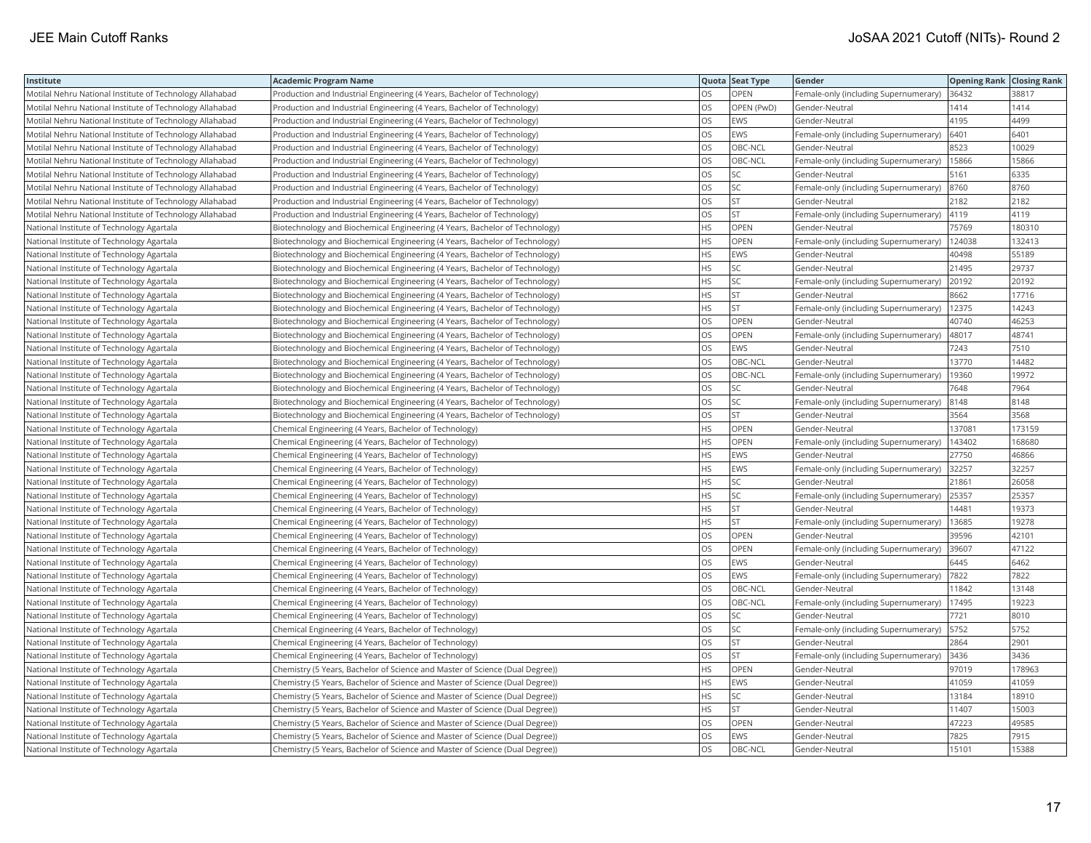| Institute                                                | <b>Academic Program Name</b>                                                  |           | Quota Seat Type | Gender                                | <b>Opening Rank Closing Rank</b> |        |
|----------------------------------------------------------|-------------------------------------------------------------------------------|-----------|-----------------|---------------------------------------|----------------------------------|--------|
| Motilal Nehru National Institute of Technology Allahabad | Production and Industrial Engineering (4 Years, Bachelor of Technology)       | OS.       | <b>OPEN</b>     | Female-only (including Supernumerary) | 36432                            | 38817  |
| Motilal Nehru National Institute of Technology Allahabad | Production and Industrial Engineering (4 Years, Bachelor of Technology)       | OS        | OPEN (PwD)      | Gender-Neutral                        | 1414                             | 1414   |
| Motilal Nehru National Institute of Technology Allahabad | Production and Industrial Engineering (4 Years, Bachelor of Technology)       | OS        | EWS             | Gender-Neutral                        | 4195                             | 4499   |
| Motilal Nehru National Institute of Technology Allahabad | Production and Industrial Engineering (4 Years, Bachelor of Technology)       | OS        | EWS             | Female-only (including Supernumerary) | 6401                             | 6401   |
| Motilal Nehru National Institute of Technology Allahabad | Production and Industrial Engineering (4 Years, Bachelor of Technology)       | OS        | OBC-NCL         | Gender-Neutral                        | 8523                             | 10029  |
| Motilal Nehru National Institute of Technology Allahabad | Production and Industrial Engineering (4 Years, Bachelor of Technology)       | <b>OS</b> | OBC-NCL         | Female-only (including Supernumerary) | 15866                            | 15866  |
| Motilal Nehru National Institute of Technology Allahabad | Production and Industrial Engineering (4 Years, Bachelor of Technology)       | <b>OS</b> | <b>SC</b>       | Gender-Neutral                        | 5161                             | 6335   |
| Motilal Nehru National Institute of Technology Allahabad | Production and Industrial Engineering (4 Years, Bachelor of Technology)       | OS        | SC              | Female-only (including Supernumerary) | 8760                             | 8760   |
| Motilal Nehru National Institute of Technology Allahabad | Production and Industrial Engineering (4 Years, Bachelor of Technology)       | OS        | <b>ST</b>       | Gender-Neutral                        | 2182                             | 2182   |
| Motilal Nehru National Institute of Technology Allahabad | Production and Industrial Engineering (4 Years, Bachelor of Technology)       | OS        | <b>ST</b>       | Female-only (including Supernumerary) | 4119                             | 4119   |
| National Institute of Technology Agartala                | Biotechnology and Biochemical Engineering (4 Years, Bachelor of Technology)   | <b>HS</b> | <b>OPEN</b>     | Gender-Neutral                        | 75769                            | 180310 |
| National Institute of Technology Agartala                | Biotechnology and Biochemical Engineering (4 Years, Bachelor of Technology)   | HS.       | OPEN            | Female-only (including Supernumerary) | 124038                           | 132413 |
| National Institute of Technology Agartala                | Biotechnology and Biochemical Engineering (4 Years, Bachelor of Technology)   | HS        | EWS             | Gender-Neutral                        | 40498                            | 55189  |
| National Institute of Technology Agartala                | Biotechnology and Biochemical Engineering (4 Years, Bachelor of Technology)   | HS.       | SC              | Gender-Neutral                        | 21495                            | 29737  |
| National Institute of Technology Agartala                | Biotechnology and Biochemical Engineering (4 Years, Bachelor of Technology)   | HS        | SC              | Female-only (including Supernumerary) | 20192                            | 20192  |
| National Institute of Technology Agartala                | Biotechnology and Biochemical Engineering (4 Years, Bachelor of Technology)   | HS.       | <b>ST</b>       | Gender-Neutral                        | 8662                             | 17716  |
| National Institute of Technology Agartala                | Biotechnology and Biochemical Engineering (4 Years, Bachelor of Technology)   | HS        | <b>ST</b>       | Female-only (including Supernumerary) | 12375                            | 14243  |
| National Institute of Technology Agartala                | Biotechnology and Biochemical Engineering (4 Years, Bachelor of Technology)   | OS        | <b>OPEN</b>     | Gender-Neutral                        | 40740                            | 46253  |
| National Institute of Technology Agartala                | Biotechnology and Biochemical Engineering (4 Years, Bachelor of Technology)   | OS        | <b>OPEN</b>     | Female-only (including Supernumerary) | 48017                            | 48741  |
| National Institute of Technology Agartala                | Biotechnology and Biochemical Engineering (4 Years, Bachelor of Technology)   | <b>OS</b> | EWS             | Gender-Neutral                        | 7243                             | 7510   |
| National Institute of Technology Agartala                | Biotechnology and Biochemical Engineering (4 Years, Bachelor of Technology)   | OS        | OBC-NCL         | Gender-Neutral                        | 13770                            | 14482  |
| National Institute of Technology Agartala                | Biotechnology and Biochemical Engineering (4 Years, Bachelor of Technology)   | <b>OS</b> | OBC-NCL         | Female-only (including Supernumerary) | 19360                            | 19972  |
| National Institute of Technology Agartala                | Biotechnology and Biochemical Engineering (4 Years, Bachelor of Technology)   | OS        | SC              | Gender-Neutral                        | 7648                             | 7964   |
| National Institute of Technology Agartala                | Biotechnology and Biochemical Engineering (4 Years, Bachelor of Technology)   | OS        | SC              | Female-only (including Supernumerary) | 8148                             | 8148   |
| National Institute of Technology Agartala                | Biotechnology and Biochemical Engineering (4 Years, Bachelor of Technology)   | OS        | <b>ST</b>       | Gender-Neutral                        | 3564                             | 3568   |
| National Institute of Technology Agartala                | Chemical Engineering (4 Years, Bachelor of Technology)                        | HS        | OPEN            | Gender-Neutral                        | 137081                           | 173159 |
| National Institute of Technology Agartala                | Chemical Engineering (4 Years, Bachelor of Technology)                        | HS        | <b>OPEN</b>     | Female-only (including Supernumerary) | 143402                           | 168680 |
| National Institute of Technology Agartala                | Chemical Engineering (4 Years, Bachelor of Technology)                        | HS        | EWS             | Gender-Neutral                        | 27750                            | 46866  |
| National Institute of Technology Agartala                | Chemical Engineering (4 Years, Bachelor of Technology)                        | HS.       | EWS             | Female-only (including Supernumerary) | 32257                            | 32257  |
| National Institute of Technology Agartala                | Chemical Engineering (4 Years, Bachelor of Technology)                        | HS        | SC              | Gender-Neutral                        | 21861                            | 26058  |
| National Institute of Technology Agartala                | Chemical Engineering (4 Years, Bachelor of Technology)                        | HS.       | SC              | Female-only (including Supernumerary) | 25357                            | 25357  |
| National Institute of Technology Agartala                | Chemical Engineering (4 Years, Bachelor of Technology)                        | HS        | <b>ST</b>       | Gender-Neutral                        | 14481                            | 19373  |
| National Institute of Technology Agartala                | Chemical Engineering (4 Years, Bachelor of Technology)                        | HS        | <b>ST</b>       | Female-only (including Supernumerary) | 13685                            | 19278  |
| National Institute of Technology Agartala                | Chemical Engineering (4 Years, Bachelor of Technology)                        | OS        | OPEN            | Gender-Neutral                        | 39596                            | 42101  |
| National Institute of Technology Agartala                | Chemical Engineering (4 Years, Bachelor of Technology)                        | OS        | <b>OPEN</b>     | Female-only (including Supernumerary) | 39607                            | 47122  |
| National Institute of Technology Agartala                | Chemical Engineering (4 Years, Bachelor of Technology)                        | OS        | EWS             | Gender-Neutral                        | 6445                             | 6462   |
| National Institute of Technology Agartala                | Chemical Engineering (4 Years, Bachelor of Technology)                        | <b>OS</b> | EWS             | Female-only (including Supernumerary) | 7822                             | 7822   |
| National Institute of Technology Agartala                | Chemical Engineering (4 Years, Bachelor of Technology)                        | OS.       | OBC-NCL         | Gender-Neutral                        | 11842                            | 13148  |
| National Institute of Technology Agartala                | Chemical Engineering (4 Years, Bachelor of Technology)                        | OS        | OBC-NCL         | Female-only (including Supernumerary) | 17495                            | 19223  |
| National Institute of Technology Agartala                | Chemical Engineering (4 Years, Bachelor of Technology)                        | OS        | SC              | Gender-Neutral                        | 7721                             | 8010   |
| National Institute of Technology Agartala                | Chemical Engineering (4 Years, Bachelor of Technology)                        | OS        | SC              | Female-only (including Supernumerary) | 5752                             | 5752   |
| National Institute of Technology Agartala                | Chemical Engineering (4 Years, Bachelor of Technology)                        | OS        | <b>ST</b>       | Gender-Neutral                        | 2864                             | 2901   |
| National Institute of Technology Agartala                | Chemical Engineering (4 Years, Bachelor of Technology)                        | OS        | <b>ST</b>       | Female-only (including Supernumerary) | 3436                             | 3436   |
| National Institute of Technology Agartala                | Chemistry (5 Years, Bachelor of Science and Master of Science (Dual Degree))  | HS.       | <b>OPEN</b>     | Gender-Neutral                        | 97019                            | 178963 |
| National Institute of Technology Agartala                | Chemistry (5 Years, Bachelor of Science and Master of Science (Dual Degree))  | HS        | EWS             | Gender-Neutral                        | 41059                            | 41059  |
| National Institute of Technology Agartala                | Chemistry (5 Years, Bachelor of Science and Master of Science (Dual Degree))  | HS.       | SC              | Gender-Neutral                        | 13184                            | 18910  |
| National Institute of Technology Agartala                | Chemistry (5 Years, Bachelor of Science and Master of Science (Dual Degree))  | HS        | <b>ST</b>       | Gender-Neutral                        | 11407                            | 15003  |
| National Institute of Technology Agartala                | (Chemistry (5 Years, Bachelor of Science and Master of Science (Dual Degree)) | OS        | <b>OPEN</b>     | Gender-Neutral                        | 47223                            | 49585  |
| National Institute of Technology Agartala                | Chemistry (5 Years, Bachelor of Science and Master of Science (Dual Degree))  | OS        | EWS             | Gender-Neutral                        | 7825                             | 7915   |
| National Institute of Technology Agartala                | Chemistry (5 Years, Bachelor of Science and Master of Science (Dual Degree))  | <b>OS</b> | OBC-NCL         | Gender-Neutral                        | 15101                            | 15388  |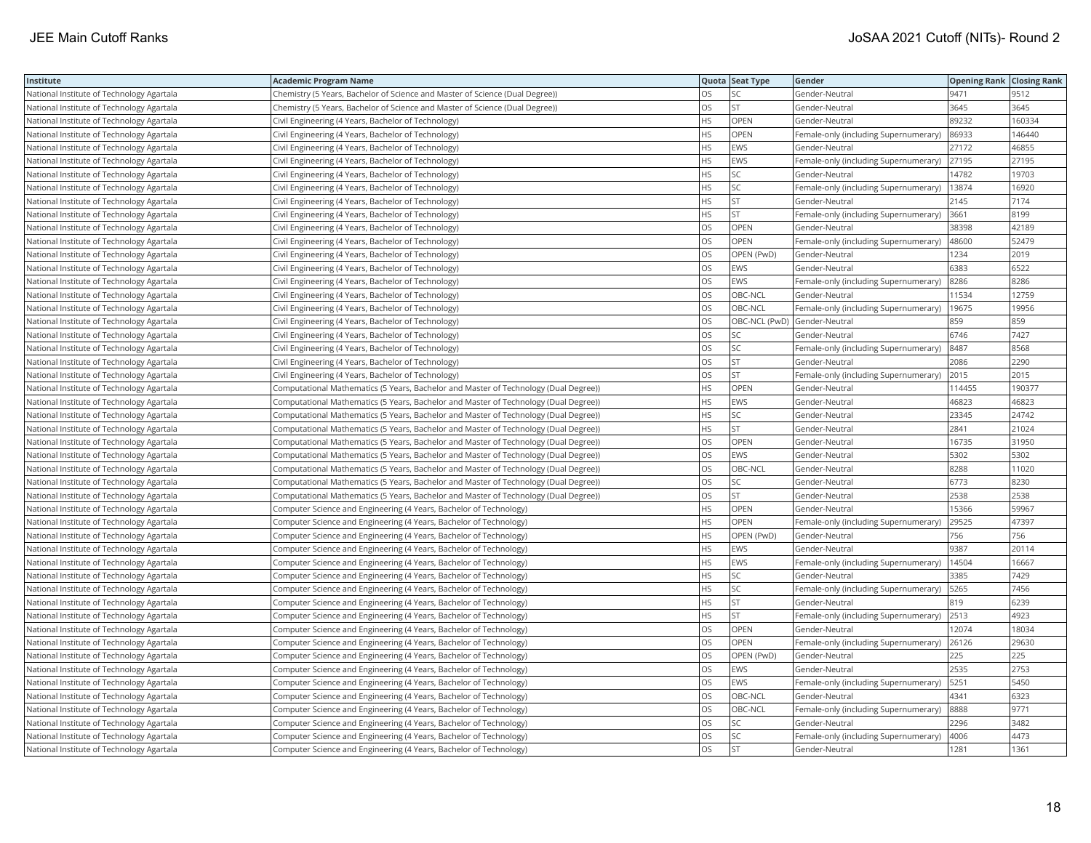| <b>OS</b><br>National Institute of Technology Agartala<br>Chemistry (5 Years, Bachelor of Science and Master of Science (Dual Degree))<br>SC.<br>Gender-Neutral<br>9471<br>9512<br>OS<br><b>ST</b><br>3645<br>National Institute of Technology Agartala<br>Chemistry (5 Years, Bachelor of Science and Master of Science (Dual Degree))<br>Gender-Neutral<br>3645<br><b>HS</b><br>OPEN<br>89232<br>160334<br>Civil Engineering (4 Years, Bachelor of Technology)<br>National Institute of Technology Agartala<br>Gender-Neutral<br><b>HS</b><br>OPEN<br>86933<br>146440<br>National Institute of Technology Agartala<br>Civil Engineering (4 Years, Bachelor of Technology)<br>Female-only (including Supernumerary)<br><b>HS</b><br>Civil Engineering (4 Years, Bachelor of Technology)<br>EWS<br>27172<br>46855<br>National Institute of Technology Agartala<br>Gender-Neutral<br><b>HS</b><br>EWS<br>27195<br>27195<br>National Institute of Technology Agartala<br>Civil Engineering (4 Years, Bachelor of Technology)<br>Female-only (including Supernumerary)<br><b>HS</b><br>SC<br>14782<br>19703<br>National Institute of Technology Agartala<br>Civil Engineering (4 Years, Bachelor of Technology)<br>Gender-Neutral<br><b>HS</b><br>SC<br>13874<br>National Institute of Technology Agartala<br>Civil Engineering (4 Years, Bachelor of Technology)<br>Female-only (including Supernumerary)<br>16920<br><b>HS</b><br><b>ST</b><br>2145<br>7174<br>National Institute of Technology Agartala<br>Civil Engineering (4 Years, Bachelor of Technology)<br>Gender-Neutral<br><b>HS</b><br><b>ST</b><br>3661<br>8199<br>Female-only (including Supernumerary)<br>National Institute of Technology Agartala<br>Civil Engineering (4 Years, Bachelor of Technology)<br>OS<br>OPEN<br>42189<br>38398<br>Civil Engineering (4 Years, Bachelor of Technology)<br>National Institute of Technology Agartala<br>Gender-Neutral<br>OS<br>OPEN<br>48600<br>52479<br>Civil Engineering (4 Years, Bachelor of Technology)<br>Female-only (including Supernumerary)<br>National Institute of Technology Agartala<br>OS<br>OPEN (PwD)<br>1234<br>2019<br>National Institute of Technology Agartala<br>Civil Engineering (4 Years, Bachelor of Technology)<br>Gender-Neutral<br><b>OS</b><br>6522<br>National Institute of Technology Agartala<br>Civil Engineering (4 Years, Bachelor of Technology)<br><b>EWS</b><br>Gender-Neutral<br>6383<br>OS<br>EWS<br>8286<br>8286<br>National Institute of Technology Agartala<br>Civil Engineering (4 Years, Bachelor of Technology)<br>Female-only (including Supernumerary)<br>OS<br>OBC-NCL<br>11534<br>12759<br>National Institute of Technology Agartala<br>Civil Engineering (4 Years, Bachelor of Technology)<br>Gender-Neutral<br>OS<br>OBC-NCL<br>19956<br>Female-only (including Supernumerary)<br>19675<br>National Institute of Technology Agartala<br>Civil Engineering (4 Years, Bachelor of Technology)<br><b>OS</b><br>OBC-NCL (PwD) Gender-Neutral<br>859<br>Civil Engineering (4 Years, Bachelor of Technology)<br>859<br>National Institute of Technology Agartala<br>OS<br>SC<br>6746<br>7427<br>Civil Engineering (4 Years, Bachelor of Technology)<br>Gender-Neutral<br>National Institute of Technology Agartala<br>OS<br>SC<br>8487<br>Civil Engineering (4 Years, Bachelor of Technology)<br>8568<br>National Institute of Technology Agartala<br>Female-only (including Supernumerary)<br><b>OS</b><br><b>ST</b><br>2086<br>2290<br>National Institute of Technology Agartala<br>Civil Engineering (4 Years, Bachelor of Technology)<br>Gender-Neutral |
|--------------------------------------------------------------------------------------------------------------------------------------------------------------------------------------------------------------------------------------------------------------------------------------------------------------------------------------------------------------------------------------------------------------------------------------------------------------------------------------------------------------------------------------------------------------------------------------------------------------------------------------------------------------------------------------------------------------------------------------------------------------------------------------------------------------------------------------------------------------------------------------------------------------------------------------------------------------------------------------------------------------------------------------------------------------------------------------------------------------------------------------------------------------------------------------------------------------------------------------------------------------------------------------------------------------------------------------------------------------------------------------------------------------------------------------------------------------------------------------------------------------------------------------------------------------------------------------------------------------------------------------------------------------------------------------------------------------------------------------------------------------------------------------------------------------------------------------------------------------------------------------------------------------------------------------------------------------------------------------------------------------------------------------------------------------------------------------------------------------------------------------------------------------------------------------------------------------------------------------------------------------------------------------------------------------------------------------------------------------------------------------------------------------------------------------------------------------------------------------------------------------------------------------------------------------------------------------------------------------------------------------------------------------------------------------------------------------------------------------------------------------------------------------------------------------------------------------------------------------------------------------------------------------------------------------------------------------------------------------------------------------------------------------------------------------------------------------------------------------------------------------------------------------------------------------------------------------------------------------------------------------------------------------------------------------------------------------------------------------------------------------------------------------------------------------------------------------------------------------------------------------------------------------------------------------------------------------------------------------------|
|                                                                                                                                                                                                                                                                                                                                                                                                                                                                                                                                                                                                                                                                                                                                                                                                                                                                                                                                                                                                                                                                                                                                                                                                                                                                                                                                                                                                                                                                                                                                                                                                                                                                                                                                                                                                                                                                                                                                                                                                                                                                                                                                                                                                                                                                                                                                                                                                                                                                                                                                                                                                                                                                                                                                                                                                                                                                                                                                                                                                                                                                                                                                                                                                                                                                                                                                                                                                                                                                                                                                                                                                                    |
|                                                                                                                                                                                                                                                                                                                                                                                                                                                                                                                                                                                                                                                                                                                                                                                                                                                                                                                                                                                                                                                                                                                                                                                                                                                                                                                                                                                                                                                                                                                                                                                                                                                                                                                                                                                                                                                                                                                                                                                                                                                                                                                                                                                                                                                                                                                                                                                                                                                                                                                                                                                                                                                                                                                                                                                                                                                                                                                                                                                                                                                                                                                                                                                                                                                                                                                                                                                                                                                                                                                                                                                                                    |
|                                                                                                                                                                                                                                                                                                                                                                                                                                                                                                                                                                                                                                                                                                                                                                                                                                                                                                                                                                                                                                                                                                                                                                                                                                                                                                                                                                                                                                                                                                                                                                                                                                                                                                                                                                                                                                                                                                                                                                                                                                                                                                                                                                                                                                                                                                                                                                                                                                                                                                                                                                                                                                                                                                                                                                                                                                                                                                                                                                                                                                                                                                                                                                                                                                                                                                                                                                                                                                                                                                                                                                                                                    |
|                                                                                                                                                                                                                                                                                                                                                                                                                                                                                                                                                                                                                                                                                                                                                                                                                                                                                                                                                                                                                                                                                                                                                                                                                                                                                                                                                                                                                                                                                                                                                                                                                                                                                                                                                                                                                                                                                                                                                                                                                                                                                                                                                                                                                                                                                                                                                                                                                                                                                                                                                                                                                                                                                                                                                                                                                                                                                                                                                                                                                                                                                                                                                                                                                                                                                                                                                                                                                                                                                                                                                                                                                    |
|                                                                                                                                                                                                                                                                                                                                                                                                                                                                                                                                                                                                                                                                                                                                                                                                                                                                                                                                                                                                                                                                                                                                                                                                                                                                                                                                                                                                                                                                                                                                                                                                                                                                                                                                                                                                                                                                                                                                                                                                                                                                                                                                                                                                                                                                                                                                                                                                                                                                                                                                                                                                                                                                                                                                                                                                                                                                                                                                                                                                                                                                                                                                                                                                                                                                                                                                                                                                                                                                                                                                                                                                                    |
|                                                                                                                                                                                                                                                                                                                                                                                                                                                                                                                                                                                                                                                                                                                                                                                                                                                                                                                                                                                                                                                                                                                                                                                                                                                                                                                                                                                                                                                                                                                                                                                                                                                                                                                                                                                                                                                                                                                                                                                                                                                                                                                                                                                                                                                                                                                                                                                                                                                                                                                                                                                                                                                                                                                                                                                                                                                                                                                                                                                                                                                                                                                                                                                                                                                                                                                                                                                                                                                                                                                                                                                                                    |
|                                                                                                                                                                                                                                                                                                                                                                                                                                                                                                                                                                                                                                                                                                                                                                                                                                                                                                                                                                                                                                                                                                                                                                                                                                                                                                                                                                                                                                                                                                                                                                                                                                                                                                                                                                                                                                                                                                                                                                                                                                                                                                                                                                                                                                                                                                                                                                                                                                                                                                                                                                                                                                                                                                                                                                                                                                                                                                                                                                                                                                                                                                                                                                                                                                                                                                                                                                                                                                                                                                                                                                                                                    |
|                                                                                                                                                                                                                                                                                                                                                                                                                                                                                                                                                                                                                                                                                                                                                                                                                                                                                                                                                                                                                                                                                                                                                                                                                                                                                                                                                                                                                                                                                                                                                                                                                                                                                                                                                                                                                                                                                                                                                                                                                                                                                                                                                                                                                                                                                                                                                                                                                                                                                                                                                                                                                                                                                                                                                                                                                                                                                                                                                                                                                                                                                                                                                                                                                                                                                                                                                                                                                                                                                                                                                                                                                    |
|                                                                                                                                                                                                                                                                                                                                                                                                                                                                                                                                                                                                                                                                                                                                                                                                                                                                                                                                                                                                                                                                                                                                                                                                                                                                                                                                                                                                                                                                                                                                                                                                                                                                                                                                                                                                                                                                                                                                                                                                                                                                                                                                                                                                                                                                                                                                                                                                                                                                                                                                                                                                                                                                                                                                                                                                                                                                                                                                                                                                                                                                                                                                                                                                                                                                                                                                                                                                                                                                                                                                                                                                                    |
|                                                                                                                                                                                                                                                                                                                                                                                                                                                                                                                                                                                                                                                                                                                                                                                                                                                                                                                                                                                                                                                                                                                                                                                                                                                                                                                                                                                                                                                                                                                                                                                                                                                                                                                                                                                                                                                                                                                                                                                                                                                                                                                                                                                                                                                                                                                                                                                                                                                                                                                                                                                                                                                                                                                                                                                                                                                                                                                                                                                                                                                                                                                                                                                                                                                                                                                                                                                                                                                                                                                                                                                                                    |
|                                                                                                                                                                                                                                                                                                                                                                                                                                                                                                                                                                                                                                                                                                                                                                                                                                                                                                                                                                                                                                                                                                                                                                                                                                                                                                                                                                                                                                                                                                                                                                                                                                                                                                                                                                                                                                                                                                                                                                                                                                                                                                                                                                                                                                                                                                                                                                                                                                                                                                                                                                                                                                                                                                                                                                                                                                                                                                                                                                                                                                                                                                                                                                                                                                                                                                                                                                                                                                                                                                                                                                                                                    |
|                                                                                                                                                                                                                                                                                                                                                                                                                                                                                                                                                                                                                                                                                                                                                                                                                                                                                                                                                                                                                                                                                                                                                                                                                                                                                                                                                                                                                                                                                                                                                                                                                                                                                                                                                                                                                                                                                                                                                                                                                                                                                                                                                                                                                                                                                                                                                                                                                                                                                                                                                                                                                                                                                                                                                                                                                                                                                                                                                                                                                                                                                                                                                                                                                                                                                                                                                                                                                                                                                                                                                                                                                    |
|                                                                                                                                                                                                                                                                                                                                                                                                                                                                                                                                                                                                                                                                                                                                                                                                                                                                                                                                                                                                                                                                                                                                                                                                                                                                                                                                                                                                                                                                                                                                                                                                                                                                                                                                                                                                                                                                                                                                                                                                                                                                                                                                                                                                                                                                                                                                                                                                                                                                                                                                                                                                                                                                                                                                                                                                                                                                                                                                                                                                                                                                                                                                                                                                                                                                                                                                                                                                                                                                                                                                                                                                                    |
|                                                                                                                                                                                                                                                                                                                                                                                                                                                                                                                                                                                                                                                                                                                                                                                                                                                                                                                                                                                                                                                                                                                                                                                                                                                                                                                                                                                                                                                                                                                                                                                                                                                                                                                                                                                                                                                                                                                                                                                                                                                                                                                                                                                                                                                                                                                                                                                                                                                                                                                                                                                                                                                                                                                                                                                                                                                                                                                                                                                                                                                                                                                                                                                                                                                                                                                                                                                                                                                                                                                                                                                                                    |
|                                                                                                                                                                                                                                                                                                                                                                                                                                                                                                                                                                                                                                                                                                                                                                                                                                                                                                                                                                                                                                                                                                                                                                                                                                                                                                                                                                                                                                                                                                                                                                                                                                                                                                                                                                                                                                                                                                                                                                                                                                                                                                                                                                                                                                                                                                                                                                                                                                                                                                                                                                                                                                                                                                                                                                                                                                                                                                                                                                                                                                                                                                                                                                                                                                                                                                                                                                                                                                                                                                                                                                                                                    |
|                                                                                                                                                                                                                                                                                                                                                                                                                                                                                                                                                                                                                                                                                                                                                                                                                                                                                                                                                                                                                                                                                                                                                                                                                                                                                                                                                                                                                                                                                                                                                                                                                                                                                                                                                                                                                                                                                                                                                                                                                                                                                                                                                                                                                                                                                                                                                                                                                                                                                                                                                                                                                                                                                                                                                                                                                                                                                                                                                                                                                                                                                                                                                                                                                                                                                                                                                                                                                                                                                                                                                                                                                    |
|                                                                                                                                                                                                                                                                                                                                                                                                                                                                                                                                                                                                                                                                                                                                                                                                                                                                                                                                                                                                                                                                                                                                                                                                                                                                                                                                                                                                                                                                                                                                                                                                                                                                                                                                                                                                                                                                                                                                                                                                                                                                                                                                                                                                                                                                                                                                                                                                                                                                                                                                                                                                                                                                                                                                                                                                                                                                                                                                                                                                                                                                                                                                                                                                                                                                                                                                                                                                                                                                                                                                                                                                                    |
|                                                                                                                                                                                                                                                                                                                                                                                                                                                                                                                                                                                                                                                                                                                                                                                                                                                                                                                                                                                                                                                                                                                                                                                                                                                                                                                                                                                                                                                                                                                                                                                                                                                                                                                                                                                                                                                                                                                                                                                                                                                                                                                                                                                                                                                                                                                                                                                                                                                                                                                                                                                                                                                                                                                                                                                                                                                                                                                                                                                                                                                                                                                                                                                                                                                                                                                                                                                                                                                                                                                                                                                                                    |
|                                                                                                                                                                                                                                                                                                                                                                                                                                                                                                                                                                                                                                                                                                                                                                                                                                                                                                                                                                                                                                                                                                                                                                                                                                                                                                                                                                                                                                                                                                                                                                                                                                                                                                                                                                                                                                                                                                                                                                                                                                                                                                                                                                                                                                                                                                                                                                                                                                                                                                                                                                                                                                                                                                                                                                                                                                                                                                                                                                                                                                                                                                                                                                                                                                                                                                                                                                                                                                                                                                                                                                                                                    |
|                                                                                                                                                                                                                                                                                                                                                                                                                                                                                                                                                                                                                                                                                                                                                                                                                                                                                                                                                                                                                                                                                                                                                                                                                                                                                                                                                                                                                                                                                                                                                                                                                                                                                                                                                                                                                                                                                                                                                                                                                                                                                                                                                                                                                                                                                                                                                                                                                                                                                                                                                                                                                                                                                                                                                                                                                                                                                                                                                                                                                                                                                                                                                                                                                                                                                                                                                                                                                                                                                                                                                                                                                    |
|                                                                                                                                                                                                                                                                                                                                                                                                                                                                                                                                                                                                                                                                                                                                                                                                                                                                                                                                                                                                                                                                                                                                                                                                                                                                                                                                                                                                                                                                                                                                                                                                                                                                                                                                                                                                                                                                                                                                                                                                                                                                                                                                                                                                                                                                                                                                                                                                                                                                                                                                                                                                                                                                                                                                                                                                                                                                                                                                                                                                                                                                                                                                                                                                                                                                                                                                                                                                                                                                                                                                                                                                                    |
| <b>OS</b><br><b>ST</b><br>Female-only (including Supernumerary)<br>2015<br>2015<br>National Institute of Technology Agartala<br>Civil Engineering (4 Years, Bachelor of Technology)                                                                                                                                                                                                                                                                                                                                                                                                                                                                                                                                                                                                                                                                                                                                                                                                                                                                                                                                                                                                                                                                                                                                                                                                                                                                                                                                                                                                                                                                                                                                                                                                                                                                                                                                                                                                                                                                                                                                                                                                                                                                                                                                                                                                                                                                                                                                                                                                                                                                                                                                                                                                                                                                                                                                                                                                                                                                                                                                                                                                                                                                                                                                                                                                                                                                                                                                                                                                                                |
| <b>HS</b><br>OPEN<br>114455<br>190377<br>National Institute of Technology Agartala<br>Computational Mathematics (5 Years, Bachelor and Master of Technology (Dual Degree))<br>Gender-Neutral                                                                                                                                                                                                                                                                                                                                                                                                                                                                                                                                                                                                                                                                                                                                                                                                                                                                                                                                                                                                                                                                                                                                                                                                                                                                                                                                                                                                                                                                                                                                                                                                                                                                                                                                                                                                                                                                                                                                                                                                                                                                                                                                                                                                                                                                                                                                                                                                                                                                                                                                                                                                                                                                                                                                                                                                                                                                                                                                                                                                                                                                                                                                                                                                                                                                                                                                                                                                                       |
| <b>HS</b><br>46823<br>EWS<br>46823<br>National Institute of Technology Agartala<br>Computational Mathematics (5 Years, Bachelor and Master of Technology (Dual Degree))<br>Gender-Neutral                                                                                                                                                                                                                                                                                                                                                                                                                                                                                                                                                                                                                                                                                                                                                                                                                                                                                                                                                                                                                                                                                                                                                                                                                                                                                                                                                                                                                                                                                                                                                                                                                                                                                                                                                                                                                                                                                                                                                                                                                                                                                                                                                                                                                                                                                                                                                                                                                                                                                                                                                                                                                                                                                                                                                                                                                                                                                                                                                                                                                                                                                                                                                                                                                                                                                                                                                                                                                          |
| <b>HS</b><br>SC<br>23345<br>24742<br>Computational Mathematics (5 Years, Bachelor and Master of Technology (Dual Degree))<br>National Institute of Technology Agartala<br>Gender-Neutral                                                                                                                                                                                                                                                                                                                                                                                                                                                                                                                                                                                                                                                                                                                                                                                                                                                                                                                                                                                                                                                                                                                                                                                                                                                                                                                                                                                                                                                                                                                                                                                                                                                                                                                                                                                                                                                                                                                                                                                                                                                                                                                                                                                                                                                                                                                                                                                                                                                                                                                                                                                                                                                                                                                                                                                                                                                                                                                                                                                                                                                                                                                                                                                                                                                                                                                                                                                                                           |
| HS<br>ST<br>2841<br>21024<br>Computational Mathematics (5 Years, Bachelor and Master of Technology (Dual Degree))<br>Gender-Neutral<br>National Institute of Technology Agartala                                                                                                                                                                                                                                                                                                                                                                                                                                                                                                                                                                                                                                                                                                                                                                                                                                                                                                                                                                                                                                                                                                                                                                                                                                                                                                                                                                                                                                                                                                                                                                                                                                                                                                                                                                                                                                                                                                                                                                                                                                                                                                                                                                                                                                                                                                                                                                                                                                                                                                                                                                                                                                                                                                                                                                                                                                                                                                                                                                                                                                                                                                                                                                                                                                                                                                                                                                                                                                   |
| OS<br>OPEN<br>16735<br>31950<br>National Institute of Technology Agartala<br>Computational Mathematics (5 Years, Bachelor and Master of Technology (Dual Degree))<br>Gender-Neutral                                                                                                                                                                                                                                                                                                                                                                                                                                                                                                                                                                                                                                                                                                                                                                                                                                                                                                                                                                                                                                                                                                                                                                                                                                                                                                                                                                                                                                                                                                                                                                                                                                                                                                                                                                                                                                                                                                                                                                                                                                                                                                                                                                                                                                                                                                                                                                                                                                                                                                                                                                                                                                                                                                                                                                                                                                                                                                                                                                                                                                                                                                                                                                                                                                                                                                                                                                                                                                |
| OS<br>EWS<br>5302<br>5302<br>National Institute of Technology Agartala<br>Computational Mathematics (5 Years, Bachelor and Master of Technology (Dual Degree))<br>Gender-Neutral                                                                                                                                                                                                                                                                                                                                                                                                                                                                                                                                                                                                                                                                                                                                                                                                                                                                                                                                                                                                                                                                                                                                                                                                                                                                                                                                                                                                                                                                                                                                                                                                                                                                                                                                                                                                                                                                                                                                                                                                                                                                                                                                                                                                                                                                                                                                                                                                                                                                                                                                                                                                                                                                                                                                                                                                                                                                                                                                                                                                                                                                                                                                                                                                                                                                                                                                                                                                                                   |
| <b>OS</b><br>8288<br>National Institute of Technology Agartala<br>Computational Mathematics (5 Years, Bachelor and Master of Technology (Dual Degree))<br>OBC-NCL<br>Gender-Neutral<br>11020                                                                                                                                                                                                                                                                                                                                                                                                                                                                                                                                                                                                                                                                                                                                                                                                                                                                                                                                                                                                                                                                                                                                                                                                                                                                                                                                                                                                                                                                                                                                                                                                                                                                                                                                                                                                                                                                                                                                                                                                                                                                                                                                                                                                                                                                                                                                                                                                                                                                                                                                                                                                                                                                                                                                                                                                                                                                                                                                                                                                                                                                                                                                                                                                                                                                                                                                                                                                                       |
| OS<br>SC<br>6773<br>8230<br>National Institute of Technology Agartala<br>Computational Mathematics (5 Years, Bachelor and Master of Technology (Dual Degree))<br>Gender-Neutral                                                                                                                                                                                                                                                                                                                                                                                                                                                                                                                                                                                                                                                                                                                                                                                                                                                                                                                                                                                                                                                                                                                                                                                                                                                                                                                                                                                                                                                                                                                                                                                                                                                                                                                                                                                                                                                                                                                                                                                                                                                                                                                                                                                                                                                                                                                                                                                                                                                                                                                                                                                                                                                                                                                                                                                                                                                                                                                                                                                                                                                                                                                                                                                                                                                                                                                                                                                                                                    |
| OS<br><b>ST</b><br>2538<br>2538<br>National Institute of Technology Agartala<br>Computational Mathematics (5 Years, Bachelor and Master of Technology (Dual Degree))<br>Gender-Neutral                                                                                                                                                                                                                                                                                                                                                                                                                                                                                                                                                                                                                                                                                                                                                                                                                                                                                                                                                                                                                                                                                                                                                                                                                                                                                                                                                                                                                                                                                                                                                                                                                                                                                                                                                                                                                                                                                                                                                                                                                                                                                                                                                                                                                                                                                                                                                                                                                                                                                                                                                                                                                                                                                                                                                                                                                                                                                                                                                                                                                                                                                                                                                                                                                                                                                                                                                                                                                             |
| <b>HS</b><br>OPEN<br>15366<br>59967<br>Computer Science and Engineering (4 Years, Bachelor of Technology)<br>National Institute of Technology Agartala<br>Gender-Neutral                                                                                                                                                                                                                                                                                                                                                                                                                                                                                                                                                                                                                                                                                                                                                                                                                                                                                                                                                                                                                                                                                                                                                                                                                                                                                                                                                                                                                                                                                                                                                                                                                                                                                                                                                                                                                                                                                                                                                                                                                                                                                                                                                                                                                                                                                                                                                                                                                                                                                                                                                                                                                                                                                                                                                                                                                                                                                                                                                                                                                                                                                                                                                                                                                                                                                                                                                                                                                                           |
| <b>HS</b><br>OPEN<br>47397<br>29525<br>National Institute of Technology Agartala<br>Computer Science and Engineering (4 Years, Bachelor of Technology)<br>Female-only (including Supernumerary)                                                                                                                                                                                                                                                                                                                                                                                                                                                                                                                                                                                                                                                                                                                                                                                                                                                                                                                                                                                                                                                                                                                                                                                                                                                                                                                                                                                                                                                                                                                                                                                                                                                                                                                                                                                                                                                                                                                                                                                                                                                                                                                                                                                                                                                                                                                                                                                                                                                                                                                                                                                                                                                                                                                                                                                                                                                                                                                                                                                                                                                                                                                                                                                                                                                                                                                                                                                                                    |
| HS<br>OPEN (PwD)<br>756<br>756<br>Computer Science and Engineering (4 Years, Bachelor of Technology)<br>Gender-Neutral<br>National Institute of Technology Agartala                                                                                                                                                                                                                                                                                                                                                                                                                                                                                                                                                                                                                                                                                                                                                                                                                                                                                                                                                                                                                                                                                                                                                                                                                                                                                                                                                                                                                                                                                                                                                                                                                                                                                                                                                                                                                                                                                                                                                                                                                                                                                                                                                                                                                                                                                                                                                                                                                                                                                                                                                                                                                                                                                                                                                                                                                                                                                                                                                                                                                                                                                                                                                                                                                                                                                                                                                                                                                                                |
| <b>HS</b><br>9387<br>20114<br>National Institute of Technology Agartala<br>Computer Science and Engineering (4 Years, Bachelor of Technology)<br>EWS<br>Gender-Neutral                                                                                                                                                                                                                                                                                                                                                                                                                                                                                                                                                                                                                                                                                                                                                                                                                                                                                                                                                                                                                                                                                                                                                                                                                                                                                                                                                                                                                                                                                                                                                                                                                                                                                                                                                                                                                                                                                                                                                                                                                                                                                                                                                                                                                                                                                                                                                                                                                                                                                                                                                                                                                                                                                                                                                                                                                                                                                                                                                                                                                                                                                                                                                                                                                                                                                                                                                                                                                                             |
| <b>HS</b><br>EWS<br>14504<br>16667<br>National Institute of Technology Agartala<br>Computer Science and Engineering (4 Years, Bachelor of Technology)<br>Female-only (including Supernumerary)                                                                                                                                                                                                                                                                                                                                                                                                                                                                                                                                                                                                                                                                                                                                                                                                                                                                                                                                                                                                                                                                                                                                                                                                                                                                                                                                                                                                                                                                                                                                                                                                                                                                                                                                                                                                                                                                                                                                                                                                                                                                                                                                                                                                                                                                                                                                                                                                                                                                                                                                                                                                                                                                                                                                                                                                                                                                                                                                                                                                                                                                                                                                                                                                                                                                                                                                                                                                                     |
| <b>HS</b><br>SC<br>3385<br>7429<br>National Institute of Technology Agartala<br>Computer Science and Engineering (4 Years, Bachelor of Technology)<br>Gender-Neutral                                                                                                                                                                                                                                                                                                                                                                                                                                                                                                                                                                                                                                                                                                                                                                                                                                                                                                                                                                                                                                                                                                                                                                                                                                                                                                                                                                                                                                                                                                                                                                                                                                                                                                                                                                                                                                                                                                                                                                                                                                                                                                                                                                                                                                                                                                                                                                                                                                                                                                                                                                                                                                                                                                                                                                                                                                                                                                                                                                                                                                                                                                                                                                                                                                                                                                                                                                                                                                               |
| <b>HS</b><br>SC<br>5265<br>7456<br>Female-only (including Supernumerary)<br>National Institute of Technology Agartala<br>Computer Science and Engineering (4 Years, Bachelor of Technology)                                                                                                                                                                                                                                                                                                                                                                                                                                                                                                                                                                                                                                                                                                                                                                                                                                                                                                                                                                                                                                                                                                                                                                                                                                                                                                                                                                                                                                                                                                                                                                                                                                                                                                                                                                                                                                                                                                                                                                                                                                                                                                                                                                                                                                                                                                                                                                                                                                                                                                                                                                                                                                                                                                                                                                                                                                                                                                                                                                                                                                                                                                                                                                                                                                                                                                                                                                                                                        |
| <b>HS</b><br>ST<br>819<br>6239<br>Computer Science and Engineering (4 Years, Bachelor of Technology)<br>National Institute of Technology Agartala<br>Gender-Neutral                                                                                                                                                                                                                                                                                                                                                                                                                                                                                                                                                                                                                                                                                                                                                                                                                                                                                                                                                                                                                                                                                                                                                                                                                                                                                                                                                                                                                                                                                                                                                                                                                                                                                                                                                                                                                                                                                                                                                                                                                                                                                                                                                                                                                                                                                                                                                                                                                                                                                                                                                                                                                                                                                                                                                                                                                                                                                                                                                                                                                                                                                                                                                                                                                                                                                                                                                                                                                                                |
| <b>HS</b><br><b>ST</b><br>2513<br>4923<br>Female-only (including Supernumerary)<br>National Institute of Technology Agartala<br>Computer Science and Engineering (4 Years, Bachelor of Technology)                                                                                                                                                                                                                                                                                                                                                                                                                                                                                                                                                                                                                                                                                                                                                                                                                                                                                                                                                                                                                                                                                                                                                                                                                                                                                                                                                                                                                                                                                                                                                                                                                                                                                                                                                                                                                                                                                                                                                                                                                                                                                                                                                                                                                                                                                                                                                                                                                                                                                                                                                                                                                                                                                                                                                                                                                                                                                                                                                                                                                                                                                                                                                                                                                                                                                                                                                                                                                 |
| OS<br>OPEN<br>12074<br>18034<br>Computer Science and Engineering (4 Years, Bachelor of Technology)<br>National Institute of Technology Agartala<br>Gender-Neutral                                                                                                                                                                                                                                                                                                                                                                                                                                                                                                                                                                                                                                                                                                                                                                                                                                                                                                                                                                                                                                                                                                                                                                                                                                                                                                                                                                                                                                                                                                                                                                                                                                                                                                                                                                                                                                                                                                                                                                                                                                                                                                                                                                                                                                                                                                                                                                                                                                                                                                                                                                                                                                                                                                                                                                                                                                                                                                                                                                                                                                                                                                                                                                                                                                                                                                                                                                                                                                                  |
| <b>OS</b><br>OPEN<br>26126<br>29630<br>National Institute of Technology Agartala<br>Computer Science and Engineering (4 Years, Bachelor of Technology)<br>Female-only (including Supernumerary)                                                                                                                                                                                                                                                                                                                                                                                                                                                                                                                                                                                                                                                                                                                                                                                                                                                                                                                                                                                                                                                                                                                                                                                                                                                                                                                                                                                                                                                                                                                                                                                                                                                                                                                                                                                                                                                                                                                                                                                                                                                                                                                                                                                                                                                                                                                                                                                                                                                                                                                                                                                                                                                                                                                                                                                                                                                                                                                                                                                                                                                                                                                                                                                                                                                                                                                                                                                                                    |
| 225<br>OS<br>OPEN (PwD)<br>225<br>National Institute of Technology Agartala<br>Computer Science and Engineering (4 Years, Bachelor of Technology)<br>Gender-Neutral                                                                                                                                                                                                                                                                                                                                                                                                                                                                                                                                                                                                                                                                                                                                                                                                                                                                                                                                                                                                                                                                                                                                                                                                                                                                                                                                                                                                                                                                                                                                                                                                                                                                                                                                                                                                                                                                                                                                                                                                                                                                                                                                                                                                                                                                                                                                                                                                                                                                                                                                                                                                                                                                                                                                                                                                                                                                                                                                                                                                                                                                                                                                                                                                                                                                                                                                                                                                                                                |
| OS<br>2535<br>2753<br>National Institute of Technology Agartala<br>Computer Science and Engineering (4 Years, Bachelor of Technology)<br>EWS<br>Gender-Neutral                                                                                                                                                                                                                                                                                                                                                                                                                                                                                                                                                                                                                                                                                                                                                                                                                                                                                                                                                                                                                                                                                                                                                                                                                                                                                                                                                                                                                                                                                                                                                                                                                                                                                                                                                                                                                                                                                                                                                                                                                                                                                                                                                                                                                                                                                                                                                                                                                                                                                                                                                                                                                                                                                                                                                                                                                                                                                                                                                                                                                                                                                                                                                                                                                                                                                                                                                                                                                                                     |
| OS<br>5450<br>EWS<br>5251<br>National Institute of Technology Agartala<br>Computer Science and Engineering (4 Years, Bachelor of Technology)<br>Female-only (including Supernumerary)                                                                                                                                                                                                                                                                                                                                                                                                                                                                                                                                                                                                                                                                                                                                                                                                                                                                                                                                                                                                                                                                                                                                                                                                                                                                                                                                                                                                                                                                                                                                                                                                                                                                                                                                                                                                                                                                                                                                                                                                                                                                                                                                                                                                                                                                                                                                                                                                                                                                                                                                                                                                                                                                                                                                                                                                                                                                                                                                                                                                                                                                                                                                                                                                                                                                                                                                                                                                                              |
| <b>OS</b><br>6323<br>OBC-NCL<br>4341<br>National Institute of Technology Agartala<br>Computer Science and Engineering (4 Years, Bachelor of Technology)<br>Gender-Neutral                                                                                                                                                                                                                                                                                                                                                                                                                                                                                                                                                                                                                                                                                                                                                                                                                                                                                                                                                                                                                                                                                                                                                                                                                                                                                                                                                                                                                                                                                                                                                                                                                                                                                                                                                                                                                                                                                                                                                                                                                                                                                                                                                                                                                                                                                                                                                                                                                                                                                                                                                                                                                                                                                                                                                                                                                                                                                                                                                                                                                                                                                                                                                                                                                                                                                                                                                                                                                                          |
| OS<br>OBC-NCL<br>8888<br>9771<br>Female-only (including Supernumerary)<br>National Institute of Technology Agartala<br>Computer Science and Engineering (4 Years, Bachelor of Technology)                                                                                                                                                                                                                                                                                                                                                                                                                                                                                                                                                                                                                                                                                                                                                                                                                                                                                                                                                                                                                                                                                                                                                                                                                                                                                                                                                                                                                                                                                                                                                                                                                                                                                                                                                                                                                                                                                                                                                                                                                                                                                                                                                                                                                                                                                                                                                                                                                                                                                                                                                                                                                                                                                                                                                                                                                                                                                                                                                                                                                                                                                                                                                                                                                                                                                                                                                                                                                          |
| OS<br>3482<br>SC<br>2296<br>National Institute of Technology Agartala<br>Computer Science and Engineering (4 Years, Bachelor of Technology)<br>Gender-Neutral                                                                                                                                                                                                                                                                                                                                                                                                                                                                                                                                                                                                                                                                                                                                                                                                                                                                                                                                                                                                                                                                                                                                                                                                                                                                                                                                                                                                                                                                                                                                                                                                                                                                                                                                                                                                                                                                                                                                                                                                                                                                                                                                                                                                                                                                                                                                                                                                                                                                                                                                                                                                                                                                                                                                                                                                                                                                                                                                                                                                                                                                                                                                                                                                                                                                                                                                                                                                                                                      |
| OS<br>SC<br>4006<br>4473<br>National Institute of Technology Agartala<br>Computer Science and Engineering (4 Years, Bachelor of Technology)<br>Female-only (including Supernumerary)                                                                                                                                                                                                                                                                                                                                                                                                                                                                                                                                                                                                                                                                                                                                                                                                                                                                                                                                                                                                                                                                                                                                                                                                                                                                                                                                                                                                                                                                                                                                                                                                                                                                                                                                                                                                                                                                                                                                                                                                                                                                                                                                                                                                                                                                                                                                                                                                                                                                                                                                                                                                                                                                                                                                                                                                                                                                                                                                                                                                                                                                                                                                                                                                                                                                                                                                                                                                                               |
| <b>OS</b><br>National Institute of Technology Agartala<br>Computer Science and Engineering (4 Years, Bachelor of Technology)<br><b>ST</b><br>1281<br>1361<br>Gender-Neutral                                                                                                                                                                                                                                                                                                                                                                                                                                                                                                                                                                                                                                                                                                                                                                                                                                                                                                                                                                                                                                                                                                                                                                                                                                                                                                                                                                                                                                                                                                                                                                                                                                                                                                                                                                                                                                                                                                                                                                                                                                                                                                                                                                                                                                                                                                                                                                                                                                                                                                                                                                                                                                                                                                                                                                                                                                                                                                                                                                                                                                                                                                                                                                                                                                                                                                                                                                                                                                        |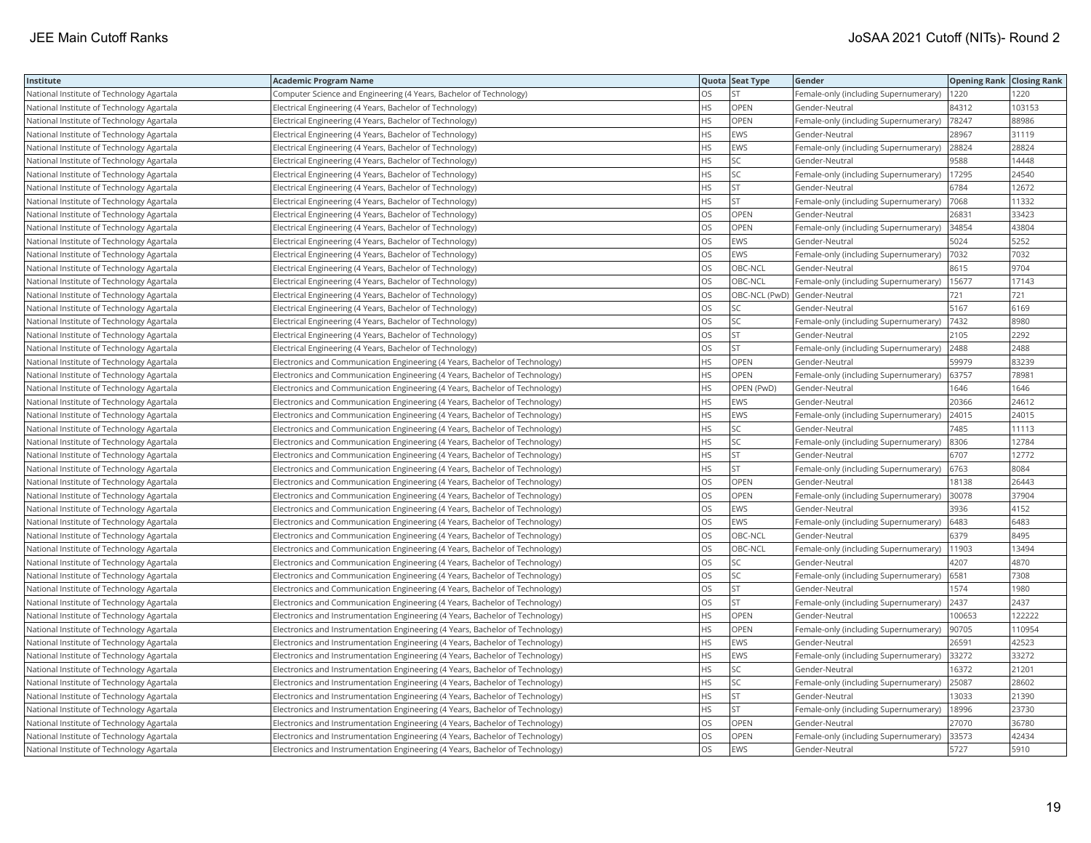| Institute                                 | <b>Academic Program Name</b>                                                  |           | Quota Seat Type | Gender                                |        | <b>Opening Rank Closing Rank</b> |
|-------------------------------------------|-------------------------------------------------------------------------------|-----------|-----------------|---------------------------------------|--------|----------------------------------|
| National Institute of Technology Agartala | Computer Science and Engineering (4 Years, Bachelor of Technology)            | OS.       |                 | Female-only (including Supernumerary) | 1220   | 1220                             |
| National Institute of Technology Agartala | Electrical Engineering (4 Years, Bachelor of Technology)                      | <b>HS</b> | OPEN            | Gender-Neutral                        | 84312  | 103153                           |
| National Institute of Technology Agartala | Electrical Engineering (4 Years, Bachelor of Technology)                      | <b>HS</b> | OPEN            | Female-only (including Supernumerary) | 78247  | 88986                            |
| National Institute of Technology Agartala | Electrical Engineering (4 Years, Bachelor of Technology)                      | <b>HS</b> | EWS             | Gender-Neutral                        | 28967  | 31119                            |
| National Institute of Technology Agartala | Electrical Engineering (4 Years, Bachelor of Technology)                      | <b>HS</b> | EWS             | Female-only (including Supernumerary) | 28824  | 28824                            |
| National Institute of Technology Agartala | Electrical Engineering (4 Years, Bachelor of Technology)                      | <b>HS</b> | SC              | Gender-Neutral                        | 9588   | 14448                            |
| National Institute of Technology Agartala | Electrical Engineering (4 Years, Bachelor of Technology)                      | <b>HS</b> | SC              | Female-only (including Supernumerary) | 17295  | 24540                            |
| National Institute of Technology Agartala | Electrical Engineering (4 Years, Bachelor of Technology)                      | <b>HS</b> | <b>ST</b>       | Gender-Neutral                        | 6784   | 12672                            |
| National Institute of Technology Agartala | Electrical Engineering (4 Years, Bachelor of Technology)                      | <b>HS</b> | <b>ST</b>       | Female-only (including Supernumerary) | 7068   | 11332                            |
| National Institute of Technology Agartala | Electrical Engineering (4 Years, Bachelor of Technology)                      | los       | OPEN            | Gender-Neutral                        | 26831  | 33423                            |
| National Institute of Technology Agartala | Electrical Engineering (4 Years, Bachelor of Technology)                      | OS        | OPEN            | Female-only (including Supernumerary) | 34854  | 43804                            |
| National Institute of Technology Agartala | Electrical Engineering (4 Years, Bachelor of Technology)                      | OS        | EWS             | Gender-Neutral                        | 5024   | 5252                             |
| National Institute of Technology Agartala | Electrical Engineering (4 Years, Bachelor of Technology)                      | OS        | EWS             | Female-only (including Supernumerary) | 7032   | 7032                             |
| National Institute of Technology Agartala | Electrical Engineering (4 Years, Bachelor of Technology)                      | <b>OS</b> | OBC-NCL         | Gender-Neutral                        | 8615   | 9704                             |
| National Institute of Technology Agartala | Electrical Engineering (4 Years, Bachelor of Technology)                      | OS        | OBC-NCL         | Female-only (including Supernumerary) | 15677  | 17143                            |
| National Institute of Technology Agartala | Electrical Engineering (4 Years, Bachelor of Technology)                      | <b>OS</b> |                 | OBC-NCL (PwD) Gender-Neutral          | 721    | 721                              |
| National Institute of Technology Agartala | Electrical Engineering (4 Years, Bachelor of Technology)                      | OS        | SC              | Gender-Neutral                        | 5167   | 6169                             |
| National Institute of Technology Agartala | Electrical Engineering (4 Years, Bachelor of Technology)                      | <b>OS</b> | SC              | Female-only (including Supernumerary) | 7432   | 8980                             |
| National Institute of Technology Agartala | Electrical Engineering (4 Years, Bachelor of Technology)                      | OS        | ST              | Gender-Neutral                        | 2105   | 2292                             |
| National Institute of Technology Agartala | Electrical Engineering (4 Years, Bachelor of Technology)                      | OS        | ST.             | Female-only (including Supernumerary) | 2488   | 2488                             |
| National Institute of Technology Agartala | Electronics and Communication Engineering (4 Years, Bachelor of Technology)   | <b>HS</b> | OPEN            | Gender-Neutral                        | 59979  | 83239                            |
| National Institute of Technology Agartala | Electronics and Communication Engineering (4 Years, Bachelor of Technology)   | <b>HS</b> | OPEN            | Female-only (including Supernumerary) | 63757  | 78981                            |
| National Institute of Technology Agartala | Electronics and Communication Engineering (4 Years, Bachelor of Technology)   | <b>HS</b> | OPEN (PwD)      | Gender-Neutral                        | 1646   | 1646                             |
| National Institute of Technology Agartala | Electronics and Communication Engineering (4 Years, Bachelor of Technology)   | <b>HS</b> | EWS             | Gender-Neutral                        | 20366  | 24612                            |
| National Institute of Technology Agartala | Electronics and Communication Engineering (4 Years, Bachelor of Technology)   | <b>HS</b> | EWS             | Female-only (including Supernumerary) | 24015  | 24015                            |
| National Institute of Technology Agartala | Electronics and Communication Engineering (4 Years, Bachelor of Technology)   | <b>HS</b> | SC              | Gender-Neutral                        | 7485   | 11113                            |
| National Institute of Technology Agartala | Electronics and Communication Engineering (4 Years, Bachelor of Technology)   | <b>HS</b> | SC              | Female-only (including Supernumerary) | 8306   | 12784                            |
| National Institute of Technology Agartala | Electronics and Communication Engineering (4 Years, Bachelor of Technology)   | HS        | <b>ST</b>       | Gender-Neutral                        | 6707   | 12772                            |
| National Institute of Technology Agartala | Electronics and Communication Engineering (4 Years, Bachelor of Technology)   | <b>HS</b> | <b>ST</b>       | Female-only (including Supernumerary) | 6763   | 8084                             |
| National Institute of Technology Agartala | Electronics and Communication Engineering (4 Years, Bachelor of Technology)   | OS        | OPEN            | Gender-Neutral                        | 18138  | 26443                            |
| National Institute of Technology Agartala | Electronics and Communication Engineering (4 Years, Bachelor of Technology)   | <b>OS</b> | OPEN            | Female-only (including Supernumerary) | 30078  | 37904                            |
| National Institute of Technology Agartala | Electronics and Communication Engineering (4 Years, Bachelor of Technology)   | los       | EWS             | Gender-Neutral                        | 3936   | 4152                             |
| National Institute of Technology Agartala | Electronics and Communication Engineering (4 Years, Bachelor of Technology)   | <b>OS</b> | EWS             | Female-only (including Supernumerary) | 6483   | 6483                             |
| National Institute of Technology Agartala | Electronics and Communication Engineering (4 Years, Bachelor of Technology)   | los       | OBC-NCL         | Gender-Neutral                        | 6379   | 8495                             |
| National Institute of Technology Agartala | Electronics and Communication Engineering (4 Years, Bachelor of Technology)   | <b>OS</b> | OBC-NCL         | Female-only (including Supernumerary) | 11903  | 13494                            |
| National Institute of Technology Agartala | Electronics and Communication Engineering (4 Years, Bachelor of Technology)   | <b>OS</b> | SC              | Gender-Neutral                        | 4207   | 4870                             |
| National Institute of Technology Agartala | Electronics and Communication Engineering (4 Years, Bachelor of Technology)   | los       | SC              | Female-only (including Supernumerary) | 6581   | 7308                             |
| National Institute of Technology Agartala | Electronics and Communication Engineering (4 Years, Bachelor of Technology)   | <b>OS</b> | <b>ST</b>       | Gender-Neutral                        | 1574   | 1980                             |
| National Institute of Technology Agartala | Electronics and Communication Engineering (4 Years, Bachelor of Technology)   | <b>OS</b> | ST              | Female-only (including Supernumerary) | 2437   | 2437                             |
| National Institute of Technology Agartala | Electronics and Instrumentation Engineering (4 Years, Bachelor of Technology) | <b>HS</b> | OPEN            | Gender-Neutral                        | 100653 | 122222                           |
| National Institute of Technology Agartala | Electronics and Instrumentation Engineering (4 Years, Bachelor of Technology) | <b>HS</b> | OPEN            | Female-only (including Supernumerary) | 90705  | 110954                           |
| National Institute of Technology Agartala | Electronics and Instrumentation Engineering (4 Years, Bachelor of Technology) | <b>HS</b> | EWS             | Gender-Neutral                        | 26591  | 42523                            |
| National Institute of Technology Agartala | Electronics and Instrumentation Engineering (4 Years, Bachelor of Technology) | HS        | EWS             | Female-only (including Supernumerary) | 33272  | 33272                            |
| National Institute of Technology Agartala | Electronics and Instrumentation Engineering (4 Years, Bachelor of Technology) | <b>HS</b> | SC              | Gender-Neutral                        | 16372  | 21201                            |
| National Institute of Technology Agartala | Electronics and Instrumentation Engineering (4 Years, Bachelor of Technology) | HS        | SC              | Female-only (including Supernumerary) | 25087  | 28602                            |
| National Institute of Technology Agartala | Electronics and Instrumentation Engineering (4 Years, Bachelor of Technology) | <b>HS</b> | <b>ST</b>       | Gender-Neutral                        | 13033  | 21390                            |
| National Institute of Technology Agartala | Electronics and Instrumentation Engineering (4 Years, Bachelor of Technology) | <b>HS</b> | ST              | Female-only (including Supernumerary) | 18996  | 23730                            |
| National Institute of Technology Agartala | Electronics and Instrumentation Engineering (4 Years, Bachelor of Technology) | OS        | OPEN            | Gender-Neutral                        | 27070  | 36780                            |
| National Institute of Technology Agartala | Electronics and Instrumentation Engineering (4 Years, Bachelor of Technology) | OS        | OPEN            | Female-only (including Supernumerary) | 33573  | 42434                            |
| National Institute of Technology Agartala | Electronics and Instrumentation Engineering (4 Years, Bachelor of Technology) | los       | <b>EWS</b>      | Gender-Neutral                        | 5727   | 5910                             |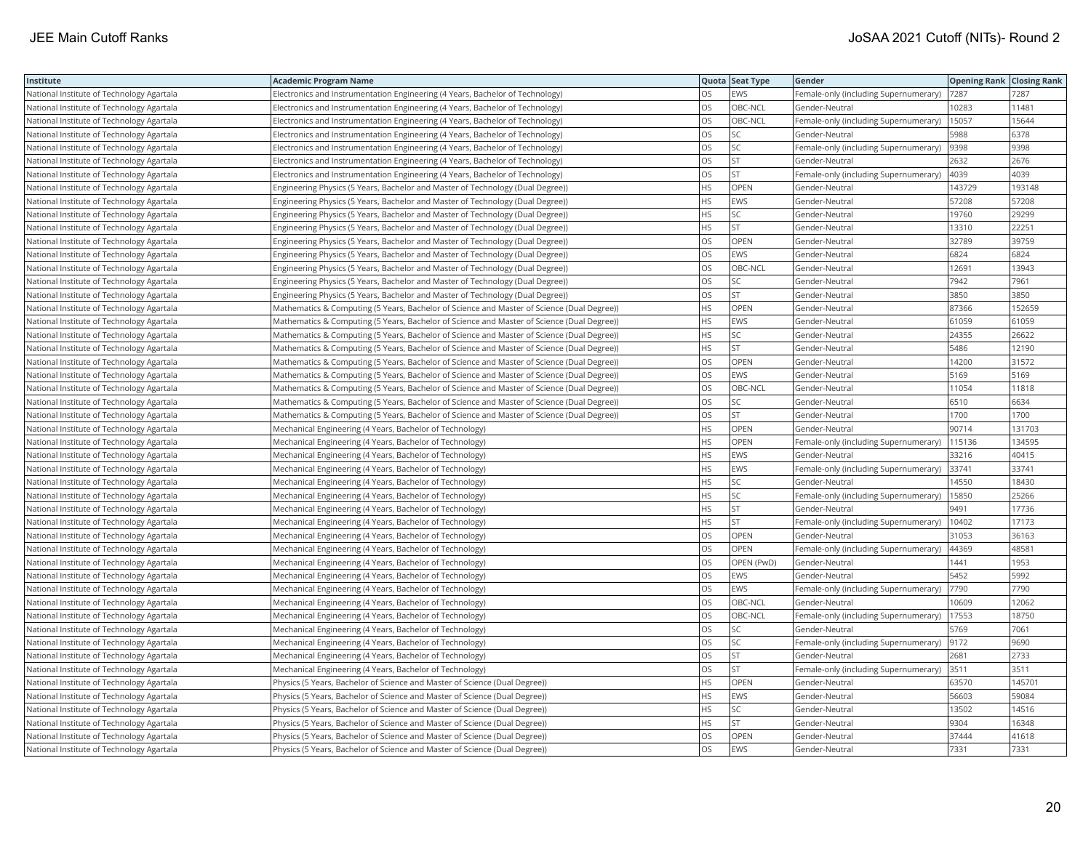| Institute                                 | <b>Academic Program Name</b>                                                               |           | Quota Seat Type | Gender                                | <b>Opening Rank Closing Rank</b> |        |
|-------------------------------------------|--------------------------------------------------------------------------------------------|-----------|-----------------|---------------------------------------|----------------------------------|--------|
| National Institute of Technology Agartala | Electronics and Instrumentation Engineering (4 Years, Bachelor of Technology)              | <b>OS</b> | EWS             | Female-only (including Supernumerary) | 7287                             | 7287   |
| National Institute of Technology Agartala | Electronics and Instrumentation Engineering (4 Years, Bachelor of Technology)              | los       | OBC-NCL         | Gender-Neutral                        | 10283                            | 11481  |
| National Institute of Technology Agartala | Electronics and Instrumentation Engineering (4 Years, Bachelor of Technology)              | los       | OBC-NCL         | Female-only (including Supernumerary) | 15057                            | 15644  |
| National Institute of Technology Agartala | Electronics and Instrumentation Engineering (4 Years, Bachelor of Technology)              | los       | SC              | Gender-Neutral                        | 5988                             | 6378   |
| National Institute of Technology Agartala | Electronics and Instrumentation Engineering (4 Years, Bachelor of Technology)              | los       | SC              | Female-only (including Supernumerary) | 9398                             | 9398   |
| National Institute of Technology Agartala | Electronics and Instrumentation Engineering (4 Years, Bachelor of Technology)              | <b>OS</b> | <b>ST</b>       | Gender-Neutral                        | 2632                             | 2676   |
| National Institute of Technology Agartala | Electronics and Instrumentation Engineering (4 Years, Bachelor of Technology)              | OS        | <b>ST</b>       | Female-only (including Supernumerary) | 4039                             | 4039   |
| National Institute of Technology Agartala | Engineering Physics (5 Years, Bachelor and Master of Technology (Dual Degree))             | <b>HS</b> | OPEN            | Gender-Neutral                        | 143729                           | 193148 |
| National Institute of Technology Agartala | Engineering Physics (5 Years, Bachelor and Master of Technology (Dual Degree))             | <b>HS</b> | EWS             | Gender-Neutral                        | 57208                            | 57208  |
| National Institute of Technology Agartala | Engineering Physics (5 Years, Bachelor and Master of Technology (Dual Degree))             | <b>HS</b> | SC              | Gender-Neutral                        | 19760                            | 29299  |
| National Institute of Technology Agartala | Engineering Physics (5 Years, Bachelor and Master of Technology (Dual Degree))             | <b>HS</b> | <b>ST</b>       | Gender-Neutral                        | 13310                            | 22251  |
| National Institute of Technology Agartala | Engineering Physics (5 Years, Bachelor and Master of Technology (Dual Degree))             | OS        | OPEN            | Gender-Neutral                        | 32789                            | 39759  |
| National Institute of Technology Agartala | Engineering Physics (5 Years, Bachelor and Master of Technology (Dual Degree))             | OS        | EWS             | Gender-Neutral                        | 6824                             | 6824   |
| National Institute of Technology Agartala | Engineering Physics (5 Years, Bachelor and Master of Technology (Dual Degree))             | <b>OS</b> | OBC-NCL         | Gender-Neutral                        | 12691                            | 13943  |
| National Institute of Technology Agartala | Engineering Physics (5 Years, Bachelor and Master of Technology (Dual Degree))             | OS        | SC              | Gender-Neutral                        | 7942                             | 7961   |
| National Institute of Technology Agartala | Engineering Physics (5 Years, Bachelor and Master of Technology (Dual Degree))             | <b>OS</b> | <b>ST</b>       | Gender-Neutral                        | 3850                             | 3850   |
| National Institute of Technology Agartala | Mathematics & Computing (5 Years, Bachelor of Science and Master of Science (Dual Degree)) | <b>HS</b> | OPEN            | Gender-Neutral                        | 87366                            | 152659 |
| National Institute of Technology Agartala | Mathematics & Computing (5 Years, Bachelor of Science and Master of Science (Dual Degree)) | <b>HS</b> | EWS             | Gender-Neutral                        | 61059                            | 61059  |
| National Institute of Technology Agartala | Mathematics & Computing (5 Years, Bachelor of Science and Master of Science (Dual Degree)) | HS        | SC              | Gender-Neutral                        | 24355                            | 26622  |
| National Institute of Technology Agartala | Mathematics & Computing (5 Years, Bachelor of Science and Master of Science (Dual Degree)) | <b>HS</b> | <b>ST</b>       | Gender-Neutral                        | 5486                             | 12190  |
| National Institute of Technology Agartala | Mathematics & Computing (5 Years, Bachelor of Science and Master of Science (Dual Degree)) | <b>OS</b> | OPEN            | Gender-Neutral                        | 14200                            | 31572  |
| National Institute of Technology Agartala | Mathematics & Computing (5 Years, Bachelor of Science and Master of Science (Dual Degree)) | los       | EWS             | Gender-Neutral                        | 5169                             | 5169   |
| National Institute of Technology Agartala | Mathematics & Computing (5 Years, Bachelor of Science and Master of Science (Dual Degree)) | <b>OS</b> | OBC-NCL         | Gender-Neutral                        | 11054                            | 11818  |
| National Institute of Technology Agartala | Mathematics & Computing (5 Years, Bachelor of Science and Master of Science (Dual Degree)) | OS        | SC              | Gender-Neutral                        | 6510                             | 6634   |
| National Institute of Technology Agartala | Mathematics & Computing (5 Years, Bachelor of Science and Master of Science (Dual Degree)) | OS        | <b>ST</b>       | Gender-Neutral                        | 1700                             | 1700   |
| National Institute of Technology Agartala | Mechanical Engineering (4 Years, Bachelor of Technology)                                   | <b>HS</b> | OPEN            | Gender-Neutral                        | 90714                            | 131703 |
| National Institute of Technology Agartala | Mechanical Engineering (4 Years, Bachelor of Technology)                                   | <b>HS</b> | OPEN            | Female-only (including Supernumerary) | 115136                           | 134595 |
| National Institute of Technology Agartala | Mechanical Engineering (4 Years, Bachelor of Technology)                                   | <b>HS</b> | EWS             | Gender-Neutral                        | 33216                            | 40415  |
| National Institute of Technology Agartala | Mechanical Engineering (4 Years, Bachelor of Technology)                                   | <b>HS</b> | EWS             | Female-only (including Supernumerary) | 33741                            | 33741  |
| National Institute of Technology Agartala | Mechanical Engineering (4 Years, Bachelor of Technology)                                   | HS        | SC              | Gender-Neutral                        | 14550                            | 18430  |
| National Institute of Technology Agartala | Mechanical Engineering (4 Years, Bachelor of Technology)                                   | <b>HS</b> | <b>SC</b>       | Female-only (including Supernumerary) | 15850                            | 25266  |
| National Institute of Technology Agartala | Mechanical Engineering (4 Years, Bachelor of Technology)                                   | HS        | <b>ST</b>       | Gender-Neutral                        | 9491                             | 17736  |
| National Institute of Technology Agartala | Mechanical Engineering (4 Years, Bachelor of Technology)                                   | <b>HS</b> | <b>ST</b>       | Female-only (including Supernumerary) | 10402                            | 17173  |
| National Institute of Technology Agartala | Mechanical Engineering (4 Years, Bachelor of Technology)                                   | OS        | OPEN            | Gender-Neutral                        | 31053                            | 36163  |
| National Institute of Technology Agartala | Mechanical Engineering (4 Years, Bachelor of Technology)                                   | OS        | OPEN            | Female-only (including Supernumerary) | 44369                            | 48581  |
| National Institute of Technology Agartala | Mechanical Engineering (4 Years, Bachelor of Technology)                                   | <b>OS</b> | OPEN (PwD)      | Gender-Neutral                        | 1441                             | 1953   |
| National Institute of Technology Agartala | Mechanical Engineering (4 Years, Bachelor of Technology)                                   | OS        | EWS             | Gender-Neutral                        | 5452                             | 5992   |
| National Institute of Technology Agartala | Mechanical Engineering (4 Years, Bachelor of Technology)                                   | <b>OS</b> | <b>EWS</b>      | Female-only (including Supernumerary) | 7790                             | 7790   |
| National Institute of Technology Agartala | Mechanical Engineering (4 Years, Bachelor of Technology)                                   | OS        | OBC-NCL         | Gender-Neutral                        | 10609                            | 12062  |
| National Institute of Technology Agartala | Mechanical Engineering (4 Years, Bachelor of Technology)                                   | OS        | OBC-NCL         | Female-only (including Supernumerary) | 17553                            | 18750  |
| National Institute of Technology Agartala | Mechanical Engineering (4 Years, Bachelor of Technology)                                   | <b>OS</b> | SC              | Gender-Neutral                        | 5769                             | 7061   |
| National Institute of Technology Agartala | Mechanical Engineering (4 Years, Bachelor of Technology)                                   | <b>OS</b> | SC              | Female-only (including Supernumerary) | 9172                             | 9690   |
| National Institute of Technology Agartala | Mechanical Engineering (4 Years, Bachelor of Technology)                                   | OS        | <b>ST</b>       | Gender-Neutral                        | 2681                             | 2733   |
| National Institute of Technology Agartala | Mechanical Engineering (4 Years, Bachelor of Technology)                                   | OS        | <b>ST</b>       | Female-only (including Supernumerary) | 3511                             | 3511   |
| National Institute of Technology Agartala | Physics (5 Years, Bachelor of Science and Master of Science (Dual Degree))                 | HS        | OPEN            | Gender-Neutral                        | 63570                            | 145701 |
| National Institute of Technology Agartala | Physics (5 Years, Bachelor of Science and Master of Science (Dual Degree))                 | HS        | EWS             | Gender-Neutral                        | 56603                            | 59084  |
| National Institute of Technology Agartala | Physics (5 Years, Bachelor of Science and Master of Science (Dual Degree))                 | HS        | SC              | Gender-Neutral                        | 13502                            | 14516  |
| National Institute of Technology Agartala | Physics (5 Years, Bachelor of Science and Master of Science (Dual Degree))                 | <b>HS</b> | <b>ST</b>       | Gender-Neutral                        | 9304                             | 16348  |
| National Institute of Technology Agartala | Physics (5 Years, Bachelor of Science and Master of Science (Dual Degree))                 | OS        | OPEN            | Gender-Neutral                        | 37444                            | 41618  |
| National Institute of Technology Agartala | Physics (5 Years, Bachelor of Science and Master of Science (Dual Degree))                 | los       | EWS             | Gender-Neutral                        | 7331                             | 7331   |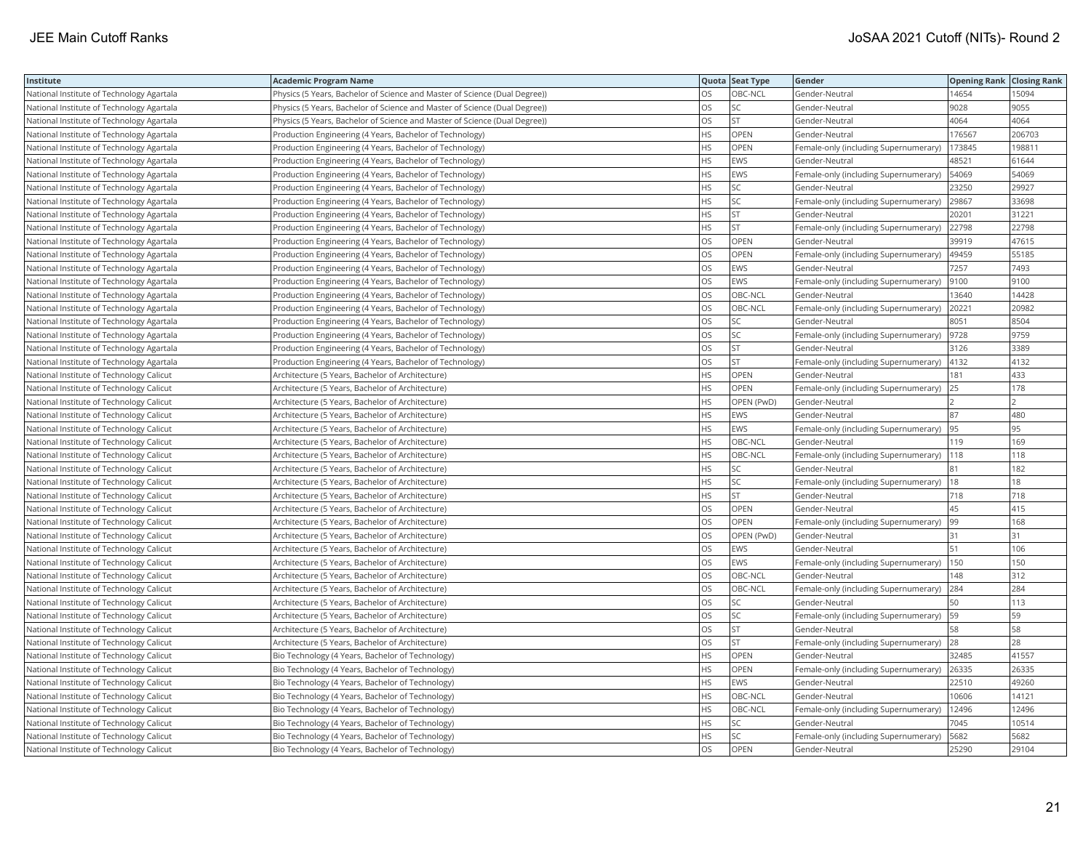| Institute                                 | <b>Academic Program Name</b>                                               |           | Quota Seat Type | Gender                                | <b>Opening Rank Closing Rank</b> |        |
|-------------------------------------------|----------------------------------------------------------------------------|-----------|-----------------|---------------------------------------|----------------------------------|--------|
| National Institute of Technology Agartala | Physics (5 Years, Bachelor of Science and Master of Science (Dual Degree)) | OS.       | OBC-NCL         | Gender-Neutral                        | 14654                            | 15094  |
| National Institute of Technology Agartala | Physics (5 Years, Bachelor of Science and Master of Science (Dual Degree)) | OS        | SC              | Gender-Neutral                        | 9028                             | 9055   |
| National Institute of Technology Agartala | Physics (5 Years, Bachelor of Science and Master of Science (Dual Degree)) | OS        | <b>ST</b>       | Gender-Neutral                        | 4064                             | 4064   |
| National Institute of Technology Agartala | Production Engineering (4 Years, Bachelor of Technology)                   | <b>HS</b> | OPEN            | Gender-Neutral                        | 176567                           | 206703 |
| National Institute of Technology Agartala | Production Engineering (4 Years, Bachelor of Technology)                   | <b>HS</b> | OPEN            | Female-only (including Supernumerary) | 173845                           | 198811 |
| National Institute of Technology Agartala | Production Engineering (4 Years, Bachelor of Technology)                   | HS        | EWS             | Gender-Neutral                        | 48521                            | 61644  |
| National Institute of Technology Agartala | Production Engineering (4 Years, Bachelor of Technology)                   | <b>HS</b> | <b>EWS</b>      | Female-only (including Supernumerary) | 54069                            | 54069  |
| National Institute of Technology Agartala | Production Engineering (4 Years, Bachelor of Technology)                   | HS        | SC              | Gender-Neutral                        | 23250                            | 29927  |
| National Institute of Technology Agartala | Production Engineering (4 Years, Bachelor of Technology)                   | HS        | SC              | Female-only (including Supernumerary) | 29867                            | 33698  |
| National Institute of Technology Agartala | Production Engineering (4 Years, Bachelor of Technology)                   | <b>HS</b> | <b>ST</b>       | Gender-Neutral                        | 20201                            | 31221  |
| National Institute of Technology Agartala | Production Engineering (4 Years, Bachelor of Technology)                   | <b>HS</b> | ST              | Female-only (including Supernumerary) | 22798                            | 22798  |
| National Institute of Technology Agartala | Production Engineering (4 Years, Bachelor of Technology)                   | OS        | OPEN            | Gender-Neutral                        | 39919                            | 47615  |
| National Institute of Technology Agartala | Production Engineering (4 Years, Bachelor of Technology)                   | OS        | OPEN            | Female-only (including Supernumerary) | 49459                            | 55185  |
| National Institute of Technology Agartala | Production Engineering (4 Years, Bachelor of Technology)                   | <b>OS</b> | <b>EWS</b>      | Gender-Neutral                        | 7257                             | 7493   |
| National Institute of Technology Agartala | Production Engineering (4 Years, Bachelor of Technology)                   | OS        | EWS             | Female-only (including Supernumerary) | 9100                             | 9100   |
| National Institute of Technology Agartala | Production Engineering (4 Years, Bachelor of Technology)                   | OS        | OBC-NCL         | Gender-Neutral                        | 13640                            | 14428  |
| National Institute of Technology Agartala | Production Engineering (4 Years, Bachelor of Technology)                   | OS        | OBC-NCL         | Female-only (including Supernumerary) | 20221                            | 20982  |
| National Institute of Technology Agartala | Production Engineering (4 Years, Bachelor of Technology)                   | OS        | SC              | Gender-Neutral                        | 8051                             | 8504   |
| National Institute of Technology Agartala | Production Engineering (4 Years, Bachelor of Technology)                   | OS        | SC              | Female-only (including Supernumerary) | 9728                             | 9759   |
| National Institute of Technology Agartala | Production Engineering (4 Years, Bachelor of Technology)                   | <b>OS</b> | <b>ST</b>       | Gender-Neutral                        | 3126                             | 3389   |
| National Institute of Technology Agartala | Production Engineering (4 Years, Bachelor of Technology)                   | OS        | <b>ST</b>       | Female-only (including Supernumerary) | 4132                             | 4132   |
| National Institute of Technology Calicut  | Architecture (5 Years, Bachelor of Architecture)                           | <b>HS</b> | OPEN            | Gender-Neutral                        | 181                              | 433    |
| National Institute of Technology Calicut  | Architecture (5 Years, Bachelor of Architecture)                           | HS        | OPEN            | Female-only (including Supernumerary) | 25                               | 178    |
| National Institute of Technology Calicut  | Architecture (5 Years, Bachelor of Architecture)                           | HS        | OPEN (PwD)      | Gender-Neutral                        |                                  |        |
| National Institute of Technology Calicut  | Architecture (5 Years, Bachelor of Architecture)                           | <b>HS</b> | <b>EWS</b>      | Gender-Neutral                        | 87                               | 480    |
| National Institute of Technology Calicut  | Architecture (5 Years, Bachelor of Architecture)                           | HS        | EWS             | Female-only (including Supernumerary) | 95                               | 95     |
| National Institute of Technology Calicut  | Architecture (5 Years, Bachelor of Architecture)                           | HS        | OBC-NCL         | Gender-Neutral                        | 119                              | 169    |
| National Institute of Technology Calicut  | Architecture (5 Years, Bachelor of Architecture)                           | HS        | OBC-NCL         | Female-only (including Supernumerary) | 118                              | 118    |
| National Institute of Technology Calicut  | Architecture (5 Years, Bachelor of Architecture)                           | <b>HS</b> | SC              | Gender-Neutral                        | 81                               | 182    |
| National Institute of Technology Calicut  | Architecture (5 Years, Bachelor of Architecture)                           | HS        | SC              | Female-only (including Supernumerary) | 18                               | 18     |
| National Institute of Technology Calicut  | Architecture (5 Years, Bachelor of Architecture)                           | <b>HS</b> | <b>ST</b>       | Gender-Neutral                        | 718                              | 718    |
| National Institute of Technology Calicut  | Architecture (5 Years, Bachelor of Architecture)                           | OS        | OPEN            | Gender-Neutral                        | 45                               | 415    |
| National Institute of Technology Calicut  | Architecture (5 Years, Bachelor of Architecture)                           | OS        | OPEN            | Female-only (including Supernumerary) | 99                               | 168    |
| National Institute of Technology Calicut  | Architecture (5 Years, Bachelor of Architecture)                           | OS        | OPEN (PwD)      | Gender-Neutral                        | 31                               | 31     |
| National Institute of Technology Calicut  | Architecture (5 Years, Bachelor of Architecture)                           | OS        | EWS             | Gender-Neutral                        | 51                               | 106    |
| National Institute of Technology Calicut  | Architecture (5 Years, Bachelor of Architecture)                           | OS        | EWS             | Female-only (including Supernumerary) | 150                              | 150    |
| National Institute of Technology Calicut  | Architecture (5 Years, Bachelor of Architecture)                           | OS        | OBC-NCL         | Gender-Neutral                        | 148                              | 312    |
| National Institute of Technology Calicut  | Architecture (5 Years, Bachelor of Architecture)                           | <b>OS</b> | OBC-NCL         | Female-only (including Supernumerary) | 284                              | 284    |
| National Institute of Technology Calicut  | Architecture (5 Years, Bachelor of Architecture)                           | OS        | SC              | Gender-Neutral                        | 50                               | 113    |
| National Institute of Technology Calicut  | Architecture (5 Years, Bachelor of Architecture)                           | OS        | <b>SC</b>       | Female-only (including Supernumerary) | 59                               | 59     |
| National Institute of Technology Calicut  | Architecture (5 Years, Bachelor of Architecture)                           | OS        | ST              | Gender-Neutral                        | 58                               | 58     |
| National Institute of Technology Calicut  | Architecture (5 Years, Bachelor of Architecture)                           | OS        | <b>ST</b>       | Female-only (including Supernumerary) | 28                               | 28     |
| National Institute of Technology Calicut  | Bio Technology (4 Years, Bachelor of Technology)                           | HS        | OPEN            | Gender-Neutral                        | 32485                            | 41557  |
| National Institute of Technology Calicut  | Bio Technology (4 Years, Bachelor of Technology)                           | <b>HS</b> | <b>OPEN</b>     | Female-only (including Supernumerary) | 26335                            | 26335  |
| National Institute of Technology Calicut  | Bio Technology (4 Years, Bachelor of Technology)                           | HS        | EWS             | Gender-Neutral                        | 22510                            | 49260  |
| National Institute of Technology Calicut  | Bio Technology (4 Years, Bachelor of Technology)                           | <b>HS</b> | OBC-NCL         | Gender-Neutral                        | 10606                            | 14121  |
| National Institute of Technology Calicut  | Bio Technology (4 Years, Bachelor of Technology)                           | HS        | OBC-NCL         | Female-only (including Supernumerary) | 12496                            | 12496  |
| National Institute of Technology Calicut  | Bio Technology (4 Years, Bachelor of Technology)                           | HS        | SC              | Gender-Neutral                        | 7045                             | 10514  |
| National Institute of Technology Calicut  | Bio Technology (4 Years, Bachelor of Technology)                           | HS        | SC              | Female-only (including Supernumerary) | 5682                             | 5682   |
| National Institute of Technology Calicut  | Bio Technology (4 Years, Bachelor of Technology)                           | <b>OS</b> | <b>OPEN</b>     | Gender-Neutral                        | 25290                            | 29104  |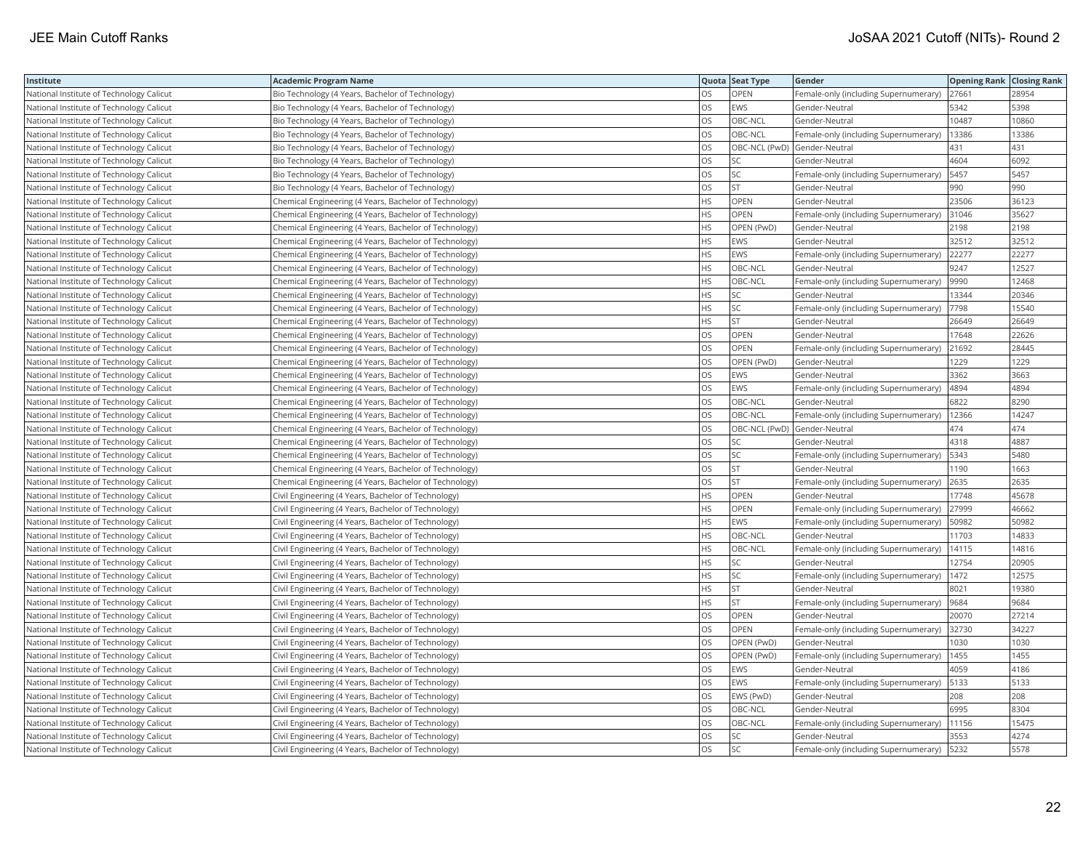| Institute                                | <b>Academic Program Name</b>                           |           | Quota Seat Type | Gender                                | <b>Opening Rank Closing Rank</b> |       |
|------------------------------------------|--------------------------------------------------------|-----------|-----------------|---------------------------------------|----------------------------------|-------|
| National Institute of Technology Calicut | Bio Technology (4 Years, Bachelor of Technology)       | OS.       | OPEN            | Female-only (including Supernumerary) | 27661                            | 28954 |
| National Institute of Technology Calicut | Bio Technology (4 Years, Bachelor of Technology)       | OS        | EWS             | Gender-Neutral                        | 5342                             | 5398  |
| National Institute of Technology Calicut | Bio Technology (4 Years, Bachelor of Technology)       | <b>OS</b> | OBC-NCL         | Gender-Neutral                        | 10487                            | 10860 |
| National Institute of Technology Calicut | Bio Technology (4 Years, Bachelor of Technology)       | los       | OBC-NCL         | Female-only (including Supernumerary) | 13386                            | 13386 |
| National Institute of Technology Calicut | Bio Technology (4 Years, Bachelor of Technology)       | OS        |                 | OBC-NCL (PwD) Gender-Neutral          | 431                              | 431   |
| National Institute of Technology Calicut | Bio Technology (4 Years, Bachelor of Technology)       | OS        | SC              | Gender-Neutral                        | 4604                             | 6092  |
| National Institute of Technology Calicut | Bio Technology (4 Years, Bachelor of Technology)       | los       | SC              | Female-only (including Supernumerary) | 5457                             | 5457  |
| National Institute of Technology Calicut | Bio Technology (4 Years, Bachelor of Technology)       | OS        | <b>ST</b>       | Gender-Neutral                        | 990                              | 990   |
| National Institute of Technology Calicut | Chemical Engineering (4 Years, Bachelor of Technology) | <b>HS</b> | OPEN            | Gender-Neutral                        | 23506                            | 36123 |
| National Institute of Technology Calicut | Chemical Engineering (4 Years, Bachelor of Technology) | <b>HS</b> | OPEN            | Female-only (including Supernumerary) | 31046                            | 35627 |
| National Institute of Technology Calicut | Chemical Engineering (4 Years, Bachelor of Technology) | <b>HS</b> | OPEN (PwD)      | Gender-Neutral                        | 2198                             | 2198  |
| National Institute of Technology Calicut | Chemical Engineering (4 Years, Bachelor of Technology) | <b>HS</b> | EWS             | Gender-Neutral                        | 32512                            | 32512 |
| National Institute of Technology Calicut | Chemical Engineering (4 Years, Bachelor of Technology) | HS        | EWS             | Female-only (including Supernumerary) | 22277                            | 22277 |
| National Institute of Technology Calicut | Chemical Engineering (4 Years, Bachelor of Technology) | <b>HS</b> | OBC-NCL         | Gender-Neutral                        | 9247                             | 12527 |
| National Institute of Technology Calicut | Chemical Engineering (4 Years, Bachelor of Technology) | HS        | OBC-NCL         | Female-only (including Supernumerary) | 9990                             | 12468 |
| National Institute of Technology Calicut | Chemical Engineering (4 Years, Bachelor of Technology) | <b>HS</b> | SΣ              | Gender-Neutral                        | 13344                            | 20346 |
| National Institute of Technology Calicut | Chemical Engineering (4 Years, Bachelor of Technology) | <b>HS</b> | SC              | Female-only (including Supernumerary) | 7798                             | 15540 |
| National Institute of Technology Calicut | Chemical Engineering (4 Years, Bachelor of Technology) | <b>HS</b> | <b>ST</b>       | Gender-Neutral                        | 26649                            | 26649 |
| National Institute of Technology Calicut | Chemical Engineering (4 Years, Bachelor of Technology) | OS        | OPEN            | Gender-Neutral                        | 17648                            | 22626 |
| National Institute of Technology Calicut | Chemical Engineering (4 Years, Bachelor of Technology) | OS        | OPEN            | Female-only (including Supernumerary) | 21692                            | 28445 |
| National Institute of Technology Calicut | Chemical Engineering (4 Years, Bachelor of Technology) | los       | OPEN (PwD)      | Gender-Neutral                        | 1229                             | 1229  |
| National Institute of Technology Calicut | Chemical Engineering (4 Years, Bachelor of Technology) | los       | EWS             | Gender-Neutral                        | 3362                             | 3663  |
| National Institute of Technology Calicut | Chemical Engineering (4 Years, Bachelor of Technology) | OS        | EWS             | Female-only (including Supernumerary) | 4894                             | 4894  |
| National Institute of Technology Calicut | Chemical Engineering (4 Years, Bachelor of Technology) | OS        | OBC-NCL         | Gender-Neutral                        | 6822                             | 8290  |
| National Institute of Technology Calicut | Chemical Engineering (4 Years, Bachelor of Technology) | los       | OBC-NCL         | Female-only (including Supernumerary) | 12366                            | 14247 |
| National Institute of Technology Calicut | Chemical Engineering (4 Years, Bachelor of Technology) | los       |                 | OBC-NCL (PwD) Gender-Neutral          | 474                              | 474   |
| National Institute of Technology Calicut | Chemical Engineering (4 Years, Bachelor of Technology) | OS        | SC              | Gender-Neutral                        | 4318                             | 4887  |
| National Institute of Technology Calicut | Chemical Engineering (4 Years, Bachelor of Technology) | OS        | SC              | Female-only (including Supernumerary) | 5343                             | 5480  |
| National Institute of Technology Calicut | Chemical Engineering (4 Years, Bachelor of Technology) | <b>OS</b> | <b>ST</b>       | Gender-Neutral                        | 1190                             | 1663  |
| National Institute of Technology Calicut | Chemical Engineering (4 Years, Bachelor of Technology) | OS        | <b>ST</b>       | Female-only (including Supernumerary) | 2635                             | 2635  |
| National Institute of Technology Calicut | Civil Engineering (4 Years, Bachelor of Technology)    | <b>HS</b> | OPEN            | Gender-Neutral                        | 17748                            | 45678 |
| National Institute of Technology Calicut | Civil Engineering (4 Years, Bachelor of Technology)    | <b>HS</b> | OPEN            | Female-only (including Supernumerary) | 27999                            | 46662 |
| National Institute of Technology Calicut | Civil Engineering (4 Years, Bachelor of Technology)    | <b>HS</b> | EWS             | Female-only (including Supernumerary) | 50982                            | 50982 |
| National Institute of Technology Calicut | Civil Engineering (4 Years, Bachelor of Technology)    | HS        | OBC-NCL         | Gender-Neutral                        | 11703                            | 14833 |
| National Institute of Technology Calicut | Civil Engineering (4 Years, Bachelor of Technology)    | <b>HS</b> | OBC-NCL         | Female-only (including Supernumerary) | 14115                            | 14816 |
| National Institute of Technology Calicut | Civil Engineering (4 Years, Bachelor of Technology)    | <b>HS</b> | SC              | Gender-Neutral                        | 12754                            | 20905 |
| National Institute of Technology Calicut | Civil Engineering (4 Years, Bachelor of Technology)    | <b>HS</b> | SC              | Female-only (including Supernumerary) | 1472                             | 12575 |
| National Institute of Technology Calicut | Civil Engineering (4 Years, Bachelor of Technology)    | <b>HS</b> | <b>ST</b>       | Gender-Neutral                        | 8021                             | 19380 |
| National Institute of Technology Calicut | Civil Engineering (4 Years, Bachelor of Technology)    | <b>HS</b> | ST              | Female-only (including Supernumerary) | 9684                             | 9684  |
| National Institute of Technology Calicut | Civil Engineering (4 Years, Bachelor of Technology)    | los       | OPEN            | Gender-Neutral                        | 20070                            | 27214 |
| National Institute of Technology Calicut | Civil Engineering (4 Years, Bachelor of Technology)    | OS        | OPEN            | Female-only (including Supernumerary) | 32730                            | 34227 |
| National Institute of Technology Calicut | Civil Engineering (4 Years, Bachelor of Technology)    | <b>OS</b> | OPEN (PwD)      | Gender-Neutral                        | 1030                             | 1030  |
| National Institute of Technology Calicut | Civil Engineering (4 Years, Bachelor of Technology)    | OS        | OPEN (PwD)      | Female-only (including Supernumerary) | 1455                             | 1455  |
| National Institute of Technology Calicut | Civil Engineering (4 Years, Bachelor of Technology)    | OS        | EWS             | Gender-Neutral                        | 4059                             | 4186  |
| National Institute of Technology Calicut | Civil Engineering (4 Years, Bachelor of Technology)    | OS        | EWS             | Female-only (including Supernumerary) | 5133                             | 5133  |
| National Institute of Technology Calicut | Civil Engineering (4 Years, Bachelor of Technology)    | <b>OS</b> | EWS (PwD)       | Gender-Neutral                        | 208                              | 208   |
| National Institute of Technology Calicut | Civil Engineering (4 Years, Bachelor of Technology)    | los       | OBC-NCL         | Gender-Neutral                        | 6995                             | 8304  |
| National Institute of Technology Calicut | Civil Engineering (4 Years, Bachelor of Technology)    | <b>OS</b> | OBC-NCL         | Female-only (including Supernumerary) | 11156                            | 15475 |
| National Institute of Technology Calicut | Civil Engineering (4 Years, Bachelor of Technology)    | OS        | SC              | Gender-Neutral                        | 3553                             | 4274  |
| National Institute of Technology Calicut | Civil Engineering (4 Years, Bachelor of Technology)    | <b>OS</b> | SC              | Female-only (including Supernumerary) | 5232                             | 5578  |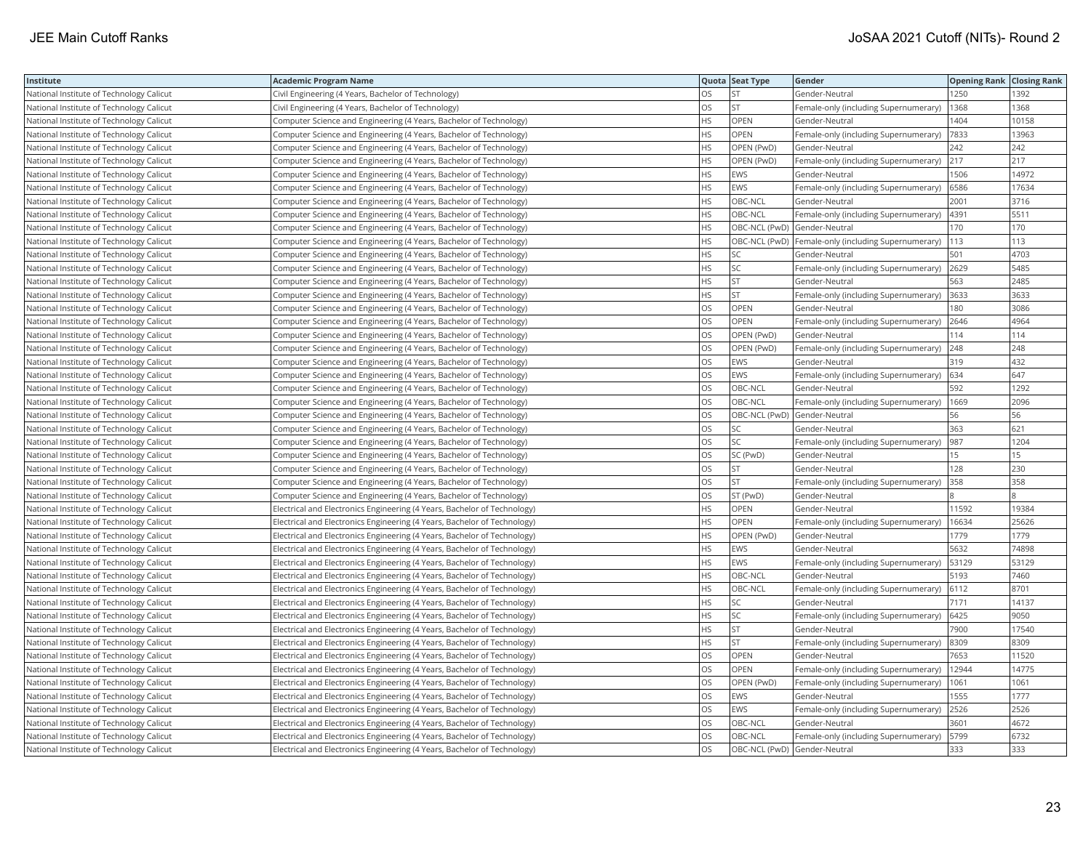| Institute                                | <b>Academic Program Name</b>                                             |           | Quota Seat Type | Gender                                              | <b>Opening Rank Closing Rank</b> |       |
|------------------------------------------|--------------------------------------------------------------------------|-----------|-----------------|-----------------------------------------------------|----------------------------------|-------|
| National Institute of Technology Calicut | Civil Engineering (4 Years, Bachelor of Technology)                      | OS.       |                 | Gender-Neutral                                      | 1250                             | 1392  |
| National Institute of Technology Calicut | Civil Engineering (4 Years, Bachelor of Technology)                      | OS        | <b>ST</b>       | Female-only (including Supernumerary)               | 1368                             | 1368  |
| National Institute of Technology Calicut | Computer Science and Engineering (4 Years, Bachelor of Technology)       | <b>HS</b> | OPEN            | Gender-Neutral                                      | 1404                             | 10158 |
| National Institute of Technology Calicut | Computer Science and Engineering (4 Years, Bachelor of Technology)       | <b>HS</b> | OPEN            | Female-only (including Supernumerary)               | 7833                             | 13963 |
| National Institute of Technology Calicut | Computer Science and Engineering (4 Years, Bachelor of Technology)       | <b>HS</b> | OPEN (PwD)      | Gender-Neutral                                      | 242                              | 242   |
| National Institute of Technology Calicut | Computer Science and Engineering (4 Years, Bachelor of Technology)       | <b>HS</b> | OPEN (PwD)      | Female-only (including Supernumerary)               | 217                              | 217   |
| National Institute of Technology Calicut | Computer Science and Engineering (4 Years, Bachelor of Technology)       | <b>HS</b> | <b>EWS</b>      | Gender-Neutral                                      | 1506                             | 14972 |
| National Institute of Technology Calicut | Computer Science and Engineering (4 Years, Bachelor of Technology)       | <b>HS</b> | <b>EWS</b>      | Female-only (including Supernumerary)               | 6586                             | 17634 |
| National Institute of Technology Calicut | Computer Science and Engineering (4 Years, Bachelor of Technology)       | <b>HS</b> | OBC-NCL         | Gender-Neutral                                      | 2001                             | 3716  |
| National Institute of Technology Calicut | Computer Science and Engineering (4 Years, Bachelor of Technology)       | <b>HS</b> | OBC-NCL         | Female-only (including Supernumerary)               | 4391                             | 5511  |
| National Institute of Technology Calicut | Computer Science and Engineering (4 Years, Bachelor of Technology)       | <b>HS</b> |                 | OBC-NCL (PwD) Gender-Neutral                        | 170                              | 170   |
| National Institute of Technology Calicut | Computer Science and Engineering (4 Years, Bachelor of Technology)       | <b>HS</b> |                 | OBC-NCL (PwD) Female-only (including Supernumerary) | 113                              | 113   |
| National Institute of Technology Calicut | Computer Science and Engineering (4 Years, Bachelor of Technology)       | HS        | SC              | Gender-Neutral                                      | 501                              | 4703  |
| National Institute of Technology Calicut | Computer Science and Engineering (4 Years, Bachelor of Technology)       | HS        | SC              | Female-only (including Supernumerary)               | 2629                             | 5485  |
| National Institute of Technology Calicut | Computer Science and Engineering (4 Years, Bachelor of Technology)       | <b>HS</b> | <b>ST</b>       | Gender-Neutral                                      | 563                              | 2485  |
| National Institute of Technology Calicut | Computer Science and Engineering (4 Years, Bachelor of Technology)       | <b>HS</b> | <b>ST</b>       | Female-only (including Supernumerary)               | 3633                             | 3633  |
| National Institute of Technology Calicut | Computer Science and Engineering (4 Years, Bachelor of Technology)       | <b>OS</b> | OPEN            | Gender-Neutral                                      | 180                              | 3086  |
| National Institute of Technology Calicut | Computer Science and Engineering (4 Years, Bachelor of Technology)       | OS        | OPEN            | Female-only (including Supernumerary)               | 2646                             | 4964  |
| National Institute of Technology Calicut | Computer Science and Engineering (4 Years, Bachelor of Technology)       | <b>OS</b> | OPEN (PwD)      | Gender-Neutral                                      | 114                              | 114   |
| National Institute of Technology Calicut | Computer Science and Engineering (4 Years, Bachelor of Technology)       | OS        | OPEN (PwD)      | Female-only (including Supernumerary)               | 248                              | 248   |
| National Institute of Technology Calicut | Computer Science and Engineering (4 Years, Bachelor of Technology)       | <b>OS</b> | EWS             | Gender-Neutral                                      | 319                              | 432   |
| National Institute of Technology Calicut | Computer Science and Engineering (4 Years, Bachelor of Technology)       | <b>OS</b> | EWS             | Female-only (including Supernumerary)               | 634                              | 647   |
| National Institute of Technology Calicut | Computer Science and Engineering (4 Years, Bachelor of Technology)       | <b>OS</b> | OBC-NCL         | Gender-Neutral                                      | 592                              | 1292  |
| National Institute of Technology Calicut | Computer Science and Engineering (4 Years, Bachelor of Technology)       | OS        | OBC-NCL         | Female-only (including Supernumerary)               | 1669                             | 2096  |
| National Institute of Technology Calicut | Computer Science and Engineering (4 Years, Bachelor of Technology)       | OS        |                 | OBC-NCL (PwD) Gender-Neutral                        | 56                               | 56    |
| National Institute of Technology Calicut | Computer Science and Engineering (4 Years, Bachelor of Technology)       | <b>OS</b> | SC              | Gender-Neutral                                      | 363                              | 621   |
| National Institute of Technology Calicut | Computer Science and Engineering (4 Years, Bachelor of Technology)       | OS        | SC              | Female-only (including Supernumerary)               | 987                              | 1204  |
| National Institute of Technology Calicut | Computer Science and Engineering (4 Years, Bachelor of Technology)       | OS        | SC (PwD)        | Gender-Neutral                                      | 15                               | 15    |
| National Institute of Technology Calicut | Computer Science and Engineering (4 Years, Bachelor of Technology)       | OS        | <b>ST</b>       | Gender-Neutral                                      | 128                              | 230   |
| National Institute of Technology Calicut | Computer Science and Engineering (4 Years, Bachelor of Technology)       | <b>OS</b> | <b>ST</b>       | Female-only (including Supernumerary)               | 358                              | 358   |
| National Institute of Technology Calicut | Computer Science and Engineering (4 Years, Bachelor of Technology)       | OS        | ST (PwD)        | Gender-Neutral                                      |                                  |       |
| National Institute of Technology Calicut | Electrical and Electronics Engineering (4 Years, Bachelor of Technology) | HS        | OPEN            | Gender-Neutral                                      | 11592                            | 19384 |
| National Institute of Technology Calicut | Electrical and Electronics Engineering (4 Years, Bachelor of Technology) | <b>HS</b> | OPEN            | Female-only (including Supernumerary)               | 16634                            | 25626 |
| National Institute of Technology Calicut | Electrical and Electronics Engineering (4 Years, Bachelor of Technology) | <b>HS</b> | OPEN (PwD)      | Gender-Neutral                                      | 1779                             | 1779  |
| National Institute of Technology Calicut | Electrical and Electronics Engineering (4 Years, Bachelor of Technology) | <b>HS</b> | EWS             | Gender-Neutral                                      | 5632                             | 74898 |
| National Institute of Technology Calicut | Electrical and Electronics Engineering (4 Years, Bachelor of Technology) | <b>HS</b> | EWS             | Female-only (including Supernumerary)               | 53129                            | 53129 |
| National Institute of Technology Calicut | Electrical and Electronics Engineering (4 Years, Bachelor of Technology) | <b>HS</b> | OBC-NCL         | Gender-Neutral                                      | 5193                             | 7460  |
| National Institute of Technology Calicut | Electrical and Electronics Engineering (4 Years, Bachelor of Technology) | <b>HS</b> | OBC-NCL         | Female-only (including Supernumerary)               | 6112                             | 8701  |
| National Institute of Technology Calicut | Electrical and Electronics Engineering (4 Years, Bachelor of Technology) | <b>HS</b> | SC              | Gender-Neutral                                      | 7171                             | 14137 |
| National Institute of Technology Calicut | Electrical and Electronics Engineering (4 Years, Bachelor of Technology) | <b>HS</b> | SC              | Female-only (including Supernumerary)               | 6425                             | 9050  |
| National Institute of Technology Calicut | Electrical and Electronics Engineering (4 Years, Bachelor of Technology) | <b>HS</b> | <b>ST</b>       | Gender-Neutral                                      | 7900                             | 17540 |
| National Institute of Technology Calicut | Electrical and Electronics Engineering (4 Years, Bachelor of Technology) | <b>HS</b> | <b>ST</b>       | Female-only (including Supernumerary)               | 8309                             | 8309  |
| National Institute of Technology Calicut | Electrical and Electronics Engineering (4 Years, Bachelor of Technology) | OS        | OPEN            | Gender-Neutral                                      | 7653                             | 11520 |
| National Institute of Technology Calicut | Electrical and Electronics Engineering (4 Years, Bachelor of Technology) | <b>OS</b> | <b>OPEN</b>     | Female-only (including Supernumerary)               | 12944                            | 14775 |
| National Institute of Technology Calicut | Electrical and Electronics Engineering (4 Years, Bachelor of Technology) | OS        | OPEN (PwD)      | Female-only (including Supernumerary)               | 1061                             | 1061  |
| National Institute of Technology Calicut | Electrical and Electronics Engineering (4 Years, Bachelor of Technology) | <b>OS</b> | <b>EWS</b>      | Gender-Neutral                                      | 1555                             | 1777  |
| National Institute of Technology Calicut | Electrical and Electronics Engineering (4 Years, Bachelor of Technology) | OS        | EWS             | Female-only (including Supernumerary)               | 2526                             | 2526  |
| National Institute of Technology Calicut | Electrical and Electronics Engineering (4 Years, Bachelor of Technology) | <b>OS</b> | OBC-NCL         | Gender-Neutral                                      | 3601                             | 4672  |
| National Institute of Technology Calicut | Electrical and Electronics Engineering (4 Years, Bachelor of Technology) | OS        | OBC-NCL         | Female-only (including Supernumerary)               | 5799                             | 6732  |
| National Institute of Technology Calicut | Electrical and Electronics Engineering (4 Years, Bachelor of Technology) | los       |                 | OBC-NCL (PwD) Gender-Neutral                        | 333                              | 333   |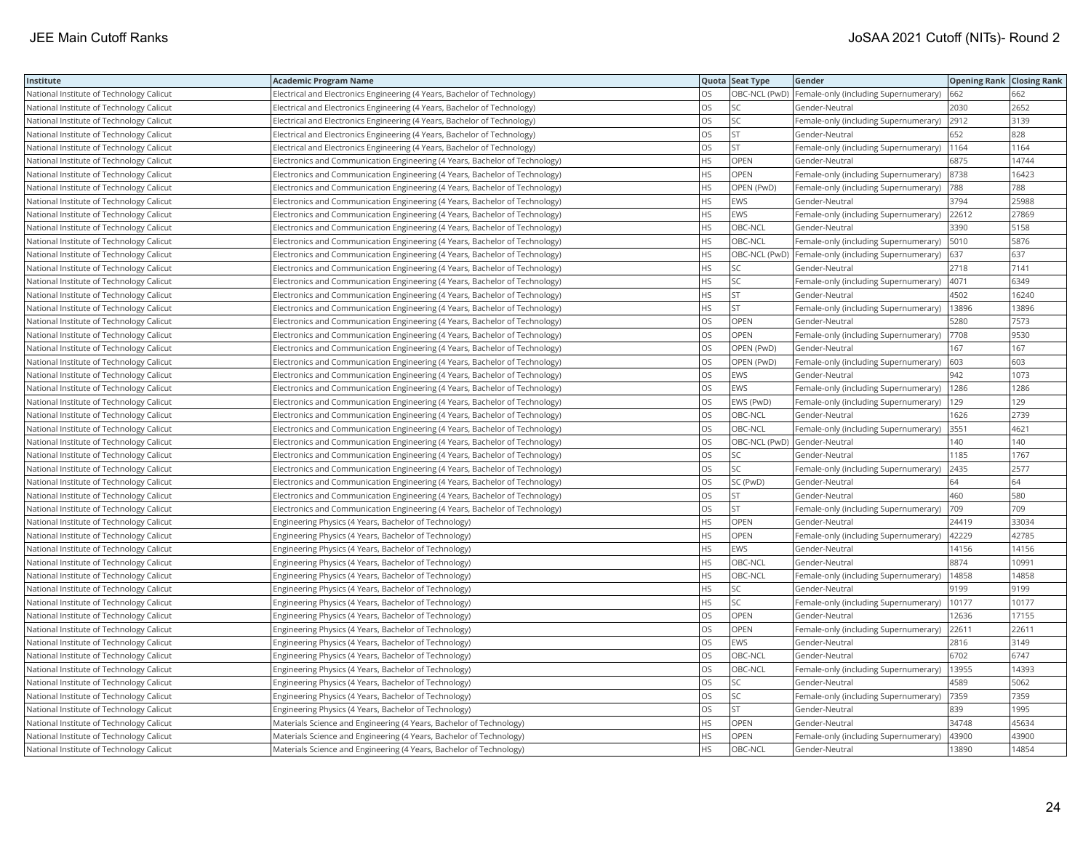| Institute                                | <b>Academic Program Name</b>                                                |           | Quota Seat Type | Gender                                              | <b>Opening Rank Closing Rank</b> |       |
|------------------------------------------|-----------------------------------------------------------------------------|-----------|-----------------|-----------------------------------------------------|----------------------------------|-------|
| National Institute of Technology Calicut | Electrical and Electronics Engineering (4 Years, Bachelor of Technology)    | OS.       |                 | OBC-NCL (PwD) Female-only (including Supernumerary) | 662                              | 662   |
| National Institute of Technology Calicut | Electrical and Electronics Engineering (4 Years, Bachelor of Technology)    | OS        |                 | Gender-Neutral                                      | 2030                             | 2652  |
| National Institute of Technology Calicut | Electrical and Electronics Engineering (4 Years, Bachelor of Technology)    | OS        | SC              | Female-only (including Supernumerary)               | 2912                             | 3139  |
| National Institute of Technology Calicut | Electrical and Electronics Engineering (4 Years, Bachelor of Technology)    | OS        | <b>ST</b>       | Gender-Neutral                                      | 652                              | 828   |
| National Institute of Technology Calicut | Electrical and Electronics Engineering (4 Years, Bachelor of Technology)    | OS        | <b>ST</b>       | Female-only (including Supernumerary)               | 1164                             | 1164  |
| National Institute of Technology Calicut | Electronics and Communication Engineering (4 Years, Bachelor of Technology) | <b>HS</b> | OPEN            | Gender-Neutral                                      | 6875                             | 14744 |
| National Institute of Technology Calicut | Electronics and Communication Engineering (4 Years, Bachelor of Technology) | <b>HS</b> | <b>OPEN</b>     | Female-only (including Supernumerary)               | 8738                             | 16423 |
| National Institute of Technology Calicut | Electronics and Communication Engineering (4 Years, Bachelor of Technology) | <b>HS</b> | OPEN (PwD)      | Female-only (including Supernumerary)               | 788                              | 788   |
| National Institute of Technology Calicut | Electronics and Communication Engineering (4 Years, Bachelor of Technology) | <b>HS</b> | EWS             | Gender-Neutral                                      | 3794                             | 25988 |
| National Institute of Technology Calicut | Electronics and Communication Engineering (4 Years, Bachelor of Technology) | <b>HS</b> | EWS             | Female-only (including Supernumerary)               | 22612                            | 27869 |
| National Institute of Technology Calicut | Electronics and Communication Engineering (4 Years, Bachelor of Technology) | <b>HS</b> | OBC-NCL         | Gender-Neutral                                      | 3390                             | 5158  |
| National Institute of Technology Calicut | Electronics and Communication Engineering (4 Years, Bachelor of Technology) | <b>HS</b> | OBC-NCL         | Female-only (including Supernumerary)               | 5010                             | 5876  |
| National Institute of Technology Calicut | Electronics and Communication Engineering (4 Years, Bachelor of Technology) | HS        |                 | OBC-NCL (PwD) Female-only (including Supernumerary) | 637                              | 637   |
| National Institute of Technology Calicut | Electronics and Communication Engineering (4 Years, Bachelor of Technology) | <b>HS</b> | SC              | Gender-Neutral                                      | 2718                             | 7141  |
| National Institute of Technology Calicut | Electronics and Communication Engineering (4 Years, Bachelor of Technology) | <b>HS</b> | <b>SC</b>       | Female-only (including Supernumerary)               | 4071                             | 6349  |
| National Institute of Technology Calicut | Electronics and Communication Engineering (4 Years, Bachelor of Technology) | <b>HS</b> | <b>ST</b>       | Gender-Neutral                                      | 4502                             | 16240 |
| National Institute of Technology Calicut | Electronics and Communication Engineering (4 Years, Bachelor of Technology) | <b>HS</b> | <b>ST</b>       | Female-only (including Supernumerary)               | 13896                            | 13896 |
| National Institute of Technology Calicut | Electronics and Communication Engineering (4 Years, Bachelor of Technology) | OS        | OPEN            | Gender-Neutral                                      | 5280                             | 7573  |
| National Institute of Technology Calicut | Electronics and Communication Engineering (4 Years, Bachelor of Technology) | <b>OS</b> | OPEN            | Female-only (including Supernumerary)               | 7708                             | 9530  |
| National Institute of Technology Calicut | Electronics and Communication Engineering (4 Years, Bachelor of Technology) | OS        | OPEN (PwD)      | Gender-Neutral                                      | 167                              | 167   |
| National Institute of Technology Calicut | Electronics and Communication Engineering (4 Years, Bachelor of Technology) | <b>OS</b> | OPEN (PwD)      | Female-only (including Supernumerary)               | 603                              | 603   |
| National Institute of Technology Calicut | Electronics and Communication Engineering (4 Years, Bachelor of Technology) | <b>OS</b> | EWS             | Gender-Neutral                                      | 942                              | 1073  |
| National Institute of Technology Calicut | Electronics and Communication Engineering (4 Years, Bachelor of Technology) | <b>OS</b> | <b>EWS</b>      | Female-only (including Supernumerary)               | 1286                             | 1286  |
| National Institute of Technology Calicut | Electronics and Communication Engineering (4 Years, Bachelor of Technology) | OS        | EWS (PwD)       | Female-only (including Supernumerary)               | 129                              | 129   |
| National Institute of Technology Calicut | Electronics and Communication Engineering (4 Years, Bachelor of Technology) | OS        | OBC-NCL         | Gender-Neutral                                      | 1626                             | 2739  |
| National Institute of Technology Calicut | Electronics and Communication Engineering (4 Years, Bachelor of Technology) | <b>OS</b> | OBC-NCL         | Female-only (including Supernumerary)               | 3551                             | 4621  |
| National Institute of Technology Calicut | Electronics and Communication Engineering (4 Years, Bachelor of Technology) | OS        |                 | OBC-NCL (PwD) Gender-Neutral                        | 140                              | 140   |
| National Institute of Technology Calicut | Electronics and Communication Engineering (4 Years, Bachelor of Technology) | OS        | SC              | Gender-Neutral                                      | 1185                             | 1767  |
| National Institute of Technology Calicut | Electronics and Communication Engineering (4 Years, Bachelor of Technology) | OS        | SC              | Female-only (including Supernumerary)               | 2435                             | 2577  |
| National Institute of Technology Calicut | Electronics and Communication Engineering (4 Years, Bachelor of Technology) | <b>OS</b> | SC (PwD)        | Gender-Neutral                                      | 64                               | 64    |
| National Institute of Technology Calicut | Electronics and Communication Engineering (4 Years, Bachelor of Technology) | OS        | <b>ST</b>       | Gender-Neutral                                      | 460                              | 580   |
| National Institute of Technology Calicut | Electronics and Communication Engineering (4 Years, Bachelor of Technology) | OS        | <b>ST</b>       | Female-only (including Supernumerary)               | 709                              | 709   |
| National Institute of Technology Calicut | Engineering Physics (4 Years, Bachelor of Technology)                       | <b>HS</b> | OPEN            | Gender-Neutral                                      | 24419                            | 33034 |
| National Institute of Technology Calicut | Engineering Physics (4 Years, Bachelor of Technology)                       | <b>HS</b> | OPEN            | Female-only (including Supernumerary)               | 42229                            | 42785 |
| National Institute of Technology Calicut | Engineering Physics (4 Years, Bachelor of Technology)                       | <b>HS</b> | EWS             | Gender-Neutral                                      | 14156                            | 14156 |
| National Institute of Technology Calicut | Engineering Physics (4 Years, Bachelor of Technology)                       | <b>HS</b> | OBC-NCL         | Gender-Neutral                                      | 8874                             | 10991 |
| National Institute of Technology Calicut | Engineering Physics (4 Years, Bachelor of Technology)                       | <b>HS</b> | OBC-NCL         | Female-only (including Supernumerary)               | 14858                            | 14858 |
| National Institute of Technology Calicut | Engineering Physics (4 Years, Bachelor of Technology)                       | <b>HS</b> | SC              | Gender-Neutral                                      | 9199                             | 9199  |
| National Institute of Technology Calicut | Engineering Physics (4 Years, Bachelor of Technology)                       | <b>HS</b> | SC              | Female-only (including Supernumerary)               | 10177                            | 10177 |
| National Institute of Technology Calicut | Engineering Physics (4 Years, Bachelor of Technology)                       | OS        | OPEN            | Gender-Neutral                                      | 12636                            | 17155 |
| National Institute of Technology Calicut | Engineering Physics (4 Years, Bachelor of Technology)                       | <b>OS</b> | OPEN            | Female-only (including Supernumerary)               | 22611                            | 22611 |
| National Institute of Technology Calicut | Engineering Physics (4 Years, Bachelor of Technology)                       | OS        | EWS             | Gender-Neutral                                      | 2816                             | 3149  |
| National Institute of Technology Calicut | Engineering Physics (4 Years, Bachelor of Technology)                       | OS        | OBC-NCL         | Gender-Neutral                                      | 6702                             | 6747  |
| National Institute of Technology Calicut | Engineering Physics (4 Years, Bachelor of Technology)                       | <b>OS</b> | OBC-NCL         | Female-only (including Supernumerary)               | 13955                            | 14393 |
| National Institute of Technology Calicut | Engineering Physics (4 Years, Bachelor of Technology)                       | OS        | SC              | Gender-Neutral                                      | 4589                             | 5062  |
| National Institute of Technology Calicut | Engineering Physics (4 Years, Bachelor of Technology)                       | <b>OS</b> | <b>SC</b>       | Female-only (including Supernumerary)               | 7359                             | 7359  |
| National Institute of Technology Calicut | Engineering Physics (4 Years, Bachelor of Technology)                       | OS        | <b>ST</b>       | Gender-Neutral                                      | 839                              | 1995  |
| National Institute of Technology Calicut | Materials Science and Engineering (4 Years, Bachelor of Technology)         | <b>HS</b> | OPEN            | Gender-Neutral                                      | 34748                            | 45634 |
| National Institute of Technology Calicut | Materials Science and Engineering (4 Years, Bachelor of Technology)         | <b>HS</b> | OPEN            | Female-only (including Supernumerary)               | 43900                            | 43900 |
| National Institute of Technology Calicut | Materials Science and Engineering (4 Years, Bachelor of Technology)         | <b>HS</b> | OBC-NCL         | Gender-Neutral                                      | 13890                            | 14854 |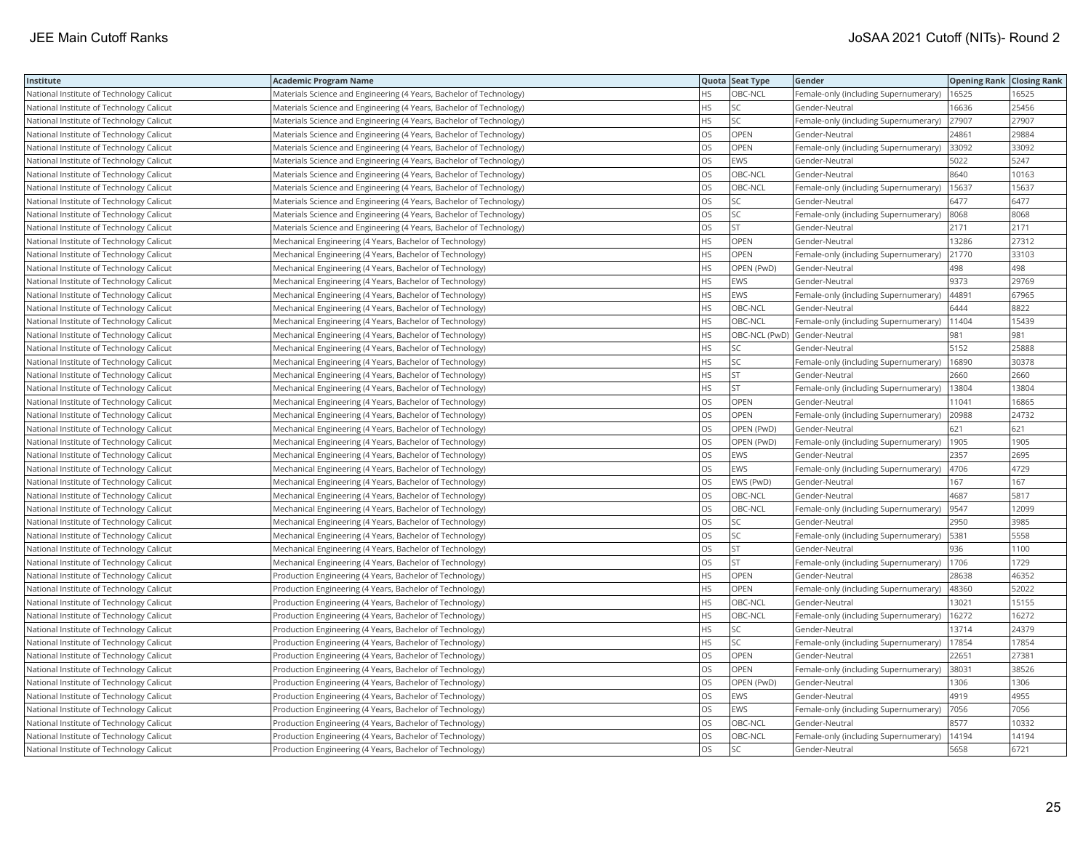| Institute                                | <b>Academic Program Name</b>                                        |           | Quota Seat Type | Gender                                | <b>Opening Rank Closing Rank</b> |       |
|------------------------------------------|---------------------------------------------------------------------|-----------|-----------------|---------------------------------------|----------------------------------|-------|
| National Institute of Technology Calicut | Materials Science and Engineering (4 Years, Bachelor of Technology) | HS.       | OBC-NCL         | Female-only (including Supernumerary) | 16525                            | 16525 |
| National Institute of Technology Calicut | Materials Science and Engineering (4 Years, Bachelor of Technology) | HS        | SC              | Gender-Neutral                        | 16636                            | 25456 |
| National Institute of Technology Calicut | Materials Science and Engineering (4 Years, Bachelor of Technology) | <b>HS</b> | SC              | Female-only (including Supernumerary) | 27907                            | 27907 |
| National Institute of Technology Calicut | Materials Science and Engineering (4 Years, Bachelor of Technology) | OS        | OPEN            | Gender-Neutral                        | 24861                            | 29884 |
| National Institute of Technology Calicut | Materials Science and Engineering (4 Years, Bachelor of Technology) | <b>OS</b> | OPEN            | Female-only (including Supernumerary) | 33092                            | 33092 |
| National Institute of Technology Calicut | Materials Science and Engineering (4 Years, Bachelor of Technology) | OS        | EWS             | Gender-Neutral                        | 5022                             | 5247  |
| National Institute of Technology Calicut | Materials Science and Engineering (4 Years, Bachelor of Technology) | <b>OS</b> | OBC-NCL         | Gender-Neutral                        | 8640                             | 10163 |
| National Institute of Technology Calicut | Materials Science and Engineering (4 Years, Bachelor of Technology) | los       | OBC-NCL         | Female-only (including Supernumerary) | 15637                            | 15637 |
| National Institute of Technology Calicut | Materials Science and Engineering (4 Years, Bachelor of Technology) | los       | SC              | Gender-Neutral                        | 6477                             | 6477  |
| National Institute of Technology Calicut | Materials Science and Engineering (4 Years, Bachelor of Technology) | OS        | SC              | Female-only (including Supernumerary) | 8068                             | 8068  |
| National Institute of Technology Calicut | Materials Science and Engineering (4 Years, Bachelor of Technology) | OS        | <b>ST</b>       | Gender-Neutral                        | 2171                             | 2171  |
| National Institute of Technology Calicut | Mechanical Engineering (4 Years, Bachelor of Technology)            | <b>HS</b> | OPEN            | Gender-Neutral                        | 13286                            | 27312 |
| National Institute of Technology Calicut | Mechanical Engineering (4 Years, Bachelor of Technology)            | <b>HS</b> | OPEN            | Female-only (including Supernumerary) | 21770                            | 33103 |
| National Institute of Technology Calicut | Mechanical Engineering (4 Years, Bachelor of Technology)            | <b>HS</b> | OPEN (PwD)      | Gender-Neutral                        | 498                              | 498   |
| National Institute of Technology Calicut | Mechanical Engineering (4 Years, Bachelor of Technology)            | <b>HS</b> | EWS             | Gender-Neutral                        | 9373                             | 29769 |
| National Institute of Technology Calicut | Mechanical Engineering (4 Years, Bachelor of Technology)            | <b>HS</b> | <b>EWS</b>      | Female-only (including Supernumerary) | 44891                            | 67965 |
| National Institute of Technology Calicut | Mechanical Engineering (4 Years, Bachelor of Technology)            | HS        | OBC-NCL         | Gender-Neutral                        | 6444                             | 8822  |
| National Institute of Technology Calicut | Mechanical Engineering (4 Years, Bachelor of Technology)            | <b>HS</b> | OBC-NCL         | Female-only (including Supernumerary) | 11404                            | 15439 |
| National Institute of Technology Calicut | Mechanical Engineering (4 Years, Bachelor of Technology)            | <b>HS</b> |                 | OBC-NCL (PwD) Gender-Neutral          | 981                              | 981   |
| National Institute of Technology Calicut | Mechanical Engineering (4 Years, Bachelor of Technology)            | <b>HS</b> | SΣ              | Gender-Neutral                        | 5152                             | 25888 |
| National Institute of Technology Calicut | Mechanical Engineering (4 Years, Bachelor of Technology)            | <b>HS</b> | SC              | Female-only (including Supernumerary) | 16890                            | 30378 |
| National Institute of Technology Calicut | Mechanical Engineering (4 Years, Bachelor of Technology)            | <b>HS</b> | <b>ST</b>       | Gender-Neutral                        | 2660                             | 2660  |
| National Institute of Technology Calicut | Mechanical Engineering (4 Years, Bachelor of Technology)            | <b>HS</b> | <b>ST</b>       | Female-only (including Supernumerary) | 13804                            | 13804 |
| National Institute of Technology Calicut | Mechanical Engineering (4 Years, Bachelor of Technology)            | los       | OPEN            | Gender-Neutral                        | 11041                            | 16865 |
| National Institute of Technology Calicut | Mechanical Engineering (4 Years, Bachelor of Technology)            | OS        | OPEN            | Female-only (including Supernumerary) | 20988                            | 24732 |
| National Institute of Technology Calicut | Mechanical Engineering (4 Years, Bachelor of Technology)            | <b>OS</b> | OPEN (PwD)      | Gender-Neutral                        | 621                              | 621   |
| National Institute of Technology Calicut | Mechanical Engineering (4 Years, Bachelor of Technology)            | <b>OS</b> | OPEN (PwD)      | Female-only (including Supernumerary) | 1905                             | 1905  |
| National Institute of Technology Calicut | Mechanical Engineering (4 Years, Bachelor of Technology)            | OS        | EWS             | Gender-Neutral                        | 2357                             | 2695  |
| National Institute of Technology Calicut | Mechanical Engineering (4 Years, Bachelor of Technology)            | <b>OS</b> | EWS             | Female-only (including Supernumerary) | 4706                             | 4729  |
| National Institute of Technology Calicut | Mechanical Engineering (4 Years, Bachelor of Technology)            | OS        | EWS (PwD)       | Gender-Neutral                        | 167                              | 167   |
| National Institute of Technology Calicut | Mechanical Engineering (4 Years, Bachelor of Technology)            | <b>OS</b> | OBC-NCL         | Gender-Neutral                        | 4687                             | 5817  |
| National Institute of Technology Calicut | Mechanical Engineering (4 Years, Bachelor of Technology)            | OS        | OBC-NCL         | Female-only (including Supernumerary) | 9547                             | 12099 |
| National Institute of Technology Calicut | Mechanical Engineering (4 Years, Bachelor of Technology)            | <b>OS</b> |                 | Gender-Neutral                        | 2950                             | 3985  |
| National Institute of Technology Calicut | Mechanical Engineering (4 Years, Bachelor of Technology)            | OS        | SC              | Female-only (including Supernumerary) | 5381                             | 5558  |
| National Institute of Technology Calicut | Mechanical Engineering (4 Years, Bachelor of Technology)            | <b>OS</b> | <b>ST</b>       | Gender-Neutral                        | 936                              | 1100  |
| National Institute of Technology Calicut | Mechanical Engineering (4 Years, Bachelor of Technology)            | OS        | <b>ST</b>       | Female-only (including Supernumerary) | 1706                             | 1729  |
| National Institute of Technology Calicut | Production Engineering (4 Years, Bachelor of Technology)            | <b>HS</b> | OPEN            | Gender-Neutral                        | 28638                            | 46352 |
| National Institute of Technology Calicut | Production Engineering (4 Years, Bachelor of Technology)            | <b>HS</b> | OPEN            | Female-only (including Supernumerary) | 48360                            | 52022 |
| National Institute of Technology Calicut | Production Engineering (4 Years, Bachelor of Technology)            | <b>HS</b> | OBC-NCL         | Gender-Neutral                        | 13021                            | 15155 |
| National Institute of Technology Calicut | Production Engineering (4 Years, Bachelor of Technology)            | <b>HS</b> | OBC-NCL         | Female-only (including Supernumerary) | 16272                            | 16272 |
| National Institute of Technology Calicut | Production Engineering (4 Years, Bachelor of Technology)            | <b>HS</b> | SC              | Gender-Neutral                        | 13714                            | 24379 |
| National Institute of Technology Calicut | Production Engineering (4 Years, Bachelor of Technology)            | <b>HS</b> | SC              | Female-only (including Supernumerary) | 17854                            | 17854 |
| National Institute of Technology Calicut | Production Engineering (4 Years, Bachelor of Technology)            | OS        | OPEN            | Gender-Neutral                        | 22651                            | 27381 |
| National Institute of Technology Calicut | Production Engineering (4 Years, Bachelor of Technology)            | <b>OS</b> | OPEN            | Female-only (including Supernumerary) | 38031                            | 38526 |
| National Institute of Technology Calicut | Production Engineering (4 Years, Bachelor of Technology)            | OS        | OPEN (PwD)      | Gender-Neutral                        | 1306                             | 1306  |
| National Institute of Technology Calicut | Production Engineering (4 Years, Bachelor of Technology)            | <b>OS</b> | EWS             | Gender-Neutral                        | 4919                             | 4955  |
| National Institute of Technology Calicut | Production Engineering (4 Years, Bachelor of Technology)            | OS        | EWS             | Female-only (including Supernumerary) | 7056                             | 7056  |
| National Institute of Technology Calicut | Production Engineering (4 Years, Bachelor of Technology)            | <b>OS</b> | OBC-NCL         | Gender-Neutral                        | 8577                             | 10332 |
| National Institute of Technology Calicut | Production Engineering (4 Years, Bachelor of Technology)            | OS        | OBC-NCL         | Female-only (including Supernumerary) | 14194                            | 14194 |
| National Institute of Technology Calicut | Production Engineering (4 Years, Bachelor of Technology)            | <b>OS</b> | SC              | Gender-Neutral                        | 5658                             | 6721  |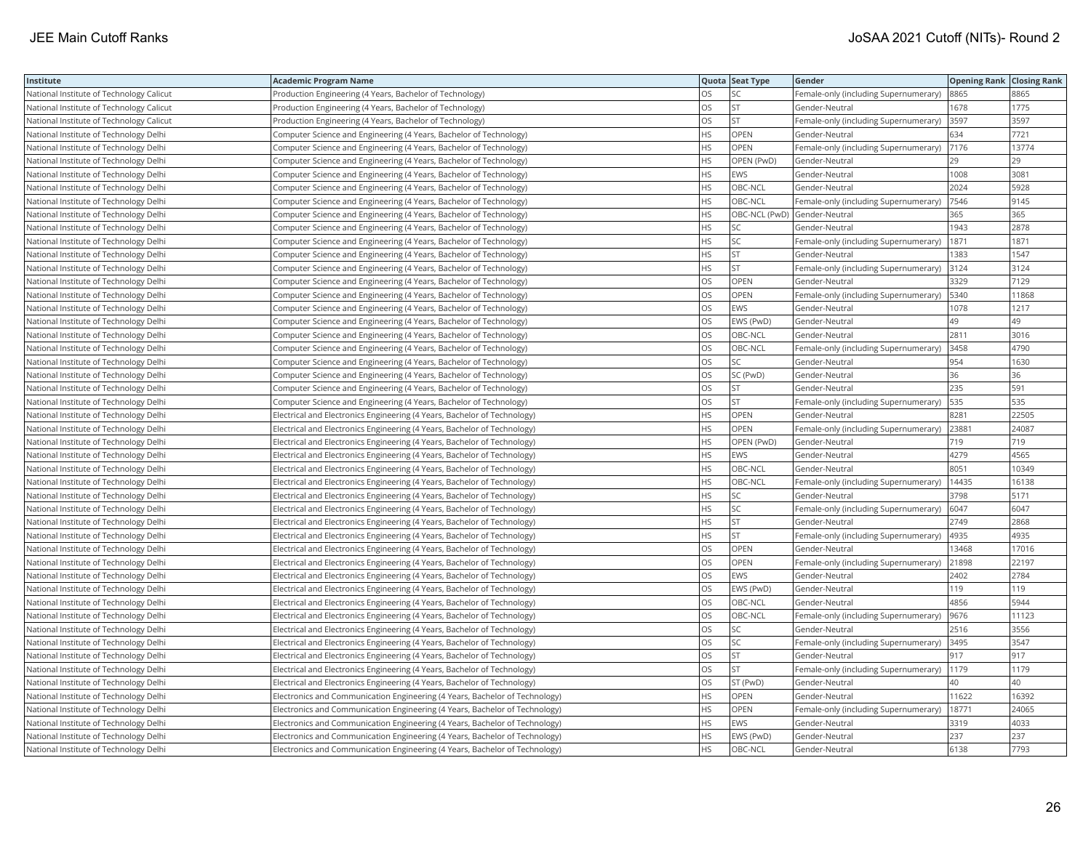| Institute                                | <b>Academic Program Name</b>                                                |           | Quota Seat Type | Gender                                | <b>Opening Rank Closing Rank</b> |       |
|------------------------------------------|-----------------------------------------------------------------------------|-----------|-----------------|---------------------------------------|----------------------------------|-------|
| National Institute of Technology Calicut | Production Engineering (4 Years, Bachelor of Technology)                    | OS.       | SC              | Female-only (including Supernumerary) | 8865                             | 8865  |
| National Institute of Technology Calicut | Production Engineering (4 Years, Bachelor of Technology)                    | OS        | <b>ST</b>       | Gender-Neutral                        | 1678                             | 1775  |
| National Institute of Technology Calicut | Production Engineering (4 Years, Bachelor of Technology)                    | OS        | <b>ST</b>       | Female-only (including Supernumerary) | 3597                             | 3597  |
| National Institute of Technology Delhi   | Computer Science and Engineering (4 Years, Bachelor of Technology)          | <b>HS</b> | OPEN            | Gender-Neutral                        | 634                              | 7721  |
| National Institute of Technology Delhi   | Computer Science and Engineering (4 Years, Bachelor of Technology)          | <b>HS</b> | OPEN            | Female-only (including Supernumerary) | 7176                             | 13774 |
| National Institute of Technology Delhi   | Computer Science and Engineering (4 Years, Bachelor of Technology)          | <b>HS</b> | OPEN (PwD)      | Gender-Neutral                        | 29                               | 29    |
| National Institute of Technology Delhi   | Computer Science and Engineering (4 Years, Bachelor of Technology)          | <b>HS</b> | EWS             | Gender-Neutral                        | 1008                             | 3081  |
| National Institute of Technology Delhi   | Computer Science and Engineering (4 Years, Bachelor of Technology)          | <b>HS</b> | OBC-NCL         | Gender-Neutral                        | 2024                             | 5928  |
| National Institute of Technology Delhi   | Computer Science and Engineering (4 Years, Bachelor of Technology)          | <b>HS</b> | OBC-NCL         | Female-only (including Supernumerary) | 7546                             | 9145  |
| National Institute of Technology Delhi   | Computer Science and Engineering (4 Years, Bachelor of Technology)          | <b>HS</b> |                 | OBC-NCL (PwD) Gender-Neutral          | 365                              | 365   |
| National Institute of Technology Delhi   | Computer Science and Engineering (4 Years, Bachelor of Technology)          | HS        | SC              | Gender-Neutral                        | 1943                             | 2878  |
| National Institute of Technology Delhi   | Computer Science and Engineering (4 Years, Bachelor of Technology)          | HS        | SC              | Female-only (including Supernumerary) | 1871                             | 1871  |
| National Institute of Technology Delhi   | Computer Science and Engineering (4 Years, Bachelor of Technology)          | HS        | ST              | Gender-Neutral                        | 1383                             | 1547  |
| National Institute of Technology Delhi   | Computer Science and Engineering (4 Years, Bachelor of Technology)          | <b>HS</b> | <b>ST</b>       | Female-only (including Supernumerary) | 3124                             | 3124  |
| National Institute of Technology Delhi   | Computer Science and Engineering (4 Years, Bachelor of Technology)          | OS        | OPEN            | Gender-Neutral                        | 3329                             | 7129  |
| National Institute of Technology Delhi   | Computer Science and Engineering (4 Years, Bachelor of Technology)          | OS        | OPEN            | Female-only (including Supernumerary) | 5340                             | 11868 |
| National Institute of Technology Delhi   | Computer Science and Engineering (4 Years, Bachelor of Technology)          | OS        | <b>EWS</b>      | Gender-Neutral                        | 1078                             | 1217  |
| National Institute of Technology Delhi   | Computer Science and Engineering (4 Years, Bachelor of Technology)          | OS        | EWS (PwD)       | Gender-Neutral                        | 49                               | 49    |
| National Institute of Technology Delhi   | Computer Science and Engineering (4 Years, Bachelor of Technology)          | OS        | OBC-NCL         | Gender-Neutral                        | 2811                             | 3016  |
| National Institute of Technology Delhi   | Computer Science and Engineering (4 Years, Bachelor of Technology)          | <b>OS</b> | OBC-NCL         | Female-only (including Supernumerary) | 3458                             | 4790  |
| National Institute of Technology Delhi   | Computer Science and Engineering (4 Years, Bachelor of Technology)          | OS        | SC.             | Gender-Neutral                        | 954                              | 1630  |
| National Institute of Technology Delhi   | Computer Science and Engineering (4 Years, Bachelor of Technology)          | OS.       | SC (PwD)        | Gender-Neutral                        | 36                               | 36    |
| National Institute of Technology Delhi   | Computer Science and Engineering (4 Years, Bachelor of Technology)          | OS        | <b>ST</b>       | Gender-Neutral                        | 235                              | 591   |
| National Institute of Technology Delhi   | Computer Science and Engineering (4 Years, Bachelor of Technology)          | OS        | <b>ST</b>       | Female-only (including Supernumerary) | 535                              | 535   |
| National Institute of Technology Delhi   | Electrical and Electronics Engineering (4 Years, Bachelor of Technology)    | <b>HS</b> | <b>OPEN</b>     | Gender-Neutral                        | 8281                             | 22505 |
| National Institute of Technology Delhi   | Electrical and Electronics Engineering (4 Years, Bachelor of Technology)    | <b>HS</b> | OPEN            | Female-only (including Supernumerary) | 23881                            | 24087 |
| National Institute of Technology Delhi   | Electrical and Electronics Engineering (4 Years, Bachelor of Technology)    | HS        | OPEN (PwD)      | Gender-Neutral                        | 719                              | 719   |
| National Institute of Technology Delhi   | Electrical and Electronics Engineering (4 Years, Bachelor of Technology)    | HS        | EWS             | Gender-Neutral                        | 4279                             | 4565  |
| National Institute of Technology Delhi   | Electrical and Electronics Engineering (4 Years, Bachelor of Technology)    | <b>HS</b> | OBC-NCL         | Gender-Neutral                        | 8051                             | 10349 |
| National Institute of Technology Delhi   | Electrical and Electronics Engineering (4 Years, Bachelor of Technology)    | HS        | OBC-NCL         | Female-only (including Supernumerary) | 14435                            | 16138 |
| National Institute of Technology Delhi   | Electrical and Electronics Engineering (4 Years, Bachelor of Technology)    | <b>HS</b> | SC              | Gender-Neutral                        | 3798                             | 5171  |
| National Institute of Technology Delhi   | Electrical and Electronics Engineering (4 Years, Bachelor of Technology)    | HS        | SC              | Female-only (including Supernumerary) | 6047                             | 6047  |
| National Institute of Technology Delhi   | Electrical and Electronics Engineering (4 Years, Bachelor of Technology)    | HS        | <b>ST</b>       | Gender-Neutral                        | 2749                             | 2868  |
| National Institute of Technology Delhi   | Electrical and Electronics Engineering (4 Years, Bachelor of Technology)    | HS        | ST              | Female-only (including Supernumerary) | 4935                             | 4935  |
| National Institute of Technology Delhi   | Electrical and Electronics Engineering (4 Years, Bachelor of Technology)    | OS        | OPEN            | Gender-Neutral                        | 13468                            | 17016 |
| National Institute of Technology Delhi   | Electrical and Electronics Engineering (4 Years, Bachelor of Technology)    | OS        | OPEN            | Female-only (including Supernumerary) | 21898                            | 22197 |
| National Institute of Technology Delhi   | Electrical and Electronics Engineering (4 Years, Bachelor of Technology)    | <b>OS</b> | EWS             | Gender-Neutral                        | 2402                             | 2784  |
| National Institute of Technology Delhi   | Electrical and Electronics Engineering (4 Years, Bachelor of Technology)    | <b>OS</b> | EWS (PwD)       | Gender-Neutral                        | 119                              | 119   |
| National Institute of Technology Delhi   | Electrical and Electronics Engineering (4 Years, Bachelor of Technology)    | OS        | OBC-NCL         | Gender-Neutral                        | 4856                             | 5944  |
| National Institute of Technology Delhi   | Electrical and Electronics Engineering (4 Years, Bachelor of Technology)    | OS        | OBC-NCL         | Female-only (including Supernumerary) | 9676                             | 11123 |
| National Institute of Technology Delhi   | Electrical and Electronics Engineering (4 Years, Bachelor of Technology)    | OS        | SC              | Gender-Neutral                        | 2516                             | 3556  |
| National Institute of Technology Delhi   | Electrical and Electronics Engineering (4 Years, Bachelor of Technology)    | OS        | SC              | Female-only (including Supernumerary) | 3495                             | 3547  |
| National Institute of Technology Delhi   | Electrical and Electronics Engineering (4 Years, Bachelor of Technology)    | OS        | <b>ST</b>       | Gender-Neutral                        | 917                              | 917   |
| National Institute of Technology Delhi   | Electrical and Electronics Engineering (4 Years, Bachelor of Technology)    | <b>OS</b> | <b>ST</b>       | Female-only (including Supernumerary) | 1179                             | 1179  |
| National Institute of Technology Delhi   | Electrical and Electronics Engineering (4 Years, Bachelor of Technology)    | OS        | ST (PwD)        | Gender-Neutral                        | 40                               | 40    |
| National Institute of Technology Delhi   | Electronics and Communication Engineering (4 Years, Bachelor of Technology) | <b>HS</b> | OPEN            | Gender-Neutral                        | 11622                            | 16392 |
| National Institute of Technology Delhi   | Electronics and Communication Engineering (4 Years, Bachelor of Technology) | HS        | OPEN            | Female-only (including Supernumerary) | 18771                            | 24065 |
| National Institute of Technology Delhi   | Electronics and Communication Engineering (4 Years, Bachelor of Technology) | <b>HS</b> | <b>EWS</b>      | Gender-Neutral                        | 3319                             | 4033  |
| National Institute of Technology Delhi   | Electronics and Communication Engineering (4 Years, Bachelor of Technology) | HS        | EWS (PwD)       | Gender-Neutral                        | 237                              | 237   |
| National Institute of Technology Delhi   | Electronics and Communication Engineering (4 Years, Bachelor of Technology) | <b>HS</b> | OBC-NCL         | Gender-Neutral                        | 6138                             | 7793  |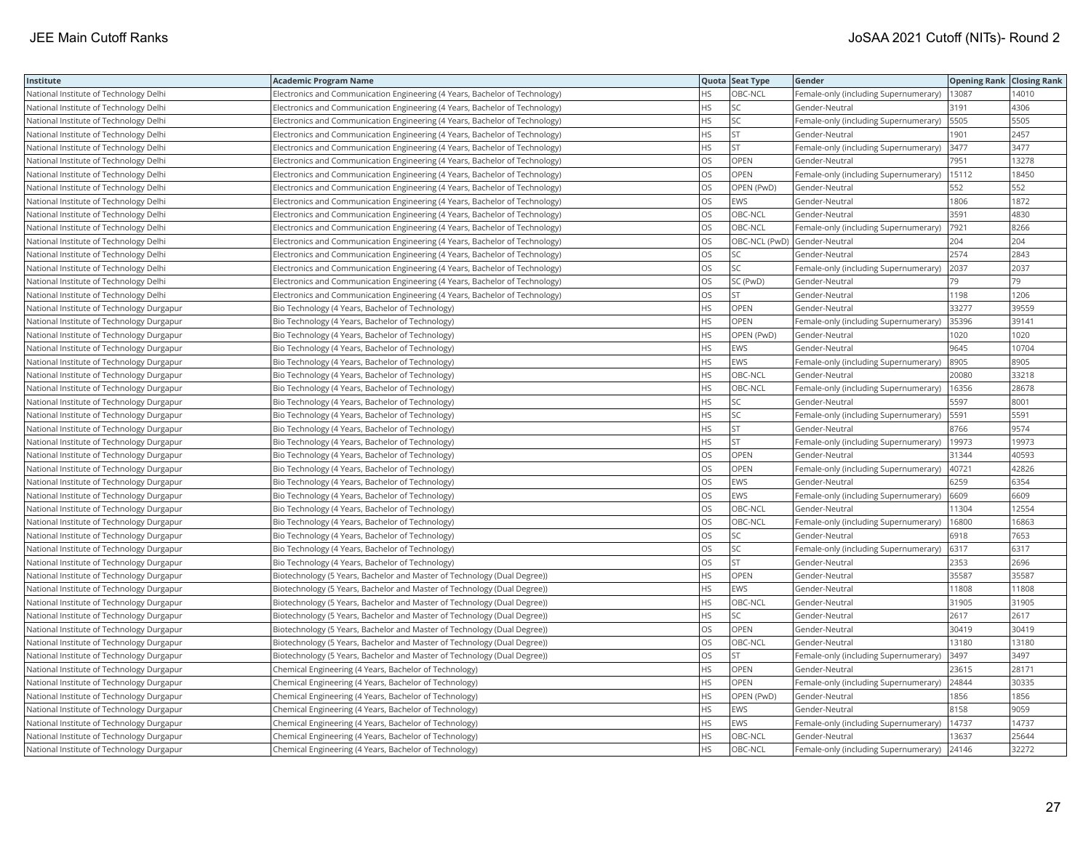| Institute                                 | <b>Academic Program Name</b>                                                |           | Quota Seat Type | Gender                                | <b>Opening Rank Closing Rank</b> |       |
|-------------------------------------------|-----------------------------------------------------------------------------|-----------|-----------------|---------------------------------------|----------------------------------|-------|
| National Institute of Technology Delhi    | Electronics and Communication Engineering (4 Years, Bachelor of Technology) | HS        | OBC-NCL         | Female-only (including Supernumerary) | 13087                            | 14010 |
| National Institute of Technology Delhi    | Electronics and Communication Engineering (4 Years, Bachelor of Technology) | HS        | SC              | Gender-Neutral                        | 3191                             | 4306  |
| National Institute of Technology Delhi    | Electronics and Communication Engineering (4 Years, Bachelor of Technology) | <b>HS</b> | SC              | Female-only (including Supernumerary) | 5505                             | 5505  |
| National Institute of Technology Delhi    | Electronics and Communication Engineering (4 Years, Bachelor of Technology) | HS        | ST              | Gender-Neutral                        | 1901                             | 2457  |
| National Institute of Technology Delhi    | Electronics and Communication Engineering (4 Years, Bachelor of Technology) | <b>HS</b> | ST              | Female-only (including Supernumerary) | 3477                             | 3477  |
| National Institute of Technology Delhi    | Electronics and Communication Engineering (4 Years, Bachelor of Technology) | OS        | OPEN            | Gender-Neutral                        | 7951                             | 13278 |
| National Institute of Technology Delhi    | Electronics and Communication Engineering (4 Years, Bachelor of Technology) | <b>OS</b> | <b>OPEN</b>     | Female-only (including Supernumerary) | 15112                            | 18450 |
| National Institute of Technology Delhi    | Electronics and Communication Engineering (4 Years, Bachelor of Technology) | OS        | OPEN (PwD)      | Gender-Neutral                        | 552                              | 552   |
| National Institute of Technology Delhi    | Electronics and Communication Engineering (4 Years, Bachelor of Technology) | OS        | EWS             | Gender-Neutral                        | 1806                             | 1872  |
| National Institute of Technology Delhi    | Electronics and Communication Engineering (4 Years, Bachelor of Technology) | OS        | OBC-NCL         | Gender-Neutral                        | 3591                             | 4830  |
| National Institute of Technology Delhi    | Electronics and Communication Engineering (4 Years, Bachelor of Technology) | OS        | OBC-NCL         | Female-only (including Supernumerary) | 7921                             | 8266  |
| National Institute of Technology Delhi    | Electronics and Communication Engineering (4 Years, Bachelor of Technology) | <b>OS</b> |                 | OBC-NCL (PwD) Gender-Neutral          | 204                              | 204   |
| National Institute of Technology Delhi    | Electronics and Communication Engineering (4 Years, Bachelor of Technology) | OS        | SС              | Gender-Neutral                        | 2574                             | 2843  |
| National Institute of Technology Delhi    | Electronics and Communication Engineering (4 Years, Bachelor of Technology) | <b>OS</b> | SC              | Female-only (including Supernumerary) | 2037                             | 2037  |
| National Institute of Technology Delhi    | Electronics and Communication Engineering (4 Years, Bachelor of Technology) | OS        | SC (PwD)        | Gender-Neutral                        | 79                               | 79    |
| National Institute of Technology Delhi    | Electronics and Communication Engineering (4 Years, Bachelor of Technology) | OS        | <b>ST</b>       | Gender-Neutral                        | 1198                             | 1206  |
| National Institute of Technology Durgapur | Bio Technology (4 Years, Bachelor of Technology)                            | HS        | OPEN            | Gender-Neutral                        | 33277                            | 39559 |
| National Institute of Technology Durgapur | Bio Technology (4 Years, Bachelor of Technology)                            | <b>HS</b> | OPEN            | Female-only (including Supernumerary) | 35396                            | 39141 |
| National Institute of Technology Durgapur | Bio Technology (4 Years, Bachelor of Technology)                            | HS        | OPEN (PwD)      | Gender-Neutral                        | 1020                             | 1020  |
| National Institute of Technology Durgapur | Bio Technology (4 Years, Bachelor of Technology)                            | <b>HS</b> | <b>EWS</b>      | Gender-Neutral                        | 9645                             | 10704 |
| National Institute of Technology Durgapur | Bio Technology (4 Years, Bachelor of Technology)                            | <b>HS</b> | EWS             | Female-only (including Supernumerary) | 8905                             | 8905  |
| National Institute of Technology Durgapur | Bio Technology (4 Years, Bachelor of Technology)                            | <b>HS</b> | OBC-NCL         | Gender-Neutral                        | 20080                            | 33218 |
| National Institute of Technology Durgapur | Bio Technology (4 Years, Bachelor of Technology)                            | HS        | OBC-NCL         | Female-only (including Supernumerary) | 16356                            | 28678 |
| National Institute of Technology Durgapur | Bio Technology (4 Years, Bachelor of Technology)                            | HS        | SC              | Gender-Neutral                        | 5597                             | 8001  |
| National Institute of Technology Durgapur | Bio Technology (4 Years, Bachelor of Technology)                            | <b>HS</b> | <b>SC</b>       | Female-only (including Supernumerary) | 5591                             | 5591  |
| National Institute of Technology Durgapur | Bio Technology (4 Years, Bachelor of Technology)                            | HS        | ST              | Gender-Neutral                        | 8766                             | 9574  |
| National Institute of Technology Durgapur | Bio Technology (4 Years, Bachelor of Technology)                            | HS        | <b>ST</b>       | Female-only (including Supernumerary) | 19973                            | 19973 |
| National Institute of Technology Durgapur | Bio Technology (4 Years, Bachelor of Technology)                            | OS        | OPEN            | Gender-Neutral                        | 31344                            | 40593 |
| National Institute of Technology Durgapur | Bio Technology (4 Years, Bachelor of Technology)                            | <b>OS</b> | <b>OPEN</b>     | Female-only (including Supernumerary) | 40721                            | 42826 |
| National Institute of Technology Durgapur | Bio Technology (4 Years, Bachelor of Technology)                            | OS        | EWS             | Gender-Neutral                        | 6259                             | 6354  |
| National Institute of Technology Durgapur | Bio Technology (4 Years, Bachelor of Technology)                            | OS        | EWS             | Female-only (including Supernumerary) | 6609                             | 6609  |
| National Institute of Technology Durgapur | Bio Technology (4 Years, Bachelor of Technology)                            | OS        | OBC-NCL         | Gender-Neutral                        | 11304                            | 12554 |
| National Institute of Technology Durgapur | Bio Technology (4 Years, Bachelor of Technology)                            | OS        | OBC-NCL         | Female-only (including Supernumerary) | 16800                            | 16863 |
| National Institute of Technology Durgapur | Bio Technology (4 Years, Bachelor of Technology)                            | OS        | SC              | Gender-Neutral                        | 6918                             | 7653  |
| National Institute of Technology Durgapur | Bio Technology (4 Years, Bachelor of Technology)                            | OS        | SC              | Female-only (including Supernumerary) | 6317                             | 6317  |
| National Institute of Technology Durgapur | Bio Technology (4 Years, Bachelor of Technology)                            | OS        | <b>ST</b>       | Gender-Neutral                        | 2353                             | 2696  |
| National Institute of Technology Durgapur | Biotechnology (5 Years, Bachelor and Master of Technology (Dual Degree))    | <b>HS</b> | OPEN            | Gender-Neutral                        | 35587                            | 35587 |
| National Institute of Technology Durgapur | Biotechnology (5 Years, Bachelor and Master of Technology (Dual Degree))    | <b>HS</b> | EWS             | Gender-Neutral                        | 11808                            | 11808 |
| National Institute of Technology Durgapur | Biotechnology (5 Years, Bachelor and Master of Technology (Dual Degree))    | HS        | OBC-NCL         | Gender-Neutral                        | 31905                            | 31905 |
| National Institute of Technology Durgapur | Biotechnology (5 Years, Bachelor and Master of Technology (Dual Degree))    | <b>HS</b> | SC              | Gender-Neutral                        | 2617                             | 2617  |
| National Institute of Technology Durgapur | Biotechnology (5 Years, Bachelor and Master of Technology (Dual Degree))    | OS        | OPEN            | Gender-Neutral                        | 30419                            | 30419 |
| National Institute of Technology Durgapur | Biotechnology (5 Years, Bachelor and Master of Technology (Dual Degree))    | OS        | OBC-NCL         | Gender-Neutral                        | 13180                            | 13180 |
| National Institute of Technology Durgapur | Biotechnology (5 Years, Bachelor and Master of Technology (Dual Degree))    | OS        | <b>ST</b>       | Female-only (including Supernumerary) | 3497                             | 3497  |
| National Institute of Technology Durgapur | Chemical Engineering (4 Years, Bachelor of Technology)                      | <b>HS</b> | <b>OPEN</b>     | Gender-Neutral                        | 23615                            | 28171 |
| National Institute of Technology Durgapur | Chemical Engineering (4 Years, Bachelor of Technology)                      | HS        | OPEN            | Female-only (including Supernumerary) | 24844                            | 30335 |
| National Institute of Technology Durgapur | Chemical Engineering (4 Years, Bachelor of Technology)                      | <b>HS</b> | OPEN (PwD)      | Gender-Neutral                        | 1856                             | 1856  |
| National Institute of Technology Durgapur | Chemical Engineering (4 Years, Bachelor of Technology)                      | HS        | EWS             | Gender-Neutral                        | 8158                             | 9059  |
| National Institute of Technology Durgapur | Chemical Engineering (4 Years, Bachelor of Technology)                      | HS        | <b>EWS</b>      | Female-only (including Supernumerary) | 14737                            | 14737 |
| National Institute of Technology Durgapur | Chemical Engineering (4 Years, Bachelor of Technology)                      | HS        | OBC-NCL         | Gender-Neutral                        | 13637                            | 25644 |
| National Institute of Technology Durgapur | Chemical Engineering (4 Years, Bachelor of Technology)                      | <b>HS</b> | OBC-NCL         | Female-only (including Supernumerary) | 24146                            | 32272 |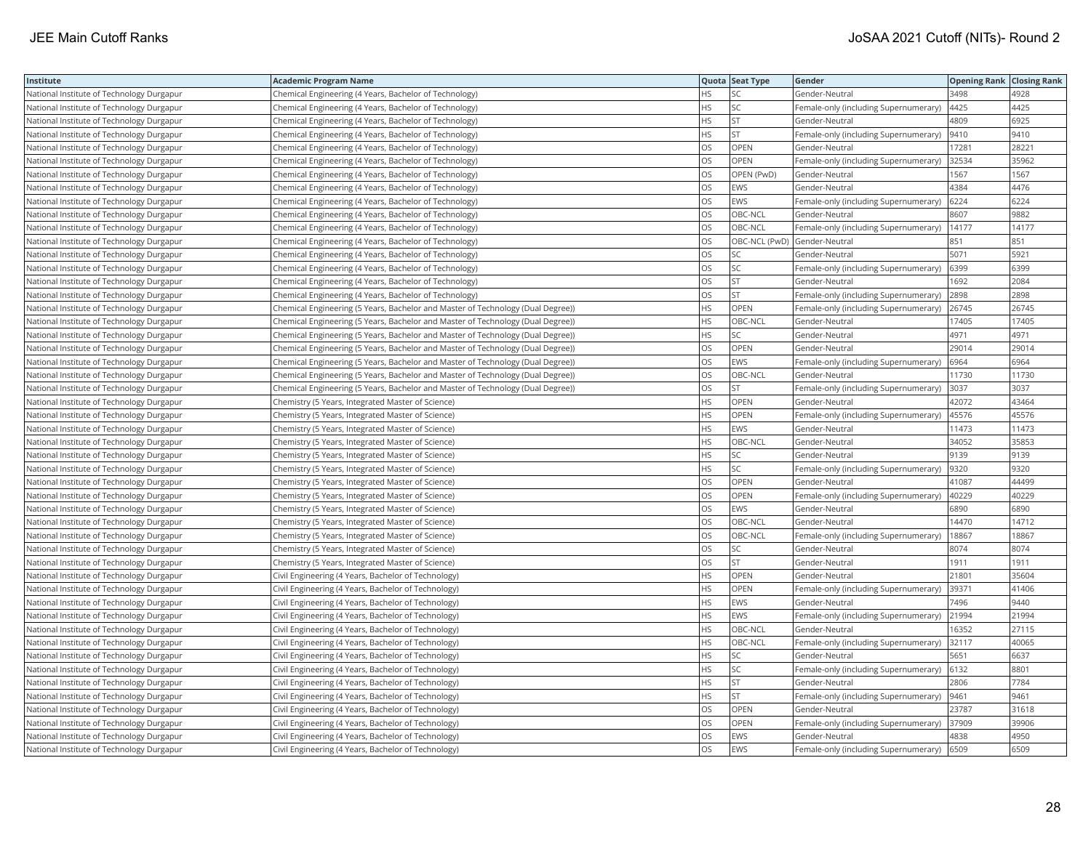| Institute                                 | <b>Academic Program Name</b>                                                    |           | Quota Seat Type | Gender                                | <b>Opening Rank Closing Rank</b> |       |
|-------------------------------------------|---------------------------------------------------------------------------------|-----------|-----------------|---------------------------------------|----------------------------------|-------|
| National Institute of Technology Durgapur | Chemical Engineering (4 Years, Bachelor of Technology)                          | <b>HS</b> | SC              | Gender-Neutral                        | 3498                             | 4928  |
| National Institute of Technology Durgapur | Chemical Engineering (4 Years, Bachelor of Technology)                          | HS        | SC              | Female-only (including Supernumerary) | 4425                             | 4425  |
| National Institute of Technology Durgapur | Chemical Engineering (4 Years, Bachelor of Technology)                          | <b>HS</b> | <b>ST</b>       | Gender-Neutral                        | 4809                             | 6925  |
| National Institute of Technology Durgapur | Chemical Engineering (4 Years, Bachelor of Technology)                          | <b>HS</b> | <b>ST</b>       | Female-only (including Supernumerary) | 9410                             | 9410  |
| National Institute of Technology Durgapur | Chemical Engineering (4 Years, Bachelor of Technology)                          | <b>OS</b> | OPEN            | Gender-Neutral                        | 17281                            | 28221 |
| National Institute of Technology Durgapur | Chemical Engineering (4 Years, Bachelor of Technology)                          | OS        | OPEN            | Female-only (including Supernumerary) | 32534                            | 35962 |
| National Institute of Technology Durgapur | Chemical Engineering (4 Years, Bachelor of Technology)                          | los       | OPEN (PwD)      | Gender-Neutral                        | 1567                             | 1567  |
| National Institute of Technology Durgapur | Chemical Engineering (4 Years, Bachelor of Technology)                          | los       | EWS             | Gender-Neutral                        | 4384                             | 4476  |
| National Institute of Technology Durgapur | Chemical Engineering (4 Years, Bachelor of Technology)                          | <b>OS</b> | EWS             | Female-only (including Supernumerary) | 6224                             | 6224  |
| National Institute of Technology Durgapur | Chemical Engineering (4 Years, Bachelor of Technology)                          | OS        | OBC-NCL         | Gender-Neutral                        | 8607                             | 9882  |
| National Institute of Technology Durgapur | Chemical Engineering (4 Years, Bachelor of Technology)                          | <b>OS</b> | OBC-NCL         | Female-only (including Supernumerary) | 14177                            | 14177 |
| National Institute of Technology Durgapur | Chemical Engineering (4 Years, Bachelor of Technology)                          | <b>OS</b> |                 | OBC-NCL (PwD) Gender-Neutral          | 851                              | 851   |
| National Institute of Technology Durgapur | Chemical Engineering (4 Years, Bachelor of Technology)                          | OS        | SC              | Gender-Neutral                        | 5071                             | 5921  |
| National Institute of Technology Durgapur | Chemical Engineering (4 Years, Bachelor of Technology)                          | OS        | SC              | Female-only (including Supernumerary) | 6399                             | 6399  |
| National Institute of Technology Durgapur | Chemical Engineering (4 Years, Bachelor of Technology)                          | <b>OS</b> | <b>ST</b>       | Gender-Neutral                        | 1692                             | 2084  |
| National Institute of Technology Durgapur | Chemical Engineering (4 Years, Bachelor of Technology)                          | OS        | ST              | Female-only (including Supernumerary) | 2898                             | 2898  |
| National Institute of Technology Durgapur | Chemical Engineering (5 Years, Bachelor and Master of Technology (Dual Degree)) | HS        | OPEN            | Female-only (including Supernumerary) | 26745                            | 26745 |
| National Institute of Technology Durgapur | Chemical Engineering (5 Years, Bachelor and Master of Technology (Dual Degree)) | <b>HS</b> | OBC-NCL         | Gender-Neutral                        | 17405                            | 17405 |
| National Institute of Technology Durgapur | Chemical Engineering (5 Years, Bachelor and Master of Technology (Dual Degree)) | <b>HS</b> | SC              | Gender-Neutral                        | 4971                             | 4971  |
| National Institute of Technology Durgapur | Chemical Engineering (5 Years, Bachelor and Master of Technology (Dual Degree)) | <b>OS</b> | OPEN            | Gender-Neutral                        | 29014                            | 29014 |
| National Institute of Technology Durgapur | Chemical Engineering (5 Years, Bachelor and Master of Technology (Dual Degree)) | OS        | EWS             | Female-only (including Supernumerary) | 6964                             | 6964  |
| National Institute of Technology Durgapur | Chemical Engineering (5 Years, Bachelor and Master of Technology (Dual Degree)) | los       | OBC-NCL         | Gender-Neutral                        | 11730                            | 11730 |
| National Institute of Technology Durgapur | Chemical Engineering (5 Years, Bachelor and Master of Technology (Dual Degree)) | los       | <b>ST</b>       | Female-only (including Supernumerary) | 3037                             | 3037  |
| National Institute of Technology Durgapur | Chemistry (5 Years, Integrated Master of Science)                               | <b>HS</b> | OPEN            | Gender-Neutral                        | 42072                            | 43464 |
| National Institute of Technology Durgapur | Chemistry (5 Years, Integrated Master of Science)                               | <b>HS</b> | OPEN            | Female-only (including Supernumerary) | 45576                            | 45576 |
| National Institute of Technology Durgapur | Chemistry (5 Years, Integrated Master of Science)                               | <b>HS</b> | EWS             | Gender-Neutral                        | 11473                            | 11473 |
| National Institute of Technology Durgapur | Chemistry (5 Years, Integrated Master of Science)                               | <b>HS</b> | OBC-NCL         | Gender-Neutral                        | 34052                            | 35853 |
| National Institute of Technology Durgapur | Chemistry (5 Years, Integrated Master of Science)                               | <b>HS</b> | SC              | Gender-Neutral                        | 9139                             | 9139  |
| National Institute of Technology Durgapur | Chemistry (5 Years, Integrated Master of Science)                               | HS        | <b>SC</b>       | Female-only (including Supernumerary) | 9320                             | 9320  |
| National Institute of Technology Durgapur | Chemistry (5 Years, Integrated Master of Science)                               | <b>OS</b> | OPEN            | Gender-Neutral                        | 41087                            | 44499 |
| National Institute of Technology Durgapur | Chemistry (5 Years, Integrated Master of Science)                               | OS        | OPEN            | Female-only (including Supernumerary) | 40229                            | 40229 |
| National Institute of Technology Durgapur | Chemistry (5 Years, Integrated Master of Science)                               | OS        | EWS             | Gender-Neutral                        | 6890                             | 6890  |
| National Institute of Technology Durgapur | Chemistry (5 Years, Integrated Master of Science)                               | los       | OBC-NCL         | Gender-Neutral                        | 14470                            | 14712 |
| National Institute of Technology Durgapur | Chemistry (5 Years, Integrated Master of Science)                               | <b>OS</b> | OBC-NCL         | Female-only (including Supernumerary) | 18867                            | 18867 |
| National Institute of Technology Durgapur | Chemistry (5 Years, Integrated Master of Science)                               | OS        | SC              | Gender-Neutral                        | 8074                             | 8074  |
| National Institute of Technology Durgapur | Chemistry (5 Years, Integrated Master of Science)                               | los       | <b>ST</b>       | Gender-Neutral                        | 1911                             | 1911  |
| National Institute of Technology Durgapur | Civil Engineering (4 Years, Bachelor of Technology)                             | <b>HS</b> | OPEN            | Gender-Neutral                        | 21801                            | 35604 |
| National Institute of Technology Durgapur | Civil Engineering (4 Years, Bachelor of Technology)                             | <b>HS</b> | OPEN            | Female-only (including Supernumerary) | 39371                            | 41406 |
| National Institute of Technology Durgapur | Civil Engineering (4 Years, Bachelor of Technology)                             | <b>HS</b> | EWS             | Gender-Neutral                        | 7496                             | 9440  |
| National Institute of Technology Durgapur | Civil Engineering (4 Years, Bachelor of Technology)                             | <b>HS</b> | EWS             | Female-only (including Supernumerary) | 21994                            | 21994 |
| National Institute of Technology Durgapur | Civil Engineering (4 Years, Bachelor of Technology)                             | <b>HS</b> | OBC-NCL         | Gender-Neutral                        | 16352                            | 27115 |
| National Institute of Technology Durgapur | Civil Engineering (4 Years, Bachelor of Technology)                             | <b>HS</b> | OBC-NCL         | Female-only (including Supernumerary) | 32117                            | 40065 |
| National Institute of Technology Durgapur | Civil Engineering (4 Years, Bachelor of Technology)                             | HS        | SC              | Gender-Neutral                        | 5651                             | 6637  |
| National Institute of Technology Durgapur | Civil Engineering (4 Years, Bachelor of Technology)                             | HS        | SC              | Female-only (including Supernumerary) | 6132                             | 8801  |
| National Institute of Technology Durgapur | Civil Engineering (4 Years, Bachelor of Technology)                             | HS        | <b>ST</b>       | Gender-Neutral                        | 2806                             | 7784  |
| National Institute of Technology Durgapur | Civil Engineering (4 Years, Bachelor of Technology)                             | <b>HS</b> | <b>ST</b>       | Female-only (including Supernumerary) | 9461                             | 9461  |
| National Institute of Technology Durgapur | Civil Engineering (4 Years, Bachelor of Technology)                             | OS        | OPEN            | Gender-Neutral                        | 23787                            | 31618 |
| National Institute of Technology Durgapur | Civil Engineering (4 Years, Bachelor of Technology)                             | <b>OS</b> | OPEN            | Female-only (including Supernumerary) | 37909                            | 39906 |
| National Institute of Technology Durgapur | Civil Engineering (4 Years, Bachelor of Technology)                             | OS        | EWS             | Gender-Neutral                        | 4838                             | 4950  |
| National Institute of Technology Durgapur | Civil Engineering (4 Years, Bachelor of Technology)                             | <b>OS</b> | EWS             | Female-only (including Supernumerary) | 6509                             | 6509  |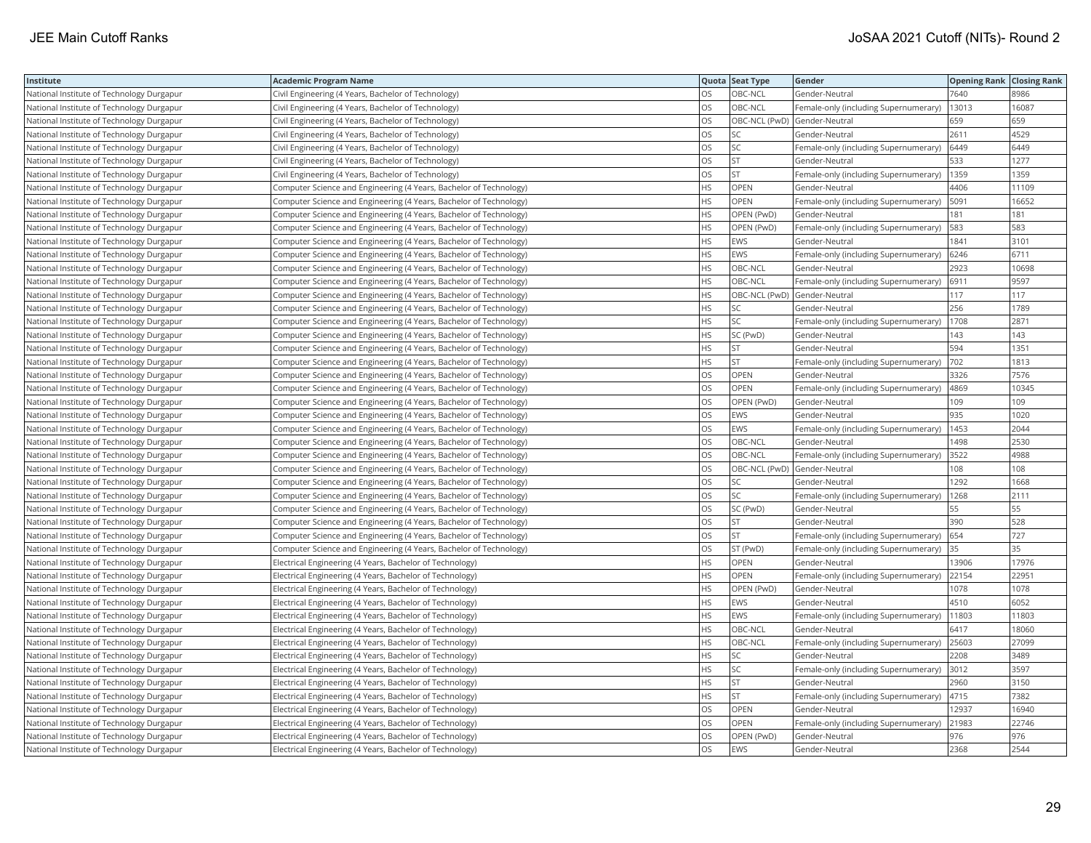| Institute                                 | <b>Academic Program Name</b>                                       |           | Quota Seat Type | Gender                                | <b>Opening Rank Closing Rank</b> |       |
|-------------------------------------------|--------------------------------------------------------------------|-----------|-----------------|---------------------------------------|----------------------------------|-------|
| National Institute of Technology Durgapur | Civil Engineering (4 Years, Bachelor of Technology)                | <b>OS</b> | OBC-NCL         | Gender-Neutral                        | 7640                             | 8986  |
| National Institute of Technology Durgapur | Civil Engineering (4 Years, Bachelor of Technology)                | OS        | OBC-NCL         | Female-only (including Supernumerary) | 13013                            | 16087 |
| National Institute of Technology Durgapur | Civil Engineering (4 Years, Bachelor of Technology)                | OS        |                 | OBC-NCL (PwD) Gender-Neutral          | 659                              | 659   |
| National Institute of Technology Durgapur | Civil Engineering (4 Years, Bachelor of Technology)                | los       | SC              | Gender-Neutral                        | 2611                             | 4529  |
| National Institute of Technology Durgapur | Civil Engineering (4 Years, Bachelor of Technology)                | OS        | SC              | Female-only (including Supernumerary) | 6449                             | 6449  |
| National Institute of Technology Durgapur | Civil Engineering (4 Years, Bachelor of Technology)                | <b>OS</b> | <b>ST</b>       | Gender-Neutral                        | 533                              | 1277  |
| National Institute of Technology Durgapur | Civil Engineering (4 Years, Bachelor of Technology)                | los       | <b>ST</b>       | Female-only (including Supernumerary) | 1359                             | 1359  |
| National Institute of Technology Durgapur | Computer Science and Engineering (4 Years, Bachelor of Technology) | <b>HS</b> | <b>OPEN</b>     | Gender-Neutral                        | 4406                             | 11109 |
| National Institute of Technology Durgapur | Computer Science and Engineering (4 Years, Bachelor of Technology) | <b>HS</b> | OPEN            | Female-only (including Supernumerary) | 5091                             | 16652 |
| National Institute of Technology Durgapur | Computer Science and Engineering (4 Years, Bachelor of Technology) | <b>HS</b> | OPEN (PwD)      | Gender-Neutral                        | 181                              | 181   |
| National Institute of Technology Durgapur | Computer Science and Engineering (4 Years, Bachelor of Technology) | <b>HS</b> | OPEN (PwD)      | Female-only (including Supernumerary) | 583                              | 583   |
| National Institute of Technology Durgapur | Computer Science and Engineering (4 Years, Bachelor of Technology) | <b>HS</b> | EWS             | Gender-Neutral                        | 1841                             | 3101  |
| National Institute of Technology Durgapur | Computer Science and Engineering (4 Years, Bachelor of Technology) | HS        | EWS             | Female-only (including Supernumerary) | 6246                             | 6711  |
| National Institute of Technology Durgapur | Computer Science and Engineering (4 Years, Bachelor of Technology) | HS        | OBC-NCL         | Gender-Neutral                        | 2923                             | 10698 |
| National Institute of Technology Durgapur | Computer Science and Engineering (4 Years, Bachelor of Technology) | <b>HS</b> | OBC-NCL         | Female-only (including Supernumerary) | 6911                             | 9597  |
| National Institute of Technology Durgapur | Computer Science and Engineering (4 Years, Bachelor of Technology) | HS        |                 | OBC-NCL (PwD) Gender-Neutral          | 117                              | 117   |
| National Institute of Technology Durgapur | Computer Science and Engineering (4 Years, Bachelor of Technology) | <b>HS</b> | SC              | Gender-Neutral                        | 256                              | 1789  |
| National Institute of Technology Durgapur | Computer Science and Engineering (4 Years, Bachelor of Technology) | <b>HS</b> | SC              | Female-only (including Supernumerary) | 1708                             | 2871  |
| National Institute of Technology Durgapur | Computer Science and Engineering (4 Years, Bachelor of Technology) | <b>HS</b> | SC (PwD)        | Gender-Neutral                        | 143                              | 143   |
| National Institute of Technology Durgapur | Computer Science and Engineering (4 Years, Bachelor of Technology) | <b>HS</b> | <b>ST</b>       | Gender-Neutral                        | 594                              | 1351  |
| National Institute of Technology Durgapur | Computer Science and Engineering (4 Years, Bachelor of Technology) | <b>HS</b> | <b>ST</b>       | Female-only (including Supernumerary) | 702                              | 1813  |
| National Institute of Technology Durgapur | Computer Science and Engineering (4 Years, Bachelor of Technology) | <b>OS</b> | OPEN            | Gender-Neutral                        | 3326                             | 7576  |
| National Institute of Technology Durgapur | Computer Science and Engineering (4 Years, Bachelor of Technology) | <b>OS</b> | OPEN            | Female-only (including Supernumerary) | 4869                             | 10345 |
| National Institute of Technology Durgapur | Computer Science and Engineering (4 Years, Bachelor of Technology) | OS        | OPEN (PwD)      | Gender-Neutral                        | 109                              | 109   |
| National Institute of Technology Durgapur | Computer Science and Engineering (4 Years, Bachelor of Technology) | OS        | EWS             | Gender-Neutral                        | 935                              | 1020  |
| National Institute of Technology Durgapur | Computer Science and Engineering (4 Years, Bachelor of Technology) | los       | EWS             | Female-only (including Supernumerary) | 1453                             | 2044  |
| National Institute of Technology Durgapur | Computer Science and Engineering (4 Years, Bachelor of Technology) | OS        | OBC-NCL         | Gender-Neutral                        | 1498                             | 2530  |
| National Institute of Technology Durgapur | Computer Science and Engineering (4 Years, Bachelor of Technology) | OS        | OBC-NCL         | Female-only (including Supernumerary) | 3522                             | 4988  |
| National Institute of Technology Durgapur | Computer Science and Engineering (4 Years, Bachelor of Technology) | OS        |                 | OBC-NCL (PwD) Gender-Neutral          | 108                              | 108   |
| National Institute of Technology Durgapur | Computer Science and Engineering (4 Years, Bachelor of Technology) | <b>OS</b> | SC              | Gender-Neutral                        | 1292                             | 1668  |
| National Institute of Technology Durgapur | Computer Science and Engineering (4 Years, Bachelor of Technology) | OS        | SC              | Female-only (including Supernumerary) | 1268                             | 2111  |
| National Institute of Technology Durgapur | Computer Science and Engineering (4 Years, Bachelor of Technology) | OS        | SC (PwD)        | Gender-Neutral                        | 55                               | 55    |
| National Institute of Technology Durgapur | Computer Science and Engineering (4 Years, Bachelor of Technology) | OS        | <b>ST</b>       | Gender-Neutral                        | 390                              | 528   |
| National Institute of Technology Durgapur | Computer Science and Engineering (4 Years, Bachelor of Technology) | OS        | <b>ST</b>       | Female-only (including Supernumerary) | 654                              | 727   |
| National Institute of Technology Durgapur | Computer Science and Engineering (4 Years, Bachelor of Technology) | OS        | ST (PwD)        | Female-only (including Supernumerary) | 35                               | 35    |
| National Institute of Technology Durgapur | Electrical Engineering (4 Years, Bachelor of Technology)           | <b>HS</b> | OPEN            | Gender-Neutral                        | 13906                            | 17976 |
| National Institute of Technology Durgapur | Electrical Engineering (4 Years, Bachelor of Technology)           | <b>HS</b> | OPEN            | Female-only (including Supernumerary) | 22154                            | 22951 |
| National Institute of Technology Durgapur | Electrical Engineering (4 Years, Bachelor of Technology)           | <b>HS</b> | OPEN (PwD)      | Gender-Neutral                        | 1078                             | 1078  |
| National Institute of Technology Durgapur | Electrical Engineering (4 Years, Bachelor of Technology)           | <b>HS</b> | EWS             | Gender-Neutral                        | 4510                             | 6052  |
| National Institute of Technology Durgapur | Electrical Engineering (4 Years, Bachelor of Technology)           | <b>HS</b> | EWS             | Female-only (including Supernumerary) | 11803                            | 11803 |
| National Institute of Technology Durgapur | Electrical Engineering (4 Years, Bachelor of Technology)           | <b>HS</b> | OBC-NCL         | Gender-Neutral                        | 6417                             | 18060 |
| National Institute of Technology Durgapur | Electrical Engineering (4 Years, Bachelor of Technology)           | <b>HS</b> | OBC-NCL         | Female-only (including Supernumerary) | 25603                            | 27099 |
| National Institute of Technology Durgapur | Electrical Engineering (4 Years, Bachelor of Technology)           | <b>HS</b> | SC              | Gender-Neutral                        | 2208                             | 3489  |
| National Institute of Technology Durgapur | Electrical Engineering (4 Years, Bachelor of Technology)           | <b>HS</b> | SC              | Female-only (including Supernumerary) | 3012                             | 3597  |
| National Institute of Technology Durgapur | Electrical Engineering (4 Years, Bachelor of Technology)           | HS        | ST              | Gender-Neutral                        | 2960                             | 3150  |
| National Institute of Technology Durgapur | Electrical Engineering (4 Years, Bachelor of Technology)           | <b>HS</b> | <b>ST</b>       | Female-only (including Supernumerary) | 4715                             | 7382  |
| National Institute of Technology Durgapur | Electrical Engineering (4 Years, Bachelor of Technology)           | OS        | OPEN            | Gender-Neutral                        | 12937                            | 16940 |
| National Institute of Technology Durgapur | Electrical Engineering (4 Years, Bachelor of Technology)           | OS        | OPEN            | Female-only (including Supernumerary) | 21983                            | 22746 |
| National Institute of Technology Durgapur | Electrical Engineering (4 Years, Bachelor of Technology)           | OS        | OPEN (PwD)      | Gender-Neutral                        | 976                              | 976   |
| National Institute of Technology Durgapur | Electrical Engineering (4 Years, Bachelor of Technology)           | <b>OS</b> | EWS             | Gender-Neutral                        | 2368                             | 2544  |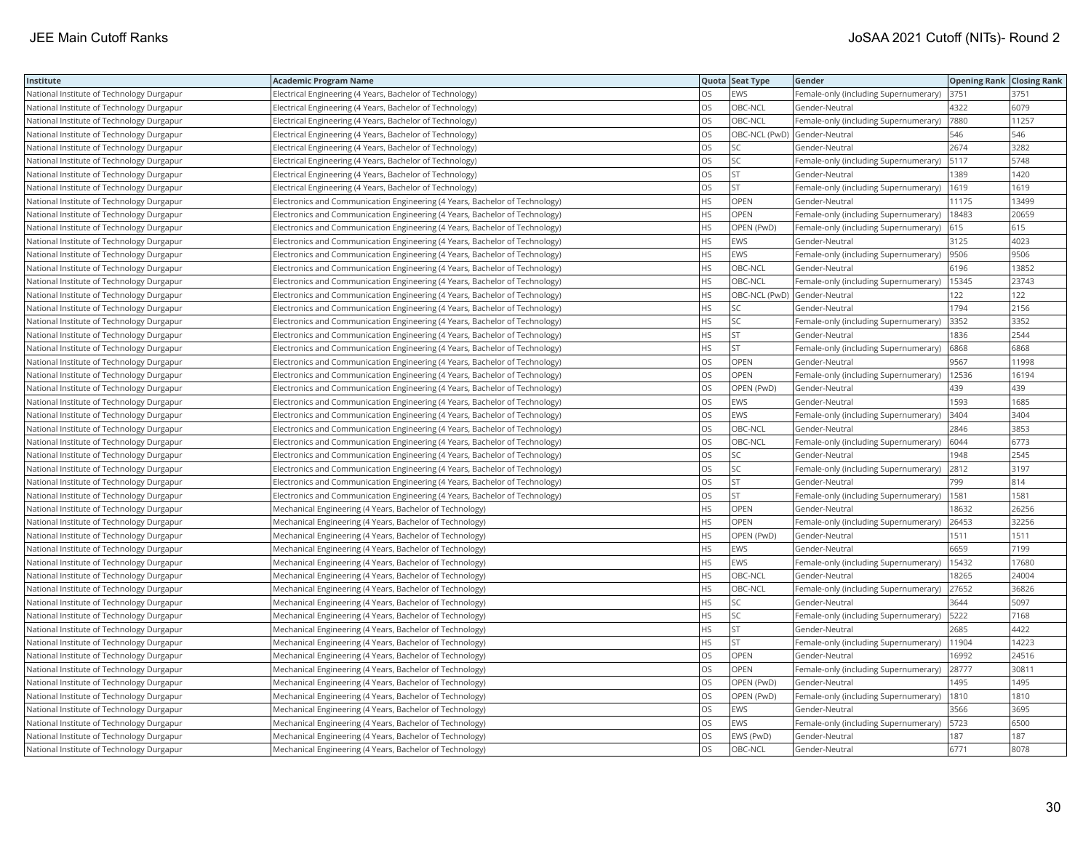| Institute                                 | <b>Academic Program Name</b>                                                |           | Quota Seat Type | Gender                                | <b>Opening Rank Closing Rank</b> |       |
|-------------------------------------------|-----------------------------------------------------------------------------|-----------|-----------------|---------------------------------------|----------------------------------|-------|
| National Institute of Technology Durgapur | Electrical Engineering (4 Years, Bachelor of Technology)                    | OS.       | EWS             | Female-only (including Supernumerary) | 3751                             | 3751  |
| National Institute of Technology Durgapur | Electrical Engineering (4 Years, Bachelor of Technology)                    | OS        | OBC-NCL         | Gender-Neutral                        | 4322                             | 6079  |
| National Institute of Technology Durgapur | Electrical Engineering (4 Years, Bachelor of Technology)                    | OS        | OBC-NCL         | Female-only (including Supernumerary) | 7880                             | 11257 |
| National Institute of Technology Durgapur | Electrical Engineering (4 Years, Bachelor of Technology)                    | <b>OS</b> | OBC-NCL (PwD)   | Gender-Neutral                        | 546                              | 546   |
| National Institute of Technology Durgapur | Electrical Engineering (4 Years, Bachelor of Technology)                    | OS        | SC              | Gender-Neutral                        | 2674                             | 3282  |
| National Institute of Technology Durgapur | Electrical Engineering (4 Years, Bachelor of Technology)                    | <b>OS</b> | SC              | Female-only (including Supernumerary) | 5117                             | 5748  |
| National Institute of Technology Durgapur | Electrical Engineering (4 Years, Bachelor of Technology)                    | los       | <b>ST</b>       | Gender-Neutral                        | 1389                             | 1420  |
| National Institute of Technology Durgapur | Electrical Engineering (4 Years, Bachelor of Technology)                    | <b>OS</b> | <b>ST</b>       | Female-only (including Supernumerary) | 1619                             | 1619  |
| National Institute of Technology Durgapur | Electronics and Communication Engineering (4 Years, Bachelor of Technology) | <b>HS</b> | OPEN            | Gender-Neutral                        | 11175                            | 13499 |
| National Institute of Technology Durgapur | Electronics and Communication Engineering (4 Years, Bachelor of Technology) | <b>HS</b> | <b>OPEN</b>     | Female-only (including Supernumerary) | 18483                            | 20659 |
| National Institute of Technology Durgapur | Electronics and Communication Engineering (4 Years, Bachelor of Technology) | <b>HS</b> | OPEN (PwD)      | Female-only (including Supernumerary) | 615                              | 615   |
| National Institute of Technology Durgapur | Electronics and Communication Engineering (4 Years, Bachelor of Technology) | <b>HS</b> | EWS             | Gender-Neutral                        | 3125                             | 4023  |
| National Institute of Technology Durgapur | Electronics and Communication Engineering (4 Years, Bachelor of Technology) | HS        | EWS             | Female-only (including Supernumerary) | 9506                             | 9506  |
| National Institute of Technology Durgapur | Electronics and Communication Engineering (4 Years, Bachelor of Technology) | <b>HS</b> | OBC-NCL         | Gender-Neutral                        | 6196                             | 13852 |
| National Institute of Technology Durgapur | Electronics and Communication Engineering (4 Years, Bachelor of Technology) | <b>HS</b> | OBC-NCL         | Female-only (including Supernumerary) | 15345                            | 23743 |
| National Institute of Technology Durgapur | Electronics and Communication Engineering (4 Years, Bachelor of Technology) | HS        |                 | OBC-NCL (PwD) Gender-Neutral          | 122                              | 122   |
| National Institute of Technology Durgapur | Electronics and Communication Engineering (4 Years, Bachelor of Technology) | <b>HS</b> |                 | Gender-Neutral                        | 1794                             | 2156  |
| National Institute of Technology Durgapur | Electronics and Communication Engineering (4 Years, Bachelor of Technology) | <b>HS</b> | SC              | Female-only (including Supernumerary) | 3352                             | 3352  |
| National Institute of Technology Durgapur | Electronics and Communication Engineering (4 Years, Bachelor of Technology) | <b>HS</b> | <b>ST</b>       | Gender-Neutral                        | 1836                             | 2544  |
| National Institute of Technology Durgapur | Electronics and Communication Engineering (4 Years, Bachelor of Technology) | <b>HS</b> | <b>ST</b>       | Female-only (including Supernumerary) | 6868                             | 6868  |
| National Institute of Technology Durgapur | Electronics and Communication Engineering (4 Years, Bachelor of Technology) | OS        | OPEN            | Gender-Neutral                        | 9567                             | 11998 |
| National Institute of Technology Durgapur | Electronics and Communication Engineering (4 Years, Bachelor of Technology) | <b>OS</b> | OPEN            | Female-only (including Supernumerary) | 12536                            | 16194 |
| National Institute of Technology Durgapur | Electronics and Communication Engineering (4 Years, Bachelor of Technology) | <b>OS</b> | OPEN (PwD)      | Gender-Neutral                        | 439                              | 439   |
| National Institute of Technology Durgapur | Electronics and Communication Engineering (4 Years, Bachelor of Technology) | OS        | EWS             | Gender-Neutral                        | 1593                             | 1685  |
| National Institute of Technology Durgapur | Electronics and Communication Engineering (4 Years, Bachelor of Technology) | OS        | EWS             | Female-only (including Supernumerary) | 3404                             | 3404  |
| National Institute of Technology Durgapur | Electronics and Communication Engineering (4 Years, Bachelor of Technology) | <b>OS</b> | OBC-NCL         | Gender-Neutral                        | 2846                             | 3853  |
| National Institute of Technology Durgapur | Electronics and Communication Engineering (4 Years, Bachelor of Technology) | OS        | OBC-NCL         | Female-only (including Supernumerary) | 6044                             | 6773  |
| National Institute of Technology Durgapur | Electronics and Communication Engineering (4 Years, Bachelor of Technology) | OS        | SC              | Gender-Neutral                        | 1948                             | 2545  |
| National Institute of Technology Durgapur | Electronics and Communication Engineering (4 Years, Bachelor of Technology) | OS        | SC              | Female-only (including Supernumerary) | 2812                             | 3197  |
| National Institute of Technology Durgapur | Electronics and Communication Engineering (4 Years, Bachelor of Technology) | <b>OS</b> | <b>ST</b>       | Gender-Neutral                        | 799                              | 814   |
| National Institute of Technology Durgapur | Electronics and Communication Engineering (4 Years, Bachelor of Technology) | OS        | <b>ST</b>       | Female-only (including Supernumerary) | 1581                             | 1581  |
| National Institute of Technology Durgapur | Mechanical Engineering (4 Years, Bachelor of Technology)                    | HS        | OPEN            | Gender-Neutral                        | 8632                             | 26256 |
| National Institute of Technology Durgapur | Mechanical Engineering (4 Years, Bachelor of Technology)                    | <b>HS</b> | OPEN            | Female-only (including Supernumerary) | 26453                            | 32256 |
| National Institute of Technology Durgapur | Mechanical Engineering (4 Years, Bachelor of Technology)                    | <b>HS</b> | OPEN (PwD)      | Gender-Neutral                        | 1511                             | 1511  |
| National Institute of Technology Durgapur | Mechanical Engineering (4 Years, Bachelor of Technology)                    | <b>HS</b> | EWS             | Gender-Neutral                        | 6659                             | 7199  |
| National Institute of Technology Durgapur | Mechanical Engineering (4 Years, Bachelor of Technology)                    | <b>HS</b> | EWS             | Female-only (including Supernumerary) | 15432                            | 17680 |
| National Institute of Technology Durgapur | Mechanical Engineering (4 Years, Bachelor of Technology)                    | <b>HS</b> | OBC-NCL         | Gender-Neutral                        | 18265                            | 24004 |
| National Institute of Technology Durgapur | Mechanical Engineering (4 Years, Bachelor of Technology)                    | <b>HS</b> | OBC-NCL         | Female-only (including Supernumerary) | 27652                            | 36826 |
| National Institute of Technology Durgapur | Mechanical Engineering (4 Years, Bachelor of Technology)                    | <b>HS</b> | SC              | Gender-Neutral                        | 3644                             | 5097  |
| National Institute of Technology Durgapur | Mechanical Engineering (4 Years, Bachelor of Technology)                    | <b>HS</b> | SC              | Female-only (including Supernumerary) | 5222                             | 7168  |
| National Institute of Technology Durgapur | Mechanical Engineering (4 Years, Bachelor of Technology)                    | <b>HS</b> | <b>ST</b>       | Gender-Neutral                        | 2685                             | 4422  |
| National Institute of Technology Durgapur | Mechanical Engineering (4 Years, Bachelor of Technology)                    | <b>HS</b> | <b>ST</b>       | Female-only (including Supernumerary) | 11904                            | 14223 |
| National Institute of Technology Durgapur | Mechanical Engineering (4 Years, Bachelor of Technology)                    | OS        | OPEN            | Gender-Neutral                        | 16992                            | 24516 |
| National Institute of Technology Durgapur | Mechanical Engineering (4 Years, Bachelor of Technology)                    | <b>OS</b> | OPEN            | Female-only (including Supernumerary) | 28777                            | 30811 |
| National Institute of Technology Durgapur | Mechanical Engineering (4 Years, Bachelor of Technology)                    | OS        | OPEN (PwD)      | Gender-Neutral                        | 1495                             | 1495  |
| National Institute of Technology Durgapur | Mechanical Engineering (4 Years, Bachelor of Technology)                    | <b>OS</b> | OPEN (PwD)      | Female-only (including Supernumerary) | 1810                             | 1810  |
| National Institute of Technology Durgapur | Mechanical Engineering (4 Years, Bachelor of Technology)                    | OS        | EWS             | Gender-Neutral                        | 3566                             | 3695  |
| National Institute of Technology Durgapur | Mechanical Engineering (4 Years, Bachelor of Technology)                    | <b>OS</b> | EWS             | Female-only (including Supernumerary) | 5723                             | 6500  |
| National Institute of Technology Durgapur | Mechanical Engineering (4 Years, Bachelor of Technology)                    | OS        | EWS (PwD)       | Gender-Neutral                        | 187                              | 187   |
| National Institute of Technology Durgapur | Mechanical Engineering (4 Years, Bachelor of Technology)                    | <b>OS</b> | OBC-NCL         | Gender-Neutral                        | 6771                             | 8078  |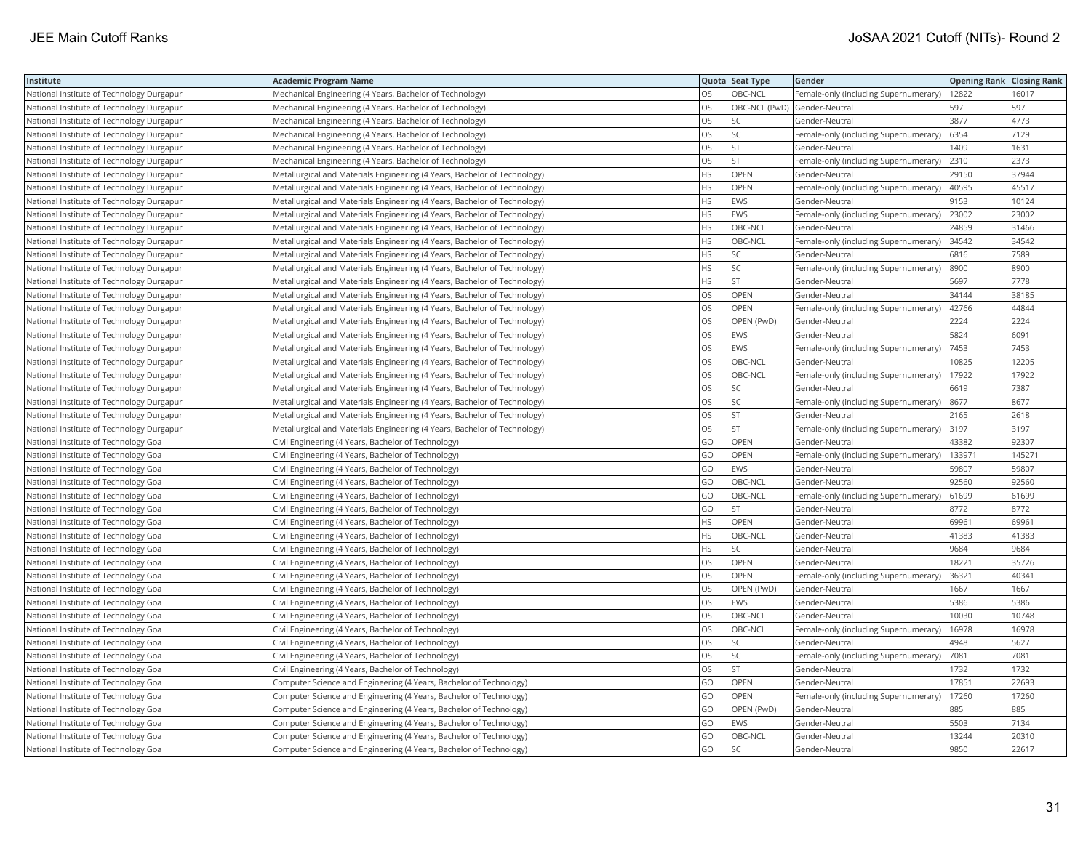| Institute                                 | <b>Academic Program Name</b>                                              |           | Quota Seat Type | Gender                                |        | <b>Opening Rank Closing Rank</b> |
|-------------------------------------------|---------------------------------------------------------------------------|-----------|-----------------|---------------------------------------|--------|----------------------------------|
| National Institute of Technology Durgapur | Mechanical Engineering (4 Years, Bachelor of Technology)                  | <b>OS</b> | OBC-NCL         | Female-only (including Supernumerary) | 12822  | 16017                            |
| National Institute of Technology Durgapur | Mechanical Engineering (4 Years, Bachelor of Technology)                  | OS        | OBC-NCL (PwD)   | Gender-Neutral                        | 597    | 597                              |
| National Institute of Technology Durgapur | Mechanical Engineering (4 Years, Bachelor of Technology)                  | OS        | SC              | Gender-Neutral                        | 3877   | 4773                             |
| National Institute of Technology Durgapur | Mechanical Engineering (4 Years, Bachelor of Technology)                  | OS        | SC              | Female-only (including Supernumerary) | 6354   | 7129                             |
| National Institute of Technology Durgapur | Mechanical Engineering (4 Years, Bachelor of Technology)                  | OS        | <b>ST</b>       | Gender-Neutral                        | 1409   | 1631                             |
| National Institute of Technology Durgapur | Mechanical Engineering (4 Years, Bachelor of Technology)                  | OS        | <b>ST</b>       | Female-only (including Supernumerary) | 2310   | 2373                             |
| National Institute of Technology Durgapur | Metallurgical and Materials Engineering (4 Years, Bachelor of Technology) | <b>HS</b> | <b>OPEN</b>     | Gender-Neutral                        | 29150  | 37944                            |
| National Institute of Technology Durgapur | Metallurgical and Materials Engineering (4 Years, Bachelor of Technology) | <b>HS</b> | OPEN            | Female-only (including Supernumerary) | 40595  | 45517                            |
| National Institute of Technology Durgapur | Metallurgical and Materials Engineering (4 Years, Bachelor of Technology) | <b>HS</b> | EWS             | Gender-Neutral                        | 9153   | 10124                            |
| National Institute of Technology Durgapur | Metallurgical and Materials Engineering (4 Years, Bachelor of Technology) | <b>HS</b> | EWS             | Female-only (including Supernumerary) | 23002  | 23002                            |
| National Institute of Technology Durgapur | Metallurgical and Materials Engineering (4 Years, Bachelor of Technology) | <b>HS</b> | OBC-NCL         | Gender-Neutral                        | 24859  | 31466                            |
| National Institute of Technology Durgapur | Metallurgical and Materials Engineering (4 Years, Bachelor of Technology) | <b>HS</b> | OBC-NCL         | Female-only (including Supernumerary) | 34542  | 34542                            |
| National Institute of Technology Durgapur | Metallurgical and Materials Engineering (4 Years, Bachelor of Technology) | HS        | SC              | Gender-Neutral                        | 6816   | 7589                             |
| National Institute of Technology Durgapur | Metallurgical and Materials Engineering (4 Years, Bachelor of Technology) | <b>HS</b> | <b>SC</b>       | Female-only (including Supernumerary) | 8900   | 8900                             |
| National Institute of Technology Durgapur | Metallurgical and Materials Engineering (4 Years, Bachelor of Technology) | HS        | <b>ST</b>       | Gender-Neutral                        | 5697   | 7778                             |
| National Institute of Technology Durgapur | Metallurgical and Materials Engineering (4 Years, Bachelor of Technology) | OS        | OPEN            | Gender-Neutral                        | 34144  | 38185                            |
| National Institute of Technology Durgapur | Metallurgical and Materials Engineering (4 Years, Bachelor of Technology) | OS        | OPEN            | Female-only (including Supernumerary) | 42766  | 44844                            |
| National Institute of Technology Durgapur | Metallurgical and Materials Engineering (4 Years, Bachelor of Technology) | <b>OS</b> | OPEN (PwD)      | Gender-Neutral                        | 2224   | 2224                             |
| National Institute of Technology Durgapur | Metallurgical and Materials Engineering (4 Years, Bachelor of Technology) | los       | EWS             | Gender-Neutral                        | 5824   | 6091                             |
| National Institute of Technology Durgapur | Metallurgical and Materials Engineering (4 Years, Bachelor of Technology) | <b>OS</b> | EWS             | Female-only (including Supernumerary) | 7453   | 7453                             |
| National Institute of Technology Durgapur | Metallurgical and Materials Engineering (4 Years, Bachelor of Technology) | los       | OBC-NCL         | Gender-Neutral                        | 10825  | 12205                            |
| National Institute of Technology Durgapur | Metallurgical and Materials Engineering (4 Years, Bachelor of Technology) | los       | OBC-NCL         | Female-only (including Supernumerary) | 17922  | 17922                            |
| National Institute of Technology Durgapur | Metallurgical and Materials Engineering (4 Years, Bachelor of Technology) | OS        | SC              | Gender-Neutral                        | 6619   | 7387                             |
| National Institute of Technology Durgapur | Metallurgical and Materials Engineering (4 Years, Bachelor of Technology) | OS        | SC              | Female-only (including Supernumerary) | 8677   | 8677                             |
| National Institute of Technology Durgapur | Metallurgical and Materials Engineering (4 Years, Bachelor of Technology) | los       | <b>ST</b>       | Gender-Neutral                        | 2165   | 2618                             |
| National Institute of Technology Durgapur | Metallurgical and Materials Engineering (4 Years, Bachelor of Technology) | OS        | ST              | Female-only (including Supernumerary) | 3197   | 3197                             |
| National Institute of Technology Goa      | Civil Engineering (4 Years, Bachelor of Technology)                       | GO        | OPEN            | Gender-Neutral                        | 43382  | 92307                            |
| National Institute of Technology Goa      | Civil Engineering (4 Years, Bachelor of Technology)                       | GO        | OPEN            | Female-only (including Supernumerary) | 133971 | 145271                           |
| National Institute of Technology Goa      | Civil Engineering (4 Years, Bachelor of Technology)                       | GO        | <b>EWS</b>      | Gender-Neutral                        | 59807  | 59807                            |
| National Institute of Technology Goa      | Civil Engineering (4 Years, Bachelor of Technology)                       | GO        | OBC-NCL         | Gender-Neutral                        | 92560  | 92560                            |
| National Institute of Technology Goa      | Civil Engineering (4 Years, Bachelor of Technology)                       | GO        | OBC-NCL         | Female-only (including Supernumerary) | 61699  | 61699                            |
| National Institute of Technology Goa      | Civil Engineering (4 Years, Bachelor of Technology)                       | GO        | <b>ST</b>       | Gender-Neutral                        | 8772   | 8772                             |
| National Institute of Technology Goa      | Civil Engineering (4 Years, Bachelor of Technology)                       | <b>HS</b> | OPEN            | Gender-Neutral                        | 69961  | 69961                            |
| National Institute of Technology Goa      | Civil Engineering (4 Years, Bachelor of Technology)                       | HS        | OBC-NCL         | Gender-Neutral                        | 41383  | 41383                            |
| National Institute of Technology Goa      | Civil Engineering (4 Years, Bachelor of Technology)                       | <b>HS</b> | SC              | Gender-Neutral                        | 9684   | 9684                             |
| National Institute of Technology Goa      | Civil Engineering (4 Years, Bachelor of Technology)                       | los       | OPEN            | Gender-Neutral                        | 18221  | 35726                            |
| National Institute of Technology Goa      | Civil Engineering (4 Years, Bachelor of Technology)                       | los       | OPEN            | Female-only (including Supernumerary) | 36321  | 40341                            |
| National Institute of Technology Goa      | Civil Engineering (4 Years, Bachelor of Technology)                       | <b>OS</b> | OPEN (PwD)      | Gender-Neutral                        | 1667   | 1667                             |
| National Institute of Technology Goa      | Civil Engineering (4 Years, Bachelor of Technology)                       | <b>OS</b> | EWS             | Gender-Neutral                        | 5386   | 5386                             |
| National Institute of Technology Goa      | Civil Engineering (4 Years, Bachelor of Technology)                       | OS        | OBC-NCL         | Gender-Neutral                        | 10030  | 10748                            |
| National Institute of Technology Goa      | Civil Engineering (4 Years, Bachelor of Technology)                       | OS        | OBC-NCL         | Female-only (including Supernumerary) | 16978  | 16978                            |
| National Institute of Technology Goa      | Civil Engineering (4 Years, Bachelor of Technology)                       | OS        | SC              | Gender-Neutral                        | 4948   | 5627                             |
| National Institute of Technology Goa      | Civil Engineering (4 Years, Bachelor of Technology)                       | OS        | SC              | Female-only (including Supernumerary) | 7081   | 7081                             |
| National Institute of Technology Goa      | Civil Engineering (4 Years, Bachelor of Technology)                       | <b>OS</b> | <b>ST</b>       | Gender-Neutral                        | 1732   | 1732                             |
| National Institute of Technology Goa      | Computer Science and Engineering (4 Years, Bachelor of Technology)        | GO        | OPEN            | Gender-Neutral                        | 17851  | 22693                            |
| National Institute of Technology Goa      | Computer Science and Engineering (4 Years, Bachelor of Technology)        | GO        | OPEN            | Female-only (including Supernumerary) | 17260  | 17260                            |
| National Institute of Technology Goa      | Computer Science and Engineering (4 Years, Bachelor of Technology)        | GO        | OPEN (PwD)      | Gender-Neutral                        | 885    | 885                              |
| National Institute of Technology Goa      | Computer Science and Engineering (4 Years, Bachelor of Technology)        | GO        | EWS             | Gender-Neutral                        | 5503   | 7134                             |
| National Institute of Technology Goa      | Computer Science and Engineering (4 Years, Bachelor of Technology)        | GO        | OBC-NCL         | Gender-Neutral                        | 13244  | 20310                            |
| National Institute of Technology Goa      | Computer Science and Engineering (4 Years, Bachelor of Technology)        | GO        | SC              | Gender-Neutral                        | 9850   | 22617                            |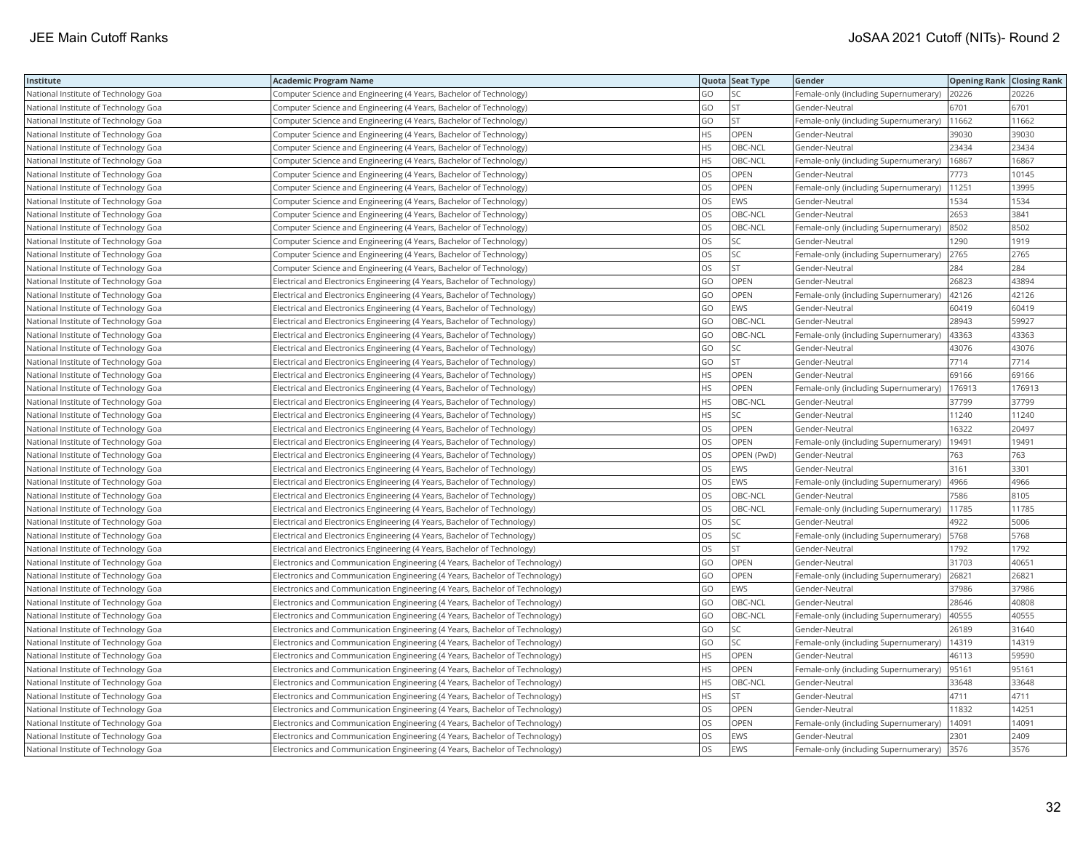| Institute                            | <b>Academic Program Name</b>                                                |           | Quota Seat Type | Gender                                | <b>Opening Rank   Closing Rank</b> |        |
|--------------------------------------|-----------------------------------------------------------------------------|-----------|-----------------|---------------------------------------|------------------------------------|--------|
| National Institute of Technology Goa | Computer Science and Engineering (4 Years, Bachelor of Technology)          | GO        | SC              | Female-only (including Supernumerary) | 20226                              | 20226  |
| National Institute of Technology Goa | Computer Science and Engineering (4 Years, Bachelor of Technology)          | GO        | <b>ST</b>       | Gender-Neutral                        | 6701                               | 6701   |
| National Institute of Technology Goa | Computer Science and Engineering (4 Years, Bachelor of Technology)          | GO        | <b>ST</b>       | Female-only (including Supernumerary) | 11662                              | 11662  |
| National Institute of Technology Goa | Computer Science and Engineering (4 Years, Bachelor of Technology)          | HS        | OPEN            | Gender-Neutral                        | 39030                              | 39030  |
| National Institute of Technology Goa | Computer Science and Engineering (4 Years, Bachelor of Technology)          | <b>HS</b> | OBC-NCL         | Gender-Neutral                        | 23434                              | 23434  |
| National Institute of Technology Goa | Computer Science and Engineering (4 Years, Bachelor of Technology)          | <b>HS</b> | OBC-NCL         | Female-only (including Supernumerary) | 16867                              | 16867  |
| National Institute of Technology Goa | Computer Science and Engineering (4 Years, Bachelor of Technology)          | <b>OS</b> | OPEN            | Gender-Neutral                        | 7773                               | 10145  |
| National Institute of Technology Goa | Computer Science and Engineering (4 Years, Bachelor of Technology)          | <b>OS</b> | OPEN            | Female-only (including Supernumerary) | 11251                              | 13995  |
| National Institute of Technology Goa | Computer Science and Engineering (4 Years, Bachelor of Technology)          | <b>OS</b> | EWS             | Gender-Neutral                        | 1534                               | 1534   |
| National Institute of Technology Goa | Computer Science and Engineering (4 Years, Bachelor of Technology)          | OS        | OBC-NCL         | Gender-Neutral                        | 2653                               | 3841   |
| National Institute of Technology Goa | Computer Science and Engineering (4 Years, Bachelor of Technology)          | <b>OS</b> | OBC-NCL         | Female-only (including Supernumerary) | 8502                               | 8502   |
| National Institute of Technology Goa | Computer Science and Engineering (4 Years, Bachelor of Technology)          | OS        | SC              | Gender-Neutral                        | 1290                               | 1919   |
| National Institute of Technology Goa | Computer Science and Engineering (4 Years, Bachelor of Technology)          | OS        | SC              | Female-only (including Supernumerary) | 2765                               | 2765   |
| National Institute of Technology Goa | Computer Science and Engineering (4 Years, Bachelor of Technology)          | OS        | ST              | Gender-Neutral                        | 284                                | 284    |
| National Institute of Technology Goa | Electrical and Electronics Engineering (4 Years, Bachelor of Technology)    | GO        | <b>OPEN</b>     | Gender-Neutral                        | 26823                              | 43894  |
| National Institute of Technology Goa | Electrical and Electronics Engineering (4 Years, Bachelor of Technology)    | GO        | OPEN            | Female-only (including Supernumerary) | 42126                              | 42126  |
| National Institute of Technology Goa | Electrical and Electronics Engineering (4 Years, Bachelor of Technology)    | GO        | EWS             | Gender-Neutral                        | 60419                              | 60419  |
| National Institute of Technology Goa | Electrical and Electronics Engineering (4 Years, Bachelor of Technology)    | GO        | OBC-NCL         | Gender-Neutral                        | 28943                              | 59927  |
| National Institute of Technology Goa | Electrical and Electronics Engineering (4 Years, Bachelor of Technology)    | GO        | OBC-NCL         | Female-only (including Supernumerary) | 43363                              | 43363  |
| National Institute of Technology Goa | Electrical and Electronics Engineering (4 Years, Bachelor of Technology)    | GO        | SC              | Gender-Neutral                        | 43076                              | 43076  |
| National Institute of Technology Goa | Electrical and Electronics Engineering (4 Years, Bachelor of Technology)    | GO        | <b>ST</b>       | Gender-Neutral                        | 7714                               | 7714   |
| National Institute of Technology Goa | Electrical and Electronics Engineering (4 Years, Bachelor of Technology)    | <b>HS</b> | OPEN            | Gender-Neutral                        | 69166                              | 69166  |
| National Institute of Technology Goa | Electrical and Electronics Engineering (4 Years, Bachelor of Technology)    | HS        | OPEN            | Female-only (including Supernumerary) | 176913                             | 176913 |
| National Institute of Technology Goa | Electrical and Electronics Engineering (4 Years, Bachelor of Technology)    | HS        | OBC-NCL         | Gender-Neutral                        | 37799                              | 37799  |
| National Institute of Technology Goa | Electrical and Electronics Engineering (4 Years, Bachelor of Technology)    | <b>HS</b> | SC              | Gender-Neutral                        | 11240                              | 11240  |
| National Institute of Technology Goa | Electrical and Electronics Engineering (4 Years, Bachelor of Technology)    | OS        | OPEN            | Gender-Neutral                        | 16322                              | 20497  |
| National Institute of Technology Goa | Electrical and Electronics Engineering (4 Years, Bachelor of Technology)    | OS        | OPEN            | Female-only (including Supernumerary) | 19491                              | 19491  |
| National Institute of Technology Goa | Electrical and Electronics Engineering (4 Years, Bachelor of Technology)    | OS        | OPEN (PwD)      | Gender-Neutral                        | 763                                | 763    |
| National Institute of Technology Goa | Electrical and Electronics Engineering (4 Years, Bachelor of Technology)    | OS.       | <b>EWS</b>      | Gender-Neutral                        | 3161                               | 3301   |
| National Institute of Technology Goa | Electrical and Electronics Engineering (4 Years, Bachelor of Technology)    | OS        | EWS             | Female-only (including Supernumerary) | 4966                               | 4966   |
| National Institute of Technology Goa | Electrical and Electronics Engineering (4 Years, Bachelor of Technology)    | OS        | OBC-NCL         | Gender-Neutral                        | 7586                               | 8105   |
| National Institute of Technology Goa | Electrical and Electronics Engineering (4 Years, Bachelor of Technology)    | <b>OS</b> | OBC-NCL         | Female-only (including Supernumerary) | 11785                              | 11785  |
| National Institute of Technology Goa | Electrical and Electronics Engineering (4 Years, Bachelor of Technology)    | OS        | SC              | Gender-Neutral                        | 4922                               | 5006   |
| National Institute of Technology Goa | Electrical and Electronics Engineering (4 Years, Bachelor of Technology)    | OS        | SC              | Female-only (including Supernumerary) | 5768                               | 5768   |
| National Institute of Technology Goa | Electrical and Electronics Engineering (4 Years, Bachelor of Technology)    | OS        | <b>ST</b>       | Gender-Neutral                        | 1792                               | 1792   |
| National Institute of Technology Goa | Electronics and Communication Engineering (4 Years, Bachelor of Technology) | GO        | <b>OPEN</b>     | Gender-Neutral                        | 31703                              | 40651  |
| National Institute of Technology Goa | Electronics and Communication Engineering (4 Years, Bachelor of Technology) | GO        | OPEN            | Female-only (including Supernumerary) | 26821                              | 26821  |
| National Institute of Technology Goa | Electronics and Communication Engineering (4 Years, Bachelor of Technology) | GO        | EWS             | Gender-Neutral                        | 37986                              | 37986  |
| National Institute of Technology Goa | Electronics and Communication Engineering (4 Years, Bachelor of Technology) | GO        | OBC-NCL         | Gender-Neutral                        | 28646                              | 40808  |
| National Institute of Technology Goa | Electronics and Communication Engineering (4 Years, Bachelor of Technology) | GO        | OBC-NCL         | Female-only (including Supernumerary) | 40555                              | 40555  |
| National Institute of Technology Goa | Electronics and Communication Engineering (4 Years, Bachelor of Technology) | GO        | SC              | Gender-Neutral                        | 26189                              | 31640  |
| National Institute of Technology Goa | Electronics and Communication Engineering (4 Years, Bachelor of Technology) | GO        | SC              | Female-only (including Supernumerary) | 14319                              | 14319  |
| National Institute of Technology Goa | Electronics and Communication Engineering (4 Years, Bachelor of Technology) | HS        | OPEN            | Gender-Neutral                        | 46113                              | 59590  |
| National Institute of Technology Goa | Electronics and Communication Engineering (4 Years, Bachelor of Technology) | <b>HS</b> | <b>OPEN</b>     | Female-only (including Supernumerary) | 95161                              | 95161  |
| National Institute of Technology Goa | Electronics and Communication Engineering (4 Years, Bachelor of Technology) | HS        | OBC-NCL         | Gender-Neutral                        | 33648                              | 33648  |
| National Institute of Technology Goa | Electronics and Communication Engineering (4 Years, Bachelor of Technology) | <b>HS</b> | <b>ST</b>       | Gender-Neutral                        | 4711                               | 4711   |
| National Institute of Technology Goa | Electronics and Communication Engineering (4 Years, Bachelor of Technology) | OS        | OPEN            | Gender-Neutral                        | 11832                              | 14251  |
| National Institute of Technology Goa | Electronics and Communication Engineering (4 Years, Bachelor of Technology) | OS        | OPEN            | Female-only (including Supernumerary) | 14091                              | 14091  |
| National Institute of Technology Goa | Electronics and Communication Engineering (4 Years, Bachelor of Technology) | OS        | EWS             | Gender-Neutral                        | 2301                               | 2409   |
| National Institute of Technology Goa | Electronics and Communication Engineering (4 Years, Bachelor of Technology) | <b>OS</b> | EWS             | Female-only (including Supernumerary) | 3576                               | 3576   |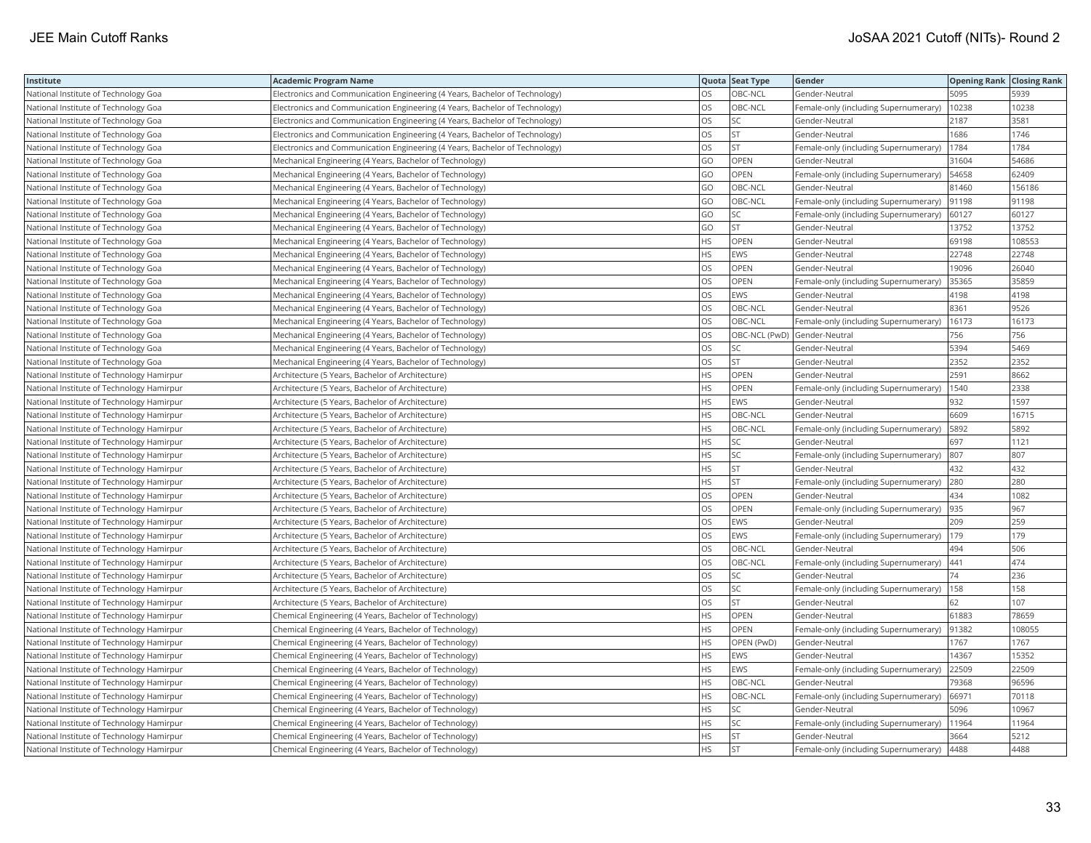| Institute                                 | <b>Academic Program Name</b>                                                |           | Quota Seat Type | Gender                                | <b>Opening Rank Closing Rank</b> |        |
|-------------------------------------------|-----------------------------------------------------------------------------|-----------|-----------------|---------------------------------------|----------------------------------|--------|
| National Institute of Technology Goa      | Electronics and Communication Engineering (4 Years, Bachelor of Technology) | OS.       | OBC-NCL         | Gender-Neutral                        | 5095                             | 5939   |
| National Institute of Technology Goa      | Electronics and Communication Engineering (4 Years, Bachelor of Technology) | OS        | OBC-NCL         | Female-only (including Supernumerary) | 10238                            | 10238  |
| National Institute of Technology Goa      | Electronics and Communication Engineering (4 Years, Bachelor of Technology) | OS        | SC              | Gender-Neutral                        | 2187                             | 3581   |
| National Institute of Technology Goa      | Electronics and Communication Engineering (4 Years, Bachelor of Technology) | OS        | ST              | Gender-Neutral                        | 1686                             | 1746   |
| National Institute of Technology Goa      | Electronics and Communication Engineering (4 Years, Bachelor of Technology) | OS        | ST              | Female-only (including Supernumerary) | 1784                             | 1784   |
| National Institute of Technology Goa      | Mechanical Engineering (4 Years, Bachelor of Technology)                    | GO        | OPEN            | Gender-Neutral                        | 31604                            | 54686  |
| National Institute of Technology Goa      | Mechanical Engineering (4 Years, Bachelor of Technology)                    | GO        | OPEN            | Female-only (including Supernumerary) | 54658                            | 62409  |
| National Institute of Technology Goa      | Mechanical Engineering (4 Years, Bachelor of Technology)                    | GO        | OBC-NCL         | Gender-Neutral                        | 81460                            | 156186 |
| National Institute of Technology Goa      | Mechanical Engineering (4 Years, Bachelor of Technology)                    | GO        | OBC-NCL         | Female-only (including Supernumerary) | 91198                            | 91198  |
| National Institute of Technology Goa      | Mechanical Engineering (4 Years, Bachelor of Technology)                    | GO        | SC              | Female-only (including Supernumerary) | 60127                            | 60127  |
| National Institute of Technology Goa      | Mechanical Engineering (4 Years, Bachelor of Technology)                    | GO        | ST              | Gender-Neutral                        | 13752                            | 13752  |
| National Institute of Technology Goa      | Mechanical Engineering (4 Years, Bachelor of Technology)                    | <b>HS</b> | OPEN            | Gender-Neutral                        | 69198                            | 108553 |
| National Institute of Technology Goa      | Mechanical Engineering (4 Years, Bachelor of Technology)                    | HS        | EWS             | Gender-Neutral                        | 22748                            | 22748  |
| National Institute of Technology Goa      | Mechanical Engineering (4 Years, Bachelor of Technology)                    | <b>OS</b> | OPEN            | Gender-Neutral                        | 19096                            | 26040  |
| National Institute of Technology Goa      | Mechanical Engineering (4 Years, Bachelor of Technology)                    | OS        | OPEN            | Female-only (including Supernumerary) | 35365                            | 35859  |
| National Institute of Technology Goa      | Mechanical Engineering (4 Years, Bachelor of Technology)                    | OS        | <b>EWS</b>      | Gender-Neutral                        | 4198                             | 4198   |
| National Institute of Technology Goa      | Mechanical Engineering (4 Years, Bachelor of Technology)                    | OS        | OBC-NCL         | Gender-Neutral                        | 8361                             | 9526   |
| National Institute of Technology Goa      | Mechanical Engineering (4 Years, Bachelor of Technology)                    | OS        | OBC-NCL         | Female-only (including Supernumerary) | 16173                            | 16173  |
| National Institute of Technology Goa      | Mechanical Engineering (4 Years, Bachelor of Technology)                    | OS        | OBC-NCL (PwD)   | Gender-Neutral                        | 756                              | 756    |
| National Institute of Technology Goa      | Mechanical Engineering (4 Years, Bachelor of Technology)                    | <b>OS</b> | SC              | Gender-Neutral                        | 5394                             | 5469   |
| National Institute of Technology Goa      | Mechanical Engineering (4 Years, Bachelor of Technology)                    | OS        | <b>ST</b>       | Gender-Neutral                        | 2352                             | 2352   |
| National Institute of Technology Hamirpur | Architecture (5 Years, Bachelor of Architecture)                            | <b>HS</b> | OPEN            | Gender-Neutral                        | 2591                             | 8662   |
| National Institute of Technology Hamirpur | Architecture (5 Years, Bachelor of Architecture)                            | HS        | OPEN            | Female-only (including Supernumerary) | 1540                             | 2338   |
| National Institute of Technology Hamirpur | Architecture (5 Years, Bachelor of Architecture)                            | HS        | EWS             | Gender-Neutral                        | 932                              | 1597   |
| National Institute of Technology Hamirpur | Architecture (5 Years, Bachelor of Architecture)                            | <b>HS</b> | OBC-NCL         | Gender-Neutral                        | 6609                             | 16715  |
| National Institute of Technology Hamirpur | Architecture (5 Years, Bachelor of Architecture)                            | HS        | OBC-NCL         | Female-only (including Supernumerary) | 5892                             | 5892   |
| National Institute of Technology Hamirpur | Architecture (5 Years, Bachelor of Architecture)                            | HS        | SC              | Gender-Neutral                        | 697                              | 1121   |
| National Institute of Technology Hamirpur | Architecture (5 Years, Bachelor of Architecture)                            | HS        | SC              | Female-only (including Supernumerary) | 807                              | 807    |
| National Institute of Technology Hamirpur | Architecture (5 Years, Bachelor of Architecture)                            | <b>HS</b> | <b>ST</b>       | Gender-Neutral                        | 432                              | 432    |
| National Institute of Technology Hamirpur | Architecture (5 Years, Bachelor of Architecture)                            | HS        | <b>ST</b>       | Female-only (including Supernumerary) | 280                              | 280    |
| National Institute of Technology Hamirpur | Architecture (5 Years, Bachelor of Architecture)                            | OS        | OPEN            | Gender-Neutral                        | 434                              | 1082   |
| National Institute of Technology Hamirpur | Architecture (5 Years, Bachelor of Architecture)                            | OS        | OPEN            | Female-only (including Supernumerary) | 935                              | 967    |
| National Institute of Technology Hamirpur | Architecture (5 Years, Bachelor of Architecture)                            | OS        | EWS             | Gender-Neutral                        | 209                              | 259    |
| National Institute of Technology Hamirpur | Architecture (5 Years, Bachelor of Architecture)                            | OS        | EWS             | Female-only (including Supernumerary) | 179                              | 179    |
| National Institute of Technology Hamirpur | Architecture (5 Years, Bachelor of Architecture)                            | OS        | OBC-NCL         | Gender-Neutral                        | 494                              | 506    |
| National Institute of Technology Hamirpur | Architecture (5 Years, Bachelor of Architecture)                            | OS        | OBC-NCL         | Female-only (including Supernumerary) | 441                              | 474    |
| National Institute of Technology Hamirpur | Architecture (5 Years, Bachelor of Architecture)                            | OS        | SC              | Gender-Neutral                        | 74                               | 236    |
| National Institute of Technology Hamirpur | Architecture (5 Years, Bachelor of Architecture)                            | OS        | SC              | Female-only (including Supernumerary) | 158                              | 158    |
| National Institute of Technology Hamirpur | Architecture (5 Years, Bachelor of Architecture)                            | OS        | ST              | Gender-Neutral                        | 62                               | 107    |
| National Institute of Technology Hamirpur | Chemical Engineering (4 Years, Bachelor of Technology)                      | <b>HS</b> | <b>OPEN</b>     | Gender-Neutral                        | 61883                            | 78659  |
| National Institute of Technology Hamirpur | Chemical Engineering (4 Years, Bachelor of Technology)                      | HS        | OPEN            | Female-only (including Supernumerary) | 91382                            | 108055 |
| National Institute of Technology Hamirpur | Chemical Engineering (4 Years, Bachelor of Technology)                      | HS        | OPEN (PwD)      | Gender-Neutral                        | 1767                             | 1767   |
| National Institute of Technology Hamirpur | Chemical Engineering (4 Years, Bachelor of Technology)                      | HS        | EWS             | Gender-Neutral                        | 14367                            | 15352  |
| National Institute of Technology Hamirpur | Chemical Engineering (4 Years, Bachelor of Technology)                      | <b>HS</b> | EWS             | Female-only (including Supernumerary) | 22509                            | 22509  |
| National Institute of Technology Hamirpur | Chemical Engineering (4 Years, Bachelor of Technology)                      | HS        | OBC-NCL         | Gender-Neutral                        | 79368                            | 96596  |
| National Institute of Technology Hamirpur | Chemical Engineering (4 Years, Bachelor of Technology)                      | <b>HS</b> | OBC-NCL         | Female-only (including Supernumerary) | 66971                            | 70118  |
| National Institute of Technology Hamirpur | Chemical Engineering (4 Years, Bachelor of Technology)                      | HS        | SC              | Gender-Neutral                        | 5096                             | 10967  |
| National Institute of Technology Hamirpur | Chemical Engineering (4 Years, Bachelor of Technology)                      | HS        | SC              | Female-only (including Supernumerary) | 11964                            | 11964  |
| National Institute of Technology Hamirpur | Chemical Engineering (4 Years, Bachelor of Technology)                      | HS        | ST              | Gender-Neutral                        | 3664                             | 5212   |
| National Institute of Technology Hamirpur | Chemical Engineering (4 Years, Bachelor of Technology)                      | <b>HS</b> | <b>ST</b>       | Female-only (including Supernumerary) | 4488                             | 4488   |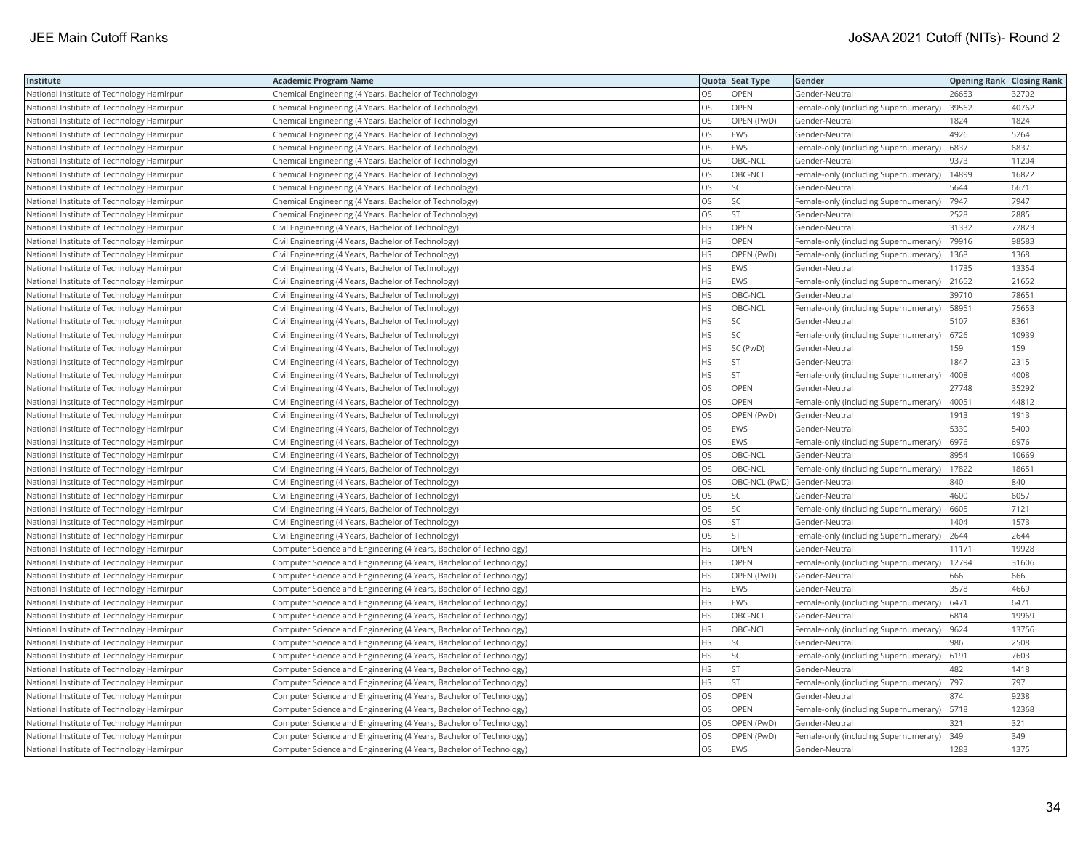| Institute                                 | <b>Academic Program Name</b>                                       |           | Quota Seat Type | Gender                                | <b>Opening Rank Closing Rank</b> |       |
|-------------------------------------------|--------------------------------------------------------------------|-----------|-----------------|---------------------------------------|----------------------------------|-------|
| National Institute of Technology Hamirpur | Chemical Engineering (4 Years, Bachelor of Technology)             | <b>OS</b> | OPEN            | Gender-Neutral                        | 26653                            | 32702 |
| National Institute of Technology Hamirpur | Chemical Engineering (4 Years, Bachelor of Technology)             | OS        | OPEN            | Female-only (including Supernumerary) | 39562                            | 40762 |
| National Institute of Technology Hamirpur | Chemical Engineering (4 Years, Bachelor of Technology)             | <b>OS</b> | OPEN (PwD)      | Gender-Neutral                        | 1824                             | 1824  |
| National Institute of Technology Hamirpur | Chemical Engineering (4 Years, Bachelor of Technology)             | OS        | EWS             | Gender-Neutral                        | 4926                             | 5264  |
| National Institute of Technology Hamirpur | Chemical Engineering (4 Years, Bachelor of Technology)             | los       | EWS             | Female-only (including Supernumerary) | 6837                             | 6837  |
| National Institute of Technology Hamirpur | Chemical Engineering (4 Years, Bachelor of Technology)             | OS        | OBC-NCL         | Gender-Neutral                        | 9373                             | 11204 |
| National Institute of Technology Hamirpur | Chemical Engineering (4 Years, Bachelor of Technology)             | los       | OBC-NCL         | Female-only (including Supernumerary) | 14899                            | 16822 |
| National Institute of Technology Hamirpur | Chemical Engineering (4 Years, Bachelor of Technology)             | los       | SC              | Gender-Neutral                        | 5644                             | 6671  |
| National Institute of Technology Hamirpur | Chemical Engineering (4 Years, Bachelor of Technology)             | <b>OS</b> | SC              | Female-only (including Supernumerary) | 7947                             | 7947  |
| National Institute of Technology Hamirpur | Chemical Engineering (4 Years, Bachelor of Technology)             | OS        | <b>ST</b>       | Gender-Neutral                        | 2528                             | 2885  |
| National Institute of Technology Hamirpur | Civil Engineering (4 Years, Bachelor of Technology)                | <b>HS</b> | OPEN            | Gender-Neutral                        | 31332                            | 72823 |
| National Institute of Technology Hamirpur | Civil Engineering (4 Years, Bachelor of Technology)                | <b>HS</b> | OPEN            | Female-only (including Supernumerary) | 79916                            | 98583 |
| National Institute of Technology Hamirpur | Civil Engineering (4 Years, Bachelor of Technology)                | <b>HS</b> | OPEN (PwD)      | Female-only (including Supernumerary) | 1368                             | 1368  |
| National Institute of Technology Hamirpur | Civil Engineering (4 Years, Bachelor of Technology)                | <b>HS</b> | EWS             | Gender-Neutral                        | 11735                            | 13354 |
| National Institute of Technology Hamirpur | Civil Engineering (4 Years, Bachelor of Technology)                | HS        | EWS             | Female-only (including Supernumerary) | 21652                            | 21652 |
| National Institute of Technology Hamirpur | Civil Engineering (4 Years, Bachelor of Technology)                | HS        | OBC-NCL         | Gender-Neutral                        | 39710                            | 78651 |
| National Institute of Technology Hamirpur | Civil Engineering (4 Years, Bachelor of Technology)                | HS        | OBC-NCL         | Female-only (including Supernumerary) | 58951                            | 75653 |
| National Institute of Technology Hamirpur | Civil Engineering (4 Years, Bachelor of Technology)                | <b>HS</b> | SC              | Gender-Neutral                        | 5107                             | 8361  |
| National Institute of Technology Hamirpur | Civil Engineering (4 Years, Bachelor of Technology)                | <b>HS</b> | SC              | Female-only (including Supernumerary) | 6726                             | 10939 |
| National Institute of Technology Hamirpur | Civil Engineering (4 Years, Bachelor of Technology)                | <b>HS</b> | SC (PwD)        | Gender-Neutral                        | 159                              | 159   |
| National Institute of Technology Hamirpur | Civil Engineering (4 Years, Bachelor of Technology)                | <b>HS</b> | <b>ST</b>       | Gender-Neutral                        | 1847                             | 2315  |
| National Institute of Technology Hamirpur | Civil Engineering (4 Years, Bachelor of Technology)                | <b>HS</b> | <b>ST</b>       | Female-only (including Supernumerary) | 4008                             | 4008  |
| National Institute of Technology Hamirpur | Civil Engineering (4 Years, Bachelor of Technology)                | los       | OPEN            | Gender-Neutral                        | 27748                            | 35292 |
| National Institute of Technology Hamirpur | Civil Engineering (4 Years, Bachelor of Technology)                | OS        | OPEN            | Female-only (including Supernumerary) | 40051                            | 44812 |
| National Institute of Technology Hamirpur | Civil Engineering (4 Years, Bachelor of Technology)                | OS        | OPEN (PwD)      | Gender-Neutral                        | 1913                             | 1913  |
| National Institute of Technology Hamirpur | Civil Engineering (4 Years, Bachelor of Technology)                | los       | EWS             | Gender-Neutral                        | 5330                             | 5400  |
| National Institute of Technology Hamirpur | Civil Engineering (4 Years, Bachelor of Technology)                | OS        | EWS             | Female-only (including Supernumerary) | 6976                             | 6976  |
| National Institute of Technology Hamirpur | Civil Engineering (4 Years, Bachelor of Technology)                | OS        | OBC-NCL         | Gender-Neutral                        | 8954                             | 10669 |
| National Institute of Technology Hamirpur | Civil Engineering (4 Years, Bachelor of Technology)                | <b>OS</b> | OBC-NCL         | Female-only (including Supernumerary) | 17822                            | 18651 |
| National Institute of Technology Hamirpur | Civil Engineering (4 Years, Bachelor of Technology)                | OS        |                 | OBC-NCL (PwD) Gender-Neutral          | 840                              | 840   |
| National Institute of Technology Hamirpur | Civil Engineering (4 Years, Bachelor of Technology)                | OS        | SС              | Gender-Neutral                        | 4600                             | 6057  |
| National Institute of Technology Hamirpur | Civil Engineering (4 Years, Bachelor of Technology)                | <b>OS</b> | <b>SC</b>       | Female-only (including Supernumerary) | 6605                             | 7121  |
| National Institute of Technology Hamirpur | Civil Engineering (4 Years, Bachelor of Technology)                | OS        | <b>ST</b>       | Gender-Neutral                        | 1404                             | 1573  |
| National Institute of Technology Hamirpur | Civil Engineering (4 Years, Bachelor of Technology)                | los       | <b>ST</b>       | Female-only (including Supernumerary) | 2644                             | 2644  |
| National Institute of Technology Hamirpur | Computer Science and Engineering (4 Years, Bachelor of Technology) | <b>HS</b> | OPEN            | Gender-Neutral                        | 11171                            | 19928 |
| National Institute of Technology Hamirpur | Computer Science and Engineering (4 Years, Bachelor of Technology) | <b>HS</b> | OPEN            | Female-only (including Supernumerary) | 12794                            | 31606 |
| National Institute of Technology Hamirpur | Computer Science and Engineering (4 Years, Bachelor of Technology) | <b>HS</b> | OPEN (PwD)      | Gender-Neutral                        | 666                              | 666   |
| National Institute of Technology Hamirpur | Computer Science and Engineering (4 Years, Bachelor of Technology) | <b>HS</b> | EWS             | Gender-Neutral                        | 3578                             | 4669  |
| National Institute of Technology Hamirpur | Computer Science and Engineering (4 Years, Bachelor of Technology) | <b>HS</b> | EWS             | Female-only (including Supernumerary) | 6471                             | 6471  |
| National Institute of Technology Hamirpur | Computer Science and Engineering (4 Years, Bachelor of Technology) | <b>HS</b> | OBC-NCL         | Gender-Neutral                        | 6814                             | 19969 |
| National Institute of Technology Hamirpur | Computer Science and Engineering (4 Years, Bachelor of Technology) | <b>HS</b> | OBC-NCL         | Female-only (including Supernumerary) | 9624                             | 13756 |
| National Institute of Technology Hamirpur | Computer Science and Engineering (4 Years, Bachelor of Technology) | <b>HS</b> | SC              | Gender-Neutral                        | 986                              | 2508  |
| National Institute of Technology Hamirpur | Computer Science and Engineering (4 Years, Bachelor of Technology) | HS        | SC              | Female-only (including Supernumerary) | 6191                             | 7603  |
| National Institute of Technology Hamirpur | Computer Science and Engineering (4 Years, Bachelor of Technology) | <b>HS</b> | <b>ST</b>       | Gender-Neutral                        | 482                              | 1418  |
| National Institute of Technology Hamirpur | Computer Science and Engineering (4 Years, Bachelor of Technology) | HS        | <b>ST</b>       | Female-only (including Supernumerary) | 797                              | 797   |
| National Institute of Technology Hamirpur | Computer Science and Engineering (4 Years, Bachelor of Technology) | OS        | OPEN            | Gender-Neutral                        | 874                              | 9238  |
| National Institute of Technology Hamirpur | Computer Science and Engineering (4 Years, Bachelor of Technology) | OS        | OPEN            | Female-only (including Supernumerary) | 5718                             | 12368 |
| National Institute of Technology Hamirpur | Computer Science and Engineering (4 Years, Bachelor of Technology) | OS        | OPEN (PwD)      | Gender-Neutral                        | 321                              | 321   |
| National Institute of Technology Hamirpur | Computer Science and Engineering (4 Years, Bachelor of Technology) | OS        | OPEN (PwD)      | Female-only (including Supernumerary) | 349                              | 349   |
| National Institute of Technology Hamirpur | Computer Science and Engineering (4 Years, Bachelor of Technology) | <b>OS</b> | EWS             | Gender-Neutral                        | 1283                             | 1375  |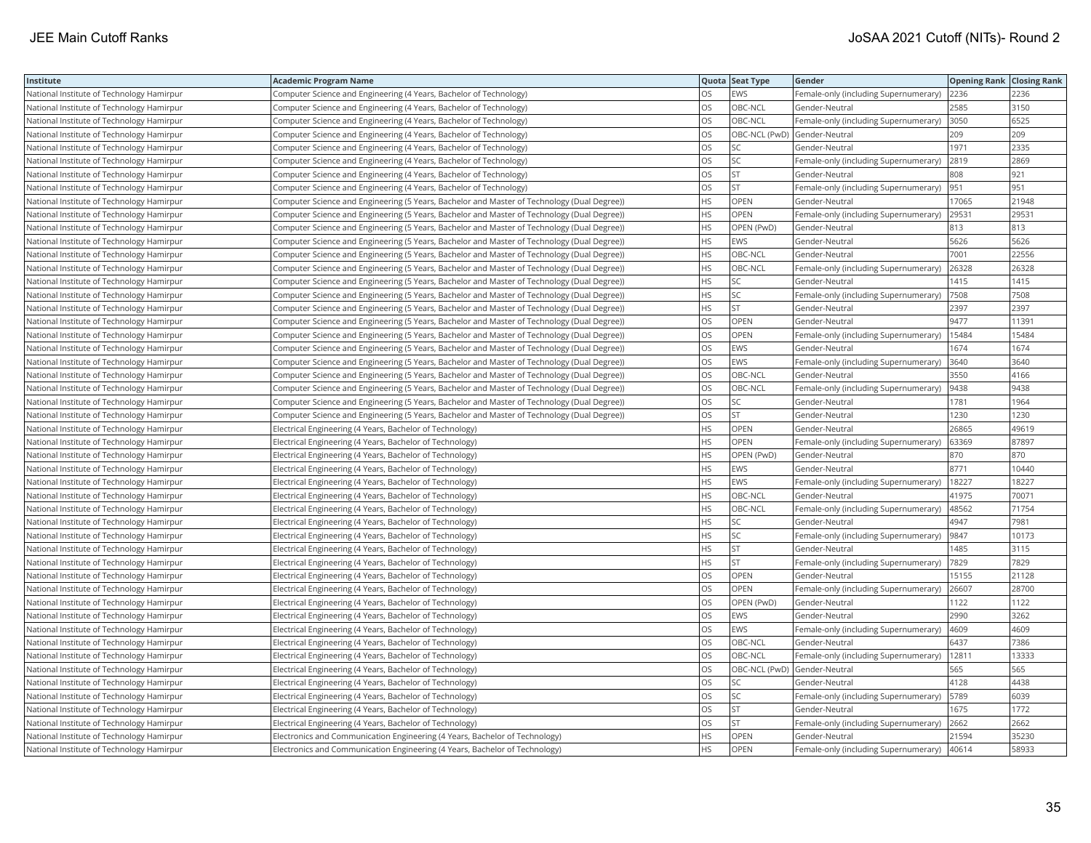| Institute                                 | <b>Academic Program Name</b>                                                                 |           | Quota Seat Type | Gender                                | <b>Opening Rank Closing Rank</b> |       |
|-------------------------------------------|----------------------------------------------------------------------------------------------|-----------|-----------------|---------------------------------------|----------------------------------|-------|
| National Institute of Technology Hamirpur | Computer Science and Engineering (4 Years, Bachelor of Technology)                           | <b>OS</b> | EWS             | Female-only (including Supernumerary) | 2236                             | 2236  |
| National Institute of Technology Hamirpur | Computer Science and Engineering (4 Years, Bachelor of Technology)                           | OS        | OBC-NCL         | Gender-Neutral                        | 2585                             | 3150  |
| National Institute of Technology Hamirpur | Computer Science and Engineering (4 Years, Bachelor of Technology)                           | <b>OS</b> | OBC-NCL         | Female-only (including Supernumerary) | 3050                             | 6525  |
| National Institute of Technology Hamirpur | Computer Science and Engineering (4 Years, Bachelor of Technology)                           | OS        | OBC-NCL (PwD)   | Gender-Neutral                        | 209                              | 209   |
| National Institute of Technology Hamirpur | Computer Science and Engineering (4 Years, Bachelor of Technology)                           | <b>OS</b> | SC              | Gender-Neutral                        | 1971                             | 2335  |
| National Institute of Technology Hamirpur | Computer Science and Engineering (4 Years, Bachelor of Technology)                           | OS        | SC              | Female-only (including Supernumerary) | 2819                             | 2869  |
| National Institute of Technology Hamirpur | Computer Science and Engineering (4 Years, Bachelor of Technology)                           | los       | <b>ST</b>       | Gender-Neutral                        | 808                              | 921   |
| National Institute of Technology Hamirpur | Computer Science and Engineering (4 Years, Bachelor of Technology)                           | <b>OS</b> | <b>ST</b>       | Female-only (including Supernumerary) | 951                              | 951   |
| National Institute of Technology Hamirpur | Computer Science and Engineering (5 Years, Bachelor and Master of Technology (Dual Degree))  | <b>HS</b> | OPEN            | Gender-Neutral                        | 17065                            | 21948 |
| National Institute of Technology Hamirpur | (Computer Science and Engineering (5 Years, Bachelor and Master of Technology (Dual Degree)) | <b>HS</b> | OPEN            | Female-only (including Supernumerary) | 29531                            | 29531 |
| National Institute of Technology Hamirpur | Computer Science and Engineering (5 Years, Bachelor and Master of Technology (Dual Degree))  | <b>HS</b> | OPEN (PwD)      | Gender-Neutral                        | 813                              | 813   |
| National Institute of Technology Hamirpur | Computer Science and Engineering (5 Years, Bachelor and Master of Technology (Dual Degree))  | <b>HS</b> | EWS             | Gender-Neutral                        | 5626                             | 5626  |
| National Institute of Technology Hamirpur | (Computer Science and Engineering (5 Years, Bachelor and Master of Technology (Dual Degree)) | <b>HS</b> | OBC-NCL         | Gender-Neutral                        | 7001                             | 22556 |
| National Institute of Technology Hamirpur | Computer Science and Engineering (5 Years, Bachelor and Master of Technology (Dual Degree))  | <b>HS</b> | OBC-NCL         | Female-only (including Supernumerary) | 26328                            | 26328 |
| National Institute of Technology Hamirpur | Computer Science and Engineering (5 Years, Bachelor and Master of Technology (Dual Degree))  | <b>HS</b> | SC              | Gender-Neutral                        | 1415                             | 1415  |
| National Institute of Technology Hamirpur | Computer Science and Engineering (5 Years, Bachelor and Master of Technology (Dual Degree))  | HS        | SC              | Female-only (including Supernumerary) | 7508                             | 7508  |
| National Institute of Technology Hamirpur | Computer Science and Engineering (5 Years, Bachelor and Master of Technology (Dual Degree))  | HS        | <b>ST</b>       | Gender-Neutral                        | 2397                             | 2397  |
| National Institute of Technology Hamirpur | Computer Science and Engineering (5 Years, Bachelor and Master of Technology (Dual Degree))  | OS        | OPEN            | Gender-Neutral                        | 9477                             | 11391 |
| National Institute of Technology Hamirpur | (Computer Science and Engineering (5 Years, Bachelor and Master of Technology (Dual Degree)) | OS        | OPEN            | Female-only (including Supernumerary) | 15484                            | 15484 |
| National Institute of Technology Hamirpur | Computer Science and Engineering (5 Years, Bachelor and Master of Technology (Dual Degree))  | OS        | EWS             | Gender-Neutral                        | 1674                             | 1674  |
| National Institute of Technology Hamirpur | Computer Science and Engineering (5 Years, Bachelor and Master of Technology (Dual Degree))  | OS        | EWS             | Female-only (including Supernumerary) | 3640                             | 3640  |
| National Institute of Technology Hamirpur | Computer Science and Engineering (5 Years, Bachelor and Master of Technology (Dual Degree))  | los       | OBC-NCL         | Gender-Neutral                        | 3550                             | 4166  |
| National Institute of Technology Hamirpur | Computer Science and Engineering (5 Years, Bachelor and Master of Technology (Dual Degree))  | los       | OBC-NCL         | Female-only (including Supernumerary) | 9438                             | 9438  |
| National Institute of Technology Hamirpur | Computer Science and Engineering (5 Years, Bachelor and Master of Technology (Dual Degree))  | OS        | SC              | Gender-Neutral                        | 1781                             | 1964  |
| National Institute of Technology Hamirpur | (Computer Science and Engineering (5 Years, Bachelor and Master of Technology (Dual Degree)) | OS        | <b>ST</b>       | Gender-Neutral                        | 1230                             | 1230  |
| National Institute of Technology Hamirpur | Electrical Engineering (4 Years, Bachelor of Technology)                                     | <b>HS</b> | OPEN            | Gender-Neutral                        | 26865                            | 49619 |
| National Institute of Technology Hamirpur | Electrical Engineering (4 Years, Bachelor of Technology)                                     | <b>HS</b> | OPEN            | Female-only (including Supernumerary) | 63369                            | 87897 |
| National Institute of Technology Hamirpur | Electrical Engineering (4 Years, Bachelor of Technology)                                     | HS        | OPEN (PwD)      | Gender-Neutral                        | 870                              | 870   |
| National Institute of Technology Hamirpur | Electrical Engineering (4 Years, Bachelor of Technology)                                     | <b>HS</b> | EWS             | Gender-Neutral                        | 8771                             | 10440 |
| National Institute of Technology Hamirpur | Electrical Engineering (4 Years, Bachelor of Technology)                                     | <b>HS</b> | <b>EWS</b>      | Female-only (including Supernumerary) | 18227                            | 18227 |
| National Institute of Technology Hamirpur | Electrical Engineering (4 Years, Bachelor of Technology)                                     | <b>HS</b> | OBC-NCL         | Gender-Neutral                        | 41975                            | 70071 |
| National Institute of Technology Hamirpur | Electrical Engineering (4 Years, Bachelor of Technology)                                     | <b>HS</b> | OBC-NCL         | Female-only (including Supernumerary) | 48562                            | 71754 |
| National Institute of Technology Hamirpur | Electrical Engineering (4 Years, Bachelor of Technology)                                     | <b>HS</b> | SC              | Gender-Neutral                        | 4947                             | 7981  |
| National Institute of Technology Hamirpur | Electrical Engineering (4 Years, Bachelor of Technology)                                     | <b>HS</b> | SC              | Female-only (including Supernumerary) | 9847                             | 10173 |
| National Institute of Technology Hamirpur | Electrical Engineering (4 Years, Bachelor of Technology)                                     | <b>HS</b> | <b>ST</b>       | Gender-Neutral                        | 1485                             | 3115  |
| National Institute of Technology Hamirpur | Electrical Engineering (4 Years, Bachelor of Technology)                                     | <b>HS</b> | <b>ST</b>       | Female-only (including Supernumerary) | 7829                             | 7829  |
| National Institute of Technology Hamirpur | Electrical Engineering (4 Years, Bachelor of Technology)                                     | los       | OPEN            | Gender-Neutral                        | 15155                            | 21128 |
| National Institute of Technology Hamirpur | Electrical Engineering (4 Years, Bachelor of Technology)                                     | OS        | OPEN            | Female-only (including Supernumerary) | 26607                            | 28700 |
| National Institute of Technology Hamirpur | Electrical Engineering (4 Years, Bachelor of Technology)                                     | <b>OS</b> | OPEN (PwD)      | Gender-Neutral                        | 1122                             | 1122  |
| National Institute of Technology Hamirpur | Electrical Engineering (4 Years, Bachelor of Technology)                                     | los       | EWS             | Gender-Neutral                        | 2990                             | 3262  |
| National Institute of Technology Hamirpur | Electrical Engineering (4 Years, Bachelor of Technology)                                     | OS        | EWS             | Female-only (including Supernumerary) | 4609                             | 4609  |
| National Institute of Technology Hamirpur | Electrical Engineering (4 Years, Bachelor of Technology)                                     | <b>OS</b> | OBC-NCL         | Gender-Neutral                        | 6437                             | 7386  |
| National Institute of Technology Hamirpur | Electrical Engineering (4 Years, Bachelor of Technology)                                     | OS        | OBC-NCL         | Female-only (including Supernumerary) | 12811                            | 13333 |
| National Institute of Technology Hamirpur | Electrical Engineering (4 Years, Bachelor of Technology)                                     | <b>OS</b> |                 | OBC-NCL (PwD) Gender-Neutral          | 565                              | 565   |
| National Institute of Technology Hamirpur | Electrical Engineering (4 Years, Bachelor of Technology)                                     | OS        | SC              | Gender-Neutral                        | 4128                             | 4438  |
| National Institute of Technology Hamirpur | Electrical Engineering (4 Years, Bachelor of Technology)                                     | OS        | SC              | Female-only (including Supernumerary) | 5789                             | 6039  |
| National Institute of Technology Hamirpur | Electrical Engineering (4 Years, Bachelor of Technology)                                     | OS        | ST              | Gender-Neutral                        | 1675                             | 1772  |
| National Institute of Technology Hamirpur | Electrical Engineering (4 Years, Bachelor of Technology)                                     | OS        | <b>ST</b>       | Female-only (including Supernumerary) | 2662                             | 2662  |
| National Institute of Technology Hamirpur | Electronics and Communication Engineering (4 Years, Bachelor of Technology)                  | <b>HS</b> | OPEN            | Gender-Neutral                        | 21594                            | 35230 |
| National Institute of Technology Hamirpur | Electronics and Communication Engineering (4 Years, Bachelor of Technology)                  | <b>HS</b> | <b>OPEN</b>     | Female-only (including Supernumerary) | 40614                            | 58933 |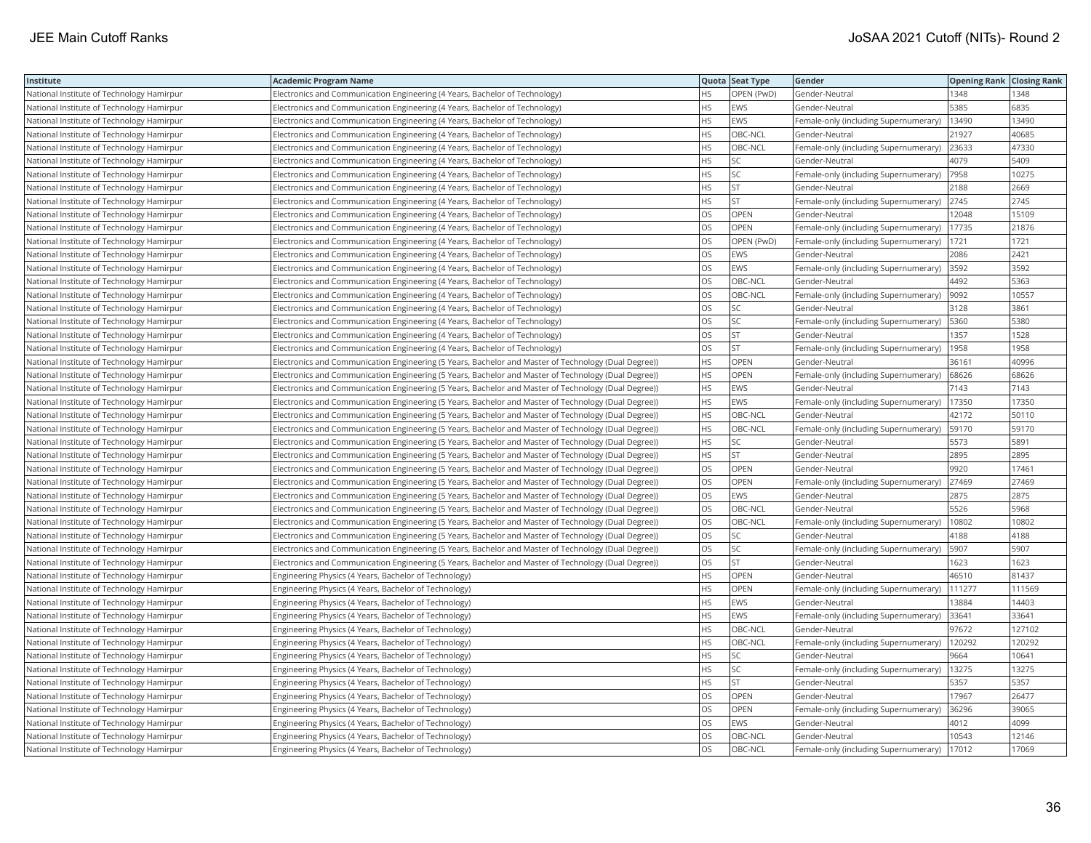| Institute                                 | <b>Academic Program Name</b>                                                                         |           | Quota Seat Type | Gender                                | <b>Opening Rank Closing Rank</b> |        |
|-------------------------------------------|------------------------------------------------------------------------------------------------------|-----------|-----------------|---------------------------------------|----------------------------------|--------|
| National Institute of Technology Hamirpur | Electronics and Communication Engineering (4 Years, Bachelor of Technology)                          | HS.       | OPEN (PwD)      | Gender-Neutral                        | 1348                             | 1348   |
| National Institute of Technology Hamirpur | Electronics and Communication Engineering (4 Years, Bachelor of Technology)                          | <b>HS</b> | EWS             | Gender-Neutral                        | 5385                             | 6835   |
| National Institute of Technology Hamirpur | Electronics and Communication Engineering (4 Years, Bachelor of Technology)                          | <b>HS</b> | EWS             | Female-only (including Supernumerary) | 13490                            | 13490  |
| National Institute of Technology Hamirpur | Electronics and Communication Engineering (4 Years, Bachelor of Technology)                          | <b>HS</b> | OBC-NCL         | Gender-Neutral                        | 21927                            | 40685  |
| National Institute of Technology Hamirpur | Electronics and Communication Engineering (4 Years, Bachelor of Technology)                          | <b>HS</b> | OBC-NCL         | Female-only (including Supernumerary) | 23633                            | 47330  |
| National Institute of Technology Hamirpur | Electronics and Communication Engineering (4 Years, Bachelor of Technology)                          | <b>HS</b> | SC              | Gender-Neutral                        | 4079                             | 5409   |
| National Institute of Technology Hamirpur | Electronics and Communication Engineering (4 Years, Bachelor of Technology)                          | <b>HS</b> | SC              | Female-only (including Supernumerary) | 7958                             | 10275  |
| National Institute of Technology Hamirpur | Electronics and Communication Engineering (4 Years, Bachelor of Technology)                          | <b>HS</b> | <b>ST</b>       | Gender-Neutral                        | 2188                             | 2669   |
| National Institute of Technology Hamirpur | Electronics and Communication Engineering (4 Years, Bachelor of Technology)                          | <b>HS</b> | ST              | Female-only (including Supernumerary) | 2745                             | 2745   |
| National Institute of Technology Hamirpur | Electronics and Communication Engineering (4 Years, Bachelor of Technology)                          | OS        | OPEN            | Gender-Neutral                        | 12048                            | 15109  |
| National Institute of Technology Hamirpur | Electronics and Communication Engineering (4 Years, Bachelor of Technology)                          | OS        | OPEN            | Female-only (including Supernumerary) | 17735                            | 21876  |
| National Institute of Technology Hamirpur | Electronics and Communication Engineering (4 Years, Bachelor of Technology)                          | OS        | OPEN (PwD)      | Female-only (including Supernumerary) | 1721                             | 1721   |
| National Institute of Technology Hamirpur | Electronics and Communication Engineering (4 Years, Bachelor of Technology)                          | OS        | EWS             | Gender-Neutral                        | 2086                             | 2421   |
| National Institute of Technology Hamirpur | Electronics and Communication Engineering (4 Years, Bachelor of Technology)                          | OS        | EWS             | Female-only (including Supernumerary) | 3592                             | 3592   |
| National Institute of Technology Hamirpur | Electronics and Communication Engineering (4 Years, Bachelor of Technology)                          | OS        | OBC-NCL         | Gender-Neutral                        | 4492                             | 5363   |
| National Institute of Technology Hamirpur | Electronics and Communication Engineering (4 Years, Bachelor of Technology)                          | OS        | OBC-NCL         | Female-only (including Supernumerary) | 9092                             | 10557  |
| National Institute of Technology Hamirpur | Electronics and Communication Engineering (4 Years, Bachelor of Technology)                          | OS        | SC              | Gender-Neutral                        | 3128                             | 3861   |
| National Institute of Technology Hamirpur | Electronics and Communication Engineering (4 Years, Bachelor of Technology)                          | <b>OS</b> | SC              | Female-only (including Supernumerary) | 5360                             | 5380   |
| National Institute of Technology Hamirpur | Electronics and Communication Engineering (4 Years, Bachelor of Technology)                          | OS        | <b>ST</b>       | Gender-Neutral                        | 1357                             | 1528   |
| National Institute of Technology Hamirpur | Electronics and Communication Engineering (4 Years, Bachelor of Technology)                          | los       | <b>ST</b>       | Female-only (including Supernumerary) | 1958                             | 1958   |
| National Institute of Technology Hamirpur | Electronics and Communication Engineering (5 Years, Bachelor and Master of Technology (Dual Degree)) | <b>HS</b> | OPEN            | Gender-Neutral                        | 36161                            | 40996  |
| National Institute of Technology Hamirpur | Electronics and Communication Engineering (5 Years, Bachelor and Master of Technology (Dual Degree)) | <b>HS</b> | OPEN            | Female-only (including Supernumerary) | 68626                            | 68626  |
| National Institute of Technology Hamirpur | Electronics and Communication Engineering (5 Years, Bachelor and Master of Technology (Dual Degree)) | <b>HS</b> | EWS             | Gender-Neutral                        | 7143                             | 7143   |
| National Institute of Technology Hamirpur | Electronics and Communication Engineering (5 Years, Bachelor and Master of Technology (Dual Degree)) | <b>HS</b> | EWS             | Female-only (including Supernumerary) | 17350                            | 17350  |
| National Institute of Technology Hamirpur | Electronics and Communication Engineering (5 Years, Bachelor and Master of Technology (Dual Degree)) | <b>HS</b> | OBC-NCL         | Gender-Neutral                        | 42172                            | 50110  |
| National Institute of Technology Hamirpur | (Electronics and Communication Engineering (5 Years, Bachelor and Master of Technology (Dual Degree) | <b>HS</b> | OBC-NCL         | Female-only (including Supernumerary) | 59170                            | 59170  |
| National Institute of Technology Hamirpur | Electronics and Communication Engineering (5 Years, Bachelor and Master of Technology (Dual Degree)) | <b>HS</b> | SC              | Gender-Neutral                        | 5573                             | 5891   |
| National Institute of Technology Hamirpur | Electronics and Communication Engineering (5 Years, Bachelor and Master of Technology (Dual Degree)) | HS        | <b>ST</b>       | Gender-Neutral                        | 2895                             | 2895   |
| National Institute of Technology Hamirpur | Electronics and Communication Engineering (5 Years, Bachelor and Master of Technology (Dual Degree)) | <b>OS</b> | OPEN            | Gender-Neutral                        | 9920                             | 17461  |
| National Institute of Technology Hamirpur | Electronics and Communication Engineering (5 Years, Bachelor and Master of Technology (Dual Degree)) | OS        | OPEN            | Female-only (including Supernumerary) | 27469                            | 27469  |
| National Institute of Technology Hamirpur | Electronics and Communication Engineering (5 Years, Bachelor and Master of Technology (Dual Degree)) | OS        | EWS             | Gender-Neutral                        | 2875                             | 2875   |
| National Institute of Technology Hamirpur | Electronics and Communication Engineering (5 Years, Bachelor and Master of Technology (Dual Degree)) | <b>OS</b> | OBC-NCL         | Gender-Neutral                        | 5526                             | 5968   |
| National Institute of Technology Hamirpur | Electronics and Communication Engineering (5 Years, Bachelor and Master of Technology (Dual Degree)) | los       | OBC-NCL         | Female-only (including Supernumerary) | 10802                            | 10802  |
| National Institute of Technology Hamirpur | Electronics and Communication Engineering (5 Years, Bachelor and Master of Technology (Dual Degree)) | OS        | SC              | Gender-Neutral                        | 4188                             | 4188   |
| National Institute of Technology Hamirpur | Electronics and Communication Engineering (5 Years, Bachelor and Master of Technology (Dual Degree)) | <b>OS</b> | SC              | Female-only (including Supernumerary) | 5907                             | 5907   |
| National Institute of Technology Hamirpur | Electronics and Communication Engineering (5 Years, Bachelor and Master of Technology (Dual Degree)) | OS        | <b>ST</b>       | Gender-Neutral                        | 1623                             | 1623   |
| National Institute of Technology Hamirpur | Engineering Physics (4 Years, Bachelor of Technology)                                                | <b>HS</b> | OPEN            | Gender-Neutral                        | 46510                            | 81437  |
| National Institute of Technology Hamirpur | Engineering Physics (4 Years, Bachelor of Technology)                                                | <b>HS</b> | OPEN            | Female-only (including Supernumerary) | 111277                           | 111569 |
| National Institute of Technology Hamirpur | Engineering Physics (4 Years, Bachelor of Technology)                                                | <b>HS</b> | EWS             | Gender-Neutral                        | 13884                            | 14403  |
| National Institute of Technology Hamirpur | Engineering Physics (4 Years, Bachelor of Technology)                                                | <b>HS</b> | EWS             | Female-only (including Supernumerary) | 33641                            | 33641  |
| National Institute of Technology Hamirpur | Engineering Physics (4 Years, Bachelor of Technology)                                                | <b>HS</b> | OBC-NCL         | Gender-Neutral                        | 97672                            | 127102 |
| National Institute of Technology Hamirpur | Engineering Physics (4 Years, Bachelor of Technology)                                                | <b>HS</b> | OBC-NCL         | Female-only (including Supernumerary) | 120292                           | 120292 |
| National Institute of Technology Hamirpur | Engineering Physics (4 Years, Bachelor of Technology)                                                | HS        | SC              | Gender-Neutral                        | 9664                             | 10641  |
| National Institute of Technology Hamirpur | Engineering Physics (4 Years, Bachelor of Technology)                                                | HS        | SC              | Female-only (including Supernumerary) | 13275                            | 13275  |
| National Institute of Technology Hamirpur | Engineering Physics (4 Years, Bachelor of Technology)                                                | HS        | <b>ST</b>       | Gender-Neutral                        | 5357                             | 5357   |
| National Institute of Technology Hamirpur | Engineering Physics (4 Years, Bachelor of Technology)                                                | <b>OS</b> | <b>OPEN</b>     | Gender-Neutral                        | 17967                            | 26477  |
| National Institute of Technology Hamirpur | Engineering Physics (4 Years, Bachelor of Technology)                                                | OS        | OPEN            | Female-only (including Supernumerary) | 36296                            | 39065  |
| National Institute of Technology Hamirpur | Engineering Physics (4 Years, Bachelor of Technology)                                                | <b>OS</b> | EWS             | Gender-Neutral                        | 4012                             | 4099   |
| National Institute of Technology Hamirpur | Engineering Physics (4 Years, Bachelor of Technology)                                                | OS        | OBC-NCL         | Gender-Neutral                        | 10543                            | 12146  |
| National Institute of Technology Hamirpur | Engineering Physics (4 Years, Bachelor of Technology)                                                | los       | OBC-NCL         | Female-only (including Supernumerary) | 17012                            | 17069  |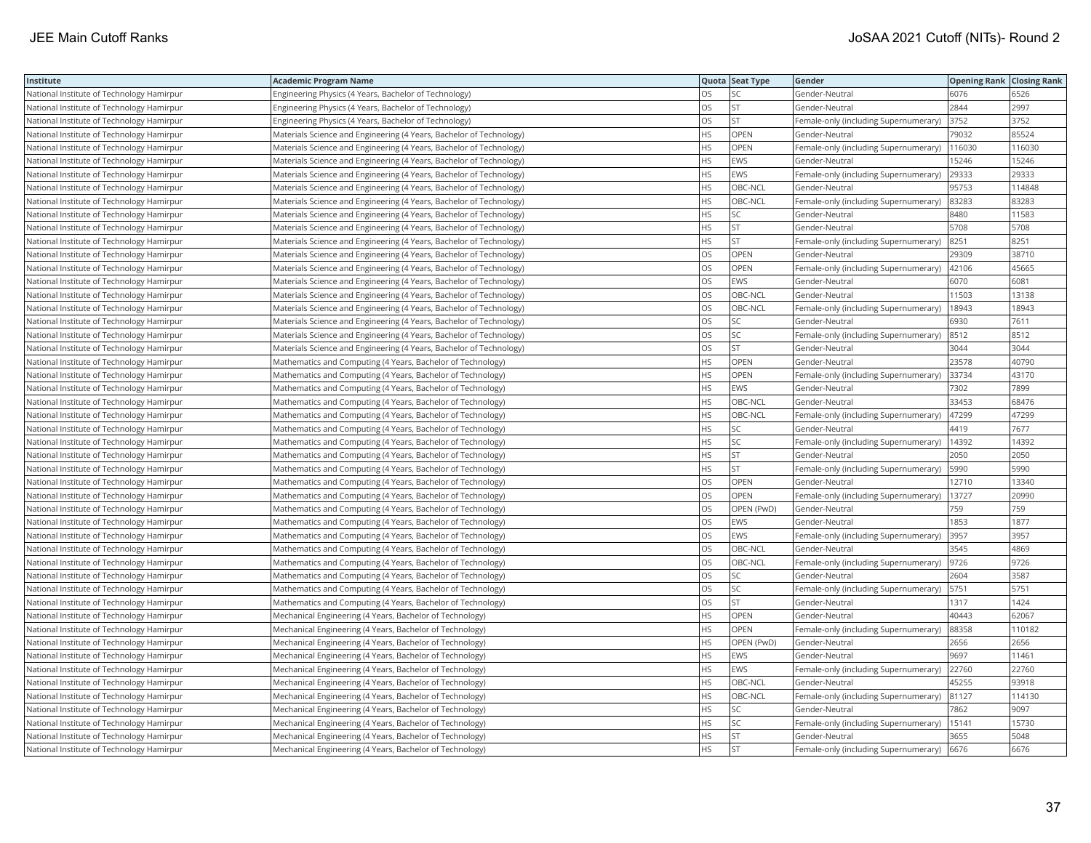| Institute                                 | <b>Academic Program Name</b>                                        |           | Quota Seat Type | Gender                                | <b>Opening Rank Closing Rank</b> |        |
|-------------------------------------------|---------------------------------------------------------------------|-----------|-----------------|---------------------------------------|----------------------------------|--------|
| National Institute of Technology Hamirpur | Engineering Physics (4 Years, Bachelor of Technology)               | <b>OS</b> | SC.             | Gender-Neutral                        | 6076                             | 6526   |
| National Institute of Technology Hamirpur | Engineering Physics (4 Years, Bachelor of Technology)               | OS        | <b>ST</b>       | Gender-Neutral                        | 2844                             | 2997   |
| National Institute of Technology Hamirpur | Engineering Physics (4 Years, Bachelor of Technology)               | OS        | <b>ST</b>       | Female-only (including Supernumerary) | 3752                             | 3752   |
| National Institute of Technology Hamirpur | Materials Science and Engineering (4 Years, Bachelor of Technology) | <b>HS</b> | OPEN            | Gender-Neutral                        | 79032                            | 85524  |
| National Institute of Technology Hamirpur | Materials Science and Engineering (4 Years, Bachelor of Technology) | <b>HS</b> | OPEN            | Female-only (including Supernumerary) | 116030                           | 116030 |
| National Institute of Technology Hamirpur | Materials Science and Engineering (4 Years, Bachelor of Technology) | <b>HS</b> | <b>EWS</b>      | Gender-Neutral                        | 15246                            | 15246  |
| National Institute of Technology Hamirpur | Materials Science and Engineering (4 Years, Bachelor of Technology) | <b>HS</b> | <b>EWS</b>      | Female-only (including Supernumerary) | 29333                            | 29333  |
| National Institute of Technology Hamirpur | Materials Science and Engineering (4 Years, Bachelor of Technology) | <b>HS</b> | OBC-NCL         | Gender-Neutral                        | 95753                            | 114848 |
| National Institute of Technology Hamirpur | Materials Science and Engineering (4 Years, Bachelor of Technology) | <b>HS</b> | OBC-NCL         | Female-only (including Supernumerary) | 83283                            | 83283  |
| National Institute of Technology Hamirpur | Materials Science and Engineering (4 Years, Bachelor of Technology) | <b>HS</b> | SC              | Gender-Neutral                        | 8480                             | 11583  |
| National Institute of Technology Hamirpur | Materials Science and Engineering (4 Years, Bachelor of Technology) | <b>HS</b> | ST              | Gender-Neutral                        | 5708                             | 5708   |
| National Institute of Technology Hamirpur | Materials Science and Engineering (4 Years, Bachelor of Technology) | <b>HS</b> | <b>ST</b>       | Female-only (including Supernumerary) | 8251                             | 8251   |
| National Institute of Technology Hamirpur | Materials Science and Engineering (4 Years, Bachelor of Technology) | OS        | OPEN            | Gender-Neutral                        | 29309                            | 38710  |
| National Institute of Technology Hamirpur | Materials Science and Engineering (4 Years, Bachelor of Technology) | <b>OS</b> | OPEN            | Female-only (including Supernumerary) | 42106                            | 45665  |
| National Institute of Technology Hamirpur | Materials Science and Engineering (4 Years, Bachelor of Technology) | <b>OS</b> | <b>EWS</b>      | Gender-Neutral                        | 6070                             | 6081   |
| National Institute of Technology Hamirpur | Materials Science and Engineering (4 Years, Bachelor of Technology) | OS        | OBC-NCL         | Gender-Neutral                        | 11503                            | 13138  |
| National Institute of Technology Hamirpur | Materials Science and Engineering (4 Years, Bachelor of Technology) | <b>OS</b> | OBC-NCL         | Female-only (including Supernumerary) | 18943                            | 18943  |
| National Institute of Technology Hamirpur | Materials Science and Engineering (4 Years, Bachelor of Technology) | OS        | SC              | Gender-Neutral                        | 6930                             | 7611   |
| National Institute of Technology Hamirpur | Materials Science and Engineering (4 Years, Bachelor of Technology) | OS        | SC              | Female-only (including Supernumerary) | 8512                             | 8512   |
| National Institute of Technology Hamirpur | Materials Science and Engineering (4 Years, Bachelor of Technology) | OS        | <b>ST</b>       | Gender-Neutral                        | 3044                             | 3044   |
| National Institute of Technology Hamirpur | Mathematics and Computing (4 Years, Bachelor of Technology)         | <b>HS</b> | OPEN            | Gender-Neutral                        | 23578                            | 40790  |
| National Institute of Technology Hamirpur | Mathematics and Computing (4 Years, Bachelor of Technology)         | <b>HS</b> | OPEN            | Female-only (including Supernumerary) | 33734                            | 43170  |
| National Institute of Technology Hamirpur | Mathematics and Computing (4 Years, Bachelor of Technology)         | <b>HS</b> | <b>EWS</b>      | Gender-Neutral                        | 7302                             | 7899   |
| National Institute of Technology Hamirpur | Mathematics and Computing (4 Years, Bachelor of Technology)         | <b>HS</b> | OBC-NCL         | Gender-Neutral                        | 33453                            | 68476  |
| National Institute of Technology Hamirpur | Mathematics and Computing (4 Years, Bachelor of Technology)         | <b>HS</b> | OBC-NCL         | Female-only (including Supernumerary) | 47299                            | 47299  |
| National Institute of Technology Hamirpur | Mathematics and Computing (4 Years, Bachelor of Technology)         | <b>HS</b> | SC              | Gender-Neutral                        | 4419                             | 7677   |
| National Institute of Technology Hamirpur | Mathematics and Computing (4 Years, Bachelor of Technology)         | HS        | SC              | Female-only (including Supernumerary) | 14392                            | 14392  |
| National Institute of Technology Hamirpur | Mathematics and Computing (4 Years, Bachelor of Technology)         | <b>HS</b> | <b>ST</b>       | Gender-Neutral                        | 2050                             | 2050   |
| National Institute of Technology Hamirpur | Mathematics and Computing (4 Years, Bachelor of Technology)         | <b>HS</b> | <b>ST</b>       | Female-only (including Supernumerary) | 5990                             | 5990   |
| National Institute of Technology Hamirpur | Mathematics and Computing (4 Years, Bachelor of Technology)         | <b>OS</b> | OPEN            | Gender-Neutral                        | 12710                            | 13340  |
| National Institute of Technology Hamirpur | Mathematics and Computing (4 Years, Bachelor of Technology)         | OS        | OPEN            | Female-only (including Supernumerary) | 13727                            | 20990  |
| National Institute of Technology Hamirpur | Mathematics and Computing (4 Years, Bachelor of Technology)         | OS        | OPEN (PwD)      | Gender-Neutral                        | 759                              | 759    |
| National Institute of Technology Hamirpur | Mathematics and Computing (4 Years, Bachelor of Technology)         | OS        | EWS             | Gender-Neutral                        | 1853                             | 1877   |
| National Institute of Technology Hamirpur | Mathematics and Computing (4 Years, Bachelor of Technology)         | <b>OS</b> | EWS             | Female-only (including Supernumerary) | 3957                             | 3957   |
| National Institute of Technology Hamirpur | Mathematics and Computing (4 Years, Bachelor of Technology)         | OS        | OBC-NCL         | Gender-Neutral                        | 3545                             | 4869   |
| National Institute of Technology Hamirpur | Mathematics and Computing (4 Years, Bachelor of Technology)         | OS        | OBC-NCL         | Female-only (including Supernumerary) | 9726                             | 9726   |
| National Institute of Technology Hamirpur | Mathematics and Computing (4 Years, Bachelor of Technology)         | <b>OS</b> | SC              | Gender-Neutral                        | 2604                             | 3587   |
| National Institute of Technology Hamirpur | Mathematics and Computing (4 Years, Bachelor of Technology)         | OS        | SC              | Female-only (including Supernumerary) | 5751                             | 5751   |
| National Institute of Technology Hamirpur | Mathematics and Computing (4 Years, Bachelor of Technology)         | OS        | <b>ST</b>       | Gender-Neutral                        | 1317                             | 1424   |
| National Institute of Technology Hamirpur | Mechanical Engineering (4 Years, Bachelor of Technology)            | <b>HS</b> | OPEN            | Gender-Neutral                        | 40443                            | 62067  |
| National Institute of Technology Hamirpur | Mechanical Engineering (4 Years, Bachelor of Technology)            | <b>HS</b> | OPEN            | Female-only (including Supernumerary) | 88358                            | 110182 |
| National Institute of Technology Hamirpur | Mechanical Engineering (4 Years, Bachelor of Technology)            | <b>HS</b> | OPEN (PwD)      | Gender-Neutral                        | 2656                             | 2656   |
| National Institute of Technology Hamirpur | Mechanical Engineering (4 Years, Bachelor of Technology)            | <b>HS</b> | EWS             | Gender-Neutral                        | 9697                             | 11461  |
| National Institute of Technology Hamirpur | Mechanical Engineering (4 Years, Bachelor of Technology)            | <b>HS</b> | EWS             | Female-only (including Supernumerary) | 22760                            | 22760  |
| National Institute of Technology Hamirpur | Mechanical Engineering (4 Years, Bachelor of Technology)            | HS        | OBC-NCL         | Gender-Neutral                        | 45255                            | 93918  |
| National Institute of Technology Hamirpur | Mechanical Engineering (4 Years, Bachelor of Technology)            | <b>HS</b> | OBC-NCL         | Female-only (including Supernumerary) | 81127                            | 114130 |
| National Institute of Technology Hamirpur | Mechanical Engineering (4 Years, Bachelor of Technology)            | HS        | SC              | Gender-Neutral                        | 7862                             | 9097   |
| National Institute of Technology Hamirpur | Mechanical Engineering (4 Years, Bachelor of Technology)            | <b>HS</b> | SC              | Female-only (including Supernumerary) | 15141                            | 15730  |
| National Institute of Technology Hamirpur | Mechanical Engineering (4 Years, Bachelor of Technology)            | <b>HS</b> | <b>ST</b>       | Gender-Neutral                        | 3655                             | 5048   |
| National Institute of Technology Hamirpur | Mechanical Engineering (4 Years, Bachelor of Technology)            | <b>HS</b> | <b>ST</b>       | Female-only (including Supernumerary) | 6676                             | 6676   |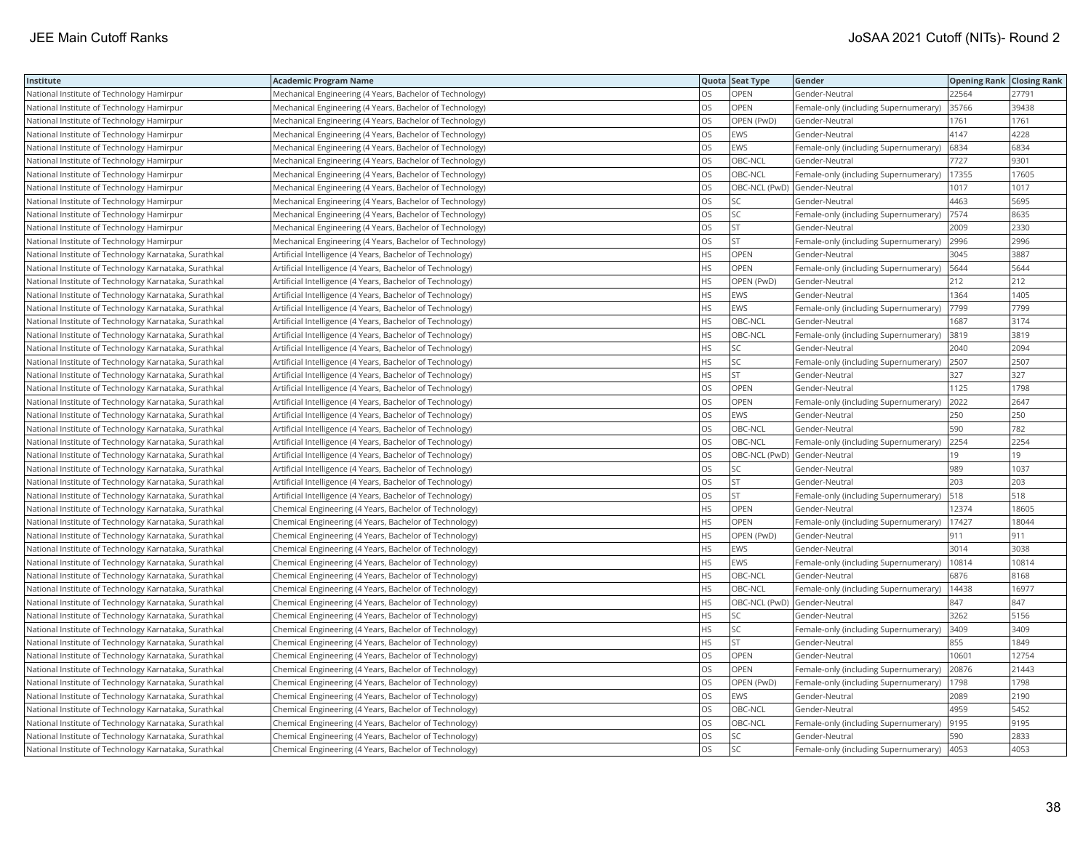| Institute                                             | <b>Academic Program Name</b>                              |           | Quota Seat Type              | Gender                                | <b>Opening Rank Closing Rank</b> |       |
|-------------------------------------------------------|-----------------------------------------------------------|-----------|------------------------------|---------------------------------------|----------------------------------|-------|
| National Institute of Technology Hamirpur             | Mechanical Engineering (4 Years, Bachelor of Technology)  | OS.       | <b>OPEN</b>                  | Gender-Neutral                        | 22564                            | 27791 |
| National Institute of Technology Hamirpur             | Mechanical Engineering (4 Years, Bachelor of Technology)  | OS        | OPEN                         | Female-only (including Supernumerary) | 35766                            | 39438 |
| National Institute of Technology Hamirpur             | Mechanical Engineering (4 Years, Bachelor of Technology)  | <b>OS</b> | OPEN (PwD)                   | Gender-Neutral                        | 1761                             | 1761  |
| National Institute of Technology Hamirpur             | Mechanical Engineering (4 Years, Bachelor of Technology)  | OS        | EWS                          | Gender-Neutral                        | 4147                             | 4228  |
| National Institute of Technology Hamirpur             | Mechanical Engineering (4 Years, Bachelor of Technology)  | OS        | EWS                          | Female-only (including Supernumerary) | 6834                             | 6834  |
| National Institute of Technology Hamirpur             | Mechanical Engineering (4 Years, Bachelor of Technology)  | OS        | OBC-NCL                      | Gender-Neutral                        | 7727                             | 9301  |
| National Institute of Technology Hamirpur             | Mechanical Engineering (4 Years, Bachelor of Technology)  | OS        | OBC-NCL                      | Female-only (including Supernumerary) | 17355                            | 17605 |
| National Institute of Technology Hamirpur             | Mechanical Engineering (4 Years, Bachelor of Technology)  | <b>OS</b> | OBC-NCL (PwD) Gender-Neutral |                                       | 1017                             | 1017  |
| National Institute of Technology Hamirpur             | Mechanical Engineering (4 Years, Bachelor of Technology)  | <b>OS</b> | SC                           | Gender-Neutral                        | 4463                             | 5695  |
| National Institute of Technology Hamirpur             | Mechanical Engineering (4 Years, Bachelor of Technology)  | OS        | SC                           | Female-only (including Supernumerary) | 7574                             | 8635  |
| National Institute of Technology Hamirpur             | Mechanical Engineering (4 Years, Bachelor of Technology)  | OS        | <b>ST</b>                    | Gender-Neutral                        | 2009                             | 2330  |
| National Institute of Technology Hamirpur             | Mechanical Engineering (4 Years, Bachelor of Technology)  | OS        | ST                           | Female-only (including Supernumerary) | 2996                             | 2996  |
| National Institute of Technology Karnataka, Surathkal | Artificial Intelligence (4 Years, Bachelor of Technology) | HS        | OPEN                         | Gender-Neutral                        | 3045                             | 3887  |
| National Institute of Technology Karnataka, Surathkal | Artificial Intelligence (4 Years, Bachelor of Technology) | HS        | OPEN                         | Female-only (including Supernumerary) | 5644                             | 5644  |
| National Institute of Technology Karnataka, Surathkal | Artificial Intelligence (4 Years, Bachelor of Technology) | HS        | OPEN (PwD)                   | Gender-Neutral                        | 212                              | 212   |
| National Institute of Technology Karnataka, Surathkal | Artificial Intelligence (4 Years, Bachelor of Technology) | HS        | EWS                          | Gender-Neutral                        | 1364                             | 1405  |
| National Institute of Technology Karnataka, Surathkal | Artificial Intelligence (4 Years, Bachelor of Technology) | HS        | EWS                          | Female-only (including Supernumerary) | 7799                             | 7799  |
| National Institute of Technology Karnataka, Surathkal | Artificial Intelligence (4 Years, Bachelor of Technology) | HS        | OBC-NCL                      | Gender-Neutral                        | 1687                             | 3174  |
| National Institute of Technology Karnataka, Surathkal | Artificial Intelligence (4 Years, Bachelor of Technology) | <b>HS</b> | OBC-NCL                      | Female-only (including Supernumerary) | 3819                             | 3819  |
| National Institute of Technology Karnataka, Surathkal | Artificial Intelligence (4 Years, Bachelor of Technology) | <b>HS</b> | SC                           | Gender-Neutral                        | 2040                             | 2094  |
| National Institute of Technology Karnataka, Surathkal | Artificial Intelligence (4 Years, Bachelor of Technology) | HS        | SC                           | Female-only (including Supernumerary) | 2507                             | 2507  |
| National Institute of Technology Karnataka, Surathkal | Artificial Intelligence (4 Years, Bachelor of Technology) | <b>HS</b> | <b>ST</b>                    | Gender-Neutral                        | 327                              | 327   |
| National Institute of Technology Karnataka, Surathkal | Artificial Intelligence (4 Years, Bachelor of Technology) | <b>OS</b> | OPEN                         | Gender-Neutral                        | 1125                             | 1798  |
| National Institute of Technology Karnataka, Surathkal | Artificial Intelligence (4 Years, Bachelor of Technology) | OS        | OPEN                         | Female-only (including Supernumerary) | 2022                             | 2647  |
| National Institute of Technology Karnataka, Surathkal | Artificial Intelligence (4 Years, Bachelor of Technology) | OS        | EWS                          | Gender-Neutral                        | 250                              | 250   |
| National Institute of Technology Karnataka, Surathkal | Artificial Intelligence (4 Years, Bachelor of Technology) | OS        | OBC-NCL                      | Gender-Neutral                        | 590                              | 782   |
| National Institute of Technology Karnataka, Surathkal | Artificial Intelligence (4 Years, Bachelor of Technology) | OS        | OBC-NCL                      | Female-only (including Supernumerary) | 2254                             | 2254  |
| National Institute of Technology Karnataka, Surathkal | Artificial Intelligence (4 Years, Bachelor of Technology) | OS        |                              | OBC-NCL (PwD) Gender-Neutral          | 19                               | 19    |
| National Institute of Technology Karnataka, Surathkal | Artificial Intelligence (4 Years, Bachelor of Technology) | OS        | SC                           | Gender-Neutral                        | 989                              | 1037  |
| National Institute of Technology Karnataka, Surathkal | Artificial Intelligence (4 Years, Bachelor of Technology) | <b>OS</b> | <b>ST</b>                    | Gender-Neutral                        | 203                              | 203   |
| National Institute of Technology Karnataka, Surathkal | Artificial Intelligence (4 Years, Bachelor of Technology) | OS        | <b>ST</b>                    | Female-only (including Supernumerary) | 518                              | 518   |
| National Institute of Technology Karnataka, Surathkal | Chemical Engineering (4 Years, Bachelor of Technology)    | <b>HS</b> | <b>OPEN</b>                  | Gender-Neutral                        | 12374                            | 18605 |
| National Institute of Technology Karnataka, Surathkal | Chemical Engineering (4 Years, Bachelor of Technology)    | <b>HS</b> | OPEN                         | Female-only (including Supernumerary) | 17427                            | 18044 |
| National Institute of Technology Karnataka, Surathkal | Chemical Engineering (4 Years, Bachelor of Technology)    | <b>HS</b> | OPEN (PwD)                   | Gender-Neutral                        | 911                              | 911   |
| National Institute of Technology Karnataka, Surathkal | Chemical Engineering (4 Years, Bachelor of Technology)    | HS        | EWS                          | Gender-Neutral                        | 3014                             | 3038  |
| National Institute of Technology Karnataka, Surathkal | Chemical Engineering (4 Years, Bachelor of Technology)    | <b>HS</b> | EWS                          | Female-only (including Supernumerary) | 10814                            | 10814 |
| National Institute of Technology Karnataka, Surathkal | Chemical Engineering (4 Years, Bachelor of Technology)    | <b>HS</b> | OBC-NCL                      | Gender-Neutral                        | 6876                             | 8168  |
| National Institute of Technology Karnataka, Surathkal | Chemical Engineering (4 Years, Bachelor of Technology)    | HS        | OBC-NCL                      | Female-only (including Supernumerary) | 14438                            | 16977 |
| National Institute of Technology Karnataka, Surathkal | Chemical Engineering (4 Years, Bachelor of Technology)    | <b>HS</b> | OBC-NCL (PwD) Gender-Neutral |                                       | 847                              | 847   |
| National Institute of Technology Karnataka, Surathkal | Chemical Engineering (4 Years, Bachelor of Technology)    | <b>HS</b> | <b>SC</b>                    | Gender-Neutral                        | 3262                             | 5156  |
| National Institute of Technology Karnataka, Surathkal | Chemical Engineering (4 Years, Bachelor of Technology)    | HS        | SC                           | Female-only (including Supernumerary) | 3409                             | 3409  |
| National Institute of Technology Karnataka, Surathkal | Chemical Engineering (4 Years, Bachelor of Technology)    | HS        | <b>ST</b>                    | Gender-Neutral                        | 855                              | 1849  |
| National Institute of Technology Karnataka, Surathkal | Chemical Engineering (4 Years, Bachelor of Technology)    | OS        | OPEN                         | Gender-Neutral                        | 10601                            | 12754 |
| National Institute of Technology Karnataka, Surathkal | Chemical Engineering (4 Years, Bachelor of Technology)    | OS        | <b>OPEN</b>                  | Female-only (including Supernumerary) | 20876                            | 21443 |
| National Institute of Technology Karnataka, Surathkal | Chemical Engineering (4 Years, Bachelor of Technology)    | OS        | OPEN (PwD)                   | Female-only (including Supernumerary) | 1798                             | 1798  |
| National Institute of Technology Karnataka, Surathkal | Chemical Engineering (4 Years, Bachelor of Technology)    | OS        | <b>EWS</b>                   | Gender-Neutral                        | 2089                             | 2190  |
| National Institute of Technology Karnataka, Surathkal | Chemical Engineering (4 Years, Bachelor of Technology)    | OS        | OBC-NCL                      | Gender-Neutral                        | 4959                             | 5452  |
| National Institute of Technology Karnataka, Surathkal | Chemical Engineering (4 Years, Bachelor of Technology)    | OS        | OBC-NCL                      | Female-only (including Supernumerary) | 9195                             | 9195  |
| National Institute of Technology Karnataka, Surathkal | Chemical Engineering (4 Years, Bachelor of Technology)    | OS        | SC                           | Gender-Neutral                        | 590                              | 2833  |
| National Institute of Technology Karnataka, Surathkal | Chemical Engineering (4 Years, Bachelor of Technology)    | <b>OS</b> | <b>SC</b>                    | Female-only (including Supernumerary) | 4053                             | 4053  |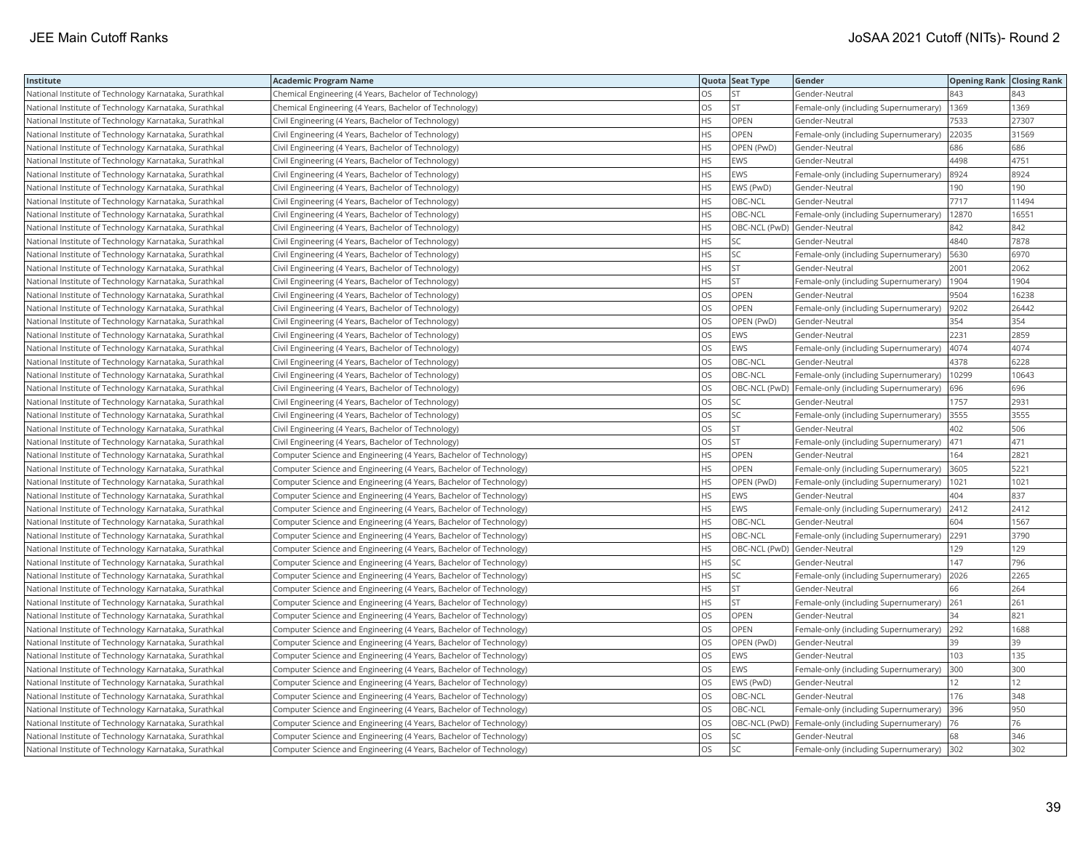| Institute                                             | <b>Academic Program Name</b>                                       |           | Quota Seat Type              | Gender                                | <b>Opening Rank Closing Rank</b> |       |
|-------------------------------------------------------|--------------------------------------------------------------------|-----------|------------------------------|---------------------------------------|----------------------------------|-------|
| National Institute of Technology Karnataka, Surathkal | Chemical Engineering (4 Years, Bachelor of Technology)             | OS.       | <b>ST</b>                    | Gender-Neutral                        | 843                              | 843   |
| National Institute of Technology Karnataka, Surathkal | Chemical Engineering (4 Years, Bachelor of Technology)             | OS        | <b>ST</b>                    | Female-only (including Supernumerary) | 1369                             | 1369  |
| National Institute of Technology Karnataka, Surathkal | Civil Engineering (4 Years, Bachelor of Technology)                | НS        | <b>OPEN</b>                  | Gender-Neutral                        | 7533                             | 27307 |
| National Institute of Technology Karnataka, Surathkal | Civil Engineering (4 Years, Bachelor of Technology)                | HS        | <b>OPEN</b>                  | Female-only (including Supernumerary) | 22035                            | 31569 |
| National Institute of Technology Karnataka, Surathkal | Civil Engineering (4 Years, Bachelor of Technology)                | HS        | OPEN (PwD)                   | Gender-Neutral                        | 686                              | 686   |
| National Institute of Technology Karnataka, Surathkal | Civil Engineering (4 Years, Bachelor of Technology)                | HS        | EWS                          | Gender-Neutral                        | 4498                             | 4751  |
| National Institute of Technology Karnataka, Surathkal | Civil Engineering (4 Years, Bachelor of Technology)                | HS.       | <b>EWS</b>                   | Female-only (including Supernumerary) | 8924                             | 8924  |
| National Institute of Technology Karnataka, Surathkal | Civil Engineering (4 Years, Bachelor of Technology)                | HS        | EWS (PwD)                    | Gender-Neutral                        | 190                              | 190   |
| National Institute of Technology Karnataka, Surathkal | Civil Engineering (4 Years, Bachelor of Technology)                | HS        | OBC-NCL                      | Gender-Neutral                        | 7717                             | 11494 |
| National Institute of Technology Karnataka, Surathkal | Civil Engineering (4 Years, Bachelor of Technology)                | <b>HS</b> | OBC-NCL                      | Female-only (including Supernumerary) | 12870                            | 16551 |
| National Institute of Technology Karnataka, Surathkal | Civil Engineering (4 Years, Bachelor of Technology)                | HS        | OBC-NCL (PwD) Gender-Neutral |                                       | 842                              | 842   |
| National Institute of Technology Karnataka, Surathkal | Civil Engineering (4 Years, Bachelor of Technology)                | HS        | SC                           | Gender-Neutral                        | 4840                             | 7878  |
| National Institute of Technology Karnataka, Surathkal | Civil Engineering (4 Years, Bachelor of Technology)                | HS        | SC                           | Female-only (including Supernumerary) | 5630                             | 6970  |
| National Institute of Technology Karnataka, Surathkal | Civil Engineering (4 Years, Bachelor of Technology)                | HS.       | <b>ST</b>                    | Gender-Neutral                        | 2001                             | 2062  |
| National Institute of Technology Karnataka, Surathkal | Civil Engineering (4 Years, Bachelor of Technology)                | HS        | <b>ST</b>                    | Female-only (including Supernumerary) | 1904                             | 1904  |
| National Institute of Technology Karnataka, Surathkal | Civil Engineering (4 Years, Bachelor of Technology)                | OS        | <b>OPEN</b>                  | Gender-Neutral                        | 9504                             | 16238 |
| National Institute of Technology Karnataka, Surathkal | Civil Engineering (4 Years, Bachelor of Technology)                | OS        | <b>OPEN</b>                  | Female-only (including Supernumerary) | 9202                             | 26442 |
| National Institute of Technology Karnataka, Surathkal | Civil Engineering (4 Years, Bachelor of Technology)                | OS        | OPEN (PwD)                   | Gender-Neutral                        | 354                              | 354   |
| National Institute of Technology Karnataka, Surathkal | Civil Engineering (4 Years, Bachelor of Technology)                | OS        | EWS                          | Gender-Neutral                        | 2231                             | 2859  |
| National Institute of Technology Karnataka, Surathkal | Civil Engineering (4 Years, Bachelor of Technology)                | <b>OS</b> | EWS                          | Female-only (including Supernumerary) | 4074                             | 4074  |
| National Institute of Technology Karnataka, Surathkal | Civil Engineering (4 Years, Bachelor of Technology)                | OS        | OBC-NCL                      | Gender-Neutral                        | 4378                             | 6228  |
| National Institute of Technology Karnataka, Surathkal | Civil Engineering (4 Years, Bachelor of Technology)                | <b>OS</b> | OBC-NCL                      | Female-only (including Supernumerary) | 10299                            | 10643 |
| National Institute of Technology Karnataka, Surathkal | Civil Engineering (4 Years, Bachelor of Technology)                | OS        | OBC-NCL (PwD)                | Female-only (including Supernumerary) | 696                              | 696   |
| National Institute of Technology Karnataka, Surathkal | Civil Engineering (4 Years, Bachelor of Technology)                | OS        | SC                           | Gender-Neutral                        | 1757                             | 2931  |
| National Institute of Technology Karnataka, Surathkal | Civil Engineering (4 Years, Bachelor of Technology)                | OS        | SC                           | Female-only (including Supernumerary) | 3555                             | 3555  |
| National Institute of Technology Karnataka, Surathkal | Civil Engineering (4 Years, Bachelor of Technology)                | OS        | ST                           | Gender-Neutral                        | 402                              | 506   |
| National Institute of Technology Karnataka, Surathkal | Civil Engineering (4 Years, Bachelor of Technology)                | OS        | <b>ST</b>                    | Female-only (including Supernumerary) | 471                              | 471   |
| National Institute of Technology Karnataka, Surathkal | Computer Science and Engineering (4 Years, Bachelor of Technology) | HS        | <b>OPEN</b>                  | Gender-Neutral                        | 164                              | 2821  |
| National Institute of Technology Karnataka, Surathkal | Computer Science and Engineering (4 Years, Bachelor of Technology) | HS.       | <b>OPEN</b>                  | Female-only (including Supernumerary) | 3605                             | 5221  |
| National Institute of Technology Karnataka, Surathkal | Computer Science and Engineering (4 Years, Bachelor of Technology) | HS        | OPEN (PwD)                   | Female-only (including Supernumerary) | 1021                             | 1021  |
| National Institute of Technology Karnataka, Surathkal | Computer Science and Engineering (4 Years, Bachelor of Technology) | HS.       | <b>EWS</b>                   | Gender-Neutral                        | 404                              | 837   |
| National Institute of Technology Karnataka, Surathkal | Computer Science and Engineering (4 Years, Bachelor of Technology) | HS        | EWS                          | Female-only (including Supernumerary) | 2412                             | 2412  |
| National Institute of Technology Karnataka, Surathkal | Computer Science and Engineering (4 Years, Bachelor of Technology) | HS        | OBC-NCL                      | Gender-Neutral                        | 604                              | 1567  |
| National Institute of Technology Karnataka, Surathkal | Computer Science and Engineering (4 Years, Bachelor of Technology) | HS        | OBC-NCL                      | Female-only (including Supernumerary) | 2291                             | 3790  |
| National Institute of Technology Karnataka, Surathkal | Computer Science and Engineering (4 Years, Bachelor of Technology) | HS        | OBC-NCL (PwD)                | Gender-Neutral                        | 129                              | 129   |
| National Institute of Technology Karnataka, Surathkal | Computer Science and Engineering (4 Years, Bachelor of Technology) | HS        | SC                           | Gender-Neutral                        | 147                              | 796   |
| National Institute of Technology Karnataka, Surathkal | Computer Science and Engineering (4 Years, Bachelor of Technology) | HS.       | SC                           | Female-only (including Supernumerary) | 2026                             | 2265  |
| National Institute of Technology Karnataka, Surathkal | Computer Science and Engineering (4 Years, Bachelor of Technology) | HS.       | <b>ST</b>                    | Gender-Neutral                        | 66                               | 264   |
| National Institute of Technology Karnataka, Surathkal | Computer Science and Engineering (4 Years, Bachelor of Technology) | HS        | <b>ST</b>                    | Female-only (including Supernumerary) | 261                              | 261   |
| National Institute of Technology Karnataka, Surathkal | Computer Science and Engineering (4 Years, Bachelor of Technology) | OS        | OPEN                         | Gender-Neutral                        | 34                               | 821   |
| National Institute of Technology Karnataka, Surathkal | Computer Science and Engineering (4 Years, Bachelor of Technology) | OS        | OPEN                         | Female-only (including Supernumerary) | 292                              | 1688  |
| National Institute of Technology Karnataka, Surathkal | Computer Science and Engineering (4 Years, Bachelor of Technology) | OS        | OPEN (PwD)                   | Gender-Neutral                        | 39                               | 39    |
| National Institute of Technology Karnataka, Surathkal | Computer Science and Engineering (4 Years, Bachelor of Technology) | OS        | EWS                          | Gender-Neutral                        | 103                              | 135   |
| National Institute of Technology Karnataka, Surathkal | Computer Science and Engineering (4 Years, Bachelor of Technology) | OS        | EWS                          | Female-only (including Supernumerary) | 300                              | 300   |
| National Institute of Technology Karnataka, Surathkal | Computer Science and Engineering (4 Years, Bachelor of Technology) | OS        | EWS (PwD)                    | Gender-Neutral                        | 12                               | 12    |
| National Institute of Technology Karnataka, Surathkal | Computer Science and Engineering (4 Years, Bachelor of Technology) | OS        | OBC-NCL                      | Gender-Neutral                        | 176                              | 348   |
| National Institute of Technology Karnataka, Surathkal | Computer Science and Engineering (4 Years, Bachelor of Technology) | OS        | OBC-NCL                      | Female-only (including Supernumerary) | 396                              | 950   |
| National Institute of Technology Karnataka, Surathkal | Computer Science and Engineering (4 Years, Bachelor of Technology) | OS        | OBC-NCL (PwD)                | Female-only (including Supernumerary) | 76                               | 76    |
| National Institute of Technology Karnataka, Surathkal | Computer Science and Engineering (4 Years, Bachelor of Technology) | OS        | SC                           | Gender-Neutral                        | 68                               | 346   |
| National Institute of Technology Karnataka, Surathkal | Computer Science and Engineering (4 Years, Bachelor of Technology) | <b>OS</b> | lsc                          | Female-only (including Supernumerary) | 302                              | 302   |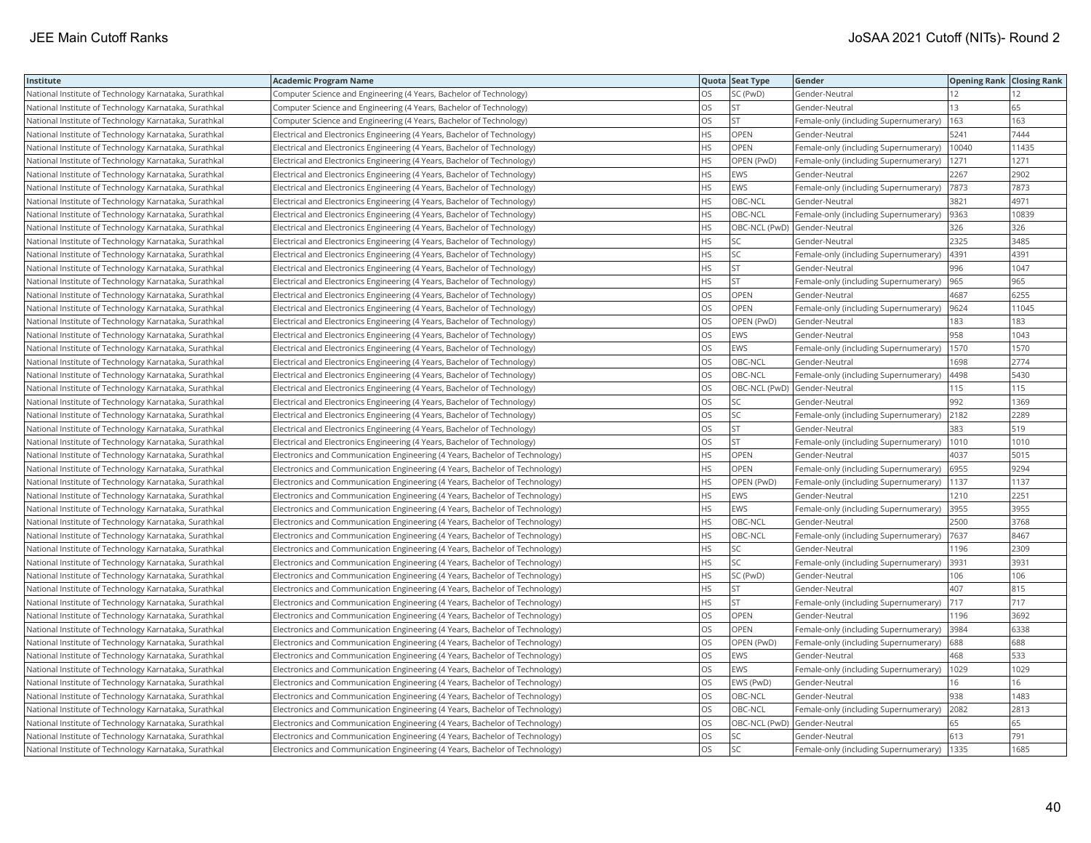| Institute                                             | <b>Academic Program Name</b>                                                |           | Quota Seat Type              | Gender                                    | <b>Opening Rank Closing Rank</b> |       |
|-------------------------------------------------------|-----------------------------------------------------------------------------|-----------|------------------------------|-------------------------------------------|----------------------------------|-------|
| National Institute of Technology Karnataka, Surathkal | Computer Science and Engineering (4 Years, Bachelor of Technology)          | OS.       | SC (PwD)                     | Gender-Neutral                            | 12                               | 12    |
| National Institute of Technology Karnataka, Surathkal | Computer Science and Engineering (4 Years, Bachelor of Technology)          | OS        | <b>ST</b>                    | Gender-Neutral                            | 13                               | 65    |
| National Institute of Technology Karnataka, Surathkal | Computer Science and Engineering (4 Years, Bachelor of Technology)          | OS        | <b>ST</b>                    | Female-only (including Supernumerary)     | 163                              | 163   |
| National Institute of Technology Karnataka, Surathkal | Electrical and Electronics Engineering (4 Years, Bachelor of Technology)    | HS        | <b>OPEN</b>                  | Gender-Neutral                            | 5241                             | 7444  |
| National Institute of Technology Karnataka, Surathkal | Electrical and Electronics Engineering (4 Years, Bachelor of Technology)    | HS        | OPEN                         | Female-only (including Supernumerary)     | 10040                            | 11435 |
| National Institute of Technology Karnataka, Surathkal | Electrical and Electronics Engineering (4 Years, Bachelor of Technology)    | HS        | OPEN (PwD)                   | Female-only (including Supernumerary)     | 1271                             | 1271  |
| National Institute of Technology Karnataka, Surathkal | Electrical and Electronics Engineering (4 Years, Bachelor of Technology)    | HS.       | <b>EWS</b>                   | Gender-Neutral                            | 2267                             | 2902  |
| National Institute of Technology Karnataka, Surathkal | Electrical and Electronics Engineering (4 Years, Bachelor of Technology)    | HS        | EWS                          | Female-only (including Supernumerary)     | 7873                             | 7873  |
| National Institute of Technology Karnataka, Surathkal | Electrical and Electronics Engineering (4 Years, Bachelor of Technology)    | HS        | OBC-NCL                      | Gender-Neutral                            | 3821                             | 4971  |
| National Institute of Technology Karnataka, Surathkal | Electrical and Electronics Engineering (4 Years, Bachelor of Technology)    | <b>HS</b> | <b>OBC-NCL</b>               | Female-only (including Supernumerary)     | 9363                             | 10839 |
| National Institute of Technology Karnataka, Surathkal | [Electrical and Electronics Engineering (4 Years, Bachelor of Technology)   | HS        | OBC-NCL (PwD) Gender-Neutral |                                           | 326                              | 326   |
| National Institute of Technology Karnataka, Surathkal | Electrical and Electronics Engineering (4 Years, Bachelor of Technology)    | HS        | SC                           | Gender-Neutral                            | 2325                             | 3485  |
| National Institute of Technology Karnataka, Surathkal | Electrical and Electronics Engineering (4 Years, Bachelor of Technology)    | НS        | SC                           | Female-only (including Supernumerary)     | 4391                             | 4391  |
| National Institute of Technology Karnataka, Surathkal | Electrical and Electronics Engineering (4 Years, Bachelor of Technology)    | HS.       | <b>ST</b>                    | Gender-Neutral                            | 996                              | 1047  |
| National Institute of Technology Karnataka, Surathkal | Electrical and Electronics Engineering (4 Years, Bachelor of Technology)    | HS        | <b>ST</b>                    | Female-only (including Supernumerary)     | 965                              | 965   |
| National Institute of Technology Karnataka, Surathkal | Electrical and Electronics Engineering (4 Years, Bachelor of Technology)    | OS        | OPEN                         | Gender-Neutral                            | 4687                             | 6255  |
| National Institute of Technology Karnataka, Surathkal | Electrical and Electronics Engineering (4 Years, Bachelor of Technology)    | OS        | <b>OPEN</b>                  | Female-only (including Supernumerary)     | 9624                             | 11045 |
| National Institute of Technology Karnataka, Surathkal | Electrical and Electronics Engineering (4 Years, Bachelor of Technology)    | OS        | OPEN (PwD)                   | Gender-Neutral                            | 183                              | 183   |
| National Institute of Technology Karnataka, Surathkal | Electrical and Electronics Engineering (4 Years, Bachelor of Technology)    | OS        | EWS                          | Gender-Neutral                            | 958                              | 1043  |
| National Institute of Technology Karnataka, Surathkal | Electrical and Electronics Engineering (4 Years, Bachelor of Technology)    | <b>OS</b> | <b>EWS</b>                   | Female-only (including Supernumerary)     | 1570                             | 1570  |
| National Institute of Technology Karnataka, Surathkal | Electrical and Electronics Engineering (4 Years, Bachelor of Technology)    | OS        | OBC-NCL                      | Gender-Neutral                            | 1698                             | 2774  |
| National Institute of Technology Karnataka, Surathkal | Electrical and Electronics Engineering (4 Years, Bachelor of Technology)    | OS.       | OBC-NCL                      | Female-only (including Supernumerary)     | 4498                             | 5430  |
| National Institute of Technology Karnataka, Surathkal | Electrical and Electronics Engineering (4 Years, Bachelor of Technology)    | OS        | OBC-NCL (PwD)                | Gender-Neutral                            | 115                              | 115   |
| National Institute of Technology Karnataka, Surathkal | Electrical and Electronics Engineering (4 Years, Bachelor of Technology)    | OS        | SC                           | Gender-Neutral                            | 992                              | 1369  |
| National Institute of Technology Karnataka, Surathkal | Electrical and Electronics Engineering (4 Years, Bachelor of Technology)    | OS        | SC                           | Female-only (including Supernumerary)     | 2182                             | 2289  |
| National Institute of Technology Karnataka, Surathkal | Electrical and Electronics Engineering (4 Years, Bachelor of Technology)    | OS        | ST                           | Gender-Neutral                            | 383                              | 519   |
| National Institute of Technology Karnataka, Surathkal | Electrical and Electronics Engineering (4 Years, Bachelor of Technology)    | OS.       | <b>ST</b>                    | Female-only (including Supernumerary)     | 1010                             | 1010  |
| National Institute of Technology Karnataka, Surathkal | Electronics and Communication Engineering (4 Years, Bachelor of Technology) | HS        | <b>OPEN</b>                  | Gender-Neutral                            | 4037                             | 5015  |
| National Institute of Technology Karnataka, Surathkal | Electronics and Communication Engineering (4 Years, Bachelor of Technology) | HS.       | <b>OPEN</b>                  | Female-only (including Supernumerary)     | 6955                             | 9294  |
| National Institute of Technology Karnataka, Surathkal | Electronics and Communication Engineering (4 Years, Bachelor of Technology) | HS        | OPEN (PwD)                   | Female-only (including Supernumerary)     | 1137                             | 1137  |
| National Institute of Technology Karnataka, Surathkal | Electronics and Communication Engineering (4 Years, Bachelor of Technology) | HS.       | EWS                          | Gender-Neutral                            | 1210                             | 2251  |
| National Institute of Technology Karnataka, Surathkal | Electronics and Communication Engineering (4 Years, Bachelor of Technology) | HS        | <b>EWS</b>                   | Female-only (including Supernumerary)     | 3955                             | 3955  |
| National Institute of Technology Karnataka, Surathkal | Electronics and Communication Engineering (4 Years, Bachelor of Technology) | HS        | OBC-NCL                      | Gender-Neutral                            | 2500                             | 3768  |
| National Institute of Technology Karnataka, Surathkal | Electronics and Communication Engineering (4 Years, Bachelor of Technology) | HS        | OBC-NCL                      | Female-only (including Supernumerary)     | 7637                             | 8467  |
| National Institute of Technology Karnataka, Surathkal | Electronics and Communication Engineering (4 Years, Bachelor of Technology) | HS        | SC                           | Gender-Neutral                            | 1196                             | 2309  |
| National Institute of Technology Karnataka, Surathkal | Electronics and Communication Engineering (4 Years, Bachelor of Technology) | HS        | SC.                          | Female-only (including Supernumerary)     | 3931                             | 3931  |
| National Institute of Technology Karnataka, Surathkal | Electronics and Communication Engineering (4 Years, Bachelor of Technology) | HS.       | SC (PwD)                     | Gender-Neutral                            | 106                              | 106   |
| National Institute of Technology Karnataka, Surathkal | Electronics and Communication Engineering (4 Years, Bachelor of Technology) | HS.       | <b>ST</b>                    | Gender-Neutral                            | 407                              | 815   |
| National Institute of Technology Karnataka, Surathkal | Electronics and Communication Engineering (4 Years, Bachelor of Technology) | HS        | <b>ST</b>                    | Female-only (including Supernumerary) 717 |                                  | 717   |
| National Institute of Technology Karnataka, Surathkal | Electronics and Communication Engineering (4 Years, Bachelor of Technology) | OS        | OPEN                         | Gender-Neutral                            | 1196                             | 3692  |
| National Institute of Technology Karnataka, Surathkal | Electronics and Communication Engineering (4 Years, Bachelor of Technology) | OS        | OPEN                         | Female-only (including Supernumerary)     | 3984                             | 6338  |
| National Institute of Technology Karnataka, Surathkal | Electronics and Communication Engineering (4 Years, Bachelor of Technology) | OS.       | OPEN (PwD)                   | Female-only (including Supernumerary)     | 688                              | 688   |
| National Institute of Technology Karnataka, Surathkal | Electronics and Communication Engineering (4 Years, Bachelor of Technology) | OS        | EWS                          | Gender-Neutral                            | 468                              | 533   |
| National Institute of Technology Karnataka, Surathkal | Electronics and Communication Engineering (4 Years, Bachelor of Technology) | OS.       | <b>EWS</b>                   | Female-only (including Supernumerary)     | 1029                             | 1029  |
| National Institute of Technology Karnataka, Surathkal | Electronics and Communication Engineering (4 Years, Bachelor of Technology) | OS        | EWS (PwD)                    | Gender-Neutral                            | 16                               | 16    |
| National Institute of Technology Karnataka, Surathkal | Electronics and Communication Engineering (4 Years, Bachelor of Technology) | <b>OS</b> | OBC-NCL                      | Gender-Neutral                            | 938                              | 1483  |
| National Institute of Technology Karnataka, Surathkal | Electronics and Communication Engineering (4 Years, Bachelor of Technology) | OS        | OBC-NCL                      | Female-only (including Supernumerary)     | 2082                             | 2813  |
| National Institute of Technology Karnataka, Surathkal | Electronics and Communication Engineering (4 Years, Bachelor of Technology) | OS        | OBC-NCL (PwD)                | Gender-Neutral                            | 65                               | 65    |
| National Institute of Technology Karnataka, Surathkal | Electronics and Communication Engineering (4 Years, Bachelor of Technology) | OS        | SC                           | Gender-Neutral                            | 613                              | 791   |
| National Institute of Technology Karnataka, Surathkal | Electronics and Communication Engineering (4 Years, Bachelor of Technology) | <b>OS</b> | SC                           | Female-only (including Supernumerary)     | 1335                             | 1685  |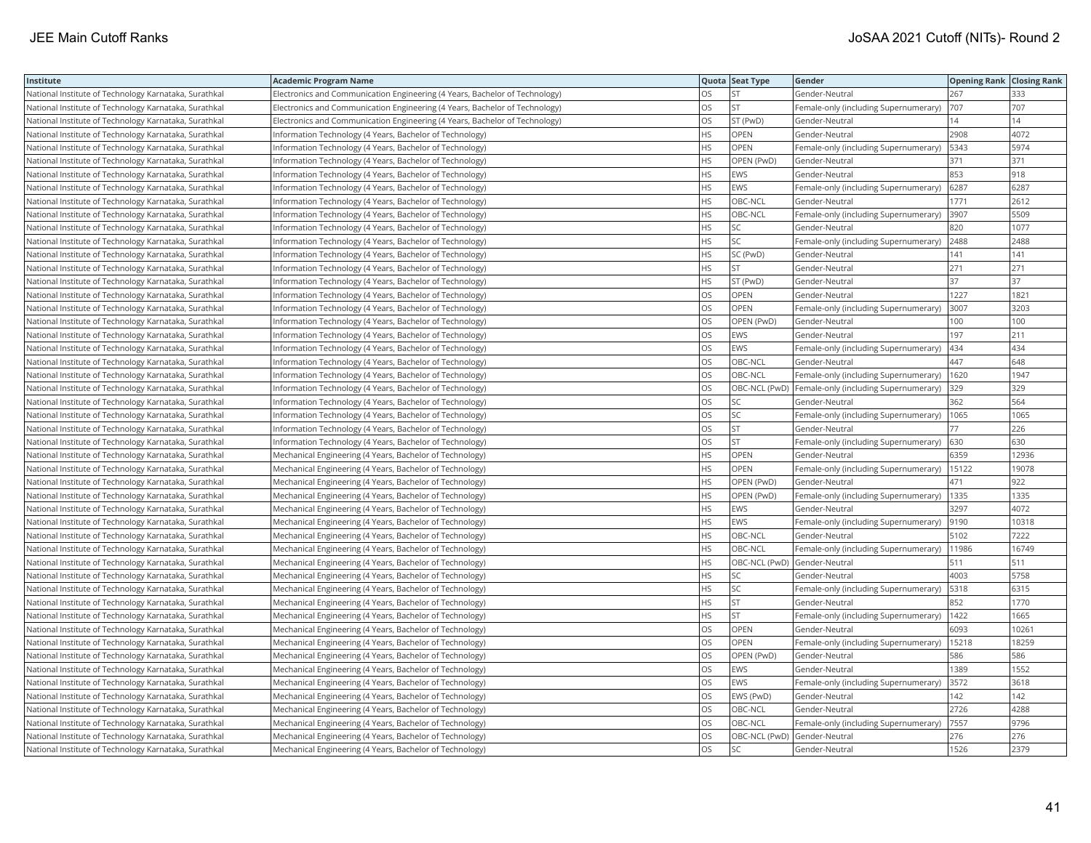| Institute                                             | <b>Academic Program Name</b>                                                |           | Quota Seat Type | Gender                                | <b>Opening Rank   Closing Rank</b> |       |
|-------------------------------------------------------|-----------------------------------------------------------------------------|-----------|-----------------|---------------------------------------|------------------------------------|-------|
| National Institute of Technology Karnataka, Surathkal | Electronics and Communication Engineering (4 Years, Bachelor of Technology) | OS        | <b>ST</b>       | Gender-Neutral                        | 267                                | 333   |
| National Institute of Technology Karnataka, Surathkal | Electronics and Communication Engineering (4 Years, Bachelor of Technology) | OS        | <b>ST</b>       | Female-only (including Supernumerary) | 707                                | 707   |
| National Institute of Technology Karnataka, Surathkal | Electronics and Communication Engineering (4 Years, Bachelor of Technology) | OS.       | ST (PwD)        | Gender-Neutral                        | 14                                 | 14    |
| National Institute of Technology Karnataka, Surathkal | Information Technology (4 Years, Bachelor of Technology)                    | HS.       | <b>OPEN</b>     | Gender-Neutral                        | 2908                               | 4072  |
| National Institute of Technology Karnataka, Surathkal | Information Technology (4 Years, Bachelor of Technology)                    | HS.       | OPEN            | Female-only (including Supernumerary) | 5343                               | 5974  |
| National Institute of Technology Karnataka, Surathkal | Information Technology (4 Years, Bachelor of Technology)                    | HS.       | OPEN (PwD)      | Gender-Neutral                        | 371                                | 371   |
| National Institute of Technology Karnataka, Surathkal | Information Technology (4 Years, Bachelor of Technology)                    | HS.       | EWS             | Gender-Neutral                        | 853                                | 918   |
| National Institute of Technology Karnataka, Surathkal | Information Technology (4 Years, Bachelor of Technology)                    | HS.       | <b>EWS</b>      | Female-only (including Supernumerary) | 6287                               | 6287  |
| National Institute of Technology Karnataka, Surathkal | Information Technology (4 Years, Bachelor of Technology)                    | HS        | OBC-NCL         | Gender-Neutral                        | 1771                               | 2612  |
| National Institute of Technology Karnataka, Surathkal | Information Technology (4 Years, Bachelor of Technology)                    | HS.       | OBC-NCL         | Female-only (including Supernumerary) | 3907                               | 5509  |
| National Institute of Technology Karnataka, Surathkal | Information Technology (4 Years, Bachelor of Technology)                    | HS        | SC              | Gender-Neutral                        | 820                                | 1077  |
| National Institute of Technology Karnataka, Surathkal | Information Technology (4 Years, Bachelor of Technology)                    | HS        | SC              | Female-only (including Supernumerary) | 2488                               | 2488  |
| National Institute of Technology Karnataka, Surathkal | Information Technology (4 Years, Bachelor of Technology)                    | HS.       | SC (PwD)        | Gender-Neutral                        | 141                                | 141   |
| National Institute of Technology Karnataka, Surathkal | Information Technology (4 Years, Bachelor of Technology)                    | HS.       | <b>ST</b>       | Gender-Neutral                        | 271                                | 271   |
| National Institute of Technology Karnataka, Surathkal | Information Technology (4 Years, Bachelor of Technology)                    | HS        | ST (PwD)        | Gender-Neutral                        | 37                                 | 37    |
| National Institute of Technology Karnataka, Surathkal | Information Technology (4 Years, Bachelor of Technology)                    | OS        | OPEN            | Gender-Neutral                        | 1227                               | 1821  |
| National Institute of Technology Karnataka, Surathkal | Information Technology (4 Years, Bachelor of Technology)                    | OS        | OPEN            | Female-only (including Supernumerary) | 3007                               | 3203  |
| National Institute of Technology Karnataka, Surathkal | Information Technology (4 Years, Bachelor of Technology)                    | OS.       | OPEN (PwD)      | Gender-Neutral                        | 100                                | 100   |
| National Institute of Technology Karnataka, Surathkal | Information Technology (4 Years, Bachelor of Technology)                    | OS.       | <b>EWS</b>      | Gender-Neutral                        | 197                                | 211   |
| National Institute of Technology Karnataka, Surathkal | Information Technology (4 Years, Bachelor of Technology)                    | OS.       | <b>EWS</b>      | Female-only (including Supernumerary) | 434                                | 434   |
| National Institute of Technology Karnataka, Surathkal | Information Technology (4 Years, Bachelor of Technology)                    | OS        | OBC-NCL         | Gender-Neutral                        | 447                                | 648   |
| National Institute of Technology Karnataka, Surathkal | Information Technology (4 Years, Bachelor of Technology)                    | OS.       | OBC-NCL         | Female-only (including Supernumerary) | 1620                               | 1947  |
| National Institute of Technology Karnataka, Surathkal | Information Technology (4 Years, Bachelor of Technology)                    | OS.       | OBC-NCL (PwD)   | Female-only (including Supernumerary) | 329                                | 329   |
| National Institute of Technology Karnataka, Surathkal | Information Technology (4 Years, Bachelor of Technology)                    | OS.       | <b>SC</b>       | Gender-Neutral                        | 362                                | 564   |
| National Institute of Technology Karnataka, Surathkal | Information Technology (4 Years, Bachelor of Technology)                    | OS        | SC              | Female-only (including Supernumerary) | 1065                               | 1065  |
| National Institute of Technology Karnataka, Surathkal | Information Technology (4 Years, Bachelor of Technology)                    | OS.       | <b>ST</b>       | Gender-Neutral                        | 77                                 | 226   |
| National Institute of Technology Karnataka, Surathkal | Information Technology (4 Years, Bachelor of Technology)                    | OS.       | <b>ST</b>       | Female-only (including Supernumerary) | 630                                | 630   |
| National Institute of Technology Karnataka, Surathkal | Mechanical Engineering (4 Years, Bachelor of Technology)                    | HS.       | OPEN            | Gender-Neutral                        | 6359                               | 12936 |
| National Institute of Technology Karnataka, Surathkal | Mechanical Engineering (4 Years, Bachelor of Technology)                    | HS.       | <b>OPEN</b>     | Female-only (including Supernumerary) | 15122                              | 19078 |
| National Institute of Technology Karnataka, Surathkal | Mechanical Engineering (4 Years, Bachelor of Technology)                    | ΗS        | OPEN (PwD)      | Gender-Neutral                        | 471                                | 922   |
| National Institute of Technology Karnataka, Surathkal | Mechanical Engineering (4 Years, Bachelor of Technology)                    | HS        | OPEN (PwD)      | Female-only (including Supernumerary) | 1335                               | 1335  |
| National Institute of Technology Karnataka, Surathkal | Mechanical Engineering (4 Years, Bachelor of Technology)                    | HS        | <b>EWS</b>      | Gender-Neutral                        | 3297                               | 4072  |
| National Institute of Technology Karnataka, Surathkal | Mechanical Engineering (4 Years, Bachelor of Technology)                    | HS.       | <b>EWS</b>      | Female-only (including Supernumerary) | 9190                               | 10318 |
| National Institute of Technology Karnataka, Surathkal | Mechanical Engineering (4 Years, Bachelor of Technology)                    | HS.       | OBC-NCL         | Gender-Neutral                        | 5102                               | 7222  |
| National Institute of Technology Karnataka, Surathkal | Mechanical Engineering (4 Years, Bachelor of Technology)                    | HS.       | OBC-NCL         | Female-only (including Supernumerary) | 11986                              | 16749 |
| National Institute of Technology Karnataka, Surathkal | Mechanical Engineering (4 Years, Bachelor of Technology)                    | HS.       | OBC-NCL (PwD)   | Gender-Neutral                        | 511                                | 511   |
| National Institute of Technology Karnataka, Surathkal | Mechanical Engineering (4 Years, Bachelor of Technology)                    | HS.       | SC              | Gender-Neutral                        | 4003                               | 5758  |
| National Institute of Technology Karnataka, Surathkal | Mechanical Engineering (4 Years, Bachelor of Technology)                    | HS.       | SC              | Female-only (including Supernumerary) | 5318                               | 6315  |
| National Institute of Technology Karnataka, Surathkal | Mechanical Engineering (4 Years, Bachelor of Technology)                    | HS        | <b>ST</b>       | Gender-Neutral                        | 852                                | 1770  |
| National Institute of Technology Karnataka, Surathkal | Mechanical Engineering (4 Years, Bachelor of Technology)                    | HS.       | <b>ST</b>       | Female-only (including Supernumerary) | 1422                               | 1665  |
| National Institute of Technology Karnataka, Surathkal | Mechanical Engineering (4 Years, Bachelor of Technology)                    | OS.       | OPEN            | Gender-Neutral                        | 6093                               | 10261 |
| National Institute of Technology Karnataka, Surathkal | Mechanical Engineering (4 Years, Bachelor of Technology)                    | OS        | OPEN            | Female-only (including Supernumerary) | 15218                              | 18259 |
| National Institute of Technology Karnataka, Surathkal | Mechanical Engineering (4 Years, Bachelor of Technology)                    | OS.       | OPEN (PwD)      | Gender-Neutral                        | 586                                | 586   |
| National Institute of Technology Karnataka, Surathkal | Mechanical Engineering (4 Years, Bachelor of Technology)                    | OS        | EWS             | Gender-Neutral                        | 1389                               | 1552  |
| National Institute of Technology Karnataka, Surathkal | Mechanical Engineering (4 Years, Bachelor of Technology)                    | OS        | EWS             | Female-only (including Supernumerary) | 3572                               | 3618  |
| National Institute of Technology Karnataka, Surathkal | Mechanical Engineering (4 Years, Bachelor of Technology)                    | OS.       | EWS (PwD)       | Gender-Neutral                        | 142                                | 142   |
| National Institute of Technology Karnataka, Surathkal | Mechanical Engineering (4 Years, Bachelor of Technology)                    | OS        | OBC-NCL         | Gender-Neutral                        | 2726                               | 4288  |
| National Institute of Technology Karnataka, Surathkal | Mechanical Engineering (4 Years, Bachelor of Technology)                    | OS        | OBC-NCL         | Female-only (including Supernumerary) | 7557                               | 9796  |
| National Institute of Technology Karnataka, Surathkal | Mechanical Engineering (4 Years, Bachelor of Technology)                    | OS        | OBC-NCL (PwD)   | Gender-Neutral                        | 276                                | 276   |
| National Institute of Technology Karnataka, Surathkal | Mechanical Engineering (4 Years, Bachelor of Technology)                    | <b>OS</b> | SC              | Gender-Neutral                        | 1526                               | 2379  |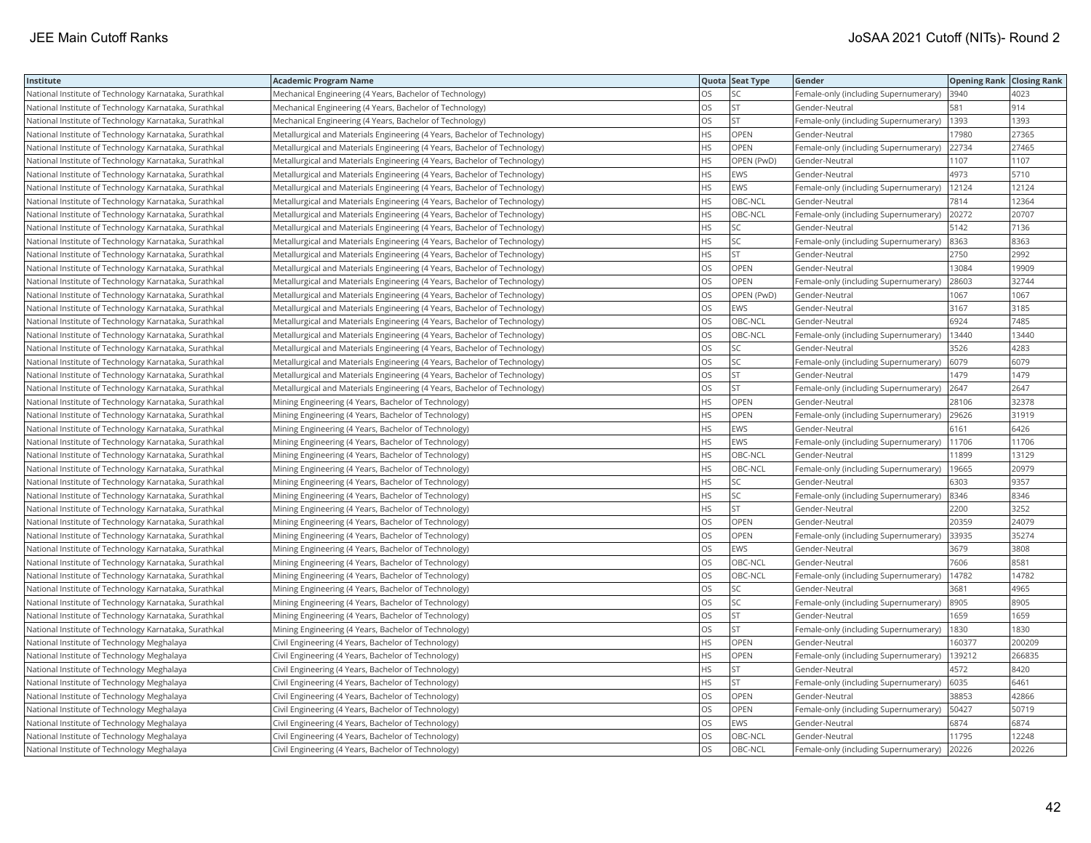| OS.<br>SC<br>4023<br>National Institute of Technology Karnataka, Surathkal<br>Mechanical Engineering (4 Years, Bachelor of Technology)<br>Female-only (including Supernumerary)<br>3940<br><b>ST</b><br>OS<br>914<br>National Institute of Technology Karnataka, Surathkal<br>Mechanical Engineering (4 Years, Bachelor of Technology)<br>Gender-Neutral<br>581<br>OS<br><b>ST</b><br>1393<br>1393<br>Female-only (including Supernumerary)<br>National Institute of Technology Karnataka, Surathkal<br>Mechanical Engineering (4 Years, Bachelor of Technology)<br>HS.<br><b>OPEN</b><br>17980<br>National Institute of Technology Karnataka, Surathkal<br>Metallurgical and Materials Engineering (4 Years, Bachelor of Technology)<br>Gender-Neutral<br>27365<br><b>HS</b><br><b>OPEN</b><br>22734<br>27465<br>National Institute of Technology Karnataka, Surathkal<br>Metallurgical and Materials Engineering (4 Years, Bachelor of Technology)<br>Female-only (including Supernumerary)<br>HS.<br>National Institute of Technology Karnataka, Surathkal<br>OPEN (PwD)<br>Gender-Neutral<br>1107<br>1107<br>Metallurgical and Materials Engineering (4 Years, Bachelor of Technology)<br>HS<br>4973<br>EWS<br>5710<br>National Institute of Technology Karnataka, Surathkal<br>Metallurgical and Materials Engineering (4 Years, Bachelor of Technology)<br>Gender-Neutral<br><b>HS</b><br>EWS<br>12124<br>12124<br>National Institute of Technology Karnataka, Surathkal<br>Metallurgical and Materials Engineering (4 Years, Bachelor of Technology)<br>Female-only (including Supernumerary)<br>HS<br>OBC-NCL<br>7814<br>12364<br>National Institute of Technology Karnataka, Surathkal<br>Metallurgical and Materials Engineering (4 Years, Bachelor of Technology)<br>Gender-Neutral<br>HS<br>20707<br>OBC-NCL<br>Female-only (including Supernumerary)<br>20272<br>National Institute of Technology Karnataka, Surathkal<br>Metallurgical and Materials Engineering (4 Years, Bachelor of Technology)<br>SC<br>ΗS<br>5142<br>7136<br>National Institute of Technology Karnataka, Surathkal<br>Metallurgical and Materials Engineering (4 Years, Bachelor of Technology)<br>Gender-Neutral<br>HS.<br>SC<br>8363<br>National Institute of Technology Karnataka, Surathkal<br>8363<br>Metallurgical and Materials Engineering (4 Years, Bachelor of Technology)<br>Female-only (including Supernumerary)<br><b>ST</b><br>HS.<br>2750<br>2992<br>National Institute of Technology Karnataka, Surathkal<br>Metallurgical and Materials Engineering (4 Years, Bachelor of Technology)<br>Gender-Neutral<br>OS<br><b>OPEN</b><br>13084<br>19909<br>National Institute of Technology Karnataka, Surathkal<br>Metallurgical and Materials Engineering (4 Years, Bachelor of Technology)<br>Gender-Neutral<br><b>OS</b><br><b>OPEN</b><br>32744<br>28603<br>National Institute of Technology Karnataka, Surathkal<br>Metallurgical and Materials Engineering (4 Years, Bachelor of Technology)<br>Female-only (including Supernumerary)<br>OS<br>OPEN (PwD)<br>1067<br>1067<br>National Institute of Technology Karnataka, Surathkal<br>Metallurgical and Materials Engineering (4 Years, Bachelor of Technology)<br>Gender-Neutral<br>OS<br>EWS<br>3167<br>3185<br>National Institute of Technology Karnataka, Surathkal<br>Metallurgical and Materials Engineering (4 Years, Bachelor of Technology)<br>Gender-Neutral<br>OS<br>OBC-NCL<br>6924<br>7485<br>National Institute of Technology Karnataka, Surathkal<br>Metallurgical and Materials Engineering (4 Years, Bachelor of Technology)<br>Gender-Neutral<br>OS<br>13440<br>OBC-NCL<br>13440<br>National Institute of Technology Karnataka, Surathkal<br>Metallurgical and Materials Engineering (4 Years, Bachelor of Technology)<br>Female-only (including Supernumerary)<br>OS<br>SC<br>3526<br>4283<br>National Institute of Technology Karnataka, Surathkal<br>Metallurgical and Materials Engineering (4 Years, Bachelor of Technology)<br>Gender-Neutral<br><b>OS</b><br>SC<br>6079<br>Female-only (including Supernumerary)<br>6079<br>National Institute of Technology Karnataka, Surathkal<br>Metallurgical and Materials Engineering (4 Years, Bachelor of Technology)<br>OS<br><b>ST</b><br>1479<br>1479<br>National Institute of Technology Karnataka, Surathkal<br>Metallurgical and Materials Engineering (4 Years, Bachelor of Technology)<br>Gender-Neutral<br><b>ST</b><br>OS<br>2647<br>2647<br>National Institute of Technology Karnataka, Surathkal<br>Metallurgical and Materials Engineering (4 Years, Bachelor of Technology)<br>Female-only (including Supernumerary)<br><b>HS</b><br><b>OPEN</b><br>32378<br>28106<br>National Institute of Technology Karnataka, Surathkal<br>Mining Engineering (4 Years, Bachelor of Technology)<br>Gender-Neutral<br>HS<br>OPEN<br>29626<br>31919<br>National Institute of Technology Karnataka, Surathkal<br>Female-only (including Supernumerary)<br>Mining Engineering (4 Years, Bachelor of Technology)<br>HS.<br>EWS<br>6426<br>6161<br>National Institute of Technology Karnataka, Surathkal<br>Mining Engineering (4 Years, Bachelor of Technology)<br>Gender-Neutral<br>EWS<br>HS.<br>11706<br>11706<br>National Institute of Technology Karnataka, Surathkal<br>Mining Engineering (4 Years, Bachelor of Technology)<br>Female-only (including Supernumerary)<br>HS.<br>OBC-NCL<br>11899<br>13129<br>National Institute of Technology Karnataka, Surathkal<br>Mining Engineering (4 Years, Bachelor of Technology)<br>Gender-Neutral<br>HS.<br>OBC-NCL<br>19665<br>20979<br>National Institute of Technology Karnataka, Surathkal<br>Mining Engineering (4 Years, Bachelor of Technology)<br>Female-only (including Supernumerary)<br>HS.<br>SC<br>9357<br>6303<br>National Institute of Technology Karnataka, Surathkal<br>Mining Engineering (4 Years, Bachelor of Technology)<br>Gender-Neutral<br>HS.<br>SC<br>8346<br>8346<br>National Institute of Technology Karnataka, Surathkal<br>Female-only (including Supernumerary)<br>Mining Engineering (4 Years, Bachelor of Technology)<br><b>ST</b><br>HS.<br>3252<br>2200<br>Gender-Neutral<br>National Institute of Technology Karnataka, Surathkal<br>Mining Engineering (4 Years, Bachelor of Technology)<br>OS.<br>OPEN<br>20359<br>24079<br>National Institute of Technology Karnataka, Surathkal<br>Mining Engineering (4 Years, Bachelor of Technology)<br>Gender-Neutral<br>OS<br>OPEN<br>33935<br>35274<br>National Institute of Technology Karnataka, Surathkal<br>Mining Engineering (4 Years, Bachelor of Technology)<br>Female-only (including Supernumerary)<br>OS.<br>EWS<br>National Institute of Technology Karnataka, Surathkal<br>Gender-Neutral<br>3679<br>3808<br>Mining Engineering (4 Years, Bachelor of Technology)<br><b>OS</b><br>OBC-NCL<br>7606<br>8581<br>National Institute of Technology Karnataka, Surathkal<br>Mining Engineering (4 Years, Bachelor of Technology)<br>Gender-Neutral |
|------------------------------------------------------------------------------------------------------------------------------------------------------------------------------------------------------------------------------------------------------------------------------------------------------------------------------------------------------------------------------------------------------------------------------------------------------------------------------------------------------------------------------------------------------------------------------------------------------------------------------------------------------------------------------------------------------------------------------------------------------------------------------------------------------------------------------------------------------------------------------------------------------------------------------------------------------------------------------------------------------------------------------------------------------------------------------------------------------------------------------------------------------------------------------------------------------------------------------------------------------------------------------------------------------------------------------------------------------------------------------------------------------------------------------------------------------------------------------------------------------------------------------------------------------------------------------------------------------------------------------------------------------------------------------------------------------------------------------------------------------------------------------------------------------------------------------------------------------------------------------------------------------------------------------------------------------------------------------------------------------------------------------------------------------------------------------------------------------------------------------------------------------------------------------------------------------------------------------------------------------------------------------------------------------------------------------------------------------------------------------------------------------------------------------------------------------------------------------------------------------------------------------------------------------------------------------------------------------------------------------------------------------------------------------------------------------------------------------------------------------------------------------------------------------------------------------------------------------------------------------------------------------------------------------------------------------------------------------------------------------------------------------------------------------------------------------------------------------------------------------------------------------------------------------------------------------------------------------------------------------------------------------------------------------------------------------------------------------------------------------------------------------------------------------------------------------------------------------------------------------------------------------------------------------------------------------------------------------------------------------------------------------------------------------------------------------------------------------------------------------------------------------------------------------------------------------------------------------------------------------------------------------------------------------------------------------------------------------------------------------------------------------------------------------------------------------------------------------------------------------------------------------------------------------------------------------------------------------------------------------------------------------------------------------------------------------------------------------------------------------------------------------------------------------------------------------------------------------------------------------------------------------------------------------------------------------------------------------------------------------------------------------------------------------------------------------------------------------------------------------------------------------------------------------------------------------------------------------------------------------------------------------------------------------------------------------------------------------------------------------------------------------------------------------------------------------------------------------------------------------------------------------------------------------------------------------------------------------------------------------------------------------------------------------------------------------------------------------------------------------------------------------------------------------------------------------------------------------------------------------------------------------------------------------------------------------------------------------------------------------------------------------------------------------------------------------------------------------------------------------------------------------------------------------------------------------------------------------------------------------------------------------------------------------------------------------------------------------------------------------------------------------------------------------------------------------------------------------------------------------------------------------------------------------------------------------------------------------------------------------------------------------------------------------------------------------------------------------------------------------------------------------------------------------------------------------------------------------------------------------------------------------------------------------------------------------------------------------------------------------------------------------------------------------------------------------------------------------------------------------------------------------------------------------------------------------------------------------------------------------------------------------------------------------------------------------------------------------------------------------------|
|                                                                                                                                                                                                                                                                                                                                                                                                                                                                                                                                                                                                                                                                                                                                                                                                                                                                                                                                                                                                                                                                                                                                                                                                                                                                                                                                                                                                                                                                                                                                                                                                                                                                                                                                                                                                                                                                                                                                                                                                                                                                                                                                                                                                                                                                                                                                                                                                                                                                                                                                                                                                                                                                                                                                                                                                                                                                                                                                                                                                                                                                                                                                                                                                                                                                                                                                                                                                                                                                                                                                                                                                                                                                                                                                                                                                                                                                                                                                                                                                                                                                                                                                                                                                                                                                                                                                                                                                                                                                                                                                                                                                                                                                                                                                                                                                                                                                                                                                                                                                                                                                                                                                                                                                                                                                                                                                                                                                                                                                                                                                                                                                                                                                                                                                                                                                                                                                                                                                                                                                                                                                                                                                                                                                                                                                                                                                                                                                                                                                                                                                                                                                                                                                                                                                                                                                                                                                                                                                                                                                            |
|                                                                                                                                                                                                                                                                                                                                                                                                                                                                                                                                                                                                                                                                                                                                                                                                                                                                                                                                                                                                                                                                                                                                                                                                                                                                                                                                                                                                                                                                                                                                                                                                                                                                                                                                                                                                                                                                                                                                                                                                                                                                                                                                                                                                                                                                                                                                                                                                                                                                                                                                                                                                                                                                                                                                                                                                                                                                                                                                                                                                                                                                                                                                                                                                                                                                                                                                                                                                                                                                                                                                                                                                                                                                                                                                                                                                                                                                                                                                                                                                                                                                                                                                                                                                                                                                                                                                                                                                                                                                                                                                                                                                                                                                                                                                                                                                                                                                                                                                                                                                                                                                                                                                                                                                                                                                                                                                                                                                                                                                                                                                                                                                                                                                                                                                                                                                                                                                                                                                                                                                                                                                                                                                                                                                                                                                                                                                                                                                                                                                                                                                                                                                                                                                                                                                                                                                                                                                                                                                                                                                            |
|                                                                                                                                                                                                                                                                                                                                                                                                                                                                                                                                                                                                                                                                                                                                                                                                                                                                                                                                                                                                                                                                                                                                                                                                                                                                                                                                                                                                                                                                                                                                                                                                                                                                                                                                                                                                                                                                                                                                                                                                                                                                                                                                                                                                                                                                                                                                                                                                                                                                                                                                                                                                                                                                                                                                                                                                                                                                                                                                                                                                                                                                                                                                                                                                                                                                                                                                                                                                                                                                                                                                                                                                                                                                                                                                                                                                                                                                                                                                                                                                                                                                                                                                                                                                                                                                                                                                                                                                                                                                                                                                                                                                                                                                                                                                                                                                                                                                                                                                                                                                                                                                                                                                                                                                                                                                                                                                                                                                                                                                                                                                                                                                                                                                                                                                                                                                                                                                                                                                                                                                                                                                                                                                                                                                                                                                                                                                                                                                                                                                                                                                                                                                                                                                                                                                                                                                                                                                                                                                                                                                            |
|                                                                                                                                                                                                                                                                                                                                                                                                                                                                                                                                                                                                                                                                                                                                                                                                                                                                                                                                                                                                                                                                                                                                                                                                                                                                                                                                                                                                                                                                                                                                                                                                                                                                                                                                                                                                                                                                                                                                                                                                                                                                                                                                                                                                                                                                                                                                                                                                                                                                                                                                                                                                                                                                                                                                                                                                                                                                                                                                                                                                                                                                                                                                                                                                                                                                                                                                                                                                                                                                                                                                                                                                                                                                                                                                                                                                                                                                                                                                                                                                                                                                                                                                                                                                                                                                                                                                                                                                                                                                                                                                                                                                                                                                                                                                                                                                                                                                                                                                                                                                                                                                                                                                                                                                                                                                                                                                                                                                                                                                                                                                                                                                                                                                                                                                                                                                                                                                                                                                                                                                                                                                                                                                                                                                                                                                                                                                                                                                                                                                                                                                                                                                                                                                                                                                                                                                                                                                                                                                                                                                            |
|                                                                                                                                                                                                                                                                                                                                                                                                                                                                                                                                                                                                                                                                                                                                                                                                                                                                                                                                                                                                                                                                                                                                                                                                                                                                                                                                                                                                                                                                                                                                                                                                                                                                                                                                                                                                                                                                                                                                                                                                                                                                                                                                                                                                                                                                                                                                                                                                                                                                                                                                                                                                                                                                                                                                                                                                                                                                                                                                                                                                                                                                                                                                                                                                                                                                                                                                                                                                                                                                                                                                                                                                                                                                                                                                                                                                                                                                                                                                                                                                                                                                                                                                                                                                                                                                                                                                                                                                                                                                                                                                                                                                                                                                                                                                                                                                                                                                                                                                                                                                                                                                                                                                                                                                                                                                                                                                                                                                                                                                                                                                                                                                                                                                                                                                                                                                                                                                                                                                                                                                                                                                                                                                                                                                                                                                                                                                                                                                                                                                                                                                                                                                                                                                                                                                                                                                                                                                                                                                                                                                            |
|                                                                                                                                                                                                                                                                                                                                                                                                                                                                                                                                                                                                                                                                                                                                                                                                                                                                                                                                                                                                                                                                                                                                                                                                                                                                                                                                                                                                                                                                                                                                                                                                                                                                                                                                                                                                                                                                                                                                                                                                                                                                                                                                                                                                                                                                                                                                                                                                                                                                                                                                                                                                                                                                                                                                                                                                                                                                                                                                                                                                                                                                                                                                                                                                                                                                                                                                                                                                                                                                                                                                                                                                                                                                                                                                                                                                                                                                                                                                                                                                                                                                                                                                                                                                                                                                                                                                                                                                                                                                                                                                                                                                                                                                                                                                                                                                                                                                                                                                                                                                                                                                                                                                                                                                                                                                                                                                                                                                                                                                                                                                                                                                                                                                                                                                                                                                                                                                                                                                                                                                                                                                                                                                                                                                                                                                                                                                                                                                                                                                                                                                                                                                                                                                                                                                                                                                                                                                                                                                                                                                            |
|                                                                                                                                                                                                                                                                                                                                                                                                                                                                                                                                                                                                                                                                                                                                                                                                                                                                                                                                                                                                                                                                                                                                                                                                                                                                                                                                                                                                                                                                                                                                                                                                                                                                                                                                                                                                                                                                                                                                                                                                                                                                                                                                                                                                                                                                                                                                                                                                                                                                                                                                                                                                                                                                                                                                                                                                                                                                                                                                                                                                                                                                                                                                                                                                                                                                                                                                                                                                                                                                                                                                                                                                                                                                                                                                                                                                                                                                                                                                                                                                                                                                                                                                                                                                                                                                                                                                                                                                                                                                                                                                                                                                                                                                                                                                                                                                                                                                                                                                                                                                                                                                                                                                                                                                                                                                                                                                                                                                                                                                                                                                                                                                                                                                                                                                                                                                                                                                                                                                                                                                                                                                                                                                                                                                                                                                                                                                                                                                                                                                                                                                                                                                                                                                                                                                                                                                                                                                                                                                                                                                            |
|                                                                                                                                                                                                                                                                                                                                                                                                                                                                                                                                                                                                                                                                                                                                                                                                                                                                                                                                                                                                                                                                                                                                                                                                                                                                                                                                                                                                                                                                                                                                                                                                                                                                                                                                                                                                                                                                                                                                                                                                                                                                                                                                                                                                                                                                                                                                                                                                                                                                                                                                                                                                                                                                                                                                                                                                                                                                                                                                                                                                                                                                                                                                                                                                                                                                                                                                                                                                                                                                                                                                                                                                                                                                                                                                                                                                                                                                                                                                                                                                                                                                                                                                                                                                                                                                                                                                                                                                                                                                                                                                                                                                                                                                                                                                                                                                                                                                                                                                                                                                                                                                                                                                                                                                                                                                                                                                                                                                                                                                                                                                                                                                                                                                                                                                                                                                                                                                                                                                                                                                                                                                                                                                                                                                                                                                                                                                                                                                                                                                                                                                                                                                                                                                                                                                                                                                                                                                                                                                                                                                            |
|                                                                                                                                                                                                                                                                                                                                                                                                                                                                                                                                                                                                                                                                                                                                                                                                                                                                                                                                                                                                                                                                                                                                                                                                                                                                                                                                                                                                                                                                                                                                                                                                                                                                                                                                                                                                                                                                                                                                                                                                                                                                                                                                                                                                                                                                                                                                                                                                                                                                                                                                                                                                                                                                                                                                                                                                                                                                                                                                                                                                                                                                                                                                                                                                                                                                                                                                                                                                                                                                                                                                                                                                                                                                                                                                                                                                                                                                                                                                                                                                                                                                                                                                                                                                                                                                                                                                                                                                                                                                                                                                                                                                                                                                                                                                                                                                                                                                                                                                                                                                                                                                                                                                                                                                                                                                                                                                                                                                                                                                                                                                                                                                                                                                                                                                                                                                                                                                                                                                                                                                                                                                                                                                                                                                                                                                                                                                                                                                                                                                                                                                                                                                                                                                                                                                                                                                                                                                                                                                                                                                            |
|                                                                                                                                                                                                                                                                                                                                                                                                                                                                                                                                                                                                                                                                                                                                                                                                                                                                                                                                                                                                                                                                                                                                                                                                                                                                                                                                                                                                                                                                                                                                                                                                                                                                                                                                                                                                                                                                                                                                                                                                                                                                                                                                                                                                                                                                                                                                                                                                                                                                                                                                                                                                                                                                                                                                                                                                                                                                                                                                                                                                                                                                                                                                                                                                                                                                                                                                                                                                                                                                                                                                                                                                                                                                                                                                                                                                                                                                                                                                                                                                                                                                                                                                                                                                                                                                                                                                                                                                                                                                                                                                                                                                                                                                                                                                                                                                                                                                                                                                                                                                                                                                                                                                                                                                                                                                                                                                                                                                                                                                                                                                                                                                                                                                                                                                                                                                                                                                                                                                                                                                                                                                                                                                                                                                                                                                                                                                                                                                                                                                                                                                                                                                                                                                                                                                                                                                                                                                                                                                                                                                            |
|                                                                                                                                                                                                                                                                                                                                                                                                                                                                                                                                                                                                                                                                                                                                                                                                                                                                                                                                                                                                                                                                                                                                                                                                                                                                                                                                                                                                                                                                                                                                                                                                                                                                                                                                                                                                                                                                                                                                                                                                                                                                                                                                                                                                                                                                                                                                                                                                                                                                                                                                                                                                                                                                                                                                                                                                                                                                                                                                                                                                                                                                                                                                                                                                                                                                                                                                                                                                                                                                                                                                                                                                                                                                                                                                                                                                                                                                                                                                                                                                                                                                                                                                                                                                                                                                                                                                                                                                                                                                                                                                                                                                                                                                                                                                                                                                                                                                                                                                                                                                                                                                                                                                                                                                                                                                                                                                                                                                                                                                                                                                                                                                                                                                                                                                                                                                                                                                                                                                                                                                                                                                                                                                                                                                                                                                                                                                                                                                                                                                                                                                                                                                                                                                                                                                                                                                                                                                                                                                                                                                            |
|                                                                                                                                                                                                                                                                                                                                                                                                                                                                                                                                                                                                                                                                                                                                                                                                                                                                                                                                                                                                                                                                                                                                                                                                                                                                                                                                                                                                                                                                                                                                                                                                                                                                                                                                                                                                                                                                                                                                                                                                                                                                                                                                                                                                                                                                                                                                                                                                                                                                                                                                                                                                                                                                                                                                                                                                                                                                                                                                                                                                                                                                                                                                                                                                                                                                                                                                                                                                                                                                                                                                                                                                                                                                                                                                                                                                                                                                                                                                                                                                                                                                                                                                                                                                                                                                                                                                                                                                                                                                                                                                                                                                                                                                                                                                                                                                                                                                                                                                                                                                                                                                                                                                                                                                                                                                                                                                                                                                                                                                                                                                                                                                                                                                                                                                                                                                                                                                                                                                                                                                                                                                                                                                                                                                                                                                                                                                                                                                                                                                                                                                                                                                                                                                                                                                                                                                                                                                                                                                                                                                            |
|                                                                                                                                                                                                                                                                                                                                                                                                                                                                                                                                                                                                                                                                                                                                                                                                                                                                                                                                                                                                                                                                                                                                                                                                                                                                                                                                                                                                                                                                                                                                                                                                                                                                                                                                                                                                                                                                                                                                                                                                                                                                                                                                                                                                                                                                                                                                                                                                                                                                                                                                                                                                                                                                                                                                                                                                                                                                                                                                                                                                                                                                                                                                                                                                                                                                                                                                                                                                                                                                                                                                                                                                                                                                                                                                                                                                                                                                                                                                                                                                                                                                                                                                                                                                                                                                                                                                                                                                                                                                                                                                                                                                                                                                                                                                                                                                                                                                                                                                                                                                                                                                                                                                                                                                                                                                                                                                                                                                                                                                                                                                                                                                                                                                                                                                                                                                                                                                                                                                                                                                                                                                                                                                                                                                                                                                                                                                                                                                                                                                                                                                                                                                                                                                                                                                                                                                                                                                                                                                                                                                            |
|                                                                                                                                                                                                                                                                                                                                                                                                                                                                                                                                                                                                                                                                                                                                                                                                                                                                                                                                                                                                                                                                                                                                                                                                                                                                                                                                                                                                                                                                                                                                                                                                                                                                                                                                                                                                                                                                                                                                                                                                                                                                                                                                                                                                                                                                                                                                                                                                                                                                                                                                                                                                                                                                                                                                                                                                                                                                                                                                                                                                                                                                                                                                                                                                                                                                                                                                                                                                                                                                                                                                                                                                                                                                                                                                                                                                                                                                                                                                                                                                                                                                                                                                                                                                                                                                                                                                                                                                                                                                                                                                                                                                                                                                                                                                                                                                                                                                                                                                                                                                                                                                                                                                                                                                                                                                                                                                                                                                                                                                                                                                                                                                                                                                                                                                                                                                                                                                                                                                                                                                                                                                                                                                                                                                                                                                                                                                                                                                                                                                                                                                                                                                                                                                                                                                                                                                                                                                                                                                                                                                            |
|                                                                                                                                                                                                                                                                                                                                                                                                                                                                                                                                                                                                                                                                                                                                                                                                                                                                                                                                                                                                                                                                                                                                                                                                                                                                                                                                                                                                                                                                                                                                                                                                                                                                                                                                                                                                                                                                                                                                                                                                                                                                                                                                                                                                                                                                                                                                                                                                                                                                                                                                                                                                                                                                                                                                                                                                                                                                                                                                                                                                                                                                                                                                                                                                                                                                                                                                                                                                                                                                                                                                                                                                                                                                                                                                                                                                                                                                                                                                                                                                                                                                                                                                                                                                                                                                                                                                                                                                                                                                                                                                                                                                                                                                                                                                                                                                                                                                                                                                                                                                                                                                                                                                                                                                                                                                                                                                                                                                                                                                                                                                                                                                                                                                                                                                                                                                                                                                                                                                                                                                                                                                                                                                                                                                                                                                                                                                                                                                                                                                                                                                                                                                                                                                                                                                                                                                                                                                                                                                                                                                            |
|                                                                                                                                                                                                                                                                                                                                                                                                                                                                                                                                                                                                                                                                                                                                                                                                                                                                                                                                                                                                                                                                                                                                                                                                                                                                                                                                                                                                                                                                                                                                                                                                                                                                                                                                                                                                                                                                                                                                                                                                                                                                                                                                                                                                                                                                                                                                                                                                                                                                                                                                                                                                                                                                                                                                                                                                                                                                                                                                                                                                                                                                                                                                                                                                                                                                                                                                                                                                                                                                                                                                                                                                                                                                                                                                                                                                                                                                                                                                                                                                                                                                                                                                                                                                                                                                                                                                                                                                                                                                                                                                                                                                                                                                                                                                                                                                                                                                                                                                                                                                                                                                                                                                                                                                                                                                                                                                                                                                                                                                                                                                                                                                                                                                                                                                                                                                                                                                                                                                                                                                                                                                                                                                                                                                                                                                                                                                                                                                                                                                                                                                                                                                                                                                                                                                                                                                                                                                                                                                                                                                            |
|                                                                                                                                                                                                                                                                                                                                                                                                                                                                                                                                                                                                                                                                                                                                                                                                                                                                                                                                                                                                                                                                                                                                                                                                                                                                                                                                                                                                                                                                                                                                                                                                                                                                                                                                                                                                                                                                                                                                                                                                                                                                                                                                                                                                                                                                                                                                                                                                                                                                                                                                                                                                                                                                                                                                                                                                                                                                                                                                                                                                                                                                                                                                                                                                                                                                                                                                                                                                                                                                                                                                                                                                                                                                                                                                                                                                                                                                                                                                                                                                                                                                                                                                                                                                                                                                                                                                                                                                                                                                                                                                                                                                                                                                                                                                                                                                                                                                                                                                                                                                                                                                                                                                                                                                                                                                                                                                                                                                                                                                                                                                                                                                                                                                                                                                                                                                                                                                                                                                                                                                                                                                                                                                                                                                                                                                                                                                                                                                                                                                                                                                                                                                                                                                                                                                                                                                                                                                                                                                                                                                            |
|                                                                                                                                                                                                                                                                                                                                                                                                                                                                                                                                                                                                                                                                                                                                                                                                                                                                                                                                                                                                                                                                                                                                                                                                                                                                                                                                                                                                                                                                                                                                                                                                                                                                                                                                                                                                                                                                                                                                                                                                                                                                                                                                                                                                                                                                                                                                                                                                                                                                                                                                                                                                                                                                                                                                                                                                                                                                                                                                                                                                                                                                                                                                                                                                                                                                                                                                                                                                                                                                                                                                                                                                                                                                                                                                                                                                                                                                                                                                                                                                                                                                                                                                                                                                                                                                                                                                                                                                                                                                                                                                                                                                                                                                                                                                                                                                                                                                                                                                                                                                                                                                                                                                                                                                                                                                                                                                                                                                                                                                                                                                                                                                                                                                                                                                                                                                                                                                                                                                                                                                                                                                                                                                                                                                                                                                                                                                                                                                                                                                                                                                                                                                                                                                                                                                                                                                                                                                                                                                                                                                            |
|                                                                                                                                                                                                                                                                                                                                                                                                                                                                                                                                                                                                                                                                                                                                                                                                                                                                                                                                                                                                                                                                                                                                                                                                                                                                                                                                                                                                                                                                                                                                                                                                                                                                                                                                                                                                                                                                                                                                                                                                                                                                                                                                                                                                                                                                                                                                                                                                                                                                                                                                                                                                                                                                                                                                                                                                                                                                                                                                                                                                                                                                                                                                                                                                                                                                                                                                                                                                                                                                                                                                                                                                                                                                                                                                                                                                                                                                                                                                                                                                                                                                                                                                                                                                                                                                                                                                                                                                                                                                                                                                                                                                                                                                                                                                                                                                                                                                                                                                                                                                                                                                                                                                                                                                                                                                                                                                                                                                                                                                                                                                                                                                                                                                                                                                                                                                                                                                                                                                                                                                                                                                                                                                                                                                                                                                                                                                                                                                                                                                                                                                                                                                                                                                                                                                                                                                                                                                                                                                                                                                            |
|                                                                                                                                                                                                                                                                                                                                                                                                                                                                                                                                                                                                                                                                                                                                                                                                                                                                                                                                                                                                                                                                                                                                                                                                                                                                                                                                                                                                                                                                                                                                                                                                                                                                                                                                                                                                                                                                                                                                                                                                                                                                                                                                                                                                                                                                                                                                                                                                                                                                                                                                                                                                                                                                                                                                                                                                                                                                                                                                                                                                                                                                                                                                                                                                                                                                                                                                                                                                                                                                                                                                                                                                                                                                                                                                                                                                                                                                                                                                                                                                                                                                                                                                                                                                                                                                                                                                                                                                                                                                                                                                                                                                                                                                                                                                                                                                                                                                                                                                                                                                                                                                                                                                                                                                                                                                                                                                                                                                                                                                                                                                                                                                                                                                                                                                                                                                                                                                                                                                                                                                                                                                                                                                                                                                                                                                                                                                                                                                                                                                                                                                                                                                                                                                                                                                                                                                                                                                                                                                                                                                            |
|                                                                                                                                                                                                                                                                                                                                                                                                                                                                                                                                                                                                                                                                                                                                                                                                                                                                                                                                                                                                                                                                                                                                                                                                                                                                                                                                                                                                                                                                                                                                                                                                                                                                                                                                                                                                                                                                                                                                                                                                                                                                                                                                                                                                                                                                                                                                                                                                                                                                                                                                                                                                                                                                                                                                                                                                                                                                                                                                                                                                                                                                                                                                                                                                                                                                                                                                                                                                                                                                                                                                                                                                                                                                                                                                                                                                                                                                                                                                                                                                                                                                                                                                                                                                                                                                                                                                                                                                                                                                                                                                                                                                                                                                                                                                                                                                                                                                                                                                                                                                                                                                                                                                                                                                                                                                                                                                                                                                                                                                                                                                                                                                                                                                                                                                                                                                                                                                                                                                                                                                                                                                                                                                                                                                                                                                                                                                                                                                                                                                                                                                                                                                                                                                                                                                                                                                                                                                                                                                                                                                            |
|                                                                                                                                                                                                                                                                                                                                                                                                                                                                                                                                                                                                                                                                                                                                                                                                                                                                                                                                                                                                                                                                                                                                                                                                                                                                                                                                                                                                                                                                                                                                                                                                                                                                                                                                                                                                                                                                                                                                                                                                                                                                                                                                                                                                                                                                                                                                                                                                                                                                                                                                                                                                                                                                                                                                                                                                                                                                                                                                                                                                                                                                                                                                                                                                                                                                                                                                                                                                                                                                                                                                                                                                                                                                                                                                                                                                                                                                                                                                                                                                                                                                                                                                                                                                                                                                                                                                                                                                                                                                                                                                                                                                                                                                                                                                                                                                                                                                                                                                                                                                                                                                                                                                                                                                                                                                                                                                                                                                                                                                                                                                                                                                                                                                                                                                                                                                                                                                                                                                                                                                                                                                                                                                                                                                                                                                                                                                                                                                                                                                                                                                                                                                                                                                                                                                                                                                                                                                                                                                                                                                            |
|                                                                                                                                                                                                                                                                                                                                                                                                                                                                                                                                                                                                                                                                                                                                                                                                                                                                                                                                                                                                                                                                                                                                                                                                                                                                                                                                                                                                                                                                                                                                                                                                                                                                                                                                                                                                                                                                                                                                                                                                                                                                                                                                                                                                                                                                                                                                                                                                                                                                                                                                                                                                                                                                                                                                                                                                                                                                                                                                                                                                                                                                                                                                                                                                                                                                                                                                                                                                                                                                                                                                                                                                                                                                                                                                                                                                                                                                                                                                                                                                                                                                                                                                                                                                                                                                                                                                                                                                                                                                                                                                                                                                                                                                                                                                                                                                                                                                                                                                                                                                                                                                                                                                                                                                                                                                                                                                                                                                                                                                                                                                                                                                                                                                                                                                                                                                                                                                                                                                                                                                                                                                                                                                                                                                                                                                                                                                                                                                                                                                                                                                                                                                                                                                                                                                                                                                                                                                                                                                                                                                            |
|                                                                                                                                                                                                                                                                                                                                                                                                                                                                                                                                                                                                                                                                                                                                                                                                                                                                                                                                                                                                                                                                                                                                                                                                                                                                                                                                                                                                                                                                                                                                                                                                                                                                                                                                                                                                                                                                                                                                                                                                                                                                                                                                                                                                                                                                                                                                                                                                                                                                                                                                                                                                                                                                                                                                                                                                                                                                                                                                                                                                                                                                                                                                                                                                                                                                                                                                                                                                                                                                                                                                                                                                                                                                                                                                                                                                                                                                                                                                                                                                                                                                                                                                                                                                                                                                                                                                                                                                                                                                                                                                                                                                                                                                                                                                                                                                                                                                                                                                                                                                                                                                                                                                                                                                                                                                                                                                                                                                                                                                                                                                                                                                                                                                                                                                                                                                                                                                                                                                                                                                                                                                                                                                                                                                                                                                                                                                                                                                                                                                                                                                                                                                                                                                                                                                                                                                                                                                                                                                                                                                            |
|                                                                                                                                                                                                                                                                                                                                                                                                                                                                                                                                                                                                                                                                                                                                                                                                                                                                                                                                                                                                                                                                                                                                                                                                                                                                                                                                                                                                                                                                                                                                                                                                                                                                                                                                                                                                                                                                                                                                                                                                                                                                                                                                                                                                                                                                                                                                                                                                                                                                                                                                                                                                                                                                                                                                                                                                                                                                                                                                                                                                                                                                                                                                                                                                                                                                                                                                                                                                                                                                                                                                                                                                                                                                                                                                                                                                                                                                                                                                                                                                                                                                                                                                                                                                                                                                                                                                                                                                                                                                                                                                                                                                                                                                                                                                                                                                                                                                                                                                                                                                                                                                                                                                                                                                                                                                                                                                                                                                                                                                                                                                                                                                                                                                                                                                                                                                                                                                                                                                                                                                                                                                                                                                                                                                                                                                                                                                                                                                                                                                                                                                                                                                                                                                                                                                                                                                                                                                                                                                                                                                            |
|                                                                                                                                                                                                                                                                                                                                                                                                                                                                                                                                                                                                                                                                                                                                                                                                                                                                                                                                                                                                                                                                                                                                                                                                                                                                                                                                                                                                                                                                                                                                                                                                                                                                                                                                                                                                                                                                                                                                                                                                                                                                                                                                                                                                                                                                                                                                                                                                                                                                                                                                                                                                                                                                                                                                                                                                                                                                                                                                                                                                                                                                                                                                                                                                                                                                                                                                                                                                                                                                                                                                                                                                                                                                                                                                                                                                                                                                                                                                                                                                                                                                                                                                                                                                                                                                                                                                                                                                                                                                                                                                                                                                                                                                                                                                                                                                                                                                                                                                                                                                                                                                                                                                                                                                                                                                                                                                                                                                                                                                                                                                                                                                                                                                                                                                                                                                                                                                                                                                                                                                                                                                                                                                                                                                                                                                                                                                                                                                                                                                                                                                                                                                                                                                                                                                                                                                                                                                                                                                                                                                            |
|                                                                                                                                                                                                                                                                                                                                                                                                                                                                                                                                                                                                                                                                                                                                                                                                                                                                                                                                                                                                                                                                                                                                                                                                                                                                                                                                                                                                                                                                                                                                                                                                                                                                                                                                                                                                                                                                                                                                                                                                                                                                                                                                                                                                                                                                                                                                                                                                                                                                                                                                                                                                                                                                                                                                                                                                                                                                                                                                                                                                                                                                                                                                                                                                                                                                                                                                                                                                                                                                                                                                                                                                                                                                                                                                                                                                                                                                                                                                                                                                                                                                                                                                                                                                                                                                                                                                                                                                                                                                                                                                                                                                                                                                                                                                                                                                                                                                                                                                                                                                                                                                                                                                                                                                                                                                                                                                                                                                                                                                                                                                                                                                                                                                                                                                                                                                                                                                                                                                                                                                                                                                                                                                                                                                                                                                                                                                                                                                                                                                                                                                                                                                                                                                                                                                                                                                                                                                                                                                                                                                            |
|                                                                                                                                                                                                                                                                                                                                                                                                                                                                                                                                                                                                                                                                                                                                                                                                                                                                                                                                                                                                                                                                                                                                                                                                                                                                                                                                                                                                                                                                                                                                                                                                                                                                                                                                                                                                                                                                                                                                                                                                                                                                                                                                                                                                                                                                                                                                                                                                                                                                                                                                                                                                                                                                                                                                                                                                                                                                                                                                                                                                                                                                                                                                                                                                                                                                                                                                                                                                                                                                                                                                                                                                                                                                                                                                                                                                                                                                                                                                                                                                                                                                                                                                                                                                                                                                                                                                                                                                                                                                                                                                                                                                                                                                                                                                                                                                                                                                                                                                                                                                                                                                                                                                                                                                                                                                                                                                                                                                                                                                                                                                                                                                                                                                                                                                                                                                                                                                                                                                                                                                                                                                                                                                                                                                                                                                                                                                                                                                                                                                                                                                                                                                                                                                                                                                                                                                                                                                                                                                                                                                            |
|                                                                                                                                                                                                                                                                                                                                                                                                                                                                                                                                                                                                                                                                                                                                                                                                                                                                                                                                                                                                                                                                                                                                                                                                                                                                                                                                                                                                                                                                                                                                                                                                                                                                                                                                                                                                                                                                                                                                                                                                                                                                                                                                                                                                                                                                                                                                                                                                                                                                                                                                                                                                                                                                                                                                                                                                                                                                                                                                                                                                                                                                                                                                                                                                                                                                                                                                                                                                                                                                                                                                                                                                                                                                                                                                                                                                                                                                                                                                                                                                                                                                                                                                                                                                                                                                                                                                                                                                                                                                                                                                                                                                                                                                                                                                                                                                                                                                                                                                                                                                                                                                                                                                                                                                                                                                                                                                                                                                                                                                                                                                                                                                                                                                                                                                                                                                                                                                                                                                                                                                                                                                                                                                                                                                                                                                                                                                                                                                                                                                                                                                                                                                                                                                                                                                                                                                                                                                                                                                                                                                            |
|                                                                                                                                                                                                                                                                                                                                                                                                                                                                                                                                                                                                                                                                                                                                                                                                                                                                                                                                                                                                                                                                                                                                                                                                                                                                                                                                                                                                                                                                                                                                                                                                                                                                                                                                                                                                                                                                                                                                                                                                                                                                                                                                                                                                                                                                                                                                                                                                                                                                                                                                                                                                                                                                                                                                                                                                                                                                                                                                                                                                                                                                                                                                                                                                                                                                                                                                                                                                                                                                                                                                                                                                                                                                                                                                                                                                                                                                                                                                                                                                                                                                                                                                                                                                                                                                                                                                                                                                                                                                                                                                                                                                                                                                                                                                                                                                                                                                                                                                                                                                                                                                                                                                                                                                                                                                                                                                                                                                                                                                                                                                                                                                                                                                                                                                                                                                                                                                                                                                                                                                                                                                                                                                                                                                                                                                                                                                                                                                                                                                                                                                                                                                                                                                                                                                                                                                                                                                                                                                                                                                            |
|                                                                                                                                                                                                                                                                                                                                                                                                                                                                                                                                                                                                                                                                                                                                                                                                                                                                                                                                                                                                                                                                                                                                                                                                                                                                                                                                                                                                                                                                                                                                                                                                                                                                                                                                                                                                                                                                                                                                                                                                                                                                                                                                                                                                                                                                                                                                                                                                                                                                                                                                                                                                                                                                                                                                                                                                                                                                                                                                                                                                                                                                                                                                                                                                                                                                                                                                                                                                                                                                                                                                                                                                                                                                                                                                                                                                                                                                                                                                                                                                                                                                                                                                                                                                                                                                                                                                                                                                                                                                                                                                                                                                                                                                                                                                                                                                                                                                                                                                                                                                                                                                                                                                                                                                                                                                                                                                                                                                                                                                                                                                                                                                                                                                                                                                                                                                                                                                                                                                                                                                                                                                                                                                                                                                                                                                                                                                                                                                                                                                                                                                                                                                                                                                                                                                                                                                                                                                                                                                                                                                            |
|                                                                                                                                                                                                                                                                                                                                                                                                                                                                                                                                                                                                                                                                                                                                                                                                                                                                                                                                                                                                                                                                                                                                                                                                                                                                                                                                                                                                                                                                                                                                                                                                                                                                                                                                                                                                                                                                                                                                                                                                                                                                                                                                                                                                                                                                                                                                                                                                                                                                                                                                                                                                                                                                                                                                                                                                                                                                                                                                                                                                                                                                                                                                                                                                                                                                                                                                                                                                                                                                                                                                                                                                                                                                                                                                                                                                                                                                                                                                                                                                                                                                                                                                                                                                                                                                                                                                                                                                                                                                                                                                                                                                                                                                                                                                                                                                                                                                                                                                                                                                                                                                                                                                                                                                                                                                                                                                                                                                                                                                                                                                                                                                                                                                                                                                                                                                                                                                                                                                                                                                                                                                                                                                                                                                                                                                                                                                                                                                                                                                                                                                                                                                                                                                                                                                                                                                                                                                                                                                                                                                            |
|                                                                                                                                                                                                                                                                                                                                                                                                                                                                                                                                                                                                                                                                                                                                                                                                                                                                                                                                                                                                                                                                                                                                                                                                                                                                                                                                                                                                                                                                                                                                                                                                                                                                                                                                                                                                                                                                                                                                                                                                                                                                                                                                                                                                                                                                                                                                                                                                                                                                                                                                                                                                                                                                                                                                                                                                                                                                                                                                                                                                                                                                                                                                                                                                                                                                                                                                                                                                                                                                                                                                                                                                                                                                                                                                                                                                                                                                                                                                                                                                                                                                                                                                                                                                                                                                                                                                                                                                                                                                                                                                                                                                                                                                                                                                                                                                                                                                                                                                                                                                                                                                                                                                                                                                                                                                                                                                                                                                                                                                                                                                                                                                                                                                                                                                                                                                                                                                                                                                                                                                                                                                                                                                                                                                                                                                                                                                                                                                                                                                                                                                                                                                                                                                                                                                                                                                                                                                                                                                                                                                            |
|                                                                                                                                                                                                                                                                                                                                                                                                                                                                                                                                                                                                                                                                                                                                                                                                                                                                                                                                                                                                                                                                                                                                                                                                                                                                                                                                                                                                                                                                                                                                                                                                                                                                                                                                                                                                                                                                                                                                                                                                                                                                                                                                                                                                                                                                                                                                                                                                                                                                                                                                                                                                                                                                                                                                                                                                                                                                                                                                                                                                                                                                                                                                                                                                                                                                                                                                                                                                                                                                                                                                                                                                                                                                                                                                                                                                                                                                                                                                                                                                                                                                                                                                                                                                                                                                                                                                                                                                                                                                                                                                                                                                                                                                                                                                                                                                                                                                                                                                                                                                                                                                                                                                                                                                                                                                                                                                                                                                                                                                                                                                                                                                                                                                                                                                                                                                                                                                                                                                                                                                                                                                                                                                                                                                                                                                                                                                                                                                                                                                                                                                                                                                                                                                                                                                                                                                                                                                                                                                                                                                            |
|                                                                                                                                                                                                                                                                                                                                                                                                                                                                                                                                                                                                                                                                                                                                                                                                                                                                                                                                                                                                                                                                                                                                                                                                                                                                                                                                                                                                                                                                                                                                                                                                                                                                                                                                                                                                                                                                                                                                                                                                                                                                                                                                                                                                                                                                                                                                                                                                                                                                                                                                                                                                                                                                                                                                                                                                                                                                                                                                                                                                                                                                                                                                                                                                                                                                                                                                                                                                                                                                                                                                                                                                                                                                                                                                                                                                                                                                                                                                                                                                                                                                                                                                                                                                                                                                                                                                                                                                                                                                                                                                                                                                                                                                                                                                                                                                                                                                                                                                                                                                                                                                                                                                                                                                                                                                                                                                                                                                                                                                                                                                                                                                                                                                                                                                                                                                                                                                                                                                                                                                                                                                                                                                                                                                                                                                                                                                                                                                                                                                                                                                                                                                                                                                                                                                                                                                                                                                                                                                                                                                            |
|                                                                                                                                                                                                                                                                                                                                                                                                                                                                                                                                                                                                                                                                                                                                                                                                                                                                                                                                                                                                                                                                                                                                                                                                                                                                                                                                                                                                                                                                                                                                                                                                                                                                                                                                                                                                                                                                                                                                                                                                                                                                                                                                                                                                                                                                                                                                                                                                                                                                                                                                                                                                                                                                                                                                                                                                                                                                                                                                                                                                                                                                                                                                                                                                                                                                                                                                                                                                                                                                                                                                                                                                                                                                                                                                                                                                                                                                                                                                                                                                                                                                                                                                                                                                                                                                                                                                                                                                                                                                                                                                                                                                                                                                                                                                                                                                                                                                                                                                                                                                                                                                                                                                                                                                                                                                                                                                                                                                                                                                                                                                                                                                                                                                                                                                                                                                                                                                                                                                                                                                                                                                                                                                                                                                                                                                                                                                                                                                                                                                                                                                                                                                                                                                                                                                                                                                                                                                                                                                                                                                            |
| <b>OS</b><br>14782<br>OBC-NCL<br>Female-only (including Supernumerary)<br>14782<br>National Institute of Technology Karnataka, Surathkal<br>Mining Engineering (4 Years, Bachelor of Technology)                                                                                                                                                                                                                                                                                                                                                                                                                                                                                                                                                                                                                                                                                                                                                                                                                                                                                                                                                                                                                                                                                                                                                                                                                                                                                                                                                                                                                                                                                                                                                                                                                                                                                                                                                                                                                                                                                                                                                                                                                                                                                                                                                                                                                                                                                                                                                                                                                                                                                                                                                                                                                                                                                                                                                                                                                                                                                                                                                                                                                                                                                                                                                                                                                                                                                                                                                                                                                                                                                                                                                                                                                                                                                                                                                                                                                                                                                                                                                                                                                                                                                                                                                                                                                                                                                                                                                                                                                                                                                                                                                                                                                                                                                                                                                                                                                                                                                                                                                                                                                                                                                                                                                                                                                                                                                                                                                                                                                                                                                                                                                                                                                                                                                                                                                                                                                                                                                                                                                                                                                                                                                                                                                                                                                                                                                                                                                                                                                                                                                                                                                                                                                                                                                                                                                                                                           |
| OS<br>SC<br>4965<br>Gender-Neutral<br>3681<br>National Institute of Technology Karnataka, Surathkal<br>Mining Engineering (4 Years, Bachelor of Technology)                                                                                                                                                                                                                                                                                                                                                                                                                                                                                                                                                                                                                                                                                                                                                                                                                                                                                                                                                                                                                                                                                                                                                                                                                                                                                                                                                                                                                                                                                                                                                                                                                                                                                                                                                                                                                                                                                                                                                                                                                                                                                                                                                                                                                                                                                                                                                                                                                                                                                                                                                                                                                                                                                                                                                                                                                                                                                                                                                                                                                                                                                                                                                                                                                                                                                                                                                                                                                                                                                                                                                                                                                                                                                                                                                                                                                                                                                                                                                                                                                                                                                                                                                                                                                                                                                                                                                                                                                                                                                                                                                                                                                                                                                                                                                                                                                                                                                                                                                                                                                                                                                                                                                                                                                                                                                                                                                                                                                                                                                                                                                                                                                                                                                                                                                                                                                                                                                                                                                                                                                                                                                                                                                                                                                                                                                                                                                                                                                                                                                                                                                                                                                                                                                                                                                                                                                                                |
| OS<br>SC<br>8905<br>8905<br>Mining Engineering (4 Years, Bachelor of Technology)<br>Female-only (including Supernumerary)<br>National Institute of Technology Karnataka, Surathkal                                                                                                                                                                                                                                                                                                                                                                                                                                                                                                                                                                                                                                                                                                                                                                                                                                                                                                                                                                                                                                                                                                                                                                                                                                                                                                                                                                                                                                                                                                                                                                                                                                                                                                                                                                                                                                                                                                                                                                                                                                                                                                                                                                                                                                                                                                                                                                                                                                                                                                                                                                                                                                                                                                                                                                                                                                                                                                                                                                                                                                                                                                                                                                                                                                                                                                                                                                                                                                                                                                                                                                                                                                                                                                                                                                                                                                                                                                                                                                                                                                                                                                                                                                                                                                                                                                                                                                                                                                                                                                                                                                                                                                                                                                                                                                                                                                                                                                                                                                                                                                                                                                                                                                                                                                                                                                                                                                                                                                                                                                                                                                                                                                                                                                                                                                                                                                                                                                                                                                                                                                                                                                                                                                                                                                                                                                                                                                                                                                                                                                                                                                                                                                                                                                                                                                                                                         |
| <b>ST</b><br>OS<br>1659<br>1659<br>National Institute of Technology Karnataka, Surathkal<br>Mining Engineering (4 Years, Bachelor of Technology)<br>Gender-Neutral                                                                                                                                                                                                                                                                                                                                                                                                                                                                                                                                                                                                                                                                                                                                                                                                                                                                                                                                                                                                                                                                                                                                                                                                                                                                                                                                                                                                                                                                                                                                                                                                                                                                                                                                                                                                                                                                                                                                                                                                                                                                                                                                                                                                                                                                                                                                                                                                                                                                                                                                                                                                                                                                                                                                                                                                                                                                                                                                                                                                                                                                                                                                                                                                                                                                                                                                                                                                                                                                                                                                                                                                                                                                                                                                                                                                                                                                                                                                                                                                                                                                                                                                                                                                                                                                                                                                                                                                                                                                                                                                                                                                                                                                                                                                                                                                                                                                                                                                                                                                                                                                                                                                                                                                                                                                                                                                                                                                                                                                                                                                                                                                                                                                                                                                                                                                                                                                                                                                                                                                                                                                                                                                                                                                                                                                                                                                                                                                                                                                                                                                                                                                                                                                                                                                                                                                                                         |
| <b>ST</b><br>OS<br>1830<br>1830<br>National Institute of Technology Karnataka, Surathkal<br>Mining Engineering (4 Years, Bachelor of Technology)<br>Female-only (including Supernumerary)                                                                                                                                                                                                                                                                                                                                                                                                                                                                                                                                                                                                                                                                                                                                                                                                                                                                                                                                                                                                                                                                                                                                                                                                                                                                                                                                                                                                                                                                                                                                                                                                                                                                                                                                                                                                                                                                                                                                                                                                                                                                                                                                                                                                                                                                                                                                                                                                                                                                                                                                                                                                                                                                                                                                                                                                                                                                                                                                                                                                                                                                                                                                                                                                                                                                                                                                                                                                                                                                                                                                                                                                                                                                                                                                                                                                                                                                                                                                                                                                                                                                                                                                                                                                                                                                                                                                                                                                                                                                                                                                                                                                                                                                                                                                                                                                                                                                                                                                                                                                                                                                                                                                                                                                                                                                                                                                                                                                                                                                                                                                                                                                                                                                                                                                                                                                                                                                                                                                                                                                                                                                                                                                                                                                                                                                                                                                                                                                                                                                                                                                                                                                                                                                                                                                                                                                                  |
| HS.<br>OPEN<br>160377<br>200209<br>National Institute of Technology Meghalaya<br>Civil Engineering (4 Years, Bachelor of Technology)<br>Gender-Neutral                                                                                                                                                                                                                                                                                                                                                                                                                                                                                                                                                                                                                                                                                                                                                                                                                                                                                                                                                                                                                                                                                                                                                                                                                                                                                                                                                                                                                                                                                                                                                                                                                                                                                                                                                                                                                                                                                                                                                                                                                                                                                                                                                                                                                                                                                                                                                                                                                                                                                                                                                                                                                                                                                                                                                                                                                                                                                                                                                                                                                                                                                                                                                                                                                                                                                                                                                                                                                                                                                                                                                                                                                                                                                                                                                                                                                                                                                                                                                                                                                                                                                                                                                                                                                                                                                                                                                                                                                                                                                                                                                                                                                                                                                                                                                                                                                                                                                                                                                                                                                                                                                                                                                                                                                                                                                                                                                                                                                                                                                                                                                                                                                                                                                                                                                                                                                                                                                                                                                                                                                                                                                                                                                                                                                                                                                                                                                                                                                                                                                                                                                                                                                                                                                                                                                                                                                                                     |
| HS.<br><b>OPEN</b><br>139212<br>266835<br>National Institute of Technology Meghalaya<br>Civil Engineering (4 Years, Bachelor of Technology)<br>Female-only (including Supernumerary)                                                                                                                                                                                                                                                                                                                                                                                                                                                                                                                                                                                                                                                                                                                                                                                                                                                                                                                                                                                                                                                                                                                                                                                                                                                                                                                                                                                                                                                                                                                                                                                                                                                                                                                                                                                                                                                                                                                                                                                                                                                                                                                                                                                                                                                                                                                                                                                                                                                                                                                                                                                                                                                                                                                                                                                                                                                                                                                                                                                                                                                                                                                                                                                                                                                                                                                                                                                                                                                                                                                                                                                                                                                                                                                                                                                                                                                                                                                                                                                                                                                                                                                                                                                                                                                                                                                                                                                                                                                                                                                                                                                                                                                                                                                                                                                                                                                                                                                                                                                                                                                                                                                                                                                                                                                                                                                                                                                                                                                                                                                                                                                                                                                                                                                                                                                                                                                                                                                                                                                                                                                                                                                                                                                                                                                                                                                                                                                                                                                                                                                                                                                                                                                                                                                                                                                                                       |
| <b>ST</b><br>HS.<br>4572<br>8420<br>National Institute of Technology Meghalaya<br>Civil Engineering (4 Years, Bachelor of Technology)<br>Gender-Neutral                                                                                                                                                                                                                                                                                                                                                                                                                                                                                                                                                                                                                                                                                                                                                                                                                                                                                                                                                                                                                                                                                                                                                                                                                                                                                                                                                                                                                                                                                                                                                                                                                                                                                                                                                                                                                                                                                                                                                                                                                                                                                                                                                                                                                                                                                                                                                                                                                                                                                                                                                                                                                                                                                                                                                                                                                                                                                                                                                                                                                                                                                                                                                                                                                                                                                                                                                                                                                                                                                                                                                                                                                                                                                                                                                                                                                                                                                                                                                                                                                                                                                                                                                                                                                                                                                                                                                                                                                                                                                                                                                                                                                                                                                                                                                                                                                                                                                                                                                                                                                                                                                                                                                                                                                                                                                                                                                                                                                                                                                                                                                                                                                                                                                                                                                                                                                                                                                                                                                                                                                                                                                                                                                                                                                                                                                                                                                                                                                                                                                                                                                                                                                                                                                                                                                                                                                                                    |
| <b>ST</b><br>HS.<br>6035<br>6461<br>National Institute of Technology Meghalaya<br>Civil Engineering (4 Years, Bachelor of Technology)<br>Female-only (including Supernumerary)                                                                                                                                                                                                                                                                                                                                                                                                                                                                                                                                                                                                                                                                                                                                                                                                                                                                                                                                                                                                                                                                                                                                                                                                                                                                                                                                                                                                                                                                                                                                                                                                                                                                                                                                                                                                                                                                                                                                                                                                                                                                                                                                                                                                                                                                                                                                                                                                                                                                                                                                                                                                                                                                                                                                                                                                                                                                                                                                                                                                                                                                                                                                                                                                                                                                                                                                                                                                                                                                                                                                                                                                                                                                                                                                                                                                                                                                                                                                                                                                                                                                                                                                                                                                                                                                                                                                                                                                                                                                                                                                                                                                                                                                                                                                                                                                                                                                                                                                                                                                                                                                                                                                                                                                                                                                                                                                                                                                                                                                                                                                                                                                                                                                                                                                                                                                                                                                                                                                                                                                                                                                                                                                                                                                                                                                                                                                                                                                                                                                                                                                                                                                                                                                                                                                                                                                                             |
| OS.<br><b>OPEN</b><br>38853<br>42866<br>National Institute of Technology Meghalaya<br>Civil Engineering (4 Years, Bachelor of Technology)<br>Gender-Neutral                                                                                                                                                                                                                                                                                                                                                                                                                                                                                                                                                                                                                                                                                                                                                                                                                                                                                                                                                                                                                                                                                                                                                                                                                                                                                                                                                                                                                                                                                                                                                                                                                                                                                                                                                                                                                                                                                                                                                                                                                                                                                                                                                                                                                                                                                                                                                                                                                                                                                                                                                                                                                                                                                                                                                                                                                                                                                                                                                                                                                                                                                                                                                                                                                                                                                                                                                                                                                                                                                                                                                                                                                                                                                                                                                                                                                                                                                                                                                                                                                                                                                                                                                                                                                                                                                                                                                                                                                                                                                                                                                                                                                                                                                                                                                                                                                                                                                                                                                                                                                                                                                                                                                                                                                                                                                                                                                                                                                                                                                                                                                                                                                                                                                                                                                                                                                                                                                                                                                                                                                                                                                                                                                                                                                                                                                                                                                                                                                                                                                                                                                                                                                                                                                                                                                                                                                                                |
| OPEN<br>OS<br>50427<br>50719<br>Female-only (including Supernumerary)<br>National Institute of Technology Meghalaya<br>Civil Engineering (4 Years, Bachelor of Technology)                                                                                                                                                                                                                                                                                                                                                                                                                                                                                                                                                                                                                                                                                                                                                                                                                                                                                                                                                                                                                                                                                                                                                                                                                                                                                                                                                                                                                                                                                                                                                                                                                                                                                                                                                                                                                                                                                                                                                                                                                                                                                                                                                                                                                                                                                                                                                                                                                                                                                                                                                                                                                                                                                                                                                                                                                                                                                                                                                                                                                                                                                                                                                                                                                                                                                                                                                                                                                                                                                                                                                                                                                                                                                                                                                                                                                                                                                                                                                                                                                                                                                                                                                                                                                                                                                                                                                                                                                                                                                                                                                                                                                                                                                                                                                                                                                                                                                                                                                                                                                                                                                                                                                                                                                                                                                                                                                                                                                                                                                                                                                                                                                                                                                                                                                                                                                                                                                                                                                                                                                                                                                                                                                                                                                                                                                                                                                                                                                                                                                                                                                                                                                                                                                                                                                                                                                                 |
| OS.<br>6874<br>6874<br>EWS<br>National Institute of Technology Meghalaya<br>Civil Engineering (4 Years, Bachelor of Technology)<br>Gender-Neutral                                                                                                                                                                                                                                                                                                                                                                                                                                                                                                                                                                                                                                                                                                                                                                                                                                                                                                                                                                                                                                                                                                                                                                                                                                                                                                                                                                                                                                                                                                                                                                                                                                                                                                                                                                                                                                                                                                                                                                                                                                                                                                                                                                                                                                                                                                                                                                                                                                                                                                                                                                                                                                                                                                                                                                                                                                                                                                                                                                                                                                                                                                                                                                                                                                                                                                                                                                                                                                                                                                                                                                                                                                                                                                                                                                                                                                                                                                                                                                                                                                                                                                                                                                                                                                                                                                                                                                                                                                                                                                                                                                                                                                                                                                                                                                                                                                                                                                                                                                                                                                                                                                                                                                                                                                                                                                                                                                                                                                                                                                                                                                                                                                                                                                                                                                                                                                                                                                                                                                                                                                                                                                                                                                                                                                                                                                                                                                                                                                                                                                                                                                                                                                                                                                                                                                                                                                                          |
| OS<br>OBC-NCL<br>11795<br>12248<br>National Institute of Technology Meghalaya<br>Civil Engineering (4 Years, Bachelor of Technology)<br>Gender-Neutral                                                                                                                                                                                                                                                                                                                                                                                                                                                                                                                                                                                                                                                                                                                                                                                                                                                                                                                                                                                                                                                                                                                                                                                                                                                                                                                                                                                                                                                                                                                                                                                                                                                                                                                                                                                                                                                                                                                                                                                                                                                                                                                                                                                                                                                                                                                                                                                                                                                                                                                                                                                                                                                                                                                                                                                                                                                                                                                                                                                                                                                                                                                                                                                                                                                                                                                                                                                                                                                                                                                                                                                                                                                                                                                                                                                                                                                                                                                                                                                                                                                                                                                                                                                                                                                                                                                                                                                                                                                                                                                                                                                                                                                                                                                                                                                                                                                                                                                                                                                                                                                                                                                                                                                                                                                                                                                                                                                                                                                                                                                                                                                                                                                                                                                                                                                                                                                                                                                                                                                                                                                                                                                                                                                                                                                                                                                                                                                                                                                                                                                                                                                                                                                                                                                                                                                                                                                     |
| OS.<br>OBC-NCL<br>20226<br>20226<br>National Institute of Technology Meghalaya<br>Civil Engineering (4 Years, Bachelor of Technology)<br>Female-only (including Supernumerary)                                                                                                                                                                                                                                                                                                                                                                                                                                                                                                                                                                                                                                                                                                                                                                                                                                                                                                                                                                                                                                                                                                                                                                                                                                                                                                                                                                                                                                                                                                                                                                                                                                                                                                                                                                                                                                                                                                                                                                                                                                                                                                                                                                                                                                                                                                                                                                                                                                                                                                                                                                                                                                                                                                                                                                                                                                                                                                                                                                                                                                                                                                                                                                                                                                                                                                                                                                                                                                                                                                                                                                                                                                                                                                                                                                                                                                                                                                                                                                                                                                                                                                                                                                                                                                                                                                                                                                                                                                                                                                                                                                                                                                                                                                                                                                                                                                                                                                                                                                                                                                                                                                                                                                                                                                                                                                                                                                                                                                                                                                                                                                                                                                                                                                                                                                                                                                                                                                                                                                                                                                                                                                                                                                                                                                                                                                                                                                                                                                                                                                                                                                                                                                                                                                                                                                                                                             |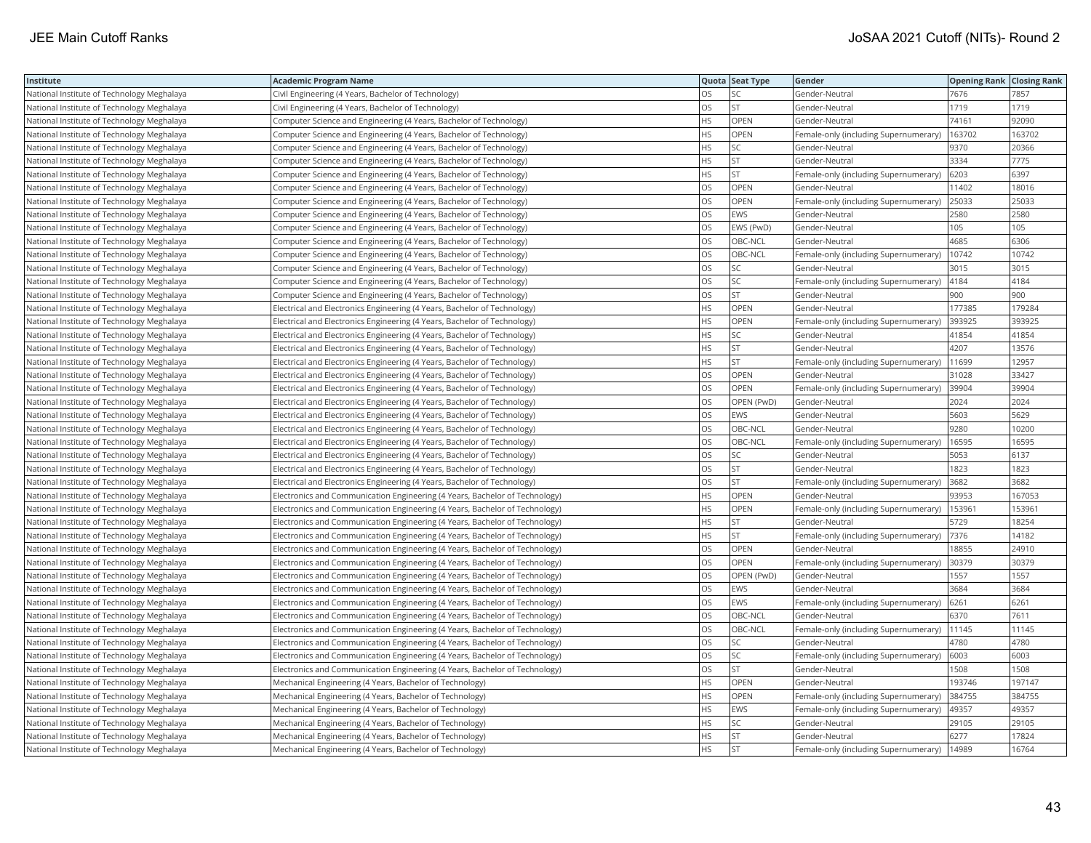| Institute                                  | <b>Academic Program Name</b>                                                |           | Quota Seat Type | Gender                                | <b>Opening Rank Closing Rank</b> |        |
|--------------------------------------------|-----------------------------------------------------------------------------|-----------|-----------------|---------------------------------------|----------------------------------|--------|
| National Institute of Technology Meghalaya | Civil Engineering (4 Years, Bachelor of Technology)                         | <b>OS</b> | SC.             | Gender-Neutral                        | 7676                             | 7857   |
| National Institute of Technology Meghalaya | Civil Engineering (4 Years, Bachelor of Technology)                         | OS        | <b>ST</b>       | Gender-Neutral                        | 1719                             | 1719   |
| National Institute of Technology Meghalaya | Computer Science and Engineering (4 Years, Bachelor of Technology)          | <b>HS</b> | OPEN            | Gender-Neutral                        | 74161                            | 92090  |
| National Institute of Technology Meghalaya | Computer Science and Engineering (4 Years, Bachelor of Technology)          | <b>HS</b> | OPEN            | Female-only (including Supernumerary) | 163702                           | 163702 |
| National Institute of Technology Meghalaya | Computer Science and Engineering (4 Years, Bachelor of Technology)          | <b>HS</b> | SC              | Gender-Neutral                        | 9370                             | 20366  |
| National Institute of Technology Meghalaya | Computer Science and Engineering (4 Years, Bachelor of Technology)          | <b>HS</b> | <b>ST</b>       | Gender-Neutral                        | 3334                             | 7775   |
| National Institute of Technology Meghalaya | Computer Science and Engineering (4 Years, Bachelor of Technology)          | <b>HS</b> | <b>ST</b>       | Female-only (including Supernumerary) | 6203                             | 6397   |
| National Institute of Technology Meghalaya | Computer Science and Engineering (4 Years, Bachelor of Technology)          | OS        | OPEN            | Gender-Neutral                        | 11402                            | 18016  |
| National Institute of Technology Meghalaya | Computer Science and Engineering (4 Years, Bachelor of Technology)          | OS        | OPEN            | Female-only (including Supernumerary) | 25033                            | 25033  |
| National Institute of Technology Meghalaya | Computer Science and Engineering (4 Years, Bachelor of Technology)          | los       | EWS             | Gender-Neutral                        | 2580                             | 2580   |
| National Institute of Technology Meghalaya | Computer Science and Engineering (4 Years, Bachelor of Technology)          | los       | EWS (PwD)       | Gender-Neutral                        | 105                              | 105    |
| National Institute of Technology Meghalaya | Computer Science and Engineering (4 Years, Bachelor of Technology)          | OS        | OBC-NCL         | Gender-Neutral                        | 4685                             | 6306   |
| National Institute of Technology Meghalaya | Computer Science and Engineering (4 Years, Bachelor of Technology)          | OS        | OBC-NCL         | Female-only (including Supernumerary) | 10742                            | 10742  |
| National Institute of Technology Meghalaya | Computer Science and Engineering (4 Years, Bachelor of Technology)          | <b>OS</b> | SC              | Gender-Neutral                        | 3015                             | 3015   |
| National Institute of Technology Meghalaya | Computer Science and Engineering (4 Years, Bachelor of Technology)          | OS        | SC              | Female-only (including Supernumerary) | 4184                             | 4184   |
| National Institute of Technology Meghalaya | Computer Science and Engineering (4 Years, Bachelor of Technology)          | OS        | <b>ST</b>       | Gender-Neutral                        | 900                              | 900    |
| National Institute of Technology Meghalaya | Electrical and Electronics Engineering (4 Years, Bachelor of Technology)    | <b>HS</b> | OPEN            | Gender-Neutral                        | 177385                           | 179284 |
| National Institute of Technology Meghalaya | Electrical and Electronics Engineering (4 Years, Bachelor of Technology)    | <b>HS</b> | OPEN            | Female-only (including Supernumerary) | 393925                           | 393925 |
| National Institute of Technology Meghalaya | Electrical and Electronics Engineering (4 Years, Bachelor of Technology)    | <b>HS</b> | SC              | Gender-Neutral                        | 41854                            | 41854  |
| National Institute of Technology Meghalaya | Electrical and Electronics Engineering (4 Years, Bachelor of Technology)    | <b>HS</b> | <b>ST</b>       | Gender-Neutral                        | 4207                             | 13576  |
| National Institute of Technology Meghalaya | Electrical and Electronics Engineering (4 Years, Bachelor of Technology)    | <b>HS</b> | <b>ST</b>       | Female-only (including Supernumerary) | 11699                            | 12957  |
| National Institute of Technology Meghalaya | Electrical and Electronics Engineering (4 Years, Bachelor of Technology)    | los       | OPEN            | Gender-Neutral                        | 31028                            | 33427  |
| National Institute of Technology Meghalaya | Electrical and Electronics Engineering (4 Years, Bachelor of Technology)    | OS        | OPEN            | Female-only (including Supernumerary) | 39904                            | 39904  |
| National Institute of Technology Meghalaya | Electrical and Electronics Engineering (4 Years, Bachelor of Technology)    | OS        | OPEN (PwD)      | Gender-Neutral                        | 2024                             | 2024   |
| National Institute of Technology Meghalaya | Electrical and Electronics Engineering (4 Years, Bachelor of Technology)    | los       | EWS             | Gender-Neutral                        | 5603                             | 5629   |
| National Institute of Technology Meghalaya | Electrical and Electronics Engineering (4 Years, Bachelor of Technology)    | <b>OS</b> | OBC-NCL         | Gender-Neutral                        | 9280                             | 10200  |
| National Institute of Technology Meghalaya | Electrical and Electronics Engineering (4 Years, Bachelor of Technology)    | <b>OS</b> | OBC-NCL         | Female-only (including Supernumerary) | 16595                            | 16595  |
| National Institute of Technology Meghalaya | Electrical and Electronics Engineering (4 Years, Bachelor of Technology)    | OS        | SC              | Gender-Neutral                        | 5053                             | 6137   |
| National Institute of Technology Meghalaya | Electrical and Electronics Engineering (4 Years, Bachelor of Technology)    | <b>OS</b> | <b>ST</b>       | Gender-Neutral                        | 1823                             | 1823   |
| National Institute of Technology Meghalaya | Electrical and Electronics Engineering (4 Years, Bachelor of Technology)    | OS        | <b>ST</b>       | Female-only (including Supernumerary) | 3682                             | 3682   |
| National Institute of Technology Meghalaya | Electronics and Communication Engineering (4 Years, Bachelor of Technology) | <b>HS</b> | OPEN            | Gender-Neutral                        | 93953                            | 167053 |
| National Institute of Technology Meghalaya | Electronics and Communication Engineering (4 Years, Bachelor of Technology) | <b>HS</b> | OPEN            | Female-only (including Supernumerary) | 153961                           | 153961 |
| National Institute of Technology Meghalaya | Electronics and Communication Engineering (4 Years, Bachelor of Technology) | <b>HS</b> | <b>ST</b>       | Gender-Neutral                        | 5729                             | 18254  |
| National Institute of Technology Meghalaya | Electronics and Communication Engineering (4 Years, Bachelor of Technology) | HS        | <b>ST</b>       | Female-only (including Supernumerary) | 7376                             | 14182  |
| National Institute of Technology Meghalaya | Electronics and Communication Engineering (4 Years, Bachelor of Technology) | <b>OS</b> | OPEN            | Gender-Neutral                        | 18855                            | 24910  |
| National Institute of Technology Meghalaya | Electronics and Communication Engineering (4 Years, Bachelor of Technology) | los       | OPEN            | Female-only (including Supernumerary) | 30379                            | 30379  |
| National Institute of Technology Meghalaya | Electronics and Communication Engineering (4 Years, Bachelor of Technology) | los       | OPEN (PwD)      | Gender-Neutral                        | 1557                             | 1557   |
| National Institute of Technology Meghalaya | Electronics and Communication Engineering (4 Years, Bachelor of Technology) | <b>OS</b> | EWS             | Gender-Neutral                        | 3684                             | 3684   |
| National Institute of Technology Meghalaya | Electronics and Communication Engineering (4 Years, Bachelor of Technology) | <b>OS</b> | EWS             | Female-only (including Supernumerary) | 6261                             | 6261   |
| National Institute of Technology Meghalaya | Electronics and Communication Engineering (4 Years, Bachelor of Technology) | los       | OBC-NCL         | Gender-Neutral                        | 6370                             | 7611   |
| National Institute of Technology Meghalaya | Electronics and Communication Engineering (4 Years, Bachelor of Technology) | OS        | OBC-NCL         | Female-only (including Supernumerary) | 11145                            | 11145  |
| National Institute of Technology Meghalaya | Electronics and Communication Engineering (4 Years, Bachelor of Technology) | OS        | SC              | Gender-Neutral                        | 4780                             | 4780   |
| National Institute of Technology Meghalaya | Electronics and Communication Engineering (4 Years, Bachelor of Technology) | OS        | SC              | Female-only (including Supernumerary) | 6003                             | 6003   |
| National Institute of Technology Meghalaya | Electronics and Communication Engineering (4 Years, Bachelor of Technology) | <b>OS</b> | <b>ST</b>       | Gender-Neutral                        | 1508                             | 1508   |
| National Institute of Technology Meghalaya | Mechanical Engineering (4 Years, Bachelor of Technology)                    | HS        | OPEN            | Gender-Neutral                        | 193746                           | 197147 |
| National Institute of Technology Meghalaya | Mechanical Engineering (4 Years, Bachelor of Technology)                    | <b>HS</b> | OPEN            | Female-only (including Supernumerary) | 384755                           | 384755 |
| National Institute of Technology Meghalaya | Mechanical Engineering (4 Years, Bachelor of Technology)                    | <b>HS</b> | EWS             | Female-only (including Supernumerary) | 49357                            | 49357  |
| National Institute of Technology Meghalaya | Mechanical Engineering (4 Years, Bachelor of Technology)                    | <b>HS</b> | SC              | Gender-Neutral                        | 29105                            | 29105  |
| National Institute of Technology Meghalaya | Mechanical Engineering (4 Years, Bachelor of Technology)                    | <b>HS</b> | <b>ST</b>       | Gender-Neutral                        | 6277                             | 17824  |
| National Institute of Technology Meghalaya | Mechanical Engineering (4 Years, Bachelor of Technology)                    | <b>HS</b> | <b>ST</b>       | Female-only (including Supernumerary) | 14989                            | 16764  |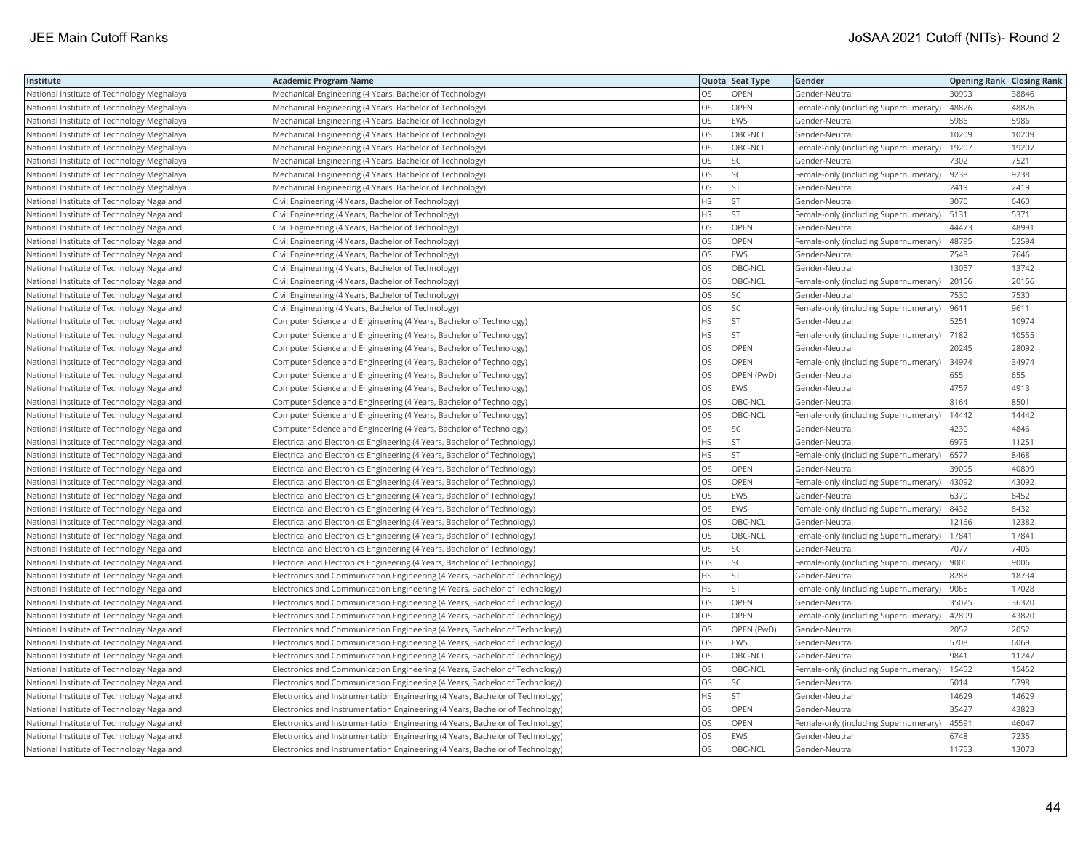| Institute                                  | <b>Academic Program Name</b>                                                  |           | Quota Seat Type | Gender                                |       | <b>Opening Rank Closing Rank</b> |
|--------------------------------------------|-------------------------------------------------------------------------------|-----------|-----------------|---------------------------------------|-------|----------------------------------|
| National Institute of Technology Meghalaya | Mechanical Engineering (4 Years, Bachelor of Technology)                      | OS        | OPEN            | Gender-Neutral                        | 30993 | 38846                            |
| National Institute of Technology Meghalaya | Mechanical Engineering (4 Years, Bachelor of Technology)                      | OS        | OPEN            | Female-only (including Supernumerary) | 48826 | 48826                            |
| National Institute of Technology Meghalaya | Mechanical Engineering (4 Years, Bachelor of Technology)                      | OS        | EWS             | Gender-Neutral                        | 5986  | 5986                             |
| National Institute of Technology Meghalaya | Mechanical Engineering (4 Years, Bachelor of Technology)                      | OS        | OBC-NCL         | Gender-Neutral                        | 10209 | 10209                            |
| National Institute of Technology Meghalaya | Mechanical Engineering (4 Years, Bachelor of Technology)                      | OS        | OBC-NCL         | Female-only (including Supernumerary) | 19207 | 19207                            |
| National Institute of Technology Meghalaya | Mechanical Engineering (4 Years, Bachelor of Technology)                      | <b>OS</b> | SC              | Gender-Neutral                        | 7302  | 7521                             |
| National Institute of Technology Meghalaya | Mechanical Engineering (4 Years, Bachelor of Technology)                      | OS        | SC              | Female-only (including Supernumerary) | 9238  | 9238                             |
| National Institute of Technology Meghalaya | Mechanical Engineering (4 Years, Bachelor of Technology)                      | OS.       | <b>ST</b>       | Gender-Neutral                        | 2419  | 2419                             |
| National Institute of Technology Nagaland  | Civil Engineering (4 Years, Bachelor of Technology)                           | HS        | <b>ST</b>       | Gender-Neutral                        | 3070  | 6460                             |
| National Institute of Technology Nagaland  | Civil Engineering (4 Years, Bachelor of Technology)                           | HS        | <b>ST</b>       | Female-only (including Supernumerary) | 5131  | 5371                             |
| National Institute of Technology Nagaland  | Civil Engineering (4 Years, Bachelor of Technology)                           | OS        | OPEN            | Gender-Neutral                        | 44473 | 48991                            |
| National Institute of Technology Nagaland  | Civil Engineering (4 Years, Bachelor of Technology)                           | OS        | OPEN            | Female-only (including Supernumerary) | 48795 | 52594                            |
| National Institute of Technology Nagaland  | Civil Engineering (4 Years, Bachelor of Technology)                           | OS        | EWS             | Gender-Neutral                        | 7543  | 7646                             |
| National Institute of Technology Nagaland  | Civil Engineering (4 Years, Bachelor of Technology)                           | OS        | OBC-NCL         | Gender-Neutral                        | 13057 | 13742                            |
| National Institute of Technology Nagaland  | Civil Engineering (4 Years, Bachelor of Technology)                           | OS        | OBC-NCL         | Female-only (including Supernumerary) | 20156 | 20156                            |
| National Institute of Technology Nagaland  | Civil Engineering (4 Years, Bachelor of Technology)                           | OS        | SC              | Gender-Neutral                        | 7530  | 7530                             |
| National Institute of Technology Nagaland  | Civil Engineering (4 Years, Bachelor of Technology)                           | OS        | SC              | Female-only (including Supernumerary) | 9611  | 9611                             |
| National Institute of Technology Nagaland  | Computer Science and Engineering (4 Years, Bachelor of Technology)            | HS        | ST              | Gender-Neutral                        | 5251  | 10974                            |
| National Institute of Technology Nagaland  | Computer Science and Engineering (4 Years, Bachelor of Technology)            | HS        | <b>ST</b>       | Female-only (including Supernumerary) | 7182  | 10555                            |
| National Institute of Technology Nagaland  | Computer Science and Engineering (4 Years, Bachelor of Technology)            | OS        | OPEN            | Gender-Neutral                        | 20245 | 28092                            |
| National Institute of Technology Nagaland  | Computer Science and Engineering (4 Years, Bachelor of Technology)            | <b>OS</b> | OPEN            | Female-only (including Supernumerary) | 34974 | 34974                            |
| National Institute of Technology Nagaland  | Computer Science and Engineering (4 Years, Bachelor of Technology)            | <b>OS</b> | OPEN (PwD)      | Gender-Neutral                        | 655   | 655                              |
| National Institute of Technology Nagaland  | Computer Science and Engineering (4 Years, Bachelor of Technology)            | OS.       | EWS             | Gender-Neutral                        | 4757  | 4913                             |
| National Institute of Technology Nagaland  | Computer Science and Engineering (4 Years, Bachelor of Technology)            | OS        | OBC-NCL         | Gender-Neutral                        | 8164  | 8501                             |
| National Institute of Technology Nagaland  | Computer Science and Engineering (4 Years, Bachelor of Technology)            | OS        | OBC-NCL         | Female-only (including Supernumerary) | 14442 | 14442                            |
| National Institute of Technology Nagaland  | Computer Science and Engineering (4 Years, Bachelor of Technology)            | OS        | SC              | Gender-Neutral                        | 4230  | 4846                             |
| National Institute of Technology Nagaland  | Electrical and Electronics Engineering (4 Years, Bachelor of Technology)      | HS        | <b>ST</b>       | Gender-Neutral                        | 6975  | 11251                            |
| National Institute of Technology Nagaland  | Electrical and Electronics Engineering (4 Years, Bachelor of Technology)      | HS        | <b>ST</b>       | Female-only (including Supernumerary) | 6577  | 8468                             |
| National Institute of Technology Nagaland  | Electrical and Electronics Engineering (4 Years, Bachelor of Technology)      | OS        | OPEN            | Gender-Neutral                        | 39095 | 40899                            |
| National Institute of Technology Nagaland  | Electrical and Electronics Engineering (4 Years, Bachelor of Technology)      | OS        | OPEN            | Female-only (including Supernumerary) | 43092 | 43092                            |
| National Institute of Technology Nagaland  | Electrical and Electronics Engineering (4 Years, Bachelor of Technology)      | OS        | EWS             | Gender-Neutral                        | 6370  | 6452                             |
| National Institute of Technology Nagaland  | Electrical and Electronics Engineering (4 Years, Bachelor of Technology)      | OS        | EWS             | Female-only (including Supernumerary) | 8432  | 8432                             |
| National Institute of Technology Nagaland  | Electrical and Electronics Engineering (4 Years, Bachelor of Technology)      | OS        | OBC-NCL         | Gender-Neutral                        | 12166 | 12382                            |
| National Institute of Technology Nagaland  | Electrical and Electronics Engineering (4 Years, Bachelor of Technology)      | OS        | OBC-NCL         | Female-only (including Supernumerary) | 17841 | 17841                            |
| National Institute of Technology Nagaland  | Electrical and Electronics Engineering (4 Years, Bachelor of Technology)      | OS        | SC              | Gender-Neutral                        | 7077  | 7406                             |
| National Institute of Technology Nagaland  | Electrical and Electronics Engineering (4 Years, Bachelor of Technology)      | OS        | SC              | Female-only (including Supernumerary) | 9006  | 9006                             |
| National Institute of Technology Nagaland  | Electronics and Communication Engineering (4 Years, Bachelor of Technology)   | HS.       | <b>ST</b>       | Gender-Neutral                        | 8288  | 18734                            |
| National Institute of Technology Nagaland  | Electronics and Communication Engineering (4 Years, Bachelor of Technology)   | HS        | <b>ST</b>       | Female-only (including Supernumerary) | 9065  | 17028                            |
| National Institute of Technology Nagaland  | Electronics and Communication Engineering (4 Years, Bachelor of Technology)   | OS        | OPEN            | Gender-Neutral                        | 35025 | 36320                            |
| National Institute of Technology Nagaland  | Electronics and Communication Engineering (4 Years, Bachelor of Technology)   | OS        | OPEN            | Female-only (including Supernumerary) | 42899 | 43820                            |
| National Institute of Technology Nagaland  | Electronics and Communication Engineering (4 Years, Bachelor of Technology)   | OS        | OPEN (PwD)      | Gender-Neutral                        | 2052  | 2052                             |
| National Institute of Technology Nagaland  | Electronics and Communication Engineering (4 Years, Bachelor of Technology)   | OS        | EWS             | Gender-Neutral                        | 5708  | 6069                             |
| National Institute of Technology Nagaland  | Electronics and Communication Engineering (4 Years, Bachelor of Technology)   | OS        | OBC-NCL         | Gender-Neutral                        | 9841  | 11247                            |
| National Institute of Technology Nagaland  | Electronics and Communication Engineering (4 Years, Bachelor of Technology)   | OS        | OBC-NCL         | Female-only (including Supernumerary) | 15452 | 15452                            |
| National Institute of Technology Nagaland  | Electronics and Communication Engineering (4 Years, Bachelor of Technology)   | OS        | SC              | Gender-Neutral                        | 5014  | 5798                             |
| National Institute of Technology Nagaland  | Electronics and Instrumentation Engineering (4 Years, Bachelor of Technology) | <b>HS</b> | <b>ST</b>       | Gender-Neutral                        | 14629 | 14629                            |
| National Institute of Technology Nagaland  | Electronics and Instrumentation Engineering (4 Years, Bachelor of Technology) | OS        | OPEN            | Gender-Neutral                        | 35427 | 43823                            |
| National Institute of Technology Nagaland  | Electronics and Instrumentation Engineering (4 Years, Bachelor of Technology) | OS        | OPEN            | Female-only (including Supernumerary) | 45591 | 46047                            |
| National Institute of Technology Nagaland  | Electronics and Instrumentation Engineering (4 Years, Bachelor of Technology) | OS        | EWS             | Gender-Neutral                        | 6748  | 7235                             |
| National Institute of Technology Nagaland  | Electronics and Instrumentation Engineering (4 Years, Bachelor of Technology) | <b>OS</b> | OBC-NCL         | Gender-Neutral                        | 11753 | 13073                            |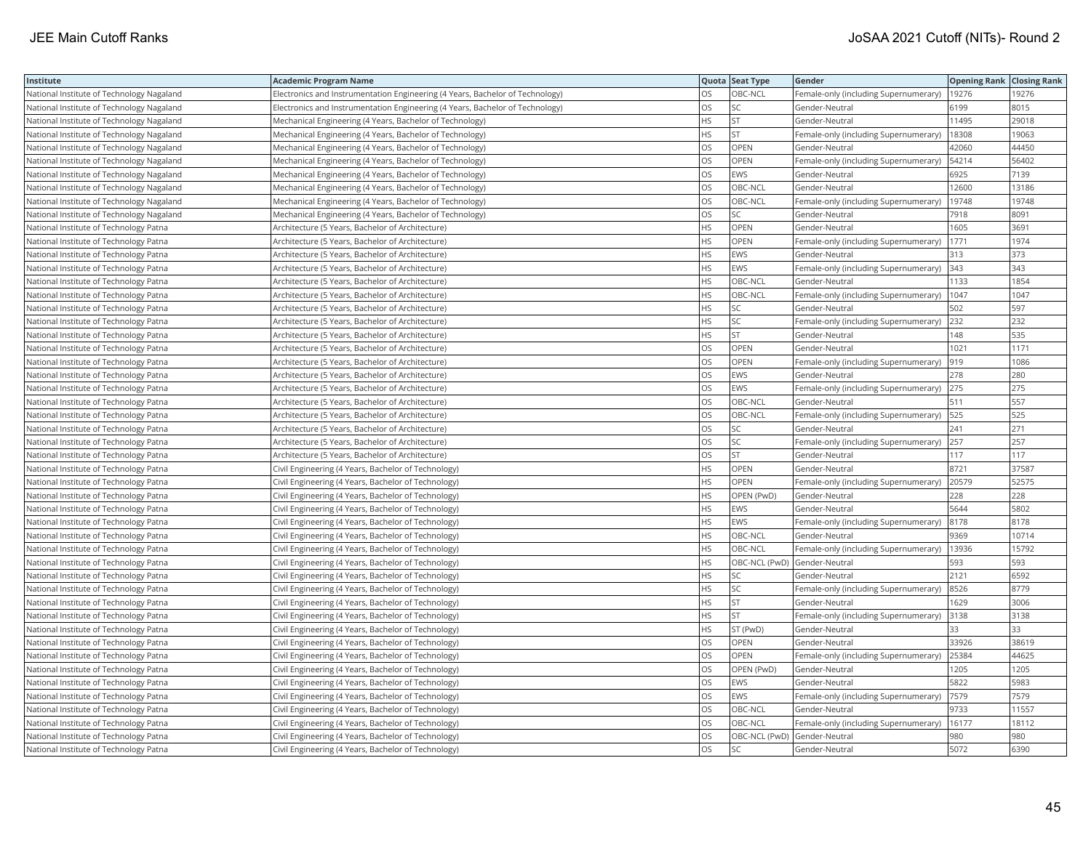| Institute                                 | <b>Academic Program Name</b>                                                  |           | Quota Seat Type | Gender                                |       | <b>Opening Rank Closing Rank</b> |
|-------------------------------------------|-------------------------------------------------------------------------------|-----------|-----------------|---------------------------------------|-------|----------------------------------|
| National Institute of Technology Nagaland | Electronics and Instrumentation Engineering (4 Years, Bachelor of Technology) | <b>OS</b> | OBC-NCL         | Female-only (including Supernumerary) | 19276 | 19276                            |
| National Institute of Technology Nagaland | Electronics and Instrumentation Engineering (4 Years, Bachelor of Technology) | OS        | SC              | Gender-Neutral                        | 6199  | 8015                             |
| National Institute of Technology Nagaland | Mechanical Engineering (4 Years, Bachelor of Technology)                      | <b>HS</b> | <b>ST</b>       | Gender-Neutral                        | 11495 | 29018                            |
| National Institute of Technology Nagaland | Mechanical Engineering (4 Years, Bachelor of Technology)                      | <b>HS</b> | <b>ST</b>       | Female-only (including Supernumerary) | 18308 | 19063                            |
| National Institute of Technology Nagaland | Mechanical Engineering (4 Years, Bachelor of Technology)                      | OS        | OPEN            | Gender-Neutral                        | 42060 | 44450                            |
| National Institute of Technology Nagaland | Mechanical Engineering (4 Years, Bachelor of Technology)                      | OS        | OPEN            | Female-only (including Supernumerary) | 54214 | 56402                            |
| National Institute of Technology Nagaland | Mechanical Engineering (4 Years, Bachelor of Technology)                      | los       | <b>EWS</b>      | Gender-Neutral                        | 6925  | 7139                             |
| National Institute of Technology Nagaland | Mechanical Engineering (4 Years, Bachelor of Technology)                      | OS        | OBC-NCL         | Gender-Neutral                        | 12600 | 13186                            |
| National Institute of Technology Nagaland | Mechanical Engineering (4 Years, Bachelor of Technology)                      | OS        | OBC-NCL         | Female-only (including Supernumerary) | 19748 | 19748                            |
| National Institute of Technology Nagaland | Mechanical Engineering (4 Years, Bachelor of Technology)                      | los       | SC              | Gender-Neutral                        | 7918  | 8091                             |
| National Institute of Technology Patna    | Architecture (5 Years, Bachelor of Architecture)                              | <b>HS</b> | OPEN            | Gender-Neutral                        | 1605  | 3691                             |
| National Institute of Technology Patna    | Architecture (5 Years, Bachelor of Architecture)                              | <b>HS</b> | OPEN            | Female-only (including Supernumerary) | 1771  | 1974                             |
| National Institute of Technology Patna    | Architecture (5 Years, Bachelor of Architecture)                              | HS        | EWS             | Gender-Neutral                        | 313   | 373                              |
| National Institute of Technology Patna    | Architecture (5 Years, Bachelor of Architecture)                              | <b>HS</b> | <b>EWS</b>      | Female-only (including Supernumerary) | 343   | 343                              |
| National Institute of Technology Patna    | Architecture (5 Years, Bachelor of Architecture)                              | HS        | OBC-NCL         | Gender-Neutral                        | 1133  | 1854                             |
| National Institute of Technology Patna    | Architecture (5 Years, Bachelor of Architecture)                              | <b>HS</b> | OBC-NCL         | Female-only (including Supernumerary) | 1047  | 1047                             |
| National Institute of Technology Patna    | Architecture (5 Years, Bachelor of Architecture)                              | <b>HS</b> | SC              | Gender-Neutral                        | 502   | 597                              |
| National Institute of Technology Patna    | Architecture (5 Years, Bachelor of Architecture)                              | <b>HS</b> | SC              | Female-only (including Supernumerary) | 232   | 232                              |
| National Institute of Technology Patna    | Architecture (5 Years, Bachelor of Architecture)                              | <b>HS</b> | <b>ST</b>       | Gender-Neutral                        | 148   | 535                              |
| National Institute of Technology Patna    | Architecture (5 Years, Bachelor of Architecture)                              | OS        | OPEN            | Gender-Neutral                        | 1021  | 1171                             |
| National Institute of Technology Patna    | Architecture (5 Years, Bachelor of Architecture)                              | <b>OS</b> | OPEN            | Female-only (including Supernumerary) | 919   | 1086                             |
| National Institute of Technology Patna    | Architecture (5 Years, Bachelor of Architecture)                              | los       | EWS             | Gender-Neutral                        | 278   | 280                              |
| National Institute of Technology Patna    | Architecture (5 Years, Bachelor of Architecture)                              | OS        | EWS             | Female-only (including Supernumerary) | 275   | 275                              |
| National Institute of Technology Patna    | Architecture (5 Years, Bachelor of Architecture)                              | OS        | OBC-NCL         | Gender-Neutral                        | 511   | 557                              |
| National Institute of Technology Patna    | Architecture (5 Years, Bachelor of Architecture)                              | los       | OBC-NCL         | Female-only (including Supernumerary) | 525   | 525                              |
| National Institute of Technology Patna    | Architecture (5 Years, Bachelor of Architecture)                              | OS        | SC              | Gender-Neutral                        | 241   | 271                              |
| National Institute of Technology Patna    | Architecture (5 Years, Bachelor of Architecture)                              | OS        | SC              | Female-only (including Supernumerary) | 257   | 257                              |
| National Institute of Technology Patna    | Architecture (5 Years, Bachelor of Architecture)                              | OS        | <b>ST</b>       | Gender-Neutral                        | 117   | 117                              |
| National Institute of Technology Patna    | Civil Engineering (4 Years, Bachelor of Technology)                           | <b>HS</b> | OPEN            | Gender-Neutral                        | 8721  | 37587                            |
| National Institute of Technology Patna    | Civil Engineering (4 Years, Bachelor of Technology)                           | HS        | OPEN            | Female-only (including Supernumerary) | 20579 | 52575                            |
| National Institute of Technology Patna    | Civil Engineering (4 Years, Bachelor of Technology)                           | <b>HS</b> | OPEN (PwD)      | Gender-Neutral                        | 228   | 228                              |
| National Institute of Technology Patna    | Civil Engineering (4 Years, Bachelor of Technology)                           | <b>HS</b> | EWS             | Gender-Neutral                        | 5644  | 5802                             |
| National Institute of Technology Patna    | Civil Engineering (4 Years, Bachelor of Technology)                           | <b>HS</b> | EWS             | Female-only (including Supernumerary) | 8178  | 8178                             |
| National Institute of Technology Patna    | Civil Engineering (4 Years, Bachelor of Technology)                           | HS        | OBC-NCL         | Gender-Neutral                        | 9369  | 10714                            |
| National Institute of Technology Patna    | Civil Engineering (4 Years, Bachelor of Technology)                           | <b>HS</b> | OBC-NCL         | Female-only (including Supernumerary) | 13936 | 15792                            |
| National Institute of Technology Patna    | Civil Engineering (4 Years, Bachelor of Technology)                           | <b>HS</b> |                 | OBC-NCL (PwD) Gender-Neutral          | 593   | 593                              |
| National Institute of Technology Patna    | Civil Engineering (4 Years, Bachelor of Technology)                           | <b>HS</b> | SC              | Gender-Neutral                        | 2121  | 6592                             |
| National Institute of Technology Patna    | Civil Engineering (4 Years, Bachelor of Technology)                           | <b>HS</b> | SC              | Female-only (including Supernumerary) | 8526  | 8779                             |
| National Institute of Technology Patna    | Civil Engineering (4 Years, Bachelor of Technology)                           | <b>HS</b> | ST              | Gender-Neutral                        | 1629  | 3006                             |
| National Institute of Technology Patna    | Civil Engineering (4 Years, Bachelor of Technology)                           | <b>HS</b> | <b>ST</b>       | Female-only (including Supernumerary) | 3138  | 3138                             |
| National Institute of Technology Patna    | Civil Engineering (4 Years, Bachelor of Technology)                           | <b>HS</b> | ST (PwD)        | Gender-Neutral                        | 33    | 33                               |
| National Institute of Technology Patna    | Civil Engineering (4 Years, Bachelor of Technology)                           | <b>OS</b> | OPEN            | Gender-Neutral                        | 33926 | 38619                            |
| National Institute of Technology Patna    | Civil Engineering (4 Years, Bachelor of Technology)                           | OS        | OPEN            | Female-only (including Supernumerary) | 25384 | 44625                            |
| National Institute of Technology Patna    | Civil Engineering (4 Years, Bachelor of Technology)                           | <b>OS</b> | OPEN (PwD)      | Gender-Neutral                        | 1205  | 1205                             |
| National Institute of Technology Patna    | Civil Engineering (4 Years, Bachelor of Technology)                           | OS        | EWS             | Gender-Neutral                        | 5822  | 5983                             |
| National Institute of Technology Patna    | Civil Engineering (4 Years, Bachelor of Technology)                           | <b>OS</b> | EWS             | Female-only (including Supernumerary) | 7579  | 7579                             |
| National Institute of Technology Patna    | Civil Engineering (4 Years, Bachelor of Technology)                           | OS        | OBC-NCL         | Gender-Neutral                        | 9733  | 11557                            |
| National Institute of Technology Patna    | Civil Engineering (4 Years, Bachelor of Technology)                           | OS        | OBC-NCL         | Female-only (including Supernumerary) | 16177 | 18112                            |
| National Institute of Technology Patna    | Civil Engineering (4 Years, Bachelor of Technology)                           | OS        | OBC-NCL (PwD)   | Gender-Neutral                        | 980   | 980                              |
| National Institute of Technology Patna    | Civil Engineering (4 Years, Bachelor of Technology)                           | <b>OS</b> | SC              | Gender-Neutral                        | 5072  | 6390                             |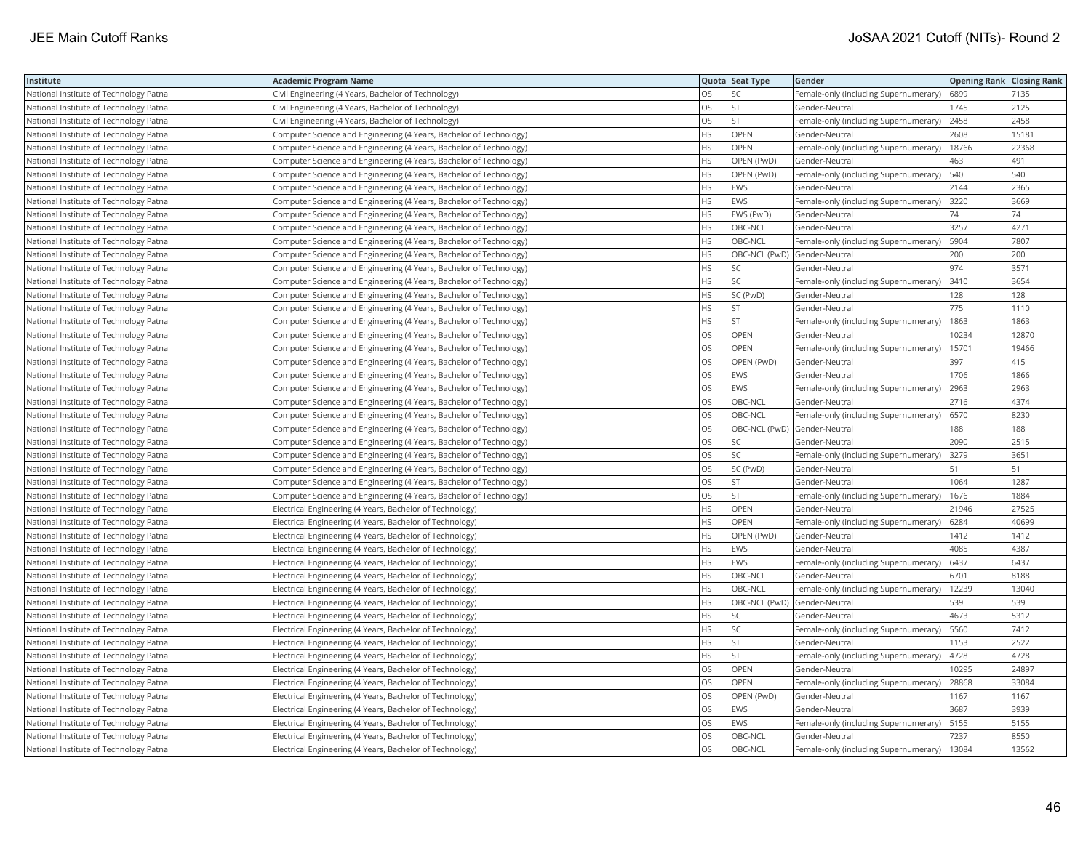| Institute                              | <b>Academic Program Name</b>                                       |           | Quota Seat Type | Gender                                | <b>Opening Rank Closing Rank</b> |       |
|----------------------------------------|--------------------------------------------------------------------|-----------|-----------------|---------------------------------------|----------------------------------|-------|
| National Institute of Technology Patna | Civil Engineering (4 Years, Bachelor of Technology)                | OS.       | SC              | Female-only (including Supernumerary) | 6899                             | 7135  |
| National Institute of Technology Patna | Civil Engineering (4 Years, Bachelor of Technology)                | OS        | <b>ST</b>       | Gender-Neutral                        | 1745                             | 2125  |
| National Institute of Technology Patna | Civil Engineering (4 Years, Bachelor of Technology)                | OS        | ST              | Female-only (including Supernumerary) | 2458                             | 2458  |
| National Institute of Technology Patna | Computer Science and Engineering (4 Years, Bachelor of Technology) | <b>HS</b> | OPEN            | Gender-Neutral                        | 2608                             | 15181 |
| National Institute of Technology Patna | Computer Science and Engineering (4 Years, Bachelor of Technology) | <b>HS</b> | OPEN            | Female-only (including Supernumerary) | 18766                            | 22368 |
| National Institute of Technology Patna | Computer Science and Engineering (4 Years, Bachelor of Technology) | <b>HS</b> | OPEN (PwD)      | Gender-Neutral                        | 463                              | 491   |
| National Institute of Technology Patna | Computer Science and Engineering (4 Years, Bachelor of Technology) | <b>HS</b> | OPEN (PwD)      | Female-only (including Supernumerary) | 540                              | 540   |
| National Institute of Technology Patna | Computer Science and Engineering (4 Years, Bachelor of Technology) | HS        | EWS             | Gender-Neutral                        | 2144                             | 2365  |
| National Institute of Technology Patna | Computer Science and Engineering (4 Years, Bachelor of Technology) | HS        | <b>EWS</b>      | Female-only (including Supernumerary) | 3220                             | 3669  |
| National Institute of Technology Patna | Computer Science and Engineering (4 Years, Bachelor of Technology) | <b>HS</b> | EWS (PwD)       | Gender-Neutral                        | 74                               | 74    |
| National Institute of Technology Patna | Computer Science and Engineering (4 Years, Bachelor of Technology) | HS        | OBC-NCL         | Gender-Neutral                        | 3257                             | 4271  |
| National Institute of Technology Patna | Computer Science and Engineering (4 Years, Bachelor of Technology) | <b>HS</b> | OBC-NCL         | Female-only (including Supernumerary) | 5904                             | 7807  |
| National Institute of Technology Patna | Computer Science and Engineering (4 Years, Bachelor of Technology) | HS        |                 | OBC-NCL (PwD) Gender-Neutral          | 200                              | 200   |
| National Institute of Technology Patna | Computer Science and Engineering (4 Years, Bachelor of Technology) | <b>HS</b> | SC              | Gender-Neutral                        | 974                              | 3571  |
| National Institute of Technology Patna | Computer Science and Engineering (4 Years, Bachelor of Technology) | HS        | SC              | Female-only (including Supernumerary) | 3410                             | 3654  |
| National Institute of Technology Patna | Computer Science and Engineering (4 Years, Bachelor of Technology) | <b>HS</b> | SC (PwD)        | Gender-Neutral                        | 128                              | 128   |
| National Institute of Technology Patna | Computer Science and Engineering (4 Years, Bachelor of Technology) | HS        | ST              | Gender-Neutral                        | 775                              | 1110  |
| National Institute of Technology Patna | Computer Science and Engineering (4 Years, Bachelor of Technology) | <b>HS</b> | ST              | Female-only (including Supernumerary) | 1863                             | 1863  |
| National Institute of Technology Patna | Computer Science and Engineering (4 Years, Bachelor of Technology) | OS        | OPEN            | Gender-Neutral                        | 10234                            | 12870 |
| National Institute of Technology Patna | Computer Science and Engineering (4 Years, Bachelor of Technology) | OS        | OPEN            | Female-only (including Supernumerary) | 15701                            | 19466 |
| National Institute of Technology Patna | Computer Science and Engineering (4 Years, Bachelor of Technology) | OS        | OPEN (PwD)      | Gender-Neutral                        | 397                              | 415   |
| National Institute of Technology Patna | Computer Science and Engineering (4 Years, Bachelor of Technology) | <b>OS</b> | EWS             | Gender-Neutral                        | 1706                             | 1866  |
| National Institute of Technology Patna | Computer Science and Engineering (4 Years, Bachelor of Technology) | OS        | EWS             | Female-only (including Supernumerary) | 2963                             | 2963  |
| National Institute of Technology Patna | Computer Science and Engineering (4 Years, Bachelor of Technology) | OS        | OBC-NCL         | Gender-Neutral                        | 2716                             | 4374  |
| National Institute of Technology Patna | Computer Science and Engineering (4 Years, Bachelor of Technology) | OS        | OBC-NCL         | Female-only (including Supernumerary) | 6570                             | 8230  |
| National Institute of Technology Patna | Computer Science and Engineering (4 Years, Bachelor of Technology) | OS        |                 | OBC-NCL (PwD) Gender-Neutral          | 188                              | 188   |
| National Institute of Technology Patna | Computer Science and Engineering (4 Years, Bachelor of Technology) | OS        | SC              | Gender-Neutral                        | 2090                             | 2515  |
| National Institute of Technology Patna | Computer Science and Engineering (4 Years, Bachelor of Technology) | OS        | SC              | Female-only (including Supernumerary) | 3279                             | 3651  |
| National Institute of Technology Patna | Computer Science and Engineering (4 Years, Bachelor of Technology) | <b>OS</b> | SC (PwD)        | Gender-Neutral                        | 51                               | 51    |
| National Institute of Technology Patna | Computer Science and Engineering (4 Years, Bachelor of Technology) | OS        | <b>ST</b>       | Gender-Neutral                        | 1064                             | 1287  |
| National Institute of Technology Patna | Computer Science and Engineering (4 Years, Bachelor of Technology) | OS        | <b>ST</b>       | Female-only (including Supernumerary) | 1676                             | 1884  |
| National Institute of Technology Patna | Electrical Engineering (4 Years, Bachelor of Technology)           | HS        | OPEN            | Gender-Neutral                        | 21946                            | 27525 |
| National Institute of Technology Patna | Electrical Engineering (4 Years, Bachelor of Technology)           | <b>HS</b> | OPEN            | Female-only (including Supernumerary) | 6284                             | 40699 |
| National Institute of Technology Patna | Electrical Engineering (4 Years, Bachelor of Technology)           | HS        | OPEN (PwD)      | Gender-Neutral                        | 1412                             | 1412  |
| National Institute of Technology Patna | Electrical Engineering (4 Years, Bachelor of Technology)           | HS        | EWS             | Gender-Neutral                        | 4085                             | 4387  |
| National Institute of Technology Patna | Electrical Engineering (4 Years, Bachelor of Technology)           | <b>HS</b> | EWS             | Female-only (including Supernumerary) | 6437                             | 6437  |
| National Institute of Technology Patna | Electrical Engineering (4 Years, Bachelor of Technology)           | <b>HS</b> | OBC-NCL         | Gender-Neutral                        | 6701                             | 8188  |
| National Institute of Technology Patna | Electrical Engineering (4 Years, Bachelor of Technology)           | <b>HS</b> | OBC-NCL         | Female-only (including Supernumerary) | 12239                            | 13040 |
| National Institute of Technology Patna | Electrical Engineering (4 Years, Bachelor of Technology)           | HS        |                 | OBC-NCL (PwD) Gender-Neutral          | 539                              | 539   |
| National Institute of Technology Patna | Electrical Engineering (4 Years, Bachelor of Technology)           | <b>HS</b> | <b>SC</b>       | Gender-Neutral                        | 4673                             | 5312  |
| National Institute of Technology Patna | Electrical Engineering (4 Years, Bachelor of Technology)           | HS        | SC              | Female-only (including Supernumerary) | 5560                             | 7412  |
| National Institute of Technology Patna | Electrical Engineering (4 Years, Bachelor of Technology)           | HS        | ST              | Gender-Neutral                        | 1153                             | 2522  |
| National Institute of Technology Patna | Electrical Engineering (4 Years, Bachelor of Technology)           | HS.       | <b>ST</b>       | Female-only (including Supernumerary) | 4728                             | 4728  |
| National Institute of Technology Patna | Electrical Engineering (4 Years, Bachelor of Technology)           | <b>OS</b> | <b>OPEN</b>     | Gender-Neutral                        | 10295                            | 24897 |
| National Institute of Technology Patna | Electrical Engineering (4 Years, Bachelor of Technology)           | OS        | OPEN            | Female-only (including Supernumerary) | 28868                            | 33084 |
| National Institute of Technology Patna | Electrical Engineering (4 Years, Bachelor of Technology)           | <b>OS</b> | OPEN (PwD)      | Gender-Neutral                        | 1167                             | 1167  |
| National Institute of Technology Patna | Electrical Engineering (4 Years, Bachelor of Technology)           | OS        | EWS             | Gender-Neutral                        | 3687                             | 3939  |
| National Institute of Technology Patna | Electrical Engineering (4 Years, Bachelor of Technology)           | OS        | <b>EWS</b>      | Female-only (including Supernumerary) | 5155                             | 5155  |
| National Institute of Technology Patna | Electrical Engineering (4 Years, Bachelor of Technology)           | OS        | OBC-NCL         | Gender-Neutral                        | 7237                             | 8550  |
| National Institute of Technology Patna | Electrical Engineering (4 Years, Bachelor of Technology)           | <b>OS</b> | OBC-NCL         | Female-only (including Supernumerary) | 13084                            | 13562 |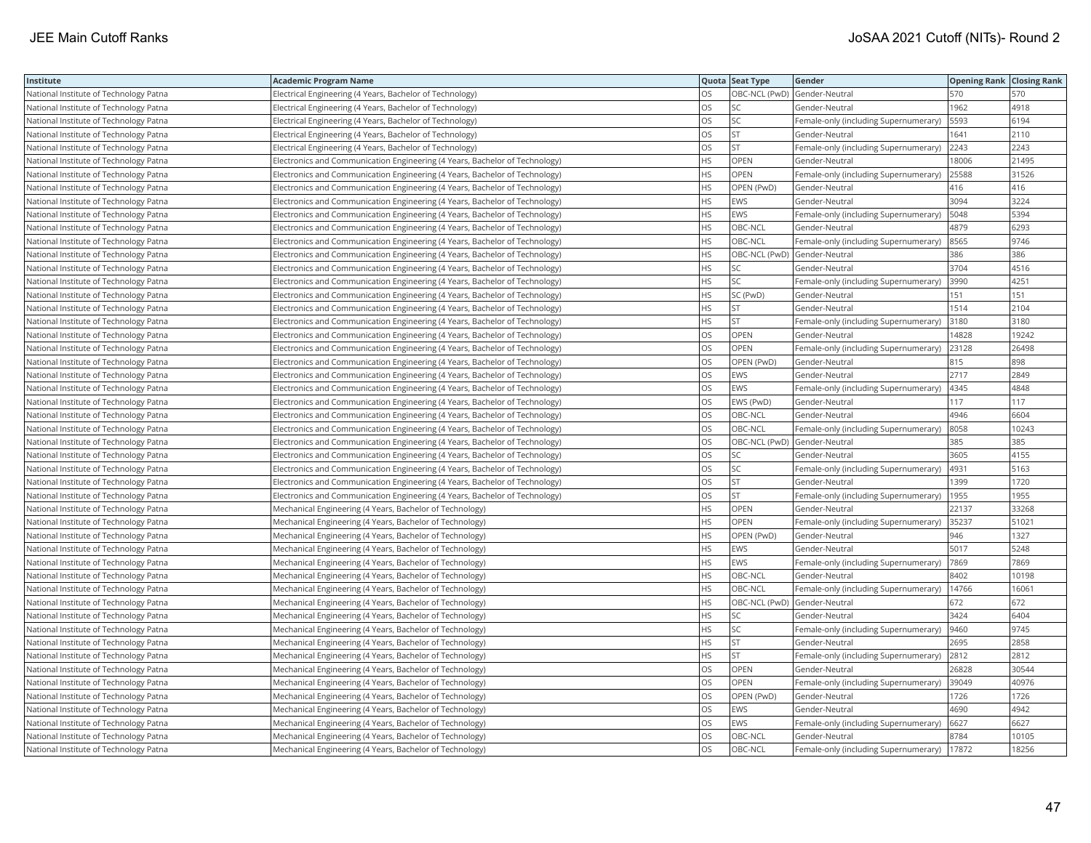| Institute                              | <b>Academic Program Name</b>                                                |           | Quota Seat Type | Gender                                | <b>Opening Rank Closing Rank</b> |       |
|----------------------------------------|-----------------------------------------------------------------------------|-----------|-----------------|---------------------------------------|----------------------------------|-------|
| National Institute of Technology Patna | Electrical Engineering (4 Years, Bachelor of Technology)                    | OS.       |                 | OBC-NCL (PwD) Gender-Neutral          | 570                              | 570   |
| National Institute of Technology Patna | Electrical Engineering (4 Years, Bachelor of Technology)                    | OS        |                 | Gender-Neutral                        | 1962                             | 4918  |
| National Institute of Technology Patna | Electrical Engineering (4 Years, Bachelor of Technology)                    | OS        | SC              | Female-only (including Supernumerary) | 5593                             | 6194  |
| National Institute of Technology Patna | Electrical Engineering (4 Years, Bachelor of Technology)                    | OS        | ST              | Gender-Neutral                        | 1641                             | 2110  |
| National Institute of Technology Patna | Electrical Engineering (4 Years, Bachelor of Technology)                    | OS        | <b>ST</b>       | Female-only (including Supernumerary) | 2243                             | 2243  |
| National Institute of Technology Patna | Electronics and Communication Engineering (4 Years, Bachelor of Technology) | <b>HS</b> | OPEN            | Gender-Neutral                        | 18006                            | 21495 |
| National Institute of Technology Patna | Electronics and Communication Engineering (4 Years, Bachelor of Technology) | <b>HS</b> | <b>OPEN</b>     | Female-only (including Supernumerary) | 25588                            | 31526 |
| National Institute of Technology Patna | Electronics and Communication Engineering (4 Years, Bachelor of Technology) | <b>HS</b> | OPEN (PwD)      | Gender-Neutral                        | 416                              | 416   |
| National Institute of Technology Patna | Electronics and Communication Engineering (4 Years, Bachelor of Technology) | <b>HS</b> | EWS             | Gender-Neutral                        | 3094                             | 3224  |
| National Institute of Technology Patna | Electronics and Communication Engineering (4 Years, Bachelor of Technology) | <b>HS</b> | EWS             | Female-only (including Supernumerary) | 5048                             | 5394  |
| National Institute of Technology Patna | Electronics and Communication Engineering (4 Years, Bachelor of Technology) | <b>HS</b> | OBC-NCL         | Gender-Neutral                        | 4879                             | 6293  |
| National Institute of Technology Patna | Electronics and Communication Engineering (4 Years, Bachelor of Technology) | <b>HS</b> | OBC-NCL         | Female-only (including Supernumerary) | 8565                             | 9746  |
| National Institute of Technology Patna | Electronics and Communication Engineering (4 Years, Bachelor of Technology) | HS        |                 | OBC-NCL (PwD) Gender-Neutral          | 386                              | 386   |
| National Institute of Technology Patna | Electronics and Communication Engineering (4 Years, Bachelor of Technology) | <b>HS</b> | SC              | Gender-Neutral                        | 3704                             | 4516  |
| National Institute of Technology Patna | Electronics and Communication Engineering (4 Years, Bachelor of Technology) | <b>HS</b> | <b>SC</b>       | Female-only (including Supernumerary) | 3990                             | 4251  |
| National Institute of Technology Patna | Electronics and Communication Engineering (4 Years, Bachelor of Technology) | HS        | SC (PwD)        | Gender-Neutral                        | 151                              | 151   |
| National Institute of Technology Patna | Electronics and Communication Engineering (4 Years, Bachelor of Technology) | <b>HS</b> | <b>ST</b>       | Gender-Neutral                        | 1514                             | 2104  |
| National Institute of Technology Patna | Electronics and Communication Engineering (4 Years, Bachelor of Technology) | <b>HS</b> | <b>ST</b>       | Female-only (including Supernumerary) | 3180                             | 3180  |
| National Institute of Technology Patna | Electronics and Communication Engineering (4 Years, Bachelor of Technology) | OS        | OPEN            | Gender-Neutral                        | 14828                            | 19242 |
| National Institute of Technology Patna | Electronics and Communication Engineering (4 Years, Bachelor of Technology) | OS        | OPEN            | Female-only (including Supernumerary) | 23128                            | 26498 |
| National Institute of Technology Patna | Electronics and Communication Engineering (4 Years, Bachelor of Technology) | <b>OS</b> | OPEN (PwD)      | Gender-Neutral                        | 815                              | 898   |
| National Institute of Technology Patna | Electronics and Communication Engineering (4 Years, Bachelor of Technology) | <b>OS</b> | EWS             | Gender-Neutral                        | 2717                             | 2849  |
| National Institute of Technology Patna | Electronics and Communication Engineering (4 Years, Bachelor of Technology) | <b>OS</b> | <b>EWS</b>      | Female-only (including Supernumerary) | 4345                             | 4848  |
| National Institute of Technology Patna | Electronics and Communication Engineering (4 Years, Bachelor of Technology) | OS        | EWS (PwD)       | Gender-Neutral                        | 117                              | 117   |
| National Institute of Technology Patna | Electronics and Communication Engineering (4 Years, Bachelor of Technology) | OS        | OBC-NCL         | Gender-Neutral                        | 4946                             | 6604  |
| National Institute of Technology Patna | Electronics and Communication Engineering (4 Years, Bachelor of Technology) | los       | OBC-NCL         | Female-only (including Supernumerary) | 8058                             | 10243 |
| National Institute of Technology Patna | Electronics and Communication Engineering (4 Years, Bachelor of Technology) | OS        |                 | OBC-NCL (PwD) Gender-Neutral          | 385                              | 385   |
| National Institute of Technology Patna | Electronics and Communication Engineering (4 Years, Bachelor of Technology) | OS        | SC              | Gender-Neutral                        | 3605                             | 4155  |
| National Institute of Technology Patna | Electronics and Communication Engineering (4 Years, Bachelor of Technology) | OS        | SC              | Female-only (including Supernumerary) | 4931                             | 5163  |
| National Institute of Technology Patna | Electronics and Communication Engineering (4 Years, Bachelor of Technology) | <b>OS</b> | <b>ST</b>       | Gender-Neutral                        | 1399                             | 1720  |
| National Institute of Technology Patna | Electronics and Communication Engineering (4 Years, Bachelor of Technology) | OS        | <b>ST</b>       | Female-only (including Supernumerary) | 1955                             | 1955  |
| National Institute of Technology Patna | Mechanical Engineering (4 Years, Bachelor of Technology)                    | HS        | OPEN            | Gender-Neutral                        | 22137                            | 33268 |
| National Institute of Technology Patna | Mechanical Engineering (4 Years, Bachelor of Technology)                    | <b>HS</b> | OPEN            | Female-only (including Supernumerary) | 35237                            | 51021 |
| National Institute of Technology Patna | Mechanical Engineering (4 Years, Bachelor of Technology)                    | <b>HS</b> | OPEN (PwD)      | Gender-Neutral                        | 946                              | 1327  |
| National Institute of Technology Patna | Mechanical Engineering (4 Years, Bachelor of Technology)                    | <b>HS</b> | EWS             | Gender-Neutral                        | 5017                             | 5248  |
| National Institute of Technology Patna | Mechanical Engineering (4 Years, Bachelor of Technology)                    | <b>HS</b> | EWS             | Female-only (including Supernumerary) | 7869                             | 7869  |
| National Institute of Technology Patna | Mechanical Engineering (4 Years, Bachelor of Technology)                    | <b>HS</b> | OBC-NCL         | Gender-Neutral                        | 8402                             | 10198 |
| National Institute of Technology Patna | Mechanical Engineering (4 Years, Bachelor of Technology)                    | <b>HS</b> | OBC-NCL         | Female-only (including Supernumerary) | 14766                            | 16061 |
| National Institute of Technology Patna | Mechanical Engineering (4 Years, Bachelor of Technology)                    | <b>HS</b> |                 | OBC-NCL (PwD) Gender-Neutral          | 672                              | 672   |
| National Institute of Technology Patna | Mechanical Engineering (4 Years, Bachelor of Technology)                    | <b>HS</b> | SC              | Gender-Neutral                        | 3424                             | 6404  |
| National Institute of Technology Patna | Mechanical Engineering (4 Years, Bachelor of Technology)                    | <b>HS</b> | SC              | Female-only (including Supernumerary) | 9460                             | 9745  |
| National Institute of Technology Patna | Mechanical Engineering (4 Years, Bachelor of Technology)                    | <b>HS</b> | <b>ST</b>       | Gender-Neutral                        | 2695                             | 2858  |
| National Institute of Technology Patna | Mechanical Engineering (4 Years, Bachelor of Technology)                    | HS        | ST.             | Female-only (including Supernumerary) | 2812                             | 2812  |
| National Institute of Technology Patna | Mechanical Engineering (4 Years, Bachelor of Technology)                    | <b>OS</b> | OPEN            | Gender-Neutral                        | 26828                            | 30544 |
| National Institute of Technology Patna | Mechanical Engineering (4 Years, Bachelor of Technology)                    | OS        | OPEN            | Female-only (including Supernumerary) | 39049                            | 40976 |
| National Institute of Technology Patna | Mechanical Engineering (4 Years, Bachelor of Technology)                    | <b>OS</b> | OPEN (PwD)      | Gender-Neutral                        | 1726                             | 1726  |
| National Institute of Technology Patna | Mechanical Engineering (4 Years, Bachelor of Technology)                    | OS        | EWS             | Gender-Neutral                        | 4690                             | 4942  |
| National Institute of Technology Patna | Mechanical Engineering (4 Years, Bachelor of Technology)                    | <b>OS</b> | EWS             | Female-only (including Supernumerary) | 6627                             | 6627  |
| National Institute of Technology Patna | Mechanical Engineering (4 Years, Bachelor of Technology)                    | OS        | OBC-NCL         | Gender-Neutral                        | 8784                             | 10105 |
| National Institute of Technology Patna | Mechanical Engineering (4 Years, Bachelor of Technology)                    | los       | OBC-NCL         | Female-only (including Supernumerary) | 17872                            | 18256 |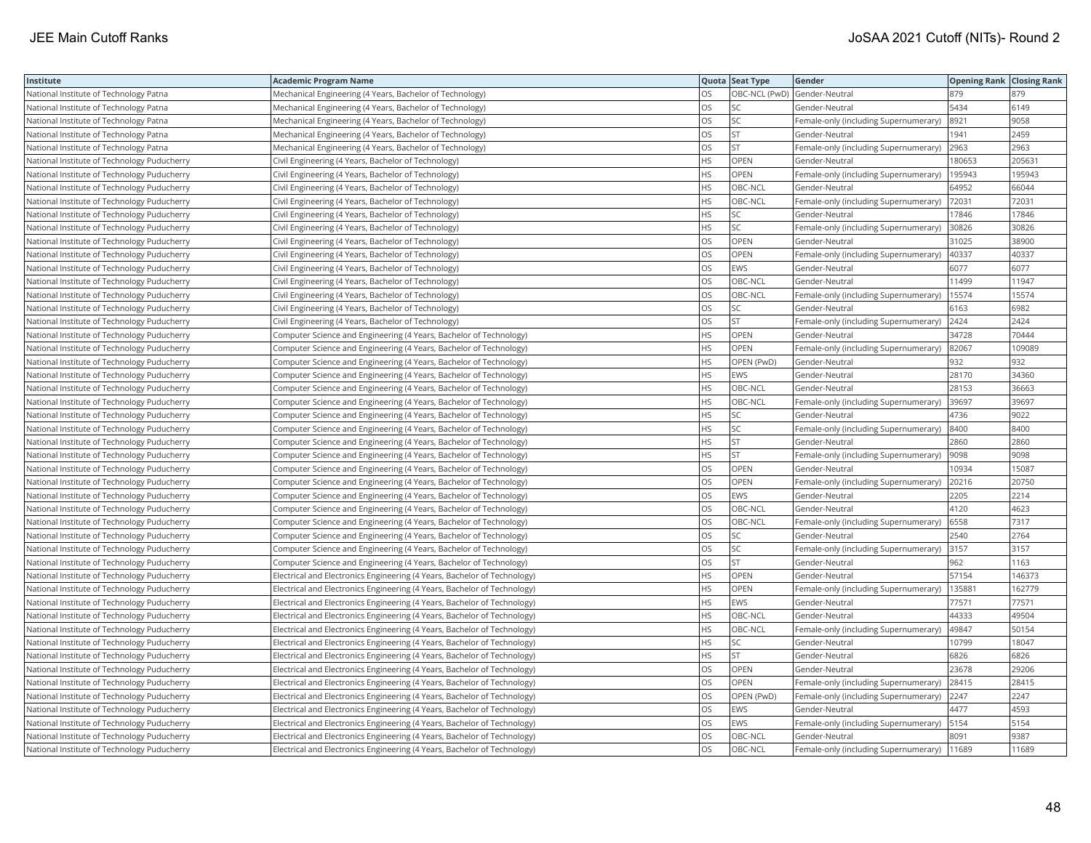| Institute                                   | <b>Academic Program Name</b>                                             |           | Quota Seat Type | Gender                                | <b>Opening Rank Closing Rank</b> |        |
|---------------------------------------------|--------------------------------------------------------------------------|-----------|-----------------|---------------------------------------|----------------------------------|--------|
| National Institute of Technology Patna      | Mechanical Engineering (4 Years, Bachelor of Technology)                 | OS        |                 | OBC-NCL (PwD) Gender-Neutral          | 879                              | 879    |
| National Institute of Technology Patna      | Mechanical Engineering (4 Years, Bachelor of Technology)                 | OS        | SC              | Gender-Neutral                        | 5434                             | 6149   |
| National Institute of Technology Patna      | Mechanical Engineering (4 Years, Bachelor of Technology)                 | OS        | SC              | Female-only (including Supernumerary) | 8921                             | 9058   |
| National Institute of Technology Patna      | Mechanical Engineering (4 Years, Bachelor of Technology)                 | OS        | ST              | Gender-Neutral                        | 1941                             | 2459   |
| National Institute of Technology Patna      | Mechanical Engineering (4 Years, Bachelor of Technology)                 | OS        | <b>ST</b>       | Female-only (including Supernumerary) | 2963                             | 2963   |
| National Institute of Technology Puducherry | Civil Engineering (4 Years, Bachelor of Technology)                      | <b>HS</b> | OPEN            | Gender-Neutral                        | 180653                           | 205631 |
| National Institute of Technology Puducherry | Civil Engineering (4 Years, Bachelor of Technology)                      | HS        | OPEN            | Female-only (including Supernumerary) | 195943                           | 195943 |
| National Institute of Technology Puducherry | Civil Engineering (4 Years, Bachelor of Technology)                      | <b>HS</b> | OBC-NCL         | Gender-Neutral                        | 64952                            | 66044  |
| National Institute of Technology Puducherry | Civil Engineering (4 Years, Bachelor of Technology)                      | HS        | OBC-NCL         | Female-only (including Supernumerary) | 72031                            | 72031  |
| National Institute of Technology Puducherry | Civil Engineering (4 Years, Bachelor of Technology)                      | HS        | SC              | Gender-Neutral                        | 17846                            | 17846  |
| National Institute of Technology Puducherry | Civil Engineering (4 Years, Bachelor of Technology)                      | HS        | SC              | Female-only (including Supernumerary) | 30826                            | 30826  |
| National Institute of Technology Puducherry | Civil Engineering (4 Years, Bachelor of Technology)                      | OS        | OPEN            | Gender-Neutral                        | 31025                            | 38900  |
| National Institute of Technology Puducherry | Civil Engineering (4 Years, Bachelor of Technology)                      | OS        | OPEN            | Female-only (including Supernumerary) | 40337                            | 40337  |
| National Institute of Technology Puducherry | Civil Engineering (4 Years, Bachelor of Technology)                      | OS        | EWS             | Gender-Neutral                        | 6077                             | 6077   |
| National Institute of Technology Puducherry | Civil Engineering (4 Years, Bachelor of Technology)                      | <b>OS</b> | OBC-NCL         | Gender-Neutral                        | 11499                            | 11947  |
| National Institute of Technology Puducherry | Civil Engineering (4 Years, Bachelor of Technology)                      | OS        | OBC-NCL         | Female-only (including Supernumerary) | 15574                            | 15574  |
| National Institute of Technology Puducherry | Civil Engineering (4 Years, Bachelor of Technology)                      | OS        | SC              | Gender-Neutral                        | 6163                             | 5982   |
| National Institute of Technology Puducherry | Civil Engineering (4 Years, Bachelor of Technology)                      | OS        | ST              | Female-only (including Supernumerary) | 2424                             | 2424   |
| National Institute of Technology Puducherry | Computer Science and Engineering (4 Years, Bachelor of Technology)       | HS        | OPEN            | Gender-Neutral                        | 34728                            | 70444  |
| National Institute of Technology Puducherry | Computer Science and Engineering (4 Years, Bachelor of Technology)       | HS        | OPEN            | Female-only (including Supernumerary) | 82067                            | 109089 |
| National Institute of Technology Puducherry | Computer Science and Engineering (4 Years, Bachelor of Technology)       | <b>HS</b> | OPEN (PwD)      | Gender-Neutral                        | 932                              | 932    |
| National Institute of Technology Puducherry | Computer Science and Engineering (4 Years, Bachelor of Technology)       | <b>HS</b> | EWS             | Gender-Neutral                        | 28170                            | 34360  |
| National Institute of Technology Puducherry | Computer Science and Engineering (4 Years, Bachelor of Technology)       | HS.       | OBC-NCL         | Gender-Neutral                        | 28153                            | 36663  |
| National Institute of Technology Puducherry | Computer Science and Engineering (4 Years, Bachelor of Technology)       | HS        | OBC-NCL         | Female-only (including Supernumerary) | 39697                            | 39697  |
| National Institute of Technology Puducherry | Computer Science and Engineering (4 Years, Bachelor of Technology)       | HS.       | SC              | Gender-Neutral                        | 4736                             | 9022   |
| National Institute of Technology Puducherry | Computer Science and Engineering (4 Years, Bachelor of Technology)       | HS        | SC              | Female-only (including Supernumerary) | 8400                             | 8400   |
| National Institute of Technology Puducherry | Computer Science and Engineering (4 Years, Bachelor of Technology)       | HS        | ST              | Gender-Neutral                        | 2860                             | 2860   |
| National Institute of Technology Puducherry | Computer Science and Engineering (4 Years, Bachelor of Technology)       | HS.       | <b>ST</b>       | Female-only (including Supernumerary) | 9098                             | 9098   |
| National Institute of Technology Puducherry | Computer Science and Engineering (4 Years, Bachelor of Technology)       | OS        | OPEN            | Gender-Neutral                        | 10934                            | 15087  |
| National Institute of Technology Puducherry | Computer Science and Engineering (4 Years, Bachelor of Technology)       | <b>OS</b> | OPEN            | Female-only (including Supernumerary) | 20216                            | 20750  |
| National Institute of Technology Puducherry | Computer Science and Engineering (4 Years, Bachelor of Technology)       | OS        | EWS             | Gender-Neutral                        | 2205                             | 2214   |
| National Institute of Technology Puducherry | Computer Science and Engineering (4 Years, Bachelor of Technology)       | OS        | OBC-NCL         | Gender-Neutral                        | 4120                             | 4623   |
| National Institute of Technology Puducherry | Computer Science and Engineering (4 Years, Bachelor of Technology)       | OS        | OBC-NCL         | Female-only (including Supernumerary) | 6558                             | 7317   |
| National Institute of Technology Puducherry | Computer Science and Engineering (4 Years, Bachelor of Technology)       | OS        | SC              | Gender-Neutral                        | 2540                             | 2764   |
| National Institute of Technology Puducherry | Computer Science and Engineering (4 Years, Bachelor of Technology)       | OS        | SC              | Female-only (including Supernumerary) | 3157                             | 3157   |
| National Institute of Technology Puducherry | Computer Science and Engineering (4 Years, Bachelor of Technology)       | <b>OS</b> | <b>ST</b>       | Gender-Neutral                        | 962                              | 1163   |
| National Institute of Technology Puducherry | Electrical and Electronics Engineering (4 Years, Bachelor of Technology) | HS        | OPEN            | Gender-Neutral                        | 57154                            | 146373 |
| National Institute of Technology Puducherry | Electrical and Electronics Engineering (4 Years, Bachelor of Technology) | HS        | OPEN            | Female-only (including Supernumerary) | 135881                           | 162779 |
| National Institute of Technology Puducherry | Electrical and Electronics Engineering (4 Years, Bachelor of Technology) | HS.       | EWS             | Gender-Neutral                        | 77571                            | 77571  |
| National Institute of Technology Puducherry | Electrical and Electronics Engineering (4 Years, Bachelor of Technology) | HS        | OBC-NCL         | Gender-Neutral                        | 44333                            | 49504  |
| National Institute of Technology Puducherry | Electrical and Electronics Engineering (4 Years, Bachelor of Technology) | HS.       | OBC-NCL         | Female-only (including Supernumerary) | 49847                            | 50154  |
| National Institute of Technology Puducherry | Electrical and Electronics Engineering (4 Years, Bachelor of Technology) | HS        | SC              | Gender-Neutral                        | 10799                            | 18047  |
| National Institute of Technology Puducherry | Electrical and Electronics Engineering (4 Years, Bachelor of Technology) | HS.       | <b>ST</b>       | Gender-Neutral                        | 6826                             | 6826   |
| National Institute of Technology Puducherry | Electrical and Electronics Engineering (4 Years, Bachelor of Technology) | OS        | <b>OPEN</b>     | Gender-Neutral                        | 23678                            | 29206  |
| National Institute of Technology Puducherry | Electrical and Electronics Engineering (4 Years, Bachelor of Technology) | OS        | OPEN            | Female-only (including Supernumerary) | 28415                            | 28415  |
| National Institute of Technology Puducherry | Electrical and Electronics Engineering (4 Years, Bachelor of Technology) | <b>OS</b> | OPEN (PwD)      | Female-only (including Supernumerary) | 2247                             | 2247   |
| National Institute of Technology Puducherry | Electrical and Electronics Engineering (4 Years, Bachelor of Technology) | OS        | EWS             | Gender-Neutral                        | 4477                             | 4593   |
| National Institute of Technology Puducherry | Electrical and Electronics Engineering (4 Years, Bachelor of Technology) | OS.       | EWS             | Female-only (including Supernumerary) | 5154                             | 5154   |
| National Institute of Technology Puducherry | Electrical and Electronics Engineering (4 Years, Bachelor of Technology) | OS        | OBC-NCL         | Gender-Neutral                        | 8091                             | 9387   |
| National Institute of Technology Puducherry | Electrical and Electronics Engineering (4 Years, Bachelor of Technology) | OS        | OBC-NCL         | Female-only (including Supernumerary) | 11689                            | 11689  |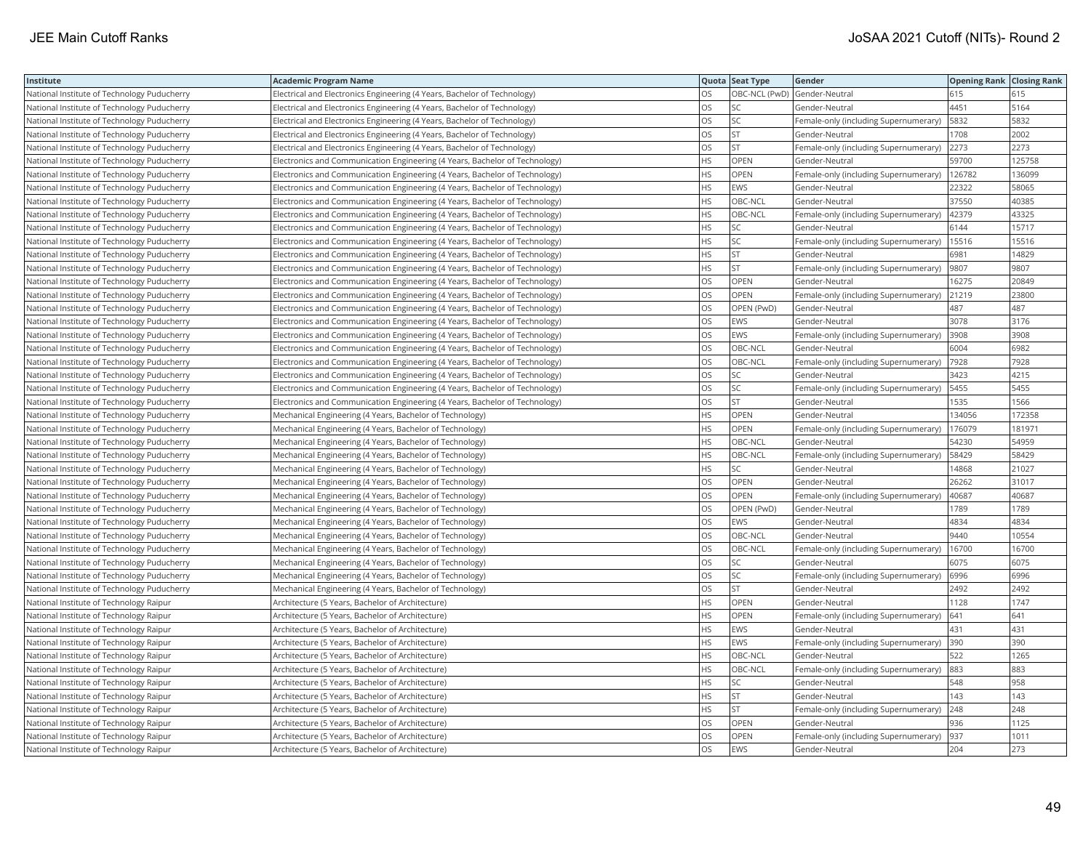| Institute                                   | <b>Academic Program Name</b>                                                |           | Quota Seat Type | Gender                                | <b>Opening Rank Closing Rank</b> |        |
|---------------------------------------------|-----------------------------------------------------------------------------|-----------|-----------------|---------------------------------------|----------------------------------|--------|
| National Institute of Technology Puducherry | Electrical and Electronics Engineering (4 Years, Bachelor of Technology)    | OS.       |                 | OBC-NCL (PwD) Gender-Neutral          | 615                              | 615    |
| National Institute of Technology Puducherry | Electrical and Electronics Engineering (4 Years, Bachelor of Technology)    | OS        | SC              | Gender-Neutral                        | 4451                             | 5164   |
| National Institute of Technology Puducherry | Electrical and Electronics Engineering (4 Years, Bachelor of Technology)    | OS        | SC              | Female-only (including Supernumerary) | 5832                             | 5832   |
| National Institute of Technology Puducherry | Electrical and Electronics Engineering (4 Years, Bachelor of Technology)    | OS        | <b>ST</b>       | Gender-Neutral                        | 1708                             | 2002   |
| National Institute of Technology Puducherry | Electrical and Electronics Engineering (4 Years, Bachelor of Technology)    | OS        | <b>ST</b>       | Female-only (including Supernumerary) | 2273                             | 2273   |
| National Institute of Technology Puducherry | Electronics and Communication Engineering (4 Years, Bachelor of Technology) | <b>HS</b> | OPEN            | Gender-Neutral                        | 59700                            | 125758 |
| National Institute of Technology Puducherry | Electronics and Communication Engineering (4 Years, Bachelor of Technology) | <b>HS</b> | <b>OPEN</b>     | Female-only (including Supernumerary) | 126782                           | 136099 |
| National Institute of Technology Puducherry | Electronics and Communication Engineering (4 Years, Bachelor of Technology) | <b>HS</b> | EWS             | Gender-Neutral                        | 22322                            | 58065  |
| National Institute of Technology Puducherry | Electronics and Communication Engineering (4 Years, Bachelor of Technology) | <b>HS</b> | OBC-NCL         | Gender-Neutral                        | 37550                            | 40385  |
| National Institute of Technology Puducherry | Electronics and Communication Engineering (4 Years, Bachelor of Technology) | <b>HS</b> | OBC-NCL         | Female-only (including Supernumerary) | 42379                            | 43325  |
| National Institute of Technology Puducherry | Electronics and Communication Engineering (4 Years, Bachelor of Technology) | <b>HS</b> | SC              | Gender-Neutral                        | 6144                             | 15717  |
| National Institute of Technology Puducherry | Electronics and Communication Engineering (4 Years, Bachelor of Technology) | <b>HS</b> | SC              | Female-only (including Supernumerary) | 15516                            | 15516  |
| National Institute of Technology Puducherry | Electronics and Communication Engineering (4 Years, Bachelor of Technology) | HS        | ST.             | Gender-Neutral                        | 6981                             | 14829  |
| National Institute of Technology Puducherry | Electronics and Communication Engineering (4 Years, Bachelor of Technology) | <b>HS</b> | <b>ST</b>       | Female-only (including Supernumerary) | 9807                             | 9807   |
| National Institute of Technology Puducherry | Electronics and Communication Engineering (4 Years, Bachelor of Technology) | OS        | OPEN            | Gender-Neutral                        | 16275                            | 20849  |
| National Institute of Technology Puducherry | Electronics and Communication Engineering (4 Years, Bachelor of Technology) | OS        | OPEN            | Female-only (including Supernumerary) | 21219                            | 23800  |
| National Institute of Technology Puducherry | Electronics and Communication Engineering (4 Years, Bachelor of Technology) | OS        | OPEN (PwD)      | Gender-Neutral                        | 487                              | 487    |
| National Institute of Technology Puducherry | Electronics and Communication Engineering (4 Years, Bachelor of Technology) | <b>OS</b> | EWS             | Gender-Neutral                        | 3078                             | 3176   |
| National Institute of Technology Puducherry | Electronics and Communication Engineering (4 Years, Bachelor of Technology) | los       | EWS             | Female-only (including Supernumerary) | 3908                             | 3908   |
| National Institute of Technology Puducherry | Electronics and Communication Engineering (4 Years, Bachelor of Technology) | <b>OS</b> | OBC-NCL         | Gender-Neutral                        | 6004                             | 6982   |
| National Institute of Technology Puducherry | Electronics and Communication Engineering (4 Years, Bachelor of Technology) | <b>OS</b> | OBC-NCL         | Female-only (including Supernumerary) | 7928                             | 7928   |
| National Institute of Technology Puducherry | Electronics and Communication Engineering (4 Years, Bachelor of Technology) | los       | SC              | Gender-Neutral                        | 3423                             | 4215   |
| National Institute of Technology Puducherry | Electronics and Communication Engineering (4 Years, Bachelor of Technology) | OS        | SC              | Female-only (including Supernumerary) | 5455                             | 5455   |
| National Institute of Technology Puducherry | Electronics and Communication Engineering (4 Years, Bachelor of Technology) | OS        | <b>ST</b>       | Gender-Neutral                        | 1535                             | 1566   |
| National Institute of Technology Puducherry | Mechanical Engineering (4 Years, Bachelor of Technology)                    | <b>HS</b> | OPEN            | Gender-Neutral                        | 134056                           | 172358 |
| National Institute of Technology Puducherry | Mechanical Engineering (4 Years, Bachelor of Technology)                    | <b>HS</b> | OPEN            | Female-only (including Supernumerary) | 176079                           | 181971 |
| National Institute of Technology Puducherry | Mechanical Engineering (4 Years, Bachelor of Technology)                    | <b>HS</b> | OBC-NCL         | Gender-Neutral                        | 54230                            | 54959  |
| National Institute of Technology Puducherry | Mechanical Engineering (4 Years, Bachelor of Technology)                    | HS        | OBC-NCL         | Female-only (including Supernumerary) | 58429                            | 58429  |
| National Institute of Technology Puducherry | Mechanical Engineering (4 Years, Bachelor of Technology)                    | <b>HS</b> | <b>SC</b>       | Gender-Neutral                        | 14868                            | 21027  |
| National Institute of Technology Puducherry | Mechanical Engineering (4 Years, Bachelor of Technology)                    | OS        | OPEN            | Gender-Neutral                        | 26262                            | 31017  |
| National Institute of Technology Puducherry | Mechanical Engineering (4 Years, Bachelor of Technology)                    | <b>OS</b> | OPEN            | Female-only (including Supernumerary) | 40687                            | 40687  |
| National Institute of Technology Puducherry | Mechanical Engineering (4 Years, Bachelor of Technology)                    | los       | OPEN (PwD)      | Gender-Neutral                        | 1789                             | 1789   |
| National Institute of Technology Puducherry | Mechanical Engineering (4 Years, Bachelor of Technology)                    | <b>OS</b> | EWS             | Gender-Neutral                        | 4834                             | 4834   |
| National Institute of Technology Puducherry | Mechanical Engineering (4 Years, Bachelor of Technology)                    | <b>OS</b> | OBC-NCL         | Gender-Neutral                        | 9440                             | 10554  |
| National Institute of Technology Puducherry | Mechanical Engineering (4 Years, Bachelor of Technology)                    | <b>OS</b> | OBC-NCL         | Female-only (including Supernumerary) | 16700                            | 16700  |
| National Institute of Technology Puducherry | Mechanical Engineering (4 Years, Bachelor of Technology)                    | OS        | SC              | Gender-Neutral                        | 6075                             | 6075   |
| National Institute of Technology Puducherry | Mechanical Engineering (4 Years, Bachelor of Technology)                    | los       | SC              | Female-only (including Supernumerary) | 6996                             | 6996   |
| National Institute of Technology Puducherry | Mechanical Engineering (4 Years, Bachelor of Technology)                    | <b>OS</b> | <b>ST</b>       | Gender-Neutral                        | 2492                             | 2492   |
| National Institute of Technology Raipur     | Architecture (5 Years, Bachelor of Architecture)                            | <b>HS</b> | OPEN            | Gender-Neutral                        | 1128                             | 1747   |
| National Institute of Technology Raipur     | Architecture (5 Years, Bachelor of Architecture)                            | <b>HS</b> | OPEN            | Female-only (including Supernumerary) | 641                              | 641    |
| National Institute of Technology Raipur     | Architecture (5 Years, Bachelor of Architecture)                            | HS        | EWS             | Gender-Neutral                        | 431                              | 431    |
| National Institute of Technology Raipur     | Architecture (5 Years, Bachelor of Architecture)                            | <b>HS</b> | EWS             | Female-only (including Supernumerary) | 390                              | 390    |
| National Institute of Technology Raipur     | Architecture (5 Years, Bachelor of Architecture)                            | HS        | OBC-NCL         | Gender-Neutral                        | 522                              | 1265   |
| National Institute of Technology Raipur     | Architecture (5 Years, Bachelor of Architecture)                            | <b>HS</b> | OBC-NCL         | Female-only (including Supernumerary) | 883                              | 883    |
| National Institute of Technology Raipur     | Architecture (5 Years, Bachelor of Architecture)                            | HS        | SC              | Gender-Neutral                        | 548                              | 958    |
| National Institute of Technology Raipur     | Architecture (5 Years, Bachelor of Architecture)                            | <b>HS</b> | <b>ST</b>       | Gender-Neutral                        | 143                              | 143    |
| National Institute of Technology Raipur     | Architecture (5 Years, Bachelor of Architecture)                            | <b>HS</b> | <b>ST</b>       | Female-only (including Supernumerary) | 248                              | 248    |
| National Institute of Technology Raipur     | Architecture (5 Years, Bachelor of Architecture)                            | OS        | OPEN            | Gender-Neutral                        | 936                              | 1125   |
| National Institute of Technology Raipur     | Architecture (5 Years, Bachelor of Architecture)                            | OS        | OPEN            | Female-only (including Supernumerary) | 937                              | 1011   |
| National Institute of Technology Raipur     | Architecture (5 Years, Bachelor of Architecture)                            | <b>OS</b> | <b>EWS</b>      | Gender-Neutral                        | 204                              | 273    |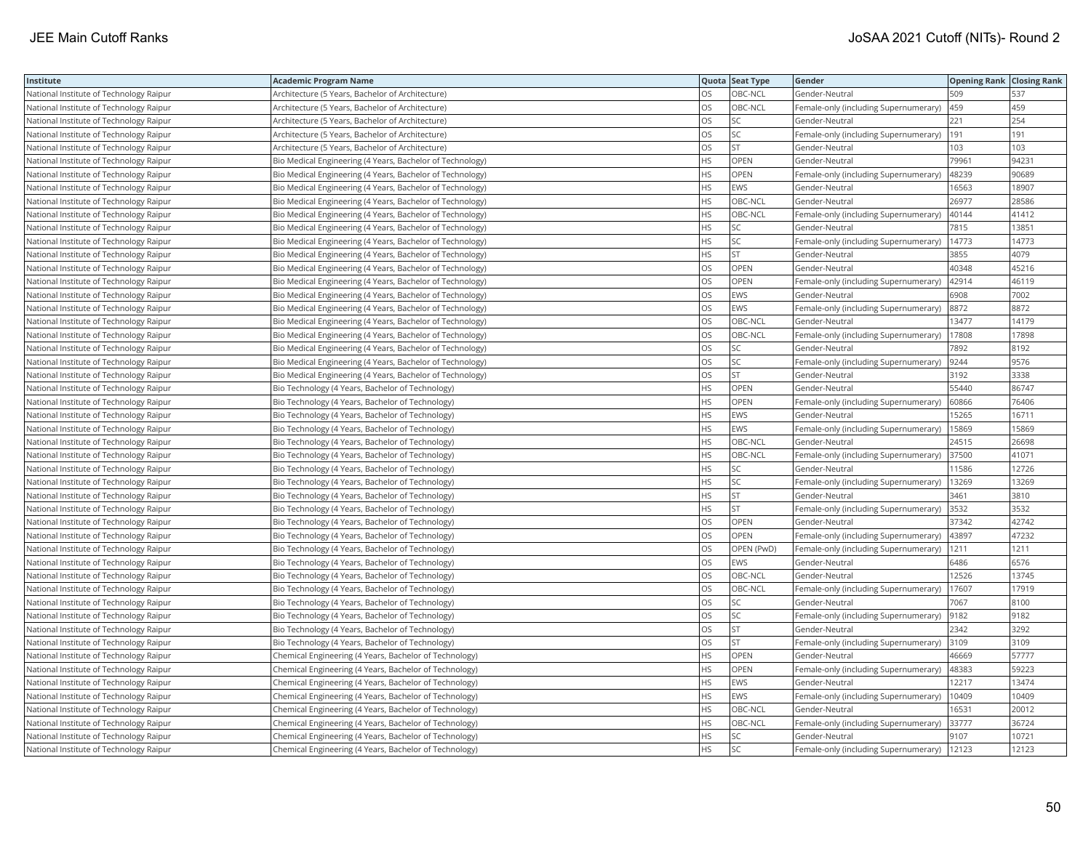| Institute                               | <b>Academic Program Name</b>                              |           | Quota Seat Type | Gender                                | <b>Opening Rank Closing Rank</b> |       |
|-----------------------------------------|-----------------------------------------------------------|-----------|-----------------|---------------------------------------|----------------------------------|-------|
| National Institute of Technology Raipur | Architecture (5 Years, Bachelor of Architecture)          | OS.       | OBC-NCL         | Gender-Neutral                        | 509                              | 537   |
| National Institute of Technology Raipur | Architecture (5 Years, Bachelor of Architecture)          | OS        | OBC-NCL         | Female-only (including Supernumerary) | 459                              | 459   |
| National Institute of Technology Raipur | Architecture (5 Years, Bachelor of Architecture)          | OS        | SC              | Gender-Neutral                        | 221                              | 254   |
| National Institute of Technology Raipur | Architecture (5 Years, Bachelor of Architecture)          | OS        | SC              | Female-only (including Supernumerary) | 191                              | 191   |
| National Institute of Technology Raipur | Architecture (5 Years, Bachelor of Architecture)          | OS        | <b>ST</b>       | Gender-Neutral                        | 103                              | 103   |
| National Institute of Technology Raipur | Bio Medical Engineering (4 Years, Bachelor of Technology) | <b>HS</b> | OPEN            | Gender-Neutral                        | 79961                            | 94231 |
| National Institute of Technology Raipur | Bio Medical Engineering (4 Years, Bachelor of Technology) | <b>HS</b> | OPEN            | Female-only (including Supernumerary) | 48239                            | 90689 |
| National Institute of Technology Raipur | Bio Medical Engineering (4 Years, Bachelor of Technology) | <b>HS</b> | <b>EWS</b>      | Gender-Neutral                        | 16563                            | 18907 |
| National Institute of Technology Raipur | Bio Medical Engineering (4 Years, Bachelor of Technology) | <b>HS</b> | OBC-NCL         | Gender-Neutral                        | 26977                            | 28586 |
| National Institute of Technology Raipur | Bio Medical Engineering (4 Years, Bachelor of Technology) | <b>HS</b> | OBC-NCL         | Female-only (including Supernumerary) | 40144                            | 41412 |
| National Institute of Technology Raipur | Bio Medical Engineering (4 Years, Bachelor of Technology) | <b>HS</b> | SC              | Gender-Neutral                        | 7815                             | 13851 |
| National Institute of Technology Raipur | Bio Medical Engineering (4 Years, Bachelor of Technology) | <b>HS</b> | SC              | Female-only (including Supernumerary) | 14773                            | 14773 |
| National Institute of Technology Raipur | Bio Medical Engineering (4 Years, Bachelor of Technology) | <b>HS</b> | <b>ST</b>       | Gender-Neutral                        | 3855                             | 4079  |
| National Institute of Technology Raipur | Bio Medical Engineering (4 Years, Bachelor of Technology) | OS        | OPEN            | Gender-Neutral                        | 40348                            | 45216 |
| National Institute of Technology Raipur | Bio Medical Engineering (4 Years, Bachelor of Technology) | <b>OS</b> | OPEN            | Female-only (including Supernumerary) | 42914                            | 46119 |
| National Institute of Technology Raipur | Bio Medical Engineering (4 Years, Bachelor of Technology) | OS        | EWS             | Gender-Neutral                        | 6908                             | 7002  |
| National Institute of Technology Raipur | Bio Medical Engineering (4 Years, Bachelor of Technology) | OS        | EWS             | Female-only (including Supernumerary) | 8872                             | 8872  |
| National Institute of Technology Raipur | Bio Medical Engineering (4 Years, Bachelor of Technology) | <b>OS</b> | OBC-NCL         | Gender-Neutral                        | 13477                            | 14179 |
| National Institute of Technology Raipur | Bio Medical Engineering (4 Years, Bachelor of Technology) | OS        | OBC-NCL         | Female-only (including Supernumerary) | 17808                            | 17898 |
| National Institute of Technology Raipur | Bio Medical Engineering (4 Years, Bachelor of Technology) | <b>OS</b> | SC              | Gender-Neutral                        | 7892                             | 8192  |
| National Institute of Technology Raipur | Bio Medical Engineering (4 Years, Bachelor of Technology) | OS        | SC              | Female-only (including Supernumerary) | 9244                             | 9576  |
| National Institute of Technology Raipur | Bio Medical Engineering (4 Years, Bachelor of Technology) | <b>OS</b> | <b>ST</b>       | Gender-Neutral                        | 3192                             | 3338  |
| National Institute of Technology Raipur | Bio Technology (4 Years, Bachelor of Technology)          | <b>HS</b> | OPEN            | Gender-Neutral                        | 55440                            | 86747 |
| National Institute of Technology Raipur | Bio Technology (4 Years, Bachelor of Technology)          | <b>HS</b> | <b>OPEN</b>     | Female-only (including Supernumerary) | 60866                            | 76406 |
| National Institute of Technology Raipur | Bio Technology (4 Years, Bachelor of Technology)          | <b>HS</b> | EWS             | Gender-Neutral                        | 15265                            | 16711 |
| National Institute of Technology Raipur | Bio Technology (4 Years, Bachelor of Technology)          | <b>HS</b> | EWS             | Female-only (including Supernumerary) | 15869                            | 15869 |
| National Institute of Technology Raipur | Bio Technology (4 Years, Bachelor of Technology)          | <b>HS</b> | OBC-NCL         | Gender-Neutral                        | 24515                            | 26698 |
| National Institute of Technology Raipur | Bio Technology (4 Years, Bachelor of Technology)          | <b>HS</b> | OBC-NCL         | Female-only (including Supernumerary) | 37500                            | 41071 |
| National Institute of Technology Raipur | Bio Technology (4 Years, Bachelor of Technology)          | <b>HS</b> | SC              | Gender-Neutral                        | 11586                            | 12726 |
| National Institute of Technology Raipur | Bio Technology (4 Years, Bachelor of Technology)          | HS        | SC              | Female-only (including Supernumerary) | 13269                            | 13269 |
| National Institute of Technology Raipur | Bio Technology (4 Years, Bachelor of Technology)          | <b>HS</b> | <b>ST</b>       | Gender-Neutral                        | 3461                             | 3810  |
| National Institute of Technology Raipur | Bio Technology (4 Years, Bachelor of Technology)          | <b>HS</b> | <b>ST</b>       | Female-only (including Supernumerary) | 3532                             | 3532  |
| National Institute of Technology Raipur | Bio Technology (4 Years, Bachelor of Technology)          | OS        | OPEN            | Gender-Neutral                        | 37342                            | 42742 |
| National Institute of Technology Raipur | Bio Technology (4 Years, Bachelor of Technology)          | <b>OS</b> | OPEN            | Female-only (including Supernumerary) | 43897                            | 47232 |
| National Institute of Technology Raipur | Bio Technology (4 Years, Bachelor of Technology)          | OS        | OPEN (PwD)      | Female-only (including Supernumerary) | 1211                             | 1211  |
| National Institute of Technology Raipur | Bio Technology (4 Years, Bachelor of Technology)          | <b>OS</b> | EWS             | Gender-Neutral                        | 6486                             | 6576  |
| National Institute of Technology Raipur | Bio Technology (4 Years, Bachelor of Technology)          | OS        | OBC-NCL         | Gender-Neutral                        | 12526                            | 13745 |
| National Institute of Technology Raipur | Bio Technology (4 Years, Bachelor of Technology)          | <b>OS</b> | OBC-NCL         | Female-only (including Supernumerary) | 17607                            | 17919 |
| National Institute of Technology Raipur | Bio Technology (4 Years, Bachelor of Technology)          | <b>OS</b> | SC              | Gender-Neutral                        | 7067                             | 8100  |
| National Institute of Technology Raipur | Bio Technology (4 Years, Bachelor of Technology)          | OS        | SC              | Female-only (including Supernumerary) | 9182                             | 9182  |
| National Institute of Technology Raipur | Bio Technology (4 Years, Bachelor of Technology)          | OS        | <b>ST</b>       | Gender-Neutral                        | 2342                             | 3292  |
| National Institute of Technology Raipur | Bio Technology (4 Years, Bachelor of Technology)          | <b>OS</b> | <b>ST</b>       | Female-only (including Supernumerary) | 3109                             | 3109  |
| National Institute of Technology Raipur | Chemical Engineering (4 Years, Bachelor of Technology)    | <b>HS</b> | OPEN            | Gender-Neutral                        | 46669                            | 57777 |
| National Institute of Technology Raipur | Chemical Engineering (4 Years, Bachelor of Technology)    | <b>HS</b> | OPEN            | Female-only (including Supernumerary) | 48383                            | 59223 |
| National Institute of Technology Raipur | Chemical Engineering (4 Years, Bachelor of Technology)    | HS        | EWS             | Gender-Neutral                        | 12217                            | 13474 |
| National Institute of Technology Raipur | Chemical Engineering (4 Years, Bachelor of Technology)    | <b>HS</b> | EWS             | Female-only (including Supernumerary) | 10409                            | 10409 |
| National Institute of Technology Raipur | Chemical Engineering (4 Years, Bachelor of Technology)    | HS        | OBC-NCL         | Gender-Neutral                        | 16531                            | 20012 |
| National Institute of Technology Raipur | Chemical Engineering (4 Years, Bachelor of Technology)    | <b>HS</b> | OBC-NCL         | Female-only (including Supernumerary) | 33777                            | 36724 |
| National Institute of Technology Raipur | Chemical Engineering (4 Years, Bachelor of Technology)    | HS        | SC              | Gender-Neutral                        | 9107                             | 10721 |
| National Institute of Technology Raipur | Chemical Engineering (4 Years, Bachelor of Technology)    | <b>HS</b> | SC              | Female-only (including Supernumerary) | 12123                            | 12123 |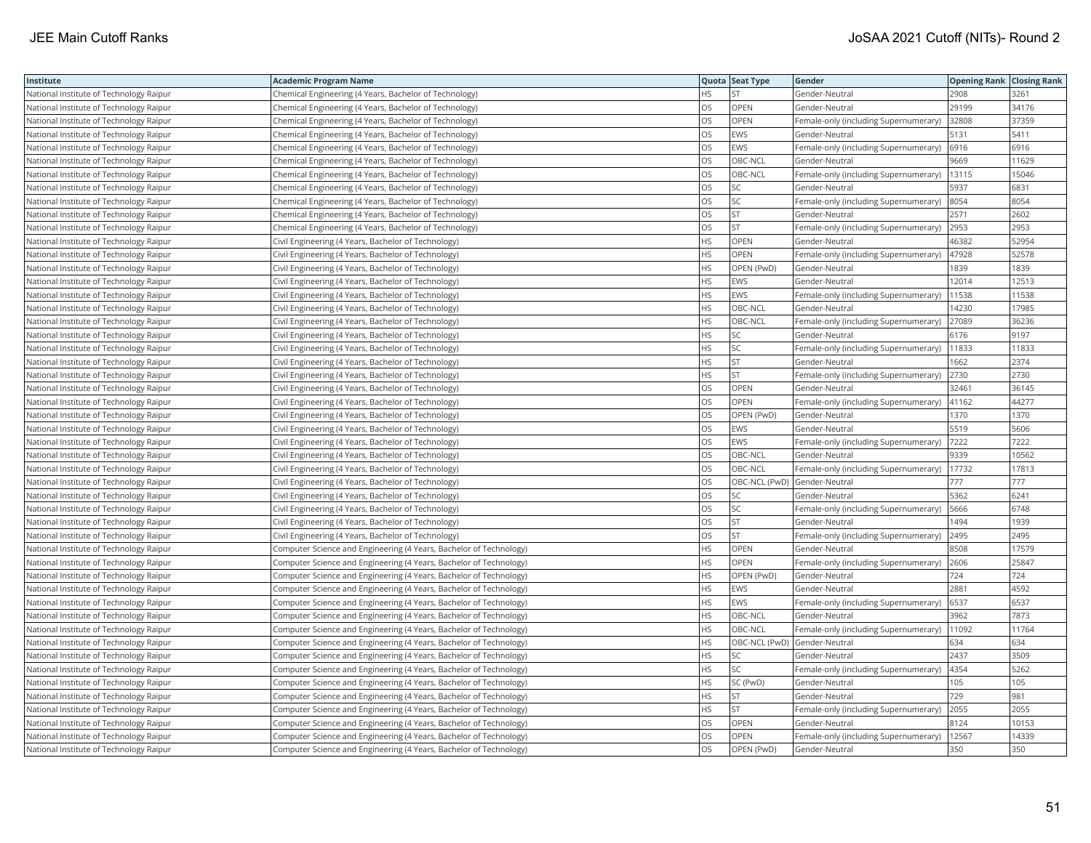| Institute                               | <b>Academic Program Name</b>                                       |           | Quota Seat Type | Gender                                | <b>Opening Rank Closing Rank</b> |       |
|-----------------------------------------|--------------------------------------------------------------------|-----------|-----------------|---------------------------------------|----------------------------------|-------|
| National Institute of Technology Raipur | Chemical Engineering (4 Years, Bachelor of Technology)             | <b>HS</b> |                 | Gender-Neutral                        | 2908                             | 3261  |
| National Institute of Technology Raipur | Chemical Engineering (4 Years, Bachelor of Technology)             | OS        | OPEN            | Gender-Neutral                        | 29199                            | 34176 |
| National Institute of Technology Raipur | Chemical Engineering (4 Years, Bachelor of Technology)             | OS        | OPEN            | Female-only (including Supernumerary) | 32808                            | 37359 |
| National Institute of Technology Raipur | Chemical Engineering (4 Years, Bachelor of Technology)             | OS        | EWS             | Gender-Neutral                        | 5131                             | 5411  |
| National Institute of Technology Raipur | Chemical Engineering (4 Years, Bachelor of Technology)             | <b>OS</b> | EWS             | Female-only (including Supernumerary) | 6916                             | 6916  |
| National Institute of Technology Raipur | Chemical Engineering (4 Years, Bachelor of Technology)             | OS        | OBC-NCL         | Gender-Neutral                        | 9669                             | 11629 |
| National Institute of Technology Raipur | Chemical Engineering (4 Years, Bachelor of Technology)             | <b>OS</b> | OBC-NCL         | Female-only (including Supernumerary) | 13115                            | 15046 |
| National Institute of Technology Raipur | Chemical Engineering (4 Years, Bachelor of Technology)             | los       | SC              | Gender-Neutral                        | 5937                             | 6831  |
| National Institute of Technology Raipur | Chemical Engineering (4 Years, Bachelor of Technology)             | los       | SC              | Female-only (including Supernumerary) | 8054                             | 8054  |
| National Institute of Technology Raipur | Chemical Engineering (4 Years, Bachelor of Technology)             | <b>OS</b> | <b>ST</b>       | Gender-Neutral                        | 2571                             | 2602  |
| National Institute of Technology Raipur | Chemical Engineering (4 Years, Bachelor of Technology)             | OS        | <b>ST</b>       | Female-only (including Supernumerary) | 2953                             | 2953  |
| National Institute of Technology Raipur | Civil Engineering (4 Years, Bachelor of Technology)                | <b>HS</b> | OPEN            | Gender-Neutral                        | 46382                            | 52954 |
| National Institute of Technology Raipur | Civil Engineering (4 Years, Bachelor of Technology)                | <b>HS</b> | OPEN            | Female-only (including Supernumerary) | 47928                            | 52578 |
| National Institute of Technology Raipur | Civil Engineering (4 Years, Bachelor of Technology)                | <b>HS</b> | OPEN (PwD)      | Gender-Neutral                        | 1839                             | 1839  |
| National Institute of Technology Raipur | Civil Engineering (4 Years, Bachelor of Technology)                | <b>HS</b> | EWS             | Gender-Neutral                        | 12014                            | 12513 |
| National Institute of Technology Raipur | Civil Engineering (4 Years, Bachelor of Technology)                | <b>HS</b> | EWS             | Female-only (including Supernumerary) | 11538                            | 11538 |
| National Institute of Technology Raipur | Civil Engineering (4 Years, Bachelor of Technology)                | <b>HS</b> | OBC-NCL         | Gender-Neutral                        | 14230                            | 17985 |
| National Institute of Technology Raipur | Civil Engineering (4 Years, Bachelor of Technology)                | <b>HS</b> | OBC-NCL         | Female-only (including Supernumerary) | 27089                            | 36236 |
| National Institute of Technology Raipur | Civil Engineering (4 Years, Bachelor of Technology)                | <b>HS</b> | SC              | Gender-Neutral                        | 6176                             | 9197  |
| National Institute of Technology Raipur | Civil Engineering (4 Years, Bachelor of Technology)                | <b>HS</b> | SC              | Female-only (including Supernumerary) | 11833                            | 11833 |
| National Institute of Technology Raipur | Civil Engineering (4 Years, Bachelor of Technology)                | <b>HS</b> | <b>ST</b>       | Gender-Neutral                        | 1662                             | 2374  |
| National Institute of Technology Raipur | Civil Engineering (4 Years, Bachelor of Technology)                | <b>HS</b> | <b>ST</b>       | Female-only (including Supernumerary) | 2730                             | 2730  |
| National Institute of Technology Raipur | Civil Engineering (4 Years, Bachelor of Technology)                | OS        | OPEN            | Gender-Neutral                        | 32461                            | 36145 |
| National Institute of Technology Raipur | Civil Engineering (4 Years, Bachelor of Technology)                | los       | OPEN            | Female-only (including Supernumerary) | 41162                            | 44277 |
| National Institute of Technology Raipur | Civil Engineering (4 Years, Bachelor of Technology)                | <b>OS</b> | OPEN (PwD)      | Gender-Neutral                        | 1370                             | 1370  |
| National Institute of Technology Raipur | Civil Engineering (4 Years, Bachelor of Technology)                | los       | EWS             | Gender-Neutral                        | 5519                             | 5606  |
| National Institute of Technology Raipur | Civil Engineering (4 Years, Bachelor of Technology)                | <b>OS</b> | EWS             | Female-only (including Supernumerary) | 7222                             | 7222  |
| National Institute of Technology Raipur | Civil Engineering (4 Years, Bachelor of Technology)                | <b>OS</b> | OBC-NCL         | Gender-Neutral                        | 9339                             | 10562 |
| National Institute of Technology Raipur | Civil Engineering (4 Years, Bachelor of Technology)                | OS        | OBC-NCL         | Female-only (including Supernumerary) | 17732                            | 17813 |
| National Institute of Technology Raipur | Civil Engineering (4 Years, Bachelor of Technology)                | OS        |                 | OBC-NCL (PwD) Gender-Neutral          | 777                              | 777   |
| National Institute of Technology Raipur | Civil Engineering (4 Years, Bachelor of Technology)                | OS        | SC              | Gender-Neutral                        | 5362                             | 6241  |
| National Institute of Technology Raipur | Civil Engineering (4 Years, Bachelor of Technology)                | <b>OS</b> | <b>SC</b>       | Female-only (including Supernumerary) | 5666                             | 6748  |
| National Institute of Technology Raipur | Civil Engineering (4 Years, Bachelor of Technology)                | OS        | <b>ST</b>       | Gender-Neutral                        | 1494                             | 1939  |
| National Institute of Technology Raipur | Civil Engineering (4 Years, Bachelor of Technology)                | OS        | <b>ST</b>       | Female-only (including Supernumerary) | 2495                             | 2495  |
| National Institute of Technology Raipur | Computer Science and Engineering (4 Years, Bachelor of Technology) | <b>HS</b> | OPEN            | Gender-Neutral                        | 8508                             | 17579 |
| National Institute of Technology Raipur | Computer Science and Engineering (4 Years, Bachelor of Technology) | <b>HS</b> | OPEN            | Female-only (including Supernumerary) | 2606                             | 25847 |
| National Institute of Technology Raipur | Computer Science and Engineering (4 Years, Bachelor of Technology) | HS        | OPEN (PwD)      | Gender-Neutral                        | 724                              | 724   |
| National Institute of Technology Raipur | Computer Science and Engineering (4 Years, Bachelor of Technology) | <b>HS</b> | EWS             | Gender-Neutral                        | 2881                             | 4592  |
| National Institute of Technology Raipur | Computer Science and Engineering (4 Years, Bachelor of Technology) | <b>HS</b> | <b>EWS</b>      | Female-only (including Supernumerary) | 6537                             | 6537  |
| National Institute of Technology Raipur | Computer Science and Engineering (4 Years, Bachelor of Technology) | <b>HS</b> | OBC-NCL         | Gender-Neutral                        | 3962                             | 7873  |
| National Institute of Technology Raipur | Computer Science and Engineering (4 Years, Bachelor of Technology) | <b>HS</b> | OBC-NCL         | Female-only (including Supernumerary) | 11092                            | 11764 |
| National Institute of Technology Raipur | Computer Science and Engineering (4 Years, Bachelor of Technology) | <b>HS</b> |                 | OBC-NCL (PwD) Gender-Neutral          | 634                              | 634   |
| National Institute of Technology Raipur | Computer Science and Engineering (4 Years, Bachelor of Technology) | <b>HS</b> | SC              | Gender-Neutral                        | 2437                             | 3509  |
| National Institute of Technology Raipur | Computer Science and Engineering (4 Years, Bachelor of Technology) | <b>HS</b> | SC              | Female-only (including Supernumerary) | 4354                             | 5262  |
| National Institute of Technology Raipur | Computer Science and Engineering (4 Years, Bachelor of Technology) | <b>HS</b> | SC (PwD)        | Gender-Neutral                        | 105                              | 105   |
| National Institute of Technology Raipur | Computer Science and Engineering (4 Years, Bachelor of Technology) | <b>HS</b> | ST.             | Gender-Neutral                        | 729                              | 981   |
| National Institute of Technology Raipur | Computer Science and Engineering (4 Years, Bachelor of Technology) | HS        | <b>ST</b>       | Female-only (including Supernumerary) | 2055                             | 2055  |
| National Institute of Technology Raipur | Computer Science and Engineering (4 Years, Bachelor of Technology) | <b>OS</b> | OPEN            | Gender-Neutral                        | 8124                             | 10153 |
| National Institute of Technology Raipur | Computer Science and Engineering (4 Years, Bachelor of Technology) | OS        | OPEN            | Female-only (including Supernumerary) | 12567                            | 14339 |
| National Institute of Technology Raipur | Computer Science and Engineering (4 Years, Bachelor of Technology) | los       | OPEN (PwD)      | Gender-Neutral                        | 350                              | 350   |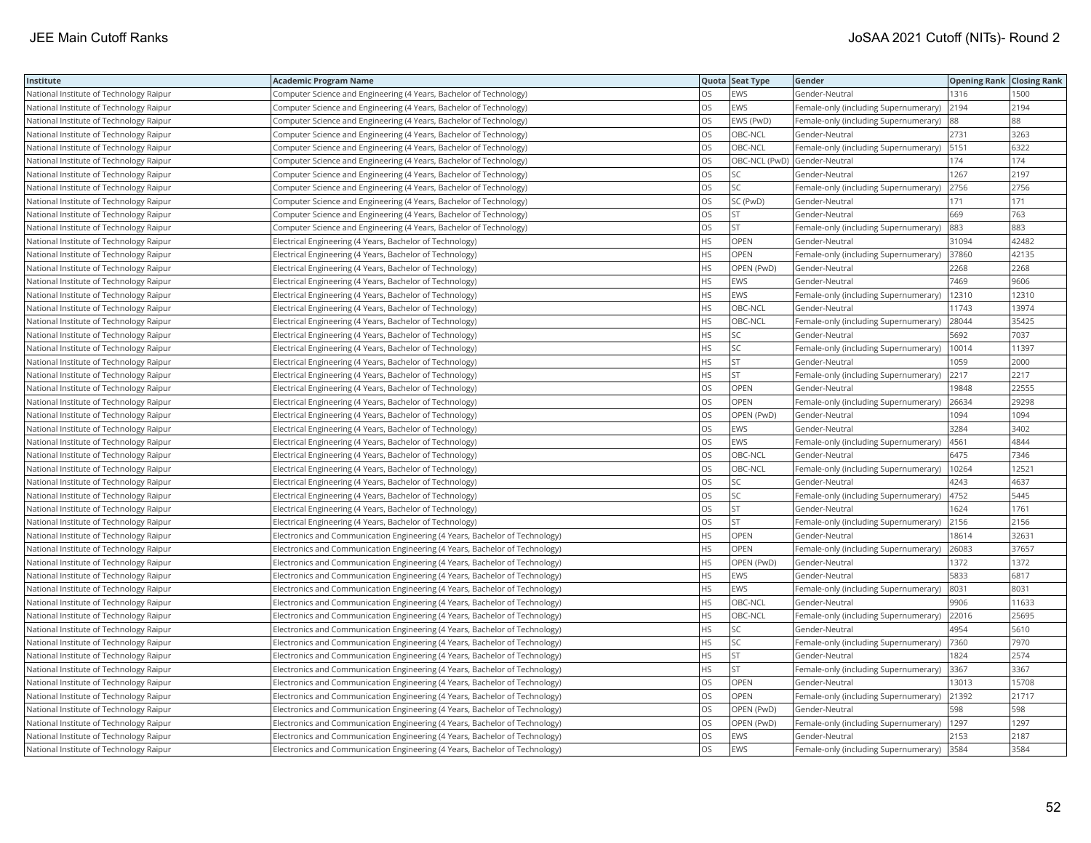| Institute                               | <b>Academic Program Name</b>                                                |           | Quota Seat Type | Gender                                | <b>Opening Rank Closing Rank</b> |       |
|-----------------------------------------|-----------------------------------------------------------------------------|-----------|-----------------|---------------------------------------|----------------------------------|-------|
| National Institute of Technology Raipur | Computer Science and Engineering (4 Years, Bachelor of Technology)          | OS.       | EWS             | Gender-Neutral                        | 1316                             | 1500  |
| National Institute of Technology Raipur | Computer Science and Engineering (4 Years, Bachelor of Technology)          | OS        | EWS             | Female-only (including Supernumerary) | 2194                             | 2194  |
| National Institute of Technology Raipur | Computer Science and Engineering (4 Years, Bachelor of Technology)          | OS        | EWS (PwD)       | Female-only (including Supernumerary) | 88                               | 88    |
| National Institute of Technology Raipur | Computer Science and Engineering (4 Years, Bachelor of Technology)          | los       | OBC-NCL         | Gender-Neutral                        | 2731                             | 3263  |
| National Institute of Technology Raipur | Computer Science and Engineering (4 Years, Bachelor of Technology)          | OS        | OBC-NCL         | Female-only (including Supernumerary) | 5151                             | 6322  |
| National Institute of Technology Raipur | Computer Science and Engineering (4 Years, Bachelor of Technology)          | OS        |                 | OBC-NCL (PwD) Gender-Neutral          | 174                              | 174   |
| National Institute of Technology Raipur | Computer Science and Engineering (4 Years, Bachelor of Technology)          | los       | SC              | Gender-Neutral                        | 1267                             | 2197  |
| National Institute of Technology Raipur | Computer Science and Engineering (4 Years, Bachelor of Technology)          | OS        | SC              | Female-only (including Supernumerary) | 2756                             | 2756  |
| National Institute of Technology Raipur | Computer Science and Engineering (4 Years, Bachelor of Technology)          | OS        | SC (PwD)        | Gender-Neutral                        | 171                              | 171   |
| National Institute of Technology Raipur | Computer Science and Engineering (4 Years, Bachelor of Technology)          | los       | <b>ST</b>       | Gender-Neutral                        | 669                              | 763   |
| National Institute of Technology Raipur | Computer Science and Engineering (4 Years, Bachelor of Technology)          | OS        | <b>ST</b>       | Female-only (including Supernumerary) | 883                              | 883   |
| National Institute of Technology Raipur | Electrical Engineering (4 Years, Bachelor of Technology)                    | <b>HS</b> | OPEN            | Gender-Neutral                        | 31094                            | 42482 |
| National Institute of Technology Raipur | Electrical Engineering (4 Years, Bachelor of Technology)                    | HS        | OPEN            | Female-only (including Supernumerary) | 37860                            | 42135 |
| National Institute of Technology Raipur | Electrical Engineering (4 Years, Bachelor of Technology)                    | <b>HS</b> | OPEN (PwD)      | Gender-Neutral                        | 2268                             | 2268  |
| National Institute of Technology Raipur | Electrical Engineering (4 Years, Bachelor of Technology)                    | HS        | EWS             | Gender-Neutral                        | 7469                             | 9606  |
| National Institute of Technology Raipur | Electrical Engineering (4 Years, Bachelor of Technology)                    | <b>HS</b> | EWS             | Female-only (including Supernumerary) | 12310                            | 12310 |
| National Institute of Technology Raipur | Electrical Engineering (4 Years, Bachelor of Technology)                    | <b>HS</b> | OBC-NCL         | Gender-Neutral                        | 11743                            | 13974 |
| National Institute of Technology Raipur | Electrical Engineering (4 Years, Bachelor of Technology)                    | <b>HS</b> | OBC-NCL         | Female-only (including Supernumerary) | 28044                            | 35425 |
| National Institute of Technology Raipur | Electrical Engineering (4 Years, Bachelor of Technology)                    | <b>HS</b> | SC              | Gender-Neutral                        | 5692                             | 7037  |
| National Institute of Technology Raipur | Electrical Engineering (4 Years, Bachelor of Technology)                    | <b>HS</b> | SC              | Female-only (including Supernumerary) | 10014                            | 11397 |
| National Institute of Technology Raipur | Electrical Engineering (4 Years, Bachelor of Technology)                    | <b>HS</b> | <b>ST</b>       | Gender-Neutral                        | 1059                             | 2000  |
| National Institute of Technology Raipur | Electrical Engineering (4 Years, Bachelor of Technology)                    | <b>HS</b> | <b>ST</b>       | Female-only (including Supernumerary) | 2217                             | 2217  |
| National Institute of Technology Raipur | Electrical Engineering (4 Years, Bachelor of Technology)                    | OS        | OPEN            | Gender-Neutral                        | 19848                            | 22555 |
| National Institute of Technology Raipur | Electrical Engineering (4 Years, Bachelor of Technology)                    | OS        | OPEN            | Female-only (including Supernumerary) | 26634                            | 29298 |
| National Institute of Technology Raipur | Electrical Engineering (4 Years, Bachelor of Technology)                    | los       | OPEN (PwD)      | Gender-Neutral                        | 1094                             | 1094  |
| National Institute of Technology Raipur | Electrical Engineering (4 Years, Bachelor of Technology)                    | <b>OS</b> | EWS             | Gender-Neutral                        | 3284                             | 3402  |
| National Institute of Technology Raipur | Electrical Engineering (4 Years, Bachelor of Technology)                    | OS        | EWS             | Female-only (including Supernumerary) | 4561                             | 4844  |
| National Institute of Technology Raipur | Electrical Engineering (4 Years, Bachelor of Technology)                    | OS        | OBC-NCL         | Gender-Neutral                        | 6475                             | 7346  |
| National Institute of Technology Raipur | Electrical Engineering (4 Years, Bachelor of Technology)                    | <b>OS</b> | OBC-NCL         | Female-only (including Supernumerary) | 10264                            | 12521 |
| National Institute of Technology Raipur | Electrical Engineering (4 Years, Bachelor of Technology)                    | OS        | SC              | Gender-Neutral                        | 4243                             | 4637  |
| National Institute of Technology Raipur | Electrical Engineering (4 Years, Bachelor of Technology)                    | OS        | SC              | Female-only (including Supernumerary) | 4752                             | 5445  |
| National Institute of Technology Raipur | Electrical Engineering (4 Years, Bachelor of Technology)                    | OS        | ST              | Gender-Neutral                        | 1624                             | 1761  |
| National Institute of Technology Raipur | Electrical Engineering (4 Years, Bachelor of Technology)                    | <b>OS</b> | <b>ST</b>       | Female-only (including Supernumerary) | 2156                             | 2156  |
| National Institute of Technology Raipur | Electronics and Communication Engineering (4 Years, Bachelor of Technology) | HS        | OPEN            | Gender-Neutral                        | 18614                            | 32631 |
| National Institute of Technology Raipur | Electronics and Communication Engineering (4 Years, Bachelor of Technology) | <b>HS</b> | OPEN            | Female-only (including Supernumerary) | 26083                            | 37657 |
| National Institute of Technology Raipur | Electronics and Communication Engineering (4 Years, Bachelor of Technology) | <b>HS</b> | OPEN (PwD)      | Gender-Neutral                        | 1372                             | 1372  |
| National Institute of Technology Raipur | Electronics and Communication Engineering (4 Years, Bachelor of Technology) | <b>HS</b> | EWS             | Gender-Neutral                        | 5833                             | 6817  |
| National Institute of Technology Raipur | Electronics and Communication Engineering (4 Years, Bachelor of Technology) | <b>HS</b> | EWS             | Female-only (including Supernumerary) | 8031                             | 8031  |
| National Institute of Technology Raipur | Electronics and Communication Engineering (4 Years, Bachelor of Technology) | <b>HS</b> | OBC-NCL         | Gender-Neutral                        | 9906                             | 11633 |
| National Institute of Technology Raipur | Electronics and Communication Engineering (4 Years, Bachelor of Technology) | <b>HS</b> | OBC-NCL         | Female-only (including Supernumerary) | 22016                            | 25695 |
| National Institute of Technology Raipur | Electronics and Communication Engineering (4 Years, Bachelor of Technology) | <b>HS</b> | SC              | Gender-Neutral                        | 4954                             | 5610  |
| National Institute of Technology Raipur | Electronics and Communication Engineering (4 Years, Bachelor of Technology) | <b>HS</b> | SC              | Female-only (including Supernumerary) | 7360                             | 7970  |
| National Institute of Technology Raipur | Electronics and Communication Engineering (4 Years, Bachelor of Technology) | HS        | ST              | Gender-Neutral                        | 1824                             | 2574  |
| National Institute of Technology Raipur | Electronics and Communication Engineering (4 Years, Bachelor of Technology) | <b>HS</b> | <b>ST</b>       | Female-only (including Supernumerary) | 3367                             | 3367  |
| National Institute of Technology Raipur | Electronics and Communication Engineering (4 Years, Bachelor of Technology) | OS        | OPEN            | Gender-Neutral                        | 13013                            | 15708 |
| National Institute of Technology Raipur | Electronics and Communication Engineering (4 Years, Bachelor of Technology) | OS        | OPEN            | Female-only (including Supernumerary) | 21392                            | 21717 |
| National Institute of Technology Raipur | Electronics and Communication Engineering (4 Years, Bachelor of Technology) | OS        | OPEN (PwD)      | Gender-Neutral                        | 598                              | 598   |
| National Institute of Technology Raipur | Electronics and Communication Engineering (4 Years, Bachelor of Technology) | <b>OS</b> | OPEN (PwD)      | Female-only (including Supernumerary) | 1297                             | 1297  |
| National Institute of Technology Raipur | Electronics and Communication Engineering (4 Years, Bachelor of Technology) | OS        | EWS             | Gender-Neutral                        | 2153                             | 2187  |
| National Institute of Technology Raipur | Electronics and Communication Engineering (4 Years, Bachelor of Technology) | los       | EWS             | Female-only (including Supernumerary) | 3584                             | 3584  |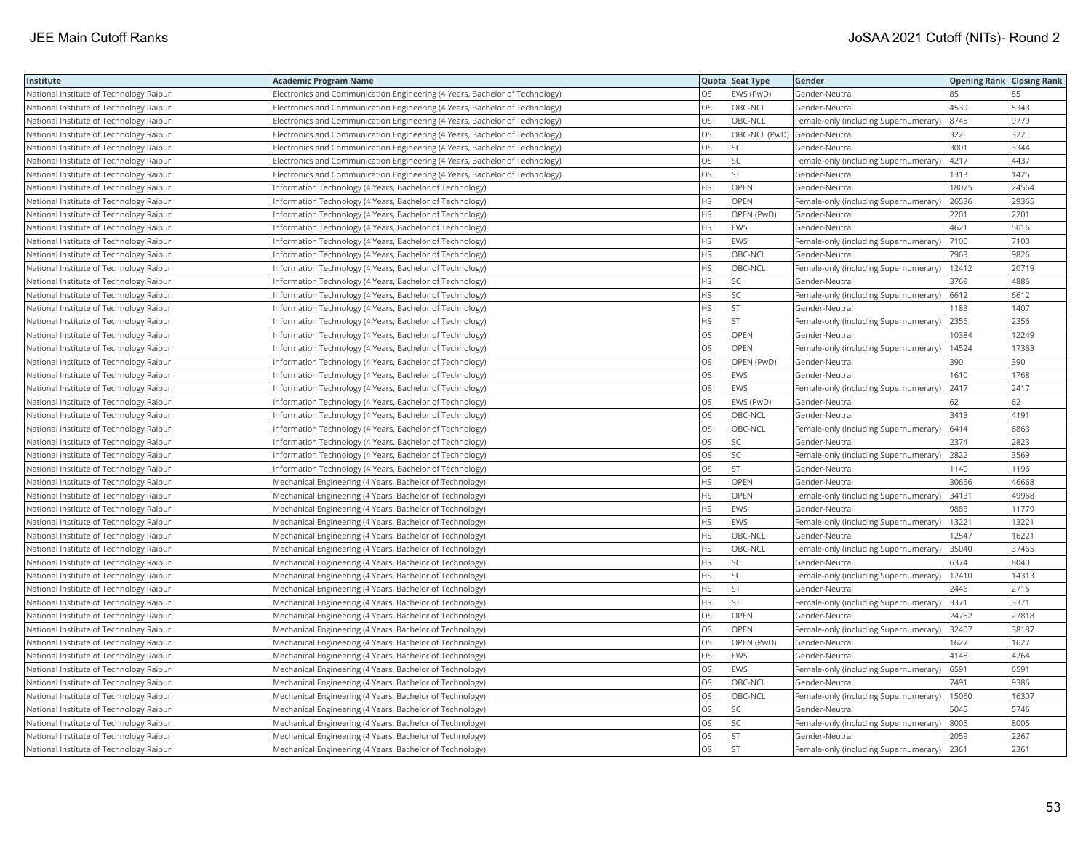| Institute                               | <b>Academic Program Name</b>                                                |           | Quota Seat Type | Gender                                | <b>Opening Rank Closing Rank</b> |       |
|-----------------------------------------|-----------------------------------------------------------------------------|-----------|-----------------|---------------------------------------|----------------------------------|-------|
| National Institute of Technology Raipur | Electronics and Communication Engineering (4 Years, Bachelor of Technology) | OS.       | EWS (PwD)       | Gender-Neutral                        | 85                               |       |
| National Institute of Technology Raipur | Electronics and Communication Engineering (4 Years, Bachelor of Technology) | OS        | OBC-NCL         | Gender-Neutral                        | 4539                             | 5343  |
| National Institute of Technology Raipur | Electronics and Communication Engineering (4 Years, Bachelor of Technology) | OS        | OBC-NCL         | Female-only (including Supernumerary) | 8745                             | 9779  |
| National Institute of Technology Raipur | Electronics and Communication Engineering (4 Years, Bachelor of Technology) | <b>OS</b> | OBC-NCL (PwD)   | Gender-Neutral                        | 322                              | 322   |
| National Institute of Technology Raipur | Electronics and Communication Engineering (4 Years, Bachelor of Technology) | OS        | SC              | Gender-Neutral                        | 3001                             | 3344  |
| National Institute of Technology Raipur | Electronics and Communication Engineering (4 Years, Bachelor of Technology) | <b>OS</b> | SC              | Female-only (including Supernumerary) | 4217                             | 4437  |
| National Institute of Technology Raipur | Electronics and Communication Engineering (4 Years, Bachelor of Technology) | los       | <b>ST</b>       | Gender-Neutral                        | 1313                             | 1425  |
| National Institute of Technology Raipur | Information Technology (4 Years, Bachelor of Technology)                    | <b>HS</b> | <b>OPEN</b>     | Gender-Neutral                        | 18075                            | 24564 |
| National Institute of Technology Raipur | Information Technology (4 Years, Bachelor of Technology)                    | <b>HS</b> | OPEN            | Female-only (including Supernumerary) | 26536                            | 29365 |
| National Institute of Technology Raipur | Information Technology (4 Years, Bachelor of Technology)                    | <b>HS</b> | OPEN (PwD)      | Gender-Neutral                        | 2201                             | 2201  |
| National Institute of Technology Raipur | Information Technology (4 Years, Bachelor of Technology)                    | <b>HS</b> | EWS             | Gender-Neutral                        | 4621                             | 5016  |
| National Institute of Technology Raipur | Information Technology (4 Years, Bachelor of Technology)                    | <b>HS</b> | EWS             | Female-only (including Supernumerary) | 7100                             | 7100  |
| National Institute of Technology Raipur | Information Technology (4 Years, Bachelor of Technology)                    | <b>HS</b> | OBC-NCL         | Gender-Neutral                        | 7963                             | 9826  |
| National Institute of Technology Raipur | Information Technology (4 Years, Bachelor of Technology)                    | HS        | OBC-NCL         | Female-only (including Supernumerary) | 12412                            | 20719 |
| National Institute of Technology Raipur | Information Technology (4 Years, Bachelor of Technology)                    | HS        | SC              | Gender-Neutral                        | 3769                             | 4886  |
| National Institute of Technology Raipur | Information Technology (4 Years, Bachelor of Technology)                    | HS        | SC              | Female-only (including Supernumerary) | 6612                             | 6612  |
| National Institute of Technology Raipur | Information Technology (4 Years, Bachelor of Technology)                    | HS        | <b>ST</b>       | Gender-Neutral                        | 1183                             | 1407  |
| National Institute of Technology Raipur | Information Technology (4 Years, Bachelor of Technology)                    | <b>HS</b> | <b>ST</b>       | Female-only (including Supernumerary) | 2356                             | 2356  |
| National Institute of Technology Raipur | Information Technology (4 Years, Bachelor of Technology)                    | OS        | OPEN            | Gender-Neutral                        | 10384                            | 12249 |
| National Institute of Technology Raipur | Information Technology (4 Years, Bachelor of Technology)                    | OS        | OPEN            | Female-only (including Supernumerary) | 14524                            | 17363 |
| National Institute of Technology Raipur | Information Technology (4 Years, Bachelor of Technology)                    | OS        | OPEN (PwD)      | Gender-Neutral                        | 390                              | 390   |
| National Institute of Technology Raipur | Information Technology (4 Years, Bachelor of Technology)                    | <b>OS</b> | EWS             | Gender-Neutral                        | 1610                             | 1768  |
| National Institute of Technology Raipur | Information Technology (4 Years, Bachelor of Technology)                    | <b>OS</b> | EWS             | Female-only (including Supernumerary) | 2417                             | 2417  |
| National Institute of Technology Raipur | Information Technology (4 Years, Bachelor of Technology)                    | <b>OS</b> | EWS (PwD)       | Gender-Neutral                        | 62                               | 62    |
| National Institute of Technology Raipur | Information Technology (4 Years, Bachelor of Technology)                    | OS        | OBC-NCL         | Gender-Neutral                        | 3413                             | 4191  |
| National Institute of Technology Raipur | Information Technology (4 Years, Bachelor of Technology)                    | <b>OS</b> | OBC-NCL         | Female-only (including Supernumerary) | 6414                             | 6863  |
| National Institute of Technology Raipur | Information Technology (4 Years, Bachelor of Technology)                    | los       | SC              | Gender-Neutral                        | 2374                             | 2823  |
| National Institute of Technology Raipur | Information Technology (4 Years, Bachelor of Technology)                    | OS        | SC              | Female-only (including Supernumerary) | 2822                             | 3569  |
| National Institute of Technology Raipur | Information Technology (4 Years, Bachelor of Technology)                    | OS        | <b>ST</b>       | Gender-Neutral                        | 1140                             | 1196  |
| National Institute of Technology Raipur | Mechanical Engineering (4 Years, Bachelor of Technology)                    | HS        | OPEN            | Gender-Neutral                        | 30656                            | 46668 |
| National Institute of Technology Raipur | Mechanical Engineering (4 Years, Bachelor of Technology)                    | <b>HS</b> | OPEN            | Female-only (including Supernumerary) | 34131                            | 49968 |
| National Institute of Technology Raipur | Mechanical Engineering (4 Years, Bachelor of Technology)                    | <b>HS</b> | <b>EWS</b>      | Gender-Neutral                        | 9883                             | 11779 |
| National Institute of Technology Raipur | Mechanical Engineering (4 Years, Bachelor of Technology)                    | <b>HS</b> | EWS             | Female-only (including Supernumerary) | 13221                            | 13221 |
| National Institute of Technology Raipur | Mechanical Engineering (4 Years, Bachelor of Technology)                    | <b>HS</b> | OBC-NCL         | Gender-Neutral                        | 12547                            | 16221 |
| National Institute of Technology Raipur | Mechanical Engineering (4 Years, Bachelor of Technology)                    | <b>HS</b> | OBC-NCL         | Female-only (including Supernumerary) | 35040                            | 37465 |
| National Institute of Technology Raipur | Mechanical Engineering (4 Years, Bachelor of Technology)                    | <b>HS</b> | SC              | Gender-Neutral                        | 6374                             | 8040  |
| National Institute of Technology Raipur | Mechanical Engineering (4 Years, Bachelor of Technology)                    | <b>HS</b> | SC              | Female-only (including Supernumerary) | 12410                            | 14313 |
| National Institute of Technology Raipur | Mechanical Engineering (4 Years, Bachelor of Technology)                    | <b>HS</b> | <b>ST</b>       | Gender-Neutral                        | 2446                             | 2715  |
| National Institute of Technology Raipur | Mechanical Engineering (4 Years, Bachelor of Technology)                    | <b>HS</b> | <b>ST</b>       | Female-only (including Supernumerary) | 3371                             | 3371  |
| National Institute of Technology Raipur | Mechanical Engineering (4 Years, Bachelor of Technology)                    | OS        | OPEN            | Gender-Neutral                        | 24752                            | 27818 |
| National Institute of Technology Raipur | Mechanical Engineering (4 Years, Bachelor of Technology)                    | <b>OS</b> | OPEN            | Female-only (including Supernumerary) | 32407                            | 38187 |
| National Institute of Technology Raipur | Mechanical Engineering (4 Years, Bachelor of Technology)                    | los       | OPEN (PwD)      | Gender-Neutral                        | 1627                             | 1627  |
| National Institute of Technology Raipur | Mechanical Engineering (4 Years, Bachelor of Technology)                    | OS        | EWS             | Gender-Neutral                        | 4148                             | 4264  |
| National Institute of Technology Raipur | Mechanical Engineering (4 Years, Bachelor of Technology)                    | OS        | EWS             | Female-only (including Supernumerary) | 6591                             | 6591  |
| National Institute of Technology Raipur | Mechanical Engineering (4 Years, Bachelor of Technology)                    | OS        | OBC-NCL         | Gender-Neutral                        | 7491                             | 9386  |
| National Institute of Technology Raipur | Mechanical Engineering (4 Years, Bachelor of Technology)                    | <b>OS</b> | OBC-NCL         | Female-only (including Supernumerary) | 15060                            | 16307 |
| National Institute of Technology Raipur | Mechanical Engineering (4 Years, Bachelor of Technology)                    | OS        | SC              | Gender-Neutral                        | 5045                             | 5746  |
| National Institute of Technology Raipur | Mechanical Engineering (4 Years, Bachelor of Technology)                    | <b>OS</b> | SC              | Female-only (including Supernumerary) | 8005                             | 8005  |
| National Institute of Technology Raipur | Mechanical Engineering (4 Years, Bachelor of Technology)                    | OS        | <b>ST</b>       | Gender-Neutral                        | 2059                             | 2267  |
| National Institute of Technology Raipur | Mechanical Engineering (4 Years, Bachelor of Technology)                    | los       | <b>ST</b>       | Female-only (including Supernumerary) | 2361                             | 2361  |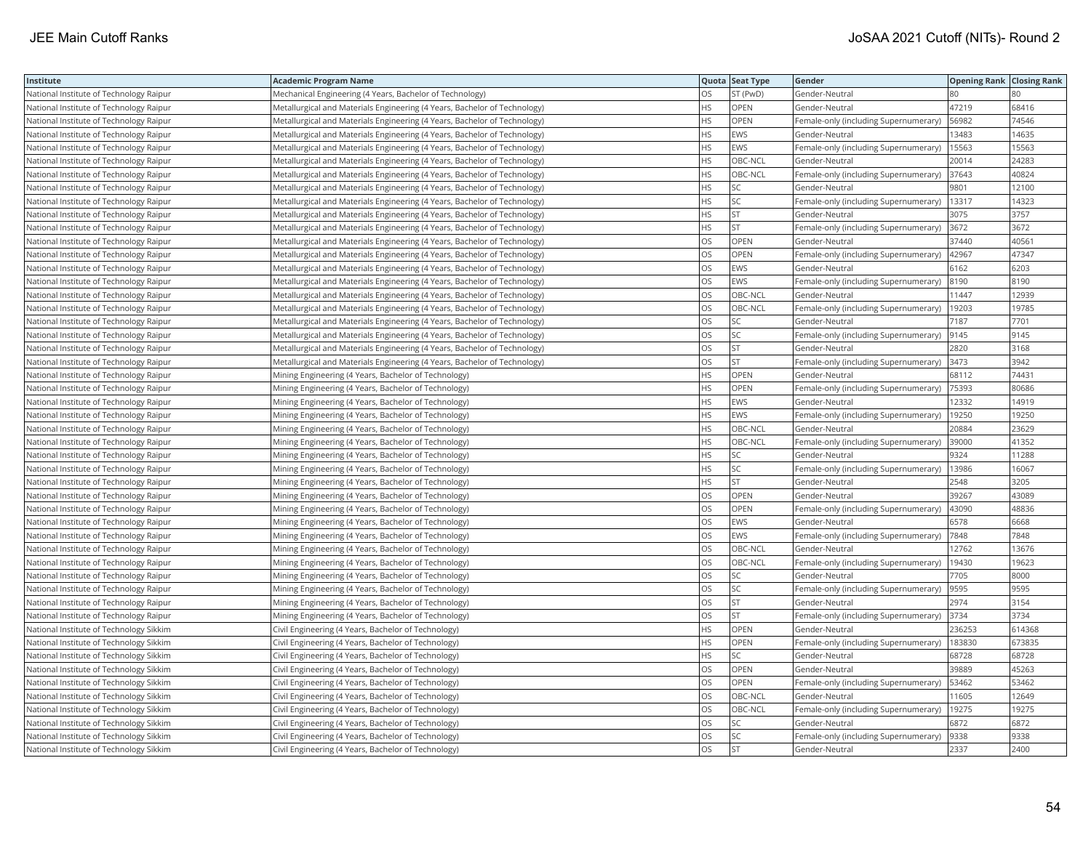| Institute                               | <b>Academic Program Name</b>                                              |           | Quota Seat Type | Gender                                | <b>Opening Rank Closing Rank</b> |        |
|-----------------------------------------|---------------------------------------------------------------------------|-----------|-----------------|---------------------------------------|----------------------------------|--------|
| National Institute of Technology Raipur | Mechanical Engineering (4 Years, Bachelor of Technology)                  | OS.       | ST (PwD)        | Gender-Neutral                        | 80                               |        |
| National Institute of Technology Raipur | Metallurgical and Materials Engineering (4 Years, Bachelor of Technology) | <b>HS</b> | OPEN            | Gender-Neutral                        | 47219                            | 68416  |
| National Institute of Technology Raipur | Metallurgical and Materials Engineering (4 Years, Bachelor of Technology) | <b>HS</b> | OPEN            | Female-only (including Supernumerary) | 56982                            | 74546  |
| National Institute of Technology Raipur | Metallurgical and Materials Engineering (4 Years, Bachelor of Technology) | <b>HS</b> | EWS             | Gender-Neutral                        | 13483                            | 14635  |
| National Institute of Technology Raipur | Metallurgical and Materials Engineering (4 Years, Bachelor of Technology) | <b>HS</b> | EWS             | Female-only (including Supernumerary) | 15563                            | 15563  |
| National Institute of Technology Raipur | Metallurgical and Materials Engineering (4 Years, Bachelor of Technology) | <b>HS</b> | OBC-NCL         | Gender-Neutral                        | 20014                            | 24283  |
| National Institute of Technology Raipur | Metallurgical and Materials Engineering (4 Years, Bachelor of Technology) | <b>HS</b> | OBC-NCL         | Female-only (including Supernumerary) | 37643                            | 40824  |
| National Institute of Technology Raipur | Metallurgical and Materials Engineering (4 Years, Bachelor of Technology) | <b>HS</b> | SC              | Gender-Neutral                        | 9801                             | 12100  |
| National Institute of Technology Raipur | Metallurgical and Materials Engineering (4 Years, Bachelor of Technology) | <b>HS</b> | SC              | Female-only (including Supernumerary) | 13317                            | 14323  |
| National Institute of Technology Raipur | Metallurgical and Materials Engineering (4 Years, Bachelor of Technology) | <b>HS</b> | <b>ST</b>       | Gender-Neutral                        | 3075                             | 3757   |
| National Institute of Technology Raipur | Metallurgical and Materials Engineering (4 Years, Bachelor of Technology) | <b>HS</b> | <b>ST</b>       | Female-only (including Supernumerary) | 3672                             | 3672   |
| National Institute of Technology Raipur | Metallurgical and Materials Engineering (4 Years, Bachelor of Technology) | OS        | OPEN            | Gender-Neutral                        | 37440                            | 40561  |
| National Institute of Technology Raipur | Metallurgical and Materials Engineering (4 Years, Bachelor of Technology) | OS        | OPEN            | Female-only (including Supernumerary) | 42967                            | 47347  |
| National Institute of Technology Raipur | Metallurgical and Materials Engineering (4 Years, Bachelor of Technology) | <b>OS</b> | <b>EWS</b>      | Gender-Neutral                        | 6162                             | 6203   |
| National Institute of Technology Raipur | Metallurgical and Materials Engineering (4 Years, Bachelor of Technology) | OS        | EWS             | Female-only (including Supernumerary) | 8190                             | 8190   |
| National Institute of Technology Raipur | Metallurgical and Materials Engineering (4 Years, Bachelor of Technology) | <b>OS</b> | OBC-NCL         | Gender-Neutral                        | 11447                            | 12939  |
| National Institute of Technology Raipur | Metallurgical and Materials Engineering (4 Years, Bachelor of Technology) | OS        | OBC-NCL         | Female-only (including Supernumerary) | 19203                            | 19785  |
| National Institute of Technology Raipur | Metallurgical and Materials Engineering (4 Years, Bachelor of Technology) | <b>OS</b> | SC              | Gender-Neutral                        | 7187                             | 7701   |
| National Institute of Technology Raipur | Metallurgical and Materials Engineering (4 Years, Bachelor of Technology) | OS        | SC              | Female-only (including Supernumerary) | 9145                             | 9145   |
| National Institute of Technology Raipur | Metallurgical and Materials Engineering (4 Years, Bachelor of Technology) | OS        | <b>ST</b>       | Gender-Neutral                        | 2820                             | 3168   |
| National Institute of Technology Raipur | Metallurgical and Materials Engineering (4 Years, Bachelor of Technology) | los       | <b>ST</b>       | Female-only (including Supernumerary) | 3473                             | 3942   |
| National Institute of Technology Raipur | Mining Engineering (4 Years, Bachelor of Technology)                      | <b>HS</b> | OPEN            | Gender-Neutral                        | 68112                            | 74431  |
| National Institute of Technology Raipur | Mining Engineering (4 Years, Bachelor of Technology)                      | <b>HS</b> | OPEN            | Female-only (including Supernumerary) | 75393                            | 80686  |
| National Institute of Technology Raipur | Mining Engineering (4 Years, Bachelor of Technology)                      | <b>HS</b> | EWS             | Gender-Neutral                        | 12332                            | 14919  |
| National Institute of Technology Raipur | Mining Engineering (4 Years, Bachelor of Technology)                      | <b>HS</b> | EWS             | Female-only (including Supernumerary) | 19250                            | 19250  |
| National Institute of Technology Raipur | Mining Engineering (4 Years, Bachelor of Technology)                      | <b>HS</b> | OBC-NCL         | Gender-Neutral                        | 20884                            | 23629  |
| National Institute of Technology Raipur | Mining Engineering (4 Years, Bachelor of Technology)                      | <b>HS</b> | OBC-NCL         | Female-only (including Supernumerary) | 39000                            | 41352  |
| National Institute of Technology Raipur | Mining Engineering (4 Years, Bachelor of Technology)                      | HS        | SC              | Gender-Neutral                        | 9324                             | 11288  |
| National Institute of Technology Raipur | Mining Engineering (4 Years, Bachelor of Technology)                      | <b>HS</b> | SC              | Female-only (including Supernumerary) | 13986                            | 16067  |
| National Institute of Technology Raipur | Mining Engineering (4 Years, Bachelor of Technology)                      | HS        | <b>ST</b>       | Gender-Neutral                        | 2548                             | 3205   |
| National Institute of Technology Raipur | Mining Engineering (4 Years, Bachelor of Technology)                      | <b>OS</b> | OPEN            | Gender-Neutral                        | 39267                            | 43089  |
| National Institute of Technology Raipur | Mining Engineering (4 Years, Bachelor of Technology)                      | los       | OPEN            | Female-only (including Supernumerary) | 43090                            | 48836  |
| National Institute of Technology Raipur | Mining Engineering (4 Years, Bachelor of Technology)                      | <b>OS</b> | EWS             | Gender-Neutral                        | 6578                             | 6668   |
| National Institute of Technology Raipur | Mining Engineering (4 Years, Bachelor of Technology)                      | <b>OS</b> | EWS             | Female-only (including Supernumerary) | 7848                             | 7848   |
| National Institute of Technology Raipur | Mining Engineering (4 Years, Bachelor of Technology)                      | <b>OS</b> | OBC-NCL         | Gender-Neutral                        | 12762                            | 13676  |
| National Institute of Technology Raipur | Mining Engineering (4 Years, Bachelor of Technology)                      | <b>OS</b> | OBC-NCL         | Female-only (including Supernumerary) | 19430                            | 19623  |
| National Institute of Technology Raipur | Mining Engineering (4 Years, Bachelor of Technology)                      | los       | SC              | Gender-Neutral                        | 7705                             | 8000   |
| National Institute of Technology Raipur | Mining Engineering (4 Years, Bachelor of Technology)                      | <b>OS</b> | SC              | Female-only (including Supernumerary) | 9595                             | 9595   |
| National Institute of Technology Raipur | Mining Engineering (4 Years, Bachelor of Technology)                      | los       | ST              | Gender-Neutral                        | 2974                             | 3154   |
| National Institute of Technology Raipur | Mining Engineering (4 Years, Bachelor of Technology)                      | OS        | <b>ST</b>       | Female-only (including Supernumerary) | 3734                             | 3734   |
| National Institute of Technology Sikkim | Civil Engineering (4 Years, Bachelor of Technology)                       | HS        | OPEN            | Gender-Neutral                        | 236253                           | 614368 |
| National Institute of Technology Sikkim | Civil Engineering (4 Years, Bachelor of Technology)                       | <b>HS</b> | OPEN            | Female-only (including Supernumerary) | 183830                           | 673835 |
| National Institute of Technology Sikkim | Civil Engineering (4 Years, Bachelor of Technology)                       | HS        | SC              | Gender-Neutral                        | 68728                            | 68728  |
| National Institute of Technology Sikkim | Civil Engineering (4 Years, Bachelor of Technology)                       | <b>OS</b> | OPEN            | Gender-Neutral                        | 39889                            | 45263  |
| National Institute of Technology Sikkim | Civil Engineering (4 Years, Bachelor of Technology)                       | OS        | OPEN            | Female-only (including Supernumerary) | 53462                            | 53462  |
| National Institute of Technology Sikkim | Civil Engineering (4 Years, Bachelor of Technology)                       | <b>OS</b> | OBC-NCL         | Gender-Neutral                        | 11605                            | 12649  |
| National Institute of Technology Sikkim | Civil Engineering (4 Years, Bachelor of Technology)                       | OS        | OBC-NCL         | Female-only (including Supernumerary) | 19275                            | 19275  |
| National Institute of Technology Sikkim | Civil Engineering (4 Years, Bachelor of Technology)                       | OS        | SC.             | Gender-Neutral                        | 6872                             | 6872   |
| National Institute of Technology Sikkim | Civil Engineering (4 Years, Bachelor of Technology)                       | OS        | SC              | Female-only (including Supernumerary) | 9338                             | 9338   |
| National Institute of Technology Sikkim | Civil Engineering (4 Years, Bachelor of Technology)                       | <b>OS</b> | <b>ST</b>       | Gender-Neutral                        | 2337                             | 2400   |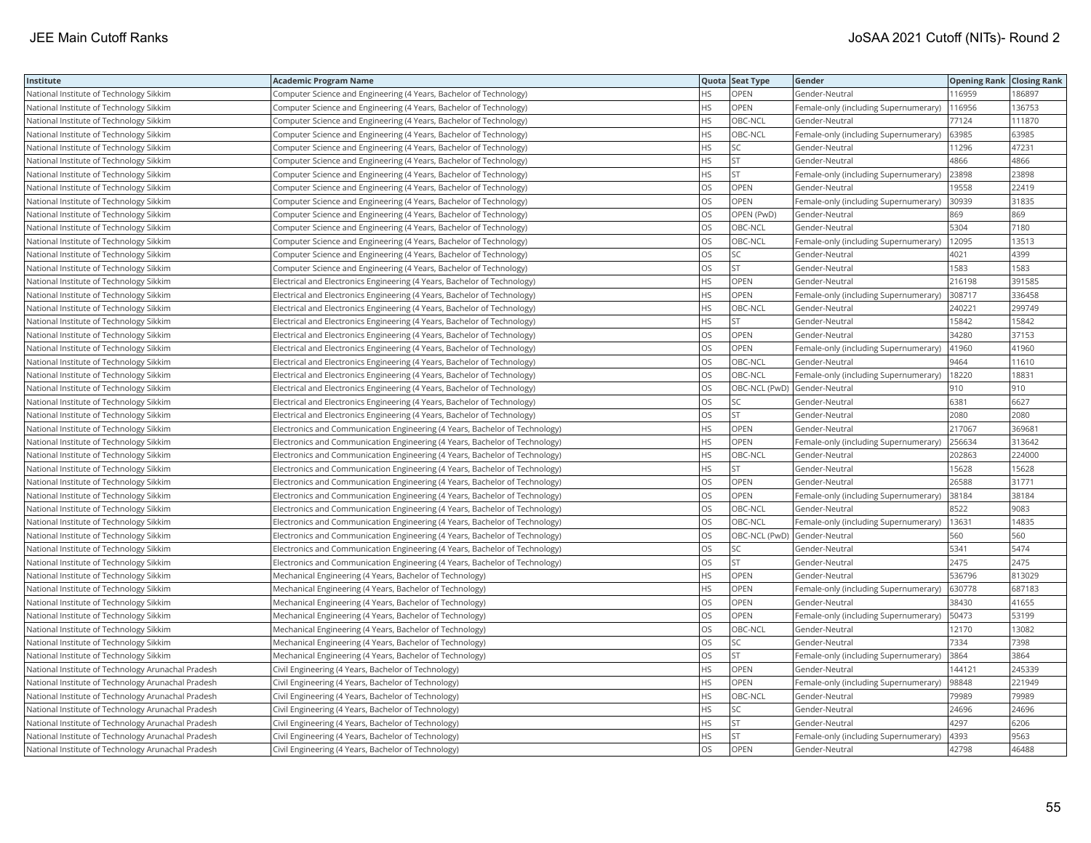| Institute                                          | <b>Academic Program Name</b>                                                |           | Quota Seat Type | Gender                                | <b>Opening Rank Closing Rank</b> |        |
|----------------------------------------------------|-----------------------------------------------------------------------------|-----------|-----------------|---------------------------------------|----------------------------------|--------|
| National Institute of Technology Sikkim            | Computer Science and Engineering (4 Years, Bachelor of Technology)          | HS.       | OPEN            | Gender-Neutral                        | 116959                           | 186897 |
| National Institute of Technology Sikkim            | Computer Science and Engineering (4 Years, Bachelor of Technology)          | <b>HS</b> | OPEN            | Female-only (including Supernumerary) | 116956                           | 136753 |
| National Institute of Technology Sikkim            | Computer Science and Engineering (4 Years, Bachelor of Technology)          | <b>HS</b> | OBC-NCL         | Gender-Neutral                        | 77124                            | 111870 |
| National Institute of Technology Sikkim            | Computer Science and Engineering (4 Years, Bachelor of Technology)          | <b>HS</b> | OBC-NCL         | Female-only (including Supernumerary) | 63985                            | 63985  |
| National Institute of Technology Sikkim            | Computer Science and Engineering (4 Years, Bachelor of Technology)          | <b>HS</b> | SC              | Gender-Neutral                        | 11296                            | 47231  |
| National Institute of Technology Sikkim            | Computer Science and Engineering (4 Years, Bachelor of Technology)          | <b>HS</b> | <b>ST</b>       | Gender-Neutral                        | 4866                             | 4866   |
| National Institute of Technology Sikkim            | Computer Science and Engineering (4 Years, Bachelor of Technology)          | <b>HS</b> | <b>ST</b>       | Female-only (including Supernumerary) | 23898                            | 23898  |
| National Institute of Technology Sikkim            | Computer Science and Engineering (4 Years, Bachelor of Technology)          | OS        | OPEN            | Gender-Neutral                        | 19558                            | 22419  |
| National Institute of Technology Sikkim            | Computer Science and Engineering (4 Years, Bachelor of Technology)          | OS        | OPEN            | Female-only (including Supernumerary) | 30939                            | 31835  |
| National Institute of Technology Sikkim            | Computer Science and Engineering (4 Years, Bachelor of Technology)          | los       | OPEN (PwD)      | Gender-Neutral                        | 869                              | 869    |
| National Institute of Technology Sikkim            | Computer Science and Engineering (4 Years, Bachelor of Technology)          | los       | OBC-NCL         | Gender-Neutral                        | 5304                             | 7180   |
| National Institute of Technology Sikkim            | Computer Science and Engineering (4 Years, Bachelor of Technology)          | OS        | OBC-NCL         | Female-only (including Supernumerary) | 12095                            | 13513  |
| National Institute of Technology Sikkim            | Computer Science and Engineering (4 Years, Bachelor of Technology)          | OS        | SC              | Gender-Neutral                        | 4021                             | 4399   |
| National Institute of Technology Sikkim            | Computer Science and Engineering (4 Years, Bachelor of Technology)          | <b>OS</b> | <b>ST</b>       | Gender-Neutral                        | 1583                             | 1583   |
| National Institute of Technology Sikkim            | Electrical and Electronics Engineering (4 Years, Bachelor of Technology)    | HS        | OPEN            | Gender-Neutral                        | 216198                           | 391585 |
| National Institute of Technology Sikkim            | Electrical and Electronics Engineering (4 Years, Bachelor of Technology)    | <b>HS</b> | OPEN            | Female-only (including Supernumerary) | 308717                           | 336458 |
| National Institute of Technology Sikkim            | Electrical and Electronics Engineering (4 Years, Bachelor of Technology)    | <b>HS</b> | OBC-NCL         | Gender-Neutral                        | 240221                           | 299749 |
| National Institute of Technology Sikkim            | Electrical and Electronics Engineering (4 Years, Bachelor of Technology)    | <b>HS</b> | <b>ST</b>       | Gender-Neutral                        | 15842                            | 15842  |
| National Institute of Technology Sikkim            | Electrical and Electronics Engineering (4 Years, Bachelor of Technology)    | OS        | OPEN            | Gender-Neutral                        | 34280                            | 37153  |
| National Institute of Technology Sikkim            | Electrical and Electronics Engineering (4 Years, Bachelor of Technology)    | OS        | OPEN            | Female-only (including Supernumerary) | 41960                            | 41960  |
| National Institute of Technology Sikkim            | Electrical and Electronics Engineering (4 Years, Bachelor of Technology)    | los       | OBC-NCL         | Gender-Neutral                        | 9464                             | 11610  |
| National Institute of Technology Sikkim            | Electrical and Electronics Engineering (4 Years, Bachelor of Technology)    | los       | OBC-NCL         | Female-only (including Supernumerary) | 18220                            | 18831  |
| National Institute of Technology Sikkim            | Electrical and Electronics Engineering (4 Years, Bachelor of Technology)    | OS        |                 | OBC-NCL (PwD) Gender-Neutral          | 910                              | 910    |
| National Institute of Technology Sikkim            | Electrical and Electronics Engineering (4 Years, Bachelor of Technology)    | OS        | SC              | Gender-Neutral                        | 6381                             | 6627   |
| National Institute of Technology Sikkim            | Electrical and Electronics Engineering (4 Years, Bachelor of Technology)    | los       | <b>ST</b>       | Gender-Neutral                        | 2080                             | 2080   |
| National Institute of Technology Sikkim            | Electronics and Communication Engineering (4 Years, Bachelor of Technology) | <b>HS</b> | OPEN            | Gender-Neutral                        | 217067                           | 369681 |
| National Institute of Technology Sikkim            | Electronics and Communication Engineering (4 Years, Bachelor of Technology) | <b>HS</b> | OPEN            | Female-only (including Supernumerary) | 256634                           | 313642 |
| National Institute of Technology Sikkim            | Electronics and Communication Engineering (4 Years, Bachelor of Technology) | HS        | OBC-NCL         | Gender-Neutral                        | 202863                           | 224000 |
| National Institute of Technology Sikkim            | Electronics and Communication Engineering (4 Years, Bachelor of Technology) | <b>HS</b> | <b>ST</b>       | Gender-Neutral                        | 15628                            | 15628  |
| National Institute of Technology Sikkim            | Electronics and Communication Engineering (4 Years, Bachelor of Technology) | OS        | OPEN            | Gender-Neutral                        | 26588                            | 31771  |
| National Institute of Technology Sikkim            | Electronics and Communication Engineering (4 Years, Bachelor of Technology) | <b>OS</b> | OPEN            | Female-only (including Supernumerary) | 38184                            | 38184  |
| National Institute of Technology Sikkim            | Electronics and Communication Engineering (4 Years, Bachelor of Technology) | los       | OBC-NCL         | Gender-Neutral                        | 8522                             | 9083   |
| National Institute of Technology Sikkim            | Electronics and Communication Engineering (4 Years, Bachelor of Technology) | <b>OS</b> | OBC-NCL         | Female-only (including Supernumerary) | 13631                            | 14835  |
| National Institute of Technology Sikkim            | Electronics and Communication Engineering (4 Years, Bachelor of Technology) | <b>OS</b> | OBC-NCL (PwD)   | Gender-Neutral                        | 560                              | 560    |
| National Institute of Technology Sikkim            | Electronics and Communication Engineering (4 Years, Bachelor of Technology) | <b>OS</b> | SC              | Gender-Neutral                        | 5341                             | 5474   |
| National Institute of Technology Sikkim            | Electronics and Communication Engineering (4 Years, Bachelor of Technology) | los       | <b>ST</b>       | Gender-Neutral                        | 2475                             | 2475   |
| National Institute of Technology Sikkim            | Mechanical Engineering (4 Years, Bachelor of Technology)                    | <b>HS</b> | OPEN            | Gender-Neutral                        | 536796                           | 813029 |
| National Institute of Technology Sikkim            | Mechanical Engineering (4 Years, Bachelor of Technology)                    | <b>HS</b> | <b>OPEN</b>     | Female-only (including Supernumerary) | 630778                           | 687183 |
| National Institute of Technology Sikkim            | Mechanical Engineering (4 Years, Bachelor of Technology)                    | <b>OS</b> | OPEN            | Gender-Neutral                        | 38430                            | 41655  |
| National Institute of Technology Sikkim            | Mechanical Engineering (4 Years, Bachelor of Technology)                    | OS        | OPEN            | Female-only (including Supernumerary) | 50473                            | 53199  |
| National Institute of Technology Sikkim            | Mechanical Engineering (4 Years, Bachelor of Technology)                    | OS        | OBC-NCL         | Gender-Neutral                        | 12170                            | 13082  |
| National Institute of Technology Sikkim            | Mechanical Engineering (4 Years, Bachelor of Technology)                    | OS        | SC              | Gender-Neutral                        | 7334                             | 7398   |
| National Institute of Technology Sikkim            | Mechanical Engineering (4 Years, Bachelor of Technology)                    | OS        | <b>ST</b>       | Female-only (including Supernumerary) | 3864                             | 3864   |
| National Institute of Technology Arunachal Pradesh | Civil Engineering (4 Years, Bachelor of Technology)                         | <b>HS</b> | OPEN            | Gender-Neutral                        | 144121                           | 245339 |
| National Institute of Technology Arunachal Pradesh | Civil Engineering (4 Years, Bachelor of Technology)                         | HS        | OPEN            | Female-only (including Supernumerary) | 98848                            | 221949 |
| National Institute of Technology Arunachal Pradesh | Civil Engineering (4 Years, Bachelor of Technology)                         | <b>HS</b> | OBC-NCL         | Gender-Neutral                        | 79989                            | 79989  |
| National Institute of Technology Arunachal Pradesh | Civil Engineering (4 Years, Bachelor of Technology)                         | <b>HS</b> | SC              | Gender-Neutral                        | 24696                            | 24696  |
| National Institute of Technology Arunachal Pradesh | Civil Engineering (4 Years, Bachelor of Technology)                         | <b>HS</b> | <b>ST</b>       | Gender-Neutral                        | 4297                             | 6206   |
| National Institute of Technology Arunachal Pradesh | Civil Engineering (4 Years, Bachelor of Technology)                         | <b>HS</b> | <b>ST</b>       | Female-only (including Supernumerary) | 4393                             | 9563   |
| National Institute of Technology Arunachal Pradesh | Civil Engineering (4 Years, Bachelor of Technology)                         | <b>OS</b> | <b>OPEN</b>     | Gender-Neutral                        | 42798                            | 46488  |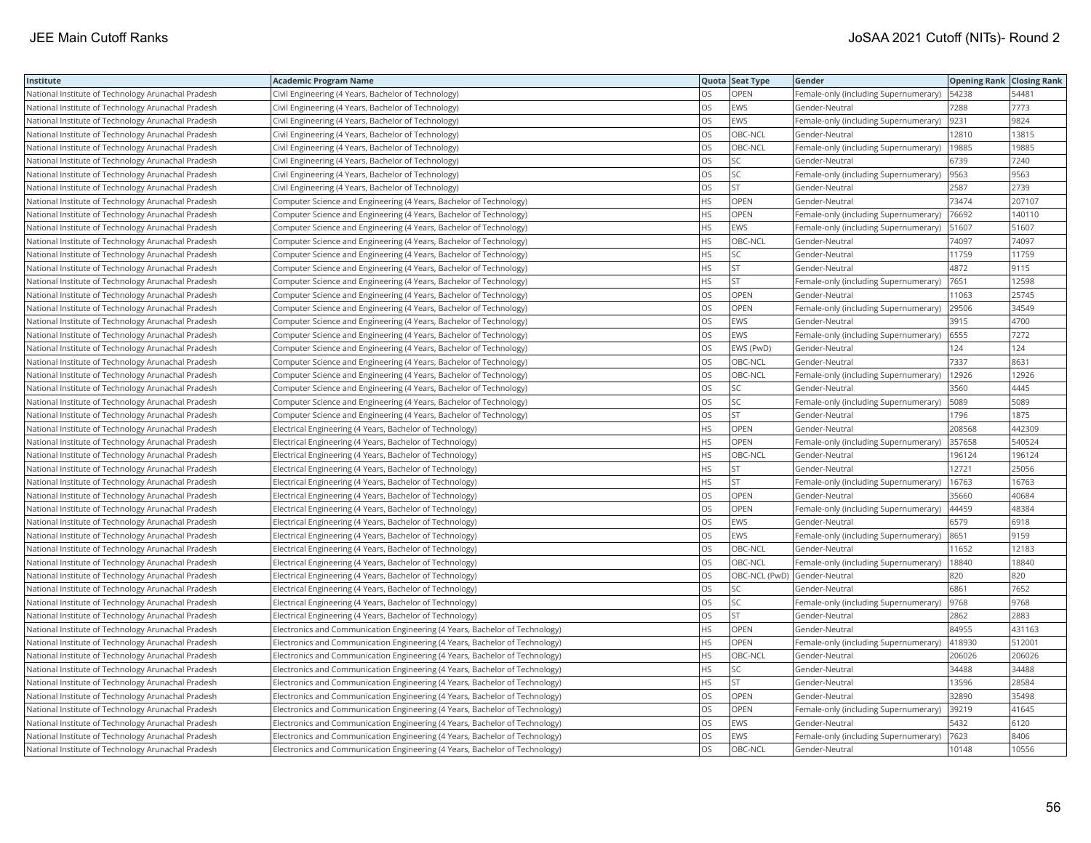| Institute                                          | <b>Academic Program Name</b>                                                |           | Quota Seat Type | Gender                                | <b>Opening Rank Closing Rank</b> |        |
|----------------------------------------------------|-----------------------------------------------------------------------------|-----------|-----------------|---------------------------------------|----------------------------------|--------|
| National Institute of Technology Arunachal Pradesh | Civil Engineering (4 Years, Bachelor of Technology)                         | OS.       | <b>OPEN</b>     | Female-only (including Supernumerary) | 54238                            | 54481  |
| National Institute of Technology Arunachal Pradesh | Civil Engineering (4 Years, Bachelor of Technology)                         | OS        | EWS             | Gender-Neutral                        | 7288                             | 7773   |
| National Institute of Technology Arunachal Pradesh | Civil Engineering (4 Years, Bachelor of Technology)                         | OS        | EWS             | Female-only (including Supernumerary) | 9231                             | 9824   |
| National Institute of Technology Arunachal Pradesh | Civil Engineering (4 Years, Bachelor of Technology)                         | OS        | OBC-NCL         | Gender-Neutral                        | 12810                            | 13815  |
| National Institute of Technology Arunachal Pradesh | Civil Engineering (4 Years, Bachelor of Technology)                         | OS        | OBC-NCL         | Female-only (including Supernumerary) | 19885                            | 19885  |
| National Institute of Technology Arunachal Pradesh | Civil Engineering (4 Years, Bachelor of Technology)                         | OS        | SC              | Gender-Neutral                        | 6739                             | 7240   |
| National Institute of Technology Arunachal Pradesh | Civil Engineering (4 Years, Bachelor of Technology)                         | <b>OS</b> | SC              | Female-only (including Supernumerary) | 9563                             | 9563   |
| National Institute of Technology Arunachal Pradesh | Civil Engineering (4 Years, Bachelor of Technology)                         | <b>OS</b> | <b>ST</b>       | Gender-Neutral                        | 2587                             | 2739   |
| National Institute of Technology Arunachal Pradesh | Computer Science and Engineering (4 Years, Bachelor of Technology)          | HS.       | <b>OPEN</b>     | Gender-Neutral                        | 73474                            | 207107 |
| National Institute of Technology Arunachal Pradesh | Computer Science and Engineering (4 Years, Bachelor of Technology)          | HS        | <b>OPEN</b>     | Female-only (including Supernumerary) | 76692                            | 140110 |
| National Institute of Technology Arunachal Pradesh | Computer Science and Engineering (4 Years, Bachelor of Technology)          | <b>HS</b> | EWS             | Female-only (including Supernumerary) | 51607                            | 51607  |
| National Institute of Technology Arunachal Pradesh | Computer Science and Engineering (4 Years, Bachelor of Technology)          | <b>HS</b> | OBC-NCL         | Gender-Neutral                        | 74097                            | 74097  |
| National Institute of Technology Arunachal Pradesh | Computer Science and Engineering (4 Years, Bachelor of Technology)          | HS        | SC              | Gender-Neutral                        | 11759                            | 11759  |
| National Institute of Technology Arunachal Pradesh | Computer Science and Engineering (4 Years, Bachelor of Technology)          | HS        | <b>ST</b>       | Gender-Neutral                        | 4872                             | 9115   |
| National Institute of Technology Arunachal Pradesh | Computer Science and Engineering (4 Years, Bachelor of Technology)          | HS.       | <b>ST</b>       | Female-only (including Supernumerary) | 7651                             | 12598  |
| National Institute of Technology Arunachal Pradesh | Computer Science and Engineering (4 Years, Bachelor of Technology)          | OS        | <b>OPEN</b>     | Gender-Neutral                        | 11063                            | 25745  |
| National Institute of Technology Arunachal Pradesh | Computer Science and Engineering (4 Years, Bachelor of Technology)          | OS        | OPEN            | Female-only (including Supernumerary) | 29506                            | 34549  |
| National Institute of Technology Arunachal Pradesh | Computer Science and Engineering (4 Years, Bachelor of Technology)          | OS        | EWS             | Gender-Neutral                        | 3915                             | 4700   |
| National Institute of Technology Arunachal Pradesh | Computer Science and Engineering (4 Years, Bachelor of Technology)          | OS        | EWS             | Female-only (including Supernumerary) | 6555                             | 7272   |
| National Institute of Technology Arunachal Pradesh | Computer Science and Engineering (4 Years, Bachelor of Technology)          | OS        | EWS (PwD)       | Gender-Neutral                        | 124                              | 124    |
| National Institute of Technology Arunachal Pradesh | Computer Science and Engineering (4 Years, Bachelor of Technology)          | OS        | OBC-NCL         | Gender-Neutral                        | 7337                             | 8631   |
| National Institute of Technology Arunachal Pradesh | Computer Science and Engineering (4 Years, Bachelor of Technology)          | OS        | OBC-NCL         | Female-only (including Supernumerary) | 12926                            | 12926  |
| National Institute of Technology Arunachal Pradesh | Computer Science and Engineering (4 Years, Bachelor of Technology)          | OS        | <b>SC</b>       | Gender-Neutral                        | 3560                             | 4445   |
| National Institute of Technology Arunachal Pradesh | Computer Science and Engineering (4 Years, Bachelor of Technology)          | OS        | SC              | Female-only (including Supernumerary) | 5089                             | 5089   |
| National Institute of Technology Arunachal Pradesh | Computer Science and Engineering (4 Years, Bachelor of Technology)          | OS        | <b>ST</b>       | Gender-Neutral                        | 1796                             | 1875   |
| National Institute of Technology Arunachal Pradesh | Electrical Engineering (4 Years, Bachelor of Technology)                    | HS        | <b>OPEN</b>     | Gender-Neutral                        | 208568                           | 442309 |
| National Institute of Technology Arunachal Pradesh | Electrical Engineering (4 Years, Bachelor of Technology)                    | HS        | OPEN            | Female-only (including Supernumerary) | 357658                           | 540524 |
| National Institute of Technology Arunachal Pradesh | Electrical Engineering (4 Years, Bachelor of Technology)                    | HS        | OBC-NCL         | Gender-Neutral                        | 196124                           | 196124 |
| National Institute of Technology Arunachal Pradesh | Electrical Engineering (4 Years, Bachelor of Technology)                    | HS        | <b>ST</b>       | Gender-Neutral                        | 12721                            | 25056  |
| National Institute of Technology Arunachal Pradesh | Electrical Engineering (4 Years, Bachelor of Technology)                    | HS.       | <b>ST</b>       | Female-only (including Supernumerary) | 16763                            | 16763  |
| National Institute of Technology Arunachal Pradesh | Electrical Engineering (4 Years, Bachelor of Technology)                    | OS        | <b>OPEN</b>     | Gender-Neutral                        | 35660                            | 40684  |
| National Institute of Technology Arunachal Pradesh | Electrical Engineering (4 Years, Bachelor of Technology)                    | OS        | OPEN            | Female-only (including Supernumerary) | 44459                            | 48384  |
| National Institute of Technology Arunachal Pradesh | Electrical Engineering (4 Years, Bachelor of Technology)                    | OS        | EWS             | Gender-Neutral                        | 6579                             | 6918   |
| National Institute of Technology Arunachal Pradesh | Electrical Engineering (4 Years, Bachelor of Technology)                    | OS        | EWS             | Female-only (including Supernumerary) | 8651                             | 9159   |
| National Institute of Technology Arunachal Pradesh | Electrical Engineering (4 Years, Bachelor of Technology)                    | OS        | OBC-NCL         | Gender-Neutral                        | 11652                            | 12183  |
| National Institute of Technology Arunachal Pradesh | Electrical Engineering (4 Years, Bachelor of Technology)                    | <b>OS</b> | OBC-NCL         | Female-only (including Supernumerary) | 18840                            | 18840  |
| National Institute of Technology Arunachal Pradesh | Electrical Engineering (4 Years, Bachelor of Technology)                    | OS        | OBC-NCL (PwD)   | Gender-Neutral                        | 820                              | 820    |
| National Institute of Technology Arunachal Pradesh | Electrical Engineering (4 Years, Bachelor of Technology)                    | OS        | SC              | Gender-Neutral                        | 6861                             | 7652   |
| National Institute of Technology Arunachal Pradesh | Electrical Engineering (4 Years, Bachelor of Technology)                    | OS        | SC              | Female-only (including Supernumerary) | 9768                             | 9768   |
| National Institute of Technology Arunachal Pradesh | Electrical Engineering (4 Years, Bachelor of Technology)                    | OS        | <b>ST</b>       | Gender-Neutral                        | 2862                             | 2883   |
| National Institute of Technology Arunachal Pradesh | Electronics and Communication Engineering (4 Years, Bachelor of Technology) | HS        | OPEN            | Gender-Neutral                        | 84955                            | 431163 |
| National Institute of Technology Arunachal Pradesh | Electronics and Communication Engineering (4 Years, Bachelor of Technology) | HS        | OPEN            | Female-only (including Supernumerary) | 418930                           | 512001 |
| National Institute of Technology Arunachal Pradesh | Electronics and Communication Engineering (4 Years, Bachelor of Technology) | HS.       | OBC-NCL         | Gender-Neutral                        | 206026                           | 206026 |
| National Institute of Technology Arunachal Pradesh | Electronics and Communication Engineering (4 Years, Bachelor of Technology) | HS.       | SC              | Gender-Neutral                        | 34488                            | 34488  |
| National Institute of Technology Arunachal Pradesh | Electronics and Communication Engineering (4 Years, Bachelor of Technology) | HS        | <b>ST</b>       | Gender-Neutral                        | 13596                            | 28584  |
| National Institute of Technology Arunachal Pradesh | Electronics and Communication Engineering (4 Years, Bachelor of Technology) | OS        | <b>OPEN</b>     | Gender-Neutral                        | 32890                            | 35498  |
| National Institute of Technology Arunachal Pradesh | Electronics and Communication Engineering (4 Years, Bachelor of Technology) | OS        | <b>OPEN</b>     | Female-only (including Supernumerary) | 39219                            | 41645  |
| National Institute of Technology Arunachal Pradesh | Electronics and Communication Engineering (4 Years, Bachelor of Technology) | OS        | EWS             | Gender-Neutral                        | 5432                             | 6120   |
| National Institute of Technology Arunachal Pradesh | Electronics and Communication Engineering (4 Years, Bachelor of Technology) | OS        | EWS             | Female-only (including Supernumerary) | 7623                             | 8406   |
| National Institute of Technology Arunachal Pradesh | Electronics and Communication Engineering (4 Years, Bachelor of Technology) | <b>OS</b> | OBC-NCL         | Gender-Neutral                        | 10148                            | 10556  |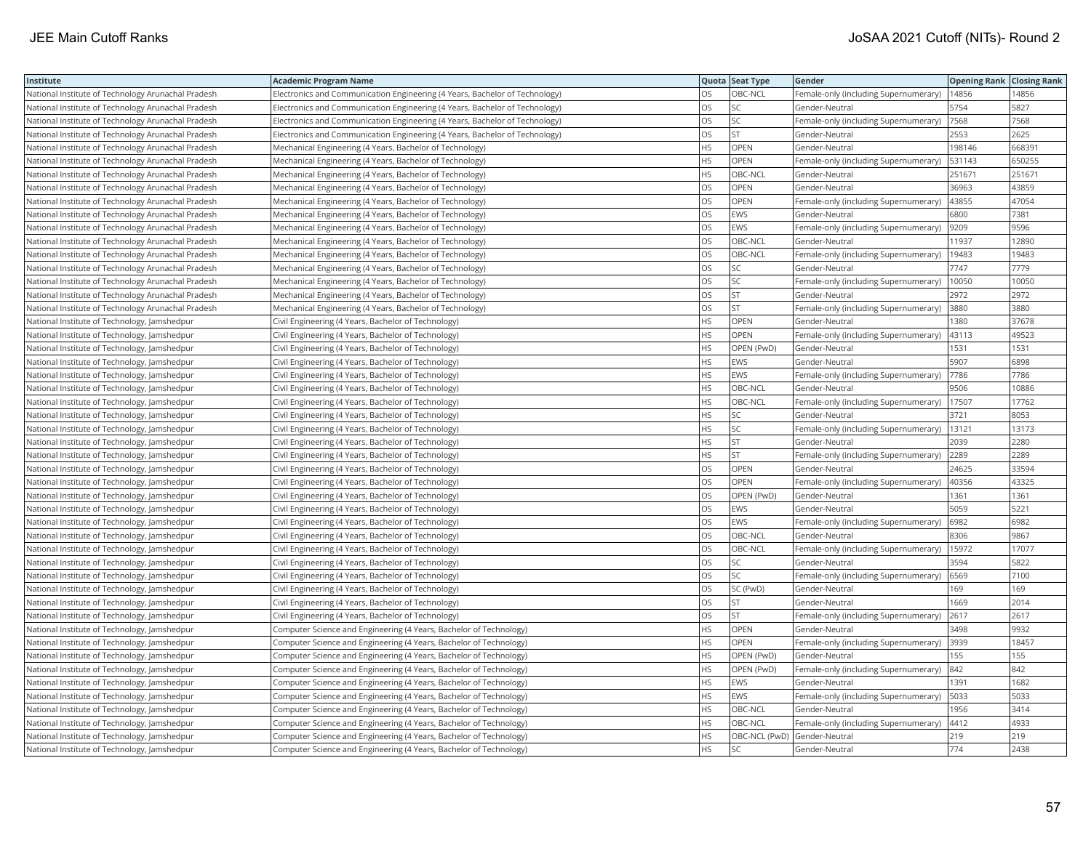| Institute                                          | <b>Academic Program Name</b>                                                |           | Quota Seat Type | Gender                                     | <b>Opening Rank Closing Rank</b> |        |
|----------------------------------------------------|-----------------------------------------------------------------------------|-----------|-----------------|--------------------------------------------|----------------------------------|--------|
| National Institute of Technology Arunachal Pradesh | Electronics and Communication Engineering (4 Years, Bachelor of Technology) | OS        | OBC-NCL         | Female-only (including Supernumerary)      | 14856                            | 14856  |
| National Institute of Technology Arunachal Pradesh | Electronics and Communication Engineering (4 Years, Bachelor of Technology) | OS        | SC              | Gender-Neutral                             | 5754                             | 5827   |
| National Institute of Technology Arunachal Pradesh | Electronics and Communication Engineering (4 Years, Bachelor of Technology) | OS        | SC              | Female-only (including Supernumerary)      | 7568                             | 7568   |
| National Institute of Technology Arunachal Pradesh | Electronics and Communication Engineering (4 Years, Bachelor of Technology) | OS        | <b>ST</b>       | Gender-Neutral                             | 2553                             | 2625   |
| National Institute of Technology Arunachal Pradesh | Mechanical Engineering (4 Years, Bachelor of Technology)                    | HS        | <b>OPEN</b>     | Gender-Neutral                             | 198146                           | 668391 |
| National Institute of Technology Arunachal Pradesh | Mechanical Engineering (4 Years, Bachelor of Technology)                    | HS        | OPEN            | Female-only (including Supernumerary)      | 531143                           | 650255 |
| National Institute of Technology Arunachal Pradesh | Mechanical Engineering (4 Years, Bachelor of Technology)                    | HS.       | OBC-NCL         | Gender-Neutral                             | 251671                           | 251671 |
| National Institute of Technology Arunachal Pradesh | Mechanical Engineering (4 Years, Bachelor of Technology)                    | <b>OS</b> | <b>OPEN</b>     | Gender-Neutral                             | 36963                            | 43859  |
| National Institute of Technology Arunachal Pradesh | Mechanical Engineering (4 Years, Bachelor of Technology)                    | <b>OS</b> | OPEN            | Female-only (including Supernumerary)      | 43855                            | 47054  |
| National Institute of Technology Arunachal Pradesh | Mechanical Engineering (4 Years, Bachelor of Technology)                    | OS        | EWS             | Gender-Neutral                             | 6800                             | 7381   |
| National Institute of Technology Arunachal Pradesh | Mechanical Engineering (4 Years, Bachelor of Technology)                    | OS        | EWS             | Female-only (including Supernumerary)      | 9209                             | 9596   |
| National Institute of Technology Arunachal Pradesh | Mechanical Engineering (4 Years, Bachelor of Technology)                    | OS        | OBC-NCL         | Gender-Neutral                             | 11937                            | 12890  |
| National Institute of Technology Arunachal Pradesh | Mechanical Engineering (4 Years, Bachelor of Technology)                    | OS        | OBC-NCL         | Female-only (including Supernumerary)      | 19483                            | 19483  |
| National Institute of Technology Arunachal Pradesh | Mechanical Engineering (4 Years, Bachelor of Technology)                    | OS        | SC              | Gender-Neutral                             | 7747                             | 7779   |
| National Institute of Technology Arunachal Pradesh | Mechanical Engineering (4 Years, Bachelor of Technology)                    | OS        | SC              | Female-only (including Supernumerary)      | 10050                            | 10050  |
| National Institute of Technology Arunachal Pradesh | Mechanical Engineering (4 Years, Bachelor of Technology)                    | OS        | <b>ST</b>       | Gender-Neutral                             | 2972                             | 2972   |
| National Institute of Technology Arunachal Pradesh | Mechanical Engineering (4 Years, Bachelor of Technology)                    | OS        | <b>ST</b>       | Female-only (including Supernumerary)      | 3880                             | 3880   |
| National Institute of Technology, Jamshedpur       | Civil Engineering (4 Years, Bachelor of Technology)                         | HS        | <b>OPEN</b>     | Gender-Neutral                             | 1380                             | 37678  |
| National Institute of Technology, Jamshedpur       | Civil Engineering (4 Years, Bachelor of Technology)                         | HS        | <b>OPEN</b>     | Female-only (including Supernumerary)      | 43113                            | 49523  |
| National Institute of Technology, Jamshedpur       | Civil Engineering (4 Years, Bachelor of Technology)                         | HS        | OPEN (PwD)      | Gender-Neutral                             | 1531                             | 1531   |
| National Institute of Technology, Jamshedpur       | Civil Engineering (4 Years, Bachelor of Technology)                         | HS        | EWS             | Gender-Neutral                             | 5907                             | 6898   |
| National Institute of Technology, Jamshedpur       | Civil Engineering (4 Years, Bachelor of Technology)                         | HS        | EWS             | Female-only (including Supernumerary)      | 7786                             | 7786   |
| National Institute of Technology, Jamshedpur       | Civil Engineering (4 Years, Bachelor of Technology)                         | HS.       | OBC-NCL         | Gender-Neutral                             | 9506                             | 10886  |
| National Institute of Technology, Jamshedpur       | Civil Engineering (4 Years, Bachelor of Technology)                         | HS        | OBC-NCL         | Female-only (including Supernumerary)      | 17507                            | 17762  |
| National Institute of Technology, Jamshedpur       | Civil Engineering (4 Years, Bachelor of Technology)                         | HS        | SC              | Gender-Neutral                             | 3721                             | 8053   |
| National Institute of Technology, Jamshedpur       | Civil Engineering (4 Years, Bachelor of Technology)                         | <b>HS</b> | SC              | Female-only (including Supernumerary)      | 13121                            | 13173  |
| National Institute of Technology, Jamshedpur       | Civil Engineering (4 Years, Bachelor of Technology)                         | HS        | ST              | Gender-Neutral                             | 2039                             | 2280   |
| National Institute of Technology, Jamshedpur       | Civil Engineering (4 Years, Bachelor of Technology)                         | HS        | <b>ST</b>       | Female-only (including Supernumerary)      | 2289                             | 2289   |
| National Institute of Technology, Jamshedpur       | Civil Engineering (4 Years, Bachelor of Technology)                         | OS        | OPEN            | Gender-Neutral                             | 24625                            | 33594  |
| National Institute of Technology, Jamshedpur       | Civil Engineering (4 Years, Bachelor of Technology)                         | OS        | <b>OPEN</b>     | Female-only (including Supernumerary)      | 40356                            | 43325  |
| National Institute of Technology, Jamshedpur       | Civil Engineering (4 Years, Bachelor of Technology)                         | OS        | OPEN (PwD)      | Gender-Neutral                             | 1361                             | 1361   |
| National Institute of Technology, Jamshedpur       | Civil Engineering (4 Years, Bachelor of Technology)                         | OS        | EWS             | Gender-Neutral                             | 5059                             | 5221   |
| National Institute of Technology, Jamshedpur       | Civil Engineering (4 Years, Bachelor of Technology)                         | OS        | EWS             | Female-only (including Supernumerary)      | 6982                             | 6982   |
| National Institute of Technology, Jamshedpur       | Civil Engineering (4 Years, Bachelor of Technology)                         | OS        | OBC-NCL         | Gender-Neutral                             | 8306                             | 9867   |
| National Institute of Technology, Jamshedpur       | Civil Engineering (4 Years, Bachelor of Technology)                         | OS        | OBC-NCL         | Female-only (including Supernumerary)      | 15972                            | 17077  |
| National Institute of Technology, Jamshedpur       | Civil Engineering (4 Years, Bachelor of Technology)                         | <b>OS</b> | <b>SC</b>       | Gender-Neutral                             | 3594                             | 5822   |
| National Institute of Technology, Jamshedpur       | Civil Engineering (4 Years, Bachelor of Technology)                         | OS        | SC              | Female-only (including Supernumerary)      | 6569                             | 7100   |
| National Institute of Technology, Jamshedpur       | Civil Engineering (4 Years, Bachelor of Technology)                         | OS        | SC (PwD)        | Gender-Neutral                             | 169                              | 169    |
| National Institute of Technology, Jamshedpur       | Civil Engineering (4 Years, Bachelor of Technology)                         | OS        | <b>ST</b>       | Gender-Neutral                             | 1669                             | 2014   |
| National Institute of Technology, Jamshedpur       | Civil Engineering (4 Years, Bachelor of Technology)                         | OS        | <b>ST</b>       | Female-only (including Supernumerary) 2617 |                                  | 2617   |
| National Institute of Technology, Jamshedpur       | Computer Science and Engineering (4 Years, Bachelor of Technology)          | HS        | OPEN            | Gender-Neutral                             | 3498                             | 9932   |
| National Institute of Technology, Jamshedpur       | Computer Science and Engineering (4 Years, Bachelor of Technology)          | HS        | OPEN            | Female-only (including Supernumerary)      | 3939                             | 18457  |
| National Institute of Technology, Jamshedpur       | Computer Science and Engineering (4 Years, Bachelor of Technology)          | HS        | OPEN (PwD)      | Gender-Neutral                             | 155                              | 155    |
| National Institute of Technology, Jamshedpur       | Computer Science and Engineering (4 Years, Bachelor of Technology)          | HS.       | OPEN (PwD)      | Female-only (including Supernumerary)      | 842                              | 842    |
| National Institute of Technology, Jamshedpur       | Computer Science and Engineering (4 Years, Bachelor of Technology)          | HS        | EWS             | Gender-Neutral                             | 1391                             | 1682   |
| National Institute of Technology, Jamshedpur       | Computer Science and Engineering (4 Years, Bachelor of Technology)          | HS.       | EWS             | Female-only (including Supernumerary)      | 5033                             | 5033   |
| National Institute of Technology, Jamshedpur       | Computer Science and Engineering (4 Years, Bachelor of Technology)          | HS        | OBC-NCL         | Gender-Neutral                             | 1956                             | 3414   |
| National Institute of Technology, Jamshedpur       | Computer Science and Engineering (4 Years, Bachelor of Technology)          | НS        | OBC-NCL         | Female-only (including Supernumerary)      | 4412                             | 4933   |
| National Institute of Technology, Jamshedpur       | Computer Science and Engineering (4 Years, Bachelor of Technology)          | HS        | OBC-NCL (PwD)   | Gender-Neutral                             | 219                              | 219    |
| National Institute of Technology, Jamshedpur       | Computer Science and Engineering (4 Years, Bachelor of Technology)          | HS.       | <b>SC</b>       | Gender-Neutral                             | 774                              | 2438   |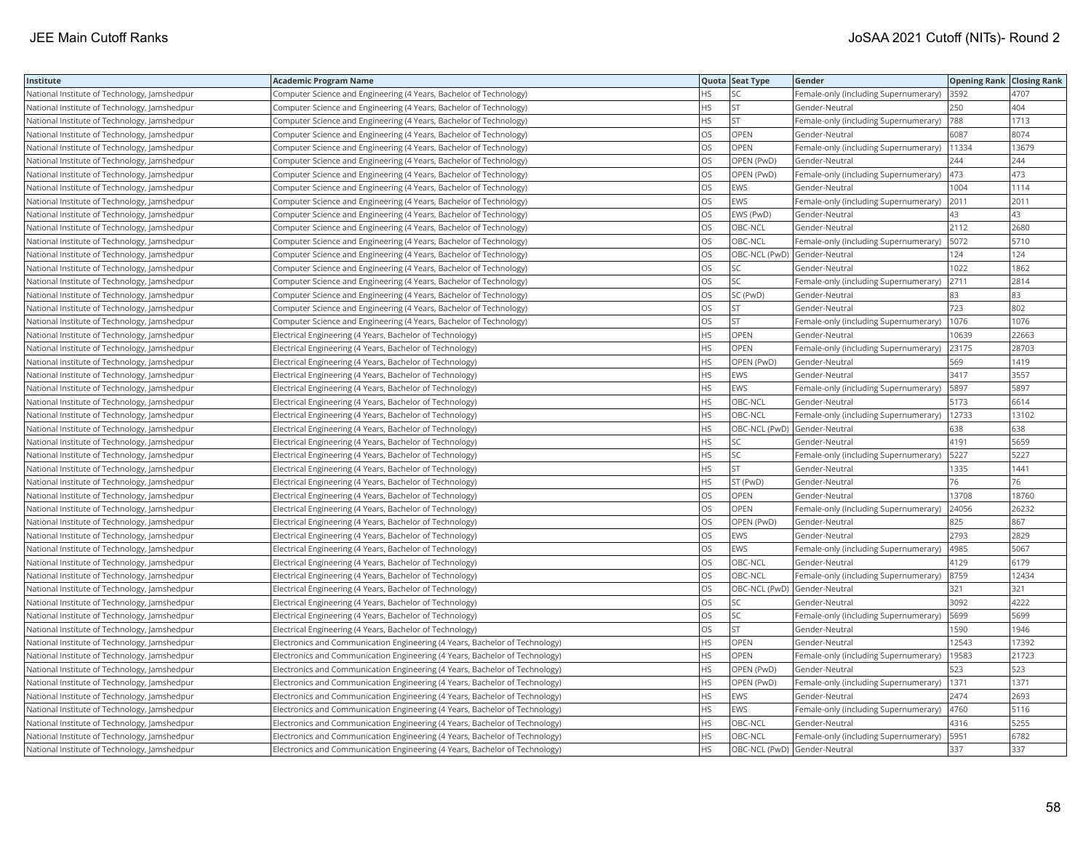| Institute                                    | <b>Academic Program Name</b>                                                |           | Quota Seat Type | Gender                                | <b>Opening Rank Closing Rank</b> |       |
|----------------------------------------------|-----------------------------------------------------------------------------|-----------|-----------------|---------------------------------------|----------------------------------|-------|
| National Institute of Technology, Jamshedpur | Computer Science and Engineering (4 Years, Bachelor of Technology)          | HS        | SC              | Female-only (including Supernumerary) | 3592                             | 4707  |
| National Institute of Technology, Jamshedpur | Computer Science and Engineering (4 Years, Bachelor of Technology)          | HS        | ST              | Gender-Neutral                        | 250                              | 404   |
| National Institute of Technology, Jamshedpur | Computer Science and Engineering (4 Years, Bachelor of Technology)          | <b>HS</b> | ST              | Female-only (including Supernumerary) | 788                              | 1713  |
| National Institute of Technology, Jamshedpur | Computer Science and Engineering (4 Years, Bachelor of Technology)          | OS        | OPEN            | Gender-Neutral                        | 6087                             | 8074  |
| National Institute of Technology, Jamshedpur | Computer Science and Engineering (4 Years, Bachelor of Technology)          | OS        | OPEN            | Female-only (including Supernumerary) | 11334                            | 13679 |
| National Institute of Technology, Jamshedpur | Computer Science and Engineering (4 Years, Bachelor of Technology)          | OS        | OPEN (PwD)      | Gender-Neutral                        | 244                              | 244   |
| National Institute of Technology, Jamshedpur | Computer Science and Engineering (4 Years, Bachelor of Technology)          | <b>OS</b> | OPEN (PwD)      | Female-only (including Supernumerary) | 473                              | 473   |
| National Institute of Technology, Jamshedpur | Computer Science and Engineering (4 Years, Bachelor of Technology)          | OS        | EWS             | Gender-Neutral                        | 1004                             | 1114  |
| National Institute of Technology, Jamshedpur | Computer Science and Engineering (4 Years, Bachelor of Technology)          | OS        | <b>EWS</b>      | Female-only (including Supernumerary) | 2011                             | 2011  |
| National Institute of Technology, Jamshedpur | Computer Science and Engineering (4 Years, Bachelor of Technology)          | OS        | EWS (PwD)       | Gender-Neutral                        | 43                               | 43    |
| National Institute of Technology, Jamshedpur | Computer Science and Engineering (4 Years, Bachelor of Technology)          | OS        | OBC-NCL         | Gender-Neutral                        | 2112                             | 2680  |
| National Institute of Technology, Jamshedpur | Computer Science and Engineering (4 Years, Bachelor of Technology)          | <b>OS</b> | OBC-NCL         | Female-only (including Supernumerary) | 5072                             | 5710  |
| National Institute of Technology, Jamshedpur | Computer Science and Engineering (4 Years, Bachelor of Technology)          | OS        |                 | OBC-NCL (PwD) Gender-Neutral          | 124                              | 124   |
| National Institute of Technology, Jamshedpur | Computer Science and Engineering (4 Years, Bachelor of Technology)          | <b>OS</b> | SC              | Gender-Neutral                        | 1022                             | 1862  |
| National Institute of Technology, Jamshedpur | Computer Science and Engineering (4 Years, Bachelor of Technology)          | OS        | SC              | Female-only (including Supernumerary) | 2711                             | 2814  |
| National Institute of Technology, Jamshedpur | Computer Science and Engineering (4 Years, Bachelor of Technology)          | <b>OS</b> | SC (PwD)        | Gender-Neutral                        | 83                               | 83    |
| National Institute of Technology, Jamshedpur | Computer Science and Engineering (4 Years, Bachelor of Technology)          | OS        | ST              | Gender-Neutral                        | 723                              | 802   |
| National Institute of Technology, Jamshedpur | Computer Science and Engineering (4 Years, Bachelor of Technology)          | OS        | ST              | Female-only (including Supernumerary) | 1076                             | 1076  |
| National Institute of Technology, Jamshedpur | Electrical Engineering (4 Years, Bachelor of Technology)                    | <b>HS</b> | OPEN            | Gender-Neutral                        | 10639                            | 22663 |
| National Institute of Technology, Jamshedpur | Electrical Engineering (4 Years, Bachelor of Technology)                    | <b>HS</b> | OPEN            | Female-only (including Supernumerary) | 23175                            | 28703 |
| National Institute of Technology, Jamshedpur | Electrical Engineering (4 Years, Bachelor of Technology)                    | <b>HS</b> | OPEN (PwD)      | Gender-Neutral                        | 569                              | 1419  |
| National Institute of Technology, Jamshedpur | Electrical Engineering (4 Years, Bachelor of Technology)                    | <b>HS</b> | EWS             | Gender-Neutral                        | 3417                             | 3557  |
| National Institute of Technology, Jamshedpur | Electrical Engineering (4 Years, Bachelor of Technology)                    | HS        | EWS             | Female-only (including Supernumerary) | 5897                             | 5897  |
| National Institute of Technology, Jamshedpur | Electrical Engineering (4 Years, Bachelor of Technology)                    | HS        | OBC-NCL         | Gender-Neutral                        | 5173                             | 6614  |
| National Institute of Technology, Jamshedpur | Electrical Engineering (4 Years, Bachelor of Technology)                    | <b>HS</b> | OBC-NCL         | Female-only (including Supernumerary) | 12733                            | 13102 |
| National Institute of Technology, Jamshedpur | Electrical Engineering (4 Years, Bachelor of Technology)                    | HS        |                 | OBC-NCL (PwD) Gender-Neutral          | 638                              | 638   |
| National Institute of Technology, Jamshedpur | Electrical Engineering (4 Years, Bachelor of Technology)                    | HS        | SC              | Gender-Neutral                        | 4191                             | 5659  |
| National Institute of Technology, Jamshedpur | Electrical Engineering (4 Years, Bachelor of Technology)                    | HS        | SC              | Female-only (including Supernumerary) | 5227                             | 5227  |
| National Institute of Technology, Jamshedpur | Electrical Engineering (4 Years, Bachelor of Technology)                    | <b>HS</b> | <b>ST</b>       | Gender-Neutral                        | 1335                             | 1441  |
| National Institute of Technology, Jamshedpur | Electrical Engineering (4 Years, Bachelor of Technology)                    | HS        | ST (PwD)        | Gender-Neutral                        | 76                               | 76    |
| National Institute of Technology, Jamshedpur | Electrical Engineering (4 Years, Bachelor of Technology)                    | OS        | OPEN            | Gender-Neutral                        | 13708                            | 18760 |
| National Institute of Technology, Jamshedpur | Electrical Engineering (4 Years, Bachelor of Technology)                    | OS        | OPEN            | Female-only (including Supernumerary) | 24056                            | 26232 |
| National Institute of Technology, Jamshedpur | Electrical Engineering (4 Years, Bachelor of Technology)                    | OS        | OPEN (PwD)      | Gender-Neutral                        | 825                              | 867   |
| National Institute of Technology, Jamshedpur | Electrical Engineering (4 Years, Bachelor of Technology)                    | OS        | EWS             | Gender-Neutral                        | 2793                             | 2829  |
| National Institute of Technology, Jamshedpur | Electrical Engineering (4 Years, Bachelor of Technology)                    | OS        | EWS             | Female-only (including Supernumerary) | 4985                             | 5067  |
| National Institute of Technology, Jamshedpur | Electrical Engineering (4 Years, Bachelor of Technology)                    | OS        | OBC-NCL         | Gender-Neutral                        | 4129                             | 6179  |
| National Institute of Technology, Jamshedpur | Electrical Engineering (4 Years, Bachelor of Technology)                    | <b>OS</b> | OBC-NCL         | Female-only (including Supernumerary) | 8759                             | 12434 |
| National Institute of Technology, Jamshedpur | Electrical Engineering (4 Years, Bachelor of Technology)                    | <b>OS</b> |                 | OBC-NCL (PwD) Gender-Neutral          | 321                              | 321   |
| National Institute of Technology, Jamshedpur | Electrical Engineering (4 Years, Bachelor of Technology)                    | OS        | SC              | Gender-Neutral                        | 3092                             | 4222  |
| National Institute of Technology, Jamshedpur | Electrical Engineering (4 Years, Bachelor of Technology)                    | OS        | <b>SC</b>       | Female-only (including Supernumerary) | 5699                             | 5699  |
| National Institute of Technology, Jamshedpur | Electrical Engineering (4 Years, Bachelor of Technology)                    | OS        | ST              | Gender-Neutral                        | 1590                             | 1946  |
| National Institute of Technology, Jamshedpur | Electronics and Communication Engineering (4 Years, Bachelor of Technology) | <b>HS</b> | OPEN            | Gender-Neutral                        | 12543                            | 17392 |
| National Institute of Technology, Jamshedpur | Electronics and Communication Engineering (4 Years, Bachelor of Technology) | HS        | <b>OPEN</b>     | Female-only (including Supernumerary) | 19583                            | 21723 |
| National Institute of Technology, Jamshedpur | Electronics and Communication Engineering (4 Years, Bachelor of Technology) | <b>HS</b> | OPEN (PwD)      | Gender-Neutral                        | 523                              | 523   |
| National Institute of Technology, Jamshedpur | Electronics and Communication Engineering (4 Years, Bachelor of Technology) | HS        | OPEN (PwD)      | Female-only (including Supernumerary) | 1371                             | 1371  |
| National Institute of Technology, Jamshedpur | Electronics and Communication Engineering (4 Years, Bachelor of Technology) | <b>HS</b> | <b>EWS</b>      | Gender-Neutral                        | 2474                             | 2693  |
| National Institute of Technology, Jamshedpur | Electronics and Communication Engineering (4 Years, Bachelor of Technology) | HS        | EWS             | Female-only (including Supernumerary) | 4760                             | 5116  |
| National Institute of Technology, Jamshedpur | Electronics and Communication Engineering (4 Years, Bachelor of Technology) | HS        | OBC-NCL         | Gender-Neutral                        | 4316                             | 5255  |
| National Institute of Technology, Jamshedpur | Electronics and Communication Engineering (4 Years, Bachelor of Technology) | HS        | OBC-NCL         | Female-only (including Supernumerary) | 5951                             | 6782  |
| National Institute of Technology, Jamshedpur | Electronics and Communication Engineering (4 Years, Bachelor of Technology) | <b>HS</b> |                 | OBC-NCL (PwD) Gender-Neutral          | 337                              | 337   |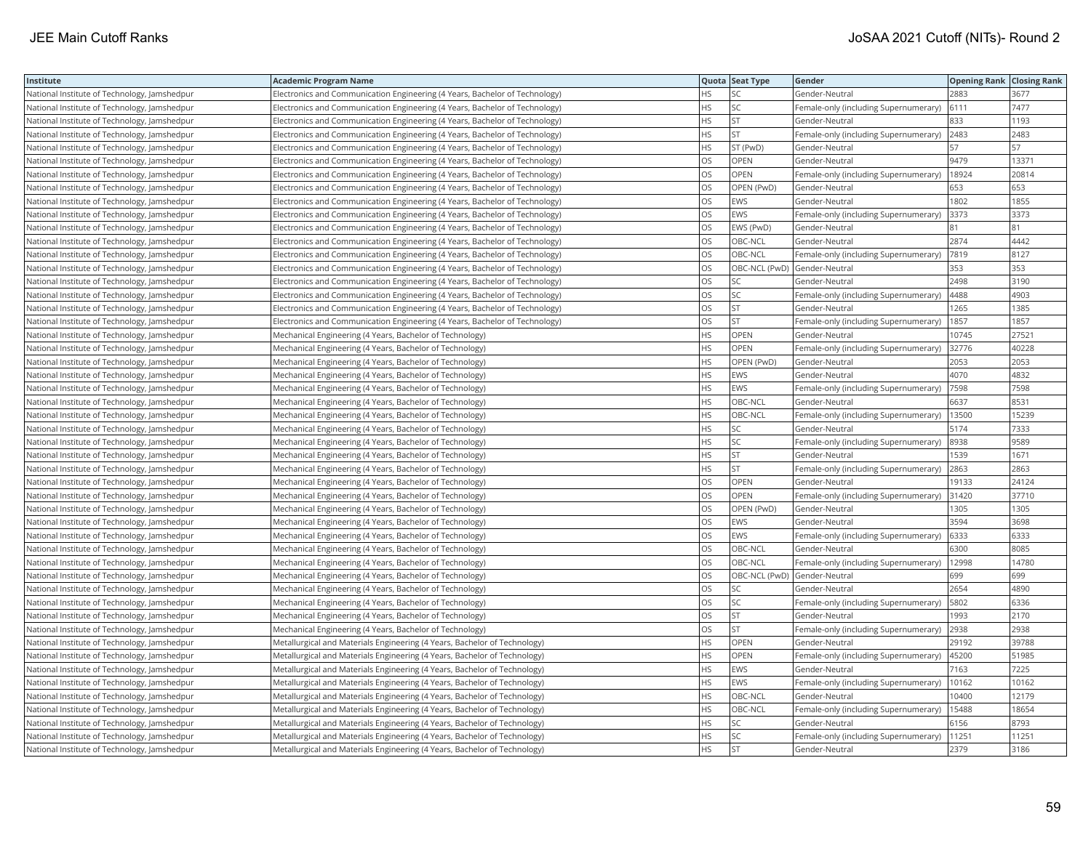| Institute                                    | <b>Academic Program Name</b>                                                |           | Quota Seat Type | Gender                                | <b>Opening Rank Closing Rank</b> |       |
|----------------------------------------------|-----------------------------------------------------------------------------|-----------|-----------------|---------------------------------------|----------------------------------|-------|
| National Institute of Technology, Jamshedpur | Electronics and Communication Engineering (4 Years, Bachelor of Technology) | HS.       | SC              | Gender-Neutral                        | 2883                             | 3677  |
| National Institute of Technology, Jamshedpur | Electronics and Communication Engineering (4 Years, Bachelor of Technology) | HS        | SC              | Female-only (including Supernumerary) | 6111                             | 7477  |
| National Institute of Technology, Jamshedpur | Electronics and Communication Engineering (4 Years, Bachelor of Technology) | HS        | ST              | Gender-Neutral                        | 833                              | 1193  |
| National Institute of Technology, Jamshedpur | Electronics and Communication Engineering (4 Years, Bachelor of Technology) | HS        | ST              | Female-only (including Supernumerary) | 2483                             | 2483  |
| National Institute of Technology, Jamshedpur | Electronics and Communication Engineering (4 Years, Bachelor of Technology) | <b>HS</b> | ST (PwD)        | Gender-Neutral                        | 57                               | 57    |
| National Institute of Technology, Jamshedpur | Electronics and Communication Engineering (4 Years, Bachelor of Technology) | <b>OS</b> | OPEN            | Gender-Neutral                        | 9479                             | 13371 |
| National Institute of Technology, Jamshedpur | Electronics and Communication Engineering (4 Years, Bachelor of Technology) | <b>OS</b> | <b>OPEN</b>     | Female-only (including Supernumerary) | 18924                            | 20814 |
| National Institute of Technology, Jamshedpur | Electronics and Communication Engineering (4 Years, Bachelor of Technology) | <b>OS</b> | OPEN (PwD)      | Gender-Neutral                        | 653                              | 653   |
| National Institute of Technology, Jamshedpur | Electronics and Communication Engineering (4 Years, Bachelor of Technology) | OS        | EWS             | Gender-Neutral                        | 1802                             | 1855  |
| National Institute of Technology, Jamshedpur | Electronics and Communication Engineering (4 Years, Bachelor of Technology) | OS        | EWS             | Female-only (including Supernumerary) | 3373                             | 3373  |
| National Institute of Technology, Jamshedpur | Electronics and Communication Engineering (4 Years, Bachelor of Technology) | OS        | EWS (PwD)       | Gender-Neutral                        | 81                               | 81    |
| National Institute of Technology, Jamshedpur | Electronics and Communication Engineering (4 Years, Bachelor of Technology) | OS        | OBC-NCL         | Gender-Neutral                        | 2874                             | 4442  |
| National Institute of Technology, Jamshedpur | Electronics and Communication Engineering (4 Years, Bachelor of Technology) | OS        | OBC-NCL         | Female-only (including Supernumerary) | 7819                             | 8127  |
| National Institute of Technology, Jamshedpur | Electronics and Communication Engineering (4 Years, Bachelor of Technology) | <b>OS</b> |                 | OBC-NCL (PwD) Gender-Neutral          | 353                              | 353   |
| National Institute of Technology, Jamshedpur | Electronics and Communication Engineering (4 Years, Bachelor of Technology) | <b>OS</b> | SC              | Gender-Neutral                        | 2498                             | 3190  |
| National Institute of Technology, Jamshedpur | Electronics and Communication Engineering (4 Years, Bachelor of Technology) | OS        | SC              | Female-only (including Supernumerary) | 4488                             | 4903  |
| National Institute of Technology, Jamshedpur | Electronics and Communication Engineering (4 Years, Bachelor of Technology) | <b>OS</b> | <b>ST</b>       | Gender-Neutral                        | 1265                             | 1385  |
| National Institute of Technology, Jamshedpur | Electronics and Communication Engineering (4 Years, Bachelor of Technology) | OS        | ST              | Female-only (including Supernumerary) | 1857                             | 1857  |
| National Institute of Technology, Jamshedpur | Mechanical Engineering (4 Years, Bachelor of Technology)                    | <b>HS</b> | OPEN            | Gender-Neutral                        | 10745                            | 27521 |
| National Institute of Technology, Jamshedpur | Mechanical Engineering (4 Years, Bachelor of Technology)                    | HS        | OPEN            | Female-only (including Supernumerary) | 32776                            | 40228 |
| National Institute of Technology, Jamshedpur | Mechanical Engineering (4 Years, Bachelor of Technology)                    | HS        | OPEN (PwD)      | Gender-Neutral                        | 2053                             | 2053  |
| National Institute of Technology, Jamshedpur | Mechanical Engineering (4 Years, Bachelor of Technology)                    | <b>HS</b> | EWS             | Gender-Neutral                        | 4070                             | 4832  |
| National Institute of Technology, Jamshedpur | Mechanical Engineering (4 Years, Bachelor of Technology)                    | <b>HS</b> | EWS             | Female-only (including Supernumerary) | 7598                             | 7598  |
| National Institute of Technology, Jamshedpur | Mechanical Engineering (4 Years, Bachelor of Technology)                    | HS        | OBC-NCL         | Gender-Neutral                        | 6637                             | 8531  |
| National Institute of Technology, Jamshedpur | Mechanical Engineering (4 Years, Bachelor of Technology)                    | HS        | OBC-NCL         | Female-only (including Supernumerary) | 13500                            | 15239 |
| National Institute of Technology, Jamshedpur | Mechanical Engineering (4 Years, Bachelor of Technology)                    | <b>HS</b> | SC              | Gender-Neutral                        | 5174                             | 7333  |
| National Institute of Technology, Jamshedpur | Mechanical Engineering (4 Years, Bachelor of Technology)                    | HS        | SC              | Female-only (including Supernumerary) | 8938                             | 9589  |
| National Institute of Technology, Jamshedpur | Mechanical Engineering (4 Years, Bachelor of Technology)                    | HS        | ST              | Gender-Neutral                        | 1539                             | 1671  |
| National Institute of Technology, Jamshedpur | Mechanical Engineering (4 Years, Bachelor of Technology)                    | HS        | <b>ST</b>       | Female-only (including Supernumerary) | 2863                             | 2863  |
| National Institute of Technology, Jamshedpur | Mechanical Engineering (4 Years, Bachelor of Technology)                    | <b>OS</b> | OPEN            | Gender-Neutral                        | 19133                            | 24124 |
| National Institute of Technology, Jamshedpur | Mechanical Engineering (4 Years, Bachelor of Technology)                    | OS        | OPEN            | Female-only (including Supernumerary) | 31420                            | 37710 |
| National Institute of Technology, Jamshedpur | Mechanical Engineering (4 Years, Bachelor of Technology)                    | OS        | OPEN (PwD)      | Gender-Neutral                        | 1305                             | 1305  |
| National Institute of Technology, Jamshedpur | Mechanical Engineering (4 Years, Bachelor of Technology)                    | OS        | EWS             | Gender-Neutral                        | 3594                             | 3698  |
| National Institute of Technology, Jamshedpur | Mechanical Engineering (4 Years, Bachelor of Technology)                    | OS        | EWS             | Female-only (including Supernumerary) | 6333                             | 6333  |
| National Institute of Technology, Jamshedpur | Mechanical Engineering (4 Years, Bachelor of Technology)                    | OS        | OBC-NCL         | Gender-Neutral                        | 6300                             | 8085  |
| National Institute of Technology, Jamshedpur | Mechanical Engineering (4 Years, Bachelor of Technology)                    | OS        | OBC-NCL         | Female-only (including Supernumerary) | 12998                            | 14780 |
| National Institute of Technology, Jamshedpur | Mechanical Engineering (4 Years, Bachelor of Technology)                    | <b>OS</b> |                 | OBC-NCL (PwD) Gender-Neutral          | 699                              | 699   |
| National Institute of Technology, Jamshedpur | Mechanical Engineering (4 Years, Bachelor of Technology)                    | OS        | SC              | Gender-Neutral                        | 2654                             | 4890  |
| National Institute of Technology, Jamshedpur | Mechanical Engineering (4 Years, Bachelor of Technology)                    | OS        | SC              | Female-only (including Supernumerary) | 5802                             | 6336  |
| National Institute of Technology, Jamshedpur | Mechanical Engineering (4 Years, Bachelor of Technology)                    | OS        | ST              | Gender-Neutral                        | 1993                             | 2170  |
| National Institute of Technology, Jamshedpur | Mechanical Engineering (4 Years, Bachelor of Technology)                    | OS        | ST              | Female-only (including Supernumerary) | 2938                             | 2938  |
| National Institute of Technology, Jamshedpur | Metallurgical and Materials Engineering (4 Years, Bachelor of Technology)   | HS        | <b>OPEN</b>     | Gender-Neutral                        | 29192                            | 39788 |
| National Institute of Technology, Jamshedpur | Metallurgical and Materials Engineering (4 Years, Bachelor of Technology)   | HS        | OPEN            | Female-only (including Supernumerary) | 45200                            | 51985 |
| National Institute of Technology, Jamshedpur | Metallurgical and Materials Engineering (4 Years, Bachelor of Technology)   | <b>HS</b> | EWS             | Gender-Neutral                        | 7163                             | 7225  |
| National Institute of Technology, Jamshedpur | Metallurgical and Materials Engineering (4 Years, Bachelor of Technology)   | HS        | EWS             | Female-only (including Supernumerary) | 10162                            | 10162 |
| National Institute of Technology, Jamshedpur | Metallurgical and Materials Engineering (4 Years, Bachelor of Technology)   | <b>HS</b> | OBC-NCL         | Gender-Neutral                        | 10400                            | 12179 |
| National Institute of Technology, Jamshedpur | Metallurgical and Materials Engineering (4 Years, Bachelor of Technology)   | HS        | OBC-NCL         | Female-only (including Supernumerary) | 15488                            | 18654 |
| National Institute of Technology, Jamshedpur | Metallurgical and Materials Engineering (4 Years, Bachelor of Technology)   | <b>HS</b> | SC              | Gender-Neutral                        | 6156                             | 8793  |
| National Institute of Technology, Jamshedpur | Metallurgical and Materials Engineering (4 Years, Bachelor of Technology)   | HS        | SC              | Female-only (including Supernumerary) | 11251                            | 11251 |
| National Institute of Technology, Jamshedpur | Metallurgical and Materials Engineering (4 Years, Bachelor of Technology)   | <b>HS</b> | <b>ST</b>       | Gender-Neutral                        | 2379                             | 3186  |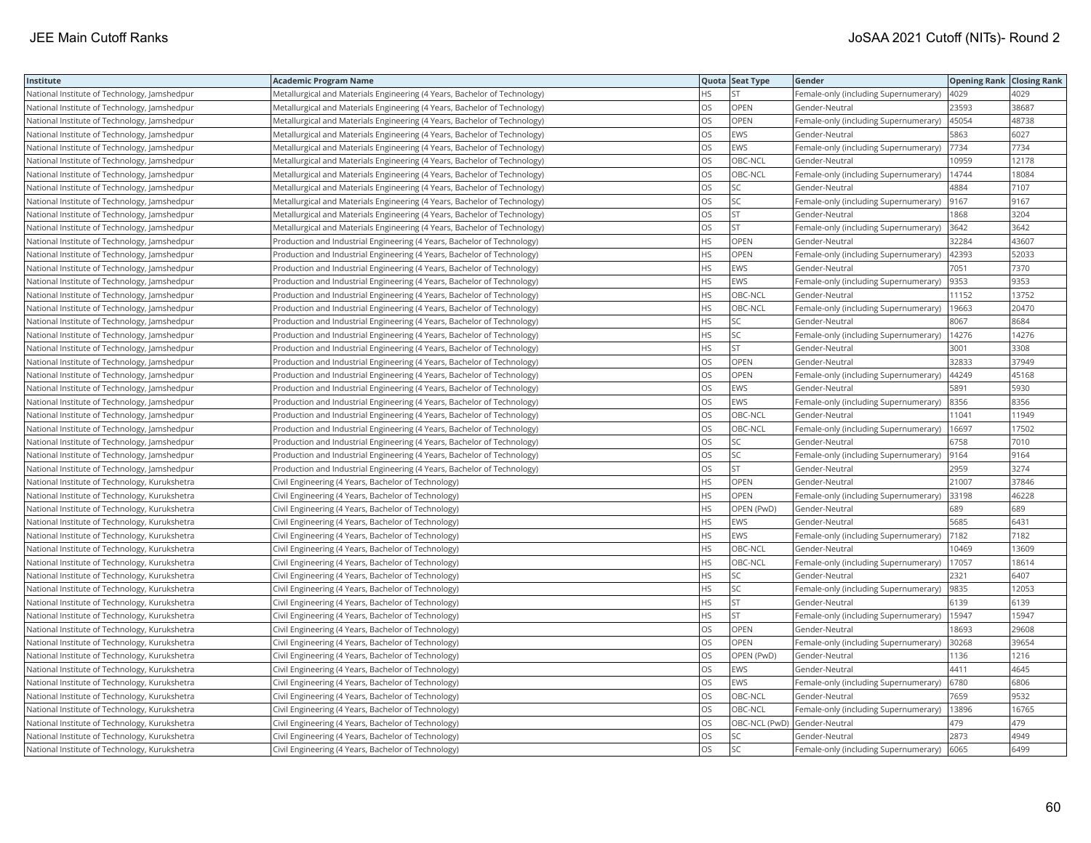| Institute                                     | <b>Academic Program Name</b>                                              |           | Quota Seat Type | Gender                                |       | <b>Opening Rank Closing Rank</b> |
|-----------------------------------------------|---------------------------------------------------------------------------|-----------|-----------------|---------------------------------------|-------|----------------------------------|
| National Institute of Technology, Jamshedpur  | Metallurgical and Materials Engineering (4 Years, Bachelor of Technology) | HS.       | <b>ST</b>       | Female-only (including Supernumerary) | 4029  | 4029                             |
| National Institute of Technology, Jamshedpur  | Metallurgical and Materials Engineering (4 Years, Bachelor of Technology) | OS        | OPEN            | Gender-Neutral                        | 23593 | 38687                            |
| National Institute of Technology, Jamshedpur  | Metallurgical and Materials Engineering (4 Years, Bachelor of Technology) | OS        | OPEN            | Female-only (including Supernumerary) | 45054 | 48738                            |
| National Institute of Technology, Jamshedpur  | Metallurgical and Materials Engineering (4 Years, Bachelor of Technology) | OS        | EWS             | Gender-Neutral                        | 5863  | 6027                             |
| National Institute of Technology, Jamshedpur  | Metallurgical and Materials Engineering (4 Years, Bachelor of Technology) | OS        | EWS             | Female-only (including Supernumerary) | 7734  | 7734                             |
| National Institute of Technology, Jamshedpur  | Metallurgical and Materials Engineering (4 Years, Bachelor of Technology) | OS        | OBC-NCL         | Gender-Neutral                        | 10959 | 12178                            |
| National Institute of Technology, Jamshedpur  | Metallurgical and Materials Engineering (4 Years, Bachelor of Technology) | <b>OS</b> | OBC-NCL         | Female-only (including Supernumerary) | 14744 | 18084                            |
| National Institute of Technology, Jamshedpur  | Metallurgical and Materials Engineering (4 Years, Bachelor of Technology) | OS        | SC              | Gender-Neutral                        | 4884  | 7107                             |
| National Institute of Technology, Jamshedpur  | Metallurgical and Materials Engineering (4 Years, Bachelor of Technology) | OS        | SC              | Female-only (including Supernumerary) | 9167  | 9167                             |
| National Institute of Technology, Jamshedpur  | Metallurgical and Materials Engineering (4 Years, Bachelor of Technology) | OS        | <b>ST</b>       | Gender-Neutral                        | 1868  | 3204                             |
| National Institute of Technology, Jamshedpur  | Metallurgical and Materials Engineering (4 Years, Bachelor of Technology) | OS        | ST              | Female-only (including Supernumerary) | 3642  | 3642                             |
| National Institute of Technology, Jamshedpur  | Production and Industrial Engineering (4 Years, Bachelor of Technology)   | <b>HS</b> | OPEN            | Gender-Neutral                        | 32284 | 43607                            |
| National Institute of Technology, Jamshedpur  | Production and Industrial Engineering (4 Years, Bachelor of Technology)   | HS        | OPEN            | Female-only (including Supernumerary) | 42393 | 52033                            |
| National Institute of Technology, Jamshedpur  | Production and Industrial Engineering (4 Years, Bachelor of Technology)   | <b>HS</b> | EWS             | Gender-Neutral                        | 7051  | 7370                             |
| National Institute of Technology, Jamshedpur  | Production and Industrial Engineering (4 Years, Bachelor of Technology)   | HS        | EWS             | Female-only (including Supernumerary) | 9353  | 9353                             |
| National Institute of Technology, Jamshedpur  | Production and Industrial Engineering (4 Years, Bachelor of Technology)   | <b>HS</b> | OBC-NCL         | Gender-Neutral                        | 11152 | 13752                            |
| National Institute of Technology, Jamshedpur  | Production and Industrial Engineering (4 Years, Bachelor of Technology)   | HS        | OBC-NCL         | Female-only (including Supernumerary) | 19663 | 20470                            |
| National Institute of Technology, Jamshedpur  | Production and Industrial Engineering (4 Years, Bachelor of Technology)   | <b>HS</b> | SC              | Gender-Neutral                        | 8067  | 8684                             |
| National Institute of Technology, Jamshedpur  | Production and Industrial Engineering (4 Years, Bachelor of Technology)   | HS        | SC              | Female-only (including Supernumerary) | 14276 | 14276                            |
| National Institute of Technology, Jamshedpur  | Production and Industrial Engineering (4 Years, Bachelor of Technology)   | <b>HS</b> | <b>ST</b>       | Gender-Neutral                        | 3001  | 3308                             |
| National Institute of Technology, Jamshedpur  | Production and Industrial Engineering (4 Years, Bachelor of Technology)   | OS        | OPEN            | Gender-Neutral                        | 32833 | 37949                            |
| National Institute of Technology, Jamshedpur  | Production and Industrial Engineering (4 Years, Bachelor of Technology)   | <b>OS</b> | OPEN            | Female-only (including Supernumerary) | 44249 | 45168                            |
| National Institute of Technology, Jamshedpur  | Production and Industrial Engineering (4 Years, Bachelor of Technology)   | OS        | EWS             | Gender-Neutral                        | 5891  | 5930                             |
| National Institute of Technology, Jamshedpur  | Production and Industrial Engineering (4 Years, Bachelor of Technology)   | OS        | EWS             | Female-only (including Supernumerary) | 8356  | 8356                             |
| National Institute of Technology, Jamshedpur  | Production and Industrial Engineering (4 Years, Bachelor of Technology)   | OS        | OBC-NCL         | Gender-Neutral                        | 11041 | 11949                            |
| National Institute of Technology, Jamshedpur  | Production and Industrial Engineering (4 Years, Bachelor of Technology)   | OS        | OBC-NCL         | Female-only (including Supernumerary) | 16697 | 17502                            |
| National Institute of Technology, Jamshedpur  | Production and Industrial Engineering (4 Years, Bachelor of Technology)   | OS        | SC              | Gender-Neutral                        | 6758  | 7010                             |
| National Institute of Technology, Jamshedpur  | Production and Industrial Engineering (4 Years, Bachelor of Technology)   | OS        | SC              | Female-only (including Supernumerary) | 9164  | 9164                             |
| National Institute of Technology, Jamshedpur  | Production and Industrial Engineering (4 Years, Bachelor of Technology)   | <b>OS</b> | <b>ST</b>       | Gender-Neutral                        | 2959  | 3274                             |
| National Institute of Technology, Kurukshetra | Civil Engineering (4 Years, Bachelor of Technology)                       | HS        | OPEN            | Gender-Neutral                        | 21007 | 37846                            |
| National Institute of Technology, Kurukshetra | Civil Engineering (4 Years, Bachelor of Technology)                       | <b>HS</b> | OPEN            | Female-only (including Supernumerary) | 33198 | 46228                            |
| National Institute of Technology, Kurukshetra | Civil Engineering (4 Years, Bachelor of Technology)                       | HS        | OPEN (PwD)      | Gender-Neutral                        | 689   | 689                              |
| National Institute of Technology, Kurukshetra | Civil Engineering (4 Years, Bachelor of Technology)                       | <b>HS</b> | EWS             | Gender-Neutral                        | 5685  | 6431                             |
| National Institute of Technology, Kurukshetra | Civil Engineering (4 Years, Bachelor of Technology)                       | <b>HS</b> | EWS             | Female-only (including Supernumerary) | 7182  | 7182                             |
| National Institute of Technology, Kurukshetra | Civil Engineering (4 Years, Bachelor of Technology)                       | HS        | OBC-NCL         | Gender-Neutral                        | 10469 | 13609                            |
| National Institute of Technology, Kurukshetra | Civil Engineering (4 Years, Bachelor of Technology)                       | <b>HS</b> | OBC-NCL         | Female-only (including Supernumerary) | 17057 | 18614                            |
| National Institute of Technology, Kurukshetra | Civil Engineering (4 Years, Bachelor of Technology)                       | HS        | SC              | Gender-Neutral                        | 2321  | 6407                             |
| National Institute of Technology, Kurukshetra | Civil Engineering (4 Years, Bachelor of Technology)                       | <b>HS</b> | SC              | Female-only (including Supernumerary) | 9835  | 12053                            |
| National Institute of Technology, Kurukshetra | Civil Engineering (4 Years, Bachelor of Technology)                       | <b>HS</b> | ST              | Gender-Neutral                        | 6139  | 6139                             |
| National Institute of Technology, Kurukshetra | Civil Engineering (4 Years, Bachelor of Technology)                       | <b>HS</b> | <b>ST</b>       | Female-only (including Supernumerary) | 15947 | 15947                            |
| National Institute of Technology, Kurukshetra | Civil Engineering (4 Years, Bachelor of Technology)                       | OS        | OPEN            | Gender-Neutral                        | 18693 | 29608                            |
| National Institute of Technology, Kurukshetra | Civil Engineering (4 Years, Bachelor of Technology)                       | <b>OS</b> | OPEN            | Female-only (including Supernumerary) | 30268 | 39654                            |
| National Institute of Technology, Kurukshetra | Civil Engineering (4 Years, Bachelor of Technology)                       | OS        | OPEN (PwD)      | Gender-Neutral                        | 1136  | 1216                             |
| National Institute of Technology, Kurukshetra | Civil Engineering (4 Years, Bachelor of Technology)                       | <b>OS</b> | EWS             | Gender-Neutral                        | 4411  | 4645                             |
| National Institute of Technology, Kurukshetra | Civil Engineering (4 Years, Bachelor of Technology)                       | OS        | EWS             | Female-only (including Supernumerary) | 6780  | 6806                             |
| National Institute of Technology, Kurukshetra | Civil Engineering (4 Years, Bachelor of Technology)                       | <b>OS</b> | OBC-NCL         | Gender-Neutral                        | 7659  | 9532                             |
| National Institute of Technology, Kurukshetra | Civil Engineering (4 Years, Bachelor of Technology)                       | OS        | OBC-NCL         | Female-only (including Supernumerary) | 13896 | 16765                            |
| National Institute of Technology, Kurukshetra | Civil Engineering (4 Years, Bachelor of Technology)                       | OS        |                 | OBC-NCL (PwD) Gender-Neutral          | 479   | 479                              |
| National Institute of Technology, Kurukshetra | Civil Engineering (4 Years, Bachelor of Technology)                       | OS        | SC              | Gender-Neutral                        | 2873  | 4949                             |
| National Institute of Technology, Kurukshetra | Civil Engineering (4 Years, Bachelor of Technology)                       | <b>OS</b> | <b>SC</b>       | Female-only (including Supernumerary) | 6065  | 6499                             |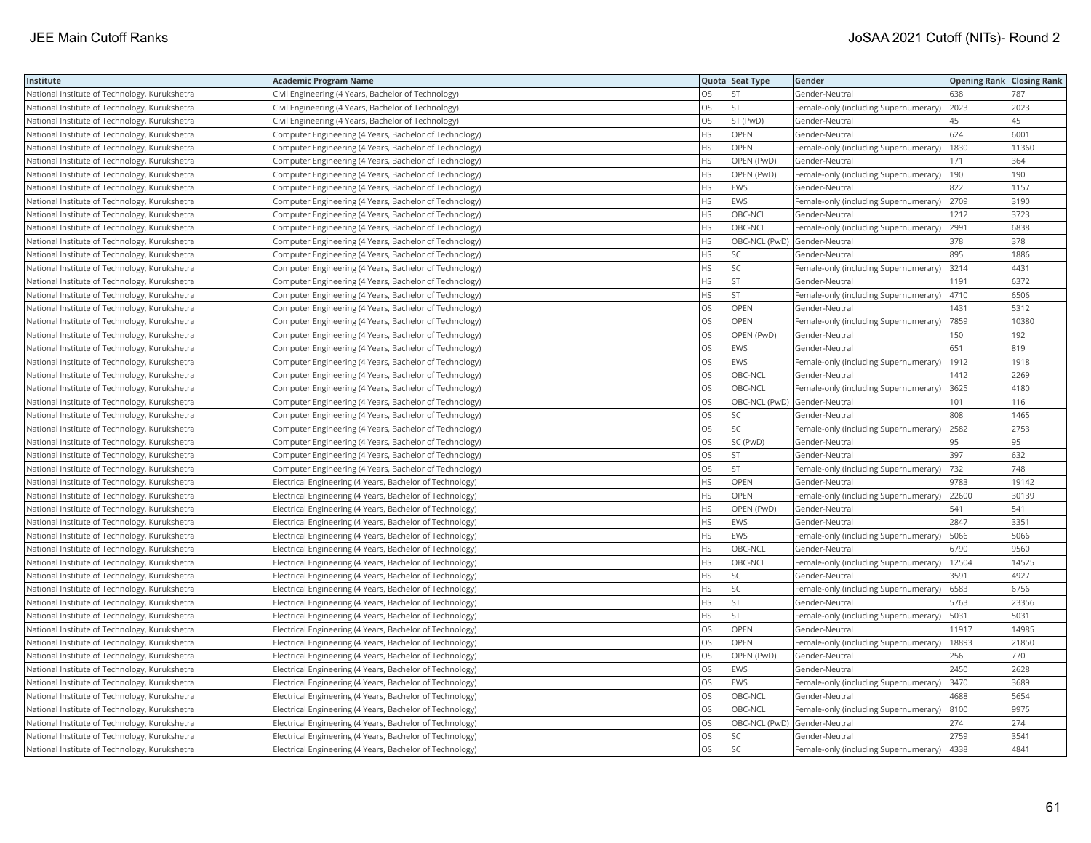| Institute                                     | <b>Academic Program Name</b>                             |           | Quota Seat Type | Gender                                |       | <b>Opening Rank Closing Rank</b> |
|-----------------------------------------------|----------------------------------------------------------|-----------|-----------------|---------------------------------------|-------|----------------------------------|
| National Institute of Technology, Kurukshetra | Civil Engineering (4 Years, Bachelor of Technology)      | OS.       | <b>ST</b>       | Gender-Neutral                        | 638   | 787                              |
| National Institute of Technology, Kurukshetra | Civil Engineering (4 Years, Bachelor of Technology)      | OS        | ST              | Female-only (including Supernumerary) | 2023  | 2023                             |
| National Institute of Technology, Kurukshetra | Civil Engineering (4 Years, Bachelor of Technology)      | OS        | ST (PwD)        | Gender-Neutral                        | 45    | 45                               |
| National Institute of Technology, Kurukshetra | Computer Engineering (4 Years, Bachelor of Technology)   | <b>HS</b> | OPEN            | Gender-Neutral                        | 624   | 6001                             |
| National Institute of Technology, Kurukshetra | Computer Engineering (4 Years, Bachelor of Technology)   | <b>HS</b> | OPEN            | Female-only (including Supernumerary) | 1830  | 11360                            |
| National Institute of Technology, Kurukshetra | Computer Engineering (4 Years, Bachelor of Technology)   | <b>HS</b> | OPEN (PwD)      | Gender-Neutral                        | 171   | 364                              |
| National Institute of Technology, Kurukshetra | Computer Engineering (4 Years, Bachelor of Technology)   | <b>HS</b> | OPEN (PwD)      | Female-only (including Supernumerary) | 190   | 190                              |
| National Institute of Technology, Kurukshetra | Computer Engineering (4 Years, Bachelor of Technology)   | <b>HS</b> | EWS             | Gender-Neutral                        | 822   | 1157                             |
| National Institute of Technology, Kurukshetra | Computer Engineering (4 Years, Bachelor of Technology)   | HS        | EWS             | Female-only (including Supernumerary) | 2709  | 3190                             |
| National Institute of Technology, Kurukshetra | Computer Engineering (4 Years, Bachelor of Technology)   | <b>HS</b> | OBC-NCL         | Gender-Neutral                        | 1212  | 3723                             |
| National Institute of Technology, Kurukshetra | Computer Engineering (4 Years, Bachelor of Technology)   | HS        | OBC-NCL         | Female-only (including Supernumerary) | 2991  | 6838                             |
| National Institute of Technology, Kurukshetra | Computer Engineering (4 Years, Bachelor of Technology)   | <b>HS</b> |                 | OBC-NCL (PwD) Gender-Neutral          | 378   | 378                              |
| National Institute of Technology, Kurukshetra | Computer Engineering (4 Years, Bachelor of Technology)   | HS        | SC              | Gender-Neutral                        | 895   | 1886                             |
| National Institute of Technology, Kurukshetra | Computer Engineering (4 Years, Bachelor of Technology)   | HS        | SC              | Female-only (including Supernumerary) | 3214  | 4431                             |
| National Institute of Technology, Kurukshetra | Computer Engineering (4 Years, Bachelor of Technology)   | <b>HS</b> | <b>ST</b>       | Gender-Neutral                        | 1191  | 6372                             |
| National Institute of Technology, Kurukshetra | Computer Engineering (4 Years, Bachelor of Technology)   | HS        | <b>ST</b>       | Female-only (including Supernumerary) | 4710  | 6506                             |
| National Institute of Technology, Kurukshetra | Computer Engineering (4 Years, Bachelor of Technology)   | OS        | <b>OPEN</b>     | Gender-Neutral                        | 1431  | 5312                             |
| National Institute of Technology, Kurukshetra | Computer Engineering (4 Years, Bachelor of Technology)   | OS        | OPEN            | Female-only (including Supernumerary) | 7859  | 10380                            |
| National Institute of Technology, Kurukshetra | Computer Engineering (4 Years, Bachelor of Technology)   | OS        | OPEN (PwD)      | Gender-Neutral                        | 150   | 192                              |
| National Institute of Technology, Kurukshetra | Computer Engineering (4 Years, Bachelor of Technology)   | OS        | EWS             | Gender-Neutral                        | 651   | 819                              |
| National Institute of Technology, Kurukshetra | Computer Engineering (4 Years, Bachelor of Technology)   | OS        | EWS             | Female-only (including Supernumerary) | 1912  | 1918                             |
| National Institute of Technology, Kurukshetra | Computer Engineering (4 Years, Bachelor of Technology)   | OS        | OBC-NCL         | Gender-Neutral                        | 1412  | 2269                             |
| National Institute of Technology, Kurukshetra | Computer Engineering (4 Years, Bachelor of Technology)   | <b>OS</b> | OBC-NCL         | Female-only (including Supernumerary) | 3625  | 4180                             |
| National Institute of Technology, Kurukshetra | Computer Engineering (4 Years, Bachelor of Technology)   | OS        |                 | OBC-NCL (PwD) Gender-Neutral          | 101   | 116                              |
| National Institute of Technology, Kurukshetra | Computer Engineering (4 Years, Bachelor of Technology)   | OS        | SC              | Gender-Neutral                        | 808   | 1465                             |
| National Institute of Technology, Kurukshetra | Computer Engineering (4 Years, Bachelor of Technology)   | OS        | SC              | Female-only (including Supernumerary) | 2582  | 2753                             |
| National Institute of Technology, Kurukshetra | Computer Engineering (4 Years, Bachelor of Technology)   | OS        | SC (PwD)        | Gender-Neutral                        | 95    | 95                               |
| National Institute of Technology, Kurukshetra | Computer Engineering (4 Years, Bachelor of Technology)   | OS        | <b>ST</b>       | Gender-Neutral                        | 397   | 632                              |
| National Institute of Technology, Kurukshetra | Computer Engineering (4 Years, Bachelor of Technology)   | OS        | <b>ST</b>       | Female-only (including Supernumerary) | 732   | 748                              |
| National Institute of Technology, Kurukshetra | Electrical Engineering (4 Years, Bachelor of Technology) | <b>HS</b> | <b>OPEN</b>     | Gender-Neutral                        | 9783  | 19142                            |
| National Institute of Technology, Kurukshetra | Electrical Engineering (4 Years, Bachelor of Technology) | HS        | OPEN            | Female-only (including Supernumerary) | 22600 | 30139                            |
| National Institute of Technology, Kurukshetra | Electrical Engineering (4 Years, Bachelor of Technology) | HS        | OPEN (PwD)      | Gender-Neutral                        | 541   | 541                              |
| National Institute of Technology, Kurukshetra | Electrical Engineering (4 Years, Bachelor of Technology) | <b>HS</b> | EWS             | Gender-Neutral                        | 2847  | 3351                             |
| National Institute of Technology, Kurukshetra | Electrical Engineering (4 Years, Bachelor of Technology) | <b>HS</b> | EWS             | Female-only (including Supernumerary) | 5066  | 5066                             |
| National Institute of Technology, Kurukshetra | Electrical Engineering (4 Years, Bachelor of Technology) | HS        | OBC-NCL         | Gender-Neutral                        | 6790  | 9560                             |
| National Institute of Technology, Kurukshetra | Electrical Engineering (4 Years, Bachelor of Technology) | HS        | OBC-NCL         | Female-only (including Supernumerary) | 12504 | 14525                            |
| National Institute of Technology, Kurukshetra | Electrical Engineering (4 Years, Bachelor of Technology) | <b>HS</b> | SC              | Gender-Neutral                        | 3591  | 4927                             |
| National Institute of Technology, Kurukshetra | Electrical Engineering (4 Years, Bachelor of Technology) | HS        | SC              | Female-only (including Supernumerary) | 6583  | 6756                             |
| National Institute of Technology, Kurukshetra | Electrical Engineering (4 Years, Bachelor of Technology) | HS        | <b>ST</b>       | Gender-Neutral                        | 5763  | 23356                            |
| National Institute of Technology, Kurukshetra | Electrical Engineering (4 Years, Bachelor of Technology) | <b>HS</b> | ST              | Female-only (including Supernumerary) | 5031  | 5031                             |
| National Institute of Technology, Kurukshetra | Electrical Engineering (4 Years, Bachelor of Technology) | OS        | OPEN            | Gender-Neutral                        | 11917 | 14985                            |
| National Institute of Technology, Kurukshetra | Electrical Engineering (4 Years, Bachelor of Technology) | OS        | OPEN            | Female-only (including Supernumerary) | 18893 | 21850                            |
| National Institute of Technology, Kurukshetra | Electrical Engineering (4 Years, Bachelor of Technology) | OS        | OPEN (PwD)      | Gender-Neutral                        | 256   | 770                              |
| National Institute of Technology, Kurukshetra | Electrical Engineering (4 Years, Bachelor of Technology) | <b>OS</b> | EWS             | Gender-Neutral                        | 2450  | 2628                             |
| National Institute of Technology, Kurukshetra | Electrical Engineering (4 Years, Bachelor of Technology) | OS        | EWS             | Female-only (including Supernumerary) | 3470  | 3689                             |
| National Institute of Technology, Kurukshetra | Electrical Engineering (4 Years, Bachelor of Technology) | <b>OS</b> | OBC-NCL         | Gender-Neutral                        | 4688  | 5654                             |
| National Institute of Technology, Kurukshetra | Electrical Engineering (4 Years, Bachelor of Technology) | OS        | OBC-NCL         | Female-only (including Supernumerary) | 8100  | 9975                             |
| National Institute of Technology, Kurukshetra | Electrical Engineering (4 Years, Bachelor of Technology) | OS        |                 | OBC-NCL (PwD) Gender-Neutral          | 274   | 274                              |
| National Institute of Technology, Kurukshetra | Electrical Engineering (4 Years, Bachelor of Technology) | OS        | SC              | Gender-Neutral                        | 2759  | 3541                             |
| National Institute of Technology, Kurukshetra | Electrical Engineering (4 Years, Bachelor of Technology) | <b>OS</b> | <b>SC</b>       | Female-only (including Supernumerary) | 4338  | 4841                             |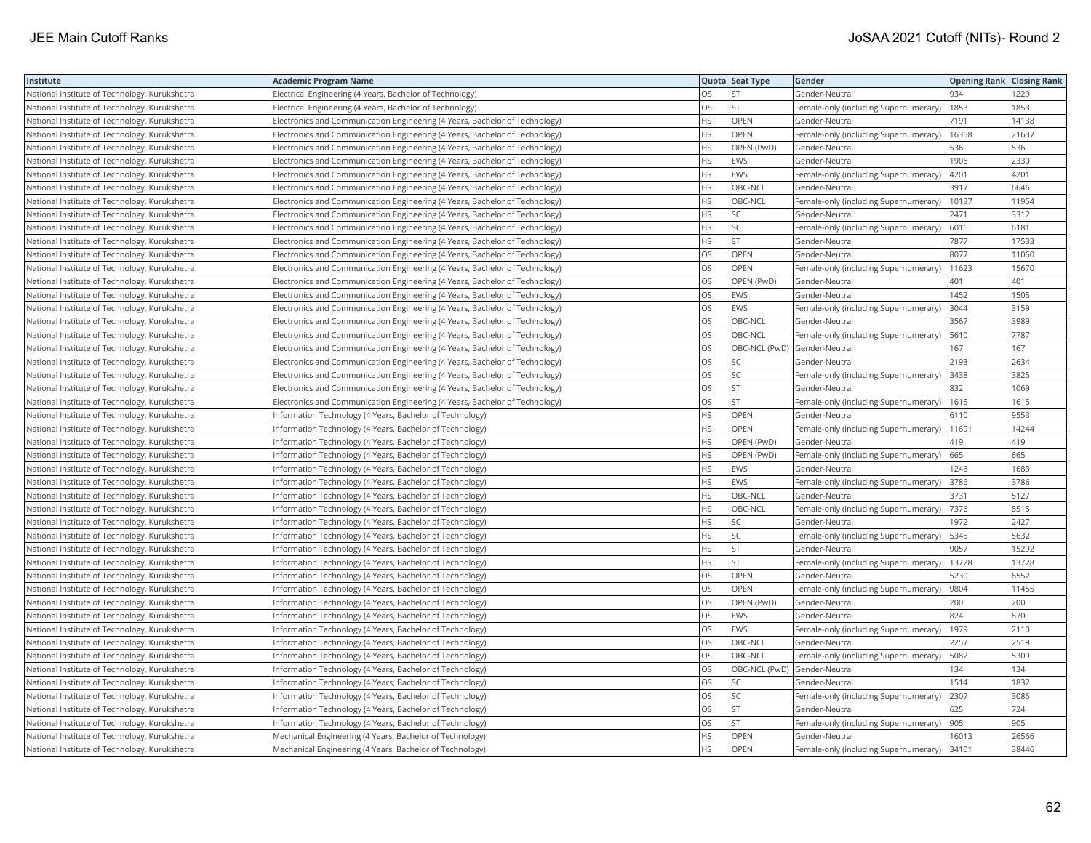| Institute                                     | <b>Academic Program Name</b>                                                |           | Quota Seat Type              | Gender                                | <b>Opening Rank Closing Rank</b> |       |
|-----------------------------------------------|-----------------------------------------------------------------------------|-----------|------------------------------|---------------------------------------|----------------------------------|-------|
| National Institute of Technology, Kurukshetra | Electrical Engineering (4 Years, Bachelor of Technology)                    | OS.       | <b>ST</b>                    | Gender-Neutral                        | 934                              | 1229  |
| National Institute of Technology, Kurukshetra | Electrical Engineering (4 Years, Bachelor of Technology)                    | OS        | <b>ST</b>                    | Female-only (including Supernumerary) | 1853                             | 1853  |
| National Institute of Technology, Kurukshetra | Electronics and Communication Engineering (4 Years, Bachelor of Technology) | НS        | <b>OPEN</b>                  | Gender-Neutral                        | 7191                             | 14138 |
| National Institute of Technology, Kurukshetra | Electronics and Communication Engineering (4 Years, Bachelor of Technology) | HS        | OPEN                         | Female-only (including Supernumerary) | 16358                            | 21637 |
| National Institute of Technology, Kurukshetra | Electronics and Communication Engineering (4 Years, Bachelor of Technology) | HS        | OPEN (PwD)                   | Gender-Neutral                        | 536                              | 536   |
| National Institute of Technology, Kurukshetra | Electronics and Communication Engineering (4 Years, Bachelor of Technology) | HS        | EWS                          | Gender-Neutral                        | 1906                             | 2330  |
| National Institute of Technology, Kurukshetra | Electronics and Communication Engineering (4 Years, Bachelor of Technology) | HS.       | <b>EWS</b>                   | Female-only (including Supernumerary) | 4201                             | 4201  |
| National Institute of Technology, Kurukshetra | Electronics and Communication Engineering (4 Years, Bachelor of Technology) | HS        | OBC-NCL                      | Gender-Neutral                        | 3917                             | 6646  |
| National Institute of Technology, Kurukshetra | Electronics and Communication Engineering (4 Years, Bachelor of Technology) | HS        | OBC-NCL                      | Female-only (including Supernumerary) | 10137                            | 11954 |
| National Institute of Technology, Kurukshetra | Electronics and Communication Engineering (4 Years, Bachelor of Technology) | <b>HS</b> | SC                           | Gender-Neutral                        | 2471                             | 3312  |
| National Institute of Technology, Kurukshetra | Electronics and Communication Engineering (4 Years, Bachelor of Technology) | <b>HS</b> | SC                           | Female-only (including Supernumerary) | 6016                             | 6181  |
| National Institute of Technology, Kurukshetra | Electronics and Communication Engineering (4 Years, Bachelor of Technology) | HS        | ST                           | Gender-Neutral                        | 7877                             | 17533 |
| National Institute of Technology, Kurukshetra | Electronics and Communication Engineering (4 Years, Bachelor of Technology) | OS        | OPEN                         | Gender-Neutral                        | 8077                             | 11060 |
| National Institute of Technology, Kurukshetra | Electronics and Communication Engineering (4 Years, Bachelor of Technology) | OS        | <b>OPEN</b>                  | Female-only (including Supernumerary) | 11623                            | 15670 |
| National Institute of Technology, Kurukshetra | Electronics and Communication Engineering (4 Years, Bachelor of Technology) | OS        | OPEN (PwD)                   | Gender-Neutral                        | 401                              | 401   |
| National Institute of Technology, Kurukshetra | Electronics and Communication Engineering (4 Years, Bachelor of Technology) | OS        | EWS                          | Gender-Neutral                        | 1452                             | 1505  |
| National Institute of Technology, Kurukshetra | Electronics and Communication Engineering (4 Years, Bachelor of Technology) | OS        | EWS                          | Female-only (including Supernumerary) | 3044                             | 3159  |
| National Institute of Technology, Kurukshetra | Electronics and Communication Engineering (4 Years, Bachelor of Technology) | OS        | OBC-NCL                      | Gender-Neutral                        | 3567                             | 3989  |
| National Institute of Technology, Kurukshetra | Electronics and Communication Engineering (4 Years, Bachelor of Technology) | OS        | OBC-NCL                      | Female-only (including Supernumerary) | 5610                             | 7787  |
| National Institute of Technology, Kurukshetra | Electronics and Communication Engineering (4 Years, Bachelor of Technology) | OS        | OBC-NCL (PwD)                | Gender-Neutral                        | 167                              | 167   |
| National Institute of Technology, Kurukshetra | Electronics and Communication Engineering (4 Years, Bachelor of Technology) | OS        | SC                           | Gender-Neutral                        | 2193                             | 2634  |
| National Institute of Technology, Kurukshetra | Electronics and Communication Engineering (4 Years, Bachelor of Technology) | <b>OS</b> | SC                           | Female-only (including Supernumerary) | 3438                             | 3825  |
| National Institute of Technology, Kurukshetra | Electronics and Communication Engineering (4 Years, Bachelor of Technology) | OS        | <b>ST</b>                    | Gender-Neutral                        | 832                              | 1069  |
| National Institute of Technology, Kurukshetra | Electronics and Communication Engineering (4 Years, Bachelor of Technology) | OS        | <b>ST</b>                    | Female-only (including Supernumerary) | 1615                             | 1615  |
| National Institute of Technology, Kurukshetra | Information Technology (4 Years, Bachelor of Technology)                    | <b>HS</b> | OPEN                         | Gender-Neutral                        | 6110                             | 9553  |
| National Institute of Technology, Kurukshetra | Information Technology (4 Years, Bachelor of Technology)                    | HS        | OPEN                         | Female-only (including Supernumerary) | 11691                            | 14244 |
| National Institute of Technology, Kurukshetra | Information Technology (4 Years, Bachelor of Technology)                    | HS        | OPEN (PwD)                   | Gender-Neutral                        | 419                              | 419   |
| National Institute of Technology, Kurukshetra | Information Technology (4 Years, Bachelor of Technology)                    | HS.       | OPEN (PwD)                   | Female-only (including Supernumerary) | 665                              | 665   |
| National Institute of Technology, Kurukshetra | Information Technology (4 Years, Bachelor of Technology)                    | HS.       | <b>EWS</b>                   | Gender-Neutral                        | 1246                             | 1683  |
| National Institute of Technology, Kurukshetra | Information Technology (4 Years, Bachelor of Technology)                    | HS        | EWS                          | Female-only (including Supernumerary) | 3786                             | 3786  |
| National Institute of Technology, Kurukshetra | Information Technology (4 Years, Bachelor of Technology)                    | HS.       | OBC-NCL                      | Gender-Neutral                        | 3731                             | 5127  |
| National Institute of Technology, Kurukshetra | Information Technology (4 Years, Bachelor of Technology)                    | HS        | OBC-NCL                      | Female-only (including Supernumerary) | 7376                             | 8515  |
| National Institute of Technology, Kurukshetra | Information Technology (4 Years, Bachelor of Technology)                    | HS        | SC                           | Gender-Neutral                        | 1972                             | 2427  |
| National Institute of Technology, Kurukshetra | Information Technology (4 Years, Bachelor of Technology)                    | HS        | SC                           | Female-only (including Supernumerary) | 5345                             | 5632  |
| National Institute of Technology, Kurukshetra | Information Technology (4 Years, Bachelor of Technology)                    | HS        | <b>ST</b>                    | Gender-Neutral                        | 9057                             | 15292 |
| National Institute of Technology, Kurukshetra | Information Technology (4 Years, Bachelor of Technology)                    | HS        | <b>ST</b>                    | Female-only (including Supernumerary) | 13728                            | 13728 |
| National Institute of Technology, Kurukshetra | Information Technology (4 Years, Bachelor of Technology)                    | <b>OS</b> | OPEN                         | Gender-Neutral                        | 5230                             | 6552  |
| National Institute of Technology, Kurukshetra | Information Technology (4 Years, Bachelor of Technology)                    | OS        | OPEN                         | Female-only (including Supernumerary) | 9804                             | 11455 |
| National Institute of Technology, Kurukshetra | Information Technology (4 Years, Bachelor of Technology)                    | OS        | OPEN (PwD)                   | Gender-Neutral                        | 200                              | 200   |
| National Institute of Technology, Kurukshetra | Information Technology (4 Years, Bachelor of Technology)                    | OS        | EWS                          | Gender-Neutral                        | 824                              | 870   |
| National Institute of Technology, Kurukshetra | Information Technology (4 Years, Bachelor of Technology)                    | OS        | EWS                          | Female-only (including Supernumerary) | 1979                             | 2110  |
| National Institute of Technology, Kurukshetra | Information Technology (4 Years, Bachelor of Technology)                    | OS        | OBC-NCL                      | Gender-Neutral                        | 2257                             | 2519  |
| National Institute of Technology, Kurukshetra | Information Technology (4 Years, Bachelor of Technology)                    | OS        | OBC-NCL                      | Female-only (including Supernumerary) | 5082                             | 5309  |
| National Institute of Technology, Kurukshetra | Information Technology (4 Years, Bachelor of Technology)                    | OS        | OBC-NCL (PwD) Gender-Neutral |                                       | 134                              | 134   |
| National Institute of Technology, Kurukshetra | Information Technology (4 Years, Bachelor of Technology)                    | OS        | SC                           | Gender-Neutral                        | 1514                             | 1832  |
| National Institute of Technology, Kurukshetra | Information Technology (4 Years, Bachelor of Technology)                    | OS        | SC                           | Female-only (including Supernumerary) | 2307                             | 3086  |
| National Institute of Technology, Kurukshetra | Information Technology (4 Years, Bachelor of Technology)                    | OS        | <b>ST</b>                    | Gender-Neutral                        | 625                              | 724   |
| National Institute of Technology, Kurukshetra | Information Technology (4 Years, Bachelor of Technology)                    | OS        | <b>ST</b>                    | Female-only (including Supernumerary) | 905                              | 905   |
| National Institute of Technology, Kurukshetra | Mechanical Engineering (4 Years, Bachelor of Technology)                    | HS        | <b>OPEN</b>                  | Gender-Neutral                        | 16013                            | 26566 |
| National Institute of Technology, Kurukshetra | Mechanical Engineering (4 Years, Bachelor of Technology)                    | HS.       | <b>OPEN</b>                  | Female-only (including Supernumerary) | 34101                            | 38446 |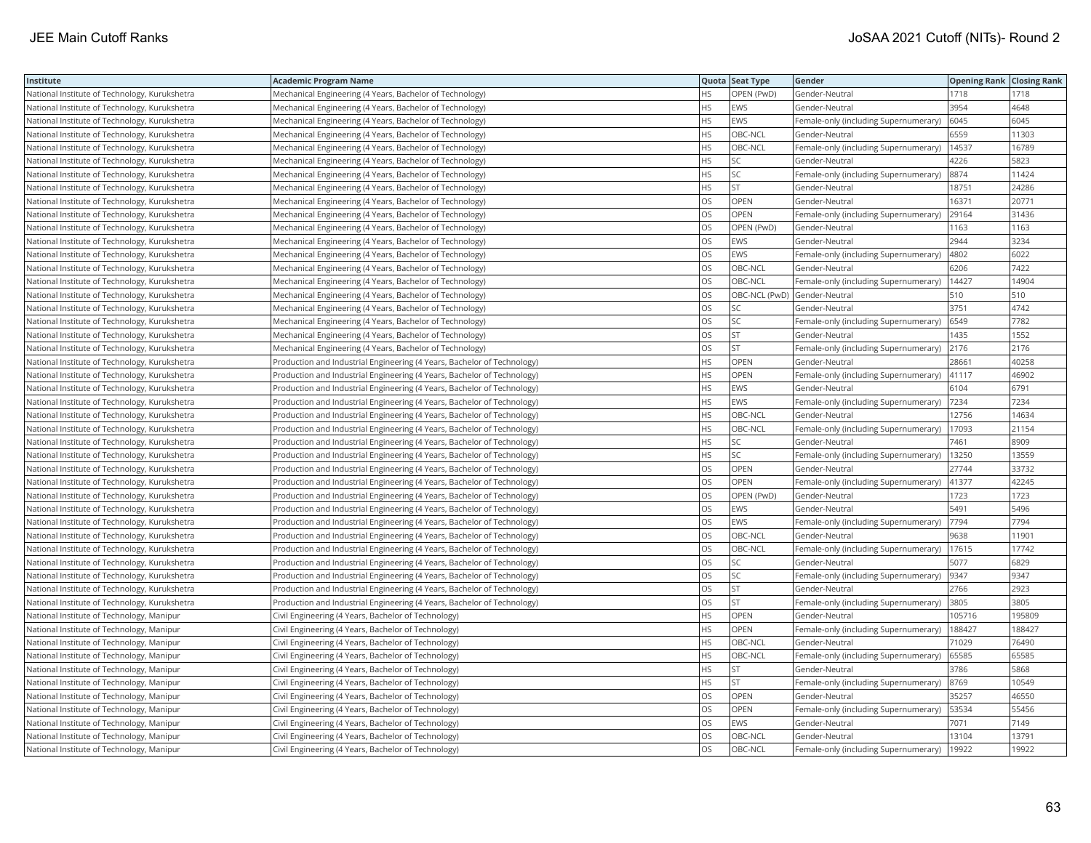| Institute                                     | <b>Academic Program Name</b>                                            |           | Quota Seat Type | Gender                                |        | <b>Opening Rank Closing Rank</b> |
|-----------------------------------------------|-------------------------------------------------------------------------|-----------|-----------------|---------------------------------------|--------|----------------------------------|
| National Institute of Technology, Kurukshetra | Mechanical Engineering (4 Years, Bachelor of Technology)                | HS        | OPEN (PwD)      | Gender-Neutral                        | 1718   | 1718                             |
| National Institute of Technology, Kurukshetra | Mechanical Engineering (4 Years, Bachelor of Technology)                | HS        | <b>EWS</b>      | Gender-Neutral                        | 3954   | 4648                             |
| National Institute of Technology, Kurukshetra | Mechanical Engineering (4 Years, Bachelor of Technology)                | <b>HS</b> | EWS             | Female-only (including Supernumerary) | 6045   | 6045                             |
| National Institute of Technology, Kurukshetra | Mechanical Engineering (4 Years, Bachelor of Technology)                | <b>HS</b> | OBC-NCL         | Gender-Neutral                        | 6559   | 11303                            |
| National Institute of Technology, Kurukshetra | Mechanical Engineering (4 Years, Bachelor of Technology)                | <b>HS</b> | OBC-NCL         | Female-only (including Supernumerary) | 14537  | 16789                            |
| National Institute of Technology, Kurukshetra | Mechanical Engineering (4 Years, Bachelor of Technology)                | HS        | SC              | Gender-Neutral                        | 4226   | 5823                             |
| National Institute of Technology, Kurukshetra | Mechanical Engineering (4 Years, Bachelor of Technology)                | <b>HS</b> | SC              | Female-only (including Supernumerary) | 8874   | 11424                            |
| National Institute of Technology, Kurukshetra | Mechanical Engineering (4 Years, Bachelor of Technology)                | HS        | <b>ST</b>       | Gender-Neutral                        | 18751  | 24286                            |
| National Institute of Technology, Kurukshetra | Mechanical Engineering (4 Years, Bachelor of Technology)                | OS        | OPEN            | Gender-Neutral                        | 16371  | 20771                            |
| National Institute of Technology, Kurukshetra | Mechanical Engineering (4 Years, Bachelor of Technology)                | OS        | <b>OPEN</b>     | Female-only (including Supernumerary) | 29164  | 31436                            |
| National Institute of Technology, Kurukshetra | Mechanical Engineering (4 Years, Bachelor of Technology)                | OS        | OPEN (PwD)      | Gender-Neutral                        | 1163   | 1163                             |
| National Institute of Technology, Kurukshetra | Mechanical Engineering (4 Years, Bachelor of Technology)                | OS        | EWS             | Gender-Neutral                        | 2944   | 3234                             |
| National Institute of Technology, Kurukshetra | Mechanical Engineering (4 Years, Bachelor of Technology)                | OS        | EWS             | Female-only (including Supernumerary) | 4802   | 6022                             |
| National Institute of Technology, Kurukshetra | Mechanical Engineering (4 Years, Bachelor of Technology)                | <b>OS</b> | OBC-NCL         | Gender-Neutral                        | 6206   | 7422                             |
| National Institute of Technology, Kurukshetra | Mechanical Engineering (4 Years, Bachelor of Technology)                | OS        | OBC-NCL         | Female-only (including Supernumerary) | 14427  | 14904                            |
| National Institute of Technology, Kurukshetra | Mechanical Engineering (4 Years, Bachelor of Technology)                | OS        |                 | OBC-NCL (PwD) Gender-Neutral          | 510    | 510                              |
| National Institute of Technology, Kurukshetra | Mechanical Engineering (4 Years, Bachelor of Technology)                | OS        | SC              | Gender-Neutral                        | 3751   | 4742                             |
| National Institute of Technology, Kurukshetra | Mechanical Engineering (4 Years, Bachelor of Technology)                | OS        | SC              | Female-only (including Supernumerary) | 6549   | 7782                             |
| National Institute of Technology, Kurukshetra | Mechanical Engineering (4 Years, Bachelor of Technology)                | OS        | ST              | Gender-Neutral                        | 1435   | 1552                             |
| National Institute of Technology, Kurukshetra | Mechanical Engineering (4 Years, Bachelor of Technology)                | <b>OS</b> | <b>ST</b>       | Female-only (including Supernumerary) | 2176   | 2176                             |
| National Institute of Technology, Kurukshetra | Production and Industrial Engineering (4 Years, Bachelor of Technology) | HS        | OPEN            | Gender-Neutral                        | 28661  | 40258                            |
| National Institute of Technology, Kurukshetra | Production and Industrial Engineering (4 Years, Bachelor of Technology) | <b>HS</b> | OPEN            | Female-only (including Supernumerary) | 41117  | 46902                            |
| National Institute of Technology, Kurukshetra | Production and Industrial Engineering (4 Years, Bachelor of Technology) | HS        | EWS             | Gender-Neutral                        | 6104   | 6791                             |
| National Institute of Technology, Kurukshetra | Production and Industrial Engineering (4 Years, Bachelor of Technology) | HS        | EWS             | Female-only (including Supernumerary) | 7234   | 7234                             |
| National Institute of Technology, Kurukshetra | Production and Industrial Engineering (4 Years, Bachelor of Technology) | <b>HS</b> | OBC-NCL         | Gender-Neutral                        | 12756  | 14634                            |
| National Institute of Technology, Kurukshetra | Production and Industrial Engineering (4 Years, Bachelor of Technology) | HS        | OBC-NCL         | Female-only (including Supernumerary) | 17093  | 21154                            |
| National Institute of Technology, Kurukshetra | Production and Industrial Engineering (4 Years, Bachelor of Technology) | HS        | SC              | Gender-Neutral                        | 7461   | 8909                             |
| National Institute of Technology, Kurukshetra | Production and Industrial Engineering (4 Years, Bachelor of Technology) | HS        | SC              | Female-only (including Supernumerary) | 13250  | 13559                            |
| National Institute of Technology, Kurukshetra | Production and Industrial Engineering (4 Years, Bachelor of Technology) | <b>OS</b> | <b>OPEN</b>     | Gender-Neutral                        | 27744  | 33732                            |
| National Institute of Technology, Kurukshetra | Production and Industrial Engineering (4 Years, Bachelor of Technology) | OS        | OPEN            | Female-only (including Supernumerary) | 41377  | 42245                            |
| National Institute of Technology, Kurukshetra | Production and Industrial Engineering (4 Years, Bachelor of Technology) | OS        | OPEN (PwD)      | Gender-Neutral                        | 1723   | 1723                             |
| National Institute of Technology, Kurukshetra | Production and Industrial Engineering (4 Years, Bachelor of Technology) | OS        | EWS             | Gender-Neutral                        | 5491   | 5496                             |
| National Institute of Technology, Kurukshetra | Production and Industrial Engineering (4 Years, Bachelor of Technology) | OS        | EWS             | Female-only (including Supernumerary) | 7794   | 7794                             |
| National Institute of Technology, Kurukshetra | Production and Industrial Engineering (4 Years, Bachelor of Technology) | OS        | OBC-NCL         | Gender-Neutral                        | 9638   | 11901                            |
| National Institute of Technology, Kurukshetra | Production and Industrial Engineering (4 Years, Bachelor of Technology) | OS        | OBC-NCL         | Female-only (including Supernumerary) | 17615  | 17742                            |
| National Institute of Technology, Kurukshetra | Production and Industrial Engineering (4 Years, Bachelor of Technology) | OS        | SC              | Gender-Neutral                        | 5077   | 6829                             |
| National Institute of Technology, Kurukshetra | Production and Industrial Engineering (4 Years, Bachelor of Technology) | <b>OS</b> | SC              | Female-only (including Supernumerary) | 9347   | 9347                             |
| National Institute of Technology, Kurukshetra | Production and Industrial Engineering (4 Years, Bachelor of Technology) | <b>OS</b> | <b>ST</b>       | Gender-Neutral                        | 2766   | 2923                             |
| National Institute of Technology, Kurukshetra | Production and Industrial Engineering (4 Years, Bachelor of Technology) | OS        | ST              | Female-only (including Supernumerary) | 3805   | 3805                             |
| National Institute of Technology, Manipur     | Civil Engineering (4 Years, Bachelor of Technology)                     | <b>HS</b> | <b>OPEN</b>     | Gender-Neutral                        | 105716 | 195809                           |
| National Institute of Technology, Manipur     | Civil Engineering (4 Years, Bachelor of Technology)                     | HS        | OPEN            | Female-only (including Supernumerary) | 188427 | 188427                           |
| National Institute of Technology, Manipur     | Civil Engineering (4 Years, Bachelor of Technology)                     | <b>HS</b> | OBC-NCL         | Gender-Neutral                        | 71029  | 76490                            |
| National Institute of Technology, Manipur     | Civil Engineering (4 Years, Bachelor of Technology)                     | HS        | OBC-NCL         | Female-only (including Supernumerary) | 65585  | 65585                            |
| National Institute of Technology, Manipur     | Civil Engineering (4 Years, Bachelor of Technology)                     | <b>HS</b> | <b>ST</b>       | Gender-Neutral                        | 3786   | 5868                             |
| National Institute of Technology, Manipur     | Civil Engineering (4 Years, Bachelor of Technology)                     | HS        | ST              | Female-only (including Supernumerary) | 8769   | 10549                            |
| National Institute of Technology, Manipur     | Civil Engineering (4 Years, Bachelor of Technology)                     | OS        | OPEN            | Gender-Neutral                        | 35257  | 46550                            |
| National Institute of Technology, Manipur     | Civil Engineering (4 Years, Bachelor of Technology)                     | OS        | OPEN            | Female-only (including Supernumerary) | 53534  | 55456                            |
| National Institute of Technology, Manipur     | Civil Engineering (4 Years, Bachelor of Technology)                     | OS        | EWS             | Gender-Neutral                        | 7071   | 7149                             |
| National Institute of Technology, Manipur     | Civil Engineering (4 Years, Bachelor of Technology)                     | OS        | OBC-NCL         | Gender-Neutral                        | 13104  | 13791                            |
| National Institute of Technology, Manipur     | Civil Engineering (4 Years, Bachelor of Technology)                     | <b>OS</b> | OBC-NCL         | Female-only (including Supernumerary) | 19922  | 19922                            |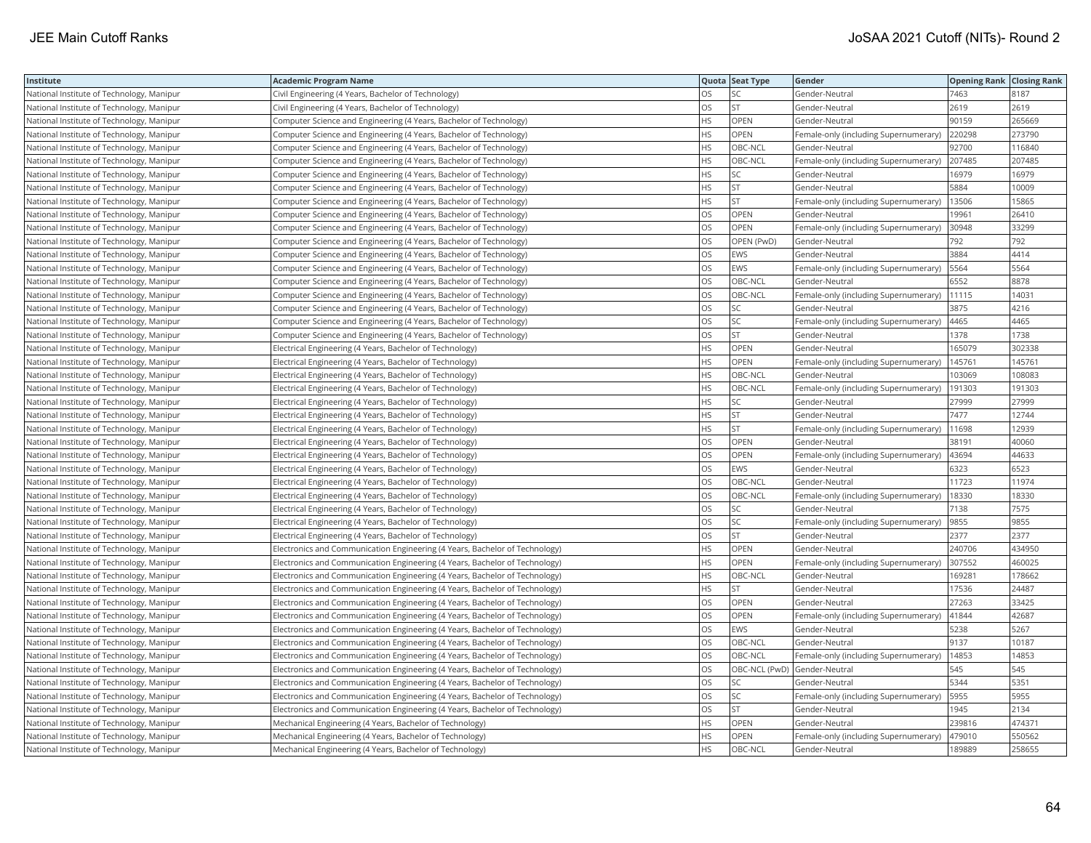| Institute                                 | <b>Academic Program Name</b>                                                |           | Quota Seat Type | Gender                                | <b>Opening Rank Closing Rank</b> |        |
|-------------------------------------------|-----------------------------------------------------------------------------|-----------|-----------------|---------------------------------------|----------------------------------|--------|
| National Institute of Technology, Manipur | Civil Engineering (4 Years, Bachelor of Technology)                         | <b>OS</b> | SC.             | Gender-Neutral                        | 7463                             | 8187   |
| National Institute of Technology, Manipur | Civil Engineering (4 Years, Bachelor of Technology)                         | OS        | <b>ST</b>       | Gender-Neutral                        | 2619                             | 2619   |
| National Institute of Technology, Manipur | Computer Science and Engineering (4 Years, Bachelor of Technology)          | <b>HS</b> | OPEN            | Gender-Neutral                        | 90159                            | 265669 |
| National Institute of Technology, Manipur | Computer Science and Engineering (4 Years, Bachelor of Technology)          | <b>HS</b> | OPEN            | Female-only (including Supernumerary) | 220298                           | 273790 |
| National Institute of Technology, Manipur | Computer Science and Engineering (4 Years, Bachelor of Technology)          | <b>HS</b> | OBC-NCL         | Gender-Neutral                        | 92700                            | 116840 |
| National Institute of Technology, Manipur | Computer Science and Engineering (4 Years, Bachelor of Technology)          | <b>HS</b> | OBC-NCL         | Female-only (including Supernumerary) | 207485                           | 207485 |
| National Institute of Technology, Manipur | Computer Science and Engineering (4 Years, Bachelor of Technology)          | <b>HS</b> | SC              | Gender-Neutral                        | 16979                            | 16979  |
| National Institute of Technology, Manipur | Computer Science and Engineering (4 Years, Bachelor of Technology)          | <b>HS</b> | <b>ST</b>       | Gender-Neutral                        | 5884                             | 10009  |
| National Institute of Technology, Manipur | Computer Science and Engineering (4 Years, Bachelor of Technology)          | <b>HS</b> | <b>ST</b>       | Female-only (including Supernumerary) | 13506                            | 15865  |
| National Institute of Technology, Manipur | Computer Science and Engineering (4 Years, Bachelor of Technology)          | los       | OPEN            | Gender-Neutral                        | 19961                            | 26410  |
| National Institute of Technology, Manipur | Computer Science and Engineering (4 Years, Bachelor of Technology)          | OS        | OPEN            | Female-only (including Supernumerary) | 30948                            | 33299  |
| National Institute of Technology, Manipur | Computer Science and Engineering (4 Years, Bachelor of Technology)          | OS        | OPEN (PwD)      | Gender-Neutral                        | 792                              | 792    |
| National Institute of Technology, Manipur | Computer Science and Engineering (4 Years, Bachelor of Technology)          | OS        | EWS             | Gender-Neutral                        | 3884                             | 4414   |
| National Institute of Technology, Manipur | Computer Science and Engineering (4 Years, Bachelor of Technology)          | <b>OS</b> | <b>EWS</b>      | Female-only (including Supernumerary) | 5564                             | 5564   |
| National Institute of Technology, Manipur | Computer Science and Engineering (4 Years, Bachelor of Technology)          | OS        | OBC-NCL         | Gender-Neutral                        | 6552                             | 8878   |
| National Institute of Technology, Manipur | Computer Science and Engineering (4 Years, Bachelor of Technology)          | OS        | OBC-NCL         | Female-only (including Supernumerary) | 11115                            | 14031  |
| National Institute of Technology, Manipur | Computer Science and Engineering (4 Years, Bachelor of Technology)          | OS        | SC              | Gender-Neutral                        | 3875                             | 4216   |
| National Institute of Technology, Manipur | Computer Science and Engineering (4 Years, Bachelor of Technology)          | <b>OS</b> | SC              | Female-only (including Supernumerary) | 4465                             | 4465   |
| National Institute of Technology, Manipur | Computer Science and Engineering (4 Years, Bachelor of Technology)          | OS        | <b>ST</b>       | Gender-Neutral                        | 1378                             | 1738   |
| National Institute of Technology, Manipur | Electrical Engineering (4 Years, Bachelor of Technology)                    | <b>HS</b> | OPEN            | Gender-Neutral                        | 165079                           | 302338 |
| National Institute of Technology, Manipur | Electrical Engineering (4 Years, Bachelor of Technology)                    | <b>HS</b> | OPEN            | Female-only (including Supernumerary) | 145761                           | 145761 |
| National Institute of Technology, Manipur | Electrical Engineering (4 Years, Bachelor of Technology)                    | <b>HS</b> | OBC-NCL         | Gender-Neutral                        | 103069                           | 108083 |
| National Institute of Technology, Manipur | Electrical Engineering (4 Years, Bachelor of Technology)                    | <b>HS</b> | OBC-NCL         | Female-only (including Supernumerary) | 191303                           | 191303 |
| National Institute of Technology, Manipur | Electrical Engineering (4 Years, Bachelor of Technology)                    | <b>HS</b> | SC              | Gender-Neutral                        | 27999                            | 27999  |
| National Institute of Technology, Manipur | Electrical Engineering (4 Years, Bachelor of Technology)                    | <b>HS</b> | <b>ST</b>       | Gender-Neutral                        | 7477                             | 12744  |
| National Institute of Technology, Manipur | Electrical Engineering (4 Years, Bachelor of Technology)                    | HS        | <b>ST</b>       | Female-only (including Supernumerary) | 11698                            | 12939  |
| National Institute of Technology, Manipur | Electrical Engineering (4 Years, Bachelor of Technology)                    | <b>OS</b> | OPEN            | Gender-Neutral                        | 38191                            | 40060  |
| National Institute of Technology, Manipur | Electrical Engineering (4 Years, Bachelor of Technology)                    | OS        | OPEN            | Female-only (including Supernumerary) | 43694                            | 44633  |
| National Institute of Technology, Manipur | Electrical Engineering (4 Years, Bachelor of Technology)                    | <b>OS</b> | <b>EWS</b>      | Gender-Neutral                        | 6323                             | 6523   |
| National Institute of Technology, Manipur | Electrical Engineering (4 Years, Bachelor of Technology)                    | OS        | OBC-NCL         | Gender-Neutral                        | 11723                            | 11974  |
| National Institute of Technology, Manipur | Electrical Engineering (4 Years, Bachelor of Technology)                    | <b>OS</b> | OBC-NCL         | Female-only (including Supernumerary) | 18330                            | 18330  |
| National Institute of Technology, Manipur | Electrical Engineering (4 Years, Bachelor of Technology)                    | OS        | SC              | Gender-Neutral                        | 7138                             | 7575   |
| National Institute of Technology, Manipur | Electrical Engineering (4 Years, Bachelor of Technology)                    | OS        | SC              | Female-only (including Supernumerary) | 9855                             | 9855   |
| National Institute of Technology, Manipur | Electrical Engineering (4 Years, Bachelor of Technology)                    | OS        | <b>ST</b>       | Gender-Neutral                        | 2377                             | 2377   |
| National Institute of Technology, Manipur | Electronics and Communication Engineering (4 Years, Bachelor of Technology) | <b>HS</b> | OPEN            | Gender-Neutral                        | 240706                           | 434950 |
| National Institute of Technology, Manipur | Electronics and Communication Engineering (4 Years, Bachelor of Technology) | <b>HS</b> | OPEN            | Female-only (including Supernumerary) | 307552                           | 460025 |
| National Institute of Technology, Manipur | Electronics and Communication Engineering (4 Years, Bachelor of Technology) | <b>HS</b> | OBC-NCL         | Gender-Neutral                        | 169281                           | 178662 |
| National Institute of Technology, Manipur | Electronics and Communication Engineering (4 Years, Bachelor of Technology) | <b>HS</b> | <b>ST</b>       | Gender-Neutral                        | 17536                            | 24487  |
| National Institute of Technology, Manipur | Electronics and Communication Engineering (4 Years, Bachelor of Technology) | <b>OS</b> | OPEN            | Gender-Neutral                        | 27263                            | 33425  |
| National Institute of Technology, Manipur | Electronics and Communication Engineering (4 Years, Bachelor of Technology) | los       | OPEN            | Female-only (including Supernumerary) | 41844                            | 42687  |
| National Institute of Technology, Manipur | Electronics and Communication Engineering (4 Years, Bachelor of Technology) | OS        | EWS             | Gender-Neutral                        | 5238                             | 5267   |
| National Institute of Technology, Manipur | Electronics and Communication Engineering (4 Years, Bachelor of Technology) | <b>OS</b> | OBC-NCL         | Gender-Neutral                        | 9137                             | 10187  |
| National Institute of Technology, Manipur | Electronics and Communication Engineering (4 Years, Bachelor of Technology) | OS        | OBC-NCL         | Female-only (including Supernumerary) | 14853                            | 14853  |
| National Institute of Technology, Manipur | Electronics and Communication Engineering (4 Years, Bachelor of Technology) | <b>OS</b> |                 | OBC-NCL (PwD) Gender-Neutral          | 545                              | 545    |
| National Institute of Technology, Manipur | Electronics and Communication Engineering (4 Years, Bachelor of Technology) | OS        | SC              | Gender-Neutral                        | 5344                             | 5351   |
| National Institute of Technology, Manipur | Electronics and Communication Engineering (4 Years, Bachelor of Technology) | OS        | SC              | Female-only (including Supernumerary) | 5955                             | 5955   |
| National Institute of Technology, Manipur | Electronics and Communication Engineering (4 Years, Bachelor of Technology) | OS        | <b>ST</b>       | Gender-Neutral                        | 1945                             | 2134   |
| National Institute of Technology, Manipur | Mechanical Engineering (4 Years, Bachelor of Technology)                    | <b>HS</b> | OPEN            | Gender-Neutral                        | 239816                           | 474371 |
| National Institute of Technology, Manipur | Mechanical Engineering (4 Years, Bachelor of Technology)                    | <b>HS</b> | OPEN            | Female-only (including Supernumerary) | 479010                           | 550562 |
| National Institute of Technology, Manipur | Mechanical Engineering (4 Years, Bachelor of Technology)                    | <b>HS</b> | OBC-NCL         | Gender-Neutral                        | 189889                           | 258655 |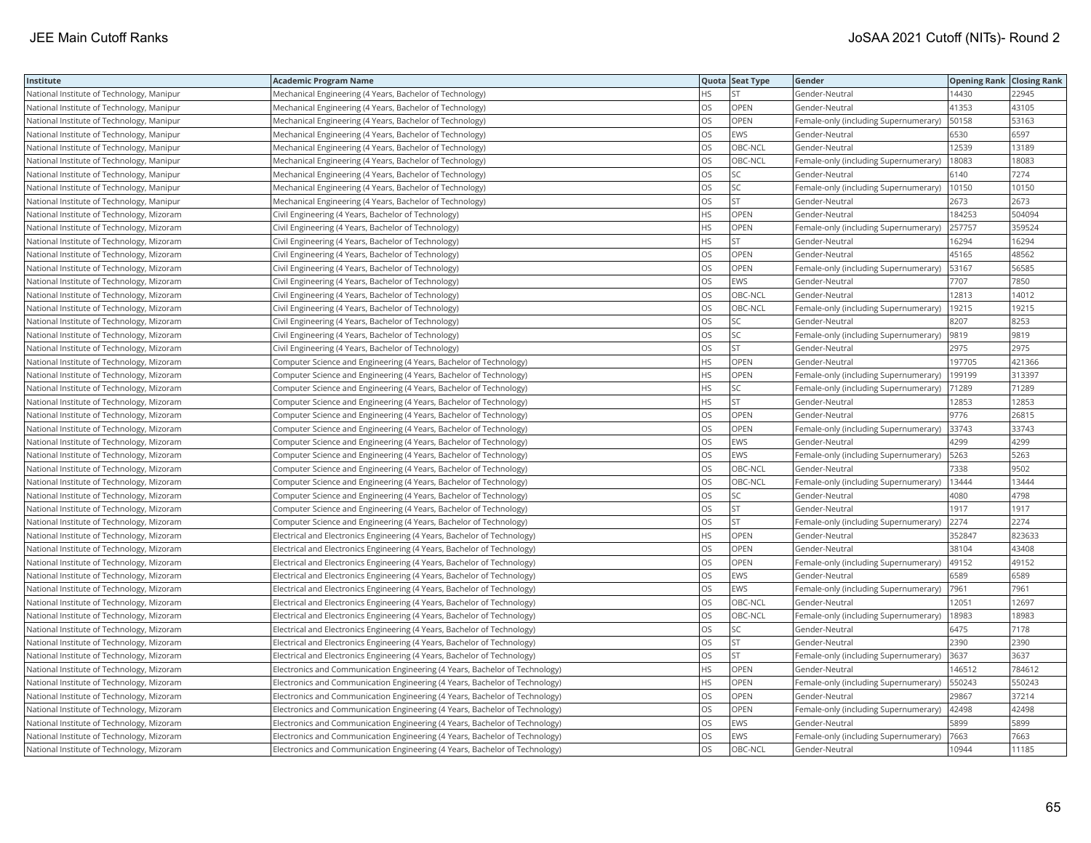| Institute                                 | <b>Academic Program Name</b>                                                |           | Quota Seat Type | Gender                                | <b>Opening Rank Closing Rank</b> |        |
|-------------------------------------------|-----------------------------------------------------------------------------|-----------|-----------------|---------------------------------------|----------------------------------|--------|
| National Institute of Technology, Manipur | Mechanical Engineering (4 Years, Bachelor of Technology)                    | <b>HS</b> |                 | Gender-Neutral                        | 14430                            | 22945  |
| National Institute of Technology, Manipur | Mechanical Engineering (4 Years, Bachelor of Technology)                    | OS        | OPEN            | Gender-Neutral                        | 41353                            | 43105  |
| National Institute of Technology, Manipur | Mechanical Engineering (4 Years, Bachelor of Technology)                    | OS        | OPEN            | Female-only (including Supernumerary) | 50158                            | 53163  |
| National Institute of Technology, Manipur | Mechanical Engineering (4 Years, Bachelor of Technology)                    | los       | EWS             | Gender-Neutral                        | 6530                             | 6597   |
| National Institute of Technology, Manipur | Mechanical Engineering (4 Years, Bachelor of Technology)                    | OS        | OBC-NCL         | Gender-Neutral                        | 12539                            | 13189  |
| National Institute of Technology, Manipur | Mechanical Engineering (4 Years, Bachelor of Technology)                    | OS        | OBC-NCL         | Female-only (including Supernumerary) | 18083                            | 18083  |
| National Institute of Technology, Manipur | Mechanical Engineering (4 Years, Bachelor of Technology)                    | <b>OS</b> | SC              | Gender-Neutral                        | 6140                             | 7274   |
| National Institute of Technology, Manipur | Mechanical Engineering (4 Years, Bachelor of Technology)                    | OS        | SC              | Female-only (including Supernumerary) | 10150                            | 10150  |
| National Institute of Technology, Manipur | Mechanical Engineering (4 Years, Bachelor of Technology)                    | OS        | <b>ST</b>       | Gender-Neutral                        | 2673                             | 2673   |
| National Institute of Technology, Mizoram | Civil Engineering (4 Years, Bachelor of Technology)                         | <b>HS</b> | OPEN            | Gender-Neutral                        | 184253                           | 504094 |
| National Institute of Technology, Mizoram | Civil Engineering (4 Years, Bachelor of Technology)                         | <b>HS</b> | OPEN            | Female-only (including Supernumerary) | 257757                           | 359524 |
| National Institute of Technology, Mizoram | Civil Engineering (4 Years, Bachelor of Technology)                         | <b>HS</b> | <b>ST</b>       | Gender-Neutral                        | 16294                            | 16294  |
| National Institute of Technology, Mizoram | Civil Engineering (4 Years, Bachelor of Technology)                         | OS        | OPEN            | Gender-Neutral                        | 45165                            | 48562  |
| National Institute of Technology, Mizoram | Civil Engineering (4 Years, Bachelor of Technology)                         | <b>OS</b> | OPEN            | Female-only (including Supernumerary) | 53167                            | 56585  |
| National Institute of Technology, Mizoram | Civil Engineering (4 Years, Bachelor of Technology)                         | OS        | EWS             | Gender-Neutral                        | 7707                             | 7850   |
| National Institute of Technology, Mizoram | Civil Engineering (4 Years, Bachelor of Technology)                         | <b>OS</b> | OBC-NCL         | Gender-Neutral                        | 12813                            | 14012  |
| National Institute of Technology, Mizoram | Civil Engineering (4 Years, Bachelor of Technology)                         | OS        | OBC-NCL         | Female-only (including Supernumerary) | 19215                            | 19215  |
| National Institute of Technology, Mizoram | Civil Engineering (4 Years, Bachelor of Technology)                         | <b>OS</b> | SC              | Gender-Neutral                        | 8207                             | 8253   |
| National Institute of Technology, Mizoram | Civil Engineering (4 Years, Bachelor of Technology)                         | OS        | SC              | Female-only (including Supernumerary) | 9819                             | 9819   |
| National Institute of Technology, Mizoram | Civil Engineering (4 Years, Bachelor of Technology)                         | OS        | <b>ST</b>       | Gender-Neutral                        | 2975                             | 2975   |
| National Institute of Technology, Mizoram | Computer Science and Engineering (4 Years, Bachelor of Technology)          | <b>HS</b> | OPEN            | Gender-Neutral                        | 197705                           | 421366 |
| National Institute of Technology, Mizoram | Computer Science and Engineering (4 Years, Bachelor of Technology)          | <b>HS</b> | OPEN            | Female-only (including Supernumerary) | 199199                           | 313397 |
| National Institute of Technology, Mizoram | Computer Science and Engineering (4 Years, Bachelor of Technology)          | <b>HS</b> | SC              | Female-only (including Supernumerary) | 71289                            | 71289  |
| National Institute of Technology, Mizoram | Computer Science and Engineering (4 Years, Bachelor of Technology)          | <b>HS</b> | <b>ST</b>       | Gender-Neutral                        | 12853                            | 12853  |
| National Institute of Technology, Mizoram | Computer Science and Engineering (4 Years, Bachelor of Technology)          | los       | OPEN            | Gender-Neutral                        | 9776                             | 26815  |
| National Institute of Technology, Mizoram | Computer Science and Engineering (4 Years, Bachelor of Technology)          | OS        | OPEN            | Female-only (including Supernumerary) | 33743                            | 33743  |
| National Institute of Technology, Mizoram | Computer Science and Engineering (4 Years, Bachelor of Technology)          | <b>OS</b> | EWS             | Gender-Neutral                        | 4299                             | 4299   |
| National Institute of Technology, Mizoram | Computer Science and Engineering (4 Years, Bachelor of Technology)          | OS        | EWS             | Female-only (including Supernumerary) | 5263                             | 5263   |
| National Institute of Technology, Mizoram | Computer Science and Engineering (4 Years, Bachelor of Technology)          | <b>OS</b> | OBC-NCL         | Gender-Neutral                        | 7338                             | 9502   |
| National Institute of Technology, Mizoram | Computer Science and Engineering (4 Years, Bachelor of Technology)          | OS        | OBC-NCL         | Female-only (including Supernumerary) | 13444                            | 13444  |
| National Institute of Technology, Mizoram | Computer Science and Engineering (4 Years, Bachelor of Technology)          | OS        | <b>SC</b>       | Gender-Neutral                        | 4080                             | 4798   |
| National Institute of Technology, Mizoram | Computer Science and Engineering (4 Years, Bachelor of Technology)          | OS        | <b>ST</b>       | Gender-Neutral                        | 1917                             | 1917   |
| National Institute of Technology, Mizoram | Computer Science and Engineering (4 Years, Bachelor of Technology)          | <b>OS</b> | <b>ST</b>       | Female-only (including Supernumerary) | 2274                             | 2274   |
| National Institute of Technology, Mizoram | Electrical and Electronics Engineering (4 Years, Bachelor of Technology)    | HS        | OPEN            | Gender-Neutral                        | 352847                           | 823633 |
| National Institute of Technology, Mizoram | Electrical and Electronics Engineering (4 Years, Bachelor of Technology)    | <b>OS</b> | OPEN            | Gender-Neutral                        | 38104                            | 43408  |
| National Institute of Technology, Mizoram | Electrical and Electronics Engineering (4 Years, Bachelor of Technology)    | los       | OPEN            | Female-only (including Supernumerary) | 49152                            | 49152  |
| National Institute of Technology, Mizoram | Electrical and Electronics Engineering (4 Years, Bachelor of Technology)    | los       | EWS             | Gender-Neutral                        | 6589                             | 6589   |
| National Institute of Technology, Mizoram | Electrical and Electronics Engineering (4 Years, Bachelor of Technology)    | <b>OS</b> | EWS             | Female-only (including Supernumerary) | 7961                             | 7961   |
| National Institute of Technology, Mizoram | Electrical and Electronics Engineering (4 Years, Bachelor of Technology)    | <b>OS</b> | OBC-NCL         | Gender-Neutral                        | 12051                            | 12697  |
| National Institute of Technology, Mizoram | Electrical and Electronics Engineering (4 Years, Bachelor of Technology)    | OS        | OBC-NCL         | Female-only (including Supernumerary) | 18983                            | 18983  |
| National Institute of Technology, Mizoram | Electrical and Electronics Engineering (4 Years, Bachelor of Technology)    | OS        | SC              | Gender-Neutral                        | 6475                             | 7178   |
| National Institute of Technology, Mizoram | Electrical and Electronics Engineering (4 Years, Bachelor of Technology)    | OS        | <b>ST</b>       | Gender-Neutral                        | 2390                             | 2390   |
| National Institute of Technology, Mizoram | Electrical and Electronics Engineering (4 Years, Bachelor of Technology)    | OS        | <b>ST</b>       | Female-only (including Supernumerary) | 3637                             | 3637   |
| National Institute of Technology, Mizoram | Electronics and Communication Engineering (4 Years, Bachelor of Technology) | <b>HS</b> | OPEN            | Gender-Neutral                        | 146512                           | 784612 |
| National Institute of Technology, Mizoram | Electronics and Communication Engineering (4 Years, Bachelor of Technology) | HS        | OPEN            | Female-only (including Supernumerary) | 550243                           | 550243 |
| National Institute of Technology, Mizoram | Electronics and Communication Engineering (4 Years, Bachelor of Technology) | <b>OS</b> | OPEN            | Gender-Neutral                        | 29867                            | 37214  |
| National Institute of Technology, Mizoram | Electronics and Communication Engineering (4 Years, Bachelor of Technology) | OS        | OPEN            | Female-only (including Supernumerary) | 42498                            | 42498  |
| National Institute of Technology, Mizoram | Electronics and Communication Engineering (4 Years, Bachelor of Technology) | OS        | EWS             | Gender-Neutral                        | 5899                             | 5899   |
| National Institute of Technology, Mizoram | Electronics and Communication Engineering (4 Years, Bachelor of Technology) | OS        | EWS             | Female-only (including Supernumerary) | 7663                             | 7663   |
| National Institute of Technology, Mizoram | Electronics and Communication Engineering (4 Years, Bachelor of Technology) | <b>OS</b> | OBC-NCL         | Gender-Neutral                        | 10944                            | 11185  |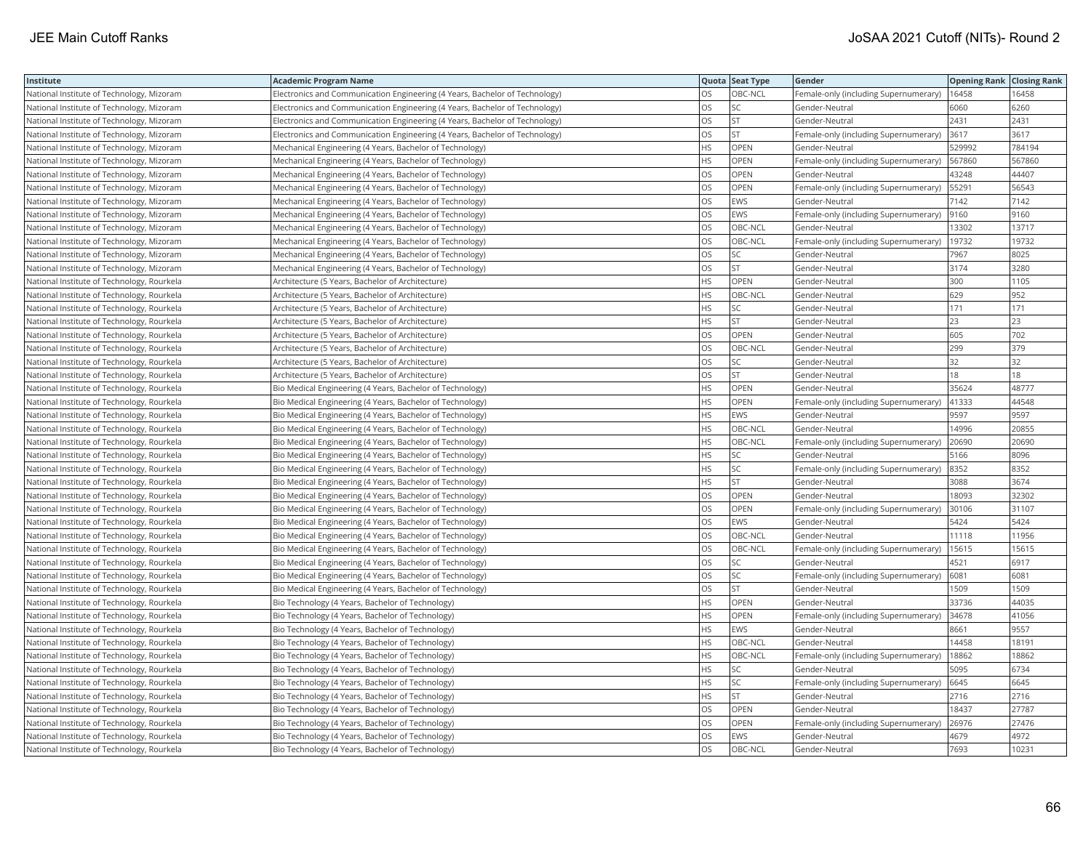| Institute                                  | <b>Academic Program Name</b>                                                |           | Quota Seat Type | Gender                                | <b>Opening Rank Closing Rank</b> |        |
|--------------------------------------------|-----------------------------------------------------------------------------|-----------|-----------------|---------------------------------------|----------------------------------|--------|
| National Institute of Technology, Mizoram  | Electronics and Communication Engineering (4 Years, Bachelor of Technology) | OS.       | OBC-NCL         | Female-only (including Supernumerary) | 16458                            | 16458  |
| National Institute of Technology, Mizoram  | Electronics and Communication Engineering (4 Years, Bachelor of Technology) | OS        | SC              | Gender-Neutral                        | 6060                             | 6260   |
| National Institute of Technology, Mizoram  | Electronics and Communication Engineering (4 Years, Bachelor of Technology) | <b>OS</b> | <b>ST</b>       | Gender-Neutral                        | 2431                             | 2431   |
| National Institute of Technology, Mizoram  | Electronics and Communication Engineering (4 Years, Bachelor of Technology) | OS        | <b>ST</b>       | Female-only (including Supernumerary) | 3617                             | 3617   |
| National Institute of Technology, Mizoram  | Mechanical Engineering (4 Years, Bachelor of Technology)                    | <b>HS</b> | OPEN            | Gender-Neutral                        | 529992                           | 784194 |
| National Institute of Technology, Mizoram  | Mechanical Engineering (4 Years, Bachelor of Technology)                    | <b>HS</b> | OPEN            | Female-only (including Supernumerary) | 567860                           | 567860 |
| National Institute of Technology, Mizoram  | Mechanical Engineering (4 Years, Bachelor of Technology)                    | <b>OS</b> | OPEN            | Gender-Neutral                        | 43248                            | 44407  |
| National Institute of Technology, Mizoram  | Mechanical Engineering (4 Years, Bachelor of Technology)                    | <b>OS</b> | OPEN            | Female-only (including Supernumerary) | 55291                            | 56543  |
| National Institute of Technology, Mizoram  | Mechanical Engineering (4 Years, Bachelor of Technology)                    | <b>OS</b> | EWS             | Gender-Neutral                        | 7142                             | 7142   |
| National Institute of Technology, Mizoram  | Mechanical Engineering (4 Years, Bachelor of Technology)                    | OS        | EWS             | Female-only (including Supernumerary) | 9160                             | 9160   |
| National Institute of Technology, Mizoram  | Mechanical Engineering (4 Years, Bachelor of Technology)                    | los       | OBC-NCL         | Gender-Neutral                        | 13302                            | 13717  |
| National Institute of Technology, Mizoram  | Mechanical Engineering (4 Years, Bachelor of Technology)                    | OS        | OBC-NCL         | Female-only (including Supernumerary) | 19732                            | 19732  |
| National Institute of Technology, Mizoram  | Mechanical Engineering (4 Years, Bachelor of Technology)                    | OS        | SC              | Gender-Neutral                        | 7967                             | 8025   |
| National Institute of Technology, Mizoram  | Mechanical Engineering (4 Years, Bachelor of Technology)                    | <b>OS</b> | <b>ST</b>       | Gender-Neutral                        | 3174                             | 3280   |
| National Institute of Technology, Rourkela | Architecture (5 Years, Bachelor of Architecture)                            | <b>HS</b> | OPEN            | Gender-Neutral                        | 300                              | 1105   |
| National Institute of Technology, Rourkela | Architecture (5 Years, Bachelor of Architecture)                            | HS        | OBC-NCL         | Gender-Neutral                        | 629                              | 952    |
| National Institute of Technology, Rourkela | Architecture (5 Years, Bachelor of Architecture)                            | <b>HS</b> | SC              | Gender-Neutral                        | 171                              | 171    |
| National Institute of Technology, Rourkela | Architecture (5 Years, Bachelor of Architecture)                            | <b>HS</b> | <b>ST</b>       | Gender-Neutral                        | 23                               | 23     |
| National Institute of Technology, Rourkela | Architecture (5 Years, Bachelor of Architecture)                            | OS        | OPEN            | Gender-Neutral                        | 605                              | 702    |
| National Institute of Technology, Rourkela | Architecture (5 Years, Bachelor of Architecture)                            | OS        | OBC-NCL         | Gender-Neutral                        | 299                              | 379    |
| National Institute of Technology, Rourkela | Architecture (5 Years, Bachelor of Architecture)                            | <b>OS</b> | SC              | Gender-Neutral                        | 32                               | 32     |
| National Institute of Technology, Rourkela | Architecture (5 Years, Bachelor of Architecture)                            | <b>OS</b> | <b>ST</b>       | Gender-Neutral                        | 18                               | 18     |
| National Institute of Technology, Rourkela | Bio Medical Engineering (4 Years, Bachelor of Technology)                   | <b>HS</b> | OPEN            | Gender-Neutral                        | 35624                            | 48777  |
| National Institute of Technology, Rourkela | Bio Medical Engineering (4 Years, Bachelor of Technology)                   | <b>HS</b> | OPEN            | Female-only (including Supernumerary) | 41333                            | 44548  |
| National Institute of Technology, Rourkela | Bio Medical Engineering (4 Years, Bachelor of Technology)                   | <b>HS</b> | EWS             | Gender-Neutral                        | 9597                             | 9597   |
| National Institute of Technology, Rourkela | Bio Medical Engineering (4 Years, Bachelor of Technology)                   | HS        | OBC-NCL         | Gender-Neutral                        | 14996                            | 20855  |
| National Institute of Technology, Rourkela | Bio Medical Engineering (4 Years, Bachelor of Technology)                   | <b>HS</b> | OBC-NCL         | Female-only (including Supernumerary) | 20690                            | 20690  |
| National Institute of Technology, Rourkela | Bio Medical Engineering (4 Years, Bachelor of Technology)                   | HS        | SC              | Gender-Neutral                        | 5166                             | 8096   |
| National Institute of Technology, Rourkela | Bio Medical Engineering (4 Years, Bachelor of Technology)                   | <b>HS</b> | <b>SC</b>       | Female-only (including Supernumerary) | 8352                             | 8352   |
| National Institute of Technology, Rourkela | Bio Medical Engineering (4 Years, Bachelor of Technology)                   | HS        | <b>ST</b>       | Gender-Neutral                        | 3088                             | 3674   |
| National Institute of Technology, Rourkela | Bio Medical Engineering (4 Years, Bachelor of Technology)                   | <b>OS</b> | <b>OPEN</b>     | Gender-Neutral                        | 18093                            | 32302  |
| National Institute of Technology, Rourkela | Bio Medical Engineering (4 Years, Bachelor of Technology)                   | OS        | OPEN            | Female-only (including Supernumerary) | 30106                            | 31107  |
| National Institute of Technology, Rourkela | Bio Medical Engineering (4 Years, Bachelor of Technology)                   | <b>OS</b> | EWS             | Gender-Neutral                        | 5424                             | 5424   |
| National Institute of Technology, Rourkela | Bio Medical Engineering (4 Years, Bachelor of Technology)                   | OS        | OBC-NCL         | Gender-Neutral                        | 11118                            | 11956  |
| National Institute of Technology, Rourkela | Bio Medical Engineering (4 Years, Bachelor of Technology)                   | <b>OS</b> | OBC-NCL         | Female-only (including Supernumerary) | 15615                            | 15615  |
| National Institute of Technology, Rourkela | Bio Medical Engineering (4 Years, Bachelor of Technology)                   | <b>OS</b> | SC              | Gender-Neutral                        | 4521                             | 6917   |
| National Institute of Technology, Rourkela | Bio Medical Engineering (4 Years, Bachelor of Technology)                   | <b>OS</b> | <b>SC</b>       | Female-only (including Supernumerary) | 6081                             | 6081   |
| National Institute of Technology, Rourkela | Bio Medical Engineering (4 Years, Bachelor of Technology)                   | <b>OS</b> | ST              | Gender-Neutral                        | 1509                             | 1509   |
| National Institute of Technology, Rourkela | Bio Technology (4 Years, Bachelor of Technology)                            | <b>HS</b> | OPEN            | Gender-Neutral                        | 33736                            | 44035  |
| National Institute of Technology, Rourkela | Bio Technology (4 Years, Bachelor of Technology)                            | <b>HS</b> | OPEN            | Female-only (including Supernumerary) | 34678                            | 41056  |
| National Institute of Technology, Rourkela | Bio Technology (4 Years, Bachelor of Technology)                            | <b>HS</b> | EWS             | Gender-Neutral                        | 8661                             | 9557   |
| National Institute of Technology, Rourkela | Bio Technology (4 Years, Bachelor of Technology)                            | HS        | OBC-NCL         | Gender-Neutral                        | 14458                            | 18191  |
| National Institute of Technology, Rourkela | Bio Technology (4 Years, Bachelor of Technology)                            | <b>HS</b> | OBC-NCL         | Female-only (including Supernumerary) | 18862                            | 18862  |
| National Institute of Technology, Rourkela | Bio Technology (4 Years, Bachelor of Technology)                            | <b>HS</b> | SC              | Gender-Neutral                        | 5095                             | 6734   |
| National Institute of Technology, Rourkela | Bio Technology (4 Years, Bachelor of Technology)                            | <b>HS</b> | SC              | Female-only (including Supernumerary) | 6645                             | 6645   |
| National Institute of Technology, Rourkela | Bio Technology (4 Years, Bachelor of Technology)                            | <b>HS</b> | <b>ST</b>       | Gender-Neutral                        | 2716                             | 2716   |
| National Institute of Technology, Rourkela | Bio Technology (4 Years, Bachelor of Technology)                            | OS        | OPEN            | Gender-Neutral                        | 18437                            | 27787  |
| National Institute of Technology, Rourkela | Bio Technology (4 Years, Bachelor of Technology)                            | OS        | OPEN            | Female-only (including Supernumerary) | 26976                            | 27476  |
| National Institute of Technology, Rourkela | Bio Technology (4 Years, Bachelor of Technology)                            | <b>OS</b> | EWS             | Gender-Neutral                        | 4679                             | 4972   |
| National Institute of Technology, Rourkela | Bio Technology (4 Years, Bachelor of Technology)                            | OS        | OBC-NCL         | Gender-Neutral                        | 7693                             | 10231  |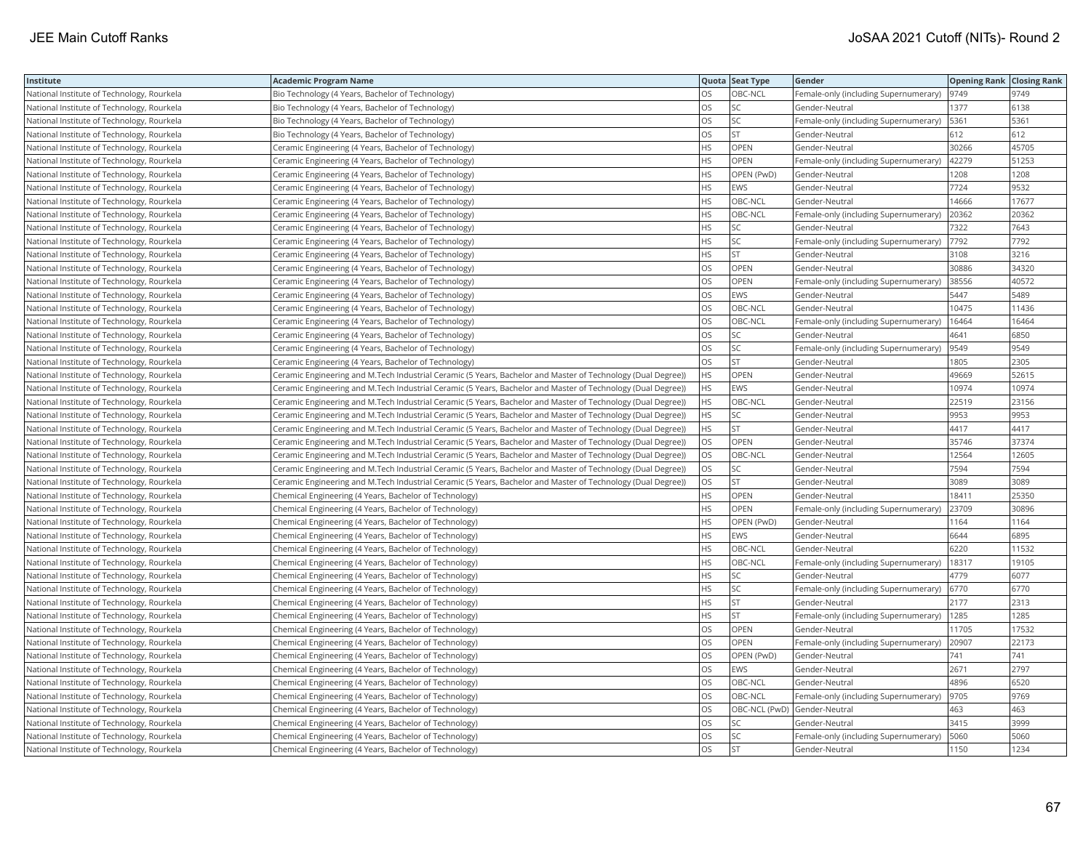| Institute                                  | <b>Academic Program Name</b>                                                                                  |           | Quota Seat Type | Gender                                | <b>Opening Rank Closing Rank</b> |       |
|--------------------------------------------|---------------------------------------------------------------------------------------------------------------|-----------|-----------------|---------------------------------------|----------------------------------|-------|
| National Institute of Technology, Rourkela | Bio Technology (4 Years, Bachelor of Technology)                                                              | OS.       | OBC-NCL         | Female-only (including Supernumerary) | 9749                             | 9749  |
| National Institute of Technology, Rourkela | Bio Technology (4 Years, Bachelor of Technology)                                                              | OS        | SC              | Gender-Neutral                        | 1377                             | 6138  |
| National Institute of Technology, Rourkela | Bio Technology (4 Years, Bachelor of Technology)                                                              | OS        | SC              | Female-only (including Supernumerary) | 5361                             | 5361  |
| National Institute of Technology, Rourkela | Bio Technology (4 Years, Bachelor of Technology)                                                              | OS        | <b>ST</b>       | Gender-Neutral                        | 612                              | 612   |
| National Institute of Technology, Rourkela | Ceramic Engineering (4 Years, Bachelor of Technology)                                                         | <b>HS</b> | OPEN            | Gender-Neutral                        | 30266                            | 45705 |
| National Institute of Technology, Rourkela | Ceramic Engineering (4 Years, Bachelor of Technology)                                                         | <b>HS</b> | OPEN            | Female-only (including Supernumerary) | 42279                            | 51253 |
| National Institute of Technology, Rourkela | Ceramic Engineering (4 Years, Bachelor of Technology)                                                         | <b>HS</b> | OPEN (PwD)      | Gender-Neutral                        | 1208                             | 1208  |
| National Institute of Technology, Rourkela | Ceramic Engineering (4 Years, Bachelor of Technology)                                                         | <b>HS</b> | <b>EWS</b>      | Gender-Neutral                        | 7724                             | 9532  |
| National Institute of Technology, Rourkela | Ceramic Engineering (4 Years, Bachelor of Technology)                                                         | <b>HS</b> | OBC-NCL         | Gender-Neutral                        | 14666                            | 17677 |
| National Institute of Technology, Rourkela | Ceramic Engineering (4 Years, Bachelor of Technology)                                                         | <b>HS</b> | OBC-NCL         | Female-only (including Supernumerary) | 20362                            | 20362 |
| National Institute of Technology, Rourkela | Ceramic Engineering (4 Years, Bachelor of Technology)                                                         | <b>HS</b> | SC              | Gender-Neutral                        | 7322                             | 7643  |
| National Institute of Technology, Rourkela | Ceramic Engineering (4 Years, Bachelor of Technology)                                                         | <b>HS</b> | SC              | Female-only (including Supernumerary) | 7792                             | 7792  |
| National Institute of Technology, Rourkela | Ceramic Engineering (4 Years, Bachelor of Technology)                                                         | <b>HS</b> | <b>ST</b>       | Gender-Neutral                        | 3108                             | 3216  |
| National Institute of Technology, Rourkela | Ceramic Engineering (4 Years, Bachelor of Technology)                                                         | OS        | OPEN            | Gender-Neutral                        | 30886                            | 34320 |
| National Institute of Technology, Rourkela | Ceramic Engineering (4 Years, Bachelor of Technology)                                                         | <b>OS</b> | OPEN            | Female-only (including Supernumerary) | 38556                            | 40572 |
| National Institute of Technology, Rourkela | Ceramic Engineering (4 Years, Bachelor of Technology)                                                         | OS        | EWS             | Gender-Neutral                        | 5447                             | 5489  |
| National Institute of Technology, Rourkela | Ceramic Engineering (4 Years, Bachelor of Technology)                                                         | OS        | OBC-NCL         | Gender-Neutral                        | 10475                            | 11436 |
| National Institute of Technology, Rourkela | Ceramic Engineering (4 Years, Bachelor of Technology)                                                         | OS        | OBC-NCL         | Female-only (including Supernumerary) | 16464                            | 16464 |
| National Institute of Technology, Rourkela | Ceramic Engineering (4 Years, Bachelor of Technology)                                                         | <b>OS</b> | SC              | Gender-Neutral                        | 4641                             | 6850  |
| National Institute of Technology, Rourkela | Ceramic Engineering (4 Years, Bachelor of Technology)                                                         | OS        | SC              | Female-only (including Supernumerary) | 9549                             | 9549  |
| National Institute of Technology, Rourkela | Ceramic Engineering (4 Years, Bachelor of Technology)                                                         | los       | <b>ST</b>       | Gender-Neutral                        | 1805                             | 2305  |
| National Institute of Technology, Rourkela | Ceramic Engineering and M.Tech Industrial Ceramic (5 Years, Bachelor and Master of Technology (Dual Degree))  | HS.       | OPEN            | Gender-Neutral                        | 49669                            | 52615 |
| National Institute of Technology, Rourkela | Ceramic Engineering and M.Tech Industrial Ceramic (5 Years, Bachelor and Master of Technology (Dual Degree))  | HS.       | EWS             | Gender-Neutral                        | 10974                            | 10974 |
| National Institute of Technology, Rourkela | Ceramic Engineering and M.Tech Industrial Ceramic (5 Years, Bachelor and Master of Technology (Dual Degree))  | <b>HS</b> | OBC-NCL         | Gender-Neutral                        | 22519                            | 23156 |
| National Institute of Technology, Rourkela | Ceramic Engineering and M.Tech Industrial Ceramic (5 Years, Bachelor and Master of Technology (Dual Degree))  | <b>HS</b> | SC              | Gender-Neutral                        | 9953                             | 9953  |
| National Institute of Technology, Rourkela | (Ceramic Engineering and M.Tech Industrial Ceramic (5 Years, Bachelor and Master of Technology (Dual Degree)) | HS.       | <b>ST</b>       | Gender-Neutral                        | 4417                             | 4417  |
| National Institute of Technology, Rourkela | Ceramic Engineering and M.Tech Industrial Ceramic (5 Years, Bachelor and Master of Technology (Dual Degree))  | <b>OS</b> | OPEN            | Gender-Neutral                        | 35746                            | 37374 |
| National Institute of Technology, Rourkela | Ceramic Engineering and M.Tech Industrial Ceramic (5 Years, Bachelor and Master of Technology (Dual Degree))  | <b>OS</b> | OBC-NCL         | Gender-Neutral                        | 12564                            | 12605 |
| National Institute of Technology, Rourkela | Ceramic Engineering and M.Tech Industrial Ceramic (5 Years, Bachelor and Master of Technology (Dual Degree))  | OS        | SC              | Gender-Neutral                        | 7594                             | 7594  |
| National Institute of Technology, Rourkela | Ceramic Engineering and M.Tech Industrial Ceramic (5 Years, Bachelor and Master of Technology (Dual Degree))  | OS        | <b>ST</b>       | Gender-Neutral                        | 3089                             | 3089  |
| National Institute of Technology, Rourkela | Chemical Engineering (4 Years, Bachelor of Technology)                                                        | HS        | OPEN            | Gender-Neutral                        | 18411                            | 25350 |
| National Institute of Technology, Rourkela | Chemical Engineering (4 Years, Bachelor of Technology)                                                        | <b>HS</b> | OPEN            | Female-only (including Supernumerary) | 23709                            | 30896 |
| National Institute of Technology, Rourkela | Chemical Engineering (4 Years, Bachelor of Technology)                                                        | <b>HS</b> | OPEN (PwD)      | Gender-Neutral                        | 1164                             | 1164  |
| National Institute of Technology, Rourkela | Chemical Engineering (4 Years, Bachelor of Technology)                                                        | <b>HS</b> | EWS             | Gender-Neutral                        | 6644                             | 6895  |
| National Institute of Technology, Rourkela | Chemical Engineering (4 Years, Bachelor of Technology)                                                        | <b>HS</b> | OBC-NCL         | Gender-Neutral                        | 6220                             | 11532 |
| National Institute of Technology, Rourkela | Chemical Engineering (4 Years, Bachelor of Technology)                                                        | <b>HS</b> | OBC-NCL         | Female-only (including Supernumerary) | 18317                            | 19105 |
| National Institute of Technology, Rourkela | Chemical Engineering (4 Years, Bachelor of Technology)                                                        | <b>HS</b> | SC              | Gender-Neutral                        | 4779                             | 6077  |
| National Institute of Technology, Rourkela | Chemical Engineering (4 Years, Bachelor of Technology)                                                        | <b>HS</b> | SC              | Female-only (including Supernumerary) | 6770                             | 6770  |
| National Institute of Technology, Rourkela | Chemical Engineering (4 Years, Bachelor of Technology)                                                        | <b>HS</b> | ST              | Gender-Neutral                        | 2177                             | 2313  |
| National Institute of Technology, Rourkela | Chemical Engineering (4 Years, Bachelor of Technology)                                                        | <b>HS</b> | <b>ST</b>       | Female-only (including Supernumerary) | 1285                             | 1285  |
| National Institute of Technology, Rourkela | Chemical Engineering (4 Years, Bachelor of Technology)                                                        | OS        | OPEN            | Gender-Neutral                        | 11705                            | 17532 |
| National Institute of Technology, Rourkela | Chemical Engineering (4 Years, Bachelor of Technology)                                                        | OS        | OPEN            | Female-only (including Supernumerary) | 20907                            | 22173 |
| National Institute of Technology, Rourkela | Chemical Engineering (4 Years, Bachelor of Technology)                                                        | OS        | OPEN (PwD)      | Gender-Neutral                        | 741                              | 741   |
| National Institute of Technology, Rourkela | Chemical Engineering (4 Years, Bachelor of Technology)                                                        | OS        | EWS             | Gender-Neutral                        | 2671                             | 2797  |
| National Institute of Technology, Rourkela | Chemical Engineering (4 Years, Bachelor of Technology)                                                        | OS        | OBC-NCL         | Gender-Neutral                        | 4896                             | 6520  |
| National Institute of Technology, Rourkela | Chemical Engineering (4 Years, Bachelor of Technology)                                                        | OS        | OBC-NCL         | Female-only (including Supernumerary) | 9705                             | 9769  |
| National Institute of Technology, Rourkela | Chemical Engineering (4 Years, Bachelor of Technology)                                                        | OS        |                 | OBC-NCL (PwD) Gender-Neutral          | 463                              | 463   |
| National Institute of Technology, Rourkela | Chemical Engineering (4 Years, Bachelor of Technology)                                                        | OS        | SC.             | Gender-Neutral                        | 3415                             | 3999  |
| National Institute of Technology, Rourkela | Chemical Engineering (4 Years, Bachelor of Technology)                                                        | OS        | SC              | Female-only (including Supernumerary) | 5060                             | 5060  |
| National Institute of Technology, Rourkela | Chemical Engineering (4 Years, Bachelor of Technology)                                                        | <b>OS</b> | <b>ST</b>       | Gender-Neutral                        | 1150                             | 1234  |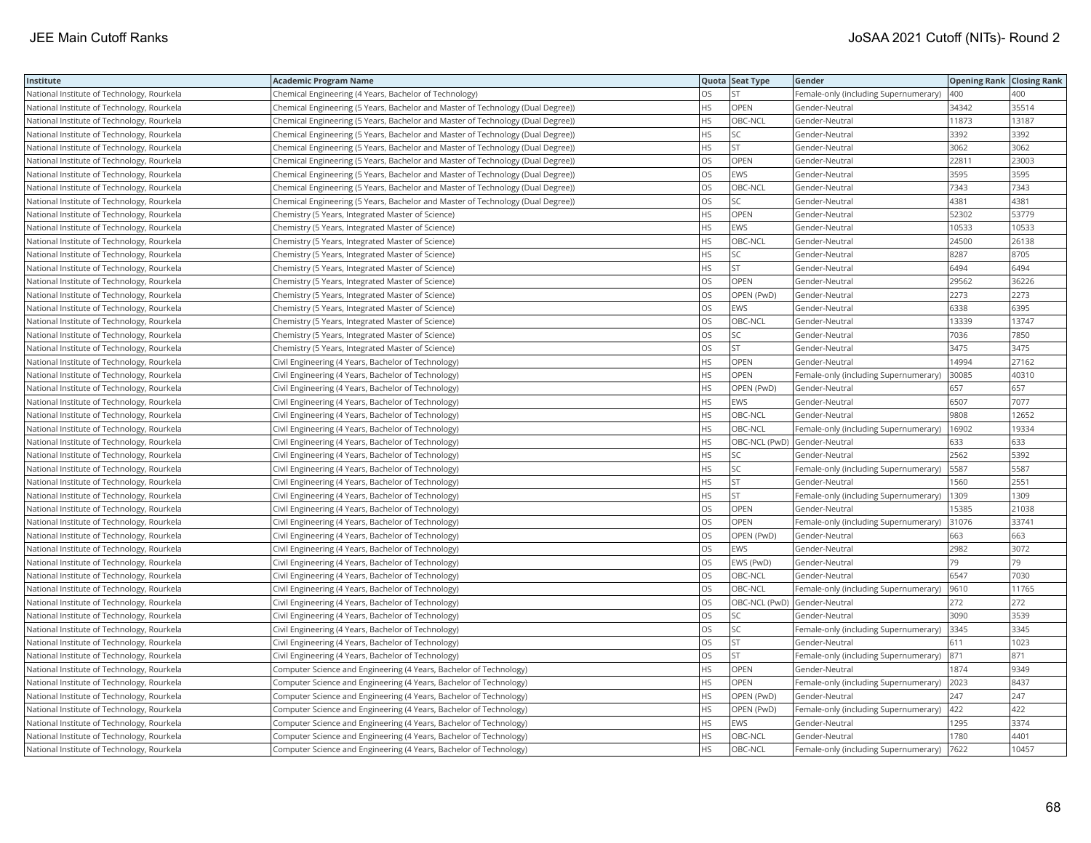| Institute                                  | <b>Academic Program Name</b>                                                     |           | Quota Seat Type | Gender                                | <b>Opening Rank Closing Rank</b> |       |
|--------------------------------------------|----------------------------------------------------------------------------------|-----------|-----------------|---------------------------------------|----------------------------------|-------|
| National Institute of Technology, Rourkela | Chemical Engineering (4 Years, Bachelor of Technology)                           | OS        | <b>ST</b>       | Female-only (including Supernumerary) | 400                              | 400   |
| National Institute of Technology, Rourkela | Chemical Engineering (5 Years, Bachelor and Master of Technology (Dual Degree))  | <b>HS</b> | OPEN            | Gender-Neutral                        | 34342                            | 35514 |
| National Institute of Technology, Rourkela | (Chemical Engineering (5 Years, Bachelor and Master of Technology (Dual Degree)) | <b>HS</b> | OBC-NCL         | Gender-Neutral                        | 11873                            | 13187 |
| National Institute of Technology, Rourkela | Chemical Engineering (5 Years, Bachelor and Master of Technology (Dual Degree))  | <b>HS</b> | SC              | Gender-Neutral                        | 3392                             | 3392  |
| National Institute of Technology, Rourkela | Chemical Engineering (5 Years, Bachelor and Master of Technology (Dual Degree))  | <b>HS</b> | <b>ST</b>       | Gender-Neutral                        | 3062                             | 3062  |
| National Institute of Technology, Rourkela | Chemical Engineering (5 Years, Bachelor and Master of Technology (Dual Degree))  | OS        | OPEN            | Gender-Neutral                        | 22811                            | 23003 |
| National Institute of Technology, Rourkela | Chemical Engineering (5 Years, Bachelor and Master of Technology (Dual Degree))  | <b>OS</b> | EWS             | Gender-Neutral                        | 3595                             | 3595  |
| National Institute of Technology, Rourkela | Chemical Engineering (5 Years, Bachelor and Master of Technology (Dual Degree))  | los       | OBC-NCL         | Gender-Neutral                        | 7343                             | 7343  |
| National Institute of Technology, Rourkela | Chemical Engineering (5 Years, Bachelor and Master of Technology (Dual Degree))  | OS        | SC              | Gender-Neutral                        | 4381                             | 4381  |
| National Institute of Technology, Rourkela | Chemistry (5 Years, Integrated Master of Science)                                | <b>HS</b> | OPEN            | Gender-Neutral                        | 52302                            | 53779 |
| National Institute of Technology, Rourkela | Chemistry (5 Years, Integrated Master of Science)                                | HS        | EWS             | Gender-Neutral                        | 10533                            | 10533 |
| National Institute of Technology, Rourkela | Chemistry (5 Years, Integrated Master of Science)                                | HS        | OBC-NCL         | Gender-Neutral                        | 24500                            | 26138 |
| National Institute of Technology, Rourkela | Chemistry (5 Years, Integrated Master of Science)                                | <b>HS</b> | <b>SC</b>       | Gender-Neutral                        | 8287                             | 8705  |
| National Institute of Technology, Rourkela | Chemistry (5 Years, Integrated Master of Science)                                | <b>HS</b> | <b>ST</b>       | Gender-Neutral                        | 6494                             | 6494  |
| National Institute of Technology, Rourkela | Chemistry (5 Years, Integrated Master of Science)                                | <b>OS</b> | OPEN            | Gender-Neutral                        | 29562                            | 36226 |
| National Institute of Technology, Rourkela | Chemistry (5 Years, Integrated Master of Science)                                | OS        | OPEN (PwD)      | Gender-Neutral                        | 2273                             | 2273  |
| National Institute of Technology, Rourkela | Chemistry (5 Years, Integrated Master of Science)                                | los       | EWS             | Gender-Neutral                        | 6338                             | 6395  |
| National Institute of Technology, Rourkela | Chemistry (5 Years, Integrated Master of Science)                                | los       | OBC-NCL         | Gender-Neutral                        | 13339                            | 13747 |
| National Institute of Technology, Rourkela | Chemistry (5 Years, Integrated Master of Science)                                | los       | SC              | Gender-Neutral                        | 7036                             | 7850  |
| National Institute of Technology, Rourkela | Chemistry (5 Years, Integrated Master of Science)                                | <b>OS</b> | <b>ST</b>       | Gender-Neutral                        | 3475                             | 3475  |
| National Institute of Technology, Rourkela | Civil Engineering (4 Years, Bachelor of Technology)                              | <b>HS</b> | OPEN            | Gender-Neutral                        | 14994                            | 27162 |
| National Institute of Technology, Rourkela | Civil Engineering (4 Years, Bachelor of Technology)                              | <b>HS</b> | OPEN            | Female-only (including Supernumerary) | 30085                            | 40310 |
| National Institute of Technology, Rourkela | Civil Engineering (4 Years, Bachelor of Technology)                              | <b>HS</b> | OPEN (PwD)      | Gender-Neutral                        | 657                              | 657   |
| National Institute of Technology, Rourkela | Civil Engineering (4 Years, Bachelor of Technology)                              | <b>HS</b> | EWS             | Gender-Neutral                        | 6507                             | 7077  |
| National Institute of Technology, Rourkela | Civil Engineering (4 Years, Bachelor of Technology)                              | <b>HS</b> | OBC-NCL         | Gender-Neutral                        | 9808                             | 12652 |
| National Institute of Technology, Rourkela | Civil Engineering (4 Years, Bachelor of Technology)                              | <b>HS</b> | OBC-NCL         | Female-only (including Supernumerary) | 16902                            | 19334 |
| National Institute of Technology, Rourkela | Civil Engineering (4 Years, Bachelor of Technology)                              | <b>HS</b> |                 | OBC-NCL (PwD) Gender-Neutral          | 633                              | 633   |
| National Institute of Technology, Rourkela | Civil Engineering (4 Years, Bachelor of Technology)                              | HS        | SC              | Gender-Neutral                        | 2562                             | 5392  |
| National Institute of Technology, Rourkela | Civil Engineering (4 Years, Bachelor of Technology)                              | <b>HS</b> | SC              | Female-only (including Supernumerary) | 5587                             | 5587  |
| National Institute of Technology, Rourkela | Civil Engineering (4 Years, Bachelor of Technology)                              | <b>HS</b> | <b>ST</b>       | Gender-Neutral                        | 1560                             | 2551  |
| National Institute of Technology, Rourkela | Civil Engineering (4 Years, Bachelor of Technology)                              | <b>HS</b> | <b>ST</b>       | Female-only (including Supernumerary) | 1309                             | 1309  |
| National Institute of Technology, Rourkela | Civil Engineering (4 Years, Bachelor of Technology)                              | OS        | OPEN            | Gender-Neutral                        | 15385                            | 21038 |
| National Institute of Technology, Rourkela | Civil Engineering (4 Years, Bachelor of Technology)                              | OS        | OPEN            | Female-only (including Supernumerary) | 31076                            | 33741 |
| National Institute of Technology, Rourkela | Civil Engineering (4 Years, Bachelor of Technology)                              | los       | OPEN (PwD)      | Gender-Neutral                        | 663                              | 663   |
| National Institute of Technology, Rourkela | Civil Engineering (4 Years, Bachelor of Technology)                              | los       | EWS             | Gender-Neutral                        | 2982                             | 3072  |
| National Institute of Technology, Rourkela | Civil Engineering (4 Years, Bachelor of Technology)                              | <b>OS</b> | EWS (PwD)       | Gender-Neutral                        | 79                               | 79    |
| National Institute of Technology, Rourkela | Civil Engineering (4 Years, Bachelor of Technology)                              | <b>OS</b> | OBC-NCL         | Gender-Neutral                        | 6547                             | 7030  |
| National Institute of Technology, Rourkela | Civil Engineering (4 Years, Bachelor of Technology)                              | <b>OS</b> | OBC-NCL         | Female-only (including Supernumerary) | 9610                             | 11765 |
| National Institute of Technology, Rourkela | Civil Engineering (4 Years, Bachelor of Technology)                              | <b>OS</b> |                 | OBC-NCL (PwD) Gender-Neutral          | 272                              | 272   |
| National Institute of Technology, Rourkela | Civil Engineering (4 Years, Bachelor of Technology)                              | OS        | SC              | Gender-Neutral                        | 3090                             | 3539  |
| National Institute of Technology, Rourkela | Civil Engineering (4 Years, Bachelor of Technology)                              | OS        | SC              | Female-only (including Supernumerary) | 3345                             | 3345  |
| National Institute of Technology, Rourkela | Civil Engineering (4 Years, Bachelor of Technology)                              | OS        | <b>ST</b>       | Gender-Neutral                        | 611                              | 1023  |
| National Institute of Technology, Rourkela | Civil Engineering (4 Years, Bachelor of Technology)                              | OS        | <b>ST</b>       | Female-only (including Supernumerary) | 871                              | 871   |
| National Institute of Technology, Rourkela | Computer Science and Engineering (4 Years, Bachelor of Technology)               | <b>HS</b> | OPEN            | Gender-Neutral                        | 1874                             | 9349  |
| National Institute of Technology, Rourkela | Computer Science and Engineering (4 Years, Bachelor of Technology)               | HS        | OPEN            | Female-only (including Supernumerary) | 2023                             | 8437  |
| National Institute of Technology, Rourkela | Computer Science and Engineering (4 Years, Bachelor of Technology)               | <b>HS</b> | OPEN (PwD)      | Gender-Neutral                        | 247                              | 247   |
| National Institute of Technology, Rourkela | Computer Science and Engineering (4 Years, Bachelor of Technology)               | <b>HS</b> | OPEN (PwD)      | Female-only (including Supernumerary) | 422                              | 422   |
| National Institute of Technology, Rourkela | Computer Science and Engineering (4 Years, Bachelor of Technology)               | <b>HS</b> | EWS             | Gender-Neutral                        | 1295                             | 3374  |
| National Institute of Technology, Rourkela | Computer Science and Engineering (4 Years, Bachelor of Technology)               | <b>HS</b> | OBC-NCL         | Gender-Neutral                        | 1780                             | 4401  |
| National Institute of Technology, Rourkela | Computer Science and Engineering (4 Years, Bachelor of Technology)               | <b>HS</b> | OBC-NCL         | Female-only (including Supernumerary) | 7622                             | 10457 |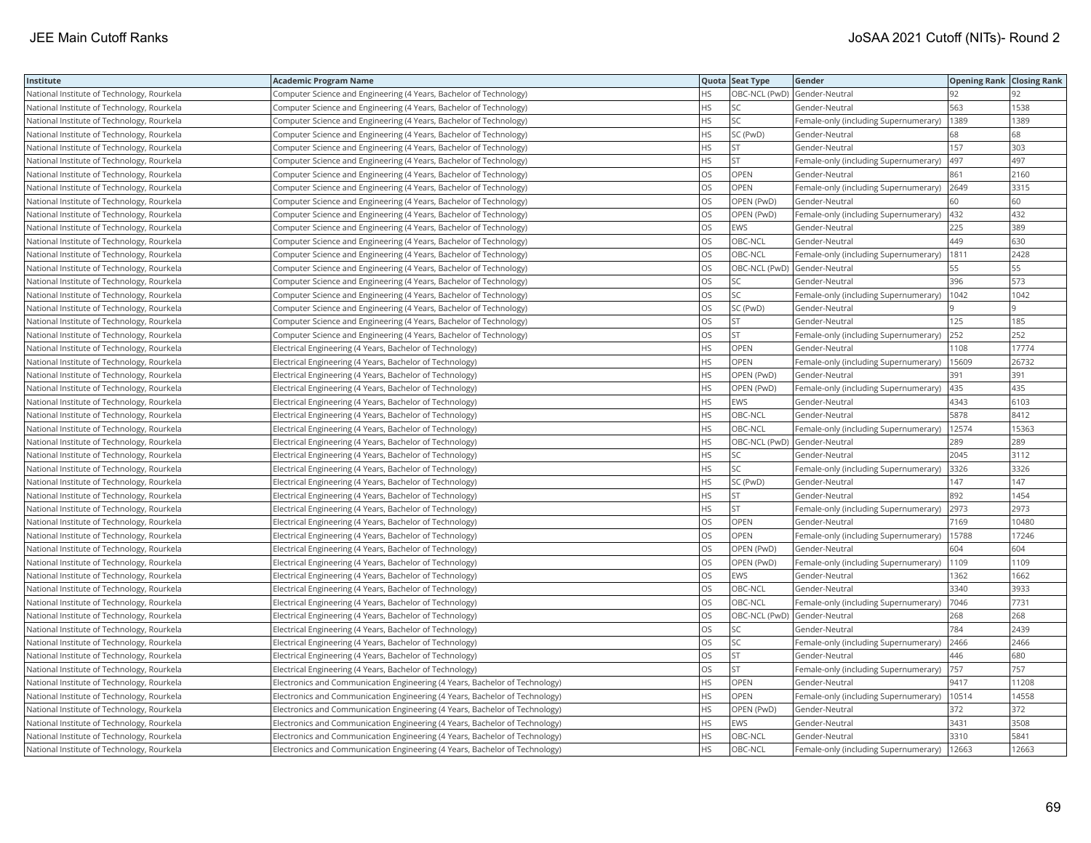| Institute                                  | <b>Academic Program Name</b>                                                |           | Quota Seat Type              | Gender                                | <b>Opening Rank Closing Rank</b> |       |
|--------------------------------------------|-----------------------------------------------------------------------------|-----------|------------------------------|---------------------------------------|----------------------------------|-------|
| National Institute of Technology, Rourkela | Computer Science and Engineering (4 Years, Bachelor of Technology)          | <b>HS</b> |                              | OBC-NCL (PwD) Gender-Neutral          | 92                               |       |
| National Institute of Technology, Rourkela | Computer Science and Engineering (4 Years, Bachelor of Technology)          | HS        | SC                           | Gender-Neutral                        | 563                              | 1538  |
| National Institute of Technology, Rourkela | Computer Science and Engineering (4 Years, Bachelor of Technology)          | <b>HS</b> | SC                           | Female-only (including Supernumerary) | 1389                             | 1389  |
| National Institute of Technology, Rourkela | Computer Science and Engineering (4 Years, Bachelor of Technology)          | <b>HS</b> | SC (PwD)                     | Gender-Neutral                        | 68                               | 68    |
| National Institute of Technology, Rourkela | Computer Science and Engineering (4 Years, Bachelor of Technology)          | <b>HS</b> | <b>ST</b>                    | Gender-Neutral                        | 157                              | 303   |
| National Institute of Technology, Rourkela | Computer Science and Engineering (4 Years, Bachelor of Technology)          | <b>HS</b> | <b>ST</b>                    | Female-only (including Supernumerary) | 497                              | 497   |
| National Institute of Technology, Rourkela | Computer Science and Engineering (4 Years, Bachelor of Technology)          | <b>OS</b> | OPEN                         | Gender-Neutral                        | 861                              | 2160  |
| National Institute of Technology, Rourkela | Computer Science and Engineering (4 Years, Bachelor of Technology)          | los       | OPEN                         | Female-only (including Supernumerary) | 2649                             | 3315  |
| National Institute of Technology, Rourkela | Computer Science and Engineering (4 Years, Bachelor of Technology)          | <b>OS</b> | OPEN (PwD)                   | Gender-Neutral                        | 60                               | 60    |
| National Institute of Technology, Rourkela | Computer Science and Engineering (4 Years, Bachelor of Technology)          | OS        | OPEN (PwD)                   | Female-only (including Supernumerary) | 432                              | 432   |
| National Institute of Technology, Rourkela | Computer Science and Engineering (4 Years, Bachelor of Technology)          | los       | EWS                          | Gender-Neutral                        | 225                              | 389   |
| National Institute of Technology, Rourkela | Computer Science and Engineering (4 Years, Bachelor of Technology)          | <b>OS</b> | OBC-NCL                      | Gender-Neutral                        | 449                              | 630   |
| National Institute of Technology, Rourkela | Computer Science and Engineering (4 Years, Bachelor of Technology)          | OS        | OBC-NCL                      | Female-only (including Supernumerary) | 1811                             | 2428  |
| National Institute of Technology, Rourkela | Computer Science and Engineering (4 Years, Bachelor of Technology)          | OS        |                              | OBC-NCL (PwD) Gender-Neutral          | 55                               | 55    |
| National Institute of Technology, Rourkela | Computer Science and Engineering (4 Years, Bachelor of Technology)          | <b>OS</b> | SC                           | Gender-Neutral                        | 396                              | 573   |
| National Institute of Technology, Rourkela | Computer Science and Engineering (4 Years, Bachelor of Technology)          | OS        | SC                           | Female-only (including Supernumerary) | 1042                             | 1042  |
| National Institute of Technology, Rourkela | Computer Science and Engineering (4 Years, Bachelor of Technology)          | OS        | SC (PwD)                     | Gender-Neutral                        |                                  |       |
| National Institute of Technology, Rourkela | Computer Science and Engineering (4 Years, Bachelor of Technology)          | OS        | <b>ST</b>                    | Gender-Neutral                        | 125                              | 185   |
| National Institute of Technology, Rourkela | Computer Science and Engineering (4 Years, Bachelor of Technology)          | OS        | <b>ST</b>                    | Female-only (including Supernumerary) | 252                              | 252   |
| National Institute of Technology, Rourkela | Electrical Engineering (4 Years, Bachelor of Technology)                    | <b>HS</b> | OPEN                         | Gender-Neutral                        | 1108                             | 17774 |
| National Institute of Technology, Rourkela | Electrical Engineering (4 Years, Bachelor of Technology)                    | <b>HS</b> | OPEN                         | Female-only (including Supernumerary) | 15609                            | 26732 |
| National Institute of Technology, Rourkela | Electrical Engineering (4 Years, Bachelor of Technology)                    | <b>HS</b> | OPEN (PwD)                   | Gender-Neutral                        | 391                              | 391   |
| National Institute of Technology, Rourkela | Electrical Engineering (4 Years, Bachelor of Technology)                    | <b>HS</b> | OPEN (PwD)                   | Female-only (including Supernumerary) | 435                              | 435   |
| National Institute of Technology, Rourkela | Electrical Engineering (4 Years, Bachelor of Technology)                    | <b>HS</b> | EWS                          | Gender-Neutral                        | 4343                             | 6103  |
| National Institute of Technology, Rourkela | Electrical Engineering (4 Years, Bachelor of Technology)                    | <b>HS</b> | OBC-NCL                      | Gender-Neutral                        | 5878                             | 8412  |
| National Institute of Technology, Rourkela | Electrical Engineering (4 Years, Bachelor of Technology)                    | <b>HS</b> | OBC-NCL                      | Female-only (including Supernumerary) | 12574                            | 15363 |
| National Institute of Technology, Rourkela | Electrical Engineering (4 Years, Bachelor of Technology)                    | <b>HS</b> |                              | OBC-NCL (PwD) Gender-Neutral          | 289                              | 289   |
| National Institute of Technology, Rourkela | Electrical Engineering (4 Years, Bachelor of Technology)                    | <b>HS</b> | SC                           | Gender-Neutral                        | 2045                             | 3112  |
| National Institute of Technology, Rourkela | Electrical Engineering (4 Years, Bachelor of Technology)                    | HS        | SC                           | Female-only (including Supernumerary) | 3326                             | 3326  |
| National Institute of Technology, Rourkela | Electrical Engineering (4 Years, Bachelor of Technology)                    | <b>HS</b> | SC (PwD)                     | Gender-Neutral                        | 147                              | 147   |
| National Institute of Technology, Rourkela | Electrical Engineering (4 Years, Bachelor of Technology)                    | <b>HS</b> | <b>ST</b>                    | Gender-Neutral                        | 892                              | 1454  |
| National Institute of Technology, Rourkela | Electrical Engineering (4 Years, Bachelor of Technology)                    | <b>HS</b> | <b>ST</b>                    | Female-only (including Supernumerary) | 2973                             | 2973  |
| National Institute of Technology, Rourkela | Electrical Engineering (4 Years, Bachelor of Technology)                    | OS        | OPEN                         | Gender-Neutral                        | 7169                             | 10480 |
| National Institute of Technology, Rourkela | Electrical Engineering (4 Years, Bachelor of Technology)                    | <b>OS</b> | OPEN                         | Female-only (including Supernumerary) | 15788                            | 17246 |
| National Institute of Technology, Rourkela | Electrical Engineering (4 Years, Bachelor of Technology)                    | OS        | OPEN (PwD)                   | Gender-Neutral                        | 604                              | 604   |
| National Institute of Technology, Rourkela | Electrical Engineering (4 Years, Bachelor of Technology)                    | los       | OPEN (PwD)                   | Female-only (including Supernumerary) | 1109                             | 1109  |
| National Institute of Technology, Rourkela | Electrical Engineering (4 Years, Bachelor of Technology)                    | los       | EWS                          | Gender-Neutral                        | 1362                             | 1662  |
| National Institute of Technology, Rourkela | Electrical Engineering (4 Years, Bachelor of Technology)                    | OS        | OBC-NCL                      | Gender-Neutral                        | 3340                             | 3933  |
| National Institute of Technology, Rourkela | Electrical Engineering (4 Years, Bachelor of Technology)                    | <b>OS</b> | OBC-NCL                      | Female-only (including Supernumerary) | 7046                             | 7731  |
| National Institute of Technology, Rourkela | Electrical Engineering (4 Years, Bachelor of Technology)                    | los       | OBC-NCL (PwD) Gender-Neutral |                                       | 268                              | 268   |
| National Institute of Technology, Rourkela | Electrical Engineering (4 Years, Bachelor of Technology)                    | OS        | SC                           | Gender-Neutral                        | 784                              | 2439  |
| National Institute of Technology, Rourkela | Electrical Engineering (4 Years, Bachelor of Technology)                    | OS        | SC                           | Female-only (including Supernumerary) | 2466                             | 2466  |
| National Institute of Technology, Rourkela | Electrical Engineering (4 Years, Bachelor of Technology)                    | OS        | ST                           | Gender-Neutral                        | 446                              | 680   |
| National Institute of Technology, Rourkela | Electrical Engineering (4 Years, Bachelor of Technology)                    | OS        | <b>ST</b>                    | Female-only (including Supernumerary) | 757                              | 757   |
| National Institute of Technology, Rourkela | Electronics and Communication Engineering (4 Years, Bachelor of Technology) | HS        | OPEN                         | Gender-Neutral                        | 9417                             | 11208 |
| National Institute of Technology, Rourkela | Electronics and Communication Engineering (4 Years, Bachelor of Technology) | <b>HS</b> | OPEN                         | Female-only (including Supernumerary) | 10514                            | 14558 |
| National Institute of Technology, Rourkela | Electronics and Communication Engineering (4 Years, Bachelor of Technology) | <b>HS</b> | OPEN (PwD)                   | Gender-Neutral                        | 372                              | 372   |
| National Institute of Technology, Rourkela | Electronics and Communication Engineering (4 Years, Bachelor of Technology) | <b>HS</b> | EWS                          | Gender-Neutral                        | 3431                             | 3508  |
| National Institute of Technology, Rourkela | Electronics and Communication Engineering (4 Years, Bachelor of Technology) | <b>HS</b> | OBC-NCL                      | Gender-Neutral                        | 3310                             | 5841  |
| National Institute of Technology, Rourkela | Electronics and Communication Engineering (4 Years, Bachelor of Technology) | <b>HS</b> | OBC-NCL                      | Female-only (including Supernumerary) | 12663                            | 12663 |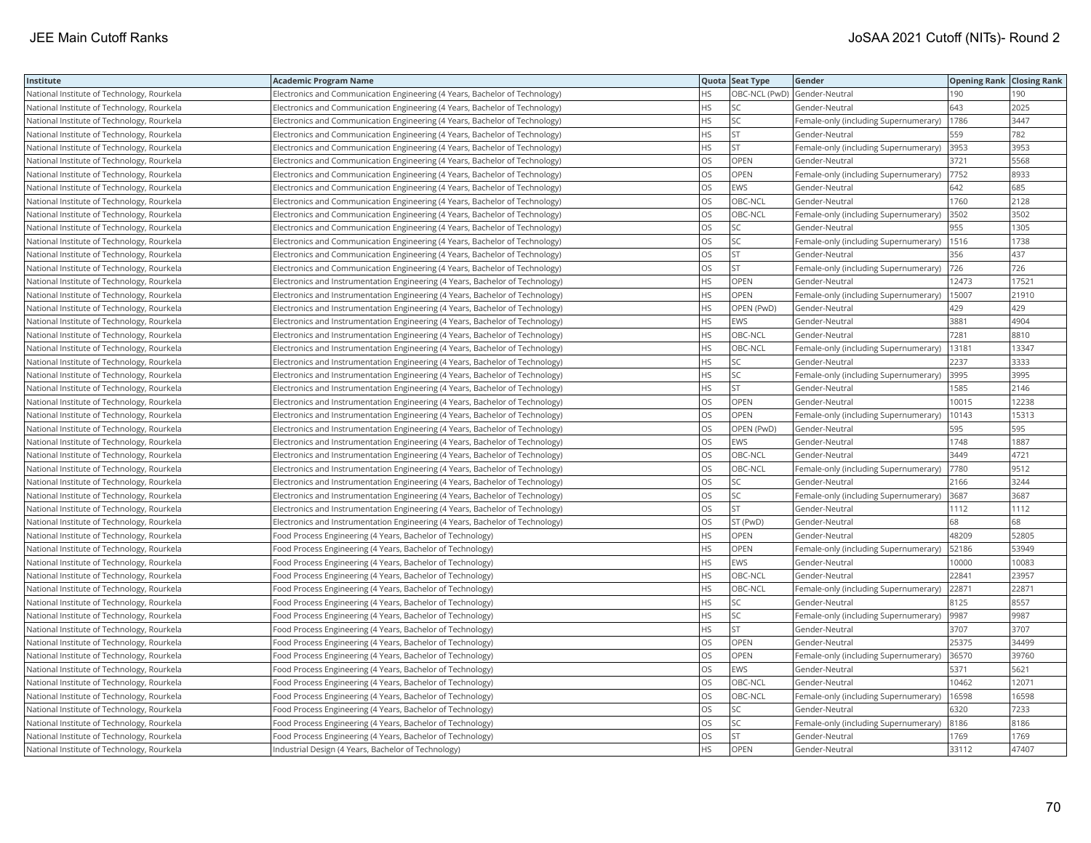| Institute                                  | <b>Academic Program Name</b>                                                  |           | Quota Seat Type | Gender                                | <b>Opening Rank Closing Rank</b> |       |
|--------------------------------------------|-------------------------------------------------------------------------------|-----------|-----------------|---------------------------------------|----------------------------------|-------|
| National Institute of Technology, Rourkela | Electronics and Communication Engineering (4 Years, Bachelor of Technology)   | HS.       |                 | OBC-NCL (PwD) Gender-Neutral          | 190                              | 190   |
| National Institute of Technology, Rourkela | Electronics and Communication Engineering (4 Years, Bachelor of Technology)   | <b>HS</b> | SC              | Gender-Neutral                        | 643                              | 2025  |
| National Institute of Technology, Rourkela | Electronics and Communication Engineering (4 Years, Bachelor of Technology)   | <b>HS</b> | SC              | Female-only (including Supernumerary) | 1786                             | 3447  |
| National Institute of Technology, Rourkela | Electronics and Communication Engineering (4 Years, Bachelor of Technology)   | <b>HS</b> | <b>ST</b>       | Gender-Neutral                        | 559                              | 782   |
| National Institute of Technology, Rourkela | Electronics and Communication Engineering (4 Years, Bachelor of Technology)   | <b>HS</b> | <b>ST</b>       | Female-only (including Supernumerary) | 3953                             | 3953  |
| National Institute of Technology, Rourkela | Electronics and Communication Engineering (4 Years, Bachelor of Technology)   | <b>OS</b> | <b>OPEN</b>     | Gender-Neutral                        | 3721                             | 5568  |
| National Institute of Technology, Rourkela | Electronics and Communication Engineering (4 Years, Bachelor of Technology)   | OS        | OPEN            | Female-only (including Supernumerary) | 7752                             | 8933  |
| National Institute of Technology, Rourkela | Electronics and Communication Engineering (4 Years, Bachelor of Technology)   | los       | EWS             | Gender-Neutral                        | 642                              | 685   |
| National Institute of Technology, Rourkela | Electronics and Communication Engineering (4 Years, Bachelor of Technology)   | los       | OBC-NCL         | Gender-Neutral                        | 1760                             | 2128  |
| National Institute of Technology, Rourkela | Electronics and Communication Engineering (4 Years, Bachelor of Technology)   | los       | OBC-NCL         | Female-only (including Supernumerary) | 3502                             | 3502  |
| National Institute of Technology, Rourkela | Electronics and Communication Engineering (4 Years, Bachelor of Technology)   | OS        | SC              | Gender-Neutral                        | 955                              | 1305  |
| National Institute of Technology, Rourkela | Electronics and Communication Engineering (4 Years, Bachelor of Technology)   | OS        | SC              | Female-only (including Supernumerary) | 1516                             | 1738  |
| National Institute of Technology, Rourkela | Electronics and Communication Engineering (4 Years, Bachelor of Technology)   | OS        | <b>ST</b>       | Gender-Neutral                        | 356                              | 437   |
| National Institute of Technology, Rourkela | Electronics and Communication Engineering (4 Years, Bachelor of Technology)   | OS        | <b>ST</b>       | Female-only (including Supernumerary) | 726                              | 726   |
| National Institute of Technology, Rourkela | Electronics and Instrumentation Engineering (4 Years, Bachelor of Technology) | <b>HS</b> | <b>OPEN</b>     | Gender-Neutral                        | 12473                            | 17521 |
| National Institute of Technology, Rourkela | Electronics and Instrumentation Engineering (4 Years, Bachelor of Technology) | <b>HS</b> | OPEN            | Female-only (including Supernumerary) | 15007                            | 21910 |
| National Institute of Technology, Rourkela | Electronics and Instrumentation Engineering (4 Years, Bachelor of Technology) | <b>HS</b> | OPEN (PwD)      | Gender-Neutral                        | 429                              | 429   |
| National Institute of Technology, Rourkela | Electronics and Instrumentation Engineering (4 Years, Bachelor of Technology) | <b>HS</b> | EWS             | Gender-Neutral                        | 3881                             | 4904  |
| National Institute of Technology, Rourkela | Electronics and Instrumentation Engineering (4 Years, Bachelor of Technology) | <b>HS</b> | OBC-NCL         | Gender-Neutral                        | 7281                             | 8810  |
| National Institute of Technology, Rourkela | Electronics and Instrumentation Engineering (4 Years, Bachelor of Technology) | <b>HS</b> | OBC-NCL         | Female-only (including Supernumerary) | 13181                            | 13347 |
| National Institute of Technology, Rourkela | Electronics and Instrumentation Engineering (4 Years, Bachelor of Technology) | <b>HS</b> | SC              | Gender-Neutral                        | 2237                             | 3333  |
| National Institute of Technology, Rourkela | Electronics and Instrumentation Engineering (4 Years, Bachelor of Technology) | <b>HS</b> | SC              | Female-only (including Supernumerary) | 3995                             | 3995  |
| National Institute of Technology, Rourkela | Electronics and Instrumentation Engineering (4 Years, Bachelor of Technology) | <b>HS</b> | <b>ST</b>       | Gender-Neutral                        | 1585                             | 2146  |
| National Institute of Technology, Rourkela | Electronics and Instrumentation Engineering (4 Years, Bachelor of Technology) | <b>OS</b> | OPEN            | Gender-Neutral                        | 10015                            | 12238 |
| National Institute of Technology, Rourkela | Electronics and Instrumentation Engineering (4 Years, Bachelor of Technology) | OS        | OPEN            | Female-only (including Supernumerary) | 10143                            | 15313 |
| National Institute of Technology, Rourkela | Electronics and Instrumentation Engineering (4 Years, Bachelor of Technology) | OS        | OPEN (PwD)      | Gender-Neutral                        | 595                              | 595   |
| National Institute of Technology, Rourkela | Electronics and Instrumentation Engineering (4 Years, Bachelor of Technology) | OS        | EWS             | Gender-Neutral                        | 1748                             | 1887  |
| National Institute of Technology, Rourkela | Electronics and Instrumentation Engineering (4 Years, Bachelor of Technology) | OS        | OBC-NCL         | Gender-Neutral                        | 3449                             | 4721  |
| National Institute of Technology, Rourkela | Electronics and Instrumentation Engineering (4 Years, Bachelor of Technology) | OS        | OBC-NCL         | Female-only (including Supernumerary) | 7780                             | 9512  |
| National Institute of Technology, Rourkela | Electronics and Instrumentation Engineering (4 Years, Bachelor of Technology) | OS        | SС              | Gender-Neutral                        | 2166                             | 3244  |
| National Institute of Technology, Rourkela | Electronics and Instrumentation Engineering (4 Years, Bachelor of Technology) | OS        | SC              | Female-only (including Supernumerary) | 3687                             | 3687  |
| National Institute of Technology, Rourkela | Electronics and Instrumentation Engineering (4 Years, Bachelor of Technology) | OS        | <b>ST</b>       | Gender-Neutral                        | 1112                             | 1112  |
| National Institute of Technology, Rourkela | Electronics and Instrumentation Engineering (4 Years, Bachelor of Technology) | OS        | ST (PwD)        | Gender-Neutral                        | 68                               | 68    |
| National Institute of Technology, Rourkela | Food Process Engineering (4 Years, Bachelor of Technology)                    | <b>HS</b> | OPEN            | Gender-Neutral                        | 48209                            | 52805 |
| National Institute of Technology, Rourkela | Food Process Engineering (4 Years, Bachelor of Technology)                    | <b>HS</b> | OPEN            | Female-only (including Supernumerary) | 52186                            | 53949 |
| National Institute of Technology, Rourkela | Food Process Engineering (4 Years, Bachelor of Technology)                    | <b>HS</b> | EWS             | Gender-Neutral                        | 10000                            | 10083 |
| National Institute of Technology, Rourkela | Food Process Engineering (4 Years, Bachelor of Technology)                    | <b>HS</b> | OBC-NCL         | Gender-Neutral                        | 22841                            | 23957 |
| National Institute of Technology, Rourkela | Food Process Engineering (4 Years, Bachelor of Technology)                    | <b>HS</b> | OBC-NCL         | Female-only (including Supernumerary) | 22871                            | 22871 |
| National Institute of Technology, Rourkela | Food Process Engineering (4 Years, Bachelor of Technology)                    | <b>HS</b> | SC              | Gender-Neutral                        | 8125                             | 8557  |
| National Institute of Technology, Rourkela | Food Process Engineering (4 Years, Bachelor of Technology)                    | <b>HS</b> | SC              | Female-only (including Supernumerary) | 9987                             | 9987  |
| National Institute of Technology, Rourkela | Food Process Engineering (4 Years, Bachelor of Technology)                    | <b>HS</b> | ST.             | Gender-Neutral                        | 3707                             | 3707  |
| National Institute of Technology, Rourkela | Food Process Engineering (4 Years, Bachelor of Technology)                    | <b>OS</b> | <b>OPEN</b>     | Gender-Neutral                        | 25375                            | 34499 |
| National Institute of Technology, Rourkela | Food Process Engineering (4 Years, Bachelor of Technology)                    | OS        | OPEN            | Female-only (including Supernumerary) | 36570                            | 39760 |
| National Institute of Technology, Rourkela | Food Process Engineering (4 Years, Bachelor of Technology)                    | <b>OS</b> | <b>EWS</b>      | Gender-Neutral                        | 5371                             | 5621  |
| National Institute of Technology, Rourkela | Food Process Engineering (4 Years, Bachelor of Technology)                    | OS        | OBC-NCL         | Gender-Neutral                        | 10462                            | 12071 |
| National Institute of Technology, Rourkela | Food Process Engineering (4 Years, Bachelor of Technology)                    | <b>OS</b> | OBC-NCL         | Female-only (including Supernumerary) | 16598                            | 16598 |
| National Institute of Technology, Rourkela | Food Process Engineering (4 Years, Bachelor of Technology)                    | OS        | SC              | Gender-Neutral                        | 6320                             | 7233  |
| National Institute of Technology, Rourkela | Food Process Engineering (4 Years, Bachelor of Technology)                    | OS        | SC              | Female-only (including Supernumerary) | 8186                             | 8186  |
| National Institute of Technology, Rourkela | Food Process Engineering (4 Years, Bachelor of Technology)                    | OS        | <b>ST</b>       | Gender-Neutral                        | 1769                             | 1769  |
| National Institute of Technology, Rourkela | Industrial Design (4 Years, Bachelor of Technology)                           | <b>HS</b> | <b>OPEN</b>     | Gender-Neutral                        | 33112                            | 47407 |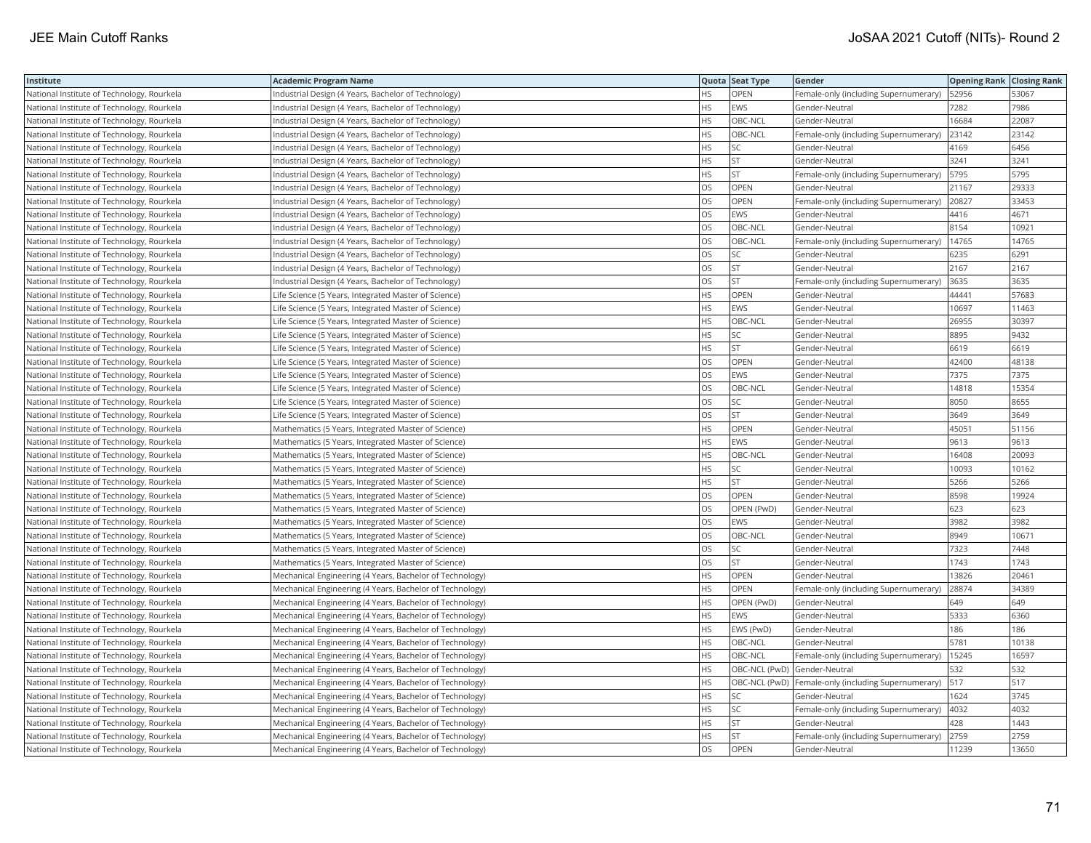| Institute                                  | <b>Academic Program Name</b>                             |           | Quota Seat Type              | Gender                                              | <b>Opening Rank Closing Rank</b> |       |
|--------------------------------------------|----------------------------------------------------------|-----------|------------------------------|-----------------------------------------------------|----------------------------------|-------|
| National Institute of Technology, Rourkela | Industrial Design (4 Years, Bachelor of Technology)      | HS        | OPEN                         | Female-only (including Supernumerary)               | 52956                            | 53067 |
| National Institute of Technology, Rourkela | Industrial Design (4 Years, Bachelor of Technology)      | HS        | EWS                          | Gender-Neutral                                      | 7282                             | 7986  |
| National Institute of Technology, Rourkela | Industrial Design (4 Years, Bachelor of Technology)      | <b>HS</b> | OBC-NCL                      | Gender-Neutral                                      | 16684                            | 22087 |
| National Institute of Technology, Rourkela | Industrial Design (4 Years, Bachelor of Technology)      | HS        | OBC-NCL                      | Female-only (including Supernumerary)               | 23142                            | 23142 |
| National Institute of Technology, Rourkela | Industrial Design (4 Years, Bachelor of Technology)      | <b>HS</b> | SΣ                           | Gender-Neutral                                      | 4169                             | 6456  |
| National Institute of Technology, Rourkela | Industrial Design (4 Years, Bachelor of Technology)      | <b>HS</b> | <b>ST</b>                    | Gender-Neutral                                      | 3241                             | 3241  |
| National Institute of Technology, Rourkela | Industrial Design (4 Years, Bachelor of Technology)      | <b>HS</b> | <b>ST</b>                    | Female-only (including Supernumerary)               | 5795                             | 5795  |
| National Institute of Technology, Rourkela | Industrial Design (4 Years, Bachelor of Technology)      | OS        | OPEN                         | Gender-Neutral                                      | 21167                            | 29333 |
| National Institute of Technology, Rourkela | Industrial Design (4 Years, Bachelor of Technology)      | <b>OS</b> | OPEN                         | Female-only (including Supernumerary)               | 20827                            | 33453 |
| National Institute of Technology, Rourkela | Industrial Design (4 Years, Bachelor of Technology)      | los       | <b>EWS</b>                   | Gender-Neutral                                      | 4416                             | 4671  |
| National Institute of Technology, Rourkela | Industrial Design (4 Years, Bachelor of Technology)      | los       | OBC-NCL                      | Gender-Neutral                                      | 8154                             | 10921 |
| National Institute of Technology, Rourkela | Industrial Design (4 Years, Bachelor of Technology)      | OS        | OBC-NCL                      | Female-only (including Supernumerary)               | 14765                            | 14765 |
| National Institute of Technology, Rourkela | Industrial Design (4 Years, Bachelor of Technology)      | <b>OS</b> | SC                           | Gender-Neutral                                      | 6235                             | 6291  |
| National Institute of Technology, Rourkela | Industrial Design (4 Years, Bachelor of Technology)      | OS        | <b>ST</b>                    | Gender-Neutral                                      | 2167                             | 2167  |
| National Institute of Technology, Rourkela | Industrial Design (4 Years, Bachelor of Technology)      | OS        | <b>ST</b>                    | Female-only (including Supernumerary)               | 3635                             | 3635  |
| National Institute of Technology, Rourkela | Life Science (5 Years, Integrated Master of Science)     | <b>HS</b> | OPEN                         | Gender-Neutral                                      | 44441                            | 57683 |
| National Institute of Technology, Rourkela | Life Science (5 Years, Integrated Master of Science)     | HS        | EWS                          | Gender-Neutral                                      | 10697                            | 11463 |
| National Institute of Technology, Rourkela | Life Science (5 Years, Integrated Master of Science)     | <b>HS</b> | OBC-NCL                      | Gender-Neutral                                      | 26955                            | 30397 |
| National Institute of Technology, Rourkela | Life Science (5 Years, Integrated Master of Science)     | HS        | SC                           | Gender-Neutral                                      | 8895                             | 9432  |
| National Institute of Technology, Rourkela | Life Science (5 Years, Integrated Master of Science)     | <b>HS</b> | <b>ST</b>                    | Gender-Neutral                                      | 6619                             | 6619  |
| National Institute of Technology, Rourkela | Life Science (5 Years, Integrated Master of Science)     | OS        | OPEN                         | Gender-Neutral                                      | 42400                            | 48138 |
| National Institute of Technology, Rourkela | Life Science (5 Years, Integrated Master of Science)     | <b>OS</b> | EWS                          | Gender-Neutral                                      | 7375                             | 7375  |
| National Institute of Technology, Rourkela | Life Science (5 Years, Integrated Master of Science)     | OS        | OBC-NCL                      | Gender-Neutral                                      | 14818                            | 15354 |
| National Institute of Technology, Rourkela | Life Science (5 Years, Integrated Master of Science)     | <b>OS</b> | SC                           | Gender-Neutral                                      | 8050                             | 8655  |
| National Institute of Technology, Rourkela | Life Science (5 Years, Integrated Master of Science)     | los       | <b>ST</b>                    | Gender-Neutral                                      | 3649                             | 3649  |
| National Institute of Technology, Rourkela | Mathematics (5 Years, Integrated Master of Science)      | <b>HS</b> | OPEN                         | Gender-Neutral                                      | 45051                            | 51156 |
| National Institute of Technology, Rourkela | Mathematics (5 Years, Integrated Master of Science)      | <b>HS</b> | EWS                          | Gender-Neutral                                      | 9613                             | 9613  |
| National Institute of Technology, Rourkela | Mathematics (5 Years, Integrated Master of Science)      | <b>HS</b> | OBC-NCL                      | Gender-Neutral                                      | 16408                            | 20093 |
| National Institute of Technology, Rourkela | Mathematics (5 Years, Integrated Master of Science)      | <b>HS</b> | SC                           | Gender-Neutral                                      | 10093                            | 10162 |
| National Institute of Technology, Rourkela | Mathematics (5 Years, Integrated Master of Science)      | HS        | ST.                          | Gender-Neutral                                      | 5266                             | 5266  |
| National Institute of Technology, Rourkela | Mathematics (5 Years, Integrated Master of Science)      | <b>OS</b> | OPEN                         | Gender-Neutral                                      | 8598                             | 19924 |
| National Institute of Technology, Rourkela | Mathematics (5 Years, Integrated Master of Science)      | OS        | OPEN (PwD)                   | Gender-Neutral                                      | 623                              | 623   |
| National Institute of Technology, Rourkela | Mathematics (5 Years, Integrated Master of Science)      | <b>OS</b> | <b>EWS</b>                   | Gender-Neutral                                      | 3982                             | 3982  |
| National Institute of Technology, Rourkela | Mathematics (5 Years, Integrated Master of Science)      | OS        | OBC-NCL                      | Gender-Neutral                                      | 8949                             | 10671 |
| National Institute of Technology, Rourkela | Mathematics (5 Years, Integrated Master of Science)      | <b>OS</b> | SC                           | Gender-Neutral                                      | 7323                             | 7448  |
| National Institute of Technology, Rourkela | Mathematics (5 Years, Integrated Master of Science)      | OS        | <b>ST</b>                    | Gender-Neutral                                      | 1743                             | 1743  |
| National Institute of Technology, Rourkela | Mechanical Engineering (4 Years, Bachelor of Technology) | <b>HS</b> | OPEN                         | Gender-Neutral                                      | 13826                            | 20461 |
| National Institute of Technology, Rourkela | Mechanical Engineering (4 Years, Bachelor of Technology) | <b>HS</b> | OPEN                         | Female-only (including Supernumerary)               | 28874                            | 34389 |
| National Institute of Technology, Rourkela | Mechanical Engineering (4 Years, Bachelor of Technology) | <b>HS</b> | OPEN (PwD)                   | Gender-Neutral                                      | 649                              | 649   |
| National Institute of Technology, Rourkela | Mechanical Engineering (4 Years, Bachelor of Technology) | <b>HS</b> | EWS                          | Gender-Neutral                                      | 5333                             | 6360  |
| National Institute of Technology, Rourkela | Mechanical Engineering (4 Years, Bachelor of Technology) | <b>HS</b> | EWS (PwD)                    | Gender-Neutral                                      | 186                              | 186   |
| National Institute of Technology, Rourkela | Mechanical Engineering (4 Years, Bachelor of Technology) | <b>HS</b> | OBC-NCL                      | Gender-Neutral                                      | 5781                             | 10138 |
| National Institute of Technology, Rourkela | Mechanical Engineering (4 Years, Bachelor of Technology) | <b>HS</b> | OBC-NCL                      | Female-only (including Supernumerary)               | 15245                            | 16597 |
| National Institute of Technology, Rourkela | Mechanical Engineering (4 Years, Bachelor of Technology) | <b>HS</b> | OBC-NCL (PwD) Gender-Neutral |                                                     | 532                              | 532   |
| National Institute of Technology, Rourkela | Mechanical Engineering (4 Years, Bachelor of Technology) | HS        |                              | OBC-NCL (PwD) Female-only (including Supernumerary) | 517                              | 517   |
| National Institute of Technology, Rourkela | Mechanical Engineering (4 Years, Bachelor of Technology) | HS        | SC                           | Gender-Neutral                                      | 1624                             | 3745  |
| National Institute of Technology, Rourkela | Mechanical Engineering (4 Years, Bachelor of Technology) | HS        | SC                           | Female-only (including Supernumerary)               | 4032                             | 4032  |
| National Institute of Technology, Rourkela | Mechanical Engineering (4 Years, Bachelor of Technology) | <b>HS</b> | <b>ST</b>                    | Gender-Neutral                                      | 428                              | 1443  |
| National Institute of Technology, Rourkela | Mechanical Engineering (4 Years, Bachelor of Technology) | HS        | <b>ST</b>                    | Female-only (including Supernumerary)               | 2759                             | 2759  |
| National Institute of Technology, Rourkela | Mechanical Engineering (4 Years, Bachelor of Technology) | los       | OPEN                         | Gender-Neutral                                      | 11239                            | 13650 |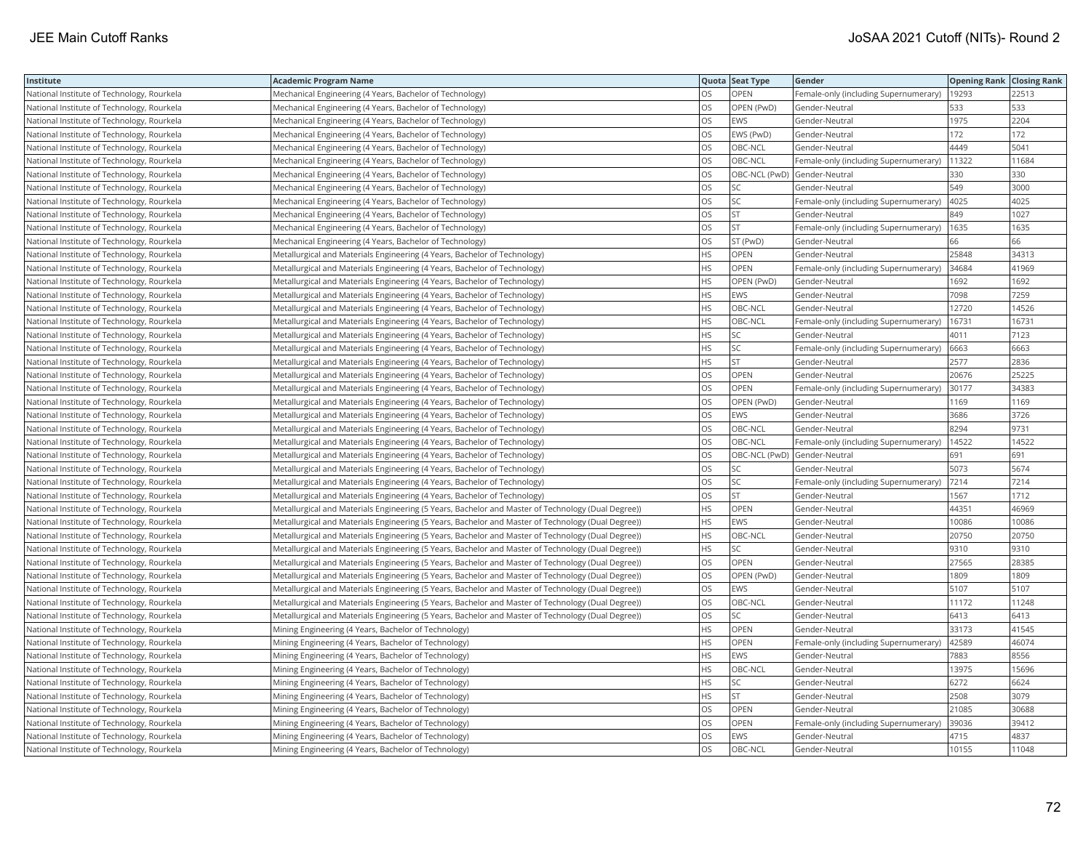| Institute                                  | <b>Academic Program Name</b>                                                                       |           | Quota Seat Type | Gender                                | <b>Opening Rank Closing Rank</b> |       |
|--------------------------------------------|----------------------------------------------------------------------------------------------------|-----------|-----------------|---------------------------------------|----------------------------------|-------|
| National Institute of Technology, Rourkela | Mechanical Engineering (4 Years, Bachelor of Technology)                                           | OS.       | OPEN            | Female-only (including Supernumerary) | 19293                            | 22513 |
| National Institute of Technology, Rourkela | Mechanical Engineering (4 Years, Bachelor of Technology)                                           | OS        | OPEN (PwD)      | Gender-Neutral                        | 533                              | 533   |
| National Institute of Technology, Rourkela | Mechanical Engineering (4 Years, Bachelor of Technology)                                           | <b>OS</b> | EWS             | Gender-Neutral                        | 1975                             | 2204  |
| National Institute of Technology, Rourkela | Mechanical Engineering (4 Years, Bachelor of Technology)                                           | los       | EWS (PwD)       | Gender-Neutral                        | 172                              | 172   |
| National Institute of Technology, Rourkela | Mechanical Engineering (4 Years, Bachelor of Technology)                                           | OS        | OBC-NCL         | Gender-Neutral                        | 4449                             | 5041  |
| National Institute of Technology, Rourkela | Mechanical Engineering (4 Years, Bachelor of Technology)                                           | OS        | OBC-NCL         | Female-only (including Supernumerary) | 11322                            | 11684 |
| National Institute of Technology, Rourkela | Mechanical Engineering (4 Years, Bachelor of Technology)                                           | los       |                 | OBC-NCL (PwD) Gender-Neutral          | 330                              | 330   |
| National Institute of Technology, Rourkela | Mechanical Engineering (4 Years, Bachelor of Technology)                                           | OS        | SC              | Gender-Neutral                        | 549                              | 3000  |
| National Institute of Technology, Rourkela | Mechanical Engineering (4 Years, Bachelor of Technology)                                           | OS        | SC              | Female-only (including Supernumerary) | 4025                             | 4025  |
| National Institute of Technology, Rourkela | Mechanical Engineering (4 Years, Bachelor of Technology)                                           | <b>OS</b> | <b>ST</b>       | Gender-Neutral                        | 849                              | 1027  |
| National Institute of Technology, Rourkela | Mechanical Engineering (4 Years, Bachelor of Technology)                                           | OS        | <b>ST</b>       | Female-only (including Supernumerary) | 1635                             | 1635  |
| National Institute of Technology, Rourkela | Mechanical Engineering (4 Years, Bachelor of Technology)                                           | OS        | ST (PwD)        | Gender-Neutral                        | 66                               | 66    |
| National Institute of Technology, Rourkela | Metallurgical and Materials Engineering (4 Years, Bachelor of Technology)                          | HS        | OPEN            | Gender-Neutral                        | 25848                            | 34313 |
| National Institute of Technology, Rourkela | Metallurgical and Materials Engineering (4 Years, Bachelor of Technology)                          | <b>HS</b> | OPEN            | Female-only (including Supernumerary) | 34684                            | 41969 |
| National Institute of Technology, Rourkela | Metallurgical and Materials Engineering (4 Years, Bachelor of Technology)                          | HS        | OPEN (PwD)      | Gender-Neutral                        | 1692                             | 1692  |
| National Institute of Technology, Rourkela | Metallurgical and Materials Engineering (4 Years, Bachelor of Technology)                          | <b>HS</b> | EWS             | Gender-Neutral                        | 7098                             | 7259  |
| National Institute of Technology, Rourkela | Metallurgical and Materials Engineering (4 Years, Bachelor of Technology)                          | <b>HS</b> | OBC-NCL         | Gender-Neutral                        | 12720                            | 14526 |
| National Institute of Technology, Rourkela | Metallurgical and Materials Engineering (4 Years, Bachelor of Technology)                          | <b>HS</b> | OBC-NCL         | Female-only (including Supernumerary) | 16731                            | 16731 |
| National Institute of Technology, Rourkela | Metallurgical and Materials Engineering (4 Years, Bachelor of Technology)                          | <b>HS</b> | SC              | Gender-Neutral                        | 4011                             | 7123  |
| National Institute of Technology, Rourkela | Metallurgical and Materials Engineering (4 Years, Bachelor of Technology)                          | <b>HS</b> | SC              | Female-only (including Supernumerary) | 6663                             | 6663  |
| National Institute of Technology, Rourkela | Metallurgical and Materials Engineering (4 Years, Bachelor of Technology)                          | <b>HS</b> | <b>ST</b>       | Gender-Neutral                        | 2577                             | 2836  |
| National Institute of Technology, Rourkela | Metallurgical and Materials Engineering (4 Years, Bachelor of Technology)                          | los       | OPEN            | Gender-Neutral                        | 20676                            | 25225 |
| National Institute of Technology, Rourkela | Metallurgical and Materials Engineering (4 Years, Bachelor of Technology)                          | OS        | OPEN            | Female-only (including Supernumerary) | 30177                            | 34383 |
| National Institute of Technology, Rourkela | Metallurgical and Materials Engineering (4 Years, Bachelor of Technology)                          | OS        | OPEN (PwD)      | Gender-Neutral                        | 1169                             | 1169  |
| National Institute of Technology, Rourkela | Metallurgical and Materials Engineering (4 Years, Bachelor of Technology)                          | los       | EWS             | Gender-Neutral                        | 3686                             | 3726  |
| National Institute of Technology, Rourkela | Metallurgical and Materials Engineering (4 Years, Bachelor of Technology)                          | <b>OS</b> | OBC-NCL         | Gender-Neutral                        | 8294                             | 9731  |
| National Institute of Technology, Rourkela | Metallurgical and Materials Engineering (4 Years, Bachelor of Technology)                          | <b>OS</b> | OBC-NCL         | Female-only (including Supernumerary) | 14522                            | 14522 |
| National Institute of Technology, Rourkela | Metallurgical and Materials Engineering (4 Years, Bachelor of Technology)                          | OS        |                 | OBC-NCL (PwD) Gender-Neutral          | 691                              | 691   |
| National Institute of Technology, Rourkela | Metallurgical and Materials Engineering (4 Years, Bachelor of Technology)                          | <b>OS</b> | SC              | Gender-Neutral                        | 5073                             | 5674  |
| National Institute of Technology, Rourkela | Metallurgical and Materials Engineering (4 Years, Bachelor of Technology)                          | OS        | SC              | Female-only (including Supernumerary) | 7214                             | 7214  |
| National Institute of Technology, Rourkela | Metallurgical and Materials Engineering (4 Years, Bachelor of Technology)                          | <b>OS</b> | <b>ST</b>       | Gender-Neutral                        | 1567                             | 1712  |
| National Institute of Technology, Rourkela | Metallurgical and Materials Engineering (5 Years, Bachelor and Master of Technology (Dual Degree)) | <b>HS</b> | OPEN            | Gender-Neutral                        | 44351                            | 46969 |
| National Institute of Technology, Rourkela | Metallurgical and Materials Engineering (5 Years, Bachelor and Master of Technology (Dual Degree)) | <b>HS</b> | EWS             | Gender-Neutral                        | 10086                            | 10086 |
| National Institute of Technology, Rourkela | Metallurgical and Materials Engineering (5 Years, Bachelor and Master of Technology (Dual Degree)) | HS        | OBC-NCL         | Gender-Neutral                        | 20750                            | 20750 |
| National Institute of Technology, Rourkela | Metallurgical and Materials Engineering (5 Years, Bachelor and Master of Technology (Dual Degree)) | <b>HS</b> | SC              | Gender-Neutral                        | 9310                             | 9310  |
| National Institute of Technology, Rourkela | Metallurgical and Materials Engineering (5 Years, Bachelor and Master of Technology (Dual Degree)) | los       | OPEN            | Gender-Neutral                        | 27565                            | 28385 |
| National Institute of Technology, Rourkela | Metallurgical and Materials Engineering (5 Years, Bachelor and Master of Technology (Dual Degree)) | <b>OS</b> | OPEN (PwD)      | Gender-Neutral                        | 1809                             | 1809  |
| National Institute of Technology, Rourkela | Metallurgical and Materials Engineering (5 Years, Bachelor and Master of Technology (Dual Degree)) | <b>OS</b> | EWS             | Gender-Neutral                        | 5107                             | 5107  |
| National Institute of Technology, Rourkela | Metallurgical and Materials Engineering (5 Years, Bachelor and Master of Technology (Dual Degree)) | los       | OBC-NCL         | Gender-Neutral                        | 11172                            | 11248 |
| National Institute of Technology, Rourkela | Metallurgical and Materials Engineering (5 Years, Bachelor and Master of Technology (Dual Degree)) | los       | SC              | Gender-Neutral                        | 6413                             | 6413  |
| National Institute of Technology, Rourkela | Mining Engineering (4 Years, Bachelor of Technology)                                               | HS        | OPEN            | Gender-Neutral                        | 33173                            | 41545 |
| National Institute of Technology, Rourkela | Mining Engineering (4 Years, Bachelor of Technology)                                               | <b>HS</b> | OPEN            | Female-only (including Supernumerary) | 42589                            | 46074 |
| National Institute of Technology, Rourkela | Mining Engineering (4 Years, Bachelor of Technology)                                               | HS        | EWS             | Gender-Neutral                        | 7883                             | 8556  |
| National Institute of Technology, Rourkela | Mining Engineering (4 Years, Bachelor of Technology)                                               | <b>HS</b> | OBC-NCL         | Gender-Neutral                        | 13975                            | 15696 |
| National Institute of Technology, Rourkela | Mining Engineering (4 Years, Bachelor of Technology)                                               | HS        | SC              | Gender-Neutral                        | 6272                             | 6624  |
| National Institute of Technology, Rourkela | Mining Engineering (4 Years, Bachelor of Technology)                                               | <b>HS</b> | <b>ST</b>       | Gender-Neutral                        | 2508                             | 3079  |
| National Institute of Technology, Rourkela | Mining Engineering (4 Years, Bachelor of Technology)                                               | OS        | OPEN            | Gender-Neutral                        | 21085                            | 30688 |
| National Institute of Technology, Rourkela | Mining Engineering (4 Years, Bachelor of Technology)                                               | OS        | OPEN            | Female-only (including Supernumerary) | 39036                            | 39412 |
| National Institute of Technology, Rourkela | Mining Engineering (4 Years, Bachelor of Technology)                                               | OS        | EWS             | Gender-Neutral                        | 4715                             | 4837  |
| National Institute of Technology, Rourkela | Mining Engineering (4 Years, Bachelor of Technology)                                               | <b>OS</b> | OBC-NCL         | Gender-Neutral                        | 10155                            | 11048 |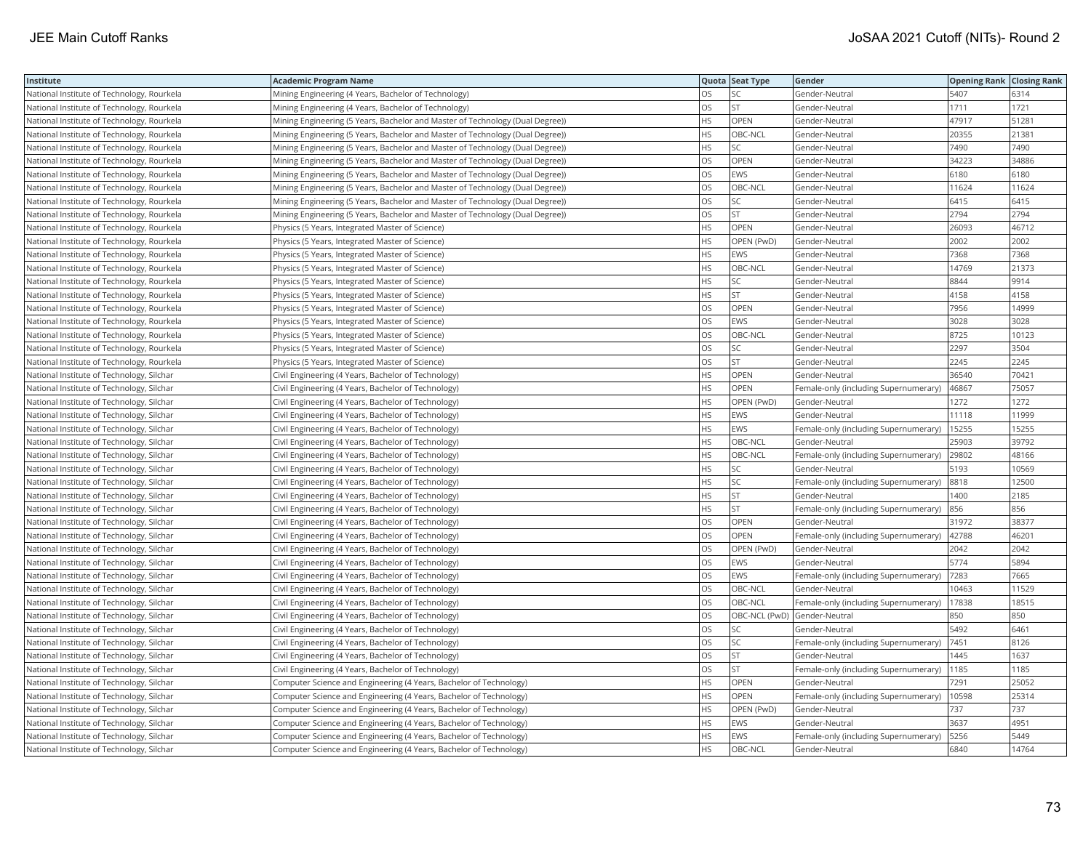| Institute                                  | <b>Academic Program Name</b>                                                  |           | Quota Seat Type              | Gender                                | <b>Opening Rank Closing Rank</b> |       |
|--------------------------------------------|-------------------------------------------------------------------------------|-----------|------------------------------|---------------------------------------|----------------------------------|-------|
| National Institute of Technology, Rourkela | Mining Engineering (4 Years, Bachelor of Technology)                          | <b>OS</b> |                              | Gender-Neutral                        | 5407                             | 6314  |
| National Institute of Technology, Rourkela | Mining Engineering (4 Years, Bachelor of Technology)                          | OS        | <b>ST</b>                    | Gender-Neutral                        | 1711                             | 1721  |
| National Institute of Technology, Rourkela | Mining Engineering (5 Years, Bachelor and Master of Technology (Dual Degree)) | <b>HS</b> | OPEN                         | Gender-Neutral                        | 47917                            | 51281 |
| National Institute of Technology, Rourkela | Mining Engineering (5 Years, Bachelor and Master of Technology (Dual Degree)) | <b>HS</b> | OBC-NCL                      | Gender-Neutral                        | 20355                            | 21381 |
| National Institute of Technology, Rourkela | Mining Engineering (5 Years, Bachelor and Master of Technology (Dual Degree)) | <b>HS</b> | SC                           | Gender-Neutral                        | 7490                             | 7490  |
| National Institute of Technology, Rourkela | Mining Engineering (5 Years, Bachelor and Master of Technology (Dual Degree)) | <b>OS</b> | OPEN                         | Gender-Neutral                        | 34223                            | 34886 |
| National Institute of Technology, Rourkela | Mining Engineering (5 Years, Bachelor and Master of Technology (Dual Degree)) | OS        | EWS                          | Gender-Neutral                        | 6180                             | 6180  |
| National Institute of Technology, Rourkela | Mining Engineering (5 Years, Bachelor and Master of Technology (Dual Degree)) | los       | OBC-NCL                      | Gender-Neutral                        | 11624                            | 11624 |
| National Institute of Technology, Rourkela | Mining Engineering (5 Years, Bachelor and Master of Technology (Dual Degree)) | <b>OS</b> | SC                           | Gender-Neutral                        | 6415                             | 6415  |
| National Institute of Technology, Rourkela | Mining Engineering (5 Years, Bachelor and Master of Technology (Dual Degree)) | los       | <b>ST</b>                    | Gender-Neutral                        | 2794                             | 2794  |
| National Institute of Technology, Rourkela | Physics (5 Years, Integrated Master of Science)                               | HS        | OPEN                         | Gender-Neutral                        | 26093                            | 46712 |
| National Institute of Technology, Rourkela | Physics (5 Years, Integrated Master of Science)                               | HS        | OPEN (PwD)                   | Gender-Neutral                        | 2002                             | 2002  |
| National Institute of Technology, Rourkela | Physics (5 Years, Integrated Master of Science)                               | HS        | EWS                          | Gender-Neutral                        | 7368                             | 7368  |
| National Institute of Technology, Rourkela | Physics (5 Years, Integrated Master of Science)                               | <b>HS</b> | OBC-NCL                      | Gender-Neutral                        | 14769                            | 21373 |
| National Institute of Technology, Rourkela | Physics (5 Years, Integrated Master of Science)                               | <b>HS</b> | SC                           | Gender-Neutral                        | 8844                             | 9914  |
| National Institute of Technology, Rourkela | Physics (5 Years, Integrated Master of Science)                               | <b>HS</b> | <b>ST</b>                    | Gender-Neutral                        | 4158                             | 4158  |
| National Institute of Technology, Rourkela | Physics (5 Years, Integrated Master of Science)                               | OS        | OPEN                         | Gender-Neutral                        | 7956                             | 14999 |
| National Institute of Technology, Rourkela | Physics (5 Years, Integrated Master of Science)                               | los       | EWS                          | Gender-Neutral                        | 3028                             | 3028  |
| National Institute of Technology, Rourkela | Physics (5 Years, Integrated Master of Science)                               | <b>OS</b> | OBC-NCL                      | Gender-Neutral                        | 8725                             | 10123 |
| National Institute of Technology, Rourkela | Physics (5 Years, Integrated Master of Science)                               | los       | SC                           | Gender-Neutral                        | 2297                             | 3504  |
| National Institute of Technology, Rourkela | Physics (5 Years, Integrated Master of Science)                               | <b>OS</b> | <b>ST</b>                    | Gender-Neutral                        | 2245                             | 2245  |
| National Institute of Technology, Silchar  | Civil Engineering (4 Years, Bachelor of Technology)                           | <b>HS</b> | OPEN                         | Gender-Neutral                        | 36540                            | 70421 |
| National Institute of Technology, Silchar  | Civil Engineering (4 Years, Bachelor of Technology)                           | <b>HS</b> | OPEN                         | Female-only (including Supernumerary) | 46867                            | 75057 |
| National Institute of Technology, Silchar  | Civil Engineering (4 Years, Bachelor of Technology)                           | <b>HS</b> | OPEN (PwD)                   | Gender-Neutral                        | 1272                             | 1272  |
| National Institute of Technology, Silchar  | Civil Engineering (4 Years, Bachelor of Technology)                           | <b>HS</b> | EWS                          | Gender-Neutral                        | 11118                            | 11999 |
| National Institute of Technology, Silchar  | Civil Engineering (4 Years, Bachelor of Technology)                           | <b>HS</b> | EWS                          | Female-only (including Supernumerary) | 15255                            | 15255 |
| National Institute of Technology, Silchar  | Civil Engineering (4 Years, Bachelor of Technology)                           | <b>HS</b> | OBC-NCL                      | Gender-Neutral                        | 25903                            | 39792 |
| National Institute of Technology, Silchar  | Civil Engineering (4 Years, Bachelor of Technology)                           | HS        | OBC-NCL                      | Female-only (including Supernumerary) | 29802                            | 48166 |
| National Institute of Technology, Silchar  | Civil Engineering (4 Years, Bachelor of Technology)                           | <b>HS</b> | SC                           | Gender-Neutral                        | 5193                             | 10569 |
| National Institute of Technology, Silchar  | Civil Engineering (4 Years, Bachelor of Technology)                           | HS        | SC                           | Female-only (including Supernumerary) | 8818                             | 12500 |
| National Institute of Technology, Silchar  | Civil Engineering (4 Years, Bachelor of Technology)                           | <b>HS</b> | <b>ST</b>                    | Gender-Neutral                        | 1400                             | 2185  |
| National Institute of Technology, Silchar  | Civil Engineering (4 Years, Bachelor of Technology)                           | <b>HS</b> | <b>ST</b>                    | Female-only (including Supernumerary) | 856                              | 856   |
| National Institute of Technology, Silchar  | Civil Engineering (4 Years, Bachelor of Technology)                           | OS        | OPEN                         | Gender-Neutral                        | 31972                            | 38377 |
| National Institute of Technology, Silchar  | Civil Engineering (4 Years, Bachelor of Technology)                           | los       | OPEN                         | Female-only (including Supernumerary) | 42788                            | 46201 |
| National Institute of Technology, Silchar  | Civil Engineering (4 Years, Bachelor of Technology)                           | los       | OPEN (PwD)                   | Gender-Neutral                        | 2042                             | 2042  |
| National Institute of Technology, Silchar  | Civil Engineering (4 Years, Bachelor of Technology)                           | los       | EWS                          | Gender-Neutral                        | 5774                             | 5894  |
| National Institute of Technology, Silchar  | Civil Engineering (4 Years, Bachelor of Technology)                           | los       | EWS                          | Female-only (including Supernumerary) | 7283                             | 7665  |
| National Institute of Technology, Silchar  | Civil Engineering (4 Years, Bachelor of Technology)                           | OS        | OBC-NCL                      | Gender-Neutral                        | 10463                            | 11529 |
| National Institute of Technology, Silchar  | Civil Engineering (4 Years, Bachelor of Technology)                           | <b>OS</b> | OBC-NCL                      | Female-only (including Supernumerary) | 17838                            | 18515 |
| National Institute of Technology, Silchar  | Civil Engineering (4 Years, Bachelor of Technology)                           | OS        | OBC-NCL (PwD) Gender-Neutral |                                       | 850                              | 850   |
| National Institute of Technology, Silchar  | Civil Engineering (4 Years, Bachelor of Technology)                           | OS        | SC                           | Gender-Neutral                        | 5492                             | 6461  |
| National Institute of Technology, Silchar  | Civil Engineering (4 Years, Bachelor of Technology)                           | <b>OS</b> | SC                           | Female-only (including Supernumerary) | 7451                             | 8126  |
| National Institute of Technology, Silchar  | Civil Engineering (4 Years, Bachelor of Technology)                           | OS        | <b>ST</b>                    | Gender-Neutral                        | 1445                             | 1637  |
| National Institute of Technology, Silchar  | Civil Engineering (4 Years, Bachelor of Technology)                           | <b>OS</b> | <b>ST</b>                    | Female-only (including Supernumerary) | 1185                             | 1185  |
| National Institute of Technology, Silchar  | Computer Science and Engineering (4 Years, Bachelor of Technology)            | HS        | OPEN                         | Gender-Neutral                        | 7291                             | 25052 |
| National Institute of Technology, Silchar  | Computer Science and Engineering (4 Years, Bachelor of Technology)            | <b>HS</b> | OPEN                         | Female-only (including Supernumerary) | 10598                            | 25314 |
| National Institute of Technology, Silchar  | Computer Science and Engineering (4 Years, Bachelor of Technology)            | <b>HS</b> | OPEN (PwD)                   | Gender-Neutral                        | 737                              | 737   |
| National Institute of Technology, Silchar  | Computer Science and Engineering (4 Years, Bachelor of Technology)            | <b>HS</b> | EWS                          | Gender-Neutral                        | 3637                             | 4951  |
| National Institute of Technology, Silchar  | Computer Science and Engineering (4 Years, Bachelor of Technology)            | <b>HS</b> | EWS                          | Female-only (including Supernumerary) | 5256                             | 5449  |
| National Institute of Technology, Silchar  | Computer Science and Engineering (4 Years, Bachelor of Technology)            | <b>HS</b> | OBC-NCL                      | Gender-Neutral                        | 6840                             | 14764 |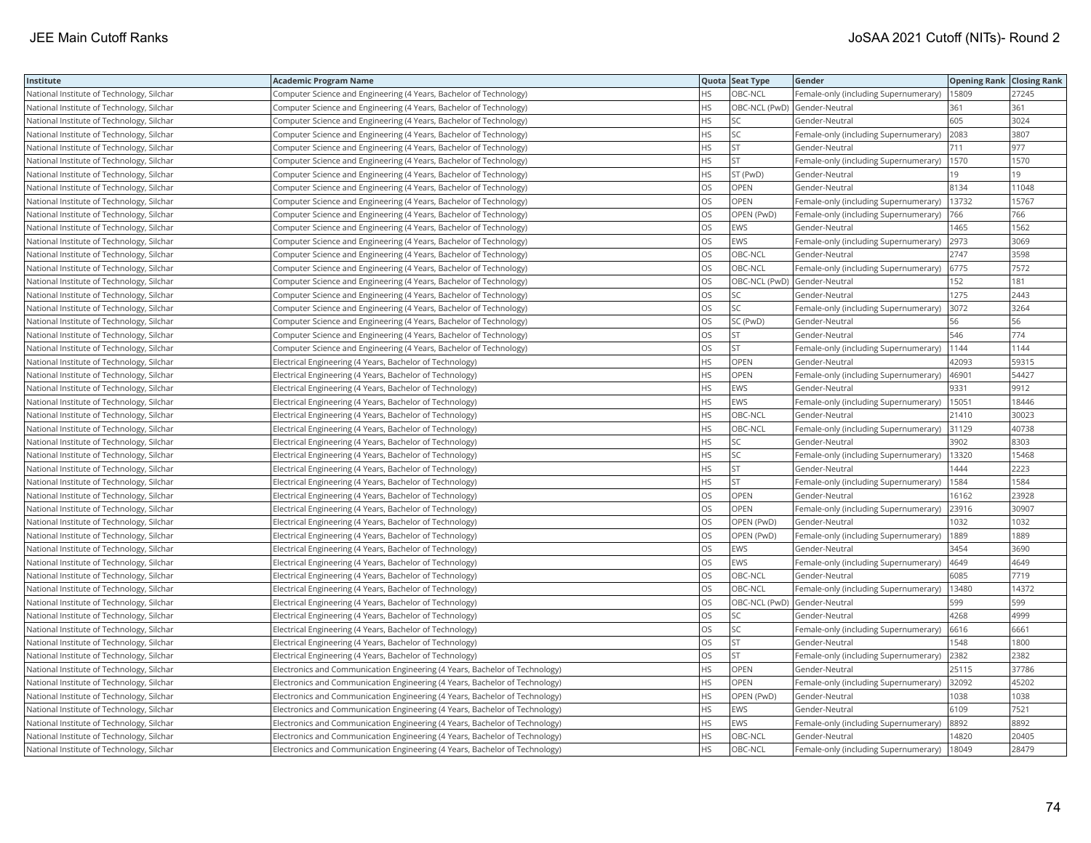| Institute                                 | <b>Academic Program Name</b>                                                |           | Quota Seat Type | Gender                                | <b>Opening Rank Closing Rank</b> |       |
|-------------------------------------------|-----------------------------------------------------------------------------|-----------|-----------------|---------------------------------------|----------------------------------|-------|
| National Institute of Technology, Silchar | Computer Science and Engineering (4 Years, Bachelor of Technology)          | <b>HS</b> | OBC-NCL         | Female-only (including Supernumerary) | 15809                            | 27245 |
| National Institute of Technology, Silchar | Computer Science and Engineering (4 Years, Bachelor of Technology)          | HS        |                 | OBC-NCL (PwD) Gender-Neutral          | 361                              | 361   |
| National Institute of Technology, Silchar | Computer Science and Engineering (4 Years, Bachelor of Technology)          | <b>HS</b> |                 | Gender-Neutral                        | 605                              | 3024  |
| National Institute of Technology, Silchar | Computer Science and Engineering (4 Years, Bachelor of Technology)          | <b>HS</b> | SC              | Female-only (including Supernumerary) | 2083                             | 3807  |
| National Institute of Technology, Silchar | Computer Science and Engineering (4 Years, Bachelor of Technology)          | <b>HS</b> | <b>ST</b>       | Gender-Neutral                        | 711                              | 977   |
| National Institute of Technology, Silchar | Computer Science and Engineering (4 Years, Bachelor of Technology)          | <b>HS</b> | <b>ST</b>       | Female-only (including Supernumerary) | 1570                             | 1570  |
| National Institute of Technology, Silchar | Computer Science and Engineering (4 Years, Bachelor of Technology)          | <b>HS</b> | ST (PwD)        | Gender-Neutral                        | 19                               | 19    |
| National Institute of Technology, Silchar | Computer Science and Engineering (4 Years, Bachelor of Technology)          | los       | OPEN            | Gender-Neutral                        | 8134                             | 11048 |
| National Institute of Technology, Silchar | Computer Science and Engineering (4 Years, Bachelor of Technology)          | los       | OPEN            | Female-only (including Supernumerary) | 13732                            | 15767 |
| National Institute of Technology, Silchar | Computer Science and Engineering (4 Years, Bachelor of Technology)          | OS        | OPEN (PwD)      | Female-only (including Supernumerary) | 766                              | 766   |
| National Institute of Technology, Silchar | Computer Science and Engineering (4 Years, Bachelor of Technology)          | <b>OS</b> | EWS             | Gender-Neutral                        | 1465                             | 1562  |
| National Institute of Technology, Silchar | Computer Science and Engineering (4 Years, Bachelor of Technology)          | <b>OS</b> | EWS             | Female-only (including Supernumerary) | 2973                             | 3069  |
| National Institute of Technology, Silchar | Computer Science and Engineering (4 Years, Bachelor of Technology)          | OS        | OBC-NCL         | Gender-Neutral                        | 2747                             | 3598  |
| National Institute of Technology, Silchar | Computer Science and Engineering (4 Years, Bachelor of Technology)          | <b>OS</b> | OBC-NCL         | Female-only (including Supernumerary) | 6775                             | 7572  |
| National Institute of Technology, Silchar | Computer Science and Engineering (4 Years, Bachelor of Technology)          | OS        |                 | OBC-NCL (PwD) Gender-Neutral          | 152                              | 181   |
| National Institute of Technology, Silchar | Computer Science and Engineering (4 Years, Bachelor of Technology)          | <b>OS</b> | SC              | Gender-Neutral                        | 1275                             | 2443  |
| National Institute of Technology, Silchar | Computer Science and Engineering (4 Years, Bachelor of Technology)          | OS        | SC              | Female-only (including Supernumerary) | 3072                             | 3264  |
| National Institute of Technology, Silchar | Computer Science and Engineering (4 Years, Bachelor of Technology)          | OS        | SC (PwD)        | Gender-Neutral                        | 56                               | 56    |
| National Institute of Technology, Silchar | Computer Science and Engineering (4 Years, Bachelor of Technology)          | los       | <b>ST</b>       | Gender-Neutral                        | 546                              | 774   |
| National Institute of Technology, Silchar | Computer Science and Engineering (4 Years, Bachelor of Technology)          | OS        | <b>ST</b>       | Female-only (including Supernumerary) | 1144                             | 1144  |
| National Institute of Technology, Silchar | Electrical Engineering (4 Years, Bachelor of Technology)                    | <b>HS</b> | OPEN            | Gender-Neutral                        | 42093                            | 59315 |
| National Institute of Technology, Silchar | Electrical Engineering (4 Years, Bachelor of Technology)                    | <b>HS</b> | OPEN            | Female-only (including Supernumerary) | 46901                            | 54427 |
| National Institute of Technology, Silchar | Electrical Engineering (4 Years, Bachelor of Technology)                    | <b>HS</b> | EWS             | Gender-Neutral                        | 9331                             | 9912  |
| National Institute of Technology, Silchar | Electrical Engineering (4 Years, Bachelor of Technology)                    | <b>HS</b> | EWS             | Female-only (including Supernumerary) | 15051                            | 18446 |
| National Institute of Technology, Silchar | Electrical Engineering (4 Years, Bachelor of Technology)                    | <b>HS</b> | OBC-NCL         | Gender-Neutral                        | 21410                            | 30023 |
| National Institute of Technology, Silchar | Electrical Engineering (4 Years, Bachelor of Technology)                    | <b>HS</b> | OBC-NCL         | Female-only (including Supernumerary) | 31129                            | 40738 |
| National Institute of Technology, Silchar | Electrical Engineering (4 Years, Bachelor of Technology)                    | <b>HS</b> | SC              | Gender-Neutral                        | 3902                             | 8303  |
| National Institute of Technology, Silchar | Electrical Engineering (4 Years, Bachelor of Technology)                    | HS        | SC              | Female-only (including Supernumerary) | 13320                            | 15468 |
| National Institute of Technology, Silchar | Electrical Engineering (4 Years, Bachelor of Technology)                    | <b>HS</b> | <b>ST</b>       | Gender-Neutral                        | 1444                             | 2223  |
| National Institute of Technology, Silchar | Electrical Engineering (4 Years, Bachelor of Technology)                    | HS        | <b>ST</b>       | Female-only (including Supernumerary) | 1584                             | 1584  |
| National Institute of Technology, Silchar | Electrical Engineering (4 Years, Bachelor of Technology)                    | <b>OS</b> | OPEN            | Gender-Neutral                        | 16162                            | 23928 |
| National Institute of Technology, Silchar | Electrical Engineering (4 Years, Bachelor of Technology)                    | OS        | OPEN            | Female-only (including Supernumerary) | 23916                            | 30907 |
| National Institute of Technology, Silchar | Electrical Engineering (4 Years, Bachelor of Technology)                    | <b>OS</b> | OPEN (PwD)      | Gender-Neutral                        | 1032                             | 1032  |
| National Institute of Technology, Silchar | Electrical Engineering (4 Years, Bachelor of Technology)                    | los       | OPEN (PwD)      | Female-only (including Supernumerary) | 1889                             | 1889  |
| National Institute of Technology, Silchar | Electrical Engineering (4 Years, Bachelor of Technology)                    | <b>OS</b> | EWS             | Gender-Neutral                        | 3454                             | 3690  |
| National Institute of Technology, Silchar | Electrical Engineering (4 Years, Bachelor of Technology)                    | OS        | EWS             | Female-only (including Supernumerary) | 4649                             | 4649  |
| National Institute of Technology, Silchar | Electrical Engineering (4 Years, Bachelor of Technology)                    | <b>OS</b> | OBC-NCL         | Gender-Neutral                        | 6085                             | 7719  |
| National Institute of Technology, Silchar | Electrical Engineering (4 Years, Bachelor of Technology)                    | <b>OS</b> | OBC-NCL         | Female-only (including Supernumerary) | 13480                            | 14372 |
| National Institute of Technology, Silchar | Electrical Engineering (4 Years, Bachelor of Technology)                    | OS        |                 | OBC-NCL (PwD) Gender-Neutral          | 599                              | 599   |
| National Institute of Technology, Silchar | Electrical Engineering (4 Years, Bachelor of Technology)                    | los       | SC              | Gender-Neutral                        | 4268                             | 4999  |
| National Institute of Technology, Silchar | Electrical Engineering (4 Years, Bachelor of Technology)                    | los       | SC              | Female-only (including Supernumerary) | 6616                             | 6661  |
| National Institute of Technology, Silchar | Electrical Engineering (4 Years, Bachelor of Technology)                    | OS        | ST              | Gender-Neutral                        | 1548                             | 1800  |
| National Institute of Technology, Silchar | Electrical Engineering (4 Years, Bachelor of Technology)                    | OS        | <b>ST</b>       | Female-only (including Supernumerary) | 2382                             | 2382  |
| National Institute of Technology, Silchar | Electronics and Communication Engineering (4 Years, Bachelor of Technology) | <b>HS</b> | OPEN            | Gender-Neutral                        | 25115                            | 37786 |
| National Institute of Technology, Silchar | Electronics and Communication Engineering (4 Years, Bachelor of Technology) | HS        | OPEN            | Female-only (including Supernumerary) | 32092                            | 45202 |
| National Institute of Technology, Silchar | Electronics and Communication Engineering (4 Years, Bachelor of Technology) | <b>HS</b> | OPEN (PwD)      | Gender-Neutral                        | 1038                             | 1038  |
| National Institute of Technology, Silchar | Electronics and Communication Engineering (4 Years, Bachelor of Technology) | <b>HS</b> | EWS             | Gender-Neutral                        | 6109                             | 7521  |
| National Institute of Technology, Silchar | Electronics and Communication Engineering (4 Years, Bachelor of Technology) | <b>HS</b> | EWS             | Female-only (including Supernumerary) | 8892                             | 8892  |
| National Institute of Technology, Silchar | Electronics and Communication Engineering (4 Years, Bachelor of Technology) | <b>HS</b> | OBC-NCL         | Gender-Neutral                        | 14820                            | 20405 |
| National Institute of Technology, Silchar | Electronics and Communication Engineering (4 Years, Bachelor of Technology) | <b>HS</b> | OBC-NCL         | Female-only (including Supernumerary) | 18049                            | 28479 |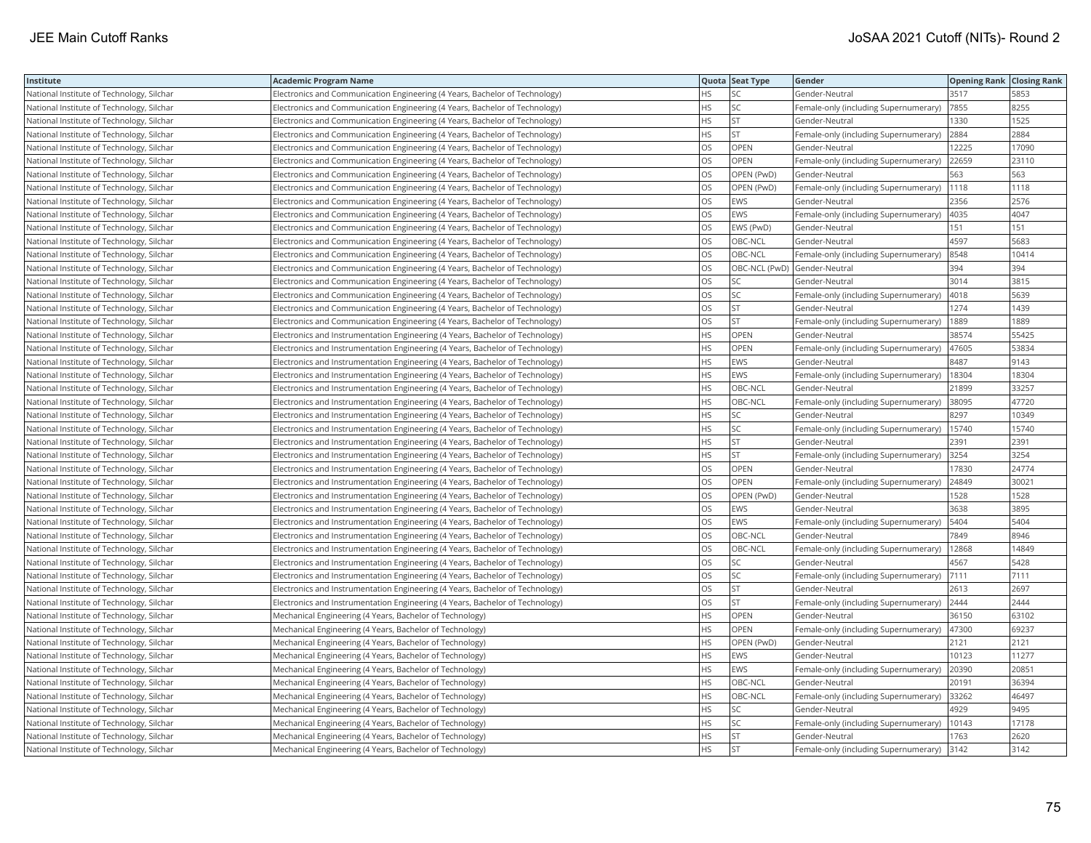| Institute                                 | <b>Academic Program Name</b>                                                    |           | Quota Seat Type | Gender                                | <b>Opening Rank Closing Rank</b> |       |
|-------------------------------------------|---------------------------------------------------------------------------------|-----------|-----------------|---------------------------------------|----------------------------------|-------|
| National Institute of Technology, Silchar | Electronics and Communication Engineering (4 Years, Bachelor of Technology)     | HS.       | SС              | Gender-Neutral                        | 3517                             | 5853  |
| National Institute of Technology, Silchar | Electronics and Communication Engineering (4 Years, Bachelor of Technology)     | <b>HS</b> | SC              | Female-only (including Supernumerary) | 7855                             | 8255  |
| National Institute of Technology, Silchar | Electronics and Communication Engineering (4 Years, Bachelor of Technology)     | <b>HS</b> | <b>ST</b>       | Gender-Neutral                        | 1330                             | 1525  |
| National Institute of Technology, Silchar | Electronics and Communication Engineering (4 Years, Bachelor of Technology)     | <b>HS</b> | <b>ST</b>       | Female-only (including Supernumerary) | 2884                             | 2884  |
| National Institute of Technology, Silchar | Electronics and Communication Engineering (4 Years, Bachelor of Technology)     | OS        | OPEN            | Gender-Neutral                        | 12225                            | 17090 |
| National Institute of Technology, Silchar | Electronics and Communication Engineering (4 Years, Bachelor of Technology)     | OS        | OPEN            | Female-only (including Supernumerary) | 22659                            | 23110 |
| National Institute of Technology, Silchar | Electronics and Communication Engineering (4 Years, Bachelor of Technology)     | los       | OPEN (PwD)      | Gender-Neutral                        | 563                              | 563   |
| National Institute of Technology, Silchar | Electronics and Communication Engineering (4 Years, Bachelor of Technology)     | OS        | OPEN (PwD)      | Female-only (including Supernumerary) | 1118                             | 1118  |
| National Institute of Technology, Silchar | Electronics and Communication Engineering (4 Years, Bachelor of Technology)     | OS        | <b>EWS</b>      | Gender-Neutral                        | 2356                             | 2576  |
| National Institute of Technology, Silchar | Electronics and Communication Engineering (4 Years, Bachelor of Technology)     | los       | EWS             | Female-only (including Supernumerary) | 4035                             | 4047  |
| National Institute of Technology, Silchar | Electronics and Communication Engineering (4 Years, Bachelor of Technology)     | los       | EWS (PwD)       | Gender-Neutral                        | 151                              | 151   |
| National Institute of Technology, Silchar | Electronics and Communication Engineering (4 Years, Bachelor of Technology)     | OS        | OBC-NCL         | Gender-Neutral                        | 4597                             | 5683  |
| National Institute of Technology, Silchar | Electronics and Communication Engineering (4 Years, Bachelor of Technology)     | OS        | OBC-NCL         | Female-only (including Supernumerary) | 8548                             | 10414 |
| National Institute of Technology, Silchar | Electronics and Communication Engineering (4 Years, Bachelor of Technology)     | <b>OS</b> |                 | OBC-NCL (PwD) Gender-Neutral          | 394                              | 394   |
| National Institute of Technology, Silchar | Electronics and Communication Engineering (4 Years, Bachelor of Technology)     | OS        | SC              | Gender-Neutral                        | 3014                             | 3815  |
| National Institute of Technology, Silchar | Electronics and Communication Engineering (4 Years, Bachelor of Technology)     | OS        | SC              | Female-only (including Supernumerary) | 4018                             | 5639  |
| National Institute of Technology, Silchar | Electronics and Communication Engineering (4 Years, Bachelor of Technology)     | OS        | <b>ST</b>       | Gender-Neutral                        | 1274                             | 1439  |
| National Institute of Technology, Silchar | Electronics and Communication Engineering (4 Years, Bachelor of Technology)     | <b>OS</b> | <b>ST</b>       | Female-only (including Supernumerary) | 1889                             | 1889  |
| National Institute of Technology, Silchar | Electronics and Instrumentation Engineering (4 Years, Bachelor of Technology)   | <b>HS</b> | OPEN            | Gender-Neutral                        | 38574                            | 55425 |
| National Institute of Technology, Silchar | Electronics and Instrumentation Engineering (4 Years, Bachelor of Technology)   | <b>HS</b> | OPEN            | Female-only (including Supernumerary) | 47605                            | 53834 |
| National Institute of Technology, Silchar | Electronics and Instrumentation Engineering (4 Years, Bachelor of Technology)   | <b>HS</b> | EWS             | Gender-Neutral                        | 8487                             | 9143  |
| National Institute of Technology, Silchar | Electronics and Instrumentation Engineering (4 Years, Bachelor of Technology)   | <b>HS</b> | EWS             | Female-only (including Supernumerary) | 18304                            | 18304 |
| National Institute of Technology, Silchar | Electronics and Instrumentation Engineering (4 Years, Bachelor of Technology)   | <b>HS</b> | OBC-NCL         | Gender-Neutral                        | 21899                            | 33257 |
| National Institute of Technology, Silchar | Electronics and Instrumentation Engineering (4 Years, Bachelor of Technology)   | <b>HS</b> | OBC-NCL         | Female-only (including Supernumerary) | 38095                            | 47720 |
| National Institute of Technology, Silchar | Electronics and Instrumentation Engineering (4 Years, Bachelor of Technology)   | <b>HS</b> | SC              | Gender-Neutral                        | 8297                             | 10349 |
| National Institute of Technology, Silchar | Electronics and Instrumentation Engineering (4 Years, Bachelor of Technology)   | <b>HS</b> | SC              | Female-only (including Supernumerary) | 15740                            | 15740 |
| National Institute of Technology, Silchar | Electronics and Instrumentation Engineering (4 Years, Bachelor of Technology)   | <b>HS</b> | <b>ST</b>       | Gender-Neutral                        | 2391                             | 2391  |
| National Institute of Technology, Silchar | Electronics and Instrumentation Engineering (4 Years, Bachelor of Technology)   | HS        | <b>ST</b>       | Female-only (including Supernumerary) | 3254                             | 3254  |
| National Institute of Technology, Silchar | Electronics and Instrumentation Engineering (4 Years, Bachelor of Technology)   | <b>OS</b> | OPEN            | Gender-Neutral                        | 17830                            | 24774 |
| National Institute of Technology, Silchar | Electronics and Instrumentation Engineering (4 Years, Bachelor of Technology)   | OS        | OPEN            | Female-only (including Supernumerary) | 24849                            | 30021 |
| National Institute of Technology, Silchar | Electronics and Instrumentation Engineering (4 Years, Bachelor of Technology)   | <b>OS</b> | OPEN (PwD)      | Gender-Neutral                        | 1528                             | 1528  |
| National Institute of Technology, Silchar | Electronics and Instrumentation Engineering (4 Years, Bachelor of Technology)   | los       | EWS             | Gender-Neutral                        | 3638                             | 3895  |
| National Institute of Technology, Silchar | Electronics and Instrumentation Engineering (4 Years, Bachelor of Technology)   | <b>OS</b> | EWS             | Female-only (including Supernumerary) | 5404                             | 5404  |
| National Institute of Technology, Silchar | Electronics and Instrumentation Engineering (4 Years, Bachelor of Technology)   | los       | OBC-NCL         | Gender-Neutral                        | 7849                             | 8946  |
| National Institute of Technology, Silchar | Electronics and Instrumentation Engineering (4 Years, Bachelor of Technology)   | <b>OS</b> | OBC-NCL         | Female-only (including Supernumerary) | 12868                            | 14849 |
| National Institute of Technology, Silchar | Electronics and Instrumentation Engineering (4 Years, Bachelor of Technology)   | <b>OS</b> | SC              | Gender-Neutral                        | 4567                             | 5428  |
| National Institute of Technology, Silchar | Electronics and Instrumentation Engineering (4 Years, Bachelor of Technology)   | los       | SC              | Female-only (including Supernumerary) | 7111                             | 7111  |
| National Institute of Technology, Silchar | Electronics and Instrumentation Engineering (4 Years, Bachelor of Technology)   | <b>OS</b> | <b>ST</b>       | Gender-Neutral                        | 2613                             | 2697  |
| National Institute of Technology, Silchar | Electronics and Instrumentation Engineering (4 Years, Bachelor of Technology) [ | <b>OS</b> | ST              | Female-only (including Supernumerary) | 2444                             | 2444  |
| National Institute of Technology, Silchar | Mechanical Engineering (4 Years, Bachelor of Technology)                        | <b>HS</b> | OPEN            | Gender-Neutral                        | 36150                            | 63102 |
| National Institute of Technology, Silchar | Mechanical Engineering (4 Years, Bachelor of Technology)                        | <b>HS</b> | OPEN            | Female-only (including Supernumerary) | 47300                            | 69237 |
| National Institute of Technology, Silchar | Mechanical Engineering (4 Years, Bachelor of Technology)                        | <b>HS</b> | OPEN (PwD)      | Gender-Neutral                        | 2121                             | 2121  |
| National Institute of Technology, Silchar | Mechanical Engineering (4 Years, Bachelor of Technology)                        | HS        | EWS             | Gender-Neutral                        | 10123                            | 11277 |
| National Institute of Technology, Silchar | Mechanical Engineering (4 Years, Bachelor of Technology)                        | <b>HS</b> | <b>EWS</b>      | Female-only (including Supernumerary) | 20390                            | 20851 |
| National Institute of Technology, Silchar | Mechanical Engineering (4 Years, Bachelor of Technology)                        | HS        | OBC-NCL         | Gender-Neutral                        | 20191                            | 36394 |
| National Institute of Technology, Silchar | Mechanical Engineering (4 Years, Bachelor of Technology)                        | <b>HS</b> | OBC-NCL         | Female-only (including Supernumerary) | 33262                            | 46497 |
| National Institute of Technology, Silchar | Mechanical Engineering (4 Years, Bachelor of Technology)                        | <b>HS</b> | SC              | Gender-Neutral                        | 4929                             | 9495  |
| National Institute of Technology, Silchar | Mechanical Engineering (4 Years, Bachelor of Technology)                        | <b>HS</b> | SC              | Female-only (including Supernumerary) | 10143                            | 17178 |
| National Institute of Technology, Silchar | Mechanical Engineering (4 Years, Bachelor of Technology)                        | <b>HS</b> | <b>ST</b>       | Gender-Neutral                        | 1763                             | 2620  |
| National Institute of Technology, Silchar | Mechanical Engineering (4 Years, Bachelor of Technology)                        | <b>HS</b> | <b>ST</b>       | Female-only (including Supernumerary) | 3142                             | 3142  |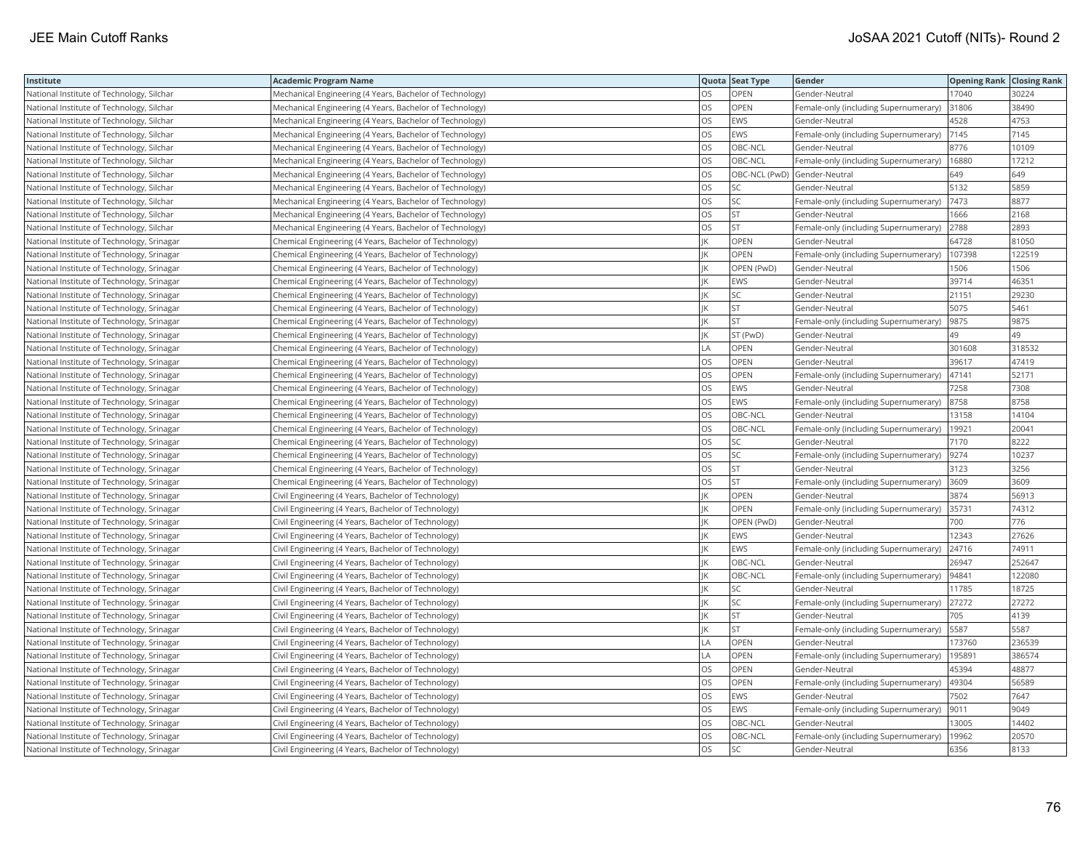| Institute                                  | <b>Academic Program Name</b>                             |           | Quota Seat Type | Gender                                | <b>Opening Rank Closing Rank</b> |        |
|--------------------------------------------|----------------------------------------------------------|-----------|-----------------|---------------------------------------|----------------------------------|--------|
| National Institute of Technology, Silchar  | Mechanical Engineering (4 Years, Bachelor of Technology) | <b>OS</b> | <b>OPEN</b>     | Gender-Neutral                        | 17040                            | 30224  |
| National Institute of Technology, Silchar  | Mechanical Engineering (4 Years, Bachelor of Technology) | OS        | OPEN            | Female-only (including Supernumerary) | 31806                            | 38490  |
| National Institute of Technology, Silchar  | Mechanical Engineering (4 Years, Bachelor of Technology) | OS        | EWS             | Gender-Neutral                        | 4528                             | 4753   |
| National Institute of Technology, Silchar  | Mechanical Engineering (4 Years, Bachelor of Technology) | los       | EWS             | Female-only (including Supernumerary) | 7145                             | 7145   |
| National Institute of Technology, Silchar  | Mechanical Engineering (4 Years, Bachelor of Technology) | OS        | OBC-NCL         | Gender-Neutral                        | 8776                             | 10109  |
| National Institute of Technology, Silchar  | Mechanical Engineering (4 Years, Bachelor of Technology) | OS        | OBC-NCL         | Female-only (including Supernumerary) | 16880                            | 17212  |
| National Institute of Technology, Silchar  | Mechanical Engineering (4 Years, Bachelor of Technology) | los       |                 | OBC-NCL (PwD) Gender-Neutral          | 649                              | 649    |
| National Institute of Technology, Silchar  | Mechanical Engineering (4 Years, Bachelor of Technology) | OS        | SC              | Gender-Neutral                        | 5132                             | 5859   |
| National Institute of Technology, Silchar  | Mechanical Engineering (4 Years, Bachelor of Technology) | OS        | SC              | Female-only (including Supernumerary) | 7473                             | 8877   |
| National Institute of Technology, Silchar  | Mechanical Engineering (4 Years, Bachelor of Technology) | los       | <b>ST</b>       | Gender-Neutral                        | 1666                             | 2168   |
| National Institute of Technology, Silchar  | Mechanical Engineering (4 Years, Bachelor of Technology) | OS        | <b>ST</b>       | Female-only (including Supernumerary) | 2788                             | 2893   |
| National Institute of Technology, Srinagar | Chemical Engineering (4 Years, Bachelor of Technology)   | IK        | OPEN            | Gender-Neutral                        | 64728                            | 81050  |
| National Institute of Technology, Srinagar | Chemical Engineering (4 Years, Bachelor of Technology)   |           | OPEN            | Female-only (including Supernumerary) | 107398                           | 122519 |
| National Institute of Technology, Srinagar | Chemical Engineering (4 Years, Bachelor of Technology)   | IK        | OPEN (PwD)      | Gender-Neutral                        | 1506                             | 1506   |
| National Institute of Technology, Srinagar | Chemical Engineering (4 Years, Bachelor of Technology)   |           | EWS             | Gender-Neutral                        | 39714                            | 46351  |
| National Institute of Technology, Srinagar | Chemical Engineering (4 Years, Bachelor of Technology)   | IK        | SC              | Gender-Neutral                        | 21151                            | 29230  |
| National Institute of Technology, Srinagar | Chemical Engineering (4 Years, Bachelor of Technology)   | IK        | <b>ST</b>       | Gender-Neutral                        | 5075                             | 5461   |
| National Institute of Technology, Srinagar | Chemical Engineering (4 Years, Bachelor of Technology)   | IK        | <b>ST</b>       | Female-only (including Supernumerary) | 9875                             | 9875   |
| National Institute of Technology, Srinagar | Chemical Engineering (4 Years, Bachelor of Technology)   | IK        | ST (PwD)        | Gender-Neutral                        | 49                               | 49     |
| National Institute of Technology, Srinagar | Chemical Engineering (4 Years, Bachelor of Technology)   | LA        | OPEN            | Gender-Neutral                        | 301608                           | 318532 |
| National Institute of Technology, Srinagar | Chemical Engineering (4 Years, Bachelor of Technology)   | los       | OPEN            | Gender-Neutral                        | 39617                            | 47419  |
| National Institute of Technology, Srinagar | Chemical Engineering (4 Years, Bachelor of Technology)   | los       | OPEN            | Female-only (including Supernumerary) | 47141                            | 52171  |
| National Institute of Technology, Srinagar | Chemical Engineering (4 Years, Bachelor of Technology)   | OS        | EWS             | Gender-Neutral                        | 7258                             | 7308   |
| National Institute of Technology, Srinagar | Chemical Engineering (4 Years, Bachelor of Technology)   | OS        | EWS             | Female-only (including Supernumerary) | 8758                             | 8758   |
| National Institute of Technology, Srinagar | Chemical Engineering (4 Years, Bachelor of Technology)   | los       | OBC-NCL         | Gender-Neutral                        | 13158                            | 14104  |
| National Institute of Technology, Srinagar | Chemical Engineering (4 Years, Bachelor of Technology)   | los       | OBC-NCL         | Female-only (including Supernumerary) | 19921                            | 20041  |
| National Institute of Technology, Srinagar | Chemical Engineering (4 Years, Bachelor of Technology)   | OS        | SC              | Gender-Neutral                        | 7170                             | 8222   |
| National Institute of Technology, Srinagar | Chemical Engineering (4 Years, Bachelor of Technology)   | OS        | SC              | Female-only (including Supernumerary) | 9274                             | 10237  |
| National Institute of Technology, Srinagar | Chemical Engineering (4 Years, Bachelor of Technology)   | <b>OS</b> | <b>ST</b>       | Gender-Neutral                        | 3123                             | 3256   |
| National Institute of Technology, Srinagar | Chemical Engineering (4 Years, Bachelor of Technology)   | OS        | <b>ST</b>       | Female-only (including Supernumerary) | 3609                             | 3609   |
| National Institute of Technology, Srinagar | Civil Engineering (4 Years, Bachelor of Technology)      | IK        | OPEN            | Gender-Neutral                        | 3874                             | 56913  |
| National Institute of Technology, Srinagar | Civil Engineering (4 Years, Bachelor of Technology)      | IK        | OPEN            | Female-only (including Supernumerary) | 35731                            | 74312  |
| National Institute of Technology, Srinagar | Civil Engineering (4 Years, Bachelor of Technology)      | IK        | OPEN (PwD)      | Gender-Neutral                        | 700                              | 776    |
| National Institute of Technology, Srinagar | Civil Engineering (4 Years, Bachelor of Technology)      | IK        | EWS             | Gender-Neutral                        | 12343                            | 27626  |
| National Institute of Technology, Srinagar | Civil Engineering (4 Years, Bachelor of Technology)      | IK        | EWS             | Female-only (including Supernumerary) | 24716                            | 74911  |
| National Institute of Technology, Srinagar | Civil Engineering (4 Years, Bachelor of Technology)      | IK        | OBC-NCL         | Gender-Neutral                        | 26947                            | 252647 |
| National Institute of Technology, Srinagar | Civil Engineering (4 Years, Bachelor of Technology)      | IK        | OBC-NCL         | Female-only (including Supernumerary) | 94841                            | 122080 |
| National Institute of Technology, Srinagar | Civil Engineering (4 Years, Bachelor of Technology)      | IK        | SC              | Gender-Neutral                        | 11785                            | 18725  |
| National Institute of Technology, Srinagar | Civil Engineering (4 Years, Bachelor of Technology)      | IΚ        | SC              | Female-only (including Supernumerary) | 27272                            | 27272  |
| National Institute of Technology, Srinagar | Civil Engineering (4 Years, Bachelor of Technology)      | IK        | ST              | Gender-Neutral                        | 705                              | 4139   |
| National Institute of Technology, Srinagar | Civil Engineering (4 Years, Bachelor of Technology)      | IК        | <b>ST</b>       | Female-only (including Supernumerary) | 5587                             | 5587   |
| National Institute of Technology, Srinagar | Civil Engineering (4 Years, Bachelor of Technology)      | LA        | OPEN            | Gender-Neutral                        | 173760                           | 236539 |
| National Institute of Technology, Srinagar | Civil Engineering (4 Years, Bachelor of Technology)      | LA        | OPEN            | Female-only (including Supernumerary) | 195891                           | 386574 |
| National Institute of Technology, Srinagar | Civil Engineering (4 Years, Bachelor of Technology)      | <b>OS</b> | OPEN            | Gender-Neutral                        | 45394                            | 48877  |
| National Institute of Technology, Srinagar | Civil Engineering (4 Years, Bachelor of Technology)      | OS        | OPEN            | Female-only (including Supernumerary) | 49304                            | 56589  |
| National Institute of Technology, Srinagar | Civil Engineering (4 Years, Bachelor of Technology)      | OS        | EWS             | Gender-Neutral                        | 7502                             | 7647   |
| National Institute of Technology, Srinagar | Civil Engineering (4 Years, Bachelor of Technology)      | los       | EWS             | Female-only (including Supernumerary) | 9011                             | 9049   |
| National Institute of Technology, Srinagar | Civil Engineering (4 Years, Bachelor of Technology)      | OS        | OBC-NCL         | Gender-Neutral                        | 13005                            | 14402  |
| National Institute of Technology, Srinagar | Civil Engineering (4 Years, Bachelor of Technology)      | OS        | OBC-NCL         | Female-only (including Supernumerary) | 19962                            | 20570  |
| National Institute of Technology, Srinagar | Civil Engineering (4 Years, Bachelor of Technology)      | <b>OS</b> | SC              | Gender-Neutral                        | 6356                             | 8133   |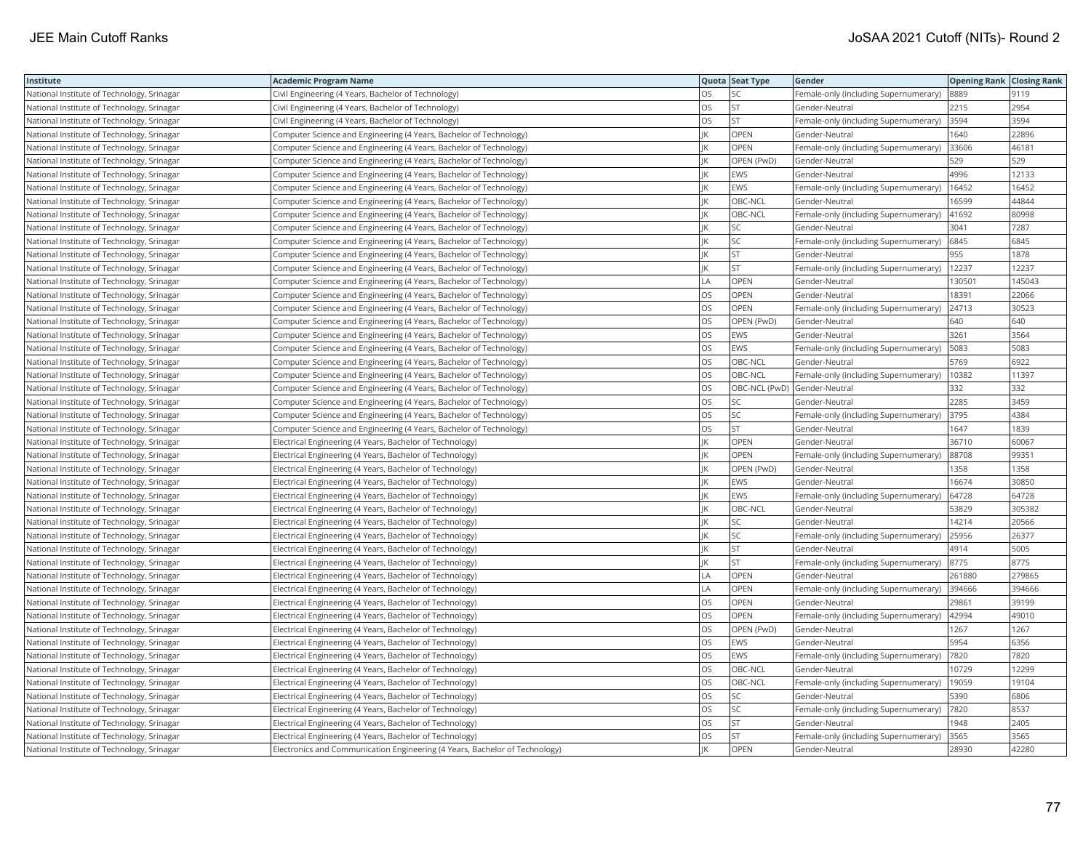| Institute                                  | <b>Academic Program Name</b>                                                |           | Quota Seat Type | Gender                                | <b>Opening Rank Closing Rank</b> |        |
|--------------------------------------------|-----------------------------------------------------------------------------|-----------|-----------------|---------------------------------------|----------------------------------|--------|
| National Institute of Technology, Srinagar | Civil Engineering (4 Years, Bachelor of Technology)                         | <b>OS</b> | SС              | Female-only (including Supernumerary) | 8889                             | 9119   |
| National Institute of Technology, Srinagar | Civil Engineering (4 Years, Bachelor of Technology)                         | OS        | <b>ST</b>       | Gender-Neutral                        | 2215                             | 2954   |
| National Institute of Technology, Srinagar | Civil Engineering (4 Years, Bachelor of Technology)                         | OS        | ST              | Female-only (including Supernumerary) | 3594                             | 3594   |
| National Institute of Technology, Srinagar | Computer Science and Engineering (4 Years, Bachelor of Technology)          | IK        | <b>OPEN</b>     | Gender-Neutral                        | 1640                             | 22896  |
| National Institute of Technology, Srinagar | Computer Science and Engineering (4 Years, Bachelor of Technology)          | ΙK        | OPEN            | Female-only (including Supernumerary) | 33606                            | 46181  |
| National Institute of Technology, Srinagar | Computer Science and Engineering (4 Years, Bachelor of Technology)          | IK        | OPEN (PwD)      | Gender-Neutral                        | 529                              | 529    |
| National Institute of Technology, Srinagar | Computer Science and Engineering (4 Years, Bachelor of Technology)          | İΚ        | <b>EWS</b>      | Gender-Neutral                        | 4996                             | 12133  |
| National Institute of Technology, Srinagar | Computer Science and Engineering (4 Years, Bachelor of Technology)          | IK        | EWS             | Female-only (including Supernumerary) | 16452                            | 16452  |
| National Institute of Technology, Srinagar | Computer Science and Engineering (4 Years, Bachelor of Technology)          | ΙK        | OBC-NCL         | Gender-Neutral                        | 16599                            | 44844  |
| National Institute of Technology, Srinagar | Computer Science and Engineering (4 Years, Bachelor of Technology)          | IK        | OBC-NCL         | Female-only (including Supernumerary) | 41692                            | 80998  |
| National Institute of Technology, Srinagar | Computer Science and Engineering (4 Years, Bachelor of Technology)          | İΚ        | SC              | Gender-Neutral                        | 3041                             | 7287   |
| National Institute of Technology, Srinagar | Computer Science and Engineering (4 Years, Bachelor of Technology)          | ΙK        | SC              | Female-only (including Supernumerary) | 6845                             | 6845   |
| National Institute of Technology, Srinagar | Computer Science and Engineering (4 Years, Bachelor of Technology)          | IK        | <b>ST</b>       | Gender-Neutral                        | 955                              | 1878   |
| National Institute of Technology, Srinagar | Computer Science and Engineering (4 Years, Bachelor of Technology)          | IK        | <b>ST</b>       | Female-only (including Supernumerary) | 12237                            | 12237  |
| National Institute of Technology, Srinagar | Computer Science and Engineering (4 Years, Bachelor of Technology)          | LA        | <b>OPEN</b>     | Gender-Neutral                        | 130501                           | 145043 |
| National Institute of Technology, Srinagar | Computer Science and Engineering (4 Years, Bachelor of Technology)          | OS        | OPEN            | Gender-Neutral                        | 18391                            | 22066  |
| National Institute of Technology, Srinagar | Computer Science and Engineering (4 Years, Bachelor of Technology)          | OS        | OPEN            | Female-only (including Supernumerary) | 24713                            | 30523  |
| National Institute of Technology, Srinagar | Computer Science and Engineering (4 Years, Bachelor of Technology)          | <b>OS</b> | OPEN (PwD)      | Gender-Neutral                        | 640                              | 640    |
| National Institute of Technology, Srinagar | Computer Science and Engineering (4 Years, Bachelor of Technology)          | <b>OS</b> | EWS             | Gender-Neutral                        | 3261                             | 3564   |
| National Institute of Technology, Srinagar | Computer Science and Engineering (4 Years, Bachelor of Technology)          | <b>OS</b> | EWS             | Female-only (including Supernumerary) | 5083                             | 5083   |
| National Institute of Technology, Srinagar | Computer Science and Engineering (4 Years, Bachelor of Technology)          | OS        | OBC-NCL         | Gender-Neutral                        | 5769                             | 6922   |
| National Institute of Technology, Srinagar | Computer Science and Engineering (4 Years, Bachelor of Technology)          | los       | OBC-NCL         | Female-only (including Supernumerary) | 10382                            | 11397  |
| National Institute of Technology, Srinagar | Computer Science and Engineering (4 Years, Bachelor of Technology)          | <b>OS</b> |                 | OBC-NCL (PwD) Gender-Neutral          | 332                              | 332    |
| National Institute of Technology, Srinagar | Computer Science and Engineering (4 Years, Bachelor of Technology)          | <b>OS</b> | SC              | Gender-Neutral                        | 2285                             | 3459   |
| National Institute of Technology, Srinagar | Computer Science and Engineering (4 Years, Bachelor of Technology)          | OS        | SC              | Female-only (including Supernumerary) | 3795                             | 4384   |
| National Institute of Technology, Srinagar | Computer Science and Engineering (4 Years, Bachelor of Technology)          | los       | <b>ST</b>       | Gender-Neutral                        | 1647                             | 1839   |
| National Institute of Technology, Srinagar | Electrical Engineering (4 Years, Bachelor of Technology)                    | IK        | OPEN            | Gender-Neutral                        | 36710                            | 60067  |
| National Institute of Technology, Srinagar | Electrical Engineering (4 Years, Bachelor of Technology)                    | IК        | OPEN            | Female-only (including Supernumerary) | 88708                            | 99351  |
| National Institute of Technology, Srinagar | Electrical Engineering (4 Years, Bachelor of Technology)                    | IK        | OPEN (PwD)      | Gender-Neutral                        | 1358                             | 1358   |
| National Institute of Technology, Srinagar | Electrical Engineering (4 Years, Bachelor of Technology)                    |           | EWS             | Gender-Neutral                        | 16674                            | 30850  |
| National Institute of Technology, Srinagar | Electrical Engineering (4 Years, Bachelor of Technology)                    |           | <b>EWS</b>      | Female-only (including Supernumerary) | 64728                            | 64728  |
| National Institute of Technology, Srinagar | Electrical Engineering (4 Years, Bachelor of Technology)                    |           | OBC-NCL         | Gender-Neutral                        | 53829                            | 305382 |
| National Institute of Technology, Srinagar | Electrical Engineering (4 Years, Bachelor of Technology)                    | IK        | SC              | Gender-Neutral                        | 14214                            | 20566  |
| National Institute of Technology, Srinagar | Electrical Engineering (4 Years, Bachelor of Technology)                    | IK        | SC              | Female-only (including Supernumerary) | 25956                            | 26377  |
| National Institute of Technology, Srinagar | Electrical Engineering (4 Years, Bachelor of Technology)                    | IK        | <b>ST</b>       | Gender-Neutral                        | 4914                             | 5005   |
| National Institute of Technology, Srinagar | Electrical Engineering (4 Years, Bachelor of Technology)                    | IK        | <b>ST</b>       | Female-only (including Supernumerary) | 8775                             | 8775   |
| National Institute of Technology, Srinagar | Electrical Engineering (4 Years, Bachelor of Technology)                    | LA        | OPEN            | Gender-Neutral                        | 261880                           | 279865 |
| National Institute of Technology, Srinagar | Electrical Engineering (4 Years, Bachelor of Technology)                    | LA        | <b>OPEN</b>     | Female-only (including Supernumerary) | 394666                           | 394666 |
| National Institute of Technology, Srinagar | Electrical Engineering (4 Years, Bachelor of Technology)                    | <b>OS</b> | OPEN            | Gender-Neutral                        | 29861                            | 39199  |
| National Institute of Technology, Srinagar | Electrical Engineering (4 Years, Bachelor of Technology)                    | OS        | OPEN            | Female-only (including Supernumerary) | 42994                            | 49010  |
| National Institute of Technology, Srinagar | Electrical Engineering (4 Years, Bachelor of Technology)                    | los       | OPEN (PwD)      | Gender-Neutral                        | 1267                             | 1267   |
| National Institute of Technology, Srinagar | Electrical Engineering (4 Years, Bachelor of Technology)                    | <b>OS</b> | EWS             | Gender-Neutral                        | 5954                             | 6356   |
| National Institute of Technology, Srinagar | Electrical Engineering (4 Years, Bachelor of Technology)                    | OS        | EWS             | Female-only (including Supernumerary) | 7820                             | 7820   |
| National Institute of Technology, Srinagar | Electrical Engineering (4 Years, Bachelor of Technology)                    | OS        | OBC-NCL         | Gender-Neutral                        | 10729                            | 12299  |
| National Institute of Technology, Srinagar | Electrical Engineering (4 Years, Bachelor of Technology)                    | OS        | OBC-NCL         | Female-only (including Supernumerary) | 19059                            | 19104  |
| National Institute of Technology, Srinagar | Electrical Engineering (4 Years, Bachelor of Technology)                    | OS        | SC              | Gender-Neutral                        | 5390                             | 6806   |
| National Institute of Technology, Srinagar | Electrical Engineering (4 Years, Bachelor of Technology)                    | OS        | SC              | Female-only (including Supernumerary) | 7820                             | 8537   |
| National Institute of Technology, Srinagar | Electrical Engineering (4 Years, Bachelor of Technology)                    | <b>OS</b> | <b>ST</b>       | Gender-Neutral                        | 1948                             | 2405   |
| National Institute of Technology, Srinagar | Electrical Engineering (4 Years, Bachelor of Technology)                    | OS        | <b>ST</b>       | Female-only (including Supernumerary) | 3565                             | 3565   |
| National Institute of Technology, Srinagar | Electronics and Communication Engineering (4 Years, Bachelor of Technology) | IK        | OPEN            | Gender-Neutral                        | 28930                            | 42280  |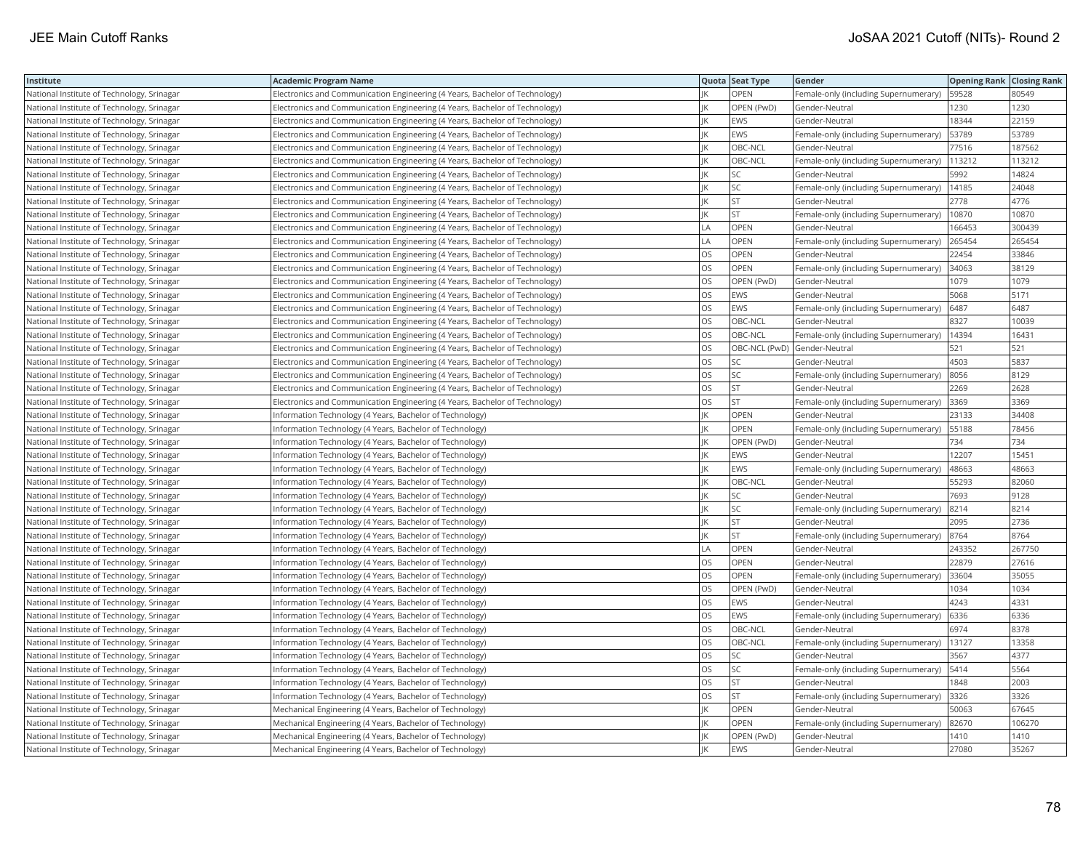| Institute                                  | <b>Academic Program Name</b>                                                |           | Quota Seat Type | Gender                                | <b>Opening Rank Closing Rank</b> |        |
|--------------------------------------------|-----------------------------------------------------------------------------|-----------|-----------------|---------------------------------------|----------------------------------|--------|
| National Institute of Technology, Srinagar | Electronics and Communication Engineering (4 Years, Bachelor of Technology) |           | OPEN            | Female-only (including Supernumerary) | 59528                            | 80549  |
| National Institute of Technology, Srinagar | Electronics and Communication Engineering (4 Years, Bachelor of Technology) |           | OPEN (PwD)      | Gender-Neutral                        | 1230                             | 1230   |
| National Institute of Technology, Srinagar | Electronics and Communication Engineering (4 Years, Bachelor of Technology) | IK        | <b>EWS</b>      | Gender-Neutral                        | 18344                            | 22159  |
| National Institute of Technology, Srinagar | Electronics and Communication Engineering (4 Years, Bachelor of Technology) | IK        | EWS             | Female-only (including Supernumerary) | 53789                            | 53789  |
| National Institute of Technology, Srinagar | Electronics and Communication Engineering (4 Years, Bachelor of Technology) | İІК       | OBC-NCL         | Gender-Neutral                        | 77516                            | 187562 |
| National Institute of Technology, Srinagar | Electronics and Communication Engineering (4 Years, Bachelor of Technology) | IK        | OBC-NCL         | Female-only (including Supernumerary) | 113212                           | 113212 |
| National Institute of Technology, Srinagar | Electronics and Communication Engineering (4 Years, Bachelor of Technology) | İΚ        | SC              | Gender-Neutral                        | 5992                             | 14824  |
| National Institute of Technology, Srinagar | Electronics and Communication Engineering (4 Years, Bachelor of Technology) | IK        | SC              | Female-only (including Supernumerary) | 14185                            | 24048  |
| National Institute of Technology, Srinagar | Electronics and Communication Engineering (4 Years, Bachelor of Technology) | IK        | <b>ST</b>       | Gender-Neutral                        | 2778                             | 4776   |
| National Institute of Technology, Srinagar | Electronics and Communication Engineering (4 Years, Bachelor of Technology) | IK        | <b>ST</b>       | Female-only (including Supernumerary) | 10870                            | 10870  |
| National Institute of Technology, Srinagar | Electronics and Communication Engineering (4 Years, Bachelor of Technology) | LA.       | OPEN            | Gender-Neutral                        | 166453                           | 300439 |
| National Institute of Technology, Srinagar | Electronics and Communication Engineering (4 Years, Bachelor of Technology) | LA        | OPEN            | Female-only (including Supernumerary) | 265454                           | 265454 |
| National Institute of Technology, Srinagar | Electronics and Communication Engineering (4 Years, Bachelor of Technology) | OS        | OPEN            | Gender-Neutral                        | 22454                            | 33846  |
| National Institute of Technology, Srinagar | Electronics and Communication Engineering (4 Years, Bachelor of Technology) | OS        | OPEN            | Female-only (including Supernumerary) | 34063                            | 38129  |
| National Institute of Technology, Srinagar | Electronics and Communication Engineering (4 Years, Bachelor of Technology) | <b>OS</b> | OPEN (PwD)      | Gender-Neutral                        | 1079                             | 1079   |
| National Institute of Technology, Srinagar | Electronics and Communication Engineering (4 Years, Bachelor of Technology) | OS        | EWS             | Gender-Neutral                        | 5068                             | 5171   |
| National Institute of Technology, Srinagar | Electronics and Communication Engineering (4 Years, Bachelor of Technology) | OS        | EWS             | Female-only (including Supernumerary) | 6487                             | 6487   |
| National Institute of Technology, Srinagar | Electronics and Communication Engineering (4 Years, Bachelor of Technology) | <b>OS</b> | OBC-NCL         | Gender-Neutral                        | 8327                             | 10039  |
| National Institute of Technology, Srinagar | Electronics and Communication Engineering (4 Years, Bachelor of Technology) | OS        | OBC-NCL         | Female-only (including Supernumerary) | 14394                            | 16431  |
| National Institute of Technology, Srinagar | Electronics and Communication Engineering (4 Years, Bachelor of Technology) | OS        |                 | OBC-NCL (PwD) Gender-Neutral          | 521                              | 521    |
| National Institute of Technology, Srinagar | Electronics and Communication Engineering (4 Years, Bachelor of Technology) | OS        | SC              | Gender-Neutral                        | 4503                             | 5837   |
| National Institute of Technology, Srinagar | Electronics and Communication Engineering (4 Years, Bachelor of Technology) | <b>OS</b> | SC              | Female-only (including Supernumerary) | 8056                             | 8129   |
| National Institute of Technology, Srinagar | Electronics and Communication Engineering (4 Years, Bachelor of Technology) | OS        | <b>ST</b>       | Gender-Neutral                        | 2269                             | 2628   |
| National Institute of Technology, Srinagar | Electronics and Communication Engineering (4 Years, Bachelor of Technology) | <b>OS</b> | <b>ST</b>       | Female-only (including Supernumerary) | 3369                             | 3369   |
| National Institute of Technology, Srinagar | Information Technology (4 Years, Bachelor of Technology)                    | IK        | OPEN            | Gender-Neutral                        | 23133                            | 34408  |
| National Institute of Technology, Srinagar | Information Technology (4 Years, Bachelor of Technology)                    | İΚ        | OPEN            | Female-only (including Supernumerary) | 55188                            | 78456  |
| National Institute of Technology, Srinagar | Information Technology (4 Years, Bachelor of Technology)                    | ΙK        | OPEN (PwD)      | Gender-Neutral                        | 734                              | 734    |
| National Institute of Technology, Srinagar | Information Technology (4 Years, Bachelor of Technology)                    | ΙK        | EWS             | Gender-Neutral                        | 12207                            | 15451  |
| National Institute of Technology, Srinagar | Information Technology (4 Years, Bachelor of Technology)                    | IK        | EWS             | Female-only (including Supernumerary) | 48663                            | 48663  |
| National Institute of Technology, Srinagar | Information Technology (4 Years, Bachelor of Technology)                    |           | OBC-NCL         | Gender-Neutral                        | 55293                            | 82060  |
| National Institute of Technology, Srinagar | Information Technology (4 Years, Bachelor of Technology)                    |           | SC              | Gender-Neutral                        | 7693                             | 9128   |
| National Institute of Technology, Srinagar | Information Technology (4 Years, Bachelor of Technology)                    |           | <b>SC</b>       | Female-only (including Supernumerary) | 8214                             | 8214   |
| National Institute of Technology, Srinagar | Information Technology (4 Years, Bachelor of Technology)                    | IK        | <b>ST</b>       | Gender-Neutral                        | 2095                             | 2736   |
| National Institute of Technology, Srinagar | Information Technology (4 Years, Bachelor of Technology)                    |           | <b>ST</b>       | Female-only (including Supernumerary) | 8764                             | 8764   |
| National Institute of Technology, Srinagar | Information Technology (4 Years, Bachelor of Technology)                    | LA        | OPEN            | Gender-Neutral                        | 243352                           | 267750 |
| National Institute of Technology, Srinagar | Information Technology (4 Years, Bachelor of Technology)                    | OS        | OPEN            | Gender-Neutral                        | 22879                            | 27616  |
| National Institute of Technology, Srinagar | Information Technology (4 Years, Bachelor of Technology)                    | OS        | OPEN            | Female-only (including Supernumerary) | 33604                            | 35055  |
| National Institute of Technology, Srinagar | Information Technology (4 Years, Bachelor of Technology)                    | <b>OS</b> | OPEN (PwD)      | Gender-Neutral                        | 1034                             | 1034   |
| National Institute of Technology, Srinagar | Information Technology (4 Years, Bachelor of Technology)                    | <b>OS</b> | <b>EWS</b>      | Gender-Neutral                        | 4243                             | 4331   |
| National Institute of Technology, Srinagar | Information Technology (4 Years, Bachelor of Technology)                    | OS        | EWS             | Female-only (including Supernumerary) | 6336                             | 6336   |
| National Institute of Technology, Srinagar | Information Technology (4 Years, Bachelor of Technology)                    | <b>OS</b> | OBC-NCL         | Gender-Neutral                        | 6974                             | 8378   |
| National Institute of Technology, Srinagar | Information Technology (4 Years, Bachelor of Technology)                    | los       | OBC-NCL         | Female-only (including Supernumerary) | 13127                            | 13358  |
| National Institute of Technology, Srinagar | Information Technology (4 Years, Bachelor of Technology)                    | OS        | SC              | Gender-Neutral                        | 3567                             | 4377   |
| National Institute of Technology, Srinagar | Information Technology (4 Years, Bachelor of Technology)                    | OS        | SC              | Female-only (including Supernumerary) | 5414                             | 5564   |
| National Institute of Technology, Srinagar | Information Technology (4 Years, Bachelor of Technology)                    | OS        | ST.             | Gender-Neutral                        | 1848                             | 2003   |
| National Institute of Technology, Srinagar | Information Technology (4 Years, Bachelor of Technology)                    | <b>OS</b> | <b>ST</b>       | Female-only (including Supernumerary) | 3326                             | 3326   |
| National Institute of Technology, Srinagar | Mechanical Engineering (4 Years, Bachelor of Technology)                    |           | OPEN            | Gender-Neutral                        | 50063                            | 67645  |
| National Institute of Technology, Srinagar | Mechanical Engineering (4 Years, Bachelor of Technology)                    |           | OPEN            | Female-only (including Supernumerary) | 82670                            | 106270 |
| National Institute of Technology, Srinagar | Mechanical Engineering (4 Years, Bachelor of Technology)                    |           | OPEN (PwD)      | Gender-Neutral                        | 1410                             | 1410   |
| National Institute of Technology, Srinagar | Mechanical Engineering (4 Years, Bachelor of Technology)                    | IK        | EWS             | Gender-Neutral                        | 27080                            | 35267  |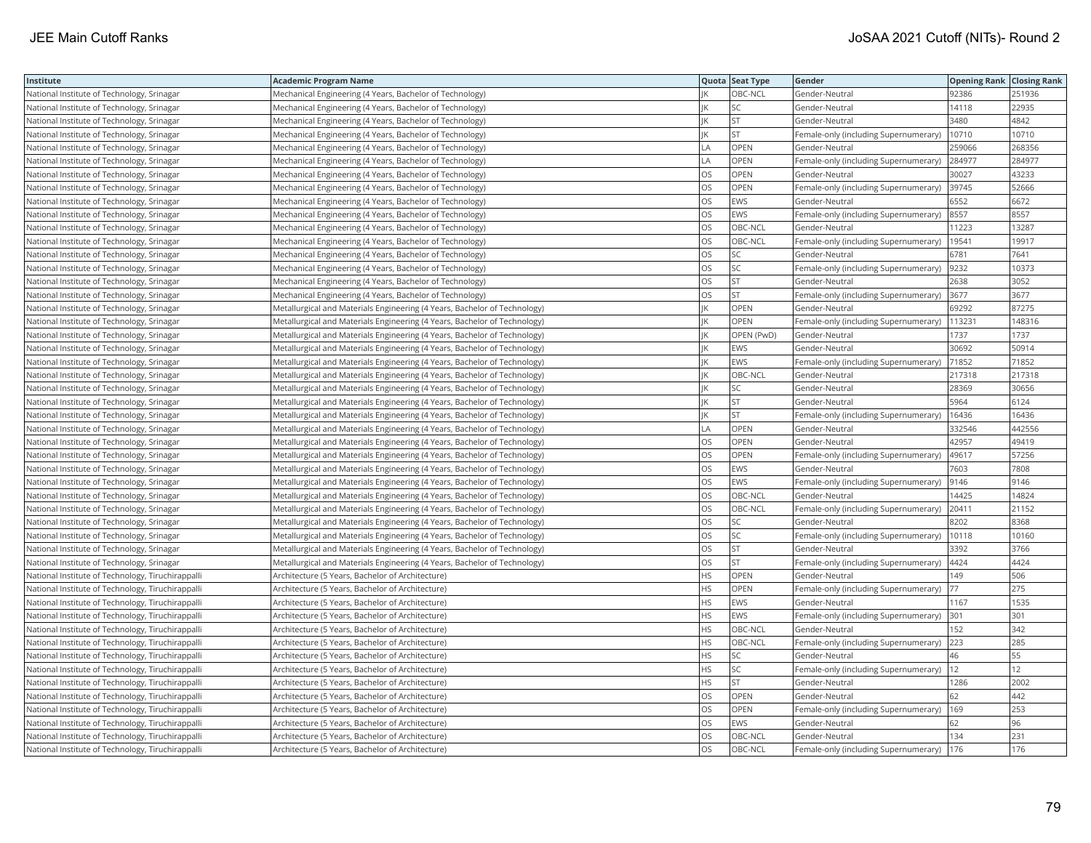| Institute                                         | <b>Academic Program Name</b>                                              |           | Quota Seat Type | Gender                                | <b>Opening Rank Closing Rank</b> |        |
|---------------------------------------------------|---------------------------------------------------------------------------|-----------|-----------------|---------------------------------------|----------------------------------|--------|
| National Institute of Technology, Srinagar        | Mechanical Engineering (4 Years, Bachelor of Technology)                  |           | OBC-NCL         | Gender-Neutral                        | 92386                            | 251936 |
| National Institute of Technology, Srinagar        | Mechanical Engineering (4 Years, Bachelor of Technology)                  |           | SC              | Gender-Neutral                        | 14118                            | 22935  |
| National Institute of Technology, Srinagar        | Mechanical Engineering (4 Years, Bachelor of Technology)                  | IK        | <b>ST</b>       | Gender-Neutral                        | 3480                             | 4842   |
| National Institute of Technology, Srinagar        | Mechanical Engineering (4 Years, Bachelor of Technology)                  | IK        | <b>ST</b>       | Female-only (including Supernumerary) | 10710                            | 10710  |
| National Institute of Technology, Srinagar        | Mechanical Engineering (4 Years, Bachelor of Technology)                  | <b>LA</b> | OPEN            | Gender-Neutral                        | 259066                           | 268356 |
| National Institute of Technology, Srinagar        | Mechanical Engineering (4 Years, Bachelor of Technology)                  | LA        | OPEN            | Female-only (including Supernumerary) | 284977                           | 284977 |
| National Institute of Technology, Srinagar        | Mechanical Engineering (4 Years, Bachelor of Technology)                  | los       | <b>OPEN</b>     | Gender-Neutral                        | 30027                            | 43233  |
| National Institute of Technology, Srinagar        | Mechanical Engineering (4 Years, Bachelor of Technology)                  | OS        | OPEN            | Female-only (including Supernumerary) | 39745                            | 52666  |
| National Institute of Technology, Srinagar        | Mechanical Engineering (4 Years, Bachelor of Technology)                  | OS        | EWS             | Gender-Neutral                        | 6552                             | 6672   |
| National Institute of Technology, Srinagar        | Mechanical Engineering (4 Years, Bachelor of Technology)                  | los       | EWS             | Female-only (including Supernumerary) | 8557                             | 8557   |
| National Institute of Technology, Srinagar        | Mechanical Engineering (4 Years, Bachelor of Technology)                  | OS        | OBC-NCL         | Gender-Neutral                        | 11223                            | 13287  |
| National Institute of Technology, Srinagar        | Mechanical Engineering (4 Years, Bachelor of Technology)                  | OS        | OBC-NCL         | Female-only (including Supernumerary) | 19541                            | 19917  |
| National Institute of Technology, Srinagar        | Mechanical Engineering (4 Years, Bachelor of Technology)                  | OS        | SC              | Gender-Neutral                        | 6781                             | 7641   |
| National Institute of Technology, Srinagar        | Mechanical Engineering (4 Years, Bachelor of Technology)                  | <b>OS</b> | <b>SC</b>       | Female-only (including Supernumerary) | 9232                             | 10373  |
| National Institute of Technology, Srinagar        | Mechanical Engineering (4 Years, Bachelor of Technology)                  | OS        | <b>ST</b>       | Gender-Neutral                        | 2638                             | 3052   |
| National Institute of Technology, Srinagar        | Mechanical Engineering (4 Years, Bachelor of Technology)                  | OS        | <b>ST</b>       | Female-only (including Supernumerary) | 3677                             | 3677   |
| National Institute of Technology, Srinagar        | Metallurgical and Materials Engineering (4 Years, Bachelor of Technology) | IK        | OPEN            | Gender-Neutral                        | 69292                            | 87275  |
| National Institute of Technology, Srinagar        | Metallurgical and Materials Engineering (4 Years, Bachelor of Technology) | IK        | OPEN            | Female-only (including Supernumerary) | 113231                           | 148316 |
| National Institute of Technology, Srinagar        | Metallurgical and Materials Engineering (4 Years, Bachelor of Technology) | IK        | OPEN (PwD)      | Gender-Neutral                        | 1737                             | 1737   |
| National Institute of Technology, Srinagar        | Metallurgical and Materials Engineering (4 Years, Bachelor of Technology) | IK        | EWS             | Gender-Neutral                        | 30692                            | 50914  |
| National Institute of Technology, Srinagar        | Metallurgical and Materials Engineering (4 Years, Bachelor of Technology) | IK        | EWS             | Female-only (including Supernumerary) | 71852                            | 71852  |
| National Institute of Technology, Srinagar        | Metallurgical and Materials Engineering (4 Years, Bachelor of Technology) | IK        | OBC-NCL         | Gender-Neutral                        | 217318                           | 217318 |
| National Institute of Technology, Srinagar        | Metallurgical and Materials Engineering (4 Years, Bachelor of Technology) | IK        | SC              | Gender-Neutral                        | 28369                            | 30656  |
| National Institute of Technology, Srinagar        | Metallurgical and Materials Engineering (4 Years, Bachelor of Technology) | IK        | <b>ST</b>       | Gender-Neutral                        | 5964                             | 6124   |
| National Institute of Technology, Srinagar        | Metallurgical and Materials Engineering (4 Years, Bachelor of Technology) | IK        | <b>ST</b>       | Female-only (including Supernumerary) | 16436                            | 16436  |
| National Institute of Technology, Srinagar        | Metallurgical and Materials Engineering (4 Years, Bachelor of Technology) | LA        | OPEN            | Gender-Neutral                        | 332546                           | 442556 |
| National Institute of Technology, Srinagar        | Metallurgical and Materials Engineering (4 Years, Bachelor of Technology) | <b>OS</b> | OPEN            | Gender-Neutral                        | 42957                            | 49419  |
| National Institute of Technology, Srinagar        | Metallurgical and Materials Engineering (4 Years, Bachelor of Technology) | OS        | OPEN            | Female-only (including Supernumerary) | 49617                            | 57256  |
| National Institute of Technology, Srinagar        | Metallurgical and Materials Engineering (4 Years, Bachelor of Technology) | <b>OS</b> | <b>EWS</b>      | Gender-Neutral                        | 7603                             | 7808   |
| National Institute of Technology, Srinagar        | Metallurgical and Materials Engineering (4 Years, Bachelor of Technology) | OS        | EWS             | Female-only (including Supernumerary) | 9146                             | 9146   |
| National Institute of Technology, Srinagar        | Metallurgical and Materials Engineering (4 Years, Bachelor of Technology) | <b>OS</b> | OBC-NCL         | Gender-Neutral                        | 14425                            | 14824  |
| National Institute of Technology, Srinagar        | Metallurgical and Materials Engineering (4 Years, Bachelor of Technology) | los       | OBC-NCL         | Female-only (including Supernumerary) | 20411                            | 21152  |
| National Institute of Technology, Srinagar        | Metallurgical and Materials Engineering (4 Years, Bachelor of Technology) | <b>OS</b> | SC              | Gender-Neutral                        | 8202                             | 8368   |
| National Institute of Technology, Srinagar        | Metallurgical and Materials Engineering (4 Years, Bachelor of Technology) | OS        | SC              | Female-only (including Supernumerary) | 10118                            | 10160  |
| National Institute of Technology, Srinagar        | Metallurgical and Materials Engineering (4 Years, Bachelor of Technology) | <b>OS</b> | <b>ST</b>       | Gender-Neutral                        | 3392                             | 3766   |
| National Institute of Technology, Srinagar        | Metallurgical and Materials Engineering (4 Years, Bachelor of Technology) | los       | <b>ST</b>       | Female-only (including Supernumerary) | 4424                             | 4424   |
| National Institute of Technology, Tiruchirappalli | Architecture (5 Years, Bachelor of Architecture)                          | <b>HS</b> | OPEN            | Gender-Neutral                        | 149                              | 506    |
| National Institute of Technology, Tiruchirappalli | Architecture (5 Years, Bachelor of Architecture)                          | <b>HS</b> | <b>OPEN</b>     | Female-only (including Supernumerary) | 77                               | 275    |
| National Institute of Technology, Tiruchirappalli | Architecture (5 Years, Bachelor of Architecture)                          | <b>HS</b> | EWS             | Gender-Neutral                        | 1167                             | 1535   |
| National Institute of Technology, Tiruchirappalli | Architecture (5 Years, Bachelor of Architecture)                          | <b>HS</b> | EWS             | Female-only (including Supernumerary) | 301                              | 301    |
| National Institute of Technology, Tiruchirappalli | Architecture (5 Years, Bachelor of Architecture)                          | <b>HS</b> | OBC-NCL         | Gender-Neutral                        | 152                              | 342    |
| National Institute of Technology, Tiruchirappalli | Architecture (5 Years, Bachelor of Architecture)                          | <b>HS</b> | OBC-NCL         | Female-only (including Supernumerary) | 223                              | 285    |
| National Institute of Technology, Tiruchirappalli | Architecture (5 Years, Bachelor of Architecture)                          | HS        | SC              | Gender-Neutral                        | 46                               | 55     |
| National Institute of Technology, Tiruchirappalli | Architecture (5 Years, Bachelor of Architecture)                          | <b>HS</b> | SC              | Female-only (including Supernumerary) | 12                               | 12     |
| National Institute of Technology, Tiruchirappalli | Architecture (5 Years, Bachelor of Architecture)                          | HS        | <b>ST</b>       | Gender-Neutral                        | 1286                             | 2002   |
| National Institute of Technology, Tiruchirappalli | Architecture (5 Years, Bachelor of Architecture)                          | <b>OS</b> | OPEN            | Gender-Neutral                        | 62                               | 442    |
| National Institute of Technology, Tiruchirappalli | Architecture (5 Years, Bachelor of Architecture)                          | los       | OPEN            | Female-only (including Supernumerary) | 169                              | 253    |
| National Institute of Technology, Tiruchirappalli | Architecture (5 Years, Bachelor of Architecture)                          | OS        | EWS             | Gender-Neutral                        | 62                               | 96     |
| National Institute of Technology, Tiruchirappalli | Architecture (5 Years, Bachelor of Architecture)                          | OS        | OBC-NCL         | Gender-Neutral                        | 134                              | 231    |
| National Institute of Technology, Tiruchirappalli | Architecture (5 Years, Bachelor of Architecture)                          | <b>OS</b> | OBC-NCL         | Female-only (including Supernumerary) | 176                              | 176    |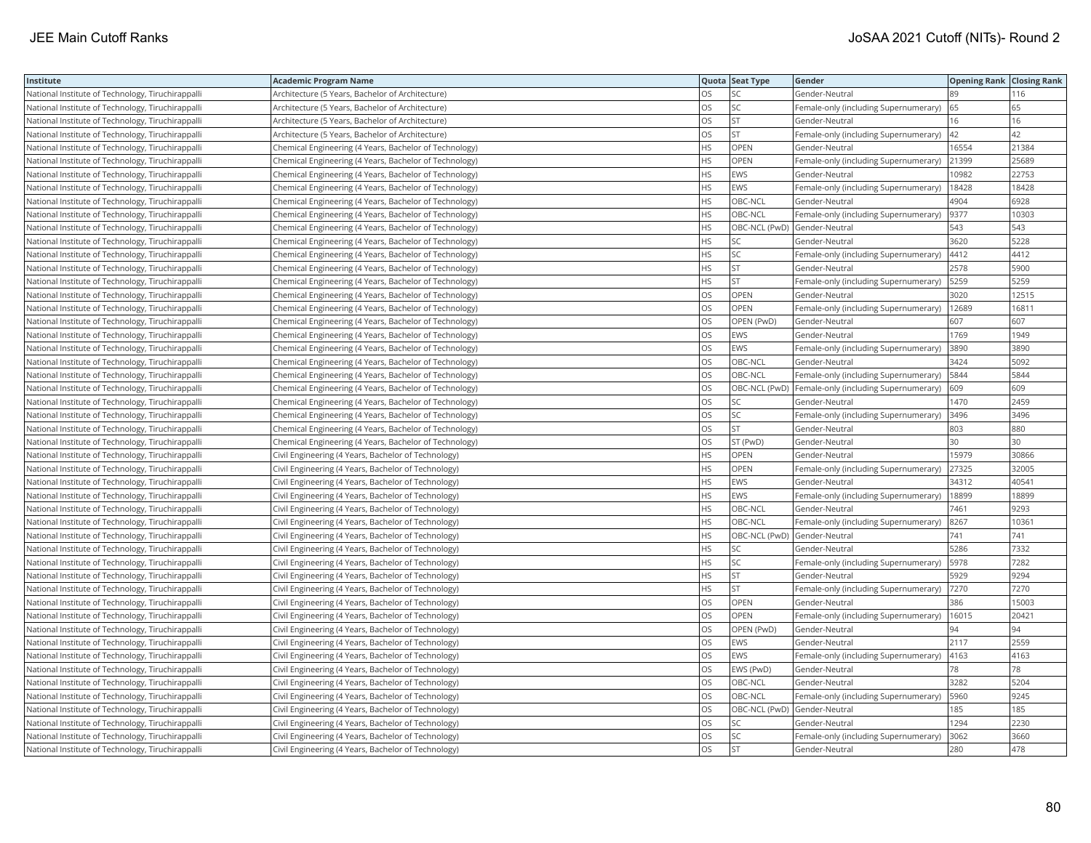| Institute                                         | <b>Academic Program Name</b>                           |           | Quota Seat Type              | Gender                                              |       | <b>Opening Rank Closing Rank</b> |
|---------------------------------------------------|--------------------------------------------------------|-----------|------------------------------|-----------------------------------------------------|-------|----------------------------------|
| National Institute of Technology, Tiruchirappalli | Architecture (5 Years, Bachelor of Architecture)       | <b>OS</b> | SC                           | Gender-Neutral                                      | 89    | 116                              |
| National Institute of Technology, Tiruchirappalli | Architecture (5 Years, Bachelor of Architecture)       | OS        | SC                           | Female-only (including Supernumerary)               | 65    | 65                               |
| National Institute of Technology, Tiruchirappalli | Architecture (5 Years, Bachelor of Architecture)       | OS        | ST                           | Gender-Neutral                                      | 16    | 16                               |
| National Institute of Technology, Tiruchirappalli | Architecture (5 Years, Bachelor of Architecture)       | OS        | ST                           | Female-only (including Supernumerary)               | 42    | 42                               |
| National Institute of Technology, Tiruchirappalli | Chemical Engineering (4 Years, Bachelor of Technology) | <b>HS</b> | OPEN                         | Gender-Neutral                                      | 16554 | 21384                            |
| National Institute of Technology, Tiruchirappalli | Chemical Engineering (4 Years, Bachelor of Technology) | HS        | OPEN                         | Female-only (including Supernumerary)               | 21399 | 25689                            |
| National Institute of Technology, Tiruchirappalli | Chemical Engineering (4 Years, Bachelor of Technology) | <b>HS</b> | EWS                          | Gender-Neutral                                      | 10982 | 22753                            |
| National Institute of Technology, Tiruchirappalli | Chemical Engineering (4 Years, Bachelor of Technology) | HS        | EWS                          | Female-only (including Supernumerary)               | 18428 | 18428                            |
| National Institute of Technology, Tiruchirappalli | Chemical Engineering (4 Years, Bachelor of Technology) | HS        | OBC-NCL                      | Gender-Neutral                                      | 4904  | 6928                             |
| National Institute of Technology, Tiruchirappalli | Chemical Engineering (4 Years, Bachelor of Technology) | <b>HS</b> | OBC-NCL                      | Female-only (including Supernumerary)               | 9377  | 10303                            |
| National Institute of Technology, Tiruchirappalli | Chemical Engineering (4 Years, Bachelor of Technology) | <b>HS</b> | OBC-NCL (PwD) Gender-Neutral |                                                     | 543   | 543                              |
| National Institute of Technology, Tiruchirappalli | Chemical Engineering (4 Years, Bachelor of Technology) | HS        | SC                           | Gender-Neutral                                      | 3620  | 5228                             |
| National Institute of Technology, Tiruchirappalli | Chemical Engineering (4 Years, Bachelor of Technology) | HS        | SC                           | Female-only (including Supernumerary)               | 4412  | 4412                             |
| National Institute of Technology, Tiruchirappalli | Chemical Engineering (4 Years, Bachelor of Technology) | <b>HS</b> | <b>ST</b>                    | Gender-Neutral                                      | 2578  | 5900                             |
| National Institute of Technology, Tiruchirappalli | Chemical Engineering (4 Years, Bachelor of Technology) | HS        | <b>ST</b>                    | Female-only (including Supernumerary)               | 5259  | 5259                             |
| National Institute of Technology, Tiruchirappalli | Chemical Engineering (4 Years, Bachelor of Technology) | OS        | OPEN                         | Gender-Neutral                                      | 3020  | 12515                            |
| National Institute of Technology, Tiruchirappalli | Chemical Engineering (4 Years, Bachelor of Technology) | OS        | OPEN                         | Female-only (including Supernumerary)               | 12689 | 16811                            |
| National Institute of Technology, Tiruchirappalli | Chemical Engineering (4 Years, Bachelor of Technology) | OS        | OPEN (PwD)                   | Gender-Neutral                                      | 607   | 607                              |
| National Institute of Technology, Tiruchirappalli | Chemical Engineering (4 Years, Bachelor of Technology) | OS        | EWS                          | Gender-Neutral                                      | 1769  | 1949                             |
| National Institute of Technology, Tiruchirappalli | Chemical Engineering (4 Years, Bachelor of Technology) | OS        | EWS                          | Female-only (including Supernumerary)               | 3890  | 3890                             |
| National Institute of Technology, Tiruchirappalli | Chemical Engineering (4 Years, Bachelor of Technology) | OS        | OBC-NCL                      | Gender-Neutral                                      | 3424  | 5092                             |
| National Institute of Technology, Tiruchirappalli | Chemical Engineering (4 Years, Bachelor of Technology) | <b>OS</b> | OBC-NCL                      | Female-only (including Supernumerary)               | 5844  | 5844                             |
| National Institute of Technology, Tiruchirappalli | Chemical Engineering (4 Years, Bachelor of Technology) | OS        |                              | OBC-NCL (PwD) Female-only (including Supernumerary) | 609   | 609                              |
| National Institute of Technology, Tiruchirappalli | Chemical Engineering (4 Years, Bachelor of Technology) | OS        | SC                           | Gender-Neutral                                      | 1470  | 2459                             |
| National Institute of Technology, Tiruchirappalli | Chemical Engineering (4 Years, Bachelor of Technology) | OS        | <b>SC</b>                    | Female-only (including Supernumerary)               | 3496  | 3496                             |
| National Institute of Technology, Tiruchirappalli | Chemical Engineering (4 Years, Bachelor of Technology) | OS        | ST                           | Gender-Neutral                                      | 803   | 880                              |
| National Institute of Technology, Tiruchirappalli | Chemical Engineering (4 Years, Bachelor of Technology) | OS        | ST (PwD)                     | Gender-Neutral                                      | 30    | 30                               |
| National Institute of Technology, Tiruchirappalli | Civil Engineering (4 Years, Bachelor of Technology)    | HS        | OPEN                         | Gender-Neutral                                      | 15979 | 30866                            |
| National Institute of Technology, Tiruchirappalli | Civil Engineering (4 Years, Bachelor of Technology)    | <b>HS</b> | <b>OPEN</b>                  | Female-only (including Supernumerary)               | 27325 | 32005                            |
| National Institute of Technology, Tiruchirappalli | Civil Engineering (4 Years, Bachelor of Technology)    | HS        | EWS                          | Gender-Neutral                                      | 34312 | 40541                            |
| National Institute of Technology, Tiruchirappalli | Civil Engineering (4 Years, Bachelor of Technology)    | <b>HS</b> | <b>EWS</b>                   | Female-only (including Supernumerary)               | 18899 | 18899                            |
| National Institute of Technology, Tiruchirappalli | Civil Engineering (4 Years, Bachelor of Technology)    | HS        | OBC-NCL                      | Gender-Neutral                                      | 7461  | 9293                             |
| National Institute of Technology, Tiruchirappalli | Civil Engineering (4 Years, Bachelor of Technology)    | <b>HS</b> | OBC-NCL                      | Female-only (including Supernumerary)               | 8267  | 10361                            |
| National Institute of Technology, Tiruchirappalli | Civil Engineering (4 Years, Bachelor of Technology)    | HS        | OBC-NCL (PwD)                | Gender-Neutral                                      | 741   | 741                              |
| National Institute of Technology, Tiruchirappalli | Civil Engineering (4 Years, Bachelor of Technology)    | HS        | SC                           | Gender-Neutral                                      | 5286  | 7332                             |
| National Institute of Technology, Tiruchirappalli | Civil Engineering (4 Years, Bachelor of Technology)    | HS        | <b>SC</b>                    | Female-only (including Supernumerary)               | 5978  | 7282                             |
| National Institute of Technology, Tiruchirappalli | Civil Engineering (4 Years, Bachelor of Technology)    | HS        | <b>ST</b>                    | Gender-Neutral                                      | 5929  | 9294                             |
| National Institute of Technology, Tiruchirappalli | Civil Engineering (4 Years, Bachelor of Technology)    | <b>HS</b> | <b>ST</b>                    | Female-only (including Supernumerary)               | 7270  | 7270                             |
| National Institute of Technology, Tiruchirappalli | Civil Engineering (4 Years, Bachelor of Technology)    | OS        | OPEN                         | Gender-Neutral                                      | 386   | 15003                            |
| National Institute of Technology, Tiruchirappalli | Civil Engineering (4 Years, Bachelor of Technology)    | OS        | OPEN                         | Female-only (including Supernumerary)               | 16015 | 20421                            |
| National Institute of Technology, Tiruchirappalli | Civil Engineering (4 Years, Bachelor of Technology)    | OS        | OPEN (PwD)                   | Gender-Neutral                                      | 94    | 94                               |
| National Institute of Technology, Tiruchirappalli | Civil Engineering (4 Years, Bachelor of Technology)    | OS        | EWS                          | Gender-Neutral                                      | 2117  | 2559                             |
| National Institute of Technology, Tiruchirappalli | Civil Engineering (4 Years, Bachelor of Technology)    | OS        | EWS                          | Female-only (including Supernumerary)               | 4163  | 4163                             |
| National Institute of Technology, Tiruchirappalli | Civil Engineering (4 Years, Bachelor of Technology)    | <b>OS</b> | EWS (PwD)                    | Gender-Neutral                                      | 78    | 78                               |
| National Institute of Technology, Tiruchirappalli | Civil Engineering (4 Years, Bachelor of Technology)    | OS        | OBC-NCL                      | Gender-Neutral                                      | 3282  | 5204                             |
| National Institute of Technology, Tiruchirappalli | Civil Engineering (4 Years, Bachelor of Technology)    | OS        | OBC-NCL                      | Female-only (including Supernumerary)               | 5960  | 9245                             |
| National Institute of Technology, Tiruchirappalli | Civil Engineering (4 Years, Bachelor of Technology)    | OS        | OBC-NCL (PwD) Gender-Neutral |                                                     | 185   | 185                              |
| National Institute of Technology, Tiruchirappalli | Civil Engineering (4 Years, Bachelor of Technology)    | OS        | SC                           | Gender-Neutral                                      | 1294  | 2230                             |
| National Institute of Technology, Tiruchirappalli | Civil Engineering (4 Years, Bachelor of Technology)    | OS        | SC                           | Female-only (including Supernumerary)               | 3062  | 3660                             |
| National Institute of Technology, Tiruchirappalli | Civil Engineering (4 Years, Bachelor of Technology)    | <b>OS</b> | <b>ST</b>                    | Gender-Neutral                                      | 280   | 478                              |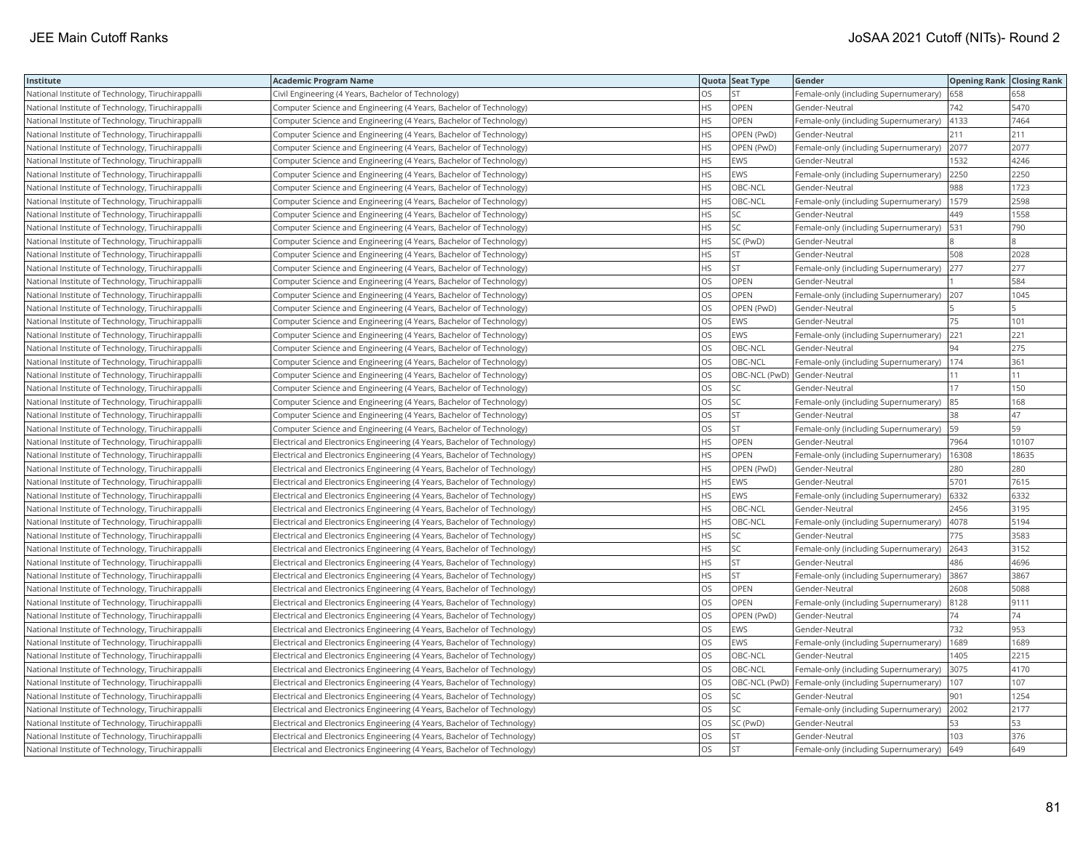| Institute                                         | <b>Academic Program Name</b>                                             |           | Quota Seat Type              | Gender                                              | <b>Opening Rank Closing Rank</b> |       |
|---------------------------------------------------|--------------------------------------------------------------------------|-----------|------------------------------|-----------------------------------------------------|----------------------------------|-------|
| National Institute of Technology, Tiruchirappalli | Civil Engineering (4 Years, Bachelor of Technology)                      | OS        | <b>ST</b>                    | Female-only (including Supernumerary)               | 658                              | 658   |
| National Institute of Technology, Tiruchirappalli | Computer Science and Engineering (4 Years, Bachelor of Technology)       | НS        | OPEN                         | Gender-Neutral                                      | 742                              | 5470  |
| National Institute of Technology, Tiruchirappalli | Computer Science and Engineering (4 Years, Bachelor of Technology)       | <b>HS</b> | OPEN                         | Female-only (including Supernumerary)               | 4133                             | 7464  |
| National Institute of Technology, Tiruchirappalli | Computer Science and Engineering (4 Years, Bachelor of Technology)       | HS        | OPEN (PwD)                   | Gender-Neutral                                      | 211                              | 211   |
| National Institute of Technology, Tiruchirappalli | Computer Science and Engineering (4 Years, Bachelor of Technology)       | <b>HS</b> | OPEN (PwD)                   | Female-only (including Supernumerary)               | 2077                             | 2077  |
| National Institute of Technology, Tiruchirappalli | Computer Science and Engineering (4 Years, Bachelor of Technology)       | <b>HS</b> | EWS                          | Gender-Neutral                                      | 1532                             | 4246  |
| National Institute of Technology, Tiruchirappalli | Computer Science and Engineering (4 Years, Bachelor of Technology)       | <b>HS</b> | <b>EWS</b>                   | Female-only (including Supernumerary)               | 2250                             | 2250  |
| National Institute of Technology, Tiruchirappalli | Computer Science and Engineering (4 Years, Bachelor of Technology)       | <b>HS</b> | OBC-NCL                      | Gender-Neutral                                      | 988                              | 1723  |
| National Institute of Technology, Tiruchirappalli | Computer Science and Engineering (4 Years, Bachelor of Technology)       | <b>HS</b> | OBC-NCL                      | Female-only (including Supernumerary)               | 1579                             | 2598  |
| National Institute of Technology, Tiruchirappalli | Computer Science and Engineering (4 Years, Bachelor of Technology)       | HS        | SC                           | Gender-Neutral                                      | 449                              | 1558  |
| National Institute of Technology, Tiruchirappalli | Computer Science and Engineering (4 Years, Bachelor of Technology)       | <b>HS</b> | SC                           | Female-only (including Supernumerary)               | 531                              | 790   |
| National Institute of Technology, Tiruchirappalli | Computer Science and Engineering (4 Years, Bachelor of Technology)       | <b>HS</b> | SC (PwD)                     | Gender-Neutral                                      |                                  |       |
| National Institute of Technology, Tiruchirappalli | Computer Science and Engineering (4 Years, Bachelor of Technology)       | HS        | ST                           | Gender-Neutral                                      | 508                              | 2028  |
| National Institute of Technology, Tiruchirappalli | Computer Science and Engineering (4 Years, Bachelor of Technology)       | HS        | ST                           | Female-only (including Supernumerary)               | 277                              | 277   |
| National Institute of Technology, Tiruchirappalli | Computer Science and Engineering (4 Years, Bachelor of Technology)       | OS.       | <b>OPEN</b>                  | Gender-Neutral                                      |                                  | 584   |
| National Institute of Technology, Tiruchirappalli | Computer Science and Engineering (4 Years, Bachelor of Technology)       | OS        | OPEN                         | Female-only (including Supernumerary)               | 207                              | 1045  |
| National Institute of Technology, Tiruchirappalli | Computer Science and Engineering (4 Years, Bachelor of Technology)       | OS        | OPEN (PwD)                   | Gender-Neutral                                      |                                  |       |
| National Institute of Technology, Tiruchirappalli | Computer Science and Engineering (4 Years, Bachelor of Technology)       | OS        | EWS                          | Gender-Neutral                                      | 75                               | 101   |
| National Institute of Technology, Tiruchirappalli | Computer Science and Engineering (4 Years, Bachelor of Technology)       | OS        | <b>EWS</b>                   | Female-only (including Supernumerary)               | 221                              | 221   |
| National Institute of Technology, Tiruchirappalli | Computer Science and Engineering (4 Years, Bachelor of Technology)       | OS        | OBC-NCL                      | Gender-Neutral                                      | 94                               | 275   |
| National Institute of Technology, Tiruchirappalli | Computer Science and Engineering (4 Years, Bachelor of Technology)       | OS        | OBC-NCL                      | Female-only (including Supernumerary)               | 174                              | 361   |
| National Institute of Technology, Tiruchirappalli | Computer Science and Engineering (4 Years, Bachelor of Technology)       | OS        | OBC-NCL (PwD) Gender-Neutral |                                                     | 11                               | 11    |
| National Institute of Technology, Tiruchirappalli | Computer Science and Engineering (4 Years, Bachelor of Technology)       | <b>OS</b> | SC                           | Gender-Neutral                                      | 17                               | 150   |
| National Institute of Technology, Tiruchirappalli | Computer Science and Engineering (4 Years, Bachelor of Technology)       | OS        | SC                           | Female-only (including Supernumerary)               | 85                               | 168   |
| National Institute of Technology, Tiruchirappalli | Computer Science and Engineering (4 Years, Bachelor of Technology)       | OS        | <b>ST</b>                    | Gender-Neutral                                      | 38                               | 47    |
| National Institute of Technology, Tiruchirappalli | Computer Science and Engineering (4 Years, Bachelor of Technology)       | OS        | ST                           | Female-only (including Supernumerary) 59            |                                  | 59    |
| National Institute of Technology, Tiruchirappalli | Electrical and Electronics Engineering (4 Years, Bachelor of Technology) | HS        | OPEN                         | Gender-Neutral                                      | 7964                             | 10107 |
| National Institute of Technology, Tiruchirappalli | Electrical and Electronics Engineering (4 Years, Bachelor of Technology) | HS        | <b>OPEN</b>                  | Female-only (including Supernumerary)               | 16308                            | 18635 |
| National Institute of Technology, Tiruchirappalli | Electrical and Electronics Engineering (4 Years, Bachelor of Technology) | HS.       | OPEN (PwD)                   | Gender-Neutral                                      | 280                              | 280   |
| National Institute of Technology, Tiruchirappalli | Electrical and Electronics Engineering (4 Years, Bachelor of Technology) | <b>HS</b> | <b>EWS</b>                   | Gender-Neutral                                      | 5701                             | 7615  |
| National Institute of Technology, Tiruchirappalli | Electrical and Electronics Engineering (4 Years, Bachelor of Technology) | HS        | EWS                          | Female-only (including Supernumerary)               | 6332                             | 6332  |
| National Institute of Technology, Tiruchirappalli | Electrical and Electronics Engineering (4 Years, Bachelor of Technology) | <b>HS</b> | OBC-NCL                      | Gender-Neutral                                      | 2456                             | 3195  |
| National Institute of Technology, Tiruchirappalli | Electrical and Electronics Engineering (4 Years, Bachelor of Technology) | <b>HS</b> | OBC-NCL                      | Female-only (including Supernumerary)               | 4078                             | 5194  |
| National Institute of Technology, Tiruchirappalli | Electrical and Electronics Engineering (4 Years, Bachelor of Technology) | <b>HS</b> | SC                           | Gender-Neutral                                      | 775                              | 3583  |
| National Institute of Technology, Tiruchirappalli | Electrical and Electronics Engineering (4 Years, Bachelor of Technology) | HS        | SC                           | Female-only (including Supernumerary)               | 2643                             | 3152  |
| National Institute of Technology, Tiruchirappalli | Electrical and Electronics Engineering (4 Years, Bachelor of Technology) | <b>HS</b> | <b>ST</b>                    | Gender-Neutral                                      | 486                              | 4696  |
| National Institute of Technology, Tiruchirappalli | Electrical and Electronics Engineering (4 Years, Bachelor of Technology) | <b>HS</b> | <b>ST</b>                    | Female-only (including Supernumerary)               | 3867                             | 3867  |
| National Institute of Technology, Tiruchirappalli | Electrical and Electronics Engineering (4 Years, Bachelor of Technology) | OS        | OPEN                         | Gender-Neutral                                      | 2608                             | 5088  |
| National Institute of Technology, Tiruchirappalli | Electrical and Electronics Engineering (4 Years, Bachelor of Technology) | OS        | OPEN                         | Female-only (including Supernumerary)               | 8128                             | 9111  |
| National Institute of Technology, Tiruchirappalli | Electrical and Electronics Engineering (4 Years, Bachelor of Technology) | OS        | OPEN (PwD)                   | Gender-Neutral                                      | 74                               | 74    |
| National Institute of Technology, Tiruchirappalli | Electrical and Electronics Engineering (4 Years, Bachelor of Technology) | OS        | EWS                          | Gender-Neutral                                      | 732                              | 953   |
| National Institute of Technology, Tiruchirappalli | Electrical and Electronics Engineering (4 Years, Bachelor of Technology) | OS        | EWS                          | Female-only (including Supernumerary)               | 1689                             | 1689  |
| National Institute of Technology, Tiruchirappalli | Electrical and Electronics Engineering (4 Years, Bachelor of Technology) | OS        | OBC-NCL                      | Gender-Neutral                                      | 1405                             | 2215  |
| National Institute of Technology, Tiruchirappalli | Electrical and Electronics Engineering (4 Years, Bachelor of Technology) | <b>OS</b> | OBC-NCL                      | Female-only (including Supernumerary)               | 3075                             | 4170  |
| National Institute of Technology, Tiruchirappalli | Electrical and Electronics Engineering (4 Years, Bachelor of Technology) | OS        |                              | OBC-NCL (PwD) Female-only (including Supernumerary) | 107                              | 107   |
| National Institute of Technology, Tiruchirappalli | Electrical and Electronics Engineering (4 Years, Bachelor of Technology) | OS        | SC                           | Gender-Neutral                                      | 901                              | 1254  |
| National Institute of Technology, Tiruchirappalli | Electrical and Electronics Engineering (4 Years, Bachelor of Technology) | OS        | SC                           | Female-only (including Supernumerary)               | 2002                             | 2177  |
| National Institute of Technology, Tiruchirappalli | Electrical and Electronics Engineering (4 Years, Bachelor of Technology) | OS        | SC (PwD)                     | Gender-Neutral                                      | 53                               | 53    |
| National Institute of Technology, Tiruchirappalli | Electrical and Electronics Engineering (4 Years, Bachelor of Technology) | OS        | ST                           | Gender-Neutral                                      | 103                              | 376   |
| National Institute of Technology, Tiruchirappalli | Electrical and Electronics Engineering (4 Years, Bachelor of Technology) | <b>OS</b> | <b>ST</b>                    | Female-only (including Supernumerary)               | 649                              | 649   |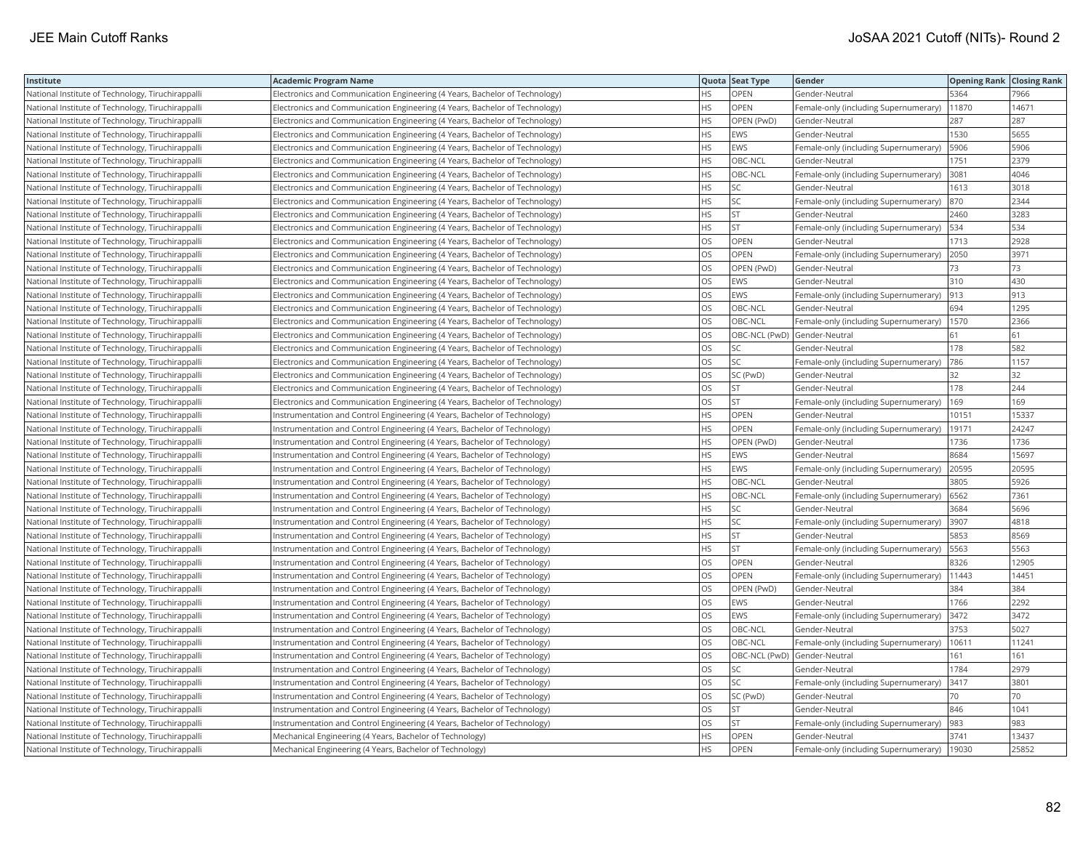| Institute                                         | <b>Academic Program Name</b>                                                |           | Quota Seat Type | Gender                                     | <b>Opening Rank Closing Rank</b> |       |
|---------------------------------------------------|-----------------------------------------------------------------------------|-----------|-----------------|--------------------------------------------|----------------------------------|-------|
| National Institute of Technology, Tiruchirappalli | Electronics and Communication Engineering (4 Years, Bachelor of Technology) | HS        | <b>OPEN</b>     | Gender-Neutral                             | 5364                             | 7966  |
| National Institute of Technology, Tiruchirappalli | Electronics and Communication Engineering (4 Years, Bachelor of Technology) | HS        | OPEN            | Female-only (including Supernumerary)      | 11870                            | 14671 |
| National Institute of Technology, Tiruchirappalli | Electronics and Communication Engineering (4 Years, Bachelor of Technology) | <b>HS</b> | OPEN (PwD)      | Gender-Neutral                             | 287                              | 287   |
| National Institute of Technology, Tiruchirappalli | Electronics and Communication Engineering (4 Years, Bachelor of Technology) | <b>HS</b> | EWS             | Gender-Neutral                             | 1530                             | 5655  |
| National Institute of Technology, Tiruchirappalli | Electronics and Communication Engineering (4 Years, Bachelor of Technology) | <b>HS</b> | <b>EWS</b>      | Female-only (including Supernumerary)      | 5906                             | 5906  |
| National Institute of Technology, Tiruchirappalli | Electronics and Communication Engineering (4 Years, Bachelor of Technology) | <b>HS</b> | OBC-NCL         | Gender-Neutral                             | 1751                             | 2379  |
| National Institute of Technology, Tiruchirappalli | Electronics and Communication Engineering (4 Years, Bachelor of Technology) | <b>HS</b> | OBC-NCL         | Female-only (including Supernumerary)      | 3081                             | 4046  |
| National Institute of Technology, Tiruchirappalli | Electronics and Communication Engineering (4 Years, Bachelor of Technology) | <b>HS</b> | SC              | Gender-Neutral                             | 1613                             | 3018  |
| National Institute of Technology, Tiruchirappalli | Electronics and Communication Engineering (4 Years, Bachelor of Technology) | HS        | SC              | Female-only (including Supernumerary)      | 870                              | 2344  |
| National Institute of Technology, Tiruchirappalli | Electronics and Communication Engineering (4 Years, Bachelor of Technology) | <b>HS</b> | <b>ST</b>       | Gender-Neutral                             | 2460                             | 3283  |
| National Institute of Technology, Tiruchirappalli | Electronics and Communication Engineering (4 Years, Bachelor of Technology) | HS        | ST              | Female-only (including Supernumerary)      | 534                              | 534   |
| National Institute of Technology, Tiruchirappalli | Electronics and Communication Engineering (4 Years, Bachelor of Technology) | <b>OS</b> | OPEN            | Gender-Neutral                             | 1713                             | 2928  |
| National Institute of Technology, Tiruchirappalli | Electronics and Communication Engineering (4 Years, Bachelor of Technology) | OS        | OPEN            | Female-only (including Supernumerary)      | 2050                             | 3971  |
| National Institute of Technology, Tiruchirappalli | Electronics and Communication Engineering (4 Years, Bachelor of Technology) | <b>OS</b> | OPEN (PwD)      | Gender-Neutral                             | 73                               | 73    |
| National Institute of Technology, Tiruchirappalli | Electronics and Communication Engineering (4 Years, Bachelor of Technology) | OS        | EWS             | Gender-Neutral                             | 310                              | 430   |
| National Institute of Technology, Tiruchirappalli | Electronics and Communication Engineering (4 Years, Bachelor of Technology) | OS        | EWS             | Female-only (including Supernumerary)      | 913                              | 913   |
| National Institute of Technology, Tiruchirappalli | Electronics and Communication Engineering (4 Years, Bachelor of Technology) | OS        | OBC-NCL         | Gender-Neutral                             | 694                              | 1295  |
| National Institute of Technology, Tiruchirappalli | Electronics and Communication Engineering (4 Years, Bachelor of Technology) | OS        | OBC-NCL         | Female-only (including Supernumerary)      | 1570                             | 2366  |
| National Institute of Technology, Tiruchirappalli | Electronics and Communication Engineering (4 Years, Bachelor of Technology) | OS        | OBC-NCL (PwD)   | Gender-Neutral                             | 61                               | 61    |
| National Institute of Technology, Tiruchirappalli | Electronics and Communication Engineering (4 Years, Bachelor of Technology) | <b>OS</b> | SC              | Gender-Neutral                             | 178                              | 582   |
| National Institute of Technology, Tiruchirappalli | Electronics and Communication Engineering (4 Years, Bachelor of Technology) | OS        | SC.             | Female-only (including Supernumerary)      | 786                              | 1157  |
| National Institute of Technology, Tiruchirappalli | Electronics and Communication Engineering (4 Years, Bachelor of Technology) | OS.       | SC (PwD)        | Gender-Neutral                             | 32                               | 32    |
| National Institute of Technology, Tiruchirappalli | Electronics and Communication Engineering (4 Years, Bachelor of Technology) | OS        | ST              | Gender-Neutral                             | 178                              | 244   |
| National Institute of Technology, Tiruchirappalli | Electronics and Communication Engineering (4 Years, Bachelor of Technology) | OS        | <b>ST</b>       | Female-only (including Supernumerary)      | 169                              | 169   |
| National Institute of Technology, Tiruchirappalli | Instrumentation and Control Engineering (4 Years, Bachelor of Technology)   | <b>HS</b> | <b>OPEN</b>     | Gender-Neutral                             | 10151                            | 15337 |
| National Institute of Technology, Tiruchirappalli | Instrumentation and Control Engineering (4 Years, Bachelor of Technology)   | HS        | OPEN            | Female-only (including Supernumerary)      | 19171                            | 24247 |
| National Institute of Technology, Tiruchirappalli | Instrumentation and Control Engineering (4 Years, Bachelor of Technology)   | HS        | OPEN (PwD)      | Gender-Neutral                             | 1736                             | 1736  |
| National Institute of Technology, Tiruchirappalli | Instrumentation and Control Engineering (4 Years, Bachelor of Technology)   | HS        | <b>EWS</b>      | Gender-Neutral                             | 8684                             | 15697 |
| National Institute of Technology, Tiruchirappalli | Instrumentation and Control Engineering (4 Years, Bachelor of Technology)   | <b>HS</b> | <b>EWS</b>      | Female-only (including Supernumerary)      | 20595                            | 20595 |
| National Institute of Technology, Tiruchirappalli | Instrumentation and Control Engineering (4 Years, Bachelor of Technology)   | HS        | OBC-NCL         | Gender-Neutral                             | 3805                             | 5926  |
| National Institute of Technology, Tiruchirappalli | Instrumentation and Control Engineering (4 Years, Bachelor of Technology)   | <b>HS</b> | OBC-NCL         | Female-only (including Supernumerary)      | 6562                             | 7361  |
| National Institute of Technology, Tiruchirappalli | nstrumentation and Control Engineering (4 Years, Bachelor of Technology)    | HS        | SC              | Gender-Neutral                             | 3684                             | 5696  |
| National Institute of Technology, Tiruchirappalli | Instrumentation and Control Engineering (4 Years, Bachelor of Technology)   | <b>HS</b> | SC              | Female-only (including Supernumerary)      | 3907                             | 4818  |
| National Institute of Technology, Tiruchirappalli | Instrumentation and Control Engineering (4 Years, Bachelor of Technology)   | HS        | ST              | Gender-Neutral                             | 5853                             | 8569  |
| National Institute of Technology, Tiruchirappalli | Instrumentation and Control Engineering (4 Years, Bachelor of Technology)   | <b>HS</b> | <b>ST</b>       | Female-only (including Supernumerary)      | 5563                             | 5563  |
| National Institute of Technology, Tiruchirappalli | Instrumentation and Control Engineering (4 Years, Bachelor of Technology)   | OS        | OPEN            | Gender-Neutral                             | 8326                             | 12905 |
| National Institute of Technology, Tiruchirappalli | Instrumentation and Control Engineering (4 Years, Bachelor of Technology)   | OS        | OPEN            | Female-only (including Supernumerary)      | 11443                            | 14451 |
| National Institute of Technology, Tiruchirappalli | Instrumentation and Control Engineering (4 Years, Bachelor of Technology)   | <b>OS</b> | OPEN (PwD)      | Gender-Neutral                             | 384                              | 384   |
| National Institute of Technology, Tiruchirappalli | Instrumentation and Control Engineering (4 Years, Bachelor of Technology)   | <b>OS</b> | EWS             | Gender-Neutral                             | 1766                             | 2292  |
| National Institute of Technology, Tiruchirappalli | Instrumentation and Control Engineering (4 Years, Bachelor of Technology)   | OS        | EWS             | Female-only (including Supernumerary) 3472 |                                  | 3472  |
| National Institute of Technology, Tiruchirappalli | Instrumentation and Control Engineering (4 Years, Bachelor of Technology)   | OS        | OBC-NCL         | Gender-Neutral                             | 3753                             | 5027  |
| National Institute of Technology, Tiruchirappalli | Instrumentation and Control Engineering (4 Years, Bachelor of Technology)   | <b>OS</b> | OBC-NCL         | Female-only (including Supernumerary)      | 10611                            | 11241 |
| National Institute of Technology, Tiruchirappalli | Instrumentation and Control Engineering (4 Years, Bachelor of Technology)   | OS        |                 | OBC-NCL (PwD) Gender-Neutral               | 161                              | 161   |
| National Institute of Technology, Tiruchirappalli | Instrumentation and Control Engineering (4 Years, Bachelor of Technology)   | <b>OS</b> | SC              | Gender-Neutral                             | 1784                             | 2979  |
| National Institute of Technology, Tiruchirappalli | Instrumentation and Control Engineering (4 Years, Bachelor of Technology)   | OS        | SC              | Female-only (including Supernumerary)      | 3417                             | 3801  |
| National Institute of Technology, Tiruchirappalli | Instrumentation and Control Engineering (4 Years, Bachelor of Technology)   | <b>OS</b> | SC (PwD)        | Gender-Neutral                             | 70                               | 70    |
| National Institute of Technology, Tiruchirappalli | Instrumentation and Control Engineering (4 Years, Bachelor of Technology)   | OS        | ST              | Gender-Neutral                             | 846                              | 1041  |
| National Institute of Technology, Tiruchirappalli | Instrumentation and Control Engineering (4 Years, Bachelor of Technology)   | OS        | <b>ST</b>       | Female-only (including Supernumerary)      | 983                              | 983   |
| National Institute of Technology, Tiruchirappalli | Mechanical Engineering (4 Years, Bachelor of Technology)                    | HS        | OPEN            | Gender-Neutral                             | 3741                             | 13437 |
| National Institute of Technology, Tiruchirappalli | Mechanical Engineering (4 Years, Bachelor of Technology)                    | <b>HS</b> | <b>OPEN</b>     | Female-only (including Supernumerary)      | 19030                            | 25852 |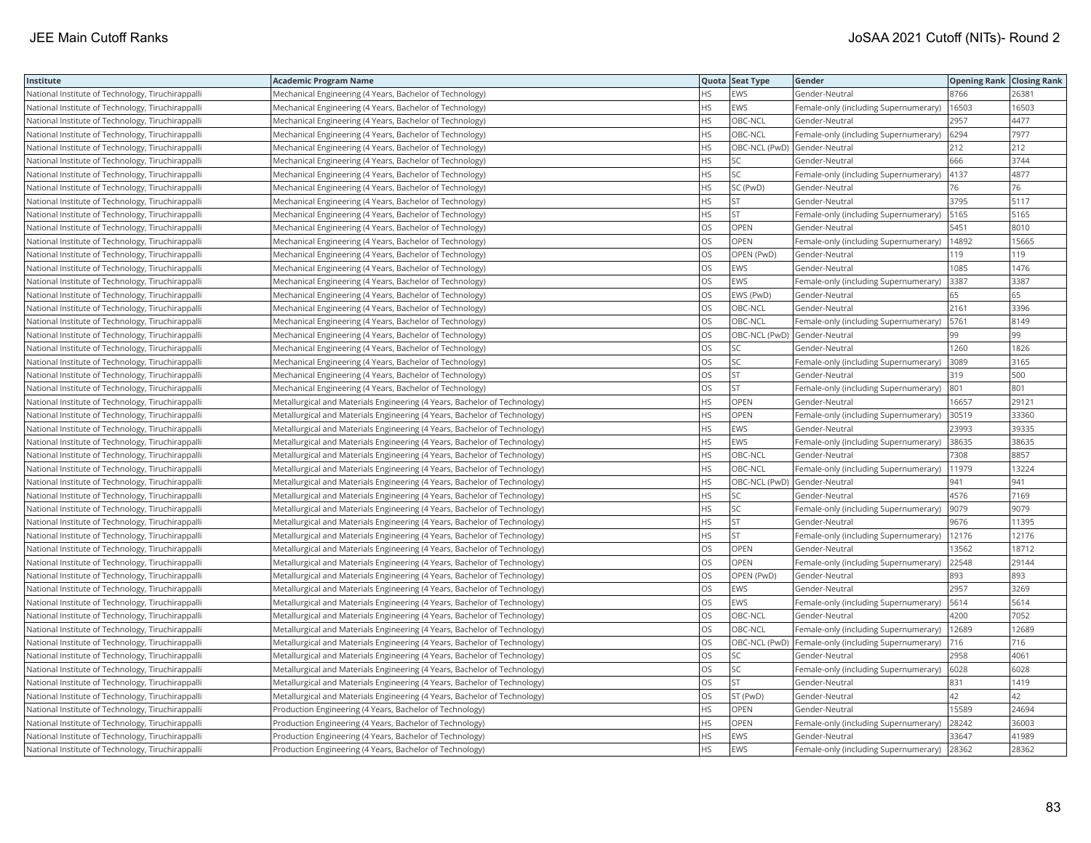| Institute                                         | <b>Academic Program Name</b>                                              |           | Quota Seat Type              | Gender                                              | <b>Opening Rank Closing Rank</b> |       |
|---------------------------------------------------|---------------------------------------------------------------------------|-----------|------------------------------|-----------------------------------------------------|----------------------------------|-------|
| National Institute of Technology, Tiruchirappalli | Mechanical Engineering (4 Years, Bachelor of Technology)                  | HS.       | EWS                          | Gender-Neutral                                      | 8766                             | 26381 |
| National Institute of Technology, Tiruchirappalli | Mechanical Engineering (4 Years, Bachelor of Technology)                  | HS        | EWS                          | Female-only (including Supernumerary)               | 16503                            | 16503 |
| National Institute of Technology, Tiruchirappalli | Mechanical Engineering (4 Years, Bachelor of Technology)                  | <b>HS</b> | OBC-NCL                      | Gender-Neutral                                      | 2957                             | 4477  |
| National Institute of Technology, Tiruchirappalli | Mechanical Engineering (4 Years, Bachelor of Technology)                  | HS        | OBC-NCL                      | Female-only (including Supernumerary)               | 6294                             | 7977  |
| National Institute of Technology, Tiruchirappalli | Mechanical Engineering (4 Years, Bachelor of Technology)                  | <b>HS</b> | OBC-NCL (PwD) Gender-Neutral |                                                     | 212                              | 212   |
| National Institute of Technology, Tiruchirappalli | Mechanical Engineering (4 Years, Bachelor of Technology)                  | HS        | SC                           | Gender-Neutral                                      | 666                              | 3744  |
| National Institute of Technology, Tiruchirappalli | Mechanical Engineering (4 Years, Bachelor of Technology)                  | HS        | SC                           | Female-only (including Supernumerary)               | 4137                             | 4877  |
| National Institute of Technology, Tiruchirappalli | Mechanical Engineering (4 Years, Bachelor of Technology)                  | HS        | SC (PwD)                     | Gender-Neutral                                      | 76                               | 76    |
| National Institute of Technology, Tiruchirappalli | Mechanical Engineering (4 Years, Bachelor of Technology)                  | <b>HS</b> | <b>ST</b>                    | Gender-Neutral                                      | 3795                             | 5117  |
| National Institute of Technology, Tiruchirappalli | Mechanical Engineering (4 Years, Bachelor of Technology)                  | HS        | <b>ST</b>                    | Female-only (including Supernumerary)               | 5165                             | 5165  |
| National Institute of Technology, Tiruchirappalli | Mechanical Engineering (4 Years, Bachelor of Technology)                  | OS        | OPEN                         | Gender-Neutral                                      | 5451                             | 8010  |
| National Institute of Technology, Tiruchirappalli | Mechanical Engineering (4 Years, Bachelor of Technology)                  | OS        | OPEN                         | Female-only (including Supernumerary)               | 14892                            | 15665 |
| National Institute of Technology, Tiruchirappalli | Mechanical Engineering (4 Years, Bachelor of Technology)                  | OS        | OPEN (PwD)                   | Gender-Neutral                                      | 119                              | 119   |
| National Institute of Technology, Tiruchirappalli | Mechanical Engineering (4 Years, Bachelor of Technology)                  | OS        | EWS                          | Gender-Neutral                                      | 1085                             | 1476  |
| National Institute of Technology, Tiruchirappalli | Mechanical Engineering (4 Years, Bachelor of Technology)                  | OS        | EWS                          | Female-only (including Supernumerary)               | 3387                             | 3387  |
| National Institute of Technology, Tiruchirappalli | Mechanical Engineering (4 Years, Bachelor of Technology)                  | OS        | EWS (PwD)                    | Gender-Neutral                                      | 65                               | 65    |
| National Institute of Technology, Tiruchirappalli | Mechanical Engineering (4 Years, Bachelor of Technology)                  | OS        | OBC-NCL                      | Gender-Neutral                                      | 2161                             | 3396  |
| National Institute of Technology, Tiruchirappalli | Mechanical Engineering (4 Years, Bachelor of Technology)                  | OS        | OBC-NCL                      | Female-only (including Supernumerary)               | 5761                             | 8149  |
| National Institute of Technology, Tiruchirappalli | Mechanical Engineering (4 Years, Bachelor of Technology)                  | OS        | OBC-NCL (PwD)                | Gender-Neutral                                      | 99                               | 99    |
| National Institute of Technology, Tiruchirappalli | Mechanical Engineering (4 Years, Bachelor of Technology)                  | OS        | SC                           | Gender-Neutral                                      | 1260                             | 1826  |
| National Institute of Technology, Tiruchirappalli | Mechanical Engineering (4 Years, Bachelor of Technology)                  | OS        | SC                           | Female-only (including Supernumerary)               | 3089                             | 3165  |
| National Institute of Technology, Tiruchirappalli | Mechanical Engineering (4 Years, Bachelor of Technology)                  | OS        | <b>ST</b>                    | Gender-Neutral                                      | 319                              | 500   |
| National Institute of Technology, Tiruchirappalli | Mechanical Engineering (4 Years, Bachelor of Technology)                  | OS        | <b>ST</b>                    | Female-only (including Supernumerary)               | 801                              | 801   |
| National Institute of Technology, Tiruchirappalli | Metallurgical and Materials Engineering (4 Years, Bachelor of Technology) | HS        | OPEN                         | Gender-Neutral                                      | 16657                            | 29121 |
| National Institute of Technology, Tiruchirappalli | Metallurgical and Materials Engineering (4 Years, Bachelor of Technology) | <b>HS</b> | OPEN                         | Female-only (including Supernumerary)               | 30519                            | 33360 |
| National Institute of Technology, Tiruchirappalli | Metallurgical and Materials Engineering (4 Years, Bachelor of Technology) | <b>HS</b> | EWS                          | Gender-Neutral                                      | 23993                            | 39335 |
| National Institute of Technology, Tiruchirappalli | Metallurgical and Materials Engineering (4 Years, Bachelor of Technology) | <b>HS</b> | EWS                          | Female-only (including Supernumerary)               | 38635                            | 38635 |
| National Institute of Technology, Tiruchirappalli | Metallurgical and Materials Engineering (4 Years, Bachelor of Technology) | HS        | OBC-NCL                      | Gender-Neutral                                      | 7308                             | 8857  |
| National Institute of Technology, Tiruchirappalli | Metallurgical and Materials Engineering (4 Years, Bachelor of Technology) | HS        | OBC-NCL                      | Female-only (including Supernumerary)               | 11979                            | 13224 |
| National Institute of Technology, Tiruchirappalli | Metallurgical and Materials Engineering (4 Years, Bachelor of Technology) | <b>HS</b> |                              | OBC-NCL (PwD) Gender-Neutral                        | 941                              | 941   |
| National Institute of Technology, Tiruchirappalli | Metallurgical and Materials Engineering (4 Years, Bachelor of Technology) | HS        | SC                           | Gender-Neutral                                      | 4576                             | 7169  |
| National Institute of Technology, Tiruchirappalli | Metallurgical and Materials Engineering (4 Years, Bachelor of Technology) | <b>HS</b> | SC                           | Female-only (including Supernumerary)               | 9079                             | 9079  |
| National Institute of Technology, Tiruchirappalli | Metallurgical and Materials Engineering (4 Years, Bachelor of Technology) | HS        | ST                           | Gender-Neutral                                      | 9676                             | 11395 |
| National Institute of Technology, Tiruchirappalli | Metallurgical and Materials Engineering (4 Years, Bachelor of Technology) | <b>HS</b> | <b>ST</b>                    | Female-only (including Supernumerary)               | 12176                            | 12176 |
| National Institute of Technology, Tiruchirappalli | Metallurgical and Materials Engineering (4 Years, Bachelor of Technology) | OS        | OPEN                         | Gender-Neutral                                      | 13562                            | 18712 |
| National Institute of Technology, Tiruchirappalli | Metallurgical and Materials Engineering (4 Years, Bachelor of Technology) | OS        | <b>OPEN</b>                  | Female-only (including Supernumerary)               | 22548                            | 29144 |
| National Institute of Technology, Tiruchirappalli | Metallurgical and Materials Engineering (4 Years, Bachelor of Technology) | OS        | OPEN (PwD)                   | Gender-Neutral                                      | 893                              | 893   |
| National Institute of Technology, Tiruchirappalli | Metallurgical and Materials Engineering (4 Years, Bachelor of Technology) | OS        | EWS                          | Gender-Neutral                                      | 2957                             | 3269  |
| National Institute of Technology, Tiruchirappalli | Metallurgical and Materials Engineering (4 Years, Bachelor of Technology) | OS        | EWS                          | Female-only (including Supernumerary)               | 5614                             | 5614  |
| National Institute of Technology, Tiruchirappalli | Metallurgical and Materials Engineering (4 Years, Bachelor of Technology) | OS        | OBC-NCL                      | Gender-Neutral                                      | 4200                             | 7052  |
| National Institute of Technology, Tiruchirappalli | Metallurgical and Materials Engineering (4 Years, Bachelor of Technology) | OS        | OBC-NCL                      | Female-only (including Supernumerary)               | 12689                            | 12689 |
| National Institute of Technology, Tiruchirappalli | Metallurgical and Materials Engineering (4 Years, Bachelor of Technology) | OS        |                              | OBC-NCL (PwD) Female-only (including Supernumerary) | 716                              | 716   |
| National Institute of Technology, Tiruchirappalli | Metallurgical and Materials Engineering (4 Years, Bachelor of Technology) | OS        | SC                           | Gender-Neutral                                      | 2958                             | 4061  |
| National Institute of Technology, Tiruchirappalli | Metallurgical and Materials Engineering (4 Years, Bachelor of Technology) | OS        | SC                           | Female-only (including Supernumerary)               | 6028                             | 6028  |
| National Institute of Technology, Tiruchirappalli | Metallurgical and Materials Engineering (4 Years, Bachelor of Technology) | OS        | <b>ST</b>                    | Gender-Neutral                                      | 831                              | 1419  |
| National Institute of Technology, Tiruchirappalli | Metallurgical and Materials Engineering (4 Years, Bachelor of Technology) | OS        | ST (PwD)                     | Gender-Neutral                                      | 42                               | 42    |
| National Institute of Technology, Tiruchirappalli | Production Engineering (4 Years, Bachelor of Technology)                  | HS        | OPEN                         | Gender-Neutral                                      | 15589                            | 24694 |
| National Institute of Technology, Tiruchirappalli | Production Engineering (4 Years, Bachelor of Technology)                  | HS        | OPEN                         | Female-only (including Supernumerary)               | 28242                            | 36003 |
| National Institute of Technology, Tiruchirappalli | Production Engineering (4 Years, Bachelor of Technology)                  | HS        | EWS                          | Gender-Neutral                                      | 33647                            | 41989 |
| National Institute of Technology, Tiruchirappalli | Production Engineering (4 Years, Bachelor of Technology)                  | <b>HS</b> | EWS                          | Female-only (including Supernumerary)               | 28362                            | 28362 |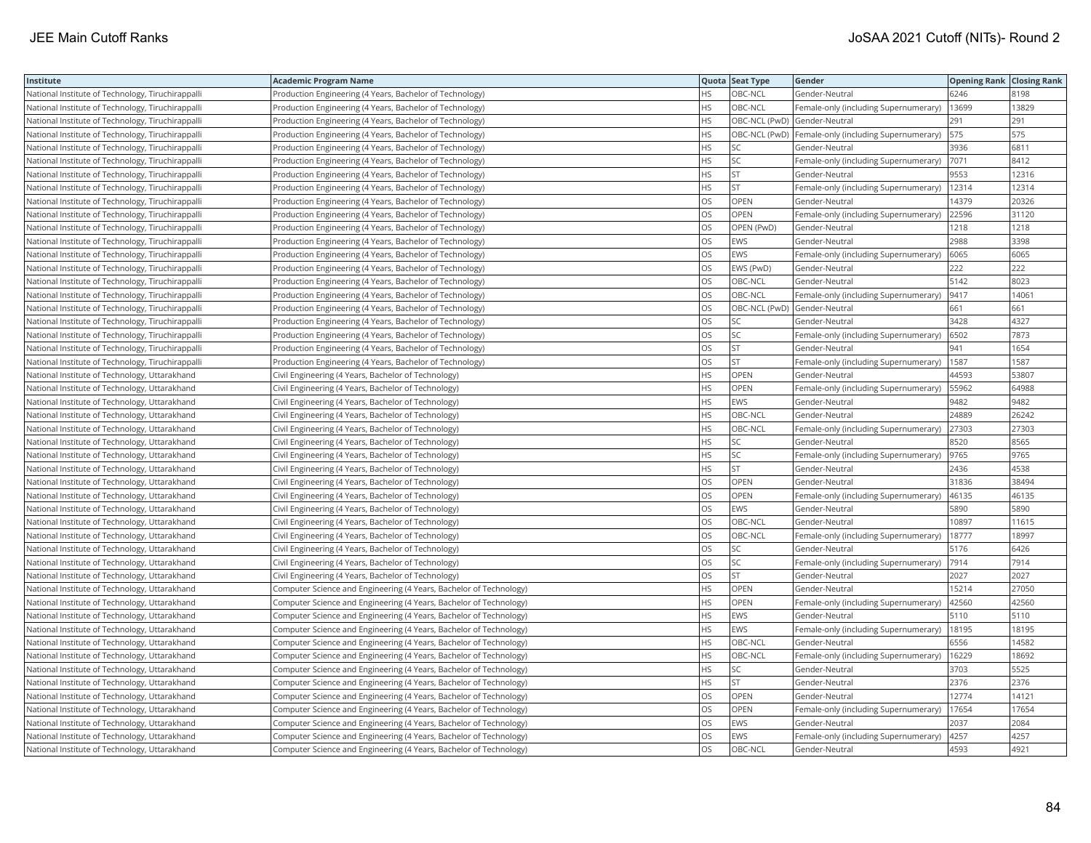| Institute                                         | <b>Academic Program Name</b>                                       |           | Quota Seat Type              | Gender                                              | <b>Opening Rank Closing Rank</b> |       |
|---------------------------------------------------|--------------------------------------------------------------------|-----------|------------------------------|-----------------------------------------------------|----------------------------------|-------|
| National Institute of Technology, Tiruchirappalli | Production Engineering (4 Years, Bachelor of Technology)           | HS.       | OBC-NCL                      | Gender-Neutral                                      | 6246                             | 8198  |
| National Institute of Technology, Tiruchirappalli | Production Engineering (4 Years, Bachelor of Technology)           | HS        | OBC-NCL                      | Female-only (including Supernumerary)               | 13699                            | 13829 |
| National Institute of Technology, Tiruchirappalli | Production Engineering (4 Years, Bachelor of Technology)           | <b>HS</b> | OBC-NCL (PwD) Gender-Neutral |                                                     | 291                              | 291   |
| National Institute of Technology, Tiruchirappalli | Production Engineering (4 Years, Bachelor of Technology)           | HS        |                              | OBC-NCL (PwD) Female-only (including Supernumerary) | 575                              | 575   |
| National Institute of Technology, Tiruchirappalli | Production Engineering (4 Years, Bachelor of Technology)           | <b>HS</b> | SC                           | Gender-Neutral                                      | 3936                             | 6811  |
| National Institute of Technology, Tiruchirappalli | Production Engineering (4 Years, Bachelor of Technology)           | HS        | SC                           | Female-only (including Supernumerary)               | 7071                             | 8412  |
| National Institute of Technology, Tiruchirappalli | Production Engineering (4 Years, Bachelor of Technology)           | HS        | <b>ST</b>                    | Gender-Neutral                                      | 9553                             | 12316 |
| National Institute of Technology, Tiruchirappalli | Production Engineering (4 Years, Bachelor of Technology)           | <b>HS</b> | <b>ST</b>                    | Female-only (including Supernumerary)               | 12314                            | 12314 |
| National Institute of Technology, Tiruchirappalli | Production Engineering (4 Years, Bachelor of Technology)           | <b>OS</b> | OPEN                         | Gender-Neutral                                      | 14379                            | 20326 |
| National Institute of Technology, Tiruchirappalli | Production Engineering (4 Years, Bachelor of Technology)           | OS        | OPEN                         | Female-only (including Supernumerary)               | 22596                            | 31120 |
| National Institute of Technology, Tiruchirappalli | Production Engineering (4 Years, Bachelor of Technology)           | OS        | OPEN (PwD)                   | Gender-Neutral                                      | 1218                             | 1218  |
| National Institute of Technology, Tiruchirappalli | Production Engineering (4 Years, Bachelor of Technology)           | OS        | EWS                          | Gender-Neutral                                      | 2988                             | 3398  |
| National Institute of Technology, Tiruchirappalli | Production Engineering (4 Years, Bachelor of Technology)           | OS        | EWS                          | Female-only (including Supernumerary)               | 6065                             | 6065  |
| National Institute of Technology, Tiruchirappalli | Production Engineering (4 Years, Bachelor of Technology)           | OS        | EWS (PwD)                    | Gender-Neutral                                      | 222                              | 222   |
| National Institute of Technology, Tiruchirappalli | Production Engineering (4 Years, Bachelor of Technology)           | OS        | OBC-NCL                      | Gender-Neutral                                      | 5142                             | 8023  |
| National Institute of Technology, Tiruchirappalli | Production Engineering (4 Years, Bachelor of Technology)           | OS        | OBC-NCL                      | Female-only (including Supernumerary)               | 9417                             | 14061 |
| National Institute of Technology, Tiruchirappalli | Production Engineering (4 Years, Bachelor of Technology)           | OS        |                              | OBC-NCL (PwD) Gender-Neutral                        | 661                              | 661   |
| National Institute of Technology, Tiruchirappalli | Production Engineering (4 Years, Bachelor of Technology)           | OS        | SC                           | Gender-Neutral                                      | 3428                             | 4327  |
| National Institute of Technology, Tiruchirappalli | Production Engineering (4 Years, Bachelor of Technology)           | OS        | SC                           | Female-only (including Supernumerary)               | 6502                             | 7873  |
| National Institute of Technology, Tiruchirappalli | Production Engineering (4 Years, Bachelor of Technology)           | OS        | ST                           | Gender-Neutral                                      | 941                              | 1654  |
| National Institute of Technology, Tiruchirappalli | Production Engineering (4 Years, Bachelor of Technology)           | OS        | <b>ST</b>                    | Female-only (including Supernumerary)               | 1587                             | 1587  |
| National Institute of Technology, Uttarakhand     | Civil Engineering (4 Years, Bachelor of Technology)                | <b>HS</b> | OPEN                         | Gender-Neutral                                      | 44593                            | 53807 |
| National Institute of Technology, Uttarakhand     | Civil Engineering (4 Years, Bachelor of Technology)                | <b>HS</b> | OPEN                         | Female-only (including Supernumerary)               | 55962                            | 64988 |
| National Institute of Technology, Uttarakhand     | Civil Engineering (4 Years, Bachelor of Technology)                | HS        | EWS                          | Gender-Neutral                                      | 9482                             | 9482  |
| National Institute of Technology, Uttarakhand     | Civil Engineering (4 Years, Bachelor of Technology)                | <b>HS</b> | OBC-NCL                      | Gender-Neutral                                      | 24889                            | 26242 |
| National Institute of Technology, Uttarakhand     | Civil Engineering (4 Years, Bachelor of Technology)                | <b>HS</b> | OBC-NCL                      | Female-only (including Supernumerary)               | 27303                            | 27303 |
| National Institute of Technology, Uttarakhand     | Civil Engineering (4 Years, Bachelor of Technology)                | <b>HS</b> | SC                           | Gender-Neutral                                      | 8520                             | 8565  |
| National Institute of Technology, Uttarakhand     | Civil Engineering (4 Years, Bachelor of Technology)                | HS        | SC                           | Female-only (including Supernumerary)               | 9765                             | 9765  |
| National Institute of Technology, Uttarakhand     | Civil Engineering (4 Years, Bachelor of Technology)                | HS.       | <b>ST</b>                    | Gender-Neutral                                      | 2436                             | 4538  |
| National Institute of Technology, Uttarakhand     | Civil Engineering (4 Years, Bachelor of Technology)                | <b>OS</b> | <b>OPEN</b>                  | Gender-Neutral                                      | 31836                            | 38494 |
| National Institute of Technology, Uttarakhand     | Civil Engineering (4 Years, Bachelor of Technology)                | OS        | OPEN                         | Female-only (including Supernumerary)               | 46135                            | 46135 |
| National Institute of Technology, Uttarakhand     | Civil Engineering (4 Years, Bachelor of Technology)                | OS        | <b>EWS</b>                   | Gender-Neutral                                      | 5890                             | 5890  |
| National Institute of Technology, Uttarakhand     | Civil Engineering (4 Years, Bachelor of Technology)                | OS        | OBC-NCL                      | Gender-Neutral                                      | 10897                            | 11615 |
| National Institute of Technology, Uttarakhand     | Civil Engineering (4 Years, Bachelor of Technology)                | OS        | OBC-NCL                      | Female-only (including Supernumerary)               | 18777                            | 18997 |
| National Institute of Technology, Uttarakhand     | Civil Engineering (4 Years, Bachelor of Technology)                | OS        | SC                           | Gender-Neutral                                      | 5176                             | 6426  |
| National Institute of Technology, Uttarakhand     | Civil Engineering (4 Years, Bachelor of Technology)                | OS        | SC                           | Female-only (including Supernumerary)               | 7914                             | 7914  |
| National Institute of Technology, Uttarakhand     | Civil Engineering (4 Years, Bachelor of Technology)                | OS        | <b>ST</b>                    | Gender-Neutral                                      | 2027                             | 2027  |
| National Institute of Technology, Uttarakhand     | Computer Science and Engineering (4 Years, Bachelor of Technology) | HS        | OPEN                         | Gender-Neutral                                      | 15214                            | 27050 |
| National Institute of Technology, Uttarakhand     | Computer Science and Engineering (4 Years, Bachelor of Technology) | <b>HS</b> | OPEN                         | Female-only (including Supernumerary)               | 42560                            | 42560 |
| National Institute of Technology, Uttarakhand     | Computer Science and Engineering (4 Years, Bachelor of Technology) | <b>HS</b> | EWS                          | Gender-Neutral                                      | 5110                             | 5110  |
| National Institute of Technology, Uttarakhand     | Computer Science and Engineering (4 Years, Bachelor of Technology) | HS        | EWS                          | Female-only (including Supernumerary)               | 18195                            | 18195 |
| National Institute of Technology, Uttarakhand     | Computer Science and Engineering (4 Years, Bachelor of Technology) | HS        | OBC-NCL                      | Gender-Neutral                                      | 6556                             | 14582 |
| National Institute of Technology, Uttarakhand     | Computer Science and Engineering (4 Years, Bachelor of Technology) | HS        | OBC-NCL                      | Female-only (including Supernumerary)               | 16229                            | 18692 |
| National Institute of Technology, Uttarakhand     | Computer Science and Engineering (4 Years, Bachelor of Technology) | HS        | SC                           | Gender-Neutral                                      | 3703                             | 5525  |
| National Institute of Technology, Uttarakhand     | Computer Science and Engineering (4 Years, Bachelor of Technology) | HS        | <b>ST</b>                    | Gender-Neutral                                      | 2376                             | 2376  |
| National Institute of Technology, Uttarakhand     | Computer Science and Engineering (4 Years, Bachelor of Technology) | OS        | OPEN                         | Gender-Neutral                                      | 12774                            | 14121 |
| National Institute of Technology, Uttarakhand     | Computer Science and Engineering (4 Years, Bachelor of Technology) | OS        | OPEN                         | Female-only (including Supernumerary)               | 17654                            | 17654 |
| National Institute of Technology, Uttarakhand     | Computer Science and Engineering (4 Years, Bachelor of Technology) | OS        | <b>EWS</b>                   | Gender-Neutral                                      | 2037                             | 2084  |
| National Institute of Technology, Uttarakhand     | Computer Science and Engineering (4 Years, Bachelor of Technology) | OS        | EWS                          | Female-only (including Supernumerary)               | 4257                             | 4257  |
| National Institute of Technology, Uttarakhand     | Computer Science and Engineering (4 Years, Bachelor of Technology) | <b>OS</b> | OBC-NCL                      | Gender-Neutral                                      | 4593                             | 4921  |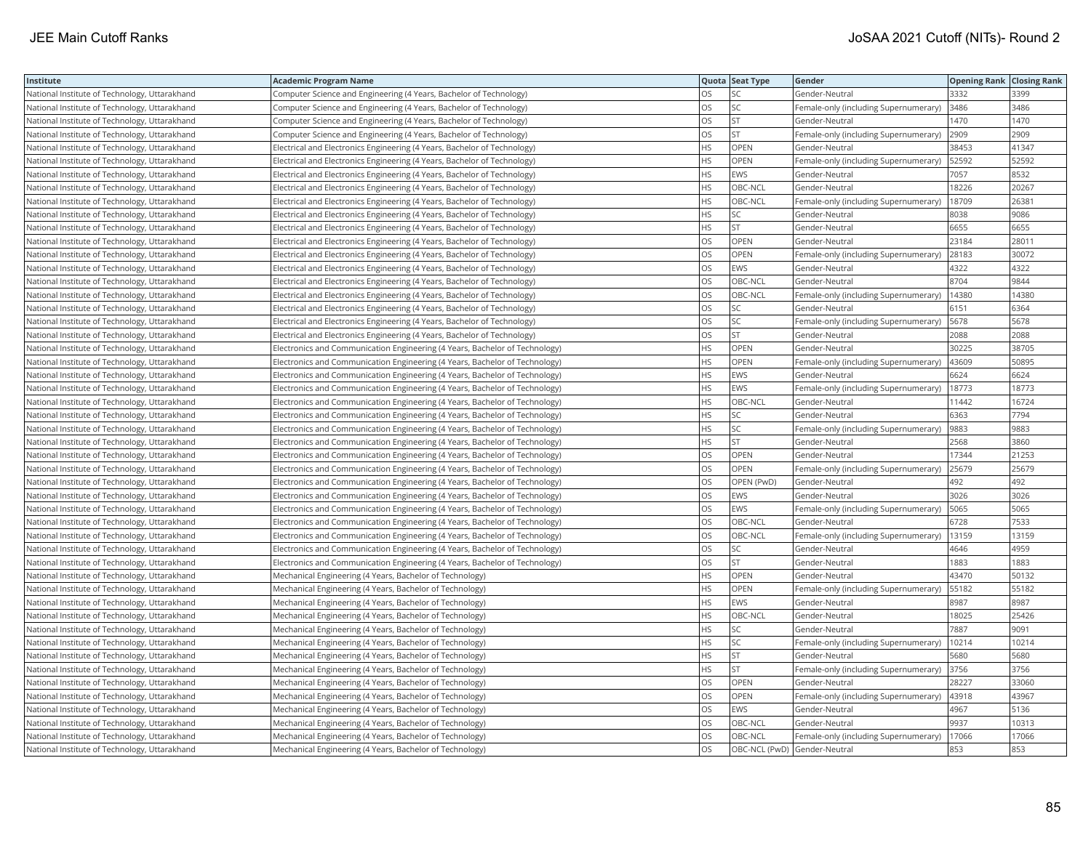| Institute                                     | <b>Academic Program Name</b>                                                |           | Quota Seat Type              | Gender                                | <b>Opening Rank Closing Rank</b> |       |
|-----------------------------------------------|-----------------------------------------------------------------------------|-----------|------------------------------|---------------------------------------|----------------------------------|-------|
| National Institute of Technology, Uttarakhand | Computer Science and Engineering (4 Years, Bachelor of Technology)          | OS.       | SC                           | Gender-Neutral                        | 3332                             | 3399  |
| National Institute of Technology, Uttarakhand | Computer Science and Engineering (4 Years, Bachelor of Technology)          | OS        | SC                           | Female-only (including Supernumerary) | 3486                             | 3486  |
| National Institute of Technology, Uttarakhand | Computer Science and Engineering (4 Years, Bachelor of Technology)          | OS        | ST                           | Gender-Neutral                        | 1470                             | 1470  |
| National Institute of Technology, Uttarakhand | Computer Science and Engineering (4 Years, Bachelor of Technology)          | OS        | <b>ST</b>                    | Female-only (including Supernumerary) | 2909                             | 2909  |
| National Institute of Technology, Uttarakhand | Electrical and Electronics Engineering (4 Years, Bachelor of Technology)    | HS        | OPEN                         | Gender-Neutral                        | 38453                            | 41347 |
| National Institute of Technology, Uttarakhand | Electrical and Electronics Engineering (4 Years, Bachelor of Technology)    | <b>HS</b> | <b>OPEN</b>                  | Female-only (including Supernumerary) | 52592                            | 52592 |
| National Institute of Technology, Uttarakhand | Electrical and Electronics Engineering (4 Years, Bachelor of Technology)    | <b>HS</b> | EWS                          | Gender-Neutral                        | 7057                             | 8532  |
| National Institute of Technology, Uttarakhand | Electrical and Electronics Engineering (4 Years, Bachelor of Technology)    | <b>HS</b> | OBC-NCL                      | Gender-Neutral                        | 18226                            | 20267 |
| National Institute of Technology, Uttarakhand | Electrical and Electronics Engineering (4 Years, Bachelor of Technology)    | HS        | OBC-NCL                      | Female-only (including Supernumerary) | 18709                            | 26381 |
| National Institute of Technology, Uttarakhand | Electrical and Electronics Engineering (4 Years, Bachelor of Technology)    | <b>HS</b> | SC                           | Gender-Neutral                        | 8038                             | 9086  |
| National Institute of Technology, Uttarakhand | Electrical and Electronics Engineering (4 Years, Bachelor of Technology)    | <b>HS</b> | <b>ST</b>                    | Gender-Neutral                        | 6655                             | 6655  |
| National Institute of Technology, Uttarakhand | Electrical and Electronics Engineering (4 Years, Bachelor of Technology)    | OS        | OPEN                         | Gender-Neutral                        | 23184                            | 28011 |
| National Institute of Technology, Uttarakhand | Electrical and Electronics Engineering (4 Years, Bachelor of Technology)    | OS        | OPEN                         | Female-only (including Supernumerary) | 28183                            | 30072 |
| National Institute of Technology, Uttarakhand | Electrical and Electronics Engineering (4 Years, Bachelor of Technology)    | OS        | EWS                          | Gender-Neutral                        | 4322                             | 4322  |
| National Institute of Technology, Uttarakhand | Electrical and Electronics Engineering (4 Years, Bachelor of Technology)    | OS        | OBC-NCL                      | Gender-Neutral                        | 8704                             | 9844  |
| National Institute of Technology, Uttarakhand | Electrical and Electronics Engineering (4 Years, Bachelor of Technology)    | OS        | OBC-NCL                      | Female-only (including Supernumerary) | 14380                            | 14380 |
| National Institute of Technology, Uttarakhand | Electrical and Electronics Engineering (4 Years, Bachelor of Technology)    | OS        | SC                           | Gender-Neutral                        | 6151                             | 6364  |
| National Institute of Technology, Uttarakhand | Electrical and Electronics Engineering (4 Years, Bachelor of Technology)    | <b>OS</b> | SC                           | Female-only (including Supernumerary) | 5678                             | 5678  |
| National Institute of Technology, Uttarakhand | Electrical and Electronics Engineering (4 Years, Bachelor of Technology)    | OS        | ST                           | Gender-Neutral                        | 2088                             | 2088  |
| National Institute of Technology, Uttarakhand | Electronics and Communication Engineering (4 Years, Bachelor of Technology) | <b>HS</b> | OPEN                         | Gender-Neutral                        | 30225                            | 38705 |
| National Institute of Technology, Uttarakhand | Electronics and Communication Engineering (4 Years, Bachelor of Technology) | HS        | OPEN                         | Female-only (including Supernumerary) | 43609                            | 50895 |
| National Institute of Technology, Uttarakhand | Electronics and Communication Engineering (4 Years, Bachelor of Technology) | <b>HS</b> | <b>EWS</b>                   | Gender-Neutral                        | 6624                             | 6624  |
| National Institute of Technology, Uttarakhand | Electronics and Communication Engineering (4 Years, Bachelor of Technology) | <b>HS</b> | EWS                          | Female-only (including Supernumerary) | 18773                            | 18773 |
| National Institute of Technology, Uttarakhand | Electronics and Communication Engineering (4 Years, Bachelor of Technology) | <b>HS</b> | OBC-NCL                      | Gender-Neutral                        | 11442                            | 16724 |
| National Institute of Technology, Uttarakhand | Electronics and Communication Engineering (4 Years, Bachelor of Technology) | HS        | SC                           | Gender-Neutral                        | 6363                             | 7794  |
| National Institute of Technology, Uttarakhand | Electronics and Communication Engineering (4 Years, Bachelor of Technology) | HS        | SC                           | Female-only (including Supernumerary) | 9883                             | 9883  |
| National Institute of Technology, Uttarakhand | Electronics and Communication Engineering (4 Years, Bachelor of Technology) | <b>HS</b> | <b>ST</b>                    | Gender-Neutral                        | 2568                             | 3860  |
| National Institute of Technology, Uttarakhand | Electronics and Communication Engineering (4 Years, Bachelor of Technology) | OS        | OPEN                         | Gender-Neutral                        | 17344                            | 21253 |
| National Institute of Technology, Uttarakhand | Electronics and Communication Engineering (4 Years, Bachelor of Technology) | OS        | <b>OPEN</b>                  | Female-only (including Supernumerary) | 25679                            | 25679 |
| National Institute of Technology, Uttarakhand | Electronics and Communication Engineering (4 Years, Bachelor of Technology) | OS        | OPEN (PwD)                   | Gender-Neutral                        | 492                              | 492   |
| National Institute of Technology, Uttarakhand | Electronics and Communication Engineering (4 Years, Bachelor of Technology) | <b>OS</b> | <b>EWS</b>                   | Gender-Neutral                        | 3026                             | 3026  |
| National Institute of Technology, Uttarakhand | Electronics and Communication Engineering (4 Years, Bachelor of Technology) | <b>OS</b> | EWS                          | Female-only (including Supernumerary) | 5065                             | 5065  |
| National Institute of Technology, Uttarakhand | Electronics and Communication Engineering (4 Years, Bachelor of Technology) | OS        | OBC-NCL                      | Gender-Neutral                        | 6728                             | 7533  |
| National Institute of Technology, Uttarakhand | Electronics and Communication Engineering (4 Years, Bachelor of Technology) | OS        | OBC-NCL                      | Female-only (including Supernumerary) | 13159                            | 13159 |
| National Institute of Technology, Uttarakhand | Electronics and Communication Engineering (4 Years, Bachelor of Technology) | OS        | SC                           | Gender-Neutral                        | 4646                             | 4959  |
| National Institute of Technology, Uttarakhand | Electronics and Communication Engineering (4 Years, Bachelor of Technology) | OS        | <b>ST</b>                    | Gender-Neutral                        | 1883                             | 1883  |
| National Institute of Technology, Uttarakhand | Mechanical Engineering (4 Years, Bachelor of Technology)                    | <b>HS</b> | OPEN                         | Gender-Neutral                        | 43470                            | 50132 |
| National Institute of Technology, Uttarakhand | Mechanical Engineering (4 Years, Bachelor of Technology)                    | HS        | <b>OPEN</b>                  | Female-only (including Supernumerary) | 55182                            | 55182 |
| National Institute of Technology, Uttarakhand | Mechanical Engineering (4 Years, Bachelor of Technology)                    | <b>HS</b> | EWS                          | Gender-Neutral                        | 8987                             | 8987  |
| National Institute of Technology, Uttarakhand | Mechanical Engineering (4 Years, Bachelor of Technology)                    | HS        | OBC-NCL                      | Gender-Neutral                        | 18025                            | 25426 |
| National Institute of Technology, Uttarakhand | Mechanical Engineering (4 Years, Bachelor of Technology)                    | HS        | SC                           | Gender-Neutral                        | 7887                             | 9091  |
| National Institute of Technology, Uttarakhand | Mechanical Engineering (4 Years, Bachelor of Technology)                    | <b>HS</b> | <b>SC</b>                    | Female-only (including Supernumerary) | 10214                            | 10214 |
| National Institute of Technology, Uttarakhand | Mechanical Engineering (4 Years, Bachelor of Technology)                    | HS        | ST                           | Gender-Neutral                        | 5680                             | 5680  |
| National Institute of Technology, Uttarakhand | Mechanical Engineering (4 Years, Bachelor of Technology)                    | <b>HS</b> | ST                           | Female-only (including Supernumerary) | 3756                             | 3756  |
| National Institute of Technology, Uttarakhand | Mechanical Engineering (4 Years, Bachelor of Technology)                    | OS        | OPEN                         | Gender-Neutral                        | 28227                            | 33060 |
| National Institute of Technology, Uttarakhand | Mechanical Engineering (4 Years, Bachelor of Technology)                    | <b>OS</b> | OPEN                         | Female-only (including Supernumerary) | 43918                            | 43967 |
| National Institute of Technology, Uttarakhand | Mechanical Engineering (4 Years, Bachelor of Technology)                    | OS        | EWS                          | Gender-Neutral                        | 4967                             | 5136  |
| National Institute of Technology, Uttarakhand | Mechanical Engineering (4 Years, Bachelor of Technology)                    | <b>OS</b> | OBC-NCL                      | Gender-Neutral                        | 9937                             | 10313 |
| National Institute of Technology, Uttarakhand | Mechanical Engineering (4 Years, Bachelor of Technology)                    | OS        | OBC-NCL                      | Female-only (including Supernumerary) | 17066                            | 17066 |
| National Institute of Technology, Uttarakhand | Mechanical Engineering (4 Years, Bachelor of Technology)                    | <b>OS</b> | OBC-NCL (PwD) Gender-Neutral |                                       | 853                              | 853   |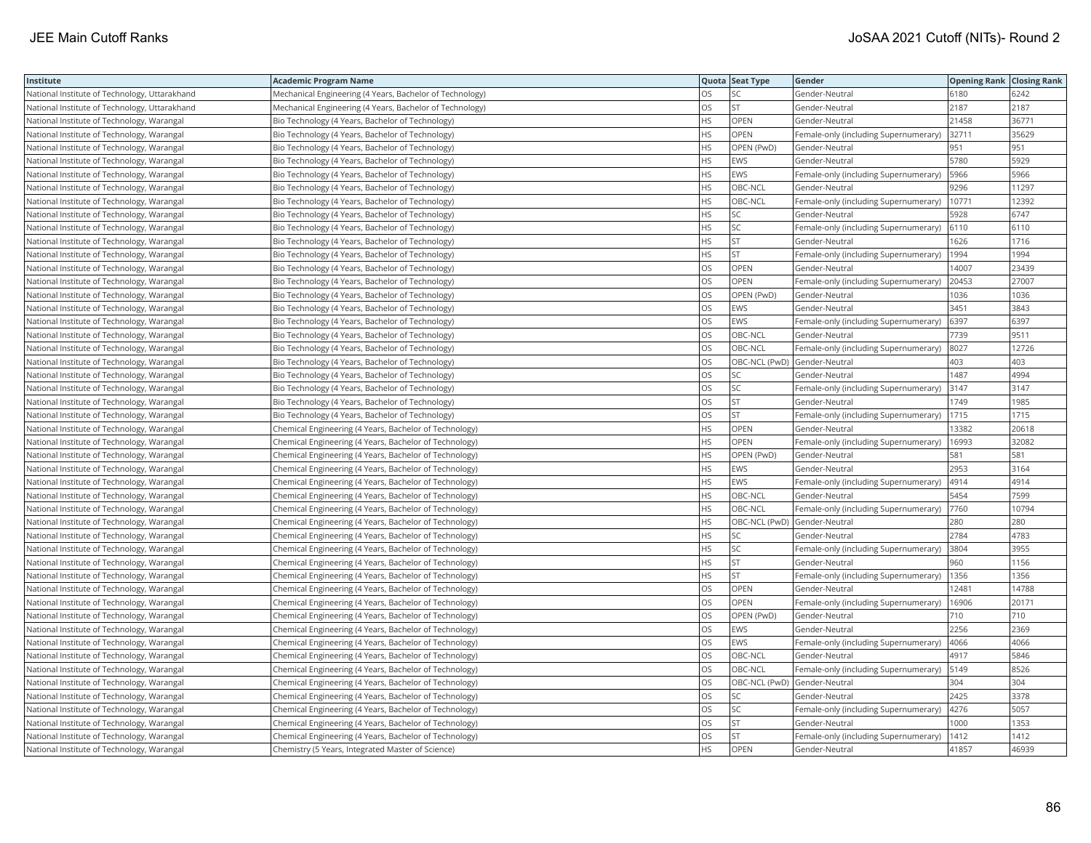| Institute                                     | <b>Academic Program Name</b>                             |           | Quota Seat Type | Gender                                | <b>Opening Rank Closing Rank</b> |       |
|-----------------------------------------------|----------------------------------------------------------|-----------|-----------------|---------------------------------------|----------------------------------|-------|
| National Institute of Technology, Uttarakhand | Mechanical Engineering (4 Years, Bachelor of Technology) | OS.       | SC              | Gender-Neutral                        | 6180                             | 6242  |
| National Institute of Technology, Uttarakhand | Mechanical Engineering (4 Years, Bachelor of Technology) | OS        | <b>ST</b>       | Gender-Neutral                        | 2187                             | 2187  |
| National Institute of Technology, Warangal    | Bio Technology (4 Years, Bachelor of Technology)         | <b>HS</b> | OPEN            | Gender-Neutral                        | 21458                            | 36771 |
| National Institute of Technology, Warangal    | Bio Technology (4 Years, Bachelor of Technology)         | <b>HS</b> | OPEN            | Female-only (including Supernumerary) | 32711                            | 35629 |
| National Institute of Technology, Warangal    | Bio Technology (4 Years, Bachelor of Technology)         | <b>HS</b> | OPEN (PwD)      | Gender-Neutral                        | 951                              | 951   |
| National Institute of Technology, Warangal    | Bio Technology (4 Years, Bachelor of Technology)         | <b>HS</b> | EWS             | Gender-Neutral                        | 5780                             | 5929  |
| National Institute of Technology, Warangal    | Bio Technology (4 Years, Bachelor of Technology)         | <b>HS</b> | <b>EWS</b>      | Female-only (including Supernumerary) | 5966                             | 5966  |
| National Institute of Technology, Warangal    | Bio Technology (4 Years, Bachelor of Technology)         | <b>HS</b> | OBC-NCL         | Gender-Neutral                        | 9296                             | 11297 |
| National Institute of Technology, Warangal    | Bio Technology (4 Years, Bachelor of Technology)         | <b>HS</b> | OBC-NCL         | Female-only (including Supernumerary) | 10771                            | 12392 |
| National Institute of Technology, Warangal    | Bio Technology (4 Years, Bachelor of Technology)         | <b>HS</b> | SC              | Gender-Neutral                        | 5928                             | 6747  |
| National Institute of Technology, Warangal    | Bio Technology (4 Years, Bachelor of Technology)         | <b>HS</b> | SC              | Female-only (including Supernumerary) | 6110                             | 6110  |
| National Institute of Technology, Warangal    | Bio Technology (4 Years, Bachelor of Technology)         | <b>HS</b> | ST              | Gender-Neutral                        | 1626                             | 1716  |
| National Institute of Technology, Warangal    | Bio Technology (4 Years, Bachelor of Technology)         | HS        | ST.             | Female-only (including Supernumerary) | 1994                             | 1994  |
| National Institute of Technology, Warangal    | Bio Technology (4 Years, Bachelor of Technology)         | <b>OS</b> | OPEN            | Gender-Neutral                        | 14007                            | 23439 |
| National Institute of Technology, Warangal    | Bio Technology (4 Years, Bachelor of Technology)         | OS        | OPEN            | Female-only (including Supernumerary) | 20453                            | 27007 |
| National Institute of Technology, Warangal    | Bio Technology (4 Years, Bachelor of Technology)         | OS        | OPEN (PwD)      | Gender-Neutral                        | 1036                             | 1036  |
| National Institute of Technology, Warangal    | Bio Technology (4 Years, Bachelor of Technology)         | OS        | EWS             | Gender-Neutral                        | 3451                             | 3843  |
| National Institute of Technology, Warangal    | Bio Technology (4 Years, Bachelor of Technology)         | <b>OS</b> | EWS             | Female-only (including Supernumerary) | 6397                             | 6397  |
| National Institute of Technology, Warangal    | Bio Technology (4 Years, Bachelor of Technology)         | los       | OBC-NCL         | Gender-Neutral                        | 7739                             | 9511  |
| National Institute of Technology, Warangal    | Bio Technology (4 Years, Bachelor of Technology)         | OS        | OBC-NCL         | Female-only (including Supernumerary) | 8027                             | 12726 |
| National Institute of Technology, Warangal    | Bio Technology (4 Years, Bachelor of Technology)         | los       |                 | OBC-NCL (PwD) Gender-Neutral          | 403                              | 403   |
| National Institute of Technology, Warangal    | Bio Technology (4 Years, Bachelor of Technology)         | los       | SC              | Gender-Neutral                        | 1487                             | 4994  |
| National Institute of Technology, Warangal    | Bio Technology (4 Years, Bachelor of Technology)         | OS        | SC              | Female-only (including Supernumerary) | 3147                             | 3147  |
| National Institute of Technology, Warangal    | Bio Technology (4 Years, Bachelor of Technology)         | OS        | <b>ST</b>       | Gender-Neutral                        | 1749                             | 1985  |
| National Institute of Technology, Warangal    | Bio Technology (4 Years, Bachelor of Technology)         | los       | <b>ST</b>       | Female-only (including Supernumerary) | 1715                             | 1715  |
| National Institute of Technology, Warangal    | Chemical Engineering (4 Years, Bachelor of Technology)   | <b>HS</b> | OPEN            | Gender-Neutral                        | 13382                            | 20618 |
| National Institute of Technology, Warangal    | Chemical Engineering (4 Years, Bachelor of Technology)   | <b>HS</b> | OPEN            | Female-only (including Supernumerary) | 16993                            | 32082 |
| National Institute of Technology, Warangal    | Chemical Engineering (4 Years, Bachelor of Technology)   | HS        | OPEN (PwD)      | Gender-Neutral                        | 581                              | 581   |
| National Institute of Technology, Warangal    | Chemical Engineering (4 Years, Bachelor of Technology)   | <b>HS</b> | <b>EWS</b>      | Gender-Neutral                        | 2953                             | 3164  |
| National Institute of Technology, Warangal    | Chemical Engineering (4 Years, Bachelor of Technology)   | HS        | EWS             | Female-only (including Supernumerary) | 4914                             | 4914  |
| National Institute of Technology, Warangal    | Chemical Engineering (4 Years, Bachelor of Technology)   | <b>HS</b> | OBC-NCL         | Gender-Neutral                        | 5454                             | 7599  |
| National Institute of Technology, Warangal    | Chemical Engineering (4 Years, Bachelor of Technology)   | <b>HS</b> | OBC-NCL         | Female-only (including Supernumerary) | 7760                             | 10794 |
| National Institute of Technology, Warangal    | Chemical Engineering (4 Years, Bachelor of Technology)   | <b>HS</b> |                 | OBC-NCL (PwD) Gender-Neutral          | 280                              | 280   |
| National Institute of Technology, Warangal    | Chemical Engineering (4 Years, Bachelor of Technology)   | HS        | SC              | Gender-Neutral                        | 2784                             | 4783  |
| National Institute of Technology, Warangal    | Chemical Engineering (4 Years, Bachelor of Technology)   | <b>HS</b> | SC              | Female-only (including Supernumerary) | 3804                             | 3955  |
| National Institute of Technology, Warangal    | Chemical Engineering (4 Years, Bachelor of Technology)   | <b>HS</b> | <b>ST</b>       | Gender-Neutral                        | 960                              | 1156  |
| National Institute of Technology, Warangal    | Chemical Engineering (4 Years, Bachelor of Technology)   | <b>HS</b> | <b>ST</b>       | Female-only (including Supernumerary) | 1356                             | 1356  |
| National Institute of Technology, Warangal    | Chemical Engineering (4 Years, Bachelor of Technology)   | <b>OS</b> | OPEN            | Gender-Neutral                        | 12481                            | 14788 |
| National Institute of Technology, Warangal    | Chemical Engineering (4 Years, Bachelor of Technology)   | <b>OS</b> | OPEN            | Female-only (including Supernumerary) | 16906                            | 20171 |
| National Institute of Technology, Warangal    | Chemical Engineering (4 Years, Bachelor of Technology)   | OS        | OPEN (PwD)      | Gender-Neutral                        | 710                              | 710   |
| National Institute of Technology, Warangal    | Chemical Engineering (4 Years, Bachelor of Technology)   | OS        | EWS             | Gender-Neutral                        | 2256                             | 2369  |
| National Institute of Technology, Warangal    | Chemical Engineering (4 Years, Bachelor of Technology)   | <b>OS</b> | EWS             | Female-only (including Supernumerary) | 4066                             | 4066  |
| National Institute of Technology, Warangal    | Chemical Engineering (4 Years, Bachelor of Technology)   | OS        | OBC-NCL         | Gender-Neutral                        | 4917                             | 5846  |
| National Institute of Technology, Warangal    | Chemical Engineering (4 Years, Bachelor of Technology)   | <b>OS</b> | OBC-NCL         | Female-only (including Supernumerary) | 5149                             | 8526  |
| National Institute of Technology, Warangal    | Chemical Engineering (4 Years, Bachelor of Technology)   | OS        |                 | OBC-NCL (PwD) Gender-Neutral          | 304                              | 304   |
| National Institute of Technology, Warangal    | Chemical Engineering (4 Years, Bachelor of Technology)   | OS        | SC.             | Gender-Neutral                        | 2425                             | 3378  |
| National Institute of Technology, Warangal    | Chemical Engineering (4 Years, Bachelor of Technology)   | OS        | SC              | Female-only (including Supernumerary) | 4276                             | 5057  |
| National Institute of Technology, Warangal    | Chemical Engineering (4 Years, Bachelor of Technology)   | OS        | <b>ST</b>       | Gender-Neutral                        | 1000                             | 1353  |
| National Institute of Technology, Warangal    | Chemical Engineering (4 Years, Bachelor of Technology)   | OS        | <b>ST</b>       | Female-only (including Supernumerary) | 1412                             | 1412  |
| National Institute of Technology, Warangal    | Chemistry (5 Years, Integrated Master of Science)        | <b>HS</b> | OPEN            | Gender-Neutral                        | 41857                            | 46939 |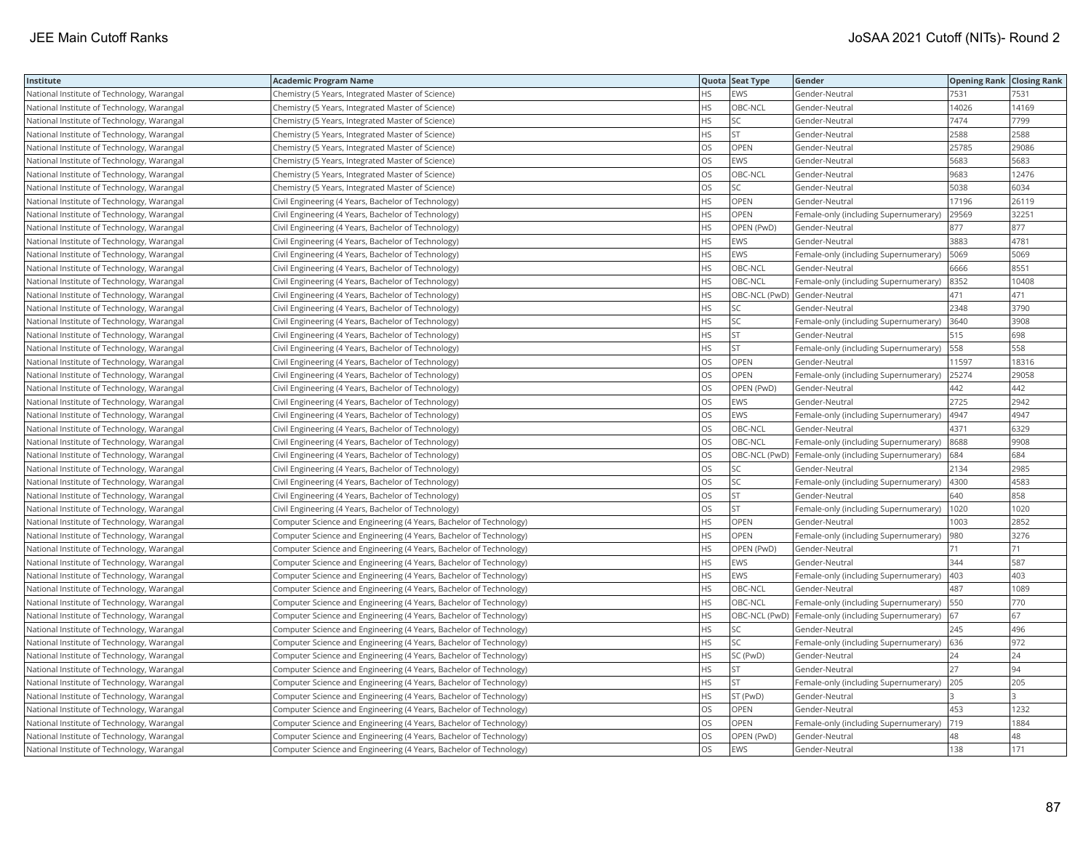| Institute                                  | <b>Academic Program Name</b>                                       |           | Quota Seat Type | Gender                                              | <b>Opening Rank Closing Rank</b> |       |
|--------------------------------------------|--------------------------------------------------------------------|-----------|-----------------|-----------------------------------------------------|----------------------------------|-------|
| National Institute of Technology, Warangal | Chemistry (5 Years, Integrated Master of Science)                  | HS        | <b>EWS</b>      | Gender-Neutral                                      | 7531                             | 7531  |
| National Institute of Technology, Warangal | Chemistry (5 Years, Integrated Master of Science)                  | HS        | OBC-NCL         | Gender-Neutral                                      | 14026                            | 14169 |
| National Institute of Technology, Warangal | Chemistry (5 Years, Integrated Master of Science)                  | HS        | SC              | Gender-Neutral                                      | 7474                             | 7799  |
| National Institute of Technology, Warangal | Chemistry (5 Years, Integrated Master of Science)                  | <b>HS</b> | ST              | Gender-Neutral                                      | 2588                             | 2588  |
| National Institute of Technology, Warangal | Chemistry (5 Years, Integrated Master of Science)                  | OS        | OPEN            | Gender-Neutral                                      | 25785                            | 29086 |
| National Institute of Technology, Warangal | Chemistry (5 Years, Integrated Master of Science)                  | OS        | EWS             | Gender-Neutral                                      | 5683                             | 5683  |
| National Institute of Technology, Warangal | Chemistry (5 Years, Integrated Master of Science)                  | <b>OS</b> | OBC-NCL         | Gender-Neutral                                      | 9683                             | 12476 |
| National Institute of Technology, Warangal | Chemistry (5 Years, Integrated Master of Science)                  | OS        | SC              | Gender-Neutral                                      | 5038                             | 6034  |
| National Institute of Technology, Warangal | Civil Engineering (4 Years, Bachelor of Technology)                | HS        | OPEN            | Gender-Neutral                                      | 17196                            | 26119 |
| National Institute of Technology, Warangal | Civil Engineering (4 Years, Bachelor of Technology)                | <b>HS</b> | <b>OPEN</b>     | Female-only (including Supernumerary)               | 29569                            | 32251 |
| National Institute of Technology, Warangal | Civil Engineering (4 Years, Bachelor of Technology)                | <b>HS</b> | OPEN (PwD)      | Gender-Neutral                                      | 877                              | 877   |
| National Institute of Technology, Warangal | Civil Engineering (4 Years, Bachelor of Technology)                | HS        | EWS             | Gender-Neutral                                      | 3883                             | 4781  |
| National Institute of Technology, Warangal | Civil Engineering (4 Years, Bachelor of Technology)                | HS        | EWS             | Female-only (including Supernumerary)               | 5069                             | 5069  |
| National Institute of Technology, Warangal | Civil Engineering (4 Years, Bachelor of Technology)                | <b>HS</b> | OBC-NCL         | Gender-Neutral                                      | 6666                             | 8551  |
| National Institute of Technology, Warangal | Civil Engineering (4 Years, Bachelor of Technology)                | HS        | OBC-NCL         | Female-only (including Supernumerary)               | 8352                             | 10408 |
| National Institute of Technology, Warangal | Civil Engineering (4 Years, Bachelor of Technology)                | <b>HS</b> |                 | OBC-NCL (PwD) Gender-Neutral                        | 471                              | 471   |
| National Institute of Technology, Warangal | Civil Engineering (4 Years, Bachelor of Technology)                | HS        | SC              | Gender-Neutral                                      | 2348                             | 3790  |
| National Institute of Technology, Warangal | Civil Engineering (4 Years, Bachelor of Technology)                | <b>HS</b> | SC              | Female-only (including Supernumerary)               | 3640                             | 3908  |
| National Institute of Technology, Warangal | Civil Engineering (4 Years, Bachelor of Technology)                | HS        | ST              | Gender-Neutral                                      | 515                              | 698   |
| National Institute of Technology, Warangal | Civil Engineering (4 Years, Bachelor of Technology)                | HS        | <b>ST</b>       | Female-only (including Supernumerary)               | 558                              | 558   |
| National Institute of Technology, Warangal | Civil Engineering (4 Years, Bachelor of Technology)                | OS        | OPEN            | Gender-Neutral                                      | 11597                            | 18316 |
| National Institute of Technology, Warangal | Civil Engineering (4 Years, Bachelor of Technology)                | <b>OS</b> | OPEN            | Female-only (including Supernumerary)               | 25274                            | 29058 |
| National Institute of Technology, Warangal | Civil Engineering (4 Years, Bachelor of Technology)                | OS        | OPEN (PwD)      | Gender-Neutral                                      | 442                              | 442   |
| National Institute of Technology, Warangal | Civil Engineering (4 Years, Bachelor of Technology)                | OS        | EWS             | Gender-Neutral                                      | 2725                             | 2942  |
| National Institute of Technology, Warangal | Civil Engineering (4 Years, Bachelor of Technology)                | OS        | EWS             | Female-only (including Supernumerary)               | 4947                             | 4947  |
| National Institute of Technology, Warangal | Civil Engineering (4 Years, Bachelor of Technology)                | OS        | OBC-NCL         | Gender-Neutral                                      | 4371                             | 6329  |
| National Institute of Technology, Warangal | Civil Engineering (4 Years, Bachelor of Technology)                | <b>OS</b> | OBC-NCL         | Female-only (including Supernumerary)               | 8688                             | 9908  |
| National Institute of Technology, Warangal | Civil Engineering (4 Years, Bachelor of Technology)                | OS        |                 | OBC-NCL (PwD) Female-only (including Supernumerary) | 684                              | 684   |
| National Institute of Technology, Warangal | Civil Engineering (4 Years, Bachelor of Technology)                | <b>OS</b> | SC              | Gender-Neutral                                      | 2134                             | 2985  |
| National Institute of Technology, Warangal | Civil Engineering (4 Years, Bachelor of Technology)                | OS        | SC              | Female-only (including Supernumerary)               | 4300                             | 4583  |
| National Institute of Technology, Warangal | Civil Engineering (4 Years, Bachelor of Technology)                | OS        | <b>ST</b>       | Gender-Neutral                                      | 640                              | 858   |
| National Institute of Technology, Warangal | Civil Engineering (4 Years, Bachelor of Technology)                | OS        | ST              | Female-only (including Supernumerary)               | 1020                             | 1020  |
| National Institute of Technology, Warangal | Computer Science and Engineering (4 Years, Bachelor of Technology) | <b>HS</b> | OPEN            | Gender-Neutral                                      | 1003                             | 2852  |
| National Institute of Technology, Warangal | Computer Science and Engineering (4 Years, Bachelor of Technology) | <b>HS</b> | OPEN            | Female-only (including Supernumerary)               | 980                              | 3276  |
| National Institute of Technology, Warangal | Computer Science and Engineering (4 Years, Bachelor of Technology) | HS        | OPEN (PwD)      | Gender-Neutral                                      | 71                               | 71    |
| National Institute of Technology, Warangal | Computer Science and Engineering (4 Years, Bachelor of Technology) | <b>HS</b> | EWS             | Gender-Neutral                                      | 344                              | 587   |
| National Institute of Technology, Warangal | Computer Science and Engineering (4 Years, Bachelor of Technology) | <b>HS</b> | EWS             | Female-only (including Supernumerary)               | 403                              | 403   |
| National Institute of Technology, Warangal | Computer Science and Engineering (4 Years, Bachelor of Technology) | <b>HS</b> | OBC-NCL         | Gender-Neutral                                      | 487                              | 1089  |
| National Institute of Technology, Warangal | Computer Science and Engineering (4 Years, Bachelor of Technology) | HS        | OBC-NCL         | Female-only (including Supernumerary)   550         |                                  | 770   |
| National Institute of Technology, Warangal | Computer Science and Engineering (4 Years, Bachelor of Technology) | <b>HS</b> |                 | OBC-NCL (PwD) Female-only (including Supernumerary) | 67                               | 67    |
| National Institute of Technology, Warangal | Computer Science and Engineering (4 Years, Bachelor of Technology) | HS        | SC              | Gender-Neutral                                      | 245                              | 496   |
| National Institute of Technology, Warangal | Computer Science and Engineering (4 Years, Bachelor of Technology) | HS        | SC              | Female-only (including Supernumerary)               | 636                              | 972   |
| National Institute of Technology, Warangal | Computer Science and Engineering (4 Years, Bachelor of Technology) | HS.       | SC (PwD)        | Gender-Neutral                                      | 24                               | 24    |
| National Institute of Technology, Warangal | Computer Science and Engineering (4 Years, Bachelor of Technology) | <b>HS</b> | <b>ST</b>       | Gender-Neutral                                      | 27                               | 94    |
| National Institute of Technology, Warangal | Computer Science and Engineering (4 Years, Bachelor of Technology) | HS        | ST              | Female-only (including Supernumerary)               | 205                              | 205   |
| National Institute of Technology, Warangal | Computer Science and Engineering (4 Years, Bachelor of Technology) | <b>HS</b> | ST (PwD)        | Gender-Neutral                                      |                                  |       |
| National Institute of Technology, Warangal | Computer Science and Engineering (4 Years, Bachelor of Technology) | OS        | OPEN            | Gender-Neutral                                      | 453                              | 1232  |
| National Institute of Technology, Warangal | Computer Science and Engineering (4 Years, Bachelor of Technology) | OS        | OPEN            | Female-only (including Supernumerary)               | 719                              | 1884  |
| National Institute of Technology, Warangal | Computer Science and Engineering (4 Years, Bachelor of Technology) | OS        | OPEN (PwD)      | Gender-Neutral                                      | 48                               | 48    |
| National Institute of Technology, Warangal | Computer Science and Engineering (4 Years, Bachelor of Technology) | <b>OS</b> | EWS             | Gender-Neutral                                      | 138                              | 171   |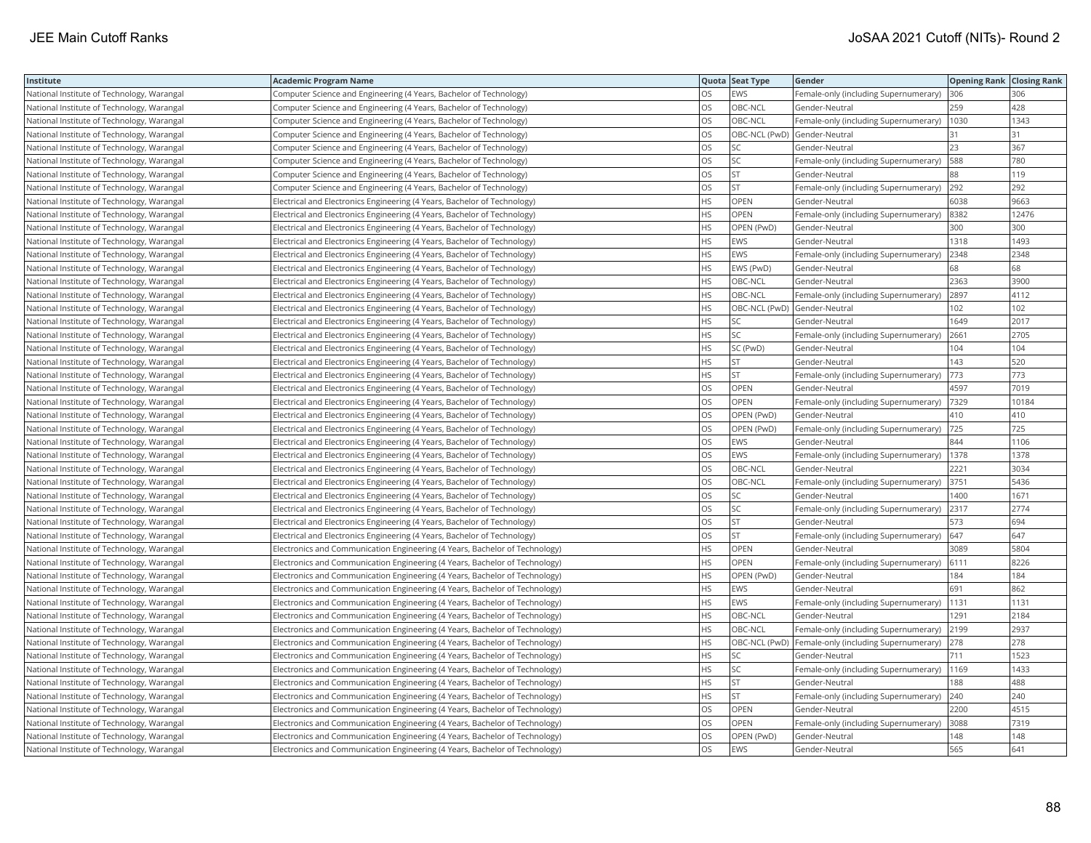| Institute                                  | <b>Academic Program Name</b>                                                |           | Quota Seat Type | Gender                                                  | <b>Opening Rank Closing Rank</b> |       |
|--------------------------------------------|-----------------------------------------------------------------------------|-----------|-----------------|---------------------------------------------------------|----------------------------------|-------|
| National Institute of Technology, Warangal | Computer Science and Engineering (4 Years, Bachelor of Technology)          | OS.       | EWS             | Female-only (including Supernumerary)                   | 306                              | 306   |
| National Institute of Technology, Warangal | Computer Science and Engineering (4 Years, Bachelor of Technology)          | OS        | OBC-NCL         | Gender-Neutral                                          | 259                              | 428   |
| National Institute of Technology, Warangal | Computer Science and Engineering (4 Years, Bachelor of Technology)          | OS        | OBC-NCL         | Female-only (including Supernumerary)                   | 1030                             | 1343  |
| National Institute of Technology, Warangal | Computer Science and Engineering (4 Years, Bachelor of Technology)          | <b>OS</b> | OBC-NCL (PwD)   | Gender-Neutral                                          | 31                               | 31    |
| National Institute of Technology, Warangal | Computer Science and Engineering (4 Years, Bachelor of Technology)          | OS        | SC              | Gender-Neutral                                          | 23                               | 367   |
| National Institute of Technology, Warangal | Computer Science and Engineering (4 Years, Bachelor of Technology)          | <b>OS</b> | SC              | Female-only (including Supernumerary)                   | 588                              | 780   |
| National Institute of Technology, Warangal | Computer Science and Engineering (4 Years, Bachelor of Technology)          | <b>OS</b> | <b>ST</b>       | Gender-Neutral                                          | 88                               | 119   |
| National Institute of Technology, Warangal | Computer Science and Engineering (4 Years, Bachelor of Technology)          | <b>OS</b> | <b>ST</b>       | Female-only (including Supernumerary)                   | 292                              | 292   |
| National Institute of Technology, Warangal | Electrical and Electronics Engineering (4 Years, Bachelor of Technology)    | <b>HS</b> | OPEN            | Gender-Neutral                                          | 6038                             | 9663  |
| National Institute of Technology, Warangal | Electrical and Electronics Engineering (4 Years, Bachelor of Technology)    | <b>HS</b> | OPEN            | Female-only (including Supernumerary)                   | 8382                             | 12476 |
| National Institute of Technology, Warangal | Electrical and Electronics Engineering (4 Years, Bachelor of Technology)    | <b>HS</b> | OPEN (PwD)      | Gender-Neutral                                          | 300                              | 300   |
| National Institute of Technology, Warangal | Electrical and Electronics Engineering (4 Years, Bachelor of Technology)    | <b>HS</b> | EWS             | Gender-Neutral                                          | 1318                             | 1493  |
| National Institute of Technology, Warangal | Electrical and Electronics Engineering (4 Years, Bachelor of Technology)    | HS        | EWS             | Female-only (including Supernumerary)                   | 2348                             | 2348  |
| National Institute of Technology, Warangal | Electrical and Electronics Engineering (4 Years, Bachelor of Technology)    | HS.       | EWS (PwD)       | Gender-Neutral                                          | 68                               | 68    |
| National Institute of Technology, Warangal | Electrical and Electronics Engineering (4 Years, Bachelor of Technology)    | <b>HS</b> | OBC-NCL         | Gender-Neutral                                          | 2363                             | 3900  |
| National Institute of Technology, Warangal | Electrical and Electronics Engineering (4 Years, Bachelor of Technology)    | <b>HS</b> | OBC-NCL         | Female-only (including Supernumerary)                   | 2897                             | 4112  |
| National Institute of Technology, Warangal | Electrical and Electronics Engineering (4 Years, Bachelor of Technology)    | <b>HS</b> |                 | OBC-NCL (PwD) Gender-Neutral                            | 102                              | 102   |
| National Institute of Technology, Warangal | Electrical and Electronics Engineering (4 Years, Bachelor of Technology)    | <b>HS</b> | SС              | Gender-Neutral                                          | 1649                             | 2017  |
| National Institute of Technology, Warangal | Electrical and Electronics Engineering (4 Years, Bachelor of Technology)    | <b>HS</b> | SC              | Female-only (including Supernumerary)                   | 2661                             | 2705  |
| National Institute of Technology, Warangal | Electrical and Electronics Engineering (4 Years, Bachelor of Technology)    | <b>HS</b> | SC (PwD)        | Gender-Neutral                                          | 104                              | 104   |
| National Institute of Technology, Warangal | Electrical and Electronics Engineering (4 Years, Bachelor of Technology)    | <b>HS</b> | <b>ST</b>       | Gender-Neutral                                          | 143                              | 520   |
| National Institute of Technology, Warangal | Electrical and Electronics Engineering (4 Years, Bachelor of Technology)    | <b>HS</b> | <b>ST</b>       | Female-only (including Supernumerary)                   | 773                              | 773   |
| National Institute of Technology, Warangal | Electrical and Electronics Engineering (4 Years, Bachelor of Technology)    | <b>OS</b> | OPEN            | Gender-Neutral                                          | 4597                             | 7019  |
| National Institute of Technology, Warangal | Electrical and Electronics Engineering (4 Years, Bachelor of Technology)    | OS        | OPEN            | Female-only (including Supernumerary)                   | 7329                             | 10184 |
| National Institute of Technology, Warangal | Electrical and Electronics Engineering (4 Years, Bachelor of Technology)    | OS        | OPEN (PwD)      | Gender-Neutral                                          | 410                              | 410   |
| National Institute of Technology, Warangal | Electrical and Electronics Engineering (4 Years, Bachelor of Technology)    | <b>OS</b> | OPEN (PwD)      | Female-only (including Supernumerary)                   | 725                              | 725   |
| National Institute of Technology, Warangal | Electrical and Electronics Engineering (4 Years, Bachelor of Technology)    | OS        | EWS             | Gender-Neutral                                          | 844                              | 1106  |
| National Institute of Technology, Warangal | Electrical and Electronics Engineering (4 Years, Bachelor of Technology)    | OS        | EWS             | Female-only (including Supernumerary)                   | 1378                             | 1378  |
| National Institute of Technology, Warangal | Electrical and Electronics Engineering (4 Years, Bachelor of Technology)    | OS        | OBC-NCL         | Gender-Neutral                                          | 2221                             | 3034  |
| National Institute of Technology, Warangal | Electrical and Electronics Engineering (4 Years, Bachelor of Technology)    | <b>OS</b> | OBC-NCL         | Female-only (including Supernumerary)                   | 3751                             | 5436  |
| National Institute of Technology, Warangal | Electrical and Electronics Engineering (4 Years, Bachelor of Technology)    | OS        |                 | Gender-Neutral                                          | 1400                             | 1671  |
| National Institute of Technology, Warangal | Electrical and Electronics Engineering (4 Years, Bachelor of Technology)    | OS        | SC              | Female-only (including Supernumerary)                   | 2317                             | 2774  |
| National Institute of Technology, Warangal | Electrical and Electronics Engineering (4 Years, Bachelor of Technology)    | OS        | <b>ST</b>       | Gender-Neutral                                          | 573                              | 694   |
| National Institute of Technology, Warangal | Electrical and Electronics Engineering (4 Years, Bachelor of Technology)    | OS        | <b>ST</b>       | Female-only (including Supernumerary)                   | 647                              | 647   |
| National Institute of Technology, Warangal | Electronics and Communication Engineering (4 Years, Bachelor of Technology) | <b>HS</b> | OPEN            | Gender-Neutral                                          | 3089                             | 5804  |
| National Institute of Technology, Warangal | Electronics and Communication Engineering (4 Years, Bachelor of Technology) | <b>HS</b> | OPEN            | Female-only (including Supernumerary)                   | 6111                             | 8226  |
| National Institute of Technology, Warangal | Electronics and Communication Engineering (4 Years, Bachelor of Technology) | <b>HS</b> | OPEN (PwD)      | Gender-Neutral                                          | 184                              | 184   |
| National Institute of Technology, Warangal | Electronics and Communication Engineering (4 Years, Bachelor of Technology) | <b>HS</b> | EWS             | Gender-Neutral                                          | 691                              | 862   |
| National Institute of Technology, Warangal | Electronics and Communication Engineering (4 Years, Bachelor of Technology) | <b>HS</b> | EWS             | Female-only (including Supernumerary)                   | 1131                             | 1131  |
| National Institute of Technology, Warangal | Electronics and Communication Engineering (4 Years, Bachelor of Technology) | <b>HS</b> | OBC-NCL         | Gender-Neutral                                          | 1291                             | 2184  |
| National Institute of Technology, Warangal | Electronics and Communication Engineering (4 Years, Bachelor of Technology) | <b>HS</b> | OBC-NCL         | Female-only (including Supernumerary) 2199              |                                  | 2937  |
| National Institute of Technology, Warangal | Electronics and Communication Engineering (4 Years, Bachelor of Technology) | <b>HS</b> |                 | OBC-NCL (PwD) Female-only (including Supernumerary) 278 |                                  | 278   |
| National Institute of Technology, Warangal | Electronics and Communication Engineering (4 Years, Bachelor of Technology) | <b>HS</b> | SC              | Gender-Neutral                                          | 711                              | 1523  |
| National Institute of Technology, Warangal | Electronics and Communication Engineering (4 Years, Bachelor of Technology) | <b>HS</b> | SC              | Female-only (including Supernumerary)                   | 1169                             | 1433  |
| National Institute of Technology, Warangal | Electronics and Communication Engineering (4 Years, Bachelor of Technology) | HS        | ST.             | Gender-Neutral                                          | 188                              | 488   |
| National Institute of Technology, Warangal | Electronics and Communication Engineering (4 Years, Bachelor of Technology) | <b>HS</b> | <b>ST</b>       | Female-only (including Supernumerary)                   | 240                              | 240   |
| National Institute of Technology, Warangal | Electronics and Communication Engineering (4 Years, Bachelor of Technology) | OS        | OPEN            | Gender-Neutral                                          | 2200                             | 4515  |
| National Institute of Technology, Warangal | Electronics and Communication Engineering (4 Years, Bachelor of Technology) | <b>OS</b> | OPEN            | Female-only (including Supernumerary)                   | 3088                             | 7319  |
| National Institute of Technology, Warangal | Electronics and Communication Engineering (4 Years, Bachelor of Technology) | OS        | OPEN (PwD)      | Gender-Neutral                                          | 148                              | 148   |
| National Institute of Technology, Warangal | Electronics and Communication Engineering (4 Years, Bachelor of Technology) | <b>OS</b> | EWS             | Gender-Neutral                                          | 565                              | 641   |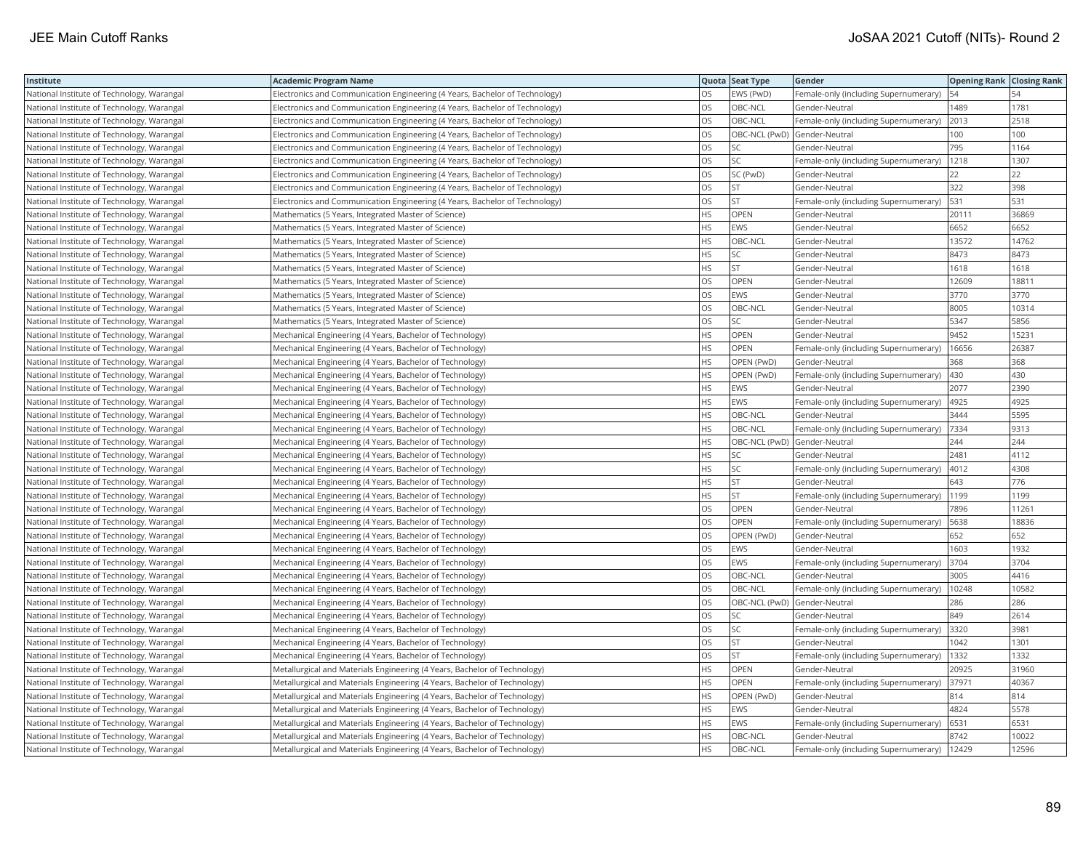| Institute                                  | <b>Academic Program Name</b>                                                |           | Quota Seat Type | Gender                                | <b>Opening Rank Closing Rank</b> |       |
|--------------------------------------------|-----------------------------------------------------------------------------|-----------|-----------------|---------------------------------------|----------------------------------|-------|
| National Institute of Technology, Warangal | Electronics and Communication Engineering (4 Years, Bachelor of Technology) | <b>OS</b> | EWS (PwD)       | Female-only (including Supernumerary) | 54                               |       |
| National Institute of Technology, Warangal | Electronics and Communication Engineering (4 Years, Bachelor of Technology) | los       | OBC-NCL         | Gender-Neutral                        | 1489                             | 1781  |
| National Institute of Technology, Warangal | Electronics and Communication Engineering (4 Years, Bachelor of Technology) | <b>OS</b> | OBC-NCL         | Female-only (including Supernumerary) | 2013                             | 2518  |
| National Institute of Technology, Warangal | Electronics and Communication Engineering (4 Years, Bachelor of Technology) | <b>OS</b> |                 | OBC-NCL (PwD) Gender-Neutral          | 100                              | 100   |
| National Institute of Technology, Warangal | Electronics and Communication Engineering (4 Years, Bachelor of Technology) | los       | SC              | Gender-Neutral                        | 795                              | 1164  |
| National Institute of Technology, Warangal | Electronics and Communication Engineering (4 Years, Bachelor of Technology) | <b>OS</b> | SC              | Female-only (including Supernumerary) | 1218                             | 1307  |
| National Institute of Technology, Warangal | Electronics and Communication Engineering (4 Years, Bachelor of Technology) | <b>OS</b> | SC (PwD)        | Gender-Neutral                        | 22                               | 22    |
| National Institute of Technology, Warangal | Electronics and Communication Engineering (4 Years, Bachelor of Technology) | OS        | <b>ST</b>       | Gender-Neutral                        | 322                              | 398   |
| National Institute of Technology, Warangal | Electronics and Communication Engineering (4 Years, Bachelor of Technology) | <b>OS</b> | <b>ST</b>       | Female-only (including Supernumerary) | 531                              | 531   |
| National Institute of Technology, Warangal | Mathematics (5 Years, Integrated Master of Science)                         | <b>HS</b> | OPEN            | Gender-Neutral                        | 20111                            | 36869 |
| National Institute of Technology, Warangal | Mathematics (5 Years, Integrated Master of Science)                         | <b>HS</b> | EWS             | Gender-Neutral                        | 6652                             | 6652  |
| National Institute of Technology, Warangal | Mathematics (5 Years, Integrated Master of Science)                         | HS        | OBC-NCL         | Gender-Neutral                        | 13572                            | 14762 |
| National Institute of Technology, Warangal | Mathematics (5 Years, Integrated Master of Science)                         | HS        | SC              | Gender-Neutral                        | 8473                             | 8473  |
| National Institute of Technology, Warangal | Mathematics (5 Years, Integrated Master of Science)                         | <b>HS</b> | <b>ST</b>       | Gender-Neutral                        | 1618                             | 1618  |
| National Institute of Technology, Warangal | Mathematics (5 Years, Integrated Master of Science)                         | OS        | OPEN            | Gender-Neutral                        | 12609                            | 18811 |
| National Institute of Technology, Warangal | Mathematics (5 Years, Integrated Master of Science)                         | <b>OS</b> | EWS             | Gender-Neutral                        | 3770                             | 3770  |
| National Institute of Technology, Warangal | Mathematics (5 Years, Integrated Master of Science)                         | OS        | OBC-NCL         | Gender-Neutral                        | 8005                             | 10314 |
| National Institute of Technology, Warangal | Mathematics (5 Years, Integrated Master of Science)                         | <b>OS</b> | SC              | Gender-Neutral                        | 5347                             | 5856  |
| National Institute of Technology, Warangal | Mechanical Engineering (4 Years, Bachelor of Technology)                    | HS        | OPEN            | Gender-Neutral                        | 9452                             | 15231 |
| National Institute of Technology, Warangal | Mechanical Engineering (4 Years, Bachelor of Technology)                    | <b>HS</b> | OPEN            | Female-only (including Supernumerary) | 16656                            | 26387 |
| National Institute of Technology, Warangal | Mechanical Engineering (4 Years, Bachelor of Technology)                    | <b>HS</b> | OPEN (PwD)      | Gender-Neutral                        | 368                              | 368   |
| National Institute of Technology, Warangal | Mechanical Engineering (4 Years, Bachelor of Technology)                    | <b>HS</b> | OPEN (PwD)      | Female-only (including Supernumerary) | 430                              | 430   |
| National Institute of Technology, Warangal | Mechanical Engineering (4 Years, Bachelor of Technology)                    | <b>HS</b> | EWS             | Gender-Neutral                        | 2077                             | 2390  |
| National Institute of Technology, Warangal | Mechanical Engineering (4 Years, Bachelor of Technology)                    | <b>HS</b> | EWS             | Female-only (including Supernumerary) | 4925                             | 4925  |
| National Institute of Technology, Warangal | Mechanical Engineering (4 Years, Bachelor of Technology)                    | <b>HS</b> | OBC-NCL         | Gender-Neutral                        | 3444                             | 5595  |
| National Institute of Technology, Warangal | Mechanical Engineering (4 Years, Bachelor of Technology)                    | <b>HS</b> | OBC-NCL         | Female-only (including Supernumerary) | 7334                             | 9313  |
| National Institute of Technology, Warangal | Mechanical Engineering (4 Years, Bachelor of Technology)                    | <b>HS</b> |                 | OBC-NCL (PwD) Gender-Neutral          | 244                              | 244   |
| National Institute of Technology, Warangal | Mechanical Engineering (4 Years, Bachelor of Technology)                    | <b>HS</b> | SC              | Gender-Neutral                        | 2481                             | 4112  |
| National Institute of Technology, Warangal | Mechanical Engineering (4 Years, Bachelor of Technology)                    | <b>HS</b> | SC              | Female-only (including Supernumerary) | 4012                             | 4308  |
| National Institute of Technology, Warangal | Mechanical Engineering (4 Years, Bachelor of Technology)                    | HS        | <b>ST</b>       | Gender-Neutral                        | 643                              | 776   |
| National Institute of Technology, Warangal | Mechanical Engineering (4 Years, Bachelor of Technology)                    | <b>HS</b> | <b>ST</b>       | Female-only (including Supernumerary) | 1199                             | 1199  |
| National Institute of Technology, Warangal | Mechanical Engineering (4 Years, Bachelor of Technology)                    | OS        | OPEN            | Gender-Neutral                        | 7896                             | 11261 |
| National Institute of Technology, Warangal | Mechanical Engineering (4 Years, Bachelor of Technology)                    | OS        | OPEN            | Female-only (including Supernumerary) | 5638                             | 18836 |
| National Institute of Technology, Warangal | Mechanical Engineering (4 Years, Bachelor of Technology)                    | OS        | OPEN (PwD)      | Gender-Neutral                        | 652                              | 652   |
| National Institute of Technology, Warangal | Mechanical Engineering (4 Years, Bachelor of Technology)                    | <b>OS</b> | EWS             | Gender-Neutral                        | 1603                             | 1932  |
| National Institute of Technology, Warangal | Mechanical Engineering (4 Years, Bachelor of Technology)                    | OS        | EWS             | Female-only (including Supernumerary) | 3704                             | 3704  |
| National Institute of Technology, Warangal | Mechanical Engineering (4 Years, Bachelor of Technology)                    | OS        | OBC-NCL         | Gender-Neutral                        | 3005                             | 4416  |
| National Institute of Technology, Warangal | Mechanical Engineering (4 Years, Bachelor of Technology)                    | <b>OS</b> | OBC-NCL         | Female-only (including Supernumerary) | 10248                            | 10582 |
| National Institute of Technology, Warangal | Mechanical Engineering (4 Years, Bachelor of Technology)                    | OS        |                 | OBC-NCL (PwD) Gender-Neutral          | 286                              | 286   |
| National Institute of Technology, Warangal | Mechanical Engineering (4 Years, Bachelor of Technology)                    | OS        | SC              | Gender-Neutral                        | 849                              | 2614  |
| National Institute of Technology, Warangal | Mechanical Engineering (4 Years, Bachelor of Technology)                    | <b>OS</b> | SC              | Female-only (including Supernumerary) | 3320                             | 3981  |
| National Institute of Technology, Warangal | Mechanical Engineering (4 Years, Bachelor of Technology)                    | <b>OS</b> | ST              | Gender-Neutral                        | 1042                             | 1301  |
| National Institute of Technology, Warangal | Mechanical Engineering (4 Years, Bachelor of Technology)                    | OS        | <b>ST</b>       | Female-only (including Supernumerary) | 1332                             | 1332  |
| National Institute of Technology, Warangal | Metallurgical and Materials Engineering (4 Years, Bachelor of Technology)   | HS        | OPEN            | Gender-Neutral                        | 20925                            | 31960 |
| National Institute of Technology, Warangal | Metallurgical and Materials Engineering (4 Years, Bachelor of Technology)   | HS        | OPEN            | Female-only (including Supernumerary) | 37971                            | 40367 |
| National Institute of Technology, Warangal | Metallurgical and Materials Engineering (4 Years, Bachelor of Technology)   | HS        | OPEN (PwD)      | Gender-Neutral                        | 814                              | 814   |
| National Institute of Technology, Warangal | Metallurgical and Materials Engineering (4 Years, Bachelor of Technology)   | HS        | EWS             | Gender-Neutral                        | 4824                             | 5578  |
| National Institute of Technology, Warangal | Metallurgical and Materials Engineering (4 Years, Bachelor of Technology)   | <b>HS</b> | <b>EWS</b>      | Female-only (including Supernumerary) | 6531                             | 6531  |
| National Institute of Technology, Warangal | Metallurgical and Materials Engineering (4 Years, Bachelor of Technology)   | HS        | OBC-NCL         | Gender-Neutral                        | 8742                             | 10022 |
| National Institute of Technology, Warangal | Metallurgical and Materials Engineering (4 Years, Bachelor of Technology)   | <b>HS</b> | OBC-NCL         | Female-only (including Supernumerary) | 12429                            | 12596 |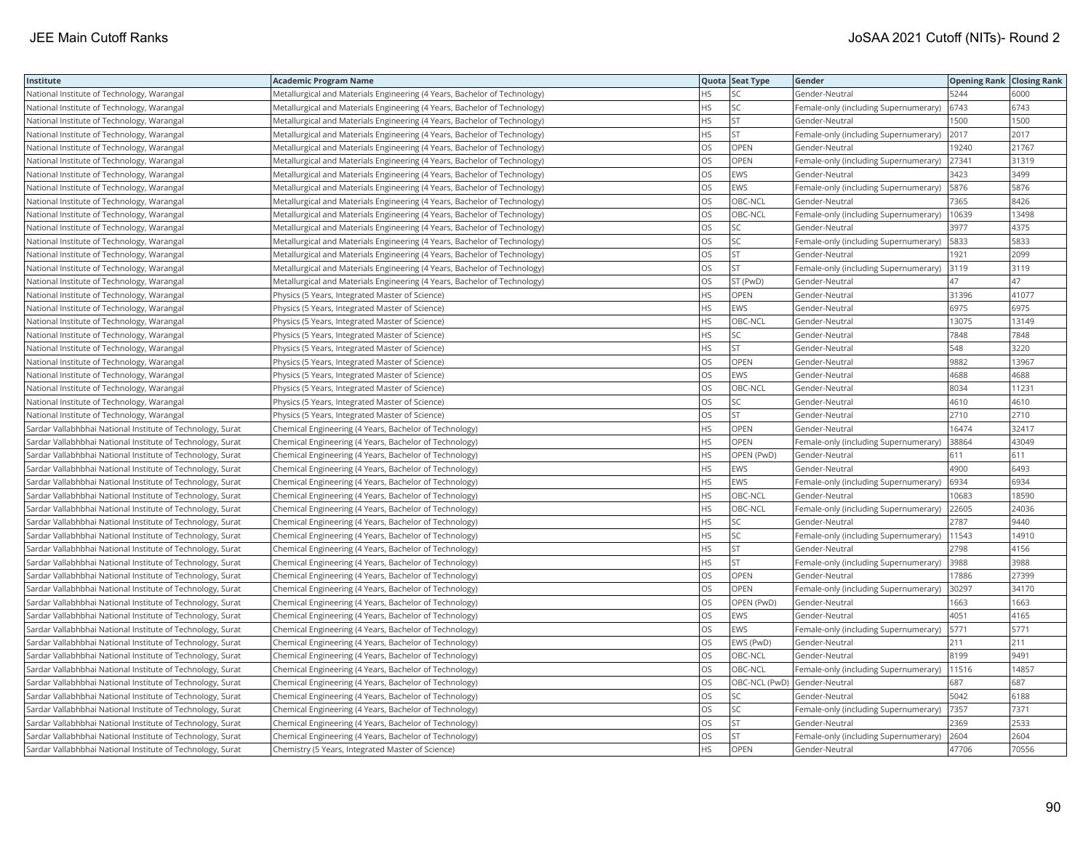| Institute                                                  | <b>Academic Program Name</b>                                              |           | Quota Seat Type | Gender                                | <b>Opening Rank Closing Rank</b> |       |
|------------------------------------------------------------|---------------------------------------------------------------------------|-----------|-----------------|---------------------------------------|----------------------------------|-------|
| National Institute of Technology, Warangal                 | Metallurgical and Materials Engineering (4 Years, Bachelor of Technology) | HS.       | SC              | Gender-Neutral                        | 5244                             | 6000  |
| National Institute of Technology, Warangal                 | Metallurgical and Materials Engineering (4 Years, Bachelor of Technology) | HS.       | SC              | Female-only (including Supernumerary) | 6743                             | 6743  |
| National Institute of Technology, Warangal                 | Metallurgical and Materials Engineering (4 Years, Bachelor of Technology) | HS        | <b>ST</b>       | Gender-Neutral                        | 1500                             | 1500  |
| National Institute of Technology, Warangal                 | Metallurgical and Materials Engineering (4 Years, Bachelor of Technology) | HS        | <b>ST</b>       | Female-only (including Supernumerary) | 2017                             | 2017  |
| National Institute of Technology, Warangal                 | Metallurgical and Materials Engineering (4 Years, Bachelor of Technology) | OS        | OPEN            | Gender-Neutral                        | 19240                            | 21767 |
| National Institute of Technology, Warangal                 | Metallurgical and Materials Engineering (4 Years, Bachelor of Technology) | OS        | <b>OPEN</b>     | Female-only (including Supernumerary) | 27341                            | 31319 |
| National Institute of Technology, Warangal                 | Metallurgical and Materials Engineering (4 Years, Bachelor of Technology) | <b>OS</b> | EWS             | Gender-Neutral                        | 3423                             | 3499  |
| National Institute of Technology, Warangal                 | Metallurgical and Materials Engineering (4 Years, Bachelor of Technology) | OS        | EWS             | Female-only (including Supernumerary) | 5876                             | 5876  |
| National Institute of Technology, Warangal                 | Metallurgical and Materials Engineering (4 Years, Bachelor of Technology) | OS        | OBC-NCL         | Gender-Neutral                        | 7365                             | 8426  |
| National Institute of Technology, Warangal                 | Metallurgical and Materials Engineering (4 Years, Bachelor of Technology) | OS        | OBC-NCL         | Female-only (including Supernumerary) | 10639                            | 13498 |
| National Institute of Technology, Warangal                 | Metallurgical and Materials Engineering (4 Years, Bachelor of Technology) | OS        | SC              | Gender-Neutral                        | 3977                             | 4375  |
| National Institute of Technology, Warangal                 | Metallurgical and Materials Engineering (4 Years, Bachelor of Technology) | OS.       | SC              | Female-only (including Supernumerary) | 5833                             | 5833  |
| National Institute of Technology, Warangal                 | Metallurgical and Materials Engineering (4 Years, Bachelor of Technology) | OS        | <b>ST</b>       | Gender-Neutral                        | 1921                             | 2099  |
| National Institute of Technology, Warangal                 | Metallurgical and Materials Engineering (4 Years, Bachelor of Technology) | OS.       | <b>ST</b>       | Female-only (including Supernumerary) | 3119                             | 3119  |
| National Institute of Technology, Warangal                 | Metallurgical and Materials Engineering (4 Years, Bachelor of Technology) | OS        | ST (PwD)        | Gender-Neutral                        | 47                               | 47    |
| National Institute of Technology, Warangal                 | Physics (5 Years, Integrated Master of Science)                           | HS.       | <b>OPEN</b>     | Gender-Neutral                        | 31396                            | 41077 |
| National Institute of Technology, Warangal                 | Physics (5 Years, Integrated Master of Science)                           | HS        | EWS             | Gender-Neutral                        | 6975                             | 6975  |
| National Institute of Technology, Warangal                 | Physics (5 Years, Integrated Master of Science)                           | HS        | OBC-NCL         | Gender-Neutral                        | 13075                            | 13149 |
| National Institute of Technology, Warangal                 | Physics (5 Years, Integrated Master of Science)                           | HS        | SC              | Gender-Neutral                        | 7848                             | 7848  |
| National Institute of Technology, Warangal                 | Physics (5 Years, Integrated Master of Science)                           | HS.       | <b>ST</b>       | Gender-Neutral                        | 548                              | 3220  |
| National Institute of Technology, Warangal                 | Physics (5 Years, Integrated Master of Science)                           | OS        | <b>OPEN</b>     | Gender-Neutral                        | 9882                             | 13967 |
| National Institute of Technology, Warangal                 | Physics (5 Years, Integrated Master of Science)                           | <b>OS</b> | <b>EWS</b>      | Gender-Neutral                        | 4688                             | 4688  |
| National Institute of Technology, Warangal                 | Physics (5 Years, Integrated Master of Science)                           | OS        | OBC-NCL         | Gender-Neutral                        | 8034                             | 11231 |
| National Institute of Technology, Warangal                 | Physics (5 Years, Integrated Master of Science)                           | OS        | SC              | Gender-Neutral                        | 4610                             | 4610  |
| National Institute of Technology, Warangal                 | Physics (5 Years, Integrated Master of Science)                           | OS        | <b>ST</b>       | Gender-Neutral                        | 2710                             | 2710  |
| Sardar Vallabhbhai National Institute of Technology, Surat | Chemical Engineering (4 Years, Bachelor of Technology)                    | HS        | OPEN            | Gender-Neutral                        | 16474                            | 32417 |
| Sardar Vallabhbhai National Institute of Technology, Surat | Chemical Engineering (4 Years, Bachelor of Technology)                    | HS        | <b>OPEN</b>     | Female-only (including Supernumerary) | 38864                            | 43049 |
| Sardar Vallabhbhai National Institute of Technology, Surat | Chemical Engineering (4 Years, Bachelor of Technology)                    | HS        | OPEN (PwD)      | Gender-Neutral                        | 611                              | 611   |
| Sardar Vallabhbhai National Institute of Technology, Surat | Chemical Engineering (4 Years, Bachelor of Technology)                    | HS.       | EWS             | Gender-Neutral                        | 4900                             | 6493  |
| Sardar Vallabhbhai National Institute of Technology, Surat | Chemical Engineering (4 Years, Bachelor of Technology)                    | HS        | EWS             | Female-only (including Supernumerary) | 6934                             | 6934  |
| Sardar Vallabhbhai National Institute of Technology, Surat | Chemical Engineering (4 Years, Bachelor of Technology)                    | HS.       | OBC-NCL         | Gender-Neutral                        | 10683                            | 18590 |
| Sardar Vallabhbhai National Institute of Technology, Surat | Chemical Engineering (4 Years, Bachelor of Technology)                    | HS        | OBC-NCL         | Female-only (including Supernumerary) | 22605                            | 24036 |
| Sardar Vallabhbhai National Institute of Technology, Surat | Chemical Engineering (4 Years, Bachelor of Technology)                    | HS        | SC              | Gender-Neutral                        | 2787                             | 9440  |
| Sardar Vallabhbhai National Institute of Technology, Surat | Chemical Engineering (4 Years, Bachelor of Technology)                    | HS        | SC              | Female-only (including Supernumerary) | 11543                            | 14910 |
| Sardar Vallabhbhai National Institute of Technology, Surat | Chemical Engineering (4 Years, Bachelor of Technology)                    | HS        | <b>ST</b>       | Gender-Neutral                        | 2798                             | 4156  |
| Sardar Vallabhbhai National Institute of Technology, Surat | Chemical Engineering (4 Years, Bachelor of Technology)                    | HS        | <b>ST</b>       | Female-only (including Supernumerary) | 3988                             | 3988  |
| Sardar Vallabhbhai National Institute of Technology, Surat | Chemical Engineering (4 Years, Bachelor of Technology)                    | <b>OS</b> | OPEN            | Gender-Neutral                        | 17886                            | 27399 |
| Sardar Vallabhbhai National Institute of Technology, Surat | Chemical Engineering (4 Years, Bachelor of Technology)                    | OS.       | OPEN            | Female-only (including Supernumerary) | 30297                            | 34170 |
| Sardar Vallabhbhai National Institute of Technology, Surat | Chemical Engineering (4 Years, Bachelor of Technology)                    | OS        | OPEN (PwD)      | Gender-Neutral                        | 1663                             | 1663  |
| Sardar Vallabhbhai National Institute of Technology, Surat | Chemical Engineering (4 Years, Bachelor of Technology)                    | OS        | EWS             | Gender-Neutral                        | 4051                             | 4165  |
| Sardar Vallabhbhai National Institute of Technology, Surat | Chemical Engineering (4 Years, Bachelor of Technology)                    | OS        | EWS             | Female-only (including Supernumerary) | 5771                             | 5771  |
| Sardar Vallabhbhai National Institute of Technology, Surat | Chemical Engineering (4 Years, Bachelor of Technology)                    | OS.       | EWS (PwD)       | Gender-Neutral                        | 211                              | 211   |
| Sardar Vallabhbhai National Institute of Technology, Surat | Chemical Engineering (4 Years, Bachelor of Technology)                    | OS        | OBC-NCL         | Gender-Neutral                        | 8199                             | 9491  |
| Sardar Vallabhbhai National Institute of Technology, Surat | Chemical Engineering (4 Years, Bachelor of Technology)                    | OS.       | OBC-NCL         | Female-only (including Supernumerary) | 11516                            | 14857 |
| Sardar Vallabhbhai National Institute of Technology, Surat | Chemical Engineering (4 Years, Bachelor of Technology)                    | OS        | OBC-NCL (PwD)   | Gender-Neutral                        | 687                              | 687   |
| Sardar Vallabhbhai National Institute of Technology, Surat | Chemical Engineering (4 Years, Bachelor of Technology)                    | OS        | SC              | Gender-Neutral                        | 5042                             | 6188  |
| Sardar Vallabhbhai National Institute of Technology, Surat | Chemical Engineering (4 Years, Bachelor of Technology)                    | OS        | SC              | Female-only (including Supernumerary) | 7357                             | 7371  |
| Sardar Vallabhbhai National Institute of Technology, Surat | Chemical Engineering (4 Years, Bachelor of Technology)                    | OS        | <b>ST</b>       | Gender-Neutral                        | 2369                             | 2533  |
| Sardar Vallabhbhai National Institute of Technology, Surat | Chemical Engineering (4 Years, Bachelor of Technology)                    | OS        | <b>ST</b>       | Female-only (including Supernumerary) | 2604                             | 2604  |
| Sardar Vallabhbhai National Institute of Technology, Surat | Chemistry (5 Years, Integrated Master of Science)                         | HS.       | <b>OPEN</b>     | Gender-Neutral                        | 47706                            | 70556 |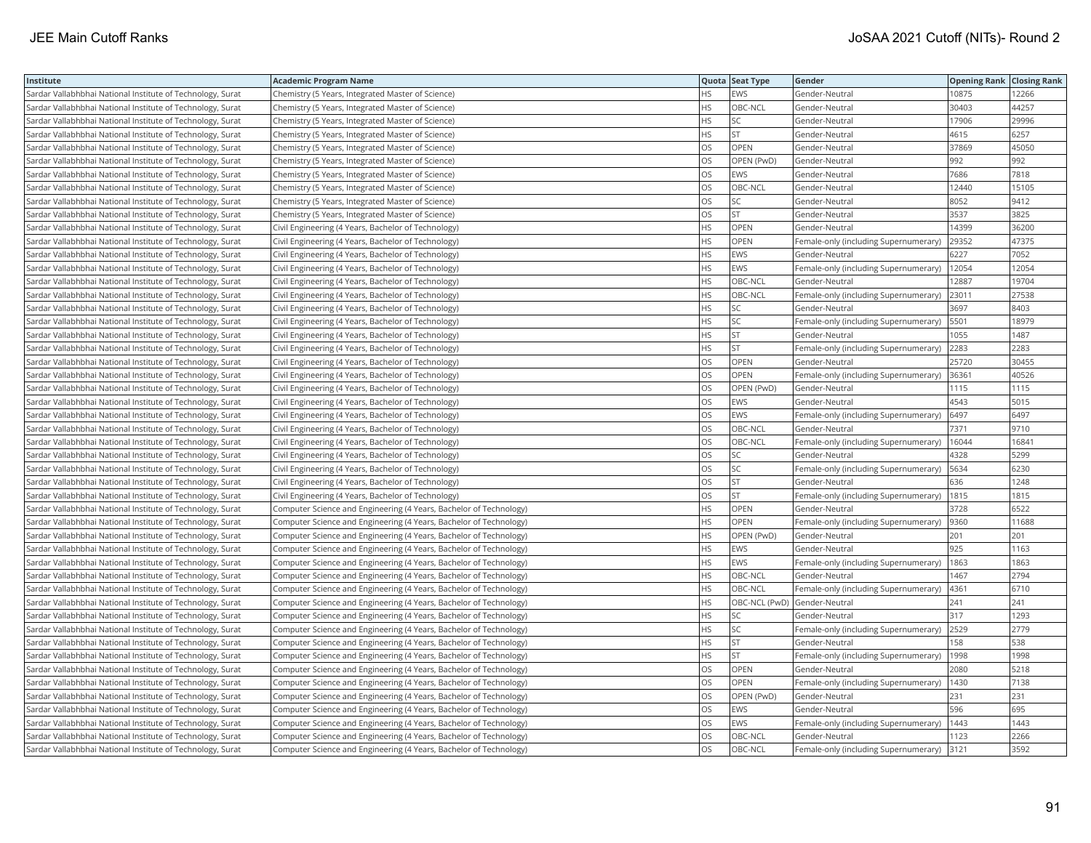| Institute                                                  | <b>Academic Program Name</b>                                       |           | Quota Seat Type              | Gender                                | <b>Opening Rank Closing Rank</b> |       |
|------------------------------------------------------------|--------------------------------------------------------------------|-----------|------------------------------|---------------------------------------|----------------------------------|-------|
| Sardar Vallabhbhai National Institute of Technology, Surat | Chemistry (5 Years, Integrated Master of Science)                  | HS        | <b>EWS</b>                   | Gender-Neutral                        | 10875                            | 12266 |
| Sardar Vallabhbhai National Institute of Technology, Surat | Chemistry (5 Years, Integrated Master of Science)                  | HS.       | OBC-NCL                      | Gender-Neutral                        | 30403                            | 44257 |
| Sardar Vallabhbhai National Institute of Technology, Surat | Chemistry (5 Years, Integrated Master of Science)                  | HS.       | SC                           | Gender-Neutral                        | 17906                            | 29996 |
| Sardar Vallabhbhai National Institute of Technology, Surat | Chemistry (5 Years, Integrated Master of Science)                  | HS.       | <b>ST</b>                    | Gender-Neutral                        | 4615                             | 6257  |
| Sardar Vallabhbhai National Institute of Technology, Surat | Chemistry (5 Years, Integrated Master of Science)                  | OS        | OPEN                         | Gender-Neutral                        | 37869                            | 45050 |
| Sardar Vallabhbhai National Institute of Technology, Surat | Chemistry (5 Years, Integrated Master of Science)                  | OS        | OPEN (PwD)                   | Gender-Neutral                        | 992                              | 992   |
| Sardar Vallabhbhai National Institute of Technology, Surat | Chemistry (5 Years, Integrated Master of Science)                  | <b>OS</b> | <b>EWS</b>                   | Gender-Neutral                        | 7686                             | 7818  |
| Sardar Vallabhbhai National Institute of Technology, Surat | Chemistry (5 Years, Integrated Master of Science)                  | OS        | OBC-NCL                      | Gender-Neutral                        | 12440                            | 15105 |
| Sardar Vallabhbhai National Institute of Technology, Surat | Chemistry (5 Years, Integrated Master of Science)                  | OS        | SC                           | Gender-Neutral                        | 8052                             | 9412  |
| Sardar Vallabhbhai National Institute of Technology, Surat | Chemistry (5 Years, Integrated Master of Science)                  | <b>OS</b> | <b>ST</b>                    | Gender-Neutral                        | 3537                             | 3825  |
| Sardar Vallabhbhai National Institute of Technology, Surat | Civil Engineering (4 Years, Bachelor of Technology)                | HS        | OPEN                         | Gender-Neutral                        | 14399                            | 36200 |
| Sardar Vallabhbhai National Institute of Technology, Surat | Civil Engineering (4 Years, Bachelor of Technology)                | ΗS        | OPEN                         | Female-only (including Supernumerary) | 29352                            | 47375 |
| Sardar Vallabhbhai National Institute of Technology, Surat | Civil Engineering (4 Years, Bachelor of Technology)                | HS        | EWS                          | Gender-Neutral                        | 6227                             | 7052  |
| Sardar Vallabhbhai National Institute of Technology, Surat | Civil Engineering (4 Years, Bachelor of Technology)                | HS.       | EWS                          | Female-only (including Supernumerary) | 12054                            | 12054 |
| Sardar Vallabhbhai National Institute of Technology, Surat | Civil Engineering (4 Years, Bachelor of Technology)                | HS.       | OBC-NCL                      | Gender-Neutral                        | 12887                            | 19704 |
| Sardar Vallabhbhai National Institute of Technology, Surat | Civil Engineering (4 Years, Bachelor of Technology)                | HS.       | OBC-NCL                      | Female-only (including Supernumerary) | 23011                            | 27538 |
| Sardar Vallabhbhai National Institute of Technology, Surat | Civil Engineering (4 Years, Bachelor of Technology)                | HS.       | SC                           | Gender-Neutral                        | 3697                             | 8403  |
| Sardar Vallabhbhai National Institute of Technology, Surat | Civil Engineering (4 Years, Bachelor of Technology)                | HS.       | SC                           | Female-only (including Supernumerary) | 5501                             | 18979 |
| Sardar Vallabhbhai National Institute of Technology, Surat | Civil Engineering (4 Years, Bachelor of Technology)                | HS.       | ST                           | Gender-Neutral                        | 1055                             | 1487  |
| Sardar Vallabhbhai National Institute of Technology, Surat | Civil Engineering (4 Years, Bachelor of Technology)                | HS.       | <b>ST</b>                    | Female-only (including Supernumerary) | 2283                             | 2283  |
| Sardar Vallabhbhai National Institute of Technology, Surat | Civil Engineering (4 Years, Bachelor of Technology)                | OS        | OPEN                         | Gender-Neutral                        | 25720                            | 30455 |
| Sardar Vallabhbhai National Institute of Technology, Surat | Civil Engineering (4 Years, Bachelor of Technology)                | OS.       | <b>OPEN</b>                  | Female-only (including Supernumerary) | 36361                            | 40526 |
| Sardar Vallabhbhai National Institute of Technology, Surat | Civil Engineering (4 Years, Bachelor of Technology)                | OS        | OPEN (PwD)                   | Gender-Neutral                        | 1115                             | 1115  |
| Sardar Vallabhbhai National Institute of Technology, Surat | Civil Engineering (4 Years, Bachelor of Technology)                | OS        | EWS                          | Gender-Neutral                        | 4543                             | 5015  |
| Sardar Vallabhbhai National Institute of Technology, Surat | Civil Engineering (4 Years, Bachelor of Technology)                | <b>OS</b> | EWS                          | Female-only (including Supernumerary) | 6497                             | 6497  |
| Sardar Vallabhbhai National Institute of Technology, Surat | Civil Engineering (4 Years, Bachelor of Technology)                | OS        | OBC-NCL                      | Gender-Neutral                        | 7371                             | 9710  |
| Sardar Vallabhbhai National Institute of Technology, Surat | Civil Engineering (4 Years, Bachelor of Technology)                | OS        | OBC-NCL                      | Female-only (including Supernumerary) | 16044                            | 16841 |
| Sardar Vallabhbhai National Institute of Technology, Surat | Civil Engineering (4 Years, Bachelor of Technology)                | OS        | SC                           | Gender-Neutral                        | 4328                             | 5299  |
| Sardar Vallabhbhai National Institute of Technology, Surat | Civil Engineering (4 Years, Bachelor of Technology)                | OS.       | SC                           | Female-only (including Supernumerary) | 5634                             | 6230  |
| Sardar Vallabhbhai National Institute of Technology, Surat | Civil Engineering (4 Years, Bachelor of Technology)                | OS        | <b>ST</b>                    | Gender-Neutral                        | 636                              | 1248  |
| Sardar Vallabhbhai National Institute of Technology, Surat | Civil Engineering (4 Years, Bachelor of Technology)                | OS.       | <b>ST</b>                    | Female-only (including Supernumerary) | 1815                             | 1815  |
| Sardar Vallabhbhai National Institute of Technology, Surat | Computer Science and Engineering (4 Years, Bachelor of Technology) | HS.       | <b>OPEN</b>                  | Gender-Neutral                        | 3728                             | 6522  |
| Sardar Vallabhbhai National Institute of Technology, Surat | Computer Science and Engineering (4 Years, Bachelor of Technology) | HS        | <b>OPEN</b>                  | Female-only (including Supernumerary) | 9360                             | 11688 |
| Sardar Vallabhbhai National Institute of Technology, Surat | Computer Science and Engineering (4 Years, Bachelor of Technology) | HS.       | OPEN (PwD)                   | Gender-Neutral                        | 201                              | 201   |
| Sardar Vallabhbhai National Institute of Technology, Surat | Computer Science and Engineering (4 Years, Bachelor of Technology) | HS.       | <b>EWS</b>                   | Gender-Neutral                        | 925                              | 1163  |
| Sardar Vallabhbhai National Institute of Technology, Surat | Computer Science and Engineering (4 Years, Bachelor of Technology) | HS        | EWS                          | Female-only (including Supernumerary) | 1863                             | 1863  |
| Sardar Vallabhbhai National Institute of Technology, Surat | Computer Science and Engineering (4 Years, Bachelor of Technology) | <b>HS</b> | OBC-NCL                      | Gender-Neutral                        | 1467                             | 2794  |
| Sardar Vallabhbhai National Institute of Technology, Surat | Computer Science and Engineering (4 Years, Bachelor of Technology) | <b>HS</b> | OBC-NCL                      | Female-only (including Supernumerary) | 4361                             | 6710  |
| Sardar Vallabhbhai National Institute of Technology, Surat | Computer Science and Engineering (4 Years, Bachelor of Technology) | HS        | OBC-NCL (PwD) Gender-Neutral |                                       | 241                              | 241   |
| Sardar Vallabhbhai National Institute of Technology, Surat | Computer Science and Engineering (4 Years, Bachelor of Technology) | HS        | SC                           | Gender-Neutral                        | 317                              | 1293  |
| Sardar Vallabhbhai National Institute of Technology, Surat | Computer Science and Engineering (4 Years, Bachelor of Technology) | ΗS        | SC                           | Female-only (including Supernumerary) | 2529                             | 2779  |
| Sardar Vallabhbhai National Institute of Technology, Surat | Computer Science and Engineering (4 Years, Bachelor of Technology) | HS.       | <b>ST</b>                    | Gender-Neutral                        | 158                              | 538   |
| Sardar Vallabhbhai National Institute of Technology, Surat | Computer Science and Engineering (4 Years, Bachelor of Technology) | HS.       | <b>ST</b>                    | Female-only (including Supernumerary) | 1998                             | 1998  |
| Sardar Vallabhbhai National Institute of Technology, Surat | Computer Science and Engineering (4 Years, Bachelor of Technology) | OS.       | <b>OPEN</b>                  | Gender-Neutral                        | 2080                             | 5218  |
| Sardar Vallabhbhai National Institute of Technology, Surat | Computer Science and Engineering (4 Years, Bachelor of Technology) | OS        | OPEN                         | Female-only (including Supernumerary) | 1430                             | 7138  |
| Sardar Vallabhbhai National Institute of Technology, Surat | Computer Science and Engineering (4 Years, Bachelor of Technology) | OS.       | OPEN (PwD)                   | Gender-Neutral                        | 231                              | 231   |
| Sardar Vallabhbhai National Institute of Technology, Surat | Computer Science and Engineering (4 Years, Bachelor of Technology) | OS        | EWS                          | Gender-Neutral                        | 596                              | 695   |
| Sardar Vallabhbhai National Institute of Technology, Surat | Computer Science and Engineering (4 Years, Bachelor of Technology) | OS.       | <b>EWS</b>                   | Female-only (including Supernumerary) | 1443                             | 1443  |
| Sardar Vallabhbhai National Institute of Technology, Surat | Computer Science and Engineering (4 Years, Bachelor of Technology) | OS        | OBC-NCL                      | Gender-Neutral                        | 1123                             | 2266  |
| Sardar Vallabhbhai National Institute of Technology, Surat | Computer Science and Engineering (4 Years, Bachelor of Technology) | OS.       | OBC-NCL                      | Female-only (including Supernumerary) | 3121                             | 3592  |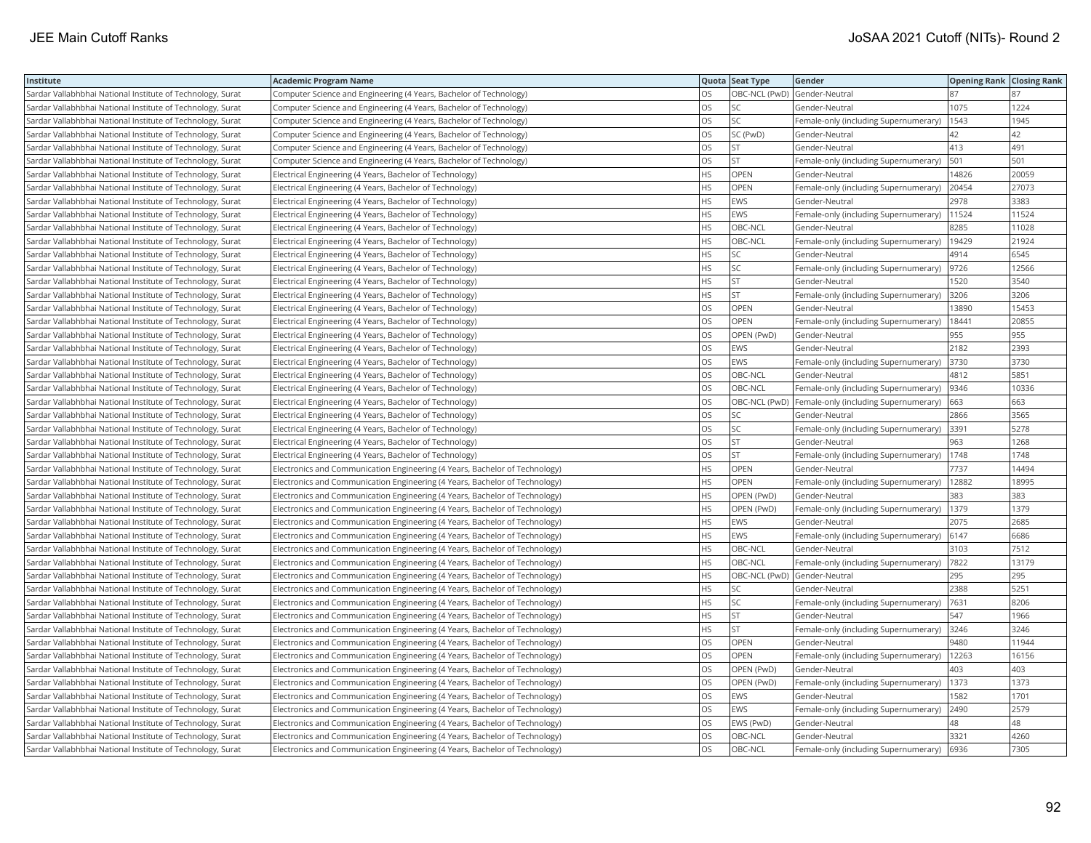| Institute                                                  | <b>Academic Program Name</b>                                                |           | Quota Seat Type              | Gender                                     | <b>Opening Rank Closing Rank</b> |       |
|------------------------------------------------------------|-----------------------------------------------------------------------------|-----------|------------------------------|--------------------------------------------|----------------------------------|-------|
| Sardar Vallabhbhai National Institute of Technology, Surat | Computer Science and Engineering (4 Years, Bachelor of Technology)          | OS        | OBC-NCL (PwD) Gender-Neutral |                                            | 87                               | 87    |
| Sardar Vallabhbhai National Institute of Technology, Surat | Computer Science and Engineering (4 Years, Bachelor of Technology)          | OS        | SC                           | Gender-Neutral                             | 1075                             | 1224  |
| Sardar Vallabhbhai National Institute of Technology, Surat | Computer Science and Engineering (4 Years, Bachelor of Technology)          | OS.       | SC                           | Female-only (including Supernumerary)      | 1543                             | 1945  |
| Sardar Vallabhbhai National Institute of Technology, Surat | Computer Science and Engineering (4 Years, Bachelor of Technology)          | OS        | SC (PwD)                     | Gender-Neutral                             | 42                               | 42    |
| Sardar Vallabhbhai National Institute of Technology, Surat | Computer Science and Engineering (4 Years, Bachelor of Technology)          | OS.       | <b>ST</b>                    | Gender-Neutral                             | 413                              | 491   |
| Sardar Vallabhbhai National Institute of Technology, Surat | Computer Science and Engineering (4 Years, Bachelor of Technology)          | OS        | <b>ST</b>                    | Female-only (including Supernumerary)      | 501                              | 501   |
| Sardar Vallabhbhai National Institute of Technology, Surat | Electrical Engineering (4 Years, Bachelor of Technology)                    | HS.       | <b>OPEN</b>                  | Gender-Neutral                             | 14826                            | 20059 |
| Sardar Vallabhbhai National Institute of Technology, Surat | Electrical Engineering (4 Years, Bachelor of Technology)                    | HS.       | <b>OPEN</b>                  | Female-only (including Supernumerary)      | 20454                            | 27073 |
| Sardar Vallabhbhai National Institute of Technology, Surat | Electrical Engineering (4 Years, Bachelor of Technology)                    | HS.       | <b>EWS</b>                   | Gender-Neutral                             | 2978                             | 3383  |
| Sardar Vallabhbhai National Institute of Technology, Surat | Electrical Engineering (4 Years, Bachelor of Technology)                    | HS.       | EWS                          | Female-only (including Supernumerary)      | 11524                            | 11524 |
| Sardar Vallabhbhai National Institute of Technology, Surat | Electrical Engineering (4 Years, Bachelor of Technology)                    | HS        | OBC-NCL                      | Gender-Neutral                             | 8285                             | 11028 |
| Sardar Vallabhbhai National Institute of Technology, Surat | Electrical Engineering (4 Years, Bachelor of Technology)                    | HS        | OBC-NCL                      | Female-only (including Supernumerary)      | 19429                            | 21924 |
| Sardar Vallabhbhai National Institute of Technology, Surat | Electrical Engineering (4 Years, Bachelor of Technology)                    | HS.       | SC                           | Gender-Neutral                             | 4914                             | 6545  |
| Sardar Vallabhbhai National Institute of Technology, Surat | Electrical Engineering (4 Years, Bachelor of Technology)                    | HS.       | SC                           | Female-only (including Supernumerary)      | 9726                             | 12566 |
| Sardar Vallabhbhai National Institute of Technology, Surat | Electrical Engineering (4 Years, Bachelor of Technology)                    | HS        | <b>ST</b>                    | Gender-Neutral                             | 1520                             | 3540  |
| Sardar Vallabhbhai National Institute of Technology, Surat | Electrical Engineering (4 Years, Bachelor of Technology)                    | HS.       | <b>ST</b>                    | Female-only (including Supernumerary)      | 3206                             | 3206  |
| Sardar Vallabhbhai National Institute of Technology, Surat | Electrical Engineering (4 Years, Bachelor of Technology)                    | OS        | <b>OPEN</b>                  | Gender-Neutral                             | 13890                            | 15453 |
| Sardar Vallabhbhai National Institute of Technology, Surat | Electrical Engineering (4 Years, Bachelor of Technology)                    | OS        | OPEN                         | Female-only (including Supernumerary)      | 18441                            | 20855 |
| Sardar Vallabhbhai National Institute of Technology, Surat | Electrical Engineering (4 Years, Bachelor of Technology)                    | OS.       | OPEN (PwD)                   | Gender-Neutral                             | 955                              | 955   |
| Sardar Vallabhbhai National Institute of Technology, Surat | Electrical Engineering (4 Years, Bachelor of Technology)                    | OS        | EWS                          | Gender-Neutral                             | 2182                             | 2393  |
| Sardar Vallabhbhai National Institute of Technology, Surat | Electrical Engineering (4 Years, Bachelor of Technology)                    | OS.       | EWS                          | Female-only (including Supernumerary)      | 3730                             | 3730  |
| Sardar Vallabhbhai National Institute of Technology, Surat | Electrical Engineering (4 Years, Bachelor of Technology)                    | OS        | OBC-NCL                      | Gender-Neutral                             | 4812                             | 5851  |
| Sardar Vallabhbhai National Institute of Technology, Surat | Electrical Engineering (4 Years, Bachelor of Technology)                    | OS.       | OBC-NCL                      | Female-only (including Supernumerary)      | 9346                             | 10336 |
| Sardar Vallabhbhai National Institute of Technology, Surat | Electrical Engineering (4 Years, Bachelor of Technology)                    | OS        | OBC-NCL (PwD)                | Female-only (including Supernumerary)      | 663                              | 663   |
| Sardar Vallabhbhai National Institute of Technology, Surat | Electrical Engineering (4 Years, Bachelor of Technology)                    | OS.       | SC                           | Gender-Neutral                             | 2866                             | 3565  |
| Sardar Vallabhbhai National Institute of Technology, Surat | Electrical Engineering (4 Years, Bachelor of Technology)                    | OS        | SC                           | Female-only (including Supernumerary) 3391 |                                  | 5278  |
| Sardar Vallabhbhai National Institute of Technology, Surat | Electrical Engineering (4 Years, Bachelor of Technology)                    | OS.       | <b>ST</b>                    | Gender-Neutral                             | 963                              | 1268  |
| Sardar Vallabhbhai National Institute of Technology, Surat | Electrical Engineering (4 Years, Bachelor of Technology)                    | OS        | <b>ST</b>                    | Female-only (including Supernumerary)      | 1748                             | 1748  |
| Sardar Vallabhbhai National Institute of Technology, Surat | Electronics and Communication Engineering (4 Years, Bachelor of Technology) | HS.       | <b>OPEN</b>                  | Gender-Neutral                             | 7737                             | 14494 |
| Sardar Vallabhbhai National Institute of Technology, Surat | Electronics and Communication Engineering (4 Years, Bachelor of Technology) | HS.       | <b>OPEN</b>                  | Female-only (including Supernumerary)      | 12882                            | 18995 |
| Sardar Vallabhbhai National Institute of Technology, Surat | Electronics and Communication Engineering (4 Years, Bachelor of Technology) | HS.       | OPEN (PwD)                   | Gender-Neutral                             | 383                              | 383   |
| Sardar Vallabhbhai National Institute of Technology, Surat | Electronics and Communication Engineering (4 Years, Bachelor of Technology) | HS.       | OPEN (PwD)                   | Female-only (including Supernumerary)      | 1379                             | 1379  |
| Sardar Vallabhbhai National Institute of Technology, Surat | Electronics and Communication Engineering (4 Years, Bachelor of Technology) | HS        | <b>EWS</b>                   | Gender-Neutral                             | 2075                             | 2685  |
| Sardar Vallabhbhai National Institute of Technology, Surat | Electronics and Communication Engineering (4 Years, Bachelor of Technology) | HS.       | EWS                          | Female-only (including Supernumerary)      | 6147                             | 6686  |
| Sardar Vallabhbhai National Institute of Technology, Surat | Electronics and Communication Engineering (4 Years, Bachelor of Technology) | HS.       | OBC-NCL                      | Gender-Neutral                             | 3103                             | 7512  |
| Sardar Vallabhbhai National Institute of Technology, Surat | Electronics and Communication Engineering (4 Years, Bachelor of Technology) | HS.       | OBC-NCL                      | Female-only (including Supernumerary)      | 7822                             | 13179 |
| Sardar Vallabhbhai National Institute of Technology, Surat | Electronics and Communication Engineering (4 Years, Bachelor of Technology) | <b>HS</b> | OBC-NCL (PwD)                | Gender-Neutral                             | 295                              | 295   |
| Sardar Vallabhbhai National Institute of Technology, Surat | Electronics and Communication Engineering (4 Years, Bachelor of Technology) | HS        | SC                           | Gender-Neutral                             | 2388                             | 5251  |
| Sardar Vallabhbhai National Institute of Technology, Surat | Electronics and Communication Engineering (4 Years, Bachelor of Technology) | HS        | SC                           | Female-only (including Supernumerary)      | 7631                             | 8206  |
| Sardar Vallabhbhai National Institute of Technology, Surat | Electronics and Communication Engineering (4 Years, Bachelor of Technology) | HS        | <b>ST</b>                    | Gender-Neutral                             | 547                              | 1966  |
| Sardar Vallabhbhai National Institute of Technology, Surat | Electronics and Communication Engineering (4 Years, Bachelor of Technology) | HS        | <b>ST</b>                    | Female-only (including Supernumerary)      | 3246                             | 3246  |
| Sardar Vallabhbhai National Institute of Technology, Surat | Electronics and Communication Engineering (4 Years, Bachelor of Technology) | OS.       | <b>OPEN</b>                  | Gender-Neutral                             | 9480                             | 11944 |
| Sardar Vallabhbhai National Institute of Technology, Surat | Electronics and Communication Engineering (4 Years, Bachelor of Technology) | OS        | OPEN                         | Female-only (including Supernumerary)      | 12263                            | 16156 |
| Sardar Vallabhbhai National Institute of Technology, Surat | Electronics and Communication Engineering (4 Years, Bachelor of Technology) | OS.       | OPEN (PwD)                   | Gender-Neutral                             | 403                              | 403   |
| Sardar Vallabhbhai National Institute of Technology, Surat | Electronics and Communication Engineering (4 Years, Bachelor of Technology) | OS        | OPEN (PwD)                   | Female-only (including Supernumerary)      | 1373                             | 1373  |
| Sardar Vallabhbhai National Institute of Technology, Surat | Electronics and Communication Engineering (4 Years, Bachelor of Technology) | OS.       | <b>EWS</b>                   | Gender-Neutral                             | 1582                             | 1701  |
| Sardar Vallabhbhai National Institute of Technology, Surat | Electronics and Communication Engineering (4 Years, Bachelor of Technology) | OS        | <b>EWS</b>                   | Female-only (including Supernumerary)      | 2490                             | 2579  |
| Sardar Vallabhbhai National Institute of Technology, Surat | Electronics and Communication Engineering (4 Years, Bachelor of Technology) | OS.       | EWS (PwD)                    | Gender-Neutral                             | 48                               | 48    |
| Sardar Vallabhbhai National Institute of Technology, Surat | Electronics and Communication Engineering (4 Years, Bachelor of Technology) | OS        | <b>OBC-NCL</b>               | Gender-Neutral                             | 3321                             | 4260  |
| Sardar Vallabhbhai National Institute of Technology, Surat | Electronics and Communication Engineering (4 Years, Bachelor of Technology) | <b>OS</b> | OBC-NCL                      | Female-only (including Supernumerary)      | 6936                             | 7305  |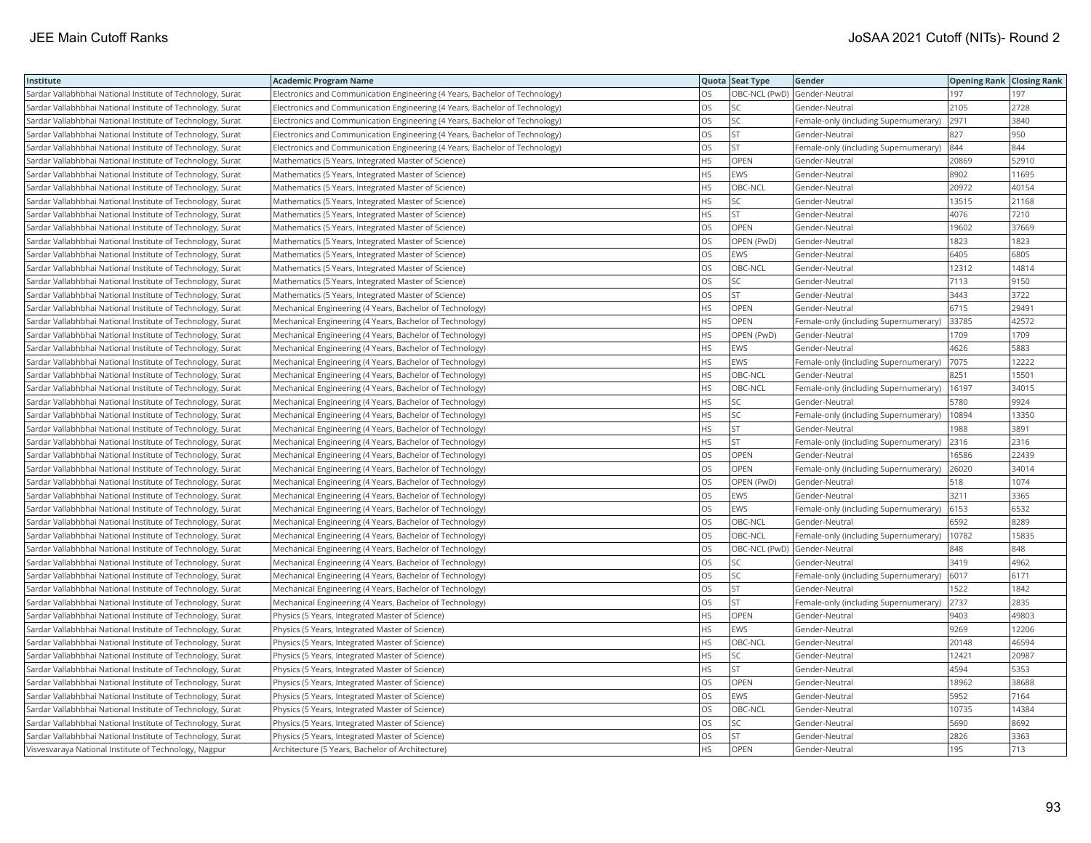| Institute                                                  | <b>Academic Program Name</b>                                                |           | Quota Seat Type | Gender                                | <b>Opening Rank Closing Rank</b> |       |
|------------------------------------------------------------|-----------------------------------------------------------------------------|-----------|-----------------|---------------------------------------|----------------------------------|-------|
| Sardar Vallabhbhai National Institute of Technology, Surat | Electronics and Communication Engineering (4 Years, Bachelor of Technology) | los       | OBC-NCL (PwD)   | Gender-Neutral                        | 197                              | 197   |
| Sardar Vallabhbhai National Institute of Technology, Surat | Electronics and Communication Engineering (4 Years, Bachelor of Technology) | los       | SC              | Gender-Neutral                        | 2105                             | 2728  |
| Sardar Vallabhbhai National Institute of Technology, Surat | Electronics and Communication Engineering (4 Years, Bachelor of Technology) | los       | SC              | Female-only (including Supernumerary) | 2971                             | 3840  |
| Sardar Vallabhbhai National Institute of Technology, Surat | Electronics and Communication Engineering (4 Years, Bachelor of Technology) | los       | <b>ST</b>       | Gender-Neutral                        | 827                              | 950   |
| Sardar Vallabhbhai National Institute of Technology, Surat | Electronics and Communication Engineering (4 Years, Bachelor of Technology) | los       | <b>ST</b>       | Female-only (including Supernumerary) | 844                              | 844   |
| Sardar Vallabhbhai National Institute of Technology, Surat | Mathematics (5 Years, Integrated Master of Science)                         | <b>HS</b> | OPEN            | Gender-Neutral                        | 20869                            | 52910 |
| Sardar Vallabhbhai National Institute of Technology, Surat | Mathematics (5 Years, Integrated Master of Science)                         | <b>HS</b> | EWS             | Gender-Neutral                        | 8902                             | 11695 |
| Sardar Vallabhbhai National Institute of Technology, Surat | Mathematics (5 Years, Integrated Master of Science)                         | <b>HS</b> | OBC-NCL         | Gender-Neutral                        | 20972                            | 40154 |
| Sardar Vallabhbhai National Institute of Technology, Surat | Mathematics (5 Years, Integrated Master of Science)                         | l hs      | SC              | Gender-Neutral                        | 13515                            | 21168 |
| Sardar Vallabhbhai National Institute of Technology, Surat | Mathematics (5 Years, Integrated Master of Science)                         | <b>HS</b> | <b>ST</b>       | Gender-Neutral                        | 4076                             | 7210  |
| Sardar Vallabhbhai National Institute of Technology, Surat | Mathematics (5 Years, Integrated Master of Science)                         | los       | OPEN            | Gender-Neutral                        | 19602                            | 37669 |
| Sardar Vallabhbhai National Institute of Technology, Surat | Mathematics (5 Years, Integrated Master of Science)                         | los       | OPEN (PwD)      | Gender-Neutral                        | 1823                             | 1823  |
| Sardar Vallabhbhai National Institute of Technology, Surat | Mathematics (5 Years, Integrated Master of Science)                         | los       | EWS             | Gender-Neutral                        | 6405                             | 6805  |
| Sardar Vallabhbhai National Institute of Technology, Surat | Mathematics (5 Years, Integrated Master of Science)                         | los       | OBC-NCL         | Gender-Neutral                        | 12312                            | 14814 |
| Sardar Vallabhbhai National Institute of Technology, Surat | Mathematics (5 Years, Integrated Master of Science)                         | los       | SC              | Gender-Neutral                        | 7113                             | 9150  |
| Sardar Vallabhbhai National Institute of Technology, Surat | Mathematics (5 Years, Integrated Master of Science)                         | los       | <b>ST</b>       | Gender-Neutral                        | 3443                             | 3722  |
| Sardar Vallabhbhai National Institute of Technology, Surat | Mechanical Engineering (4 Years, Bachelor of Technology)                    | <b>HS</b> | <b>OPEN</b>     | Gender-Neutral                        | 6715                             | 29491 |
| Sardar Vallabhbhai National Institute of Technology, Surat | Mechanical Engineering (4 Years, Bachelor of Technology)                    | HS.       | <b>OPEN</b>     | Female-only (including Supernumerary) | 33785                            | 42572 |
| Sardar Vallabhbhai National Institute of Technology, Surat | Mechanical Engineering (4 Years, Bachelor of Technology)                    | HS.       | OPEN (PwD)      | Gender-Neutral                        | 1709                             | 1709  |
| Sardar Vallabhbhai National Institute of Technology, Surat | Mechanical Engineering (4 Years, Bachelor of Technology)                    | <b>HS</b> | EWS             | Gender-Neutral                        | 4626                             | 5883  |
| Sardar Vallabhbhai National Institute of Technology, Surat | Mechanical Engineering (4 Years, Bachelor of Technology)                    | HS        | EWS             | Female-only (including Supernumerary) | 7075                             | 12222 |
| Sardar Vallabhbhai National Institute of Technology, Surat | Mechanical Engineering (4 Years, Bachelor of Technology)                    | <b>HS</b> | OBC-NCL         | Gender-Neutral                        | 8251                             | 15501 |
| Sardar Vallabhbhai National Institute of Technology, Surat | Mechanical Engineering (4 Years, Bachelor of Technology)                    | <b>HS</b> | OBC-NCL         | Female-only (including Supernumerary) | 16197                            | 34015 |
| Sardar Vallabhbhai National Institute of Technology, Surat | Mechanical Engineering (4 Years, Bachelor of Technology)                    | <b>HS</b> | SC              | Gender-Neutral                        | 5780                             | 9924  |
| Sardar Vallabhbhai National Institute of Technology, Surat | Mechanical Engineering (4 Years, Bachelor of Technology)                    | <b>HS</b> | SC              | Female-only (including Supernumerary) | 10894                            | 13350 |
| Sardar Vallabhbhai National Institute of Technology, Surat | Mechanical Engineering (4 Years, Bachelor of Technology)                    | HS.       | <b>ST</b>       | Gender-Neutral                        | 1988                             | 3891  |
| Sardar Vallabhbhai National Institute of Technology, Surat | Mechanical Engineering (4 Years, Bachelor of Technology)                    | <b>HS</b> | <b>ST</b>       | Female-only (including Supernumerary) | 2316                             | 2316  |
| Sardar Vallabhbhai National Institute of Technology, Surat | Mechanical Engineering (4 Years, Bachelor of Technology)                    | los       | OPEN            | Gender-Neutral                        | 16586                            | 22439 |
| Sardar Vallabhbhai National Institute of Technology, Surat | Mechanical Engineering (4 Years, Bachelor of Technology)                    | los       | <b>OPEN</b>     | Female-only (including Supernumerary) | 26020                            | 34014 |
| Sardar Vallabhbhai National Institute of Technology, Surat | Mechanical Engineering (4 Years, Bachelor of Technology)                    | los       | OPEN (PwD)      | Gender-Neutral                        | 518                              | 1074  |
| Sardar Vallabhbhai National Institute of Technology, Surat | Mechanical Engineering (4 Years, Bachelor of Technology)                    | los       | EWS             | Gender-Neutral                        | 3211                             | 3365  |
| Sardar Vallabhbhai National Institute of Technology, Surat | Mechanical Engineering (4 Years, Bachelor of Technology)                    | los       | EWS             | Female-only (including Supernumerary) | 6153                             | 6532  |
| Sardar Vallabhbhai National Institute of Technology, Surat | Mechanical Engineering (4 Years, Bachelor of Technology)                    | los       | OBC-NCL         | Gender-Neutral                        | 6592                             | 8289  |
| Sardar Vallabhbhai National Institute of Technology, Surat | Mechanical Engineering (4 Years, Bachelor of Technology)                    | los       | OBC-NCL         | Female-only (including Supernumerary) | 10782                            | 15835 |
| Sardar Vallabhbhai National Institute of Technology, Surat | Mechanical Engineering (4 Years, Bachelor of Technology)                    | los       | OBC-NCL (PwD)   | Gender-Neutral                        | 848                              | 848   |
| Sardar Vallabhbhai National Institute of Technology, Surat | Mechanical Engineering (4 Years, Bachelor of Technology)                    | los       | SC              | Gender-Neutral                        | 3419                             | 4962  |
| Sardar Vallabhbhai National Institute of Technology, Surat | Mechanical Engineering (4 Years, Bachelor of Technology)                    | los       | SC              | Female-only (including Supernumerary) | 6017                             | 6171  |
| Sardar Vallabhbhai National Institute of Technology, Surat | Mechanical Engineering (4 Years, Bachelor of Technology)                    | los       | <b>ST</b>       | Gender-Neutral                        | 1522                             | 1842  |
| Sardar Vallabhbhai National Institute of Technology, Surat | Mechanical Engineering (4 Years, Bachelor of Technology)                    | los       | <b>ST</b>       | Female-only (including Supernumerary) | 2737                             | 2835  |
| Sardar Vallabhbhai National Institute of Technology, Surat | Physics (5 Years, Integrated Master of Science)                             | HS.       | OPEN            | Gender-Neutral                        | 9403                             | 49803 |
| Sardar Vallabhbhai National Institute of Technology, Surat | Physics (5 Years, Integrated Master of Science)                             | HS        | EWS             | Gender-Neutral                        | 9269                             | 12206 |
| Sardar Vallabhbhai National Institute of Technology, Surat | Physics (5 Years, Integrated Master of Science)                             | <b>HS</b> | OBC-NCL         | Gender-Neutral                        | 20148                            | 46594 |
| Sardar Vallabhbhai National Institute of Technology, Surat | Physics (5 Years, Integrated Master of Science)                             | HS        | SC              | Gender-Neutral                        | 12421                            | 20987 |
| Sardar Vallabhbhai National Institute of Technology, Surat | Physics (5 Years, Integrated Master of Science)                             | <b>HS</b> | <b>ST</b>       | Gender-Neutral                        | 4594                             | 5353  |
| Sardar Vallabhbhai National Institute of Technology, Surat | Physics (5 Years, Integrated Master of Science)                             | <b>OS</b> | <b>OPEN</b>     | Gender-Neutral                        | 18962                            | 38688 |
| Sardar Vallabhbhai National Institute of Technology, Surat | Physics (5 Years, Integrated Master of Science)                             | los       | EWS             | Gender-Neutral                        | 5952                             | 7164  |
| Sardar Vallabhbhai National Institute of Technology, Surat | Physics (5 Years, Integrated Master of Science)                             | los       | OBC-NCL         | Gender-Neutral                        | 10735                            | 14384 |
| Sardar Vallabhbhai National Institute of Technology, Surat | Physics (5 Years, Integrated Master of Science)                             | los       | SC              | Gender-Neutral                        | 5690                             | 8692  |
| Sardar Vallabhbhai National Institute of Technology, Surat | Physics (5 Years, Integrated Master of Science)                             | los       | <b>ST</b>       | Gender-Neutral                        | 2826                             | 3363  |
| Visvesvaraya National Institute of Technology, Nagpur      | Architecture (5 Years, Bachelor of Architecture)                            | l HS      | <b>OPEN</b>     | Gender-Neutral                        | 195                              | 713   |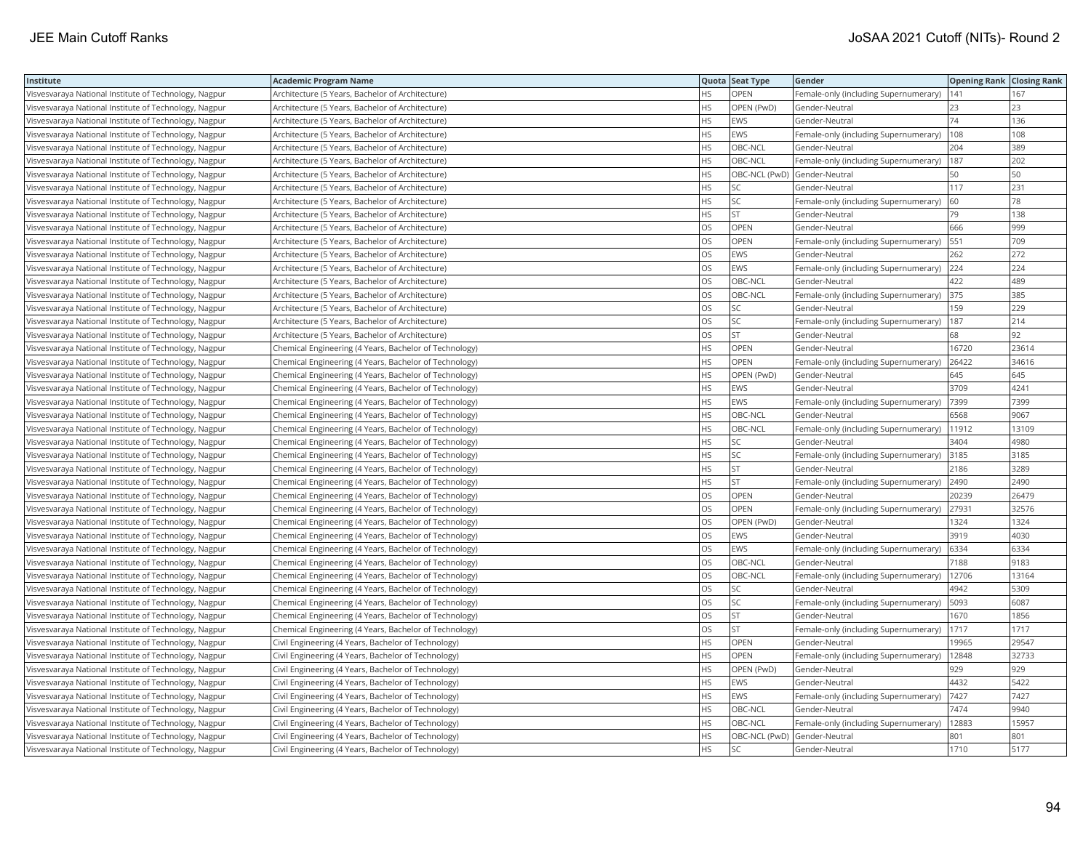| Institute                                             | <b>Academic Program Name</b>                           |           | Quota Seat Type | Gender                                        | <b>Opening Rank   Closing Rank</b> |       |
|-------------------------------------------------------|--------------------------------------------------------|-----------|-----------------|-----------------------------------------------|------------------------------------|-------|
| Visvesvaraya National Institute of Technology, Nagpur | Architecture (5 Years, Bachelor of Architecture)       | <b>HS</b> | <b>OPEN</b>     | Female-only (including Supernumerary)         | 141                                | 167   |
| Visvesvaraya National Institute of Technology, Nagpur | Architecture (5 Years, Bachelor of Architecture)       | НS        | OPEN (PwD)      | Gender-Neutral                                | 23                                 | 23    |
| Visvesvaraya National Institute of Technology, Nagpur | Architecture (5 Years, Bachelor of Architecture)       | <b>HS</b> | EWS             | Gender-Neutral                                | 74                                 | 136   |
| Visvesvaraya National Institute of Technology, Nagpur | Architecture (5 Years, Bachelor of Architecture)       | <b>HS</b> | EWS             | Female-only (including Supernumerary)         | 108                                | 108   |
| Visvesvaraya National Institute of Technology, Nagpur | Architecture (5 Years, Bachelor of Architecture)       | I HS      | OBC-NCL         | Gender-Neutral                                | 204                                | 389   |
| Visvesvaraya National Institute of Technology, Nagpur | Architecture (5 Years, Bachelor of Architecture)       | <b>HS</b> | OBC-NCL         | Female-only (including Supernumerary)         | 187                                | 202   |
| Visvesvaraya National Institute of Technology, Nagpur | Architecture (5 Years, Bachelor of Architecture)       | <b>HS</b> | OBC-NCL (PwD)   | Gender-Neutral                                | 50                                 | 50    |
| Visvesvaraya National Institute of Technology, Nagpur | Architecture (5 Years, Bachelor of Architecture)       | <b>HS</b> | <b>SC</b>       | Gender-Neutral                                | 117                                | 231   |
| Visvesvaraya National Institute of Technology, Nagpur | Architecture (5 Years, Bachelor of Architecture)       | I HS      | SC              | Female-only (including Supernumerary)         | 60                                 | 78    |
| Visvesvaraya National Institute of Technology, Nagpur | Architecture (5 Years, Bachelor of Architecture)       | <b>HS</b> | <b>ST</b>       | Gender-Neutral                                | 79                                 | 138   |
| Visvesvaraya National Institute of Technology, Nagpur | Architecture (5 Years, Bachelor of Architecture)       | los       | OPEN            | Gender-Neutral                                | 666                                | 999   |
| Visvesvaraya National Institute of Technology, Nagpur | Architecture (5 Years, Bachelor of Architecture)       | los       | OPEN            | Female-only (including Supernumerary)         | 551                                | 709   |
| Visvesvaraya National Institute of Technology, Nagpur | Architecture (5 Years, Bachelor of Architecture)       | los       | EWS             | Gender-Neutral                                | 262                                | 272   |
| Visvesvaraya National Institute of Technology, Nagpur | Architecture (5 Years, Bachelor of Architecture)       | los       | EWS             | Female-only (including Supernumerary) 224     |                                    | 224   |
| Visvesvaraya National Institute of Technology, Nagpur | Architecture (5 Years, Bachelor of Architecture)       | los       | OBC-NCL         | Gender-Neutral                                | 422                                | 489   |
| Visvesvaraya National Institute of Technology, Nagpur | Architecture (5 Years, Bachelor of Architecture)       | los       | OBC-NCL         | Female-only (including Supernumerary)         | 375                                | 385   |
| Visvesvaraya National Institute of Technology, Nagpur | Architecture (5 Years, Bachelor of Architecture)       | <b>OS</b> | SC              | Gender-Neutral                                | 159                                | 229   |
| Visvesvaraya National Institute of Technology, Nagpur | Architecture (5 Years, Bachelor of Architecture)       | los       | SC              | Female-only (including Supernumerary)         | 187                                | 214   |
| Visvesvaraya National Institute of Technology, Nagpur | Architecture (5 Years, Bachelor of Architecture)       | los       | <b>ST</b>       | Gender-Neutral                                | 68                                 | 92    |
| Visvesvaraya National Institute of Technology, Nagpur | Chemical Engineering (4 Years, Bachelor of Technology) | HS.       | OPEN            | Gender-Neutral                                | 16720                              | 23614 |
| Visvesvaraya National Institute of Technology, Nagpur | Chemical Engineering (4 Years, Bachelor of Technology) | <b>HS</b> | <b>OPEN</b>     | Female-only (including Supernumerary)         | 26422                              | 34616 |
| Visvesvaraya National Institute of Technology, Nagpur | Chemical Engineering (4 Years, Bachelor of Technology) | <b>HS</b> | OPEN (PwD)      | Gender-Neutral                                | 645                                | 645   |
| Visvesvaraya National Institute of Technology, Nagpur | Chemical Engineering (4 Years, Bachelor of Technology) | <b>HS</b> | EWS             | Gender-Neutral                                | 3709                               | 4241  |
| Visvesvaraya National Institute of Technology, Nagpur | Chemical Engineering (4 Years, Bachelor of Technology) | HS.       | EWS             | Female-only (including Supernumerary)         | 7399                               | 7399  |
| Visvesvaraya National Institute of Technology, Nagpur | Chemical Engineering (4 Years, Bachelor of Technology) | <b>HS</b> | OBC-NCL         | Gender-Neutral                                | 6568                               | 9067  |
| Visvesvaraya National Institute of Technology, Nagpur | Chemical Engineering (4 Years, Bachelor of Technology) | l HS      | OBC-NCL         | Female-only (including Supernumerary)         | 11912                              | 13109 |
| Visvesvaraya National Institute of Technology, Nagpur | Chemical Engineering (4 Years, Bachelor of Technology) | HS.       | SC              | Gender-Neutral                                | 3404                               | 4980  |
| Visvesvaraya National Institute of Technology, Nagpur | Chemical Engineering (4 Years, Bachelor of Technology) | HS.       | SC              | Female-only (including Supernumerary) 3185    |                                    | 3185  |
| Visvesvaraya National Institute of Technology, Nagpur | Chemical Engineering (4 Years, Bachelor of Technology) | <b>HS</b> | <b>ST</b>       | Gender-Neutral                                | 2186                               | 3289  |
| Visvesvaraya National Institute of Technology, Nagpur | Chemical Engineering (4 Years, Bachelor of Technology) | HS        | <b>ST</b>       | Female-only (including Supernumerary)         | 2490                               | 2490  |
| Visvesvaraya National Institute of Technology, Nagpur | Chemical Engineering (4 Years, Bachelor of Technology) | los       | OPEN            | Gender-Neutral                                | 20239                              | 26479 |
| Visvesvaraya National Institute of Technology, Nagpur | Chemical Engineering (4 Years, Bachelor of Technology) | <b>OS</b> | <b>OPEN</b>     | Female-only (including Supernumerary)         | 27931                              | 32576 |
| Visvesvaraya National Institute of Technology, Nagpur | Chemical Engineering (4 Years, Bachelor of Technology) | los       | OPEN (PwD)      | Gender-Neutral                                | 1324                               | 1324  |
| Visvesvaraya National Institute of Technology, Nagpur | Chemical Engineering (4 Years, Bachelor of Technology) | los       | EWS             | Gender-Neutral                                | 3919                               | 4030  |
| Visvesvaraya National Institute of Technology, Nagpur | Chemical Engineering (4 Years, Bachelor of Technology) | los       | EWS             | Female-only (including Supernumerary)         | 6334                               | 6334  |
| Visvesvaraya National Institute of Technology, Nagpur | Chemical Engineering (4 Years, Bachelor of Technology) | los       | OBC-NCL         | Gender-Neutral                                | 7188                               | 9183  |
| Visvesvaraya National Institute of Technology, Nagpur | Chemical Engineering (4 Years, Bachelor of Technology) | los       | OBC-NCL         | Female-only (including Supernumerary)         | 12706                              | 13164 |
| Visvesvaraya National Institute of Technology, Nagpur | Chemical Engineering (4 Years, Bachelor of Technology) | los       | SC              | Gender-Neutral                                | 4942                               | 5309  |
| Visvesvaraya National Institute of Technology, Nagpur | Chemical Engineering (4 Years, Bachelor of Technology) | los       | SC              | Female-only (including Supernumerary)         | 5093                               | 6087  |
| Visvesvaraya National Institute of Technology, Nagpur | Chemical Engineering (4 Years, Bachelor of Technology) | los       | <b>ST</b>       | Gender-Neutral                                | 1670                               | 1856  |
| Visvesvaraya National Institute of Technology, Nagpur | Chemical Engineering (4 Years, Bachelor of Technology) | los       | <b>ST</b>       | Female-only (including Supernumerary)         | 1717                               | 1717  |
| Visvesvaraya National Institute of Technology, Nagpur | Civil Engineering (4 Years, Bachelor of Technology)    | HS.       | OPEN            | Gender-Neutral                                | 19965                              | 29547 |
| Visvesvaraya National Institute of Technology, Nagpur | Civil Engineering (4 Years, Bachelor of Technology)    | HS.       | OPEN            | Female-only (including Supernumerary)   12848 |                                    | 32733 |
| Visvesvaraya National Institute of Technology, Nagpur | Civil Engineering (4 Years, Bachelor of Technology)    | HS.       | OPEN (PwD)      | Gender-Neutral                                | 929                                | 929   |
| Visvesvaraya National Institute of Technology, Nagpur | Civil Engineering (4 Years, Bachelor of Technology)    | <b>HS</b> | EWS             | Gender-Neutral                                | 4432                               | 5422  |
| Visvesvaraya National Institute of Technology, Nagpur | Civil Engineering (4 Years, Bachelor of Technology)    | <b>HS</b> | EWS             | Female-only (including Supernumerary)         | 7427                               | 7427  |
| Visvesvaraya National Institute of Technology, Nagpur | Civil Engineering (4 Years, Bachelor of Technology)    | HS        | OBC-NCL         | Gender-Neutral                                | 7474                               | 9940  |
| Visvesvaraya National Institute of Technology, Nagpur | Civil Engineering (4 Years, Bachelor of Technology)    | <b>HS</b> | OBC-NCL         | Female-only (including Supernumerary)         | 12883                              | 15957 |
| Visvesvaraya National Institute of Technology, Nagpur | Civil Engineering (4 Years, Bachelor of Technology)    | <b>HS</b> | OBC-NCL (PwD)   | Gender-Neutral                                | 801                                | 801   |
| Visvesvaraya National Institute of Technology, Nagpur | Civil Engineering (4 Years, Bachelor of Technology)    | <b>HS</b> | <b>SC</b>       | Gender-Neutral                                | 1710                               | 5177  |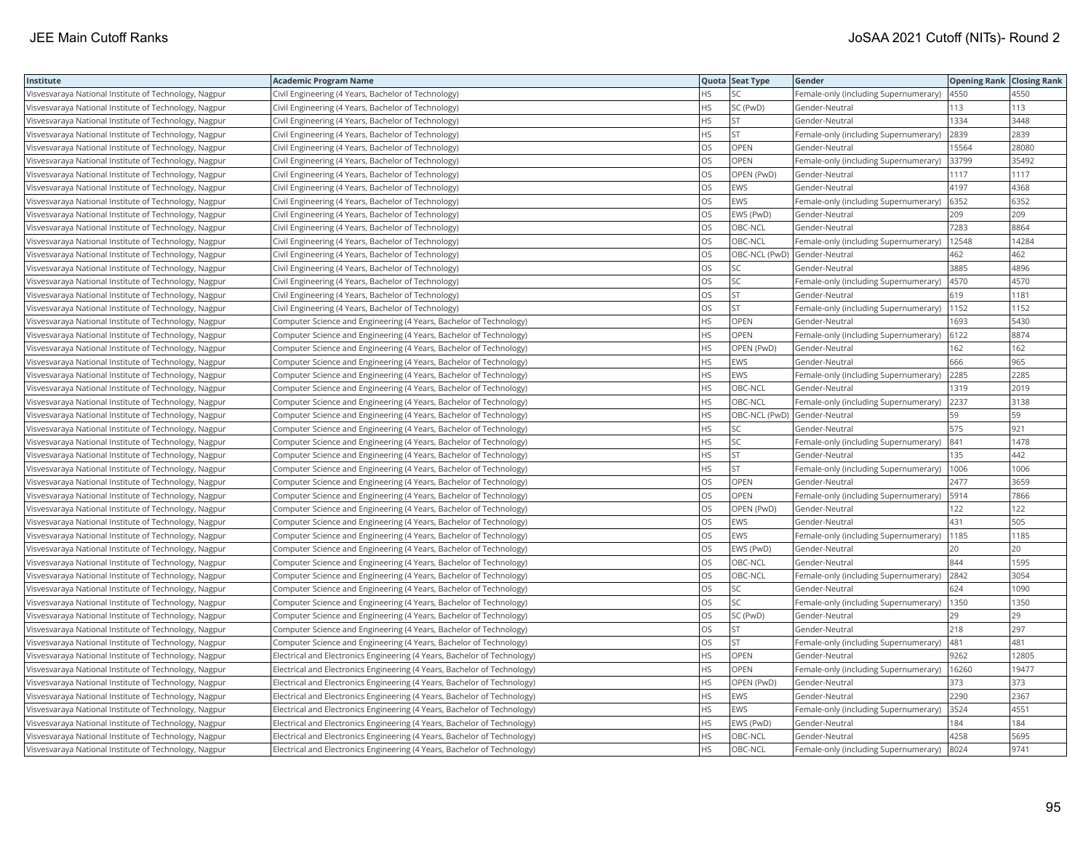| Institute                                             | <b>Academic Program Name</b>                                             |           | Quota Seat Type | Gender                                | <b>Opening Rank Closing Rank</b> |       |
|-------------------------------------------------------|--------------------------------------------------------------------------|-----------|-----------------|---------------------------------------|----------------------------------|-------|
| Visvesvaraya National Institute of Technology, Nagpur | Civil Engineering (4 Years, Bachelor of Technology)                      | <b>HS</b> | SC              | Female-only (including Supernumerary) | 4550                             | 4550  |
| Visvesvaraya National Institute of Technology, Nagpur | Civil Engineering (4 Years, Bachelor of Technology)                      | <b>HS</b> | SC (PwD)        | Gender-Neutral                        | 113                              | 113   |
| Visvesvaraya National Institute of Technology, Nagpur | Civil Engineering (4 Years, Bachelor of Technology)                      | <b>HS</b> | <b>ST</b>       | Gender-Neutral                        | 1334                             | 3448  |
| Visvesvaraya National Institute of Technology, Nagpur | Civil Engineering (4 Years, Bachelor of Technology)                      | <b>HS</b> | <b>ST</b>       | Female-only (including Supernumerary) | 2839                             | 2839  |
| Visvesvaraya National Institute of Technology, Nagpur | Civil Engineering (4 Years, Bachelor of Technology)                      | los       | <b>OPEN</b>     | Gender-Neutral                        | 15564                            | 28080 |
| Visvesvaraya National Institute of Technology, Nagpur | Civil Engineering (4 Years, Bachelor of Technology)                      | los       | OPEN            | Female-only (including Supernumerary) | 33799                            | 35492 |
| Visvesvaraya National Institute of Technology, Nagpur | Civil Engineering (4 Years, Bachelor of Technology)                      | los       | OPEN (PwD)      | Gender-Neutral                        | 1117                             | 1117  |
| Visvesvaraya National Institute of Technology, Nagpur | Civil Engineering (4 Years, Bachelor of Technology)                      | los       | EWS             | Gender-Neutral                        | 4197                             | 4368  |
| Visvesvaraya National Institute of Technology, Nagpur | Civil Engineering (4 Years, Bachelor of Technology)                      | los       | EWS             | Female-only (including Supernumerary) | 6352                             | 6352  |
| Visvesvaraya National Institute of Technology, Nagpur | Civil Engineering (4 Years, Bachelor of Technology)                      | los       | EWS (PwD)       | Gender-Neutral                        | 209                              | 209   |
| Visvesvaraya National Institute of Technology, Nagpur | Civil Engineering (4 Years, Bachelor of Technology)                      | los       | OBC-NCL         | Gender-Neutral                        | 7283                             | 8864  |
| Visvesvaraya National Institute of Technology, Nagpur | Civil Engineering (4 Years, Bachelor of Technology)                      | los       | OBC-NCL         | Female-only (including Supernumerary) | 12548                            | 14284 |
| Visvesvaraya National Institute of Technology, Nagpur | Civil Engineering (4 Years, Bachelor of Technology)                      | los       | OBC-NCL (PwD)   | Gender-Neutral                        | 462                              | 462   |
| Visvesvaraya National Institute of Technology, Nagpur | Civil Engineering (4 Years, Bachelor of Technology)                      | los       | SC              | Gender-Neutral                        | 3885                             | 4896  |
| Visvesvaraya National Institute of Technology, Nagpur | Civil Engineering (4 Years, Bachelor of Technology)                      | <b>OS</b> | SC              | Female-only (including Supernumerary) | 4570                             | 4570  |
| Visvesvaraya National Institute of Technology, Nagpur | Civil Engineering (4 Years, Bachelor of Technology)                      | los       | <b>ST</b>       | Gender-Neutral                        | 619                              | 1181  |
| Visvesvaraya National Institute of Technology, Nagpur | Civil Engineering (4 Years, Bachelor of Technology)                      | <b>OS</b> | <b>ST</b>       | Female-only (including Supernumerary) | 1152                             | 1152  |
| Visvesvaraya National Institute of Technology, Nagpur | Computer Science and Engineering (4 Years, Bachelor of Technology)       | HS.       | <b>OPEN</b>     | Gender-Neutral                        | 1693                             | 5430  |
| Visvesvaraya National Institute of Technology, Nagpur | Computer Science and Engineering (4 Years, Bachelor of Technology)       | HS.       | OPEN            | Female-only (including Supernumerary) | 6122                             | 8874  |
| Visvesvaraya National Institute of Technology, Nagpur | Computer Science and Engineering (4 Years, Bachelor of Technology)       | <b>HS</b> | OPEN (PwD)      | Gender-Neutral                        | 162                              | 162   |
| Visvesvaraya National Institute of Technology, Nagpur | Computer Science and Engineering (4 Years, Bachelor of Technology)       | <b>HS</b> | EWS             | Gender-Neutral                        | 666                              | 965   |
| Visvesvaraya National Institute of Technology, Nagpur | Computer Science and Engineering (4 Years, Bachelor of Technology)       | HS.       | EWS             | Female-only (including Supernumerary) | 2285                             | 2285  |
| Visvesvaraya National Institute of Technology, Nagpur | Computer Science and Engineering (4 Years, Bachelor of Technology)       | <b>HS</b> | OBC-NCL         | Gender-Neutral                        | 1319                             | 2019  |
| Visvesvaraya National Institute of Technology, Nagpur | Computer Science and Engineering (4 Years, Bachelor of Technology)       | HS        | OBC-NCL         | Female-only (including Supernumerary) | 2237                             | 3138  |
| Visvesvaraya National Institute of Technology, Nagpur | Computer Science and Engineering (4 Years, Bachelor of Technology)       | HS.       | OBC-NCL (PwD)   | Gender-Neutral                        | 59                               | 59    |
| Visvesvaraya National Institute of Technology, Nagpur | Computer Science and Engineering (4 Years, Bachelor of Technology)       | HS.       | SC              | Gender-Neutral                        | 575                              | 921   |
| Visvesvaraya National Institute of Technology, Nagpur | Computer Science and Engineering (4 Years, Bachelor of Technology)       | <b>HS</b> | SC              | Female-only (including Supernumerary) | 841                              | 1478  |
| Visvesvaraya National Institute of Technology, Nagpur | Computer Science and Engineering (4 Years, Bachelor of Technology)       | HS        | <b>ST</b>       | Gender-Neutral                        | 135                              | 442   |
| Visvesvaraya National Institute of Technology, Nagpur | Computer Science and Engineering (4 Years, Bachelor of Technology)       | <b>HS</b> | <b>ST</b>       | Female-only (including Supernumerary) | 1006                             | 1006  |
| Visvesvaraya National Institute of Technology, Nagpur | Computer Science and Engineering (4 Years, Bachelor of Technology)       | <b>OS</b> | <b>OPEN</b>     | Gender-Neutral                        | 2477                             | 3659  |
| Visvesvaraya National Institute of Technology, Nagpur | Computer Science and Engineering (4 Years, Bachelor of Technology)       | los       | OPEN            | Female-only (including Supernumerary) | 5914                             | 7866  |
| Visvesvaraya National Institute of Technology, Nagpur | Computer Science and Engineering (4 Years, Bachelor of Technology)       | los       | OPEN (PwD)      | Gender-Neutral                        | 122                              | 122   |
| Visvesvaraya National Institute of Technology, Nagpur | Computer Science and Engineering (4 Years, Bachelor of Technology)       | los       | EWS             | Gender-Neutral                        | 431                              | 505   |
| Visvesvaraya National Institute of Technology, Nagpur | Computer Science and Engineering (4 Years, Bachelor of Technology)       | los       | EWS             | Female-only (including Supernumerary) | 1185                             | 1185  |
| Visvesvaraya National Institute of Technology, Nagpur | Computer Science and Engineering (4 Years, Bachelor of Technology)       | los       | EWS (PwD)       | Gender-Neutral                        | 20                               | 20    |
| Visvesvaraya National Institute of Technology, Nagpur | Computer Science and Engineering (4 Years, Bachelor of Technology)       | los       | OBC-NCL         | Gender-Neutral                        | 844                              | 1595  |
| Visvesvaraya National Institute of Technology, Nagpur | Computer Science and Engineering (4 Years, Bachelor of Technology)       | los       | OBC-NCL         | Female-only (including Supernumerary) | 2842                             | 3054  |
| Visvesvaraya National Institute of Technology, Nagpur | Computer Science and Engineering (4 Years, Bachelor of Technology)       | los       | SC              | Gender-Neutral                        | 624                              | 1090  |
| Visvesvaraya National Institute of Technology, Nagpur | Computer Science and Engineering (4 Years, Bachelor of Technology)       | los       | SC              | Female-only (including Supernumerary) | 1350                             | 1350  |
| Visvesvaraya National Institute of Technology, Nagpur | Computer Science and Engineering (4 Years, Bachelor of Technology)       | los       | SC (PwD)        | Gender-Neutral                        | 29                               | 29    |
| Visvesvaraya National Institute of Technology, Nagpur | Computer Science and Engineering (4 Years, Bachelor of Technology)       | los       | <b>ST</b>       | Gender-Neutral                        | 218                              | 297   |
| Visvesvaraya National Institute of Technology, Nagpur | Computer Science and Engineering (4 Years, Bachelor of Technology)       | los       | <b>ST</b>       | Female-only (including Supernumerary) | 481                              | 481   |
| Visvesvaraya National Institute of Technology, Nagpur | Electrical and Electronics Engineering (4 Years, Bachelor of Technology) | HS        | OPEN            | Gender-Neutral                        | 9262                             | 12805 |
| Visvesvaraya National Institute of Technology, Nagpur | Electrical and Electronics Engineering (4 Years, Bachelor of Technology) | <b>HS</b> | <b>OPEN</b>     | Female-only (including Supernumerary) | 16260                            | 19477 |
| Visvesvaraya National Institute of Technology, Nagpur | Electrical and Electronics Engineering (4 Years, Bachelor of Technology) | HS        | OPEN (PwD)      | Gender-Neutral                        | 373                              | 373   |
| Visvesvaraya National Institute of Technology, Nagpur | Electrical and Electronics Engineering (4 Years, Bachelor of Technology) | <b>HS</b> | EWS             | Gender-Neutral                        | 2290                             | 2367  |
| Visvesvaraya National Institute of Technology, Nagpur | Electrical and Electronics Engineering (4 Years, Bachelor of Technology) | HS        | EWS             | Female-only (including Supernumerary) | 3524                             | 4551  |
| Visvesvaraya National Institute of Technology, Nagpur | Electrical and Electronics Engineering (4 Years, Bachelor of Technology) | HS.       | EWS (PwD)       | Gender-Neutral                        | 184                              | 184   |
| Visvesvaraya National Institute of Technology, Nagpur | Electrical and Electronics Engineering (4 Years, Bachelor of Technology) | HS        | OBC-NCL         | Gender-Neutral                        | 4258                             | 5695  |
| Visvesvaraya National Institute of Technology, Nagpur | Electrical and Electronics Engineering (4 Years, Bachelor of Technology) | l HS      | OBC-NCL         | Female-only (including Supernumerary) | 8024                             | 9741  |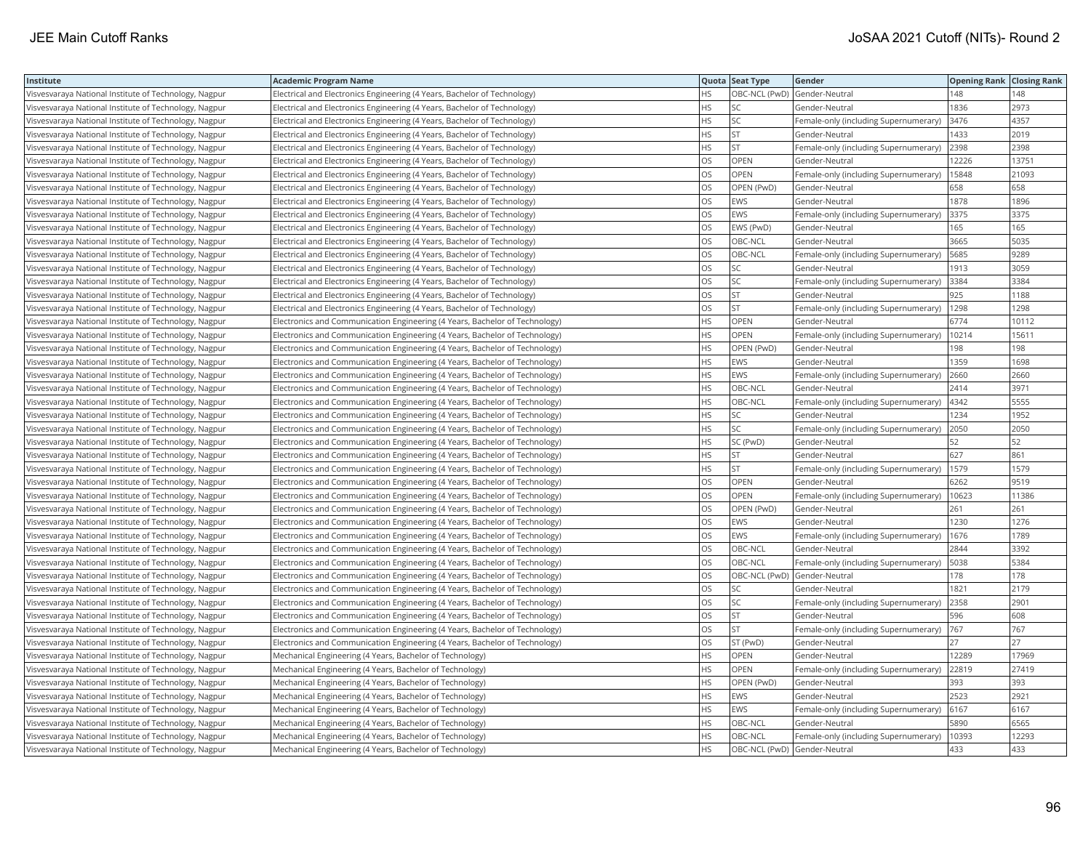| Institute                                             | <b>Academic Program Name</b>                                                |           | Quota Seat Type | Gender                                     | <b>Opening Rank Closing Rank</b> |       |
|-------------------------------------------------------|-----------------------------------------------------------------------------|-----------|-----------------|--------------------------------------------|----------------------------------|-------|
| Visvesvaraya National Institute of Technology, Nagpur | Electrical and Electronics Engineering (4 Years, Bachelor of Technology)    | <b>HS</b> | OBC-NCL (PwD)   | Gender-Neutral                             | 148                              | 148   |
| Visvesvaraya National Institute of Technology, Nagpur | Electrical and Electronics Engineering (4 Years, Bachelor of Technology)    | <b>HS</b> | SC              | Gender-Neutral                             | 1836                             | 2973  |
| Visvesvaraya National Institute of Technology, Nagpur | Electrical and Electronics Engineering (4 Years, Bachelor of Technology)    | <b>HS</b> | SC              | Female-only (including Supernumerary)      | 3476                             | 4357  |
| Visvesvaraya National Institute of Technology, Nagpur | Electrical and Electronics Engineering (4 Years, Bachelor of Technology)    | <b>HS</b> | ST              | Gender-Neutral                             | 1433                             | 2019  |
| Visvesvaraya National Institute of Technology, Nagpur | Electrical and Electronics Engineering (4 Years, Bachelor of Technology)    | <b>HS</b> | <b>ST</b>       | Female-only (including Supernumerary)      | 2398                             | 2398  |
| Visvesvaraya National Institute of Technology, Nagpur | Electrical and Electronics Engineering (4 Years, Bachelor of Technology)    | los       | <b>OPEN</b>     | Gender-Neutral                             | 12226                            | 13751 |
| Visvesvaraya National Institute of Technology, Nagpur | Electrical and Electronics Engineering (4 Years, Bachelor of Technology)    | los       | OPEN            | Female-only (including Supernumerary)      | 15848                            | 21093 |
| Visvesvaraya National Institute of Technology, Nagpur | Electrical and Electronics Engineering (4 Years, Bachelor of Technology)    | los       | OPEN (PwD)      | Gender-Neutral                             | 658                              | 658   |
| Visvesvaraya National Institute of Technology, Nagpur | Electrical and Electronics Engineering (4 Years, Bachelor of Technology)    | los       | EWS             | Gender-Neutral                             | 1878                             | 1896  |
| Visvesvaraya National Institute of Technology, Nagpur | Electrical and Electronics Engineering (4 Years, Bachelor of Technology)    | los       | EWS             | Female-only (including Supernumerary)      | 3375                             | 3375  |
| Visvesvaraya National Institute of Technology, Nagpur | Electrical and Electronics Engineering (4 Years, Bachelor of Technology)    | los       | EWS (PwD)       | Gender-Neutral                             | 165                              | 165   |
| Visvesvaraya National Institute of Technology, Nagpur | Electrical and Electronics Engineering (4 Years, Bachelor of Technology)    | los       | OBC-NCL         | Gender-Neutral                             | 3665                             | 5035  |
| Visvesvaraya National Institute of Technology, Nagpur | Electrical and Electronics Engineering (4 Years, Bachelor of Technology)    | los       | OBC-NCL         | Female-only (including Supernumerary)      | 5685                             | 9289  |
| Visvesvaraya National Institute of Technology, Nagpur | Electrical and Electronics Engineering (4 Years, Bachelor of Technology)    | los       | SC              | Gender-Neutral                             | 1913                             | 3059  |
| Visvesvaraya National Institute of Technology, Nagpur | Electrical and Electronics Engineering (4 Years, Bachelor of Technology)    | <b>OS</b> | SC              | Female-only (including Supernumerary)      | 3384                             | 3384  |
| Visvesvaraya National Institute of Technology, Nagpur | Electrical and Electronics Engineering (4 Years, Bachelor of Technology)    | los       | <b>ST</b>       | Gender-Neutral                             | 925                              | 1188  |
| Visvesvaraya National Institute of Technology, Nagpur | Electrical and Electronics Engineering (4 Years, Bachelor of Technology)    | <b>OS</b> | <b>ST</b>       | Female-only (including Supernumerary)      | 1298                             | 1298  |
| Visvesvaraya National Institute of Technology, Nagpur | Electronics and Communication Engineering (4 Years, Bachelor of Technology) | <b>HS</b> | <b>OPEN</b>     | Gender-Neutral                             | 6774                             | 10112 |
| Visvesvaraya National Institute of Technology, Nagpur | Electronics and Communication Engineering (4 Years, Bachelor of Technology) | <b>HS</b> | <b>OPEN</b>     | Female-only (including Supernumerary)      | 10214                            | 15611 |
| Visvesvaraya National Institute of Technology, Nagpur | Electronics and Communication Engineering (4 Years, Bachelor of Technology) | <b>HS</b> | OPEN (PwD)      | Gender-Neutral                             | 198                              | 198   |
| Visvesvaraya National Institute of Technology, Nagpur | Electronics and Communication Engineering (4 Years, Bachelor of Technology) | HS.       | EWS             | Gender-Neutral                             | 1359                             | 1698  |
| Visvesvaraya National Institute of Technology, Nagpur | Electronics and Communication Engineering (4 Years, Bachelor of Technology) | l HS      | EWS             | Female-only (including Supernumerary)      | 2660                             | 2660  |
| Visvesvaraya National Institute of Technology, Nagpur | Electronics and Communication Engineering (4 Years, Bachelor of Technology) | l HS      | OBC-NCL         | Gender-Neutral                             | 2414                             | 3971  |
| Visvesvaraya National Institute of Technology, Nagpur | Electronics and Communication Engineering (4 Years, Bachelor of Technology) | HS        | OBC-NCL         | Female-only (including Supernumerary)      | 4342                             | 5555  |
| Visvesvaraya National Institute of Technology, Nagpur | Electronics and Communication Engineering (4 Years, Bachelor of Technology) | HS.       | SC              | Gender-Neutral                             | 1234                             | 1952  |
| Visvesvaraya National Institute of Technology, Nagpur | Electronics and Communication Engineering (4 Years, Bachelor of Technology) | HS.       | SC              | Female-only (including Supernumerary) 2050 |                                  | 2050  |
| Visvesvaraya National Institute of Technology, Nagpur | Electronics and Communication Engineering (4 Years, Bachelor of Technology) | <b>HS</b> | SC (PwD)        | Gender-Neutral                             | 52                               | 52    |
| Visvesvaraya National Institute of Technology, Nagpur | Electronics and Communication Engineering (4 Years, Bachelor of Technology) | HS        | <b>ST</b>       | Gender-Neutral                             | 627                              | 861   |
| Visvesvaraya National Institute of Technology, Nagpur | Electronics and Communication Engineering (4 Years, Bachelor of Technology) | HS.       | <b>ST</b>       | Female-only (including Supernumerary)      | 1579                             | 1579  |
| Visvesvaraya National Institute of Technology, Nagpur | Electronics and Communication Engineering (4 Years, Bachelor of Technology) | <b>OS</b> | OPEN            | Gender-Neutral                             | 6262                             | 9519  |
| Visvesvaraya National Institute of Technology, Nagpur | Electronics and Communication Engineering (4 Years, Bachelor of Technology) | los       | OPEN            | Female-only (including Supernumerary)      | 10623                            | 11386 |
| Visvesvaraya National Institute of Technology, Nagpur | Electronics and Communication Engineering (4 Years, Bachelor of Technology) | los       | OPEN (PwD)      | Gender-Neutral                             | 261                              | 261   |
| Visvesvaraya National Institute of Technology, Nagpur | Electronics and Communication Engineering (4 Years, Bachelor of Technology) | los       | EWS             | Gender-Neutral                             | 1230                             | 1276  |
| Visvesvaraya National Institute of Technology, Nagpur | Electronics and Communication Engineering (4 Years, Bachelor of Technology) | los       | EWS             | Female-only (including Supernumerary)      | 1676                             | 1789  |
| Visvesvaraya National Institute of Technology, Nagpur | Electronics and Communication Engineering (4 Years, Bachelor of Technology) | los       | OBC-NCL         | Gender-Neutral                             | 2844                             | 3392  |
| Visvesvaraya National Institute of Technology, Nagpur | Electronics and Communication Engineering (4 Years, Bachelor of Technology) | los       | OBC-NCL         | Female-only (including Supernumerary)      | 5038                             | 5384  |
| Visvesvaraya National Institute of Technology, Nagpur | Electronics and Communication Engineering (4 Years, Bachelor of Technology) | los       | OBC-NCL (PwD)   | Gender-Neutral                             | 178                              | 178   |
| Visvesvaraya National Institute of Technology, Nagpur | Electronics and Communication Engineering (4 Years, Bachelor of Technology) | los       | SC              | Gender-Neutral                             | 1821                             | 2179  |
| Visvesvaraya National Institute of Technology, Nagpur | Electronics and Communication Engineering (4 Years, Bachelor of Technology) | los       | SC              | Female-only (including Supernumerary)      | 2358                             | 2901  |
| Visvesvaraya National Institute of Technology, Nagpur | Electronics and Communication Engineering (4 Years, Bachelor of Technology) | los       | <b>ST</b>       | Gender-Neutral                             | 596                              | 608   |
| Visvesvaraya National Institute of Technology, Nagpur | Electronics and Communication Engineering (4 Years, Bachelor of Technology) | los       | <b>ST</b>       | Female-only (including Supernumerary)      | 767                              | 767   |
| Visvesvaraya National Institute of Technology, Nagpur | Electronics and Communication Engineering (4 Years, Bachelor of Technology) | los       | ST (PwD)        | Gender-Neutral                             | 27                               | 27    |
| Visvesvaraya National Institute of Technology, Nagpur | Mechanical Engineering (4 Years, Bachelor of Technology)                    | HS        | OPEN            | Gender-Neutral                             | 12289                            | 17969 |
| Visvesvaraya National Institute of Technology, Nagpur | Mechanical Engineering (4 Years, Bachelor of Technology)                    | <b>HS</b> | <b>OPEN</b>     | Female-only (including Supernumerary)      | 22819                            | 27419 |
| Visvesvaraya National Institute of Technology, Nagpur | Mechanical Engineering (4 Years, Bachelor of Technology)                    | HS        | OPEN (PwD)      | Gender-Neutral                             | 393                              | 393   |
| Visvesvaraya National Institute of Technology, Nagpur | Mechanical Engineering (4 Years, Bachelor of Technology)                    | <b>HS</b> | EWS             | Gender-Neutral                             | 2523                             | 2921  |
| Visvesvaraya National Institute of Technology, Nagpur | Mechanical Engineering (4 Years, Bachelor of Technology)                    | HS        | EWS             | Female-only (including Supernumerary)      | 6167                             | 6167  |
| Visvesvaraya National Institute of Technology, Nagpur | Mechanical Engineering (4 Years, Bachelor of Technology)                    | <b>HS</b> | OBC-NCL         | Gender-Neutral                             | 5890                             | 6565  |
| Visvesvaraya National Institute of Technology, Nagpur | Mechanical Engineering (4 Years, Bachelor of Technology)                    | <b>HS</b> | OBC-NCL         | Female-only (including Supernumerary)      | 10393                            | 12293 |
| Visvesvaraya National Institute of Technology, Nagpur | Mechanical Engineering (4 Years, Bachelor of Technology)                    | <b>HS</b> | OBC-NCL (PwD)   | Gender-Neutral                             | 433                              | 433   |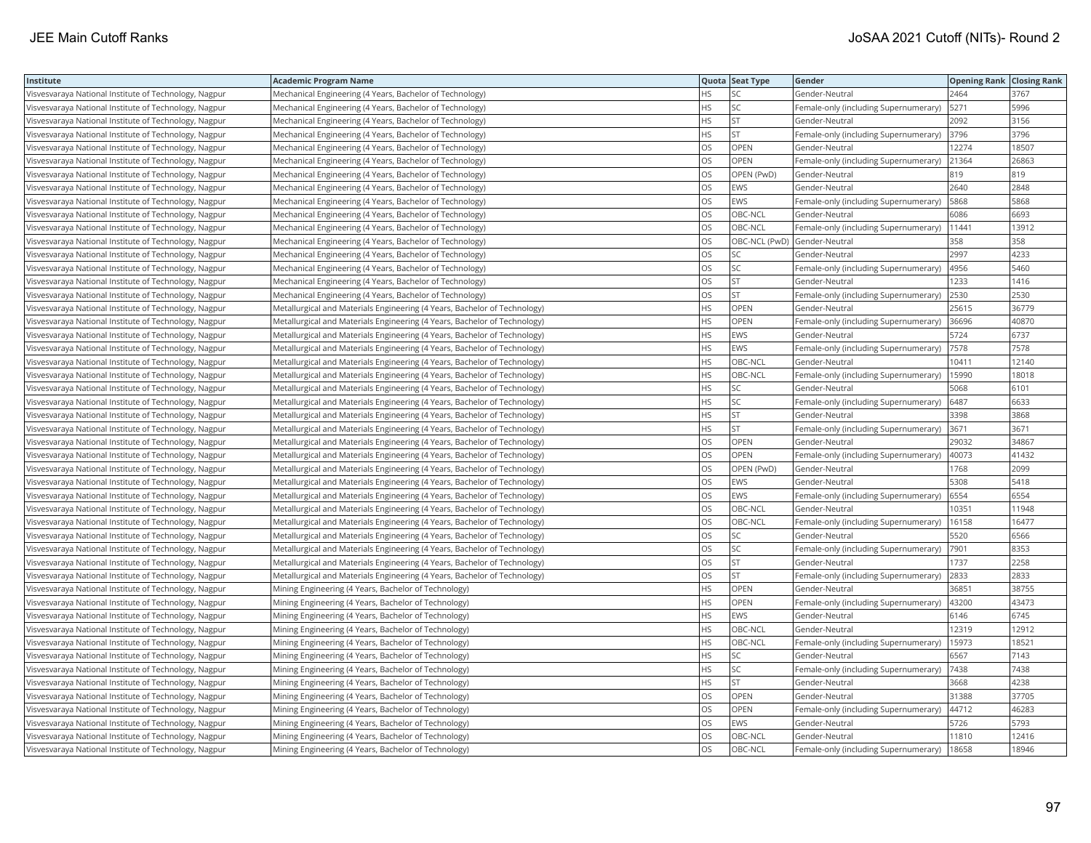| Institute                                             | <b>Academic Program Name</b>                                              |           | Quota Seat Type | Gender                                     | <b>Opening Rank Closing Rank</b> |       |
|-------------------------------------------------------|---------------------------------------------------------------------------|-----------|-----------------|--------------------------------------------|----------------------------------|-------|
| Visvesvaraya National Institute of Technology, Nagpur | Mechanical Engineering (4 Years, Bachelor of Technology)                  | <b>HS</b> | SC              | Gender-Neutral                             | 2464                             | 3767  |
| Visvesvaraya National Institute of Technology, Nagpur | Mechanical Engineering (4 Years, Bachelor of Technology)                  | HS.       | SC              | Female-only (including Supernumerary)      | 5271                             | 5996  |
| Visvesvaraya National Institute of Technology, Nagpur | Mechanical Engineering (4 Years, Bachelor of Technology)                  | <b>HS</b> | <b>ST</b>       | Gender-Neutral                             | 2092                             | 3156  |
| Visvesvaraya National Institute of Technology, Nagpur | Mechanical Engineering (4 Years, Bachelor of Technology)                  | <b>HS</b> | ST              | Female-only (including Supernumerary)      | 3796                             | 3796  |
| Visvesvaraya National Institute of Technology, Nagpur | Mechanical Engineering (4 Years, Bachelor of Technology)                  | los       | <b>OPEN</b>     | Gender-Neutral                             | 12274                            | 18507 |
| Visvesvaraya National Institute of Technology, Nagpur | Mechanical Engineering (4 Years, Bachelor of Technology)                  | los       | <b>OPEN</b>     | Female-only (including Supernumerary)      | 21364                            | 26863 |
| Visvesvaraya National Institute of Technology, Nagpur | Mechanical Engineering (4 Years, Bachelor of Technology)                  | los       | OPEN (PwD)      | Gender-Neutral                             | 819                              | 819   |
| Visvesvaraya National Institute of Technology, Nagpur | Mechanical Engineering (4 Years, Bachelor of Technology)                  | los       | EWS             | Gender-Neutral                             | 2640                             | 2848  |
| Visvesvaraya National Institute of Technology, Nagpur | Mechanical Engineering (4 Years, Bachelor of Technology)                  | los       | EWS             | Female-only (including Supernumerary)      | 5868                             | 5868  |
| Visvesvaraya National Institute of Technology, Nagpur | Mechanical Engineering (4 Years, Bachelor of Technology)                  | los       | OBC-NCL         | Gender-Neutral                             | 6086                             | 6693  |
| Visvesvaraya National Institute of Technology, Nagpur | Mechanical Engineering (4 Years, Bachelor of Technology)                  | los       | OBC-NCL         | Female-only (including Supernumerary)      | 11441                            | 13912 |
| Visvesvaraya National Institute of Technology, Nagpur | Mechanical Engineering (4 Years, Bachelor of Technology)                  | los       | OBC-NCL (PwD)   | Gender-Neutral                             | 358                              | 358   |
| Visvesvaraya National Institute of Technology, Nagpur | Mechanical Engineering (4 Years, Bachelor of Technology)                  | los       | SC              | Gender-Neutral                             | 2997                             | 4233  |
| Visvesvaraya National Institute of Technology, Nagpur | Mechanical Engineering (4 Years, Bachelor of Technology)                  | los       | SC              | Female-only (including Supernumerary)      | 4956                             | 5460  |
| Visvesvaraya National Institute of Technology, Nagpur | Mechanical Engineering (4 Years, Bachelor of Technology)                  | <b>OS</b> | <b>ST</b>       | Gender-Neutral                             | 1233                             | 1416  |
| Visvesvaraya National Institute of Technology, Nagpur | Mechanical Engineering (4 Years, Bachelor of Technology)                  | los       | <b>ST</b>       | Female-only (including Supernumerary)      | 2530                             | 2530  |
| Visvesvaraya National Institute of Technology, Nagpur | Metallurgical and Materials Engineering (4 Years, Bachelor of Technology) | <b>HS</b> | OPEN            | Gender-Neutral                             | 25615                            | 36779 |
| Visvesvaraya National Institute of Technology, Nagpur | Metallurgical and Materials Engineering (4 Years, Bachelor of Technology) | HS.       | <b>OPEN</b>     | Female-only (including Supernumerary)      | 36696                            | 40870 |
| Visvesvaraya National Institute of Technology, Nagpur | Metallurgical and Materials Engineering (4 Years, Bachelor of Technology) | <b>HS</b> | EWS             | Gender-Neutral                             | 5724                             | 6737  |
| Visvesvaraya National Institute of Technology, Nagpur | Metallurgical and Materials Engineering (4 Years, Bachelor of Technology) | <b>HS</b> | EWS             | Female-only (including Supernumerary)      | 7578                             | 7578  |
| Visvesvaraya National Institute of Technology, Nagpur | Metallurgical and Materials Engineering (4 Years, Bachelor of Technology) | HS.       | OBC-NCL         | Gender-Neutral                             | 10411                            | 12140 |
| Visvesvaraya National Institute of Technology, Nagpur | Metallurgical and Materials Engineering (4 Years, Bachelor of Technology) | l HS      | OBC-NCL         | Female-only (including Supernumerary)      | 15990                            | 18018 |
| Visvesvaraya National Institute of Technology, Nagpur | Metallurgical and Materials Engineering (4 Years, Bachelor of Technology) | l HS      | SC              | Gender-Neutral                             | 5068                             | 6101  |
| Visvesvaraya National Institute of Technology, Nagpur | Metallurgical and Materials Engineering (4 Years, Bachelor of Technology) | <b>HS</b> | SC              | Female-only (including Supernumerary)      | 6487                             | 6633  |
| Visvesvaraya National Institute of Technology, Nagpur | Metallurgical and Materials Engineering (4 Years, Bachelor of Technology) | <b>HS</b> | <b>ST</b>       | Gender-Neutral                             | 3398                             | 3868  |
| Visvesvaraya National Institute of Technology, Nagpur | Metallurgical and Materials Engineering (4 Years, Bachelor of Technology) | HS.       | <b>ST</b>       | Female-only (including Supernumerary) 3671 |                                  | 3671  |
| Visvesvaraya National Institute of Technology, Nagpur | Metallurgical and Materials Engineering (4 Years, Bachelor of Technology) | los       | OPEN            | Gender-Neutral                             | 29032                            | 34867 |
| Visvesvaraya National Institute of Technology, Nagpur | Metallurgical and Materials Engineering (4 Years, Bachelor of Technology) | los       | OPEN            | Female-only (including Supernumerary)      | 40073                            | 41432 |
| Visvesvaraya National Institute of Technology, Nagpur | Metallurgical and Materials Engineering (4 Years, Bachelor of Technology) | los       | OPEN (PwD)      | Gender-Neutral                             | 1768                             | 2099  |
| Visvesvaraya National Institute of Technology, Nagpur | Metallurgical and Materials Engineering (4 Years, Bachelor of Technology) | los       | EWS             | Gender-Neutral                             | 5308                             | 5418  |
| Visvesvaraya National Institute of Technology, Nagpur | Metallurgical and Materials Engineering (4 Years, Bachelor of Technology) | los       | EWS             | Female-only (including Supernumerary)      | 6554                             | 6554  |
| Visvesvaraya National Institute of Technology, Nagpur | Metallurgical and Materials Engineering (4 Years, Bachelor of Technology) | los       | OBC-NCL         | Gender-Neutral                             | 10351                            | 11948 |
| Visvesvaraya National Institute of Technology, Nagpur | Metallurgical and Materials Engineering (4 Years, Bachelor of Technology) | los       | OBC-NCL         | Female-only (including Supernumerary)      | 16158                            | 16477 |
| Visvesvaraya National Institute of Technology, Nagpur | Metallurgical and Materials Engineering (4 Years, Bachelor of Technology) | los       | SC              | Gender-Neutral                             | 5520                             | 6566  |
| Visvesvaraya National Institute of Technology, Nagpur | Metallurgical and Materials Engineering (4 Years, Bachelor of Technology) | los       | SC              | Female-only (including Supernumerary)      | 7901                             | 8353  |
| Visvesvaraya National Institute of Technology, Nagpur | Metallurgical and Materials Engineering (4 Years, Bachelor of Technology) | los       | <b>ST</b>       | Gender-Neutral                             | 1737                             | 2258  |
| Visvesvaraya National Institute of Technology, Nagpur | Metallurgical and Materials Engineering (4 Years, Bachelor of Technology) | los       | <b>ST</b>       | Female-only (including Supernumerary)      | 2833                             | 2833  |
| Visvesvaraya National Institute of Technology, Nagpur | Mining Engineering (4 Years, Bachelor of Technology)                      | <b>HS</b> | <b>OPEN</b>     | Gender-Neutral                             | 36851                            | 38755 |
| Visvesvaraya National Institute of Technology, Nagpur | Mining Engineering (4 Years, Bachelor of Technology)                      | HS.       | OPEN            | Female-only (including Supernumerary)      | 43200                            | 43473 |
| Visvesvaraya National Institute of Technology, Nagpur | Mining Engineering (4 Years, Bachelor of Technology)                      | HS        | EWS             | Gender-Neutral                             | 6146                             | 6745  |
| Visvesvaraya National Institute of Technology, Nagpur | Mining Engineering (4 Years, Bachelor of Technology)                      | HS.       | OBC-NCL         | Gender-Neutral                             | 12319                            | 12912 |
| Visvesvaraya National Institute of Technology, Nagpur | Mining Engineering (4 Years, Bachelor of Technology)                      | <b>HS</b> | OBC-NCL         | Female-only (including Supernumerary)      | 15973                            | 18521 |
| Visvesvaraya National Institute of Technology, Nagpur | Mining Engineering (4 Years, Bachelor of Technology)                      | <b>HS</b> | SC              | Gender-Neutral                             | 6567                             | 7143  |
| Visvesvaraya National Institute of Technology, Nagpur | Mining Engineering (4 Years, Bachelor of Technology)                      | HS        | SC              | Female-only (including Supernumerary)      | 7438                             | 7438  |
| Visvesvaraya National Institute of Technology, Nagpur | Mining Engineering (4 Years, Bachelor of Technology)                      | HS        | <b>ST</b>       | Gender-Neutral                             | 3668                             | 4238  |
| Visvesvaraya National Institute of Technology, Nagpur | Mining Engineering (4 Years, Bachelor of Technology)                      | <b>OS</b> | <b>OPEN</b>     | Gender-Neutral                             | 31388                            | 37705 |
| Visvesvaraya National Institute of Technology, Nagpur | Mining Engineering (4 Years, Bachelor of Technology)                      | los       | <b>OPEN</b>     | Female-only (including Supernumerary)      | 44712                            | 46283 |
| Visvesvaraya National Institute of Technology, Nagpur | Mining Engineering (4 Years, Bachelor of Technology)                      | los       | EWS             | Gender-Neutral                             | 5726                             | 5793  |
| Visvesvaraya National Institute of Technology, Nagpur | Mining Engineering (4 Years, Bachelor of Technology)                      | los       | OBC-NCL         | Gender-Neutral                             | 11810                            | 12416 |
| Visvesvaraya National Institute of Technology, Nagpur | Mining Engineering (4 Years, Bachelor of Technology)                      | los       | OBC-NCL         | Female-only (including Supernumerary)      | 18658                            | 18946 |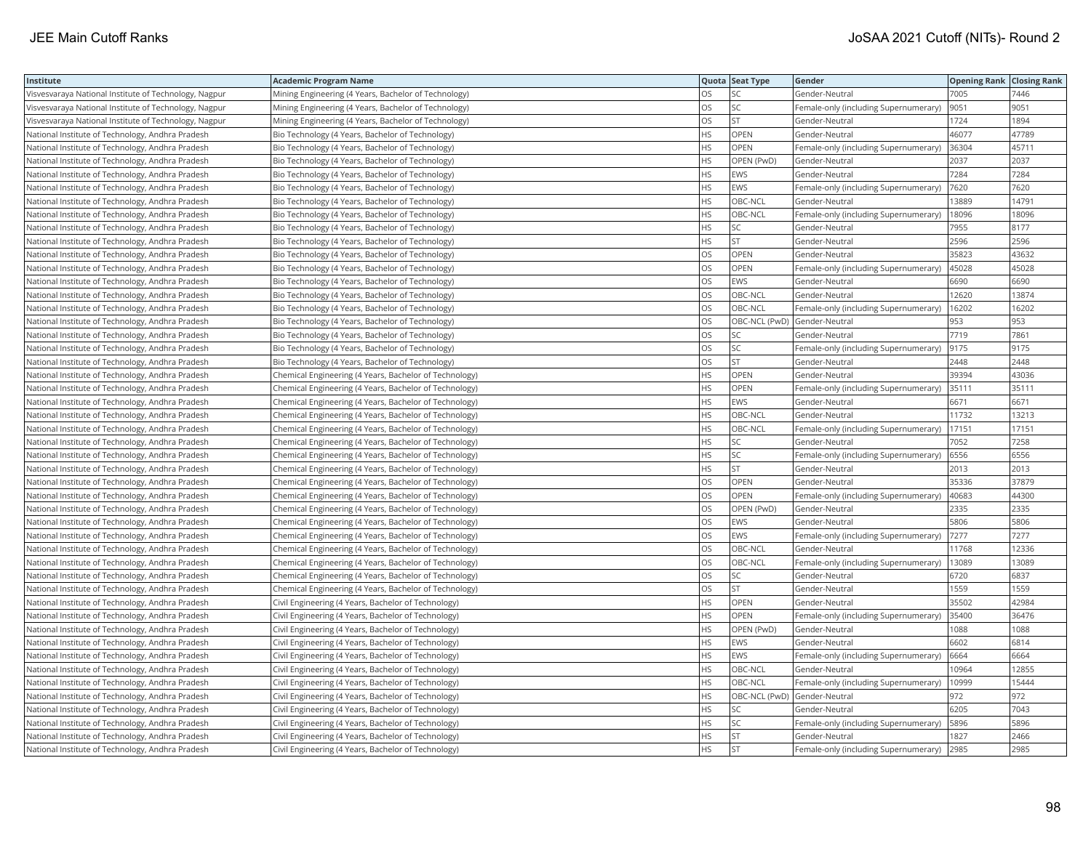| Institute                                             | <b>Academic Program Name</b>                           |           | Quota Seat Type              | Gender                                | <b>Opening Rank Closing Rank</b> |       |
|-------------------------------------------------------|--------------------------------------------------------|-----------|------------------------------|---------------------------------------|----------------------------------|-------|
| Visvesvaraya National Institute of Technology, Nagpur | Mining Engineering (4 Years, Bachelor of Technology)   | <b>OS</b> | SC                           | Gender-Neutral                        | 7005                             | 7446  |
| Visvesvaraya National Institute of Technology, Nagpur | Mining Engineering (4 Years, Bachelor of Technology)   | OS        | SC                           | Female-only (including Supernumerary) | 9051                             | 9051  |
| Visvesvaraya National Institute of Technology, Nagpur | Mining Engineering (4 Years, Bachelor of Technology)   | <b>OS</b> | <b>ST</b>                    | Gender-Neutral                        | 1724                             | 1894  |
| National Institute of Technology, Andhra Pradesh      | Bio Technology (4 Years, Bachelor of Technology)       | HS        | OPEN                         | Gender-Neutral                        | 46077                            | 47789 |
| National Institute of Technology, Andhra Pradesh      | Bio Technology (4 Years, Bachelor of Technology)       | <b>HS</b> | OPEN                         | Female-only (including Supernumerary) | 36304                            | 45711 |
| National Institute of Technology, Andhra Pradesh      | Bio Technology (4 Years, Bachelor of Technology)       | HS        | OPEN (PwD)                   | Gender-Neutral                        | 2037                             | 2037  |
| National Institute of Technology, Andhra Pradesh      | Bio Technology (4 Years, Bachelor of Technology)       | <b>HS</b> | <b>EWS</b>                   | Gender-Neutral                        | 7284                             | 7284  |
| National Institute of Technology, Andhra Pradesh      | Bio Technology (4 Years, Bachelor of Technology)       | <b>HS</b> | EWS                          | Female-only (including Supernumerary) | 7620                             | 7620  |
| National Institute of Technology, Andhra Pradesh      | Bio Technology (4 Years, Bachelor of Technology)       | <b>HS</b> | OBC-NCL                      | Gender-Neutral                        | 13889                            | 14791 |
| National Institute of Technology, Andhra Pradesh      | Bio Technology (4 Years, Bachelor of Technology)       | HS        | OBC-NCL                      | Female-only (including Supernumerary) | 18096                            | 18096 |
| National Institute of Technology, Andhra Pradesh      | Bio Technology (4 Years, Bachelor of Technology)       | <b>HS</b> | SC                           | Gender-Neutral                        | 7955                             | 8177  |
| National Institute of Technology, Andhra Pradesh      | Bio Technology (4 Years, Bachelor of Technology)       | <b>HS</b> | <b>ST</b>                    | Gender-Neutral                        | 2596                             | 2596  |
| National Institute of Technology, Andhra Pradesh      | Bio Technology (4 Years, Bachelor of Technology)       | OS        | OPEN                         | Gender-Neutral                        | 35823                            | 43632 |
| National Institute of Technology, Andhra Pradesh      | Bio Technology (4 Years, Bachelor of Technology)       | OS        | OPEN                         | Female-only (including Supernumerary) | 45028                            | 45028 |
| National Institute of Technology, Andhra Pradesh      | Bio Technology (4 Years, Bachelor of Technology)       | OS        | <b>EWS</b>                   | Gender-Neutral                        | 6690                             | 6690  |
| National Institute of Technology, Andhra Pradesh      | Bio Technology (4 Years, Bachelor of Technology)       | OS        | OBC-NCL                      | Gender-Neutral                        | 12620                            | 13874 |
| National Institute of Technology, Andhra Pradesh      | Bio Technology (4 Years, Bachelor of Technology)       | OS        | OBC-NCL                      | Female-only (including Supernumerary) | 16202                            | 16202 |
| National Institute of Technology, Andhra Pradesh      | Bio Technology (4 Years, Bachelor of Technology)       | OS        | OBC-NCL (PwD) Gender-Neutral |                                       | 953                              | 953   |
| National Institute of Technology, Andhra Pradesh      | Bio Technology (4 Years, Bachelor of Technology)       | OS        | SC                           | Gender-Neutral                        | 7719                             | 7861  |
| National Institute of Technology, Andhra Pradesh      | Bio Technology (4 Years, Bachelor of Technology)       | OS        | SC                           | Female-only (including Supernumerary) | 9175                             | 9175  |
| National Institute of Technology, Andhra Pradesh      | Bio Technology (4 Years, Bachelor of Technology)       | OS        | <b>ST</b>                    | Gender-Neutral                        | 2448                             | 2448  |
| National Institute of Technology, Andhra Pradesh      | Chemical Engineering (4 Years, Bachelor of Technology) | <b>HS</b> | OPEN                         | Gender-Neutral                        | 39394                            | 43036 |
| National Institute of Technology, Andhra Pradesh      | Chemical Engineering (4 Years, Bachelor of Technology) | HS        | OPEN                         | Female-only (including Supernumerary) | 35111                            | 35111 |
| National Institute of Technology, Andhra Pradesh      | Chemical Engineering (4 Years, Bachelor of Technology) | HS        | EWS                          | Gender-Neutral                        | 6671                             | 6671  |
| National Institute of Technology, Andhra Pradesh      | Chemical Engineering (4 Years, Bachelor of Technology) | <b>HS</b> | OBC-NCL                      | Gender-Neutral                        | 11732                            | 13213 |
| National Institute of Technology, Andhra Pradesh      | Chemical Engineering (4 Years, Bachelor of Technology) | <b>HS</b> | OBC-NCL                      | Female-only (including Supernumerary) | 17151                            | 17151 |
| National Institute of Technology, Andhra Pradesh      | Chemical Engineering (4 Years, Bachelor of Technology) | <b>HS</b> | SC                           | Gender-Neutral                        | 7052                             | 7258  |
| National Institute of Technology, Andhra Pradesh      | Chemical Engineering (4 Years, Bachelor of Technology) | HS        | SC                           | Female-only (including Supernumerary) | 6556                             | 6556  |
| National Institute of Technology, Andhra Pradesh      | Chemical Engineering (4 Years, Bachelor of Technology) | <b>HS</b> | <b>ST</b>                    | Gender-Neutral                        | 2013                             | 2013  |
| National Institute of Technology, Andhra Pradesh      | Chemical Engineering (4 Years, Bachelor of Technology) | <b>OS</b> | <b>OPEN</b>                  | Gender-Neutral                        | 35336                            | 37879 |
| National Institute of Technology, Andhra Pradesh      | Chemical Engineering (4 Years, Bachelor of Technology) | OS        | OPEN                         | Female-only (including Supernumerary) | 40683                            | 44300 |
| National Institute of Technology, Andhra Pradesh      | Chemical Engineering (4 Years, Bachelor of Technology) | <b>OS</b> | OPEN (PwD)                   | Gender-Neutral                        | 2335                             | 2335  |
| National Institute of Technology, Andhra Pradesh      | Chemical Engineering (4 Years, Bachelor of Technology) | OS        | EWS                          | Gender-Neutral                        | 5806                             | 5806  |
| National Institute of Technology, Andhra Pradesh      | Chemical Engineering (4 Years, Bachelor of Technology) | OS        | EWS                          | Female-only (including Supernumerary) | 7277                             | 7277  |
| National Institute of Technology, Andhra Pradesh      | Chemical Engineering (4 Years, Bachelor of Technology) | OS        | OBC-NCL                      | Gender-Neutral                        | 11768                            | 12336 |
| National Institute of Technology, Andhra Pradesh      | Chemical Engineering (4 Years, Bachelor of Technology) | <b>OS</b> | OBC-NCL                      | Female-only (including Supernumerary) | 13089                            | 13089 |
| National Institute of Technology, Andhra Pradesh      | Chemical Engineering (4 Years, Bachelor of Technology) | OS        | SC                           | Gender-Neutral                        | 6720                             | 6837  |
| National Institute of Technology, Andhra Pradesh      | Chemical Engineering (4 Years, Bachelor of Technology) | OS        | <b>ST</b>                    | Gender-Neutral                        | 1559                             | 1559  |
| National Institute of Technology, Andhra Pradesh      | Civil Engineering (4 Years, Bachelor of Technology)    | <b>HS</b> | OPEN                         | Gender-Neutral                        | 35502                            | 42984 |
| National Institute of Technology, Andhra Pradesh      | Civil Engineering (4 Years, Bachelor of Technology)    | <b>HS</b> | OPEN                         | Female-only (including Supernumerary) | 35400                            | 36476 |
| National Institute of Technology, Andhra Pradesh      | Civil Engineering (4 Years, Bachelor of Technology)    | <b>HS</b> | OPEN (PwD)                   | Gender-Neutral                        | 1088                             | 1088  |
| National Institute of Technology, Andhra Pradesh      | Civil Engineering (4 Years, Bachelor of Technology)    | HS        | EWS                          | Gender-Neutral                        | 6602                             | 6814  |
| National Institute of Technology, Andhra Pradesh      | Civil Engineering (4 Years, Bachelor of Technology)    | HS        | EWS                          | Female-only (including Supernumerary) | 6664                             | 6664  |
| National Institute of Technology, Andhra Pradesh      | Civil Engineering (4 Years, Bachelor of Technology)    | <b>HS</b> | OBC-NCL                      | Gender-Neutral                        | 10964                            | 12855 |
| National Institute of Technology, Andhra Pradesh      | Civil Engineering (4 Years, Bachelor of Technology)    | HS        | OBC-NCL                      | Female-only (including Supernumerary) | 0999                             | 15444 |
| National Institute of Technology, Andhra Pradesh      | Civil Engineering (4 Years, Bachelor of Technology)    | <b>HS</b> |                              | OBC-NCL (PwD) Gender-Neutral          | 972                              | 972   |
| National Institute of Technology, Andhra Pradesh      | Civil Engineering (4 Years, Bachelor of Technology)    | HS        | SC                           | Gender-Neutral                        | 6205                             | 7043  |
| National Institute of Technology, Andhra Pradesh      | Civil Engineering (4 Years, Bachelor of Technology)    | HS        | SC                           | Female-only (including Supernumerary) | 5896                             | 5896  |
| National Institute of Technology, Andhra Pradesh      | Civil Engineering (4 Years, Bachelor of Technology)    | HS        | ST                           | Gender-Neutral                        | 1827                             | 2466  |
| National Institute of Technology, Andhra Pradesh      | Civil Engineering (4 Years, Bachelor of Technology)    | <b>HS</b> | <b>ST</b>                    | Female-only (including Supernumerary) | 2985                             | 2985  |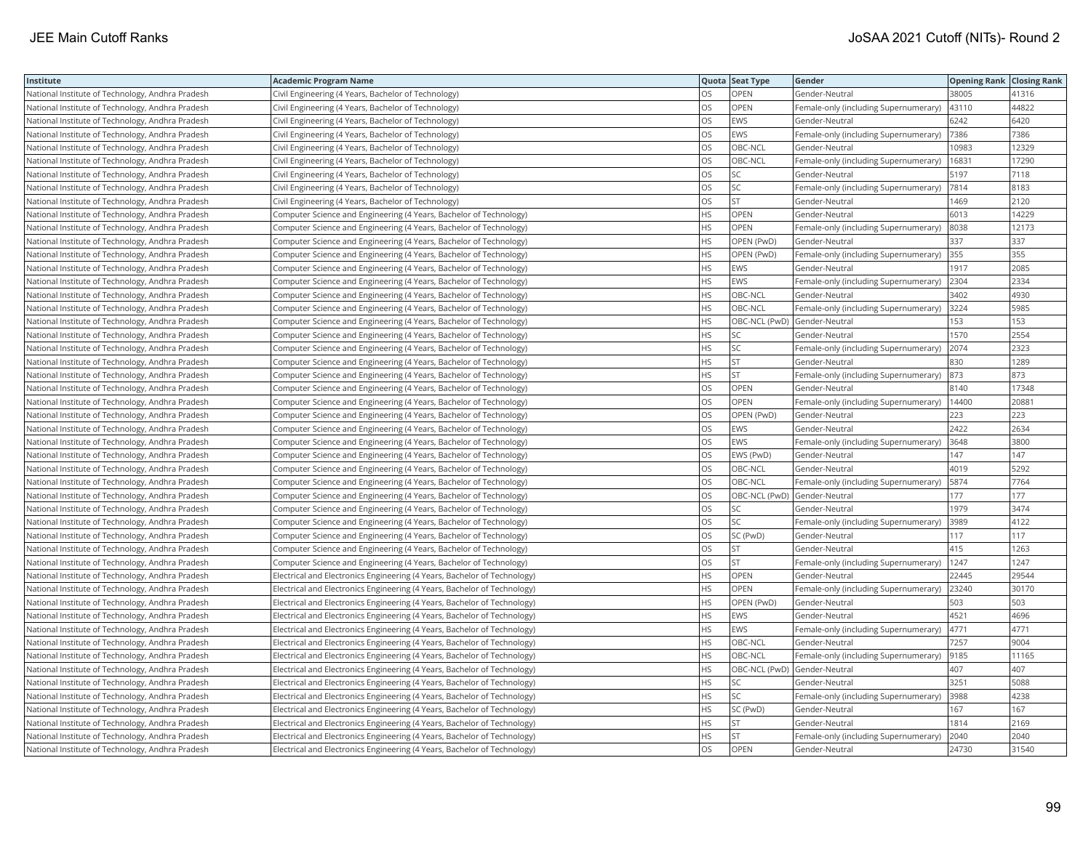| Institute                                        | <b>Academic Program Name</b>                                             |           | Quota Seat Type              | Gender                                | <b>Opening Rank Closing Rank</b> |       |
|--------------------------------------------------|--------------------------------------------------------------------------|-----------|------------------------------|---------------------------------------|----------------------------------|-------|
| National Institute of Technology, Andhra Pradesh | Civil Engineering (4 Years, Bachelor of Technology)                      | OS        | <b>OPEN</b>                  | Gender-Neutral                        | 38005                            | 41316 |
| National Institute of Technology, Andhra Pradesh | Civil Engineering (4 Years, Bachelor of Technology)                      | OS        | <b>OPEN</b>                  | Female-only (including Supernumerary) | 43110                            | 44822 |
| National Institute of Technology, Andhra Pradesh | Civil Engineering (4 Years, Bachelor of Technology)                      | <b>OS</b> | EWS                          | Gender-Neutral                        | 6242                             | 6420  |
| National Institute of Technology, Andhra Pradesh | Civil Engineering (4 Years, Bachelor of Technology)                      | OS        | <b>EWS</b>                   | Female-only (including Supernumerary) | 7386                             | 7386  |
| National Institute of Technology, Andhra Pradesh | Civil Engineering (4 Years, Bachelor of Technology)                      | OS        | OBC-NCL                      | Gender-Neutral                        | 10983                            | 12329 |
| National Institute of Technology, Andhra Pradesh | Civil Engineering (4 Years, Bachelor of Technology)                      | OS        | OBC-NCL                      | Female-only (including Supernumerary) | 16831                            | 17290 |
| National Institute of Technology, Andhra Pradesh | Civil Engineering (4 Years, Bachelor of Technology)                      | OS        | SC                           | Gender-Neutral                        | 5197                             | 7118  |
| National Institute of Technology, Andhra Pradesh | Civil Engineering (4 Years, Bachelor of Technology)                      | <b>OS</b> | SC                           | Female-only (including Supernumerary) | 7814                             | 8183  |
| National Institute of Technology, Andhra Pradesh | Civil Engineering (4 Years, Bachelor of Technology)                      | <b>OS</b> | <b>ST</b>                    | Gender-Neutral                        | 1469                             | 2120  |
| National Institute of Technology, Andhra Pradesh | Computer Science and Engineering (4 Years, Bachelor of Technology)       | HS        | OPEN                         | Gender-Neutral                        | 6013                             | 14229 |
| National Institute of Technology, Andhra Pradesh | Computer Science and Engineering (4 Years, Bachelor of Technology)       | <b>HS</b> | <b>OPEN</b>                  | Female-only (including Supernumerary) | 8038                             | 12173 |
| National Institute of Technology, Andhra Pradesh | Computer Science and Engineering (4 Years, Bachelor of Technology)       | HS        | OPEN (PwD)                   | Gender-Neutral                        | 337                              | 337   |
| National Institute of Technology, Andhra Pradesh | Computer Science and Engineering (4 Years, Bachelor of Technology)       | <b>HS</b> | OPEN (PwD)                   | Female-only (including Supernumerary) | 355                              | 355   |
| National Institute of Technology, Andhra Pradesh | Computer Science and Engineering (4 Years, Bachelor of Technology)       | HS        | EWS                          | Gender-Neutral                        | 1917                             | 2085  |
| National Institute of Technology, Andhra Pradesh | Computer Science and Engineering (4 Years, Bachelor of Technology)       | <b>HS</b> | <b>EWS</b>                   | Female-only (including Supernumerary) | 2304                             | 2334  |
| National Institute of Technology, Andhra Pradesh | Computer Science and Engineering (4 Years, Bachelor of Technology)       | HS        | OBC-NCL                      | Gender-Neutral                        | 3402                             | 4930  |
| National Institute of Technology, Andhra Pradesh | Computer Science and Engineering (4 Years, Bachelor of Technology)       | <b>HS</b> | OBC-NCL                      | Female-only (including Supernumerary) | 3224                             | 5985  |
| National Institute of Technology, Andhra Pradesh | Computer Science and Engineering (4 Years, Bachelor of Technology)       | HS        | OBC-NCL (PwD) Gender-Neutral |                                       | 153                              | 153   |
| National Institute of Technology, Andhra Pradesh | Computer Science and Engineering (4 Years, Bachelor of Technology)       | <b>HS</b> | SC                           | Gender-Neutral                        | 1570                             | 2554  |
| National Institute of Technology, Andhra Pradesh | Computer Science and Engineering (4 Years, Bachelor of Technology)       | HS        | SC                           | Female-only (including Supernumerary) | 2074                             | 2323  |
| National Institute of Technology, Andhra Pradesh | Computer Science and Engineering (4 Years, Bachelor of Technology)       | HS        | <b>ST</b>                    | Gender-Neutral                        | 830                              | 1289  |
| National Institute of Technology, Andhra Pradesh | Computer Science and Engineering (4 Years, Bachelor of Technology)       | <b>HS</b> | <b>ST</b>                    | Female-only (including Supernumerary) | 873                              | 873   |
| National Institute of Technology, Andhra Pradesh | Computer Science and Engineering (4 Years, Bachelor of Technology)       | <b>OS</b> | OPEN                         | Gender-Neutral                        | 8140                             | 17348 |
| National Institute of Technology, Andhra Pradesh | Computer Science and Engineering (4 Years, Bachelor of Technology)       | OS        | OPEN                         | Female-only (including Supernumerary) | 14400                            | 20881 |
| National Institute of Technology, Andhra Pradesh | Computer Science and Engineering (4 Years, Bachelor of Technology)       | OS        | OPEN (PwD)                   | Gender-Neutral                        | 223                              | 223   |
| National Institute of Technology, Andhra Pradesh | Computer Science and Engineering (4 Years, Bachelor of Technology)       | OS        | EWS                          | Gender-Neutral                        | 2422                             | 2634  |
| National Institute of Technology, Andhra Pradesh | Computer Science and Engineering (4 Years, Bachelor of Technology)       | OS        | EWS                          | Female-only (including Supernumerary) | 3648                             | 3800  |
| National Institute of Technology, Andhra Pradesh | Computer Science and Engineering (4 Years, Bachelor of Technology)       | OS        | EWS (PwD)                    | Gender-Neutral                        | 147                              | 147   |
| National Institute of Technology, Andhra Pradesh | Computer Science and Engineering (4 Years, Bachelor of Technology)       | OS.       | OBC-NCL                      | Gender-Neutral                        | 4019                             | 5292  |
| National Institute of Technology, Andhra Pradesh | Computer Science and Engineering (4 Years, Bachelor of Technology)       | <b>OS</b> | OBC-NCL                      | Female-only (including Supernumerary) | 5874                             | 7764  |
| National Institute of Technology, Andhra Pradesh | Computer Science and Engineering (4 Years, Bachelor of Technology)       | OS        |                              | OBC-NCL (PwD) Gender-Neutral          | 177                              | 177   |
| National Institute of Technology, Andhra Pradesh | Computer Science and Engineering (4 Years, Bachelor of Technology)       | OS        | SC                           | Gender-Neutral                        | 1979                             | 3474  |
| National Institute of Technology, Andhra Pradesh | Computer Science and Engineering (4 Years, Bachelor of Technology)       | OS        | SC                           | Female-only (including Supernumerary) | 3989                             | 4122  |
| National Institute of Technology, Andhra Pradesh | Computer Science and Engineering (4 Years, Bachelor of Technology)       | OS        | SC (PwD)                     | Gender-Neutral                        | 117                              | 117   |
| National Institute of Technology, Andhra Pradesh | Computer Science and Engineering (4 Years, Bachelor of Technology)       | OS        | <b>ST</b>                    | Gender-Neutral                        | 415                              | 1263  |
| National Institute of Technology, Andhra Pradesh | Computer Science and Engineering (4 Years, Bachelor of Technology)       | <b>OS</b> | <b>ST</b>                    | Female-only (including Supernumerary) | 1247                             | 1247  |
| National Institute of Technology, Andhra Pradesh | Electrical and Electronics Engineering (4 Years, Bachelor of Technology) | <b>HS</b> | OPEN                         | Gender-Neutral                        | 22445                            | 29544 |
| National Institute of Technology, Andhra Pradesh | Electrical and Electronics Engineering (4 Years, Bachelor of Technology) | <b>HS</b> | OPEN                         | Female-only (including Supernumerary) | 23240                            | 30170 |
| National Institute of Technology, Andhra Pradesh | Electrical and Electronics Engineering (4 Years, Bachelor of Technology) | <b>HS</b> | OPEN (PwD)                   | Gender-Neutral                        | 503                              | 503   |
| National Institute of Technology, Andhra Pradesh | Electrical and Electronics Engineering (4 Years, Bachelor of Technology) | <b>HS</b> | EWS                          | Gender-Neutral                        | 4521                             | 4696  |
| National Institute of Technology, Andhra Pradesh | Electrical and Electronics Engineering (4 Years, Bachelor of Technology) | HS        | EWS                          | Female-only (including Supernumerary) | 4771                             | 4771  |
| National Institute of Technology, Andhra Pradesh | Electrical and Electronics Engineering (4 Years, Bachelor of Technology) | HS        | OBC-NCL                      | Gender-Neutral                        | 7257                             | 9004  |
| National Institute of Technology, Andhra Pradesh | Electrical and Electronics Engineering (4 Years, Bachelor of Technology) | HS        | OBC-NCL                      | Female-only (including Supernumerary) | 9185                             | 11165 |
| National Institute of Technology, Andhra Pradesh | Electrical and Electronics Engineering (4 Years, Bachelor of Technology) | <b>HS</b> | OBC-NCL (PwD) Gender-Neutral |                                       | 407                              | 407   |
| National Institute of Technology, Andhra Pradesh | Electrical and Electronics Engineering (4 Years, Bachelor of Technology) | HS        | SC                           | Gender-Neutral                        | 3251                             | 5088  |
| National Institute of Technology, Andhra Pradesh | Electrical and Electronics Engineering (4 Years, Bachelor of Technology) | <b>HS</b> | SC                           | Female-only (including Supernumerary) | 3988                             | 4238  |
| National Institute of Technology, Andhra Pradesh | Electrical and Electronics Engineering (4 Years, Bachelor of Technology) | HS        | SC (PwD)                     | Gender-Neutral                        | 167                              | 167   |
| National Institute of Technology, Andhra Pradesh | Electrical and Electronics Engineering (4 Years, Bachelor of Technology) | HS        | <b>ST</b>                    | Gender-Neutral                        | 1814                             | 2169  |
| National Institute of Technology, Andhra Pradesh | Electrical and Electronics Engineering (4 Years, Bachelor of Technology) | HS        | <b>ST</b>                    | Female-only (including Supernumerary) | 2040                             | 2040  |
| National Institute of Technology, Andhra Pradesh | Electrical and Electronics Engineering (4 Years, Bachelor of Technology) | <b>OS</b> | <b>OPEN</b>                  | Gender-Neutral                        | 24730                            | 31540 |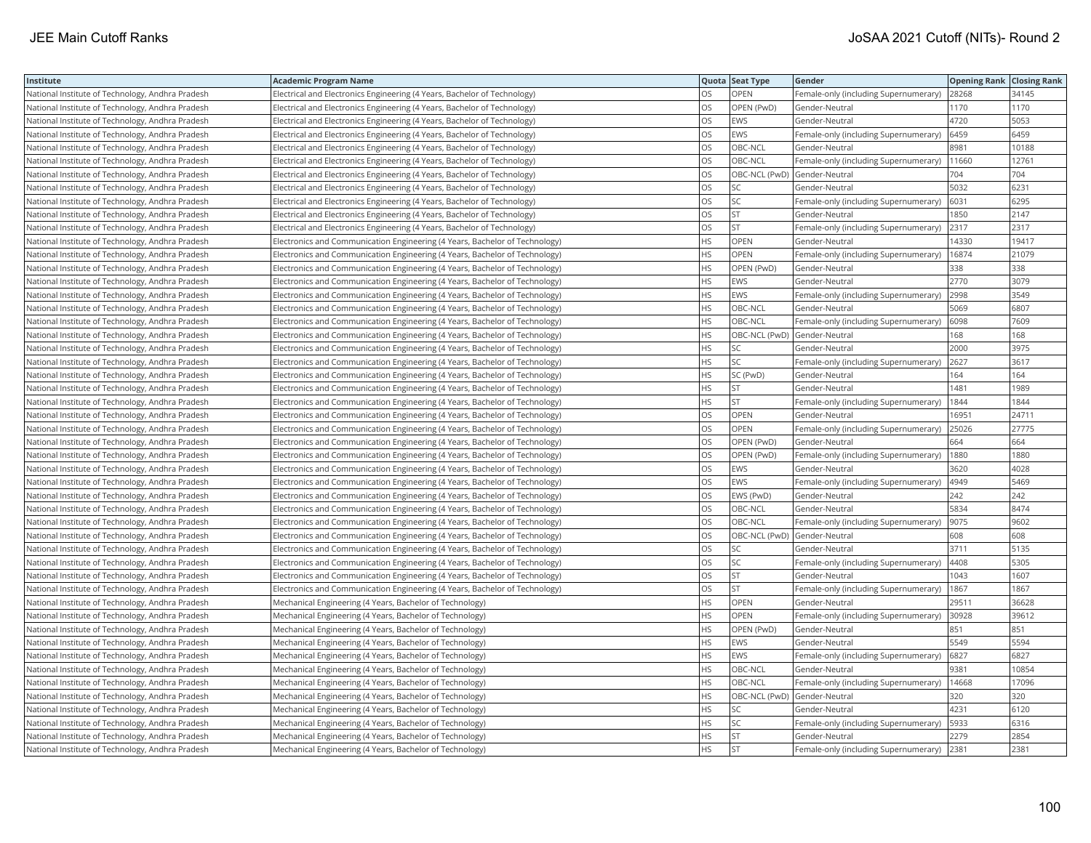| Institute                                        | <b>Academic Program Name</b>                                                |           | Quota Seat Type              | Gender                                | <b>Opening Rank Closing Rank</b> |       |
|--------------------------------------------------|-----------------------------------------------------------------------------|-----------|------------------------------|---------------------------------------|----------------------------------|-------|
| National Institute of Technology, Andhra Pradesh | Electrical and Electronics Engineering (4 Years, Bachelor of Technology)    | OS.       | <b>OPEN</b>                  | Female-only (including Supernumerary) | 28268                            | 34145 |
| National Institute of Technology, Andhra Pradesh | Electrical and Electronics Engineering (4 Years, Bachelor of Technology)    | OS        | OPEN (PwD)                   | Gender-Neutral                        | 1170                             | 1170  |
| National Institute of Technology, Andhra Pradesh | Electrical and Electronics Engineering (4 Years, Bachelor of Technology)    | OS.       | <b>EWS</b>                   | Gender-Neutral                        | 4720                             | 5053  |
| National Institute of Technology, Andhra Pradesh | Electrical and Electronics Engineering (4 Years, Bachelor of Technology)    | OS        | <b>EWS</b>                   | Female-only (including Supernumerary) | 6459                             | 6459  |
| National Institute of Technology, Andhra Pradesh | Electrical and Electronics Engineering (4 Years, Bachelor of Technology)    | OS        | OBC-NCL                      | Gender-Neutral                        | 8981                             | 10188 |
| National Institute of Technology, Andhra Pradesh | Electrical and Electronics Engineering (4 Years, Bachelor of Technology)    | OS        | OBC-NCL                      | Female-only (including Supernumerary) | 11660                            | 12761 |
| National Institute of Technology, Andhra Pradesh | Electrical and Electronics Engineering (4 Years, Bachelor of Technology)    | OS        | OBC-NCL (PwD)                | Gender-Neutral                        | 704                              | 704   |
| National Institute of Technology, Andhra Pradesh | Electrical and Electronics Engineering (4 Years, Bachelor of Technology)    | <b>OS</b> | SC                           | Gender-Neutral                        | 5032                             | 6231  |
| National Institute of Technology, Andhra Pradesh | Electrical and Electronics Engineering (4 Years, Bachelor of Technology)    | <b>OS</b> | SC                           | Female-only (including Supernumerary) | 6031                             | 6295  |
| National Institute of Technology, Andhra Pradesh | Electrical and Electronics Engineering (4 Years, Bachelor of Technology)    | OS.       | <b>ST</b>                    | Gender-Neutral                        | 1850                             | 2147  |
| National Institute of Technology, Andhra Pradesh | Electrical and Electronics Engineering (4 Years, Bachelor of Technology)    | OS        | <b>ST</b>                    | Female-only (including Supernumerary) | 2317                             | 2317  |
| National Institute of Technology, Andhra Pradesh | Electronics and Communication Engineering (4 Years, Bachelor of Technology) | <b>HS</b> | <b>OPEN</b>                  | Gender-Neutral                        | 14330                            | 19417 |
| National Institute of Technology, Andhra Pradesh | Electronics and Communication Engineering (4 Years, Bachelor of Technology) | <b>HS</b> | <b>OPEN</b>                  | Female-only (including Supernumerary) | 16874                            | 21079 |
| National Institute of Technology, Andhra Pradesh | Electronics and Communication Engineering (4 Years, Bachelor of Technology) | HS        | OPEN (PwD)                   | Gender-Neutral                        | 338                              | 338   |
| National Institute of Technology, Andhra Pradesh | Electronics and Communication Engineering (4 Years, Bachelor of Technology) | HS        | EWS                          | Gender-Neutral                        | 2770                             | 3079  |
| National Institute of Technology, Andhra Pradesh | Electronics and Communication Engineering (4 Years, Bachelor of Technology) | HS.       | <b>EWS</b>                   | Female-only (including Supernumerary) | 2998                             | 3549  |
| National Institute of Technology, Andhra Pradesh | Electronics and Communication Engineering (4 Years, Bachelor of Technology) | HS.       | OBC-NCL                      | Gender-Neutral                        | 5069                             | 6807  |
| National Institute of Technology, Andhra Pradesh | Electronics and Communication Engineering (4 Years, Bachelor of Technology) | HS.       | OBC-NCL                      | Female-only (including Supernumerary) | 6098                             | 7609  |
| National Institute of Technology, Andhra Pradesh | Electronics and Communication Engineering (4 Years, Bachelor of Technology) | HS.       | OBC-NCL (PwD)                | Gender-Neutral                        | 168                              | 168   |
| National Institute of Technology, Andhra Pradesh | Electronics and Communication Engineering (4 Years, Bachelor of Technology) | НS        | SC                           | Gender-Neutral                        | 2000                             | 3975  |
| National Institute of Technology, Andhra Pradesh | Electronics and Communication Engineering (4 Years, Bachelor of Technology) | HS        | SC                           | Female-only (including Supernumerary) | 2627                             | 3617  |
| National Institute of Technology, Andhra Pradesh | Electronics and Communication Engineering (4 Years, Bachelor of Technology) | HS        | SC (PwD)                     | Gender-Neutral                        | 164                              | 164   |
| National Institute of Technology, Andhra Pradesh | Electronics and Communication Engineering (4 Years, Bachelor of Technology) | HS        | <b>ST</b>                    | Gender-Neutral                        | 1481                             | 1989  |
| National Institute of Technology, Andhra Pradesh | Electronics and Communication Engineering (4 Years, Bachelor of Technology) | HS.       | <b>ST</b>                    | Female-only (including Supernumerary) | 1844                             | 1844  |
| National Institute of Technology, Andhra Pradesh | Electronics and Communication Engineering (4 Years, Bachelor of Technology) | OS.       | <b>OPEN</b>                  | Gender-Neutral                        | 16951                            | 24711 |
| National Institute of Technology, Andhra Pradesh | Electronics and Communication Engineering (4 Years, Bachelor of Technology) | <b>OS</b> | <b>OPEN</b>                  | Female-only (including Supernumerary) | 25026                            | 27775 |
| National Institute of Technology, Andhra Pradesh | Electronics and Communication Engineering (4 Years, Bachelor of Technology) | OS        | OPEN (PwD)                   | Gender-Neutral                        | 664                              | 664   |
| National Institute of Technology, Andhra Pradesh | Electronics and Communication Engineering (4 Years, Bachelor of Technology) | OS        | OPEN (PwD)                   | Female-only (including Supernumerary) | 1880                             | 1880  |
| National Institute of Technology, Andhra Pradesh | Electronics and Communication Engineering (4 Years, Bachelor of Technology) | OS        | EWS                          | Gender-Neutral                        | 3620                             | 4028  |
| National Institute of Technology, Andhra Pradesh | Electronics and Communication Engineering (4 Years, Bachelor of Technology) | OS        | EWS                          | Female-only (including Supernumerary) | 4949                             | 5469  |
| National Institute of Technology, Andhra Pradesh | Electronics and Communication Engineering (4 Years, Bachelor of Technology) | OS.       | EWS (PwD)                    | Gender-Neutral                        | 242                              | 242   |
| National Institute of Technology, Andhra Pradesh | Electronics and Communication Engineering (4 Years, Bachelor of Technology) | OS.       | OBC-NCL                      | Gender-Neutral                        | 5834                             | 8474  |
| National Institute of Technology, Andhra Pradesh | Electronics and Communication Engineering (4 Years, Bachelor of Technology) | OS        | OBC-NCL                      | Female-only (including Supernumerary) | 9075                             | 9602  |
| National Institute of Technology, Andhra Pradesh | Electronics and Communication Engineering (4 Years, Bachelor of Technology) | OS        | OBC-NCL (PwD)                | Gender-Neutral                        | 608                              | 608   |
| National Institute of Technology, Andhra Pradesh | Electronics and Communication Engineering (4 Years, Bachelor of Technology) | OS        | SC                           | Gender-Neutral                        | 3711                             | 5135  |
| National Institute of Technology, Andhra Pradesh | Electronics and Communication Engineering (4 Years, Bachelor of Technology) | OS        | SC                           | Female-only (including Supernumerary) | 4408                             | 5305  |
| National Institute of Technology, Andhra Pradesh | Electronics and Communication Engineering (4 Years, Bachelor of Technology) | OS        | ST                           | Gender-Neutral                        | 1043                             | 1607  |
| National Institute of Technology, Andhra Pradesh | Electronics and Communication Engineering (4 Years, Bachelor of Technology) | OS        | <b>ST</b>                    | Female-only (including Supernumerary) | 1867                             | 1867  |
| National Institute of Technology, Andhra Pradesh | Mechanical Engineering (4 Years, Bachelor of Technology)                    | HS.       | <b>OPEN</b>                  | Gender-Neutral                        | 29511                            | 36628 |
| National Institute of Technology, Andhra Pradesh | Mechanical Engineering (4 Years, Bachelor of Technology)                    | HS        | OPEN                         | Female-only (including Supernumerary) | 30928                            | 39612 |
| National Institute of Technology, Andhra Pradesh | Mechanical Engineering (4 Years, Bachelor of Technology)                    | HS        | OPEN (PwD)                   | Gender-Neutral                        | 851                              | 851   |
| National Institute of Technology, Andhra Pradesh | Mechanical Engineering (4 Years, Bachelor of Technology)                    | <b>HS</b> | EWS                          | Gender-Neutral                        | 5549                             | 5594  |
| National Institute of Technology, Andhra Pradesh | Mechanical Engineering (4 Years, Bachelor of Technology)                    | HS        | EWS                          | Female-only (including Supernumerary) | 6827                             | 6827  |
| National Institute of Technology, Andhra Pradesh | Mechanical Engineering (4 Years, Bachelor of Technology)                    | HS        | OBC-NCL                      | Gender-Neutral                        | 9381                             | 10854 |
| National Institute of Technology, Andhra Pradesh | Mechanical Engineering (4 Years, Bachelor of Technology)                    | НS        | OBC-NCL                      | Female-only (including Supernumerary) | 14668                            | 17096 |
| National Institute of Technology, Andhra Pradesh | Mechanical Engineering (4 Years, Bachelor of Technology)                    | HS.       | OBC-NCL (PwD) Gender-Neutral |                                       | 320                              | 320   |
| National Institute of Technology, Andhra Pradesh | Mechanical Engineering (4 Years, Bachelor of Technology)                    | НS        | SC                           | Gender-Neutral                        | 4231                             | 6120  |
| National Institute of Technology, Andhra Pradesh | Mechanical Engineering (4 Years, Bachelor of Technology)                    | HS.       | SC                           | Female-only (including Supernumerary) | 5933                             | 6316  |
| National Institute of Technology, Andhra Pradesh | Mechanical Engineering (4 Years, Bachelor of Technology)                    | HS.       | <b>ST</b>                    | Gender-Neutral                        | 2279                             | 2854  |
| National Institute of Technology, Andhra Pradesh | Mechanical Engineering (4 Years, Bachelor of Technology)                    | HS.       | Ist                          | Female-only (including Supernumerary) | 2381                             | 2381  |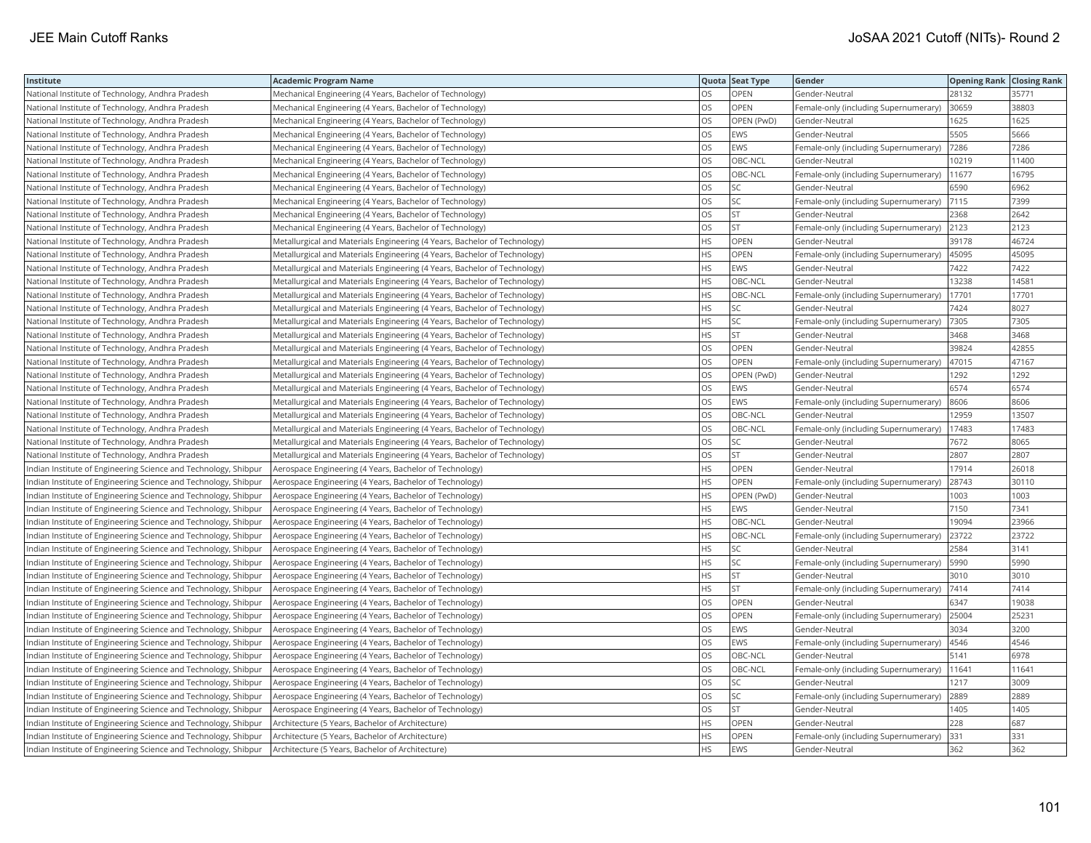| Institute                                                       | <b>Academic Program Name</b>                                              |           | Quota Seat Type | Gender                                | <b>Opening Rank Closing Rank</b> |       |
|-----------------------------------------------------------------|---------------------------------------------------------------------------|-----------|-----------------|---------------------------------------|----------------------------------|-------|
| National Institute of Technology, Andhra Pradesh                | Mechanical Engineering (4 Years, Bachelor of Technology)                  | OS.       | <b>OPEN</b>     | Gender-Neutral                        | 28132                            | 35771 |
| National Institute of Technology, Andhra Pradesh                | Mechanical Engineering (4 Years, Bachelor of Technology)                  | OS        | OPEN            | Female-only (including Supernumerary) | 30659                            | 38803 |
| National Institute of Technology, Andhra Pradesh                | Mechanical Engineering (4 Years, Bachelor of Technology)                  | <b>OS</b> | OPEN (PwD)      | Gender-Neutral                        | 1625                             | 1625  |
| National Institute of Technology, Andhra Pradesh                | Mechanical Engineering (4 Years, Bachelor of Technology)                  | OS        | EWS             | Gender-Neutral                        | 5505                             | 5666  |
| National Institute of Technology, Andhra Pradesh                | Mechanical Engineering (4 Years, Bachelor of Technology)                  | OS        | EWS             | Female-only (including Supernumerary) | 7286                             | 7286  |
| National Institute of Technology, Andhra Pradesh                | Mechanical Engineering (4 Years, Bachelor of Technology)                  | OS        | OBC-NCL         | Gender-Neutral                        | 10219                            | 11400 |
| National Institute of Technology, Andhra Pradesh                | Mechanical Engineering (4 Years, Bachelor of Technology)                  | OS        | OBC-NCL         | Female-only (including Supernumerary) | 11677                            | 16795 |
| National Institute of Technology, Andhra Pradesh                | Mechanical Engineering (4 Years, Bachelor of Technology)                  | <b>OS</b> | SC              | Gender-Neutral                        | 6590                             | 6962  |
| National Institute of Technology, Andhra Pradesh                | Mechanical Engineering (4 Years, Bachelor of Technology)                  | <b>OS</b> | SC              | Female-only (including Supernumerary) | 7115                             | 7399  |
| National Institute of Technology, Andhra Pradesh                | Mechanical Engineering (4 Years, Bachelor of Technology)                  | OS        | ST              | Gender-Neutral                        | 2368                             | 2642  |
| National Institute of Technology, Andhra Pradesh                | Mechanical Engineering (4 Years, Bachelor of Technology)                  | OS        | <b>ST</b>       | Female-only (including Supernumerary) | 2123                             | 2123  |
| National Institute of Technology, Andhra Pradesh                | Metallurgical and Materials Engineering (4 Years, Bachelor of Technology) | <b>HS</b> | OPEN            | Gender-Neutral                        | 39178                            | 46724 |
| National Institute of Technology, Andhra Pradesh                | Metallurgical and Materials Engineering (4 Years, Bachelor of Technology) | <b>HS</b> | OPEN            | Female-only (including Supernumerary) | 45095                            | 45095 |
| National Institute of Technology, Andhra Pradesh                | Metallurgical and Materials Engineering (4 Years, Bachelor of Technology) | HS        | EWS             | Gender-Neutral                        | 7422                             | 7422  |
| National Institute of Technology, Andhra Pradesh                | Metallurgical and Materials Engineering (4 Years, Bachelor of Technology) | HS        | OBC-NCL         | Gender-Neutral                        | 13238                            | 14581 |
| National Institute of Technology, Andhra Pradesh                | Metallurgical and Materials Engineering (4 Years, Bachelor of Technology) | HS        | OBC-NCL         | Female-only (including Supernumerary) | 17701                            | 17701 |
| National Institute of Technology, Andhra Pradesh                | Metallurgical and Materials Engineering (4 Years, Bachelor of Technology) | HS        | SC              | Gender-Neutral                        | 7424                             | 8027  |
| National Institute of Technology, Andhra Pradesh                | Metallurgical and Materials Engineering (4 Years, Bachelor of Technology) | HS        | SC              | Female-only (including Supernumerary) | 7305                             | 7305  |
| National Institute of Technology, Andhra Pradesh                | Metallurgical and Materials Engineering (4 Years, Bachelor of Technology) | HS        | ST              | Gender-Neutral                        | 3468                             | 3468  |
| National Institute of Technology, Andhra Pradesh                | Metallurgical and Materials Engineering (4 Years, Bachelor of Technology) | OS        | OPEN            | Gender-Neutral                        | 39824                            | 42855 |
| National Institute of Technology, Andhra Pradesh                | Metallurgical and Materials Engineering (4 Years, Bachelor of Technology) | OS        | OPEN            | Female-only (including Supernumerary) | 47015                            | 47167 |
| National Institute of Technology, Andhra Pradesh                | Metallurgical and Materials Engineering (4 Years, Bachelor of Technology) | OS        | OPEN (PwD)      | Gender-Neutral                        | 1292                             | 1292  |
| National Institute of Technology, Andhra Pradesh                | Metallurgical and Materials Engineering (4 Years, Bachelor of Technology) | OS        | EWS             | Gender-Neutral                        | 6574                             | 6574  |
| National Institute of Technology, Andhra Pradesh                | Metallurgical and Materials Engineering (4 Years, Bachelor of Technology) | OS        | <b>EWS</b>      | Female-only (including Supernumerary) | 8606                             | 8606  |
| National Institute of Technology, Andhra Pradesh                | Metallurgical and Materials Engineering (4 Years, Bachelor of Technology) | OS        | OBC-NCL         | Gender-Neutral                        | 12959                            | 13507 |
| National Institute of Technology, Andhra Pradesh                | Metallurgical and Materials Engineering (4 Years, Bachelor of Technology) | OS        | OBC-NCL         | Female-only (including Supernumerary) | 17483                            | 17483 |
| National Institute of Technology, Andhra Pradesh                | Metallurgical and Materials Engineering (4 Years, Bachelor of Technology) | OS        | SC              | Gender-Neutral                        | 7672                             | 8065  |
| National Institute of Technology, Andhra Pradesh                | Metallurgical and Materials Engineering (4 Years, Bachelor of Technology) | OS        | <b>ST</b>       | Gender-Neutral                        | 2807                             | 2807  |
| Indian Institute of Engineering Science and Technology, Shibpur | Aerospace Engineering (4 Years, Bachelor of Technology)                   | HS        | OPEN            | Gender-Neutral                        | 17914                            | 26018 |
| Indian Institute of Engineering Science and Technology, Shibpur | Aerospace Engineering (4 Years, Bachelor of Technology)                   | <b>HS</b> | <b>OPEN</b>     | Female-only (including Supernumerary) | 28743                            | 30110 |
| Indian Institute of Engineering Science and Technology, Shibpur | Aerospace Engineering (4 Years, Bachelor of Technology)                   | HS        | OPEN (PwD)      | Gender-Neutral                        | 1003                             | 1003  |
| Indian Institute of Engineering Science and Technology, Shibpur | Aerospace Engineering (4 Years, Bachelor of Technology)                   | <b>HS</b> | <b>EWS</b>      | Gender-Neutral                        | 7150                             | 7341  |
| Indian Institute of Engineering Science and Technology, Shibpur | Aerospace Engineering (4 Years, Bachelor of Technology)                   | <b>HS</b> | OBC-NCL         | Gender-Neutral                        | 19094                            | 23966 |
| Indian Institute of Engineering Science and Technology, Shibpur | Aerospace Engineering (4 Years, Bachelor of Technology)                   | <b>HS</b> | OBC-NCL         | Female-only (including Supernumerary) | 23722                            | 23722 |
| Indian Institute of Engineering Science and Technology, Shibpur | Aerospace Engineering (4 Years, Bachelor of Technology)                   | HS        | SC              | Gender-Neutral                        | 2584                             | 3141  |
| Indian Institute of Engineering Science and Technology, Shibpur | Aerospace Engineering (4 Years, Bachelor of Technology)                   | HS        | SC              | Female-only (including Supernumerary) | 5990                             | 5990  |
| Indian Institute of Engineering Science and Technology, Shibpur | Aerospace Engineering (4 Years, Bachelor of Technology)                   | <b>HS</b> | ST              | Gender-Neutral                        | 3010                             | 3010  |
| Indian Institute of Engineering Science and Technology, Shibpur | Aerospace Engineering (4 Years, Bachelor of Technology)                   | HS        | <b>ST</b>       | Female-only (including Supernumerary) | 7414                             | 7414  |
| Indian Institute of Engineering Science and Technology, Shibpur | Aerospace Engineering (4 Years, Bachelor of Technology)                   | OS        | OPEN            | Gender-Neutral                        | 6347                             | 19038 |
| Indian Institute of Engineering Science and Technology, Shibpur | Aerospace Engineering (4 Years, Bachelor of Technology)                   | OS        | OPEN            | Female-only (including Supernumerary) | 25004                            | 25231 |
| Indian Institute of Engineering Science and Technology, Shibpur | Aerospace Engineering (4 Years, Bachelor of Technology)                   | OS        | EWS             | Gender-Neutral                        | 3034                             | 3200  |
| Indian Institute of Engineering Science and Technology, Shibpur | Aerospace Engineering (4 Years, Bachelor of Technology)                   | OS        | EWS             | Female-only (including Supernumerary) | 4546                             | 4546  |
| Indian Institute of Engineering Science and Technology, Shibpur | Aerospace Engineering (4 Years, Bachelor of Technology)                   | OS        | OBC-NCL         | Gender-Neutral                        | 5141                             | 6978  |
| Indian Institute of Engineering Science and Technology, Shibpur | Aerospace Engineering (4 Years, Bachelor of Technology)                   | OS        | OBC-NCL         | Female-only (including Supernumerary) | 11641                            | 11641 |
| Indian Institute of Engineering Science and Technology, Shibpur | Aerospace Engineering (4 Years, Bachelor of Technology)                   | OS        | SC              | Gender-Neutral                        | 1217                             | 3009  |
| Indian Institute of Engineering Science and Technology, Shibpur | Aerospace Engineering (4 Years, Bachelor of Technology)                   | OS        | SC              | Female-only (including Supernumerary) | 2889                             | 2889  |
| Indian Institute of Engineering Science and Technology, Shibpur | Aerospace Engineering (4 Years, Bachelor of Technology)                   | OS        | ST              | Gender-Neutral                        | 1405                             | 1405  |
| Indian Institute of Engineering Science and Technology, Shibpur | Architecture (5 Years, Bachelor of Architecture)                          | HS        | OPEN            | Gender-Neutral                        | 228                              | 687   |
| Indian Institute of Engineering Science and Technology, Shibpur | Architecture (5 Years, Bachelor of Architecture)                          | HS        | OPEN            | Female-only (including Supernumerary) | 331                              | 331   |
| Indian Institute of Engineering Science and Technology, Shibpur | Architecture (5 Years, Bachelor of Architecture)                          | <b>HS</b> | EWS             | Gender-Neutral                        | 362                              | 362   |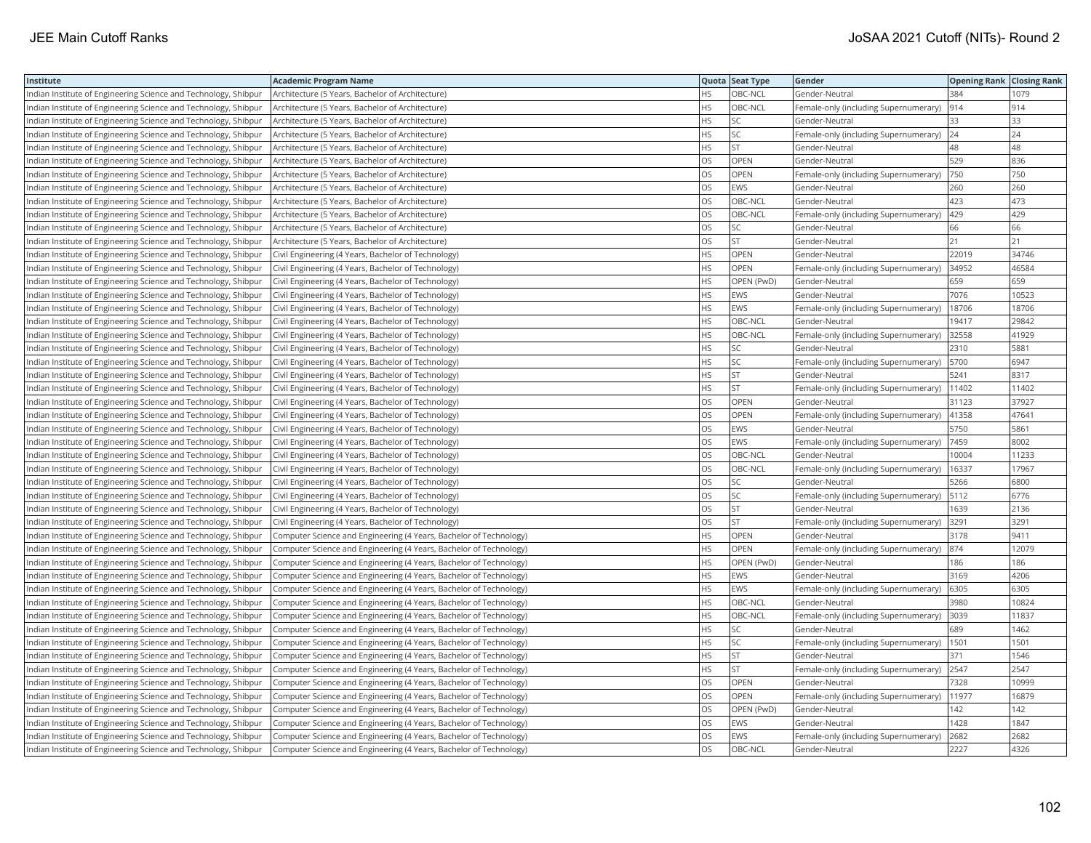| Institute                                                       | <b>Academic Program Name</b>                                       |           | Quota Seat Type | Gender                                     | <b>Opening Rank Closing Rank</b> |       |
|-----------------------------------------------------------------|--------------------------------------------------------------------|-----------|-----------------|--------------------------------------------|----------------------------------|-------|
| Indian Institute of Engineering Science and Technology, Shibpur | Architecture (5 Years, Bachelor of Architecture)                   | HS.       | OBC-NCL         | Gender-Neutral                             | 384                              | 1079  |
| ndian Institute of Engineering Science and Technology, Shibpur  | Architecture (5 Years, Bachelor of Architecture)                   | HS        | OBC-NCL         | Female-only (including Supernumerary)      | 914                              | 914   |
| Indian Institute of Engineering Science and Technology, Shibpur | Architecture (5 Years, Bachelor of Architecture)                   | <b>HS</b> | SC              | Gender-Neutral                             | 33                               | 33    |
| Indian Institute of Engineering Science and Technology, Shibpur | Architecture (5 Years, Bachelor of Architecture)                   | HS        | SC              | Female-only (including Supernumerary)      | 24                               | 24    |
| Indian Institute of Engineering Science and Technology, Shibpur | Architecture (5 Years, Bachelor of Architecture)                   | <b>HS</b> | <b>ST</b>       | Gender-Neutral                             | 48                               | 48    |
| Indian Institute of Engineering Science and Technology, Shibpur | Architecture (5 Years, Bachelor of Architecture)                   | OS        | OPEN            | Gender-Neutral                             | 529                              | 836   |
| Indian Institute of Engineering Science and Technology, Shibpur | Architecture (5 Years, Bachelor of Architecture)                   | OS        | OPEN            | Female-only (including Supernumerary)      | 750                              | 750   |
| Indian Institute of Engineering Science and Technology, Shibpur | Architecture (5 Years, Bachelor of Architecture)                   | OS        | EWS             | Gender-Neutral                             | 260                              | 260   |
| Indian Institute of Engineering Science and Technology, Shibpur | Architecture (5 Years, Bachelor of Architecture)                   | <b>OS</b> | OBC-NCL         | Gender-Neutral                             | 423                              | 473   |
| Indian Institute of Engineering Science and Technology, Shibpur | Architecture (5 Years, Bachelor of Architecture)                   | OS        | OBC-NCL         | Female-only (including Supernumerary)      | 429                              | 429   |
| Indian Institute of Engineering Science and Technology, Shibpur | Architecture (5 Years, Bachelor of Architecture)                   | OS        | SC              | Gender-Neutral                             | 66                               | 66    |
| Indian Institute of Engineering Science and Technology, Shibpur | Architecture (5 Years, Bachelor of Architecture)                   | OS        | ST              | Gender-Neutral                             | 21                               | 21    |
| Indian Institute of Engineering Science and Technology, Shibpur | Civil Engineering (4 Years, Bachelor of Technology)                | <b>HS</b> | OPEN            | Gender-Neutral                             | 22019                            | 34746 |
| Indian Institute of Engineering Science and Technology, Shibpur | Civil Engineering (4 Years, Bachelor of Technology)                | HS        | OPEN            | Female-only (including Supernumerary)      | 34952                            | 46584 |
| Indian Institute of Engineering Science and Technology, Shibpur | Civil Engineering (4 Years, Bachelor of Technology)                | HS        | OPEN (PwD)      | Gender-Neutral                             | 659                              | 659   |
| Indian Institute of Engineering Science and Technology, Shibpur | Civil Engineering (4 Years, Bachelor of Technology)                | HS        | <b>EWS</b>      | Gender-Neutral                             | 7076                             | 10523 |
| Indian Institute of Engineering Science and Technology, Shibpur | Civil Engineering (4 Years, Bachelor of Technology)                | HS        | EWS             | Female-only (including Supernumerary)      | 18706                            | 18706 |
| Indian Institute of Engineering Science and Technology, Shibpur | Civil Engineering (4 Years, Bachelor of Technology)                | <b>HS</b> | OBC-NCL         | Gender-Neutral                             | 19417                            | 29842 |
| Indian Institute of Engineering Science and Technology, Shibpur | Civil Engineering (4 Years, Bachelor of Technology)                | <b>HS</b> | OBC-NCL         | Female-only (including Supernumerary)      | 32558                            | 41929 |
| Indian Institute of Engineering Science and Technology, Shibpur | Civil Engineering (4 Years, Bachelor of Technology)                | HS        | SC              | Gender-Neutral                             | 2310                             | 5881  |
| Indian Institute of Engineering Science and Technology, Shibpur | Civil Engineering (4 Years, Bachelor of Technology)                | HS        | SC              | Female-only (including Supernumerary)      | 5700                             | 6947  |
| Indian Institute of Engineering Science and Technology, Shibpur | Civil Engineering (4 Years, Bachelor of Technology)                | <b>HS</b> | <b>ST</b>       | Gender-Neutral                             | 5241                             | 8317  |
| Indian Institute of Engineering Science and Technology, Shibpur | Civil Engineering (4 Years, Bachelor of Technology)                | <b>HS</b> | <b>ST</b>       | Female-only (including Supernumerary)      | 11402                            | 11402 |
| Indian Institute of Engineering Science and Technology, Shibpur | Civil Engineering (4 Years, Bachelor of Technology)                | OS        | OPEN            | Gender-Neutral                             | 31123                            | 37927 |
| Indian Institute of Engineering Science and Technology, Shibpur | Civil Engineering (4 Years, Bachelor of Technology)                | OS        | OPEN            | Female-only (including Supernumerary)      | 41358                            | 47641 |
| Indian Institute of Engineering Science and Technology, Shibpur | Civil Engineering (4 Years, Bachelor of Technology)                | OS        | EWS             | Gender-Neutral                             | 5750                             | 5861  |
| Indian Institute of Engineering Science and Technology, Shibpur | Civil Engineering (4 Years, Bachelor of Technology)                | OS        | EWS             | Female-only (including Supernumerary)      | 7459                             | 8002  |
| Indian Institute of Engineering Science and Technology, Shibpur | Civil Engineering (4 Years, Bachelor of Technology)                | OS        | OBC-NCL         | Gender-Neutral                             | 10004                            | 11233 |
| Indian Institute of Engineering Science and Technology, Shibpur | Civil Engineering (4 Years, Bachelor of Technology)                | OS        | OBC-NCL         | Female-only (including Supernumerary)      | 16337                            | 17967 |
| Indian Institute of Engineering Science and Technology, Shibpur | Civil Engineering (4 Years, Bachelor of Technology)                | OS        | SC              | Gender-Neutral                             | 5266                             | 6800  |
| Indian Institute of Engineering Science and Technology, Shibpur | Civil Engineering (4 Years, Bachelor of Technology)                | OS        | SC              | Female-only (including Supernumerary)      | 5112                             | 6776  |
| ndian Institute of Engineering Science and Technology, Shibpur  | Civil Engineering (4 Years, Bachelor of Technology)                | OS        | <b>ST</b>       | Gender-Neutral                             | 1639                             | 2136  |
| Indian Institute of Engineering Science and Technology, Shibpur | Civil Engineering (4 Years, Bachelor of Technology)                | OS        | ST              | Female-only (including Supernumerary)      | 3291                             | 3291  |
| Indian Institute of Engineering Science and Technology, Shibpur | Computer Science and Engineering (4 Years, Bachelor of Technology) | <b>HS</b> | OPEN            | Gender-Neutral                             | 3178                             | 9411  |
| Indian Institute of Engineering Science and Technology, Shibpur | Computer Science and Engineering (4 Years, Bachelor of Technology) | <b>HS</b> | OPEN            | Female-only (including Supernumerary)      | 874                              | 12079 |
| Indian Institute of Engineering Science and Technology, Shibpur | Computer Science and Engineering (4 Years, Bachelor of Technology) | <b>HS</b> | OPEN (PwD)      | Gender-Neutral                             | 186                              | 186   |
| Indian Institute of Engineering Science and Technology, Shibpur | Computer Science and Engineering (4 Years, Bachelor of Technology) | <b>HS</b> | EWS             | Gender-Neutral                             | 3169                             | 4206  |
| Indian Institute of Engineering Science and Technology, Shibpur | Computer Science and Engineering (4 Years, Bachelor of Technology) | HS        | EWS             | Female-only (including Supernumerary)      | 6305                             | 6305  |
| Indian Institute of Engineering Science and Technology, Shibpur | Computer Science and Engineering (4 Years, Bachelor of Technology) | <b>HS</b> | OBC-NCL         | Gender-Neutral                             | 3980                             | 10824 |
| Indian Institute of Engineering Science and Technology, Shibpur | Computer Science and Engineering (4 Years, Bachelor of Technology) | <b>HS</b> | OBC-NCL         | Female-only (including Supernumerary) 3039 |                                  | 11837 |
| Indian Institute of Engineering Science and Technology, Shibpur | Computer Science and Engineering (4 Years, Bachelor of Technology) | HS        | SC              | Gender-Neutral                             | 689                              | 1462  |
| Indian Institute of Engineering Science and Technology, Shibpur | Computer Science and Engineering (4 Years, Bachelor of Technology) | HS        | SC              | Female-only (including Supernumerary)      | 1501                             | 1501  |
| Indian Institute of Engineering Science and Technology, Shibpur | Computer Science and Engineering (4 Years, Bachelor of Technology) | HS        | ST              | Gender-Neutral                             | 371                              | 1546  |
| Indian Institute of Engineering Science and Technology, Shibpur | Computer Science and Engineering (4 Years, Bachelor of Technology) | HS.       | <b>ST</b>       | Female-only (including Supernumerary)      | 2547                             | 2547  |
| Indian Institute of Engineering Science and Technology, Shibpur | Computer Science and Engineering (4 Years, Bachelor of Technology) | OS        | OPEN            | Gender-Neutral                             | 7328                             | 10999 |
| Indian Institute of Engineering Science and Technology, Shibpur | Computer Science and Engineering (4 Years, Bachelor of Technology) | OS        | OPEN            | Female-only (including Supernumerary)      | 11977                            | 16879 |
| Indian Institute of Engineering Science and Technology, Shibpur | Computer Science and Engineering (4 Years, Bachelor of Technology) | OS        | OPEN (PwD)      | Gender-Neutral                             | 142                              | 142   |
| Indian Institute of Engineering Science and Technology, Shibpur | Computer Science and Engineering (4 Years, Bachelor of Technology) | OS        | EWS             | Gender-Neutral                             | 1428                             | 1847  |
| Indian Institute of Engineering Science and Technology, Shibpur | Computer Science and Engineering (4 Years, Bachelor of Technology) | OS        | EWS             | Female-only (including Supernumerary)      | 2682                             | 2682  |
| Indian Institute of Engineering Science and Technology, Shibpur | Computer Science and Engineering (4 Years, Bachelor of Technology) | <b>OS</b> | OBC-NCL         | Gender-Neutral                             | 2227                             | 4326  |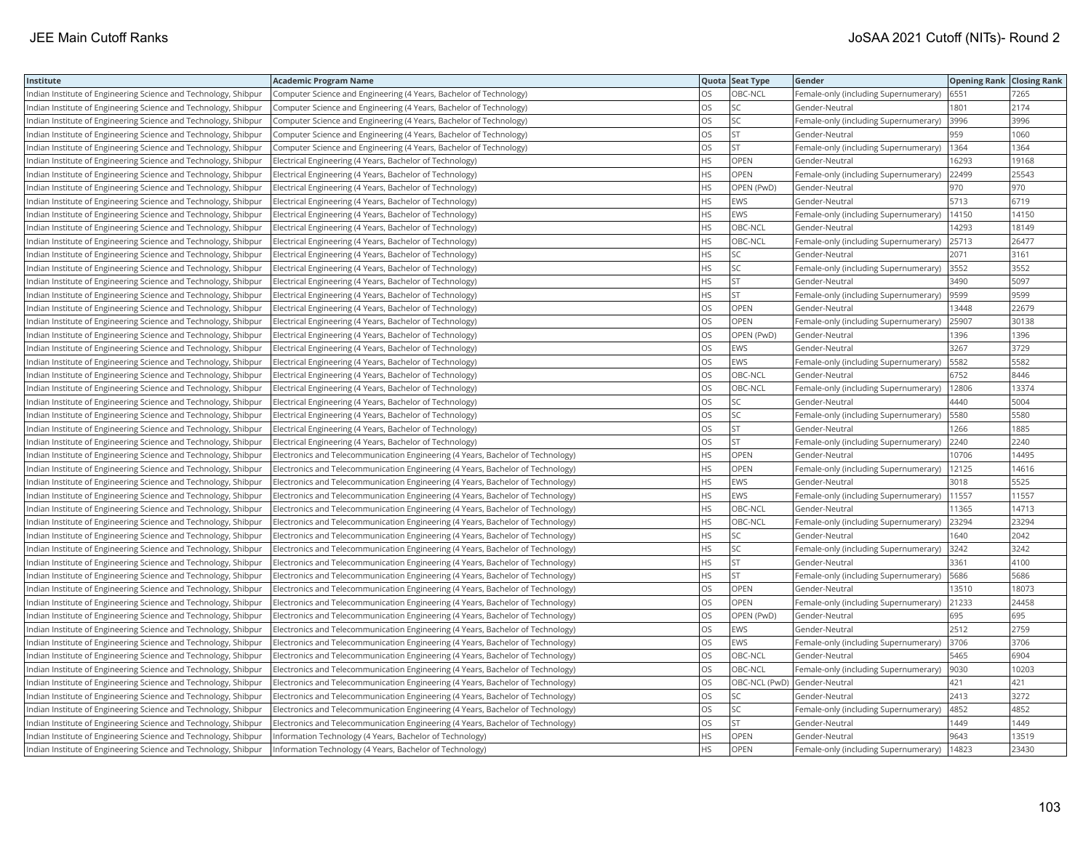| Institute                                                       | <b>Academic Program Name</b>                                                    |           | Quota Seat Type | Gender                                     | <b>Opening Rank   Closing Rank</b> |       |
|-----------------------------------------------------------------|---------------------------------------------------------------------------------|-----------|-----------------|--------------------------------------------|------------------------------------|-------|
| Indian Institute of Engineering Science and Technology, Shibpur | Computer Science and Engineering (4 Years, Bachelor of Technology)              | OS.       | OBC-NCL         | Female-only (including Supernumerary)      | 6551                               | 7265  |
| Indian Institute of Engineering Science and Technology, Shibpur | Computer Science and Engineering (4 Years, Bachelor of Technology)              | OS        | SC              | Gender-Neutral                             | 1801                               | 2174  |
| Indian Institute of Engineering Science and Technology, Shibpur | Computer Science and Engineering (4 Years, Bachelor of Technology)              | OS        | SC              | Female-only (including Supernumerary)      | 3996                               | 3996  |
| Indian Institute of Engineering Science and Technology, Shibpur | Computer Science and Engineering (4 Years, Bachelor of Technology)              | OS        | <b>ST</b>       | Gender-Neutral                             | 959                                | 1060  |
| Indian Institute of Engineering Science and Technology, Shibpur | Computer Science and Engineering (4 Years, Bachelor of Technology)              | OS        | <b>ST</b>       | Female-only (including Supernumerary)      | 1364                               | 1364  |
| Indian Institute of Engineering Science and Technology, Shibpur | Electrical Engineering (4 Years, Bachelor of Technology)                        | <b>HS</b> | OPEN            | Gender-Neutral                             | 16293                              | 19168 |
| Indian Institute of Engineering Science and Technology, Shibpur | Electrical Engineering (4 Years, Bachelor of Technology)                        | <b>HS</b> | OPEN            | Female-only (including Supernumerary)      | 22499                              | 25543 |
| Indian Institute of Engineering Science and Technology, Shibpur | Electrical Engineering (4 Years, Bachelor of Technology)                        | <b>HS</b> | OPEN (PwD)      | Gender-Neutral                             | 970                                | 970   |
| Indian Institute of Engineering Science and Technology, Shibpur | Electrical Engineering (4 Years, Bachelor of Technology)                        | HS        | EWS             | Gender-Neutral                             | 5713                               | 6719  |
| Indian Institute of Engineering Science and Technology, Shibpur | Electrical Engineering (4 Years, Bachelor of Technology)                        | <b>HS</b> | EWS             | Female-only (including Supernumerary)      | 14150                              | 14150 |
| Indian Institute of Engineering Science and Technology, Shibpur | Electrical Engineering (4 Years, Bachelor of Technology)                        | <b>HS</b> | OBC-NCL         | Gender-Neutral                             | 14293                              | 18149 |
| Indian Institute of Engineering Science and Technology, Shibpur | Electrical Engineering (4 Years, Bachelor of Technology)                        | <b>HS</b> | OBC-NCL         | Female-only (including Supernumerary)      | 25713                              | 26477 |
| Indian Institute of Engineering Science and Technology, Shibpur | Electrical Engineering (4 Years, Bachelor of Technology)                        | HS        | SC              | Gender-Neutral                             | 2071                               | 3161  |
| Indian Institute of Engineering Science and Technology, Shibpur | Electrical Engineering (4 Years, Bachelor of Technology)                        | HS        | SC              | Female-only (including Supernumerary)      | 3552                               | 3552  |
| Indian Institute of Engineering Science and Technology, Shibpur | Electrical Engineering (4 Years, Bachelor of Technology)                        | HS        | <b>ST</b>       | Gender-Neutral                             | 3490                               | 5097  |
| Indian Institute of Engineering Science and Technology, Shibpur | Electrical Engineering (4 Years, Bachelor of Technology)                        | HS        | <b>ST</b>       | Female-only (including Supernumerary)      | 9599                               | 9599  |
| Indian Institute of Engineering Science and Technology, Shibpur | Electrical Engineering (4 Years, Bachelor of Technology)                        | OS        | OPEN            | Gender-Neutral                             | 13448                              | 22679 |
| Indian Institute of Engineering Science and Technology, Shibpur | Electrical Engineering (4 Years, Bachelor of Technology)                        | <b>OS</b> | <b>OPEN</b>     | Female-only (including Supernumerary)      | 25907                              | 30138 |
| Indian Institute of Engineering Science and Technology, Shibpur | Electrical Engineering (4 Years, Bachelor of Technology)                        | OS        | OPEN (PwD)      | Gender-Neutral                             | 1396                               | 1396  |
| Indian Institute of Engineering Science and Technology, Shibpur | Electrical Engineering (4 Years, Bachelor of Technology)                        | OS        | <b>EWS</b>      | Gender-Neutral                             | 3267                               | 3729  |
| Indian Institute of Engineering Science and Technology, Shibpur | Electrical Engineering (4 Years, Bachelor of Technology)                        | OS        | EWS             | Female-only (including Supernumerary)      | 5582                               | 5582  |
| Indian Institute of Engineering Science and Technology, Shibpur | Electrical Engineering (4 Years, Bachelor of Technology)                        | <b>OS</b> | OBC-NCL         | Gender-Neutral                             | 6752                               | 8446  |
| Indian Institute of Engineering Science and Technology, Shibpur | Electrical Engineering (4 Years, Bachelor of Technology)                        | OS        | OBC-NCL         | Female-only (including Supernumerary)      | 12806                              | 13374 |
| Indian Institute of Engineering Science and Technology, Shibpur | Electrical Engineering (4 Years, Bachelor of Technology)                        | <b>OS</b> | SC              | Gender-Neutral                             | 4440                               | 5004  |
| Indian Institute of Engineering Science and Technology, Shibpur | Electrical Engineering (4 Years, Bachelor of Technology)                        | OS        | SC              | Female-only (including Supernumerary)      | 5580                               | 5580  |
| Indian Institute of Engineering Science and Technology, Shibpur | Electrical Engineering (4 Years, Bachelor of Technology)                        | OS        | ST              | Gender-Neutral                             | 1266                               | 1885  |
| Indian Institute of Engineering Science and Technology, Shibpur | Electrical Engineering (4 Years, Bachelor of Technology)                        | OS        | <b>ST</b>       | Female-only (including Supernumerary) 2240 |                                    | 2240  |
| Indian Institute of Engineering Science and Technology, Shibpur | Electronics and Telecommunication Engineering (4 Years, Bachelor of Technology) | HS        | OPEN            | Gender-Neutral                             | 10706                              | 14495 |
| Indian Institute of Engineering Science and Technology, Shibpur | Electronics and Telecommunication Engineering (4 Years, Bachelor of Technology) | HS        | <b>OPEN</b>     | Female-only (including Supernumerary)      | 12125                              | 14616 |
| Indian Institute of Engineering Science and Technology, Shibpur | Electronics and Telecommunication Engineering (4 Years, Bachelor of Technology) | HS        | <b>EWS</b>      | Gender-Neutral                             | 3018                               | 5525  |
| Indian Institute of Engineering Science and Technology, Shibpur | Electronics and Telecommunication Engineering (4 Years, Bachelor of Technology) | HS.       | EWS             | Female-only (including Supernumerary)      | 11557                              | 11557 |
| Indian Institute of Engineering Science and Technology, Shibpur | Electronics and Telecommunication Engineering (4 Years, Bachelor of Technology) | <b>HS</b> | OBC-NCL         | Gender-Neutral                             | 1365                               | 14713 |
| Indian Institute of Engineering Science and Technology, Shibpur | Electronics and Telecommunication Engineering (4 Years, Bachelor of Technology) | HS        | OBC-NCL         | Female-only (including Supernumerary)      | 23294                              | 23294 |
| ndian Institute of Engineering Science and Technology, Shibpur  | Electronics and Telecommunication Engineering (4 Years, Bachelor of Technology) | HS        | SC              | Gender-Neutral                             | 1640                               | 2042  |
| Indian Institute of Engineering Science and Technology, Shibpur | Electronics and Telecommunication Engineering (4 Years, Bachelor of Technology) | HS        | SC              | Female-only (including Supernumerary)      | 3242                               | 3242  |
| Indian Institute of Engineering Science and Technology, Shibpur | Electronics and Telecommunication Engineering (4 Years, Bachelor of Technology) | HS        | <b>ST</b>       | Gender-Neutral                             | 3361                               | 4100  |
| Indian Institute of Engineering Science and Technology, Shibpur | Electronics and Telecommunication Engineering (4 Years, Bachelor of Technology) | HS        | ST              | Female-only (including Supernumerary)      | 5686                               | 5686  |
| Indian Institute of Engineering Science and Technology, Shibpur | Electronics and Telecommunication Engineering (4 Years, Bachelor of Technology) | OS        | OPEN            | Gender-Neutral                             | 13510                              | 18073 |
| Indian Institute of Engineering Science and Technology, Shibpur | Electronics and Telecommunication Engineering (4 Years, Bachelor of Technology) | <b>OS</b> | <b>OPEN</b>     | Female-only (including Supernumerary)      | 21233                              | 24458 |
| Indian Institute of Engineering Science and Technology, Shibpur | Electronics and Telecommunication Engineering (4 Years, Bachelor of Technology) | OS        | OPEN (PwD)      | Gender-Neutral                             | 695                                | 695   |
| Indian Institute of Engineering Science and Technology, Shibpur | Electronics and Telecommunication Engineering (4 Years, Bachelor of Technology) | OS        | EWS             | Gender-Neutral                             | 2512                               | 2759  |
| Indian Institute of Engineering Science and Technology, Shibpur | Electronics and Telecommunication Engineering (4 Years, Bachelor of Technology) | OS        | EWS             | Female-only (including Supernumerary)      | 3706                               | 3706  |
| Indian Institute of Engineering Science and Technology, Shibpur | Electronics and Telecommunication Engineering (4 Years, Bachelor of Technology) | OS        | OBC-NCL         | Gender-Neutral                             | 5465                               | 6904  |
| Indian Institute of Engineering Science and Technology, Shibpur | Electronics and Telecommunication Engineering (4 Years, Bachelor of Technology) | OS        | OBC-NCL         | Female-only (including Supernumerary)      | 9030                               | 10203 |
| Indian Institute of Engineering Science and Technology, Shibpur | Electronics and Telecommunication Engineering (4 Years, Bachelor of Technology) | OS        |                 | OBC-NCL (PwD) Gender-Neutral               | 421                                | 421   |
| Indian Institute of Engineering Science and Technology, Shibpur | Electronics and Telecommunication Engineering (4 Years, Bachelor of Technology) | OS        | SC              | Gender-Neutral                             | 2413                               | 3272  |
| Indian Institute of Engineering Science and Technology, Shibpur | Electronics and Telecommunication Engineering (4 Years, Bachelor of Technology) | OS        | SC              | Female-only (including Supernumerary)      | 4852                               | 4852  |
| Indian Institute of Engineering Science and Technology, Shibpur | Electronics and Telecommunication Engineering (4 Years, Bachelor of Technology) | <b>OS</b> | <b>ST</b>       | Gender-Neutral                             | 1449                               | 1449  |
| Indian Institute of Engineering Science and Technology, Shibpur | Information Technology (4 Years, Bachelor of Technology)                        | HS        | OPEN            | Gender-Neutral                             | 9643                               | 13519 |
| Indian Institute of Engineering Science and Technology, Shibpur | Information Technology (4 Years, Bachelor of Technology)                        | <b>HS</b> | OPEN            | Female-only (including Supernumerary)      | 14823                              | 23430 |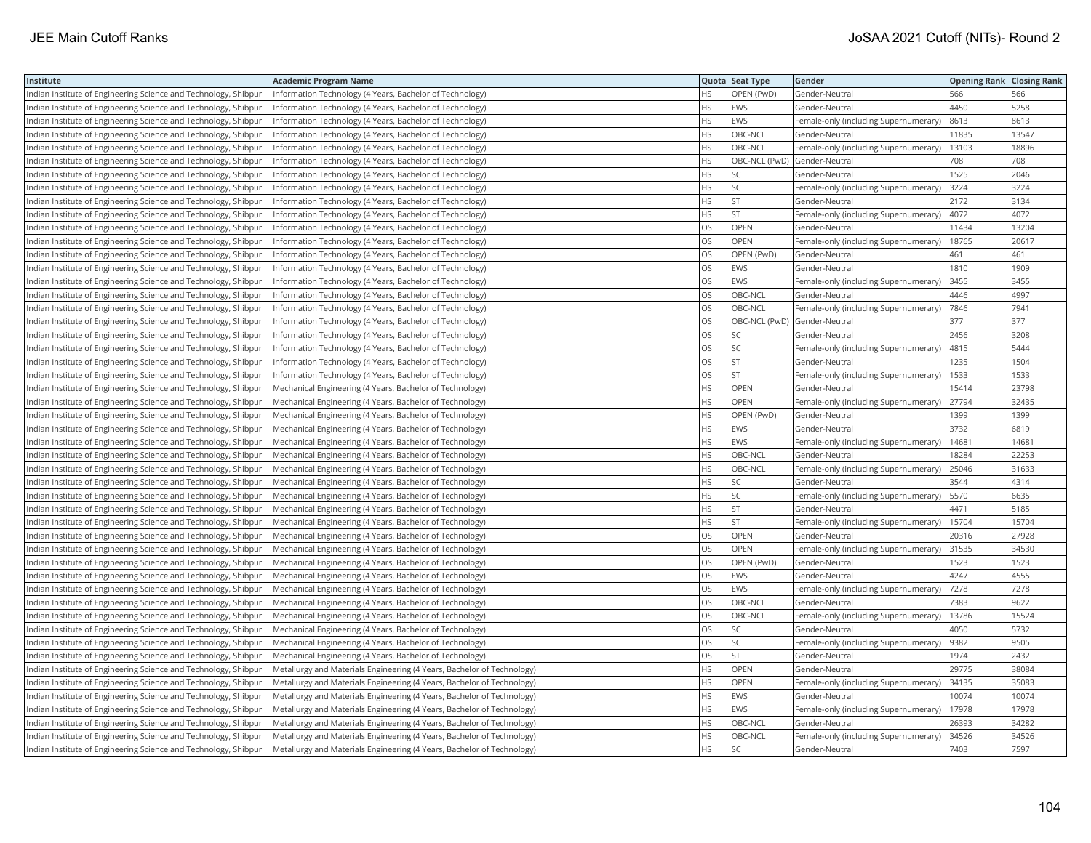| Institute                                                       | <b>Academic Program Name</b>                                           |           | Quota Seat Type              | Gender                                | <b>Opening Rank Closing Rank</b> |       |
|-----------------------------------------------------------------|------------------------------------------------------------------------|-----------|------------------------------|---------------------------------------|----------------------------------|-------|
| Indian Institute of Engineering Science and Technology, Shibpur | Information Technology (4 Years, Bachelor of Technology)               | HS.       | OPEN (PwD)                   | Gender-Neutral                        | 566                              | 566   |
| Indian Institute of Engineering Science and Technology, Shibpur | Information Technology (4 Years, Bachelor of Technology)               | НS        | EWS                          | Gender-Neutral                        | 4450                             | 5258  |
| Indian Institute of Engineering Science and Technology, Shibpur | Information Technology (4 Years, Bachelor of Technology)               | <b>HS</b> | <b>EWS</b>                   | Female-only (including Supernumerary) | 8613                             | 8613  |
| Indian Institute of Engineering Science and Technology, Shibpur | Information Technology (4 Years, Bachelor of Technology)               | <b>HS</b> | OBC-NCL                      | Gender-Neutral                        | 11835                            | 13547 |
| Indian Institute of Engineering Science and Technology, Shibpur | Information Technology (4 Years, Bachelor of Technology)               | <b>HS</b> | OBC-NCL                      | Female-only (including Supernumerary) | 13103                            | 18896 |
| Indian Institute of Engineering Science and Technology, Shibpur | Information Technology (4 Years, Bachelor of Technology)               | <b>HS</b> | OBC-NCL (PwD) Gender-Neutral |                                       | 708                              | 708   |
| Indian Institute of Engineering Science and Technology, Shibpur | Information Technology (4 Years, Bachelor of Technology)               | <b>HS</b> | SC                           | Gender-Neutral                        | 1525                             | 2046  |
| Indian Institute of Engineering Science and Technology, Shibpur | Information Technology (4 Years, Bachelor of Technology)               | <b>HS</b> | SC                           | Female-only (including Supernumerary) | 3224                             | 3224  |
| Indian Institute of Engineering Science and Technology, Shibpur | Information Technology (4 Years, Bachelor of Technology)               | HS        | <b>ST</b>                    | Gender-Neutral                        | 2172                             | 3134  |
| Indian Institute of Engineering Science and Technology, Shibpur | Information Technology (4 Years, Bachelor of Technology)               | <b>HS</b> | <b>ST</b>                    | Female-only (including Supernumerary) | 4072                             | 4072  |
| Indian Institute of Engineering Science and Technology, Shibpur | Information Technology (4 Years, Bachelor of Technology)               | OS        | OPEN                         | Gender-Neutral                        | 11434                            | 13204 |
| Indian Institute of Engineering Science and Technology, Shibpur | Information Technology (4 Years, Bachelor of Technology)               | OS        | <b>OPEN</b>                  | Female-only (including Supernumerary) | 18765                            | 20617 |
| Indian Institute of Engineering Science and Technology, Shibpur | Information Technology (4 Years, Bachelor of Technology)               | OS        | OPEN (PwD)                   | Gender-Neutral                        | 461                              | 461   |
| Indian Institute of Engineering Science and Technology, Shibpur | Information Technology (4 Years, Bachelor of Technology)               | OS        | EWS                          | Gender-Neutral                        | 1810                             | 1909  |
| Indian Institute of Engineering Science and Technology, Shibpur | Information Technology (4 Years, Bachelor of Technology)               | OS        | EWS                          | Female-only (including Supernumerary) | 3455                             | 3455  |
| Indian Institute of Engineering Science and Technology, Shibpur | Information Technology (4 Years, Bachelor of Technology)               | <b>OS</b> | OBC-NCL                      | Gender-Neutral                        | 4446                             | 4997  |
| Indian Institute of Engineering Science and Technology, Shibpur | Information Technology (4 Years, Bachelor of Technology)               | OS.       | OBC-NCL                      | Female-only (including Supernumerary) | 7846                             | 7941  |
| Indian Institute of Engineering Science and Technology, Shibpur | Information Technology (4 Years, Bachelor of Technology)               | OS        |                              | OBC-NCL (PwD) Gender-Neutral          | 377                              | 377   |
| Indian Institute of Engineering Science and Technology, Shibpur | Information Technology (4 Years, Bachelor of Technology)               | <b>OS</b> | SC                           | Gender-Neutral                        | 2456                             | 3208  |
| Indian Institute of Engineering Science and Technology, Shibpur | nformation Technology (4 Years, Bachelor of Technology)                | OS        | SC                           | Female-only (including Supernumerary) | 4815                             | 5444  |
| Indian Institute of Engineering Science and Technology, Shibpur | Information Technology (4 Years, Bachelor of Technology)               | OS        | <b>ST</b>                    | Gender-Neutral                        | 1235                             | 1504  |
| Indian Institute of Engineering Science and Technology, Shibpur | Information Technology (4 Years, Bachelor of Technology)               | OS        | <b>ST</b>                    | Female-only (including Supernumerary) | 1533                             | 1533  |
| Indian Institute of Engineering Science and Technology, Shibpur | Mechanical Engineering (4 Years, Bachelor of Technology)               | <b>HS</b> | OPEN                         | Gender-Neutral                        | 15414                            | 23798 |
| Indian Institute of Engineering Science and Technology, Shibpur | Mechanical Engineering (4 Years, Bachelor of Technology)               | <b>HS</b> | OPEN                         | Female-only (including Supernumerary) | 27794                            | 32435 |
| Indian Institute of Engineering Science and Technology, Shibpur | Mechanical Engineering (4 Years, Bachelor of Technology)               | <b>HS</b> | OPEN (PwD)                   | Gender-Neutral                        | 1399                             | 1399  |
| Indian Institute of Engineering Science and Technology, Shibpur | Mechanical Engineering (4 Years, Bachelor of Technology)               | <b>HS</b> | EWS                          | Gender-Neutral                        | 3732                             | 6819  |
| Indian Institute of Engineering Science and Technology, Shibpur | Mechanical Engineering (4 Years, Bachelor of Technology)               | <b>HS</b> | EWS                          | Female-only (including Supernumerary) | 14681                            | 14681 |
| Indian Institute of Engineering Science and Technology, Shibpur | Mechanical Engineering (4 Years, Bachelor of Technology)               | <b>HS</b> | OBC-NCL                      | Gender-Neutral                        | 18284                            | 22253 |
| Indian Institute of Engineering Science and Technology, Shibpur | Mechanical Engineering (4 Years, Bachelor of Technology)               | <b>HS</b> | OBC-NCL                      | Female-only (including Supernumerary) | 25046                            | 31633 |
| Indian Institute of Engineering Science and Technology, Shibpur | Mechanical Engineering (4 Years, Bachelor of Technology)               | HS        | SC                           | Gender-Neutral                        | 3544                             | 4314  |
| Indian Institute of Engineering Science and Technology, Shibpur | Mechanical Engineering (4 Years, Bachelor of Technology)               | HS        | SC                           | Female-only (including Supernumerary) | 5570                             | 6635  |
| Indian Institute of Engineering Science and Technology, Shibpur | Mechanical Engineering (4 Years, Bachelor of Technology)               | HS.       | <b>ST</b>                    | Gender-Neutral                        | 4471                             | 5185  |
| Indian Institute of Engineering Science and Technology, Shibpur | Mechanical Engineering (4 Years, Bachelor of Technology)               | HS        | <b>ST</b>                    | Female-only (including Supernumerary) | 15704                            | 15704 |
| ndian Institute of Engineering Science and Technology, Shibpur  | Mechanical Engineering (4 Years, Bachelor of Technology)               | OS        | OPEN                         | Gender-Neutral                        | 20316                            | 27928 |
| Indian Institute of Engineering Science and Technology, Shibpur | Mechanical Engineering (4 Years, Bachelor of Technology)               | OS        | OPEN                         | Female-only (including Supernumerary) | 31535                            | 34530 |
| Indian Institute of Engineering Science and Technology, Shibpur | Mechanical Engineering (4 Years, Bachelor of Technology)               | OS        | OPEN (PwD)                   | Gender-Neutral                        | 1523                             | 1523  |
| Indian Institute of Engineering Science and Technology, Shibpur | Mechanical Engineering (4 Years, Bachelor of Technology)               | OS        | EWS                          | Gender-Neutral                        | 4247                             | 4555  |
| Indian Institute of Engineering Science and Technology, Shibpur | Mechanical Engineering (4 Years, Bachelor of Technology)               | OS        | EWS                          | Female-only (including Supernumerary) | 7278                             | 7278  |
| Indian Institute of Engineering Science and Technology, Shibpur | Mechanical Engineering (4 Years, Bachelor of Technology)               | <b>OS</b> | OBC-NCL                      | Gender-Neutral                        | 7383                             | 9622  |
| Indian Institute of Engineering Science and Technology, Shibpur | Mechanical Engineering (4 Years, Bachelor of Technology)               | OS        | OBC-NCL                      | Female-only (including Supernumerary) | 13786                            | 15524 |
| Indian Institute of Engineering Science and Technology, Shibpur | Mechanical Engineering (4 Years, Bachelor of Technology)               | OS        | SC                           | Gender-Neutral                        | 4050                             | 5732  |
| Indian Institute of Engineering Science and Technology, Shibpur | Mechanical Engineering (4 Years, Bachelor of Technology)               | OS        | SC                           | Female-only (including Supernumerary) | 9382                             | 9505  |
| Indian Institute of Engineering Science and Technology, Shibpur | Mechanical Engineering (4 Years, Bachelor of Technology)               | OS        | ST                           | Gender-Neutral                        | 1974                             | 2432  |
| Indian Institute of Engineering Science and Technology, Shibpur | Metallurgy and Materials Engineering (4 Years, Bachelor of Technology) | <b>HS</b> | <b>OPEN</b>                  | Gender-Neutral                        | 29775                            | 38084 |
| Indian Institute of Engineering Science and Technology, Shibpur | Metallurgy and Materials Engineering (4 Years, Bachelor of Technology) | HS        | OPEN                         | Female-only (including Supernumerary) | 34135                            | 35083 |
| Indian Institute of Engineering Science and Technology, Shibpur | Metallurgy and Materials Engineering (4 Years, Bachelor of Technology) | HS        | EWS                          | Gender-Neutral                        | 10074                            | 10074 |
| Indian Institute of Engineering Science and Technology, Shibpur | Metallurgy and Materials Engineering (4 Years, Bachelor of Technology) | HS        | EWS                          | Female-only (including Supernumerary) | 17978                            | 17978 |
| Indian Institute of Engineering Science and Technology, Shibpur | Metallurgy and Materials Engineering (4 Years, Bachelor of Technology) | <b>HS</b> | OBC-NCL                      | Gender-Neutral                        | 26393                            | 34282 |
| Indian Institute of Engineering Science and Technology, Shibpur | Metallurgy and Materials Engineering (4 Years, Bachelor of Technology) | HS        | OBC-NCL                      | Female-only (including Supernumerary) | 34526                            | 34526 |
| Indian Institute of Engineering Science and Technology, Shibpur | Metallurgy and Materials Engineering (4 Years, Bachelor of Technology) | <b>HS</b> | SC                           | Gender-Neutral                        | 7403                             | 7597  |